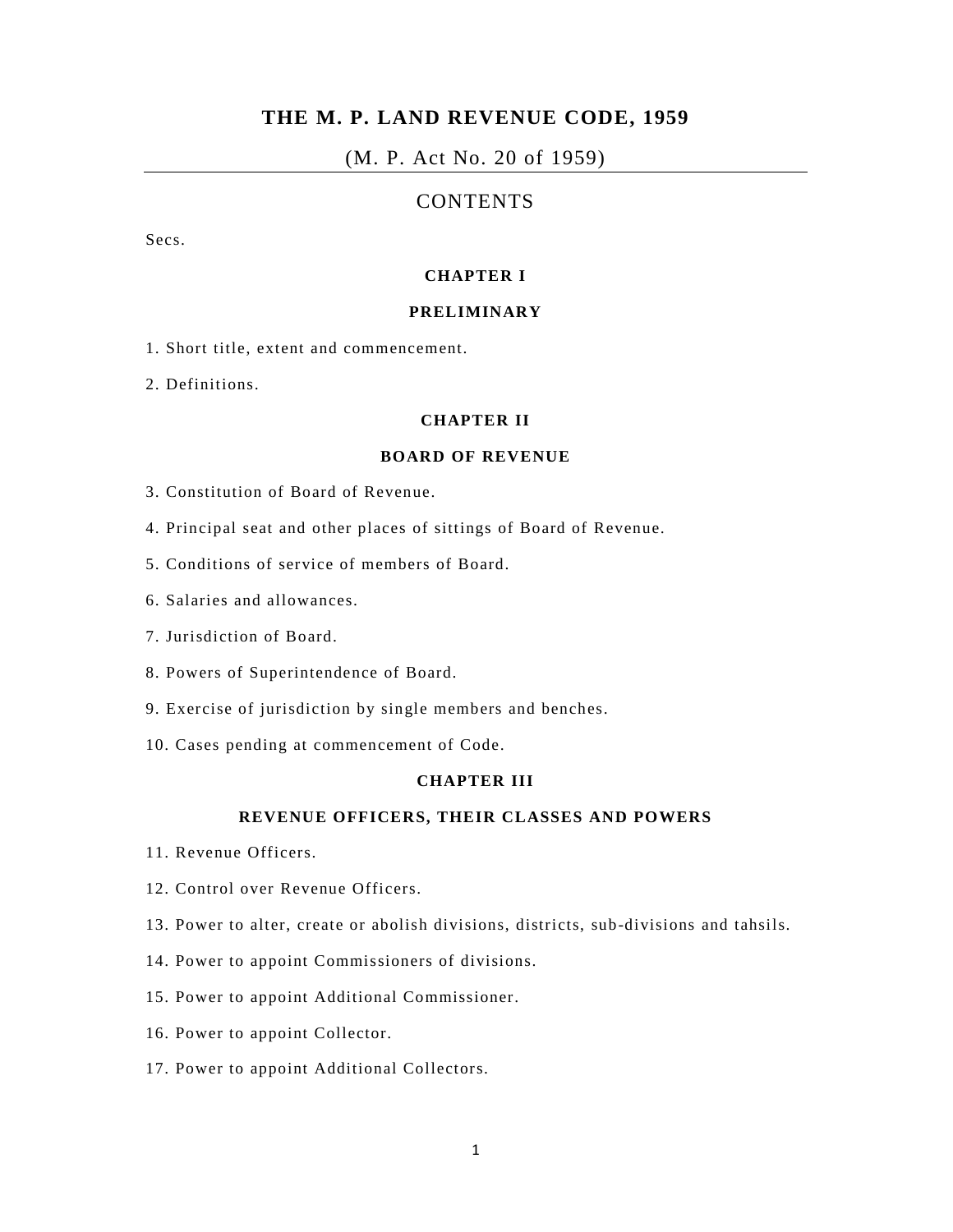# **THE M. P. LAND REVENUE CODE, 1959**

# (M. P. Act No. 20 of 1959)

# CONTENTS

Secs.

## **CHAPTER I**

## **PRELIMINARY**

- 1. Short title, extent and commencement.
- 2. Definitions.

## **CHAPTER II**

#### **BOARD OF REVENUE**

- 3. Constitution of Board of Revenue.
- 4. Principal seat and other places of sittings of Board of Revenue.
- 5. Conditions of service of members of Board.
- 6. Salaries and allowances.
- 7. Jurisdiction of Board.
- 8. Powers of Superintendence of Board.
- 9. Exercise of jurisdiction by single members and benches.
- 10. Cases pending at commencement of Code.

## **CHAPTER III**

### **REVENUE OFFICERS, THEIR CLASSES AND POWERS**

- 11. Revenue Officers.
- 12. Control over Revenue Officers.
- 13. Power to alter, create or abolish divisions, districts, sub-divisions and tahsils.
- 14. Power to appoint Commissioners of divisions.
- 15. Power to appoint Additional Commissioner.
- 16. Power to appoint Collector.
- 17. Power to appoint Additional Collectors.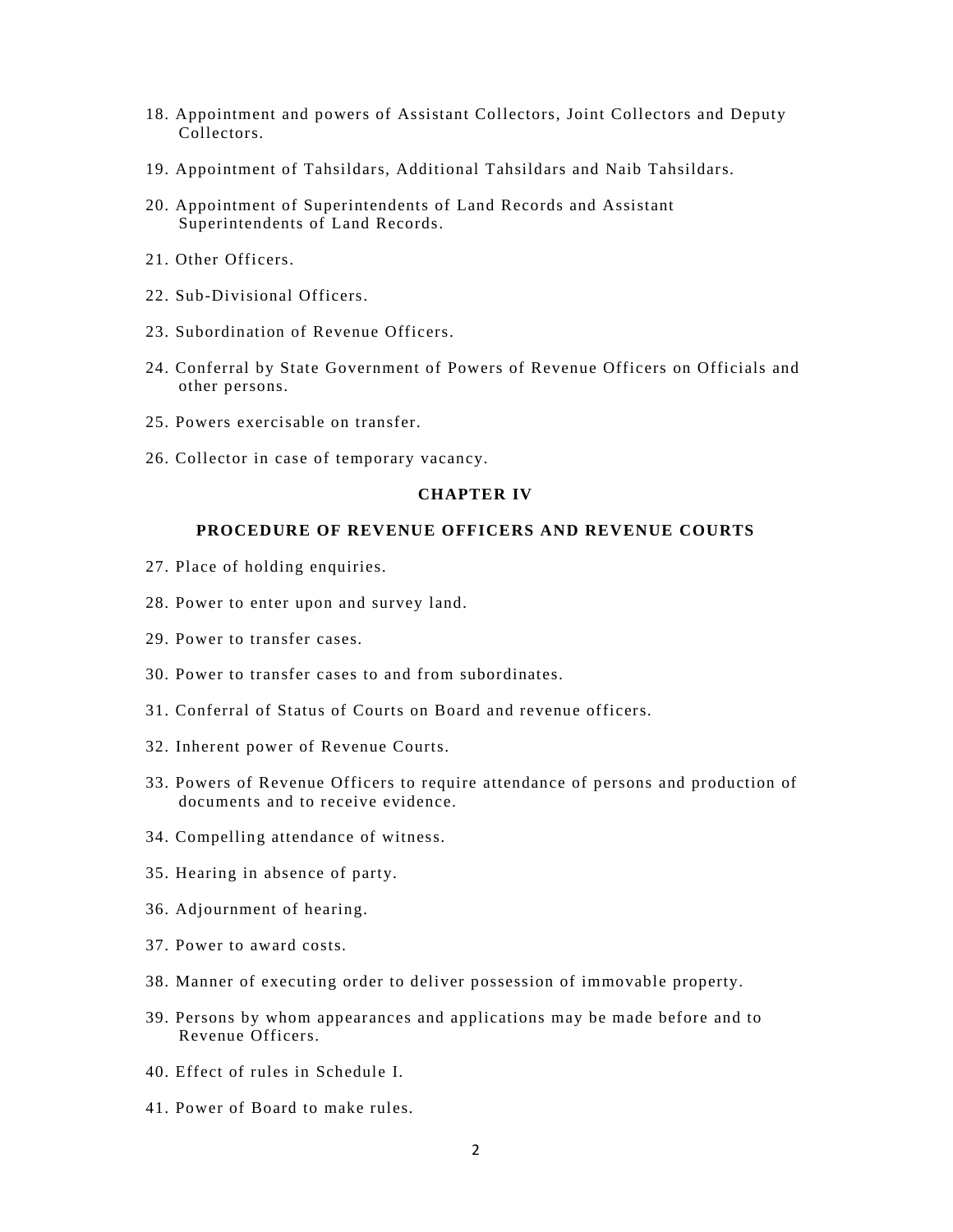- 18. Appointment and powers of Assistant Collectors, Joint Collectors and Deputy Collectors.
- 19. Appointment of Tahsildars, Additional Tahsildars and Naib Tahsildars.
- 20. Appointment of Superintendents of Land Records and Assistant Superintendents of Land Records.
- 21. Other Officers.
- 22. Sub-Divisional Officers.
- 23. Subordination of Revenue Officers.
- 24. Conferral by State Government of Powers of Revenue Officers on Officials and other persons.
- 25. Powers exercisable on transfer.
- 26. Collector in case of temporary vacancy.

### **CHAPTER IV**

## **PROCEDURE OF REVENUE OFFICERS AND REVENUE COURTS**

- 27. Place of holding enquiries.
- 28. Power to enter upon and survey land.
- 29. Power to transfer cases.
- 30. Power to transfer cases to and from subordinates.
- 31. Conferral of Status of Courts on Board and revenue officers.
- 32. Inherent power of Revenue Courts.
- 33. Powers of Revenue Officers to require attendance of persons and production of documents and to receive evidence.
- 34. Compelling attendance of witness.
- 35. Hearing in absence of party.
- 36. Adjournment of hearing.
- 37. Power to award costs.
- 38. Manner of executing order to deliver possession of immovable property.
- 39. Persons by whom appearances and applications may be made before and to Revenue Officers.
- 40. Effect of rules in Schedule I.
- 41. Power of Board to make rules.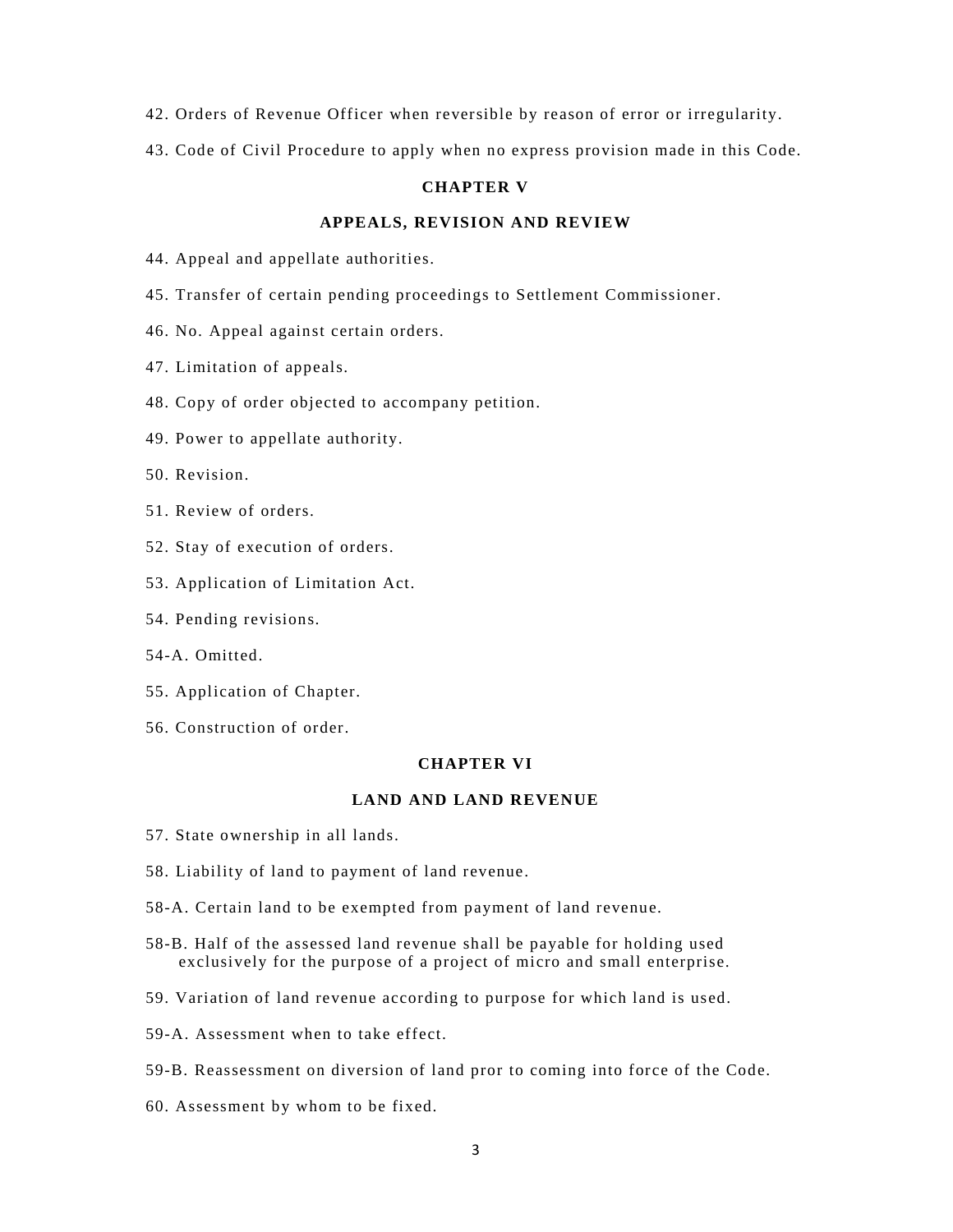- 42. Orders of Revenue Officer when reversible by reason of error or irregularity.
- 43. Code of Civil Procedure to apply when no express provision made in this Code.

### **CHAPTER V**

## **APPEALS, REVISION AND REVIEW**

- 44. Appeal and appellate authorities.
- 45. Transfer of certain pending proceedings to Settlement Commissioner.
- 46. No. Appeal against certain orders.
- 47. Limitation of appeals.
- 48. Copy of order objected to accompany petition.
- 49. Power to appellate authority.
- 50. Revision.
- 51. Review of orders.
- 52. Stay of execution of orders.
- 53. Application of Limitation Act.
- 54. Pending revisions.
- 54-A. Omitted.
- 55. Application of Chapter.
- 56. Construction of order.

# **CHAPTER VI**

## **LAND AND LAND REVENUE**

- 57. State ownership in all lands.
- 58. Liability of land to payment of land revenue.
- 58-A. Certain land to be exempted from payment of land revenue.
- 58-B. Half of the assessed land revenue shall be payable for holding used exclusively for the purpose of a project of micro and small enterprise.
- 59. Variation of land revenue according to purpose for which land is used.
- 59-A. Assessment when to take effect.
- 59-B. Reassessment on diversion of land pror to coming into force of the Code.
- 60. Assessment by whom to be fixed.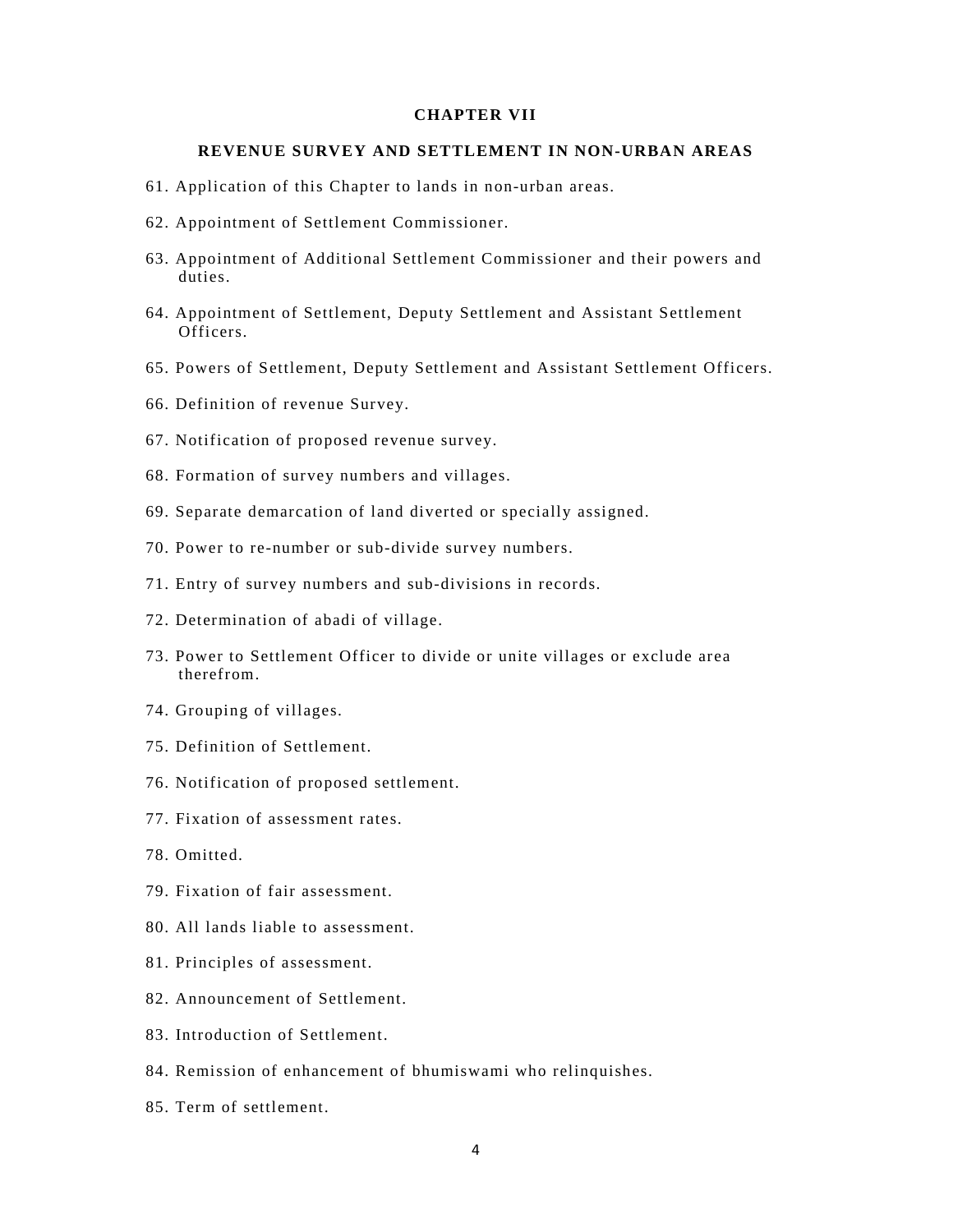## **CHAPTER VII**

### **REVENUE SURVEY AND SETTLEMENT IN NON-URBAN AREAS**

- 61. Application of this Chapter to lands in non-urban areas.
- 62. Appointment of Settlement Commissioner.
- 63. Appointment of Additional Settlement Commissioner and their powers and duties.
- 64. Appointment of Settlement, Deputy Settlement and Assistant Settlement Officers.
- 65. Powers of Settlement, Deputy Settlement and Assistant Settlement Officers.
- 66. Definition of revenue Survey.
- 67. Notification of proposed revenue survey.
- 68. Formation of survey numbers and villages.
- 69. Separate demarcation of land diverted or specially assigned.
- 70. Power to re-number or sub-divide survey numbers.
- 71. Entry of survey numbers and sub-divisions in records.
- 72. Determination of abadi of village.
- 73. Power to Settlement Officer to divide or unite villages or exclude area therefrom.
- 74. Grouping of villages.
- 75. Definition of Settlement.
- 76. Notification of proposed settlement.
- 77. Fixation of assessment rates.
- 78. Omitted.
- 79. Fixation of fair assessment.
- 80. All lands liable to assessment.
- 81. Principles of assessment.
- 82. Announcement of Settlement.
- 83. Introduction of Settlement.
- 84. Remission of enhancement of bhumiswami who relinquishes.
- 85. Term of settlement.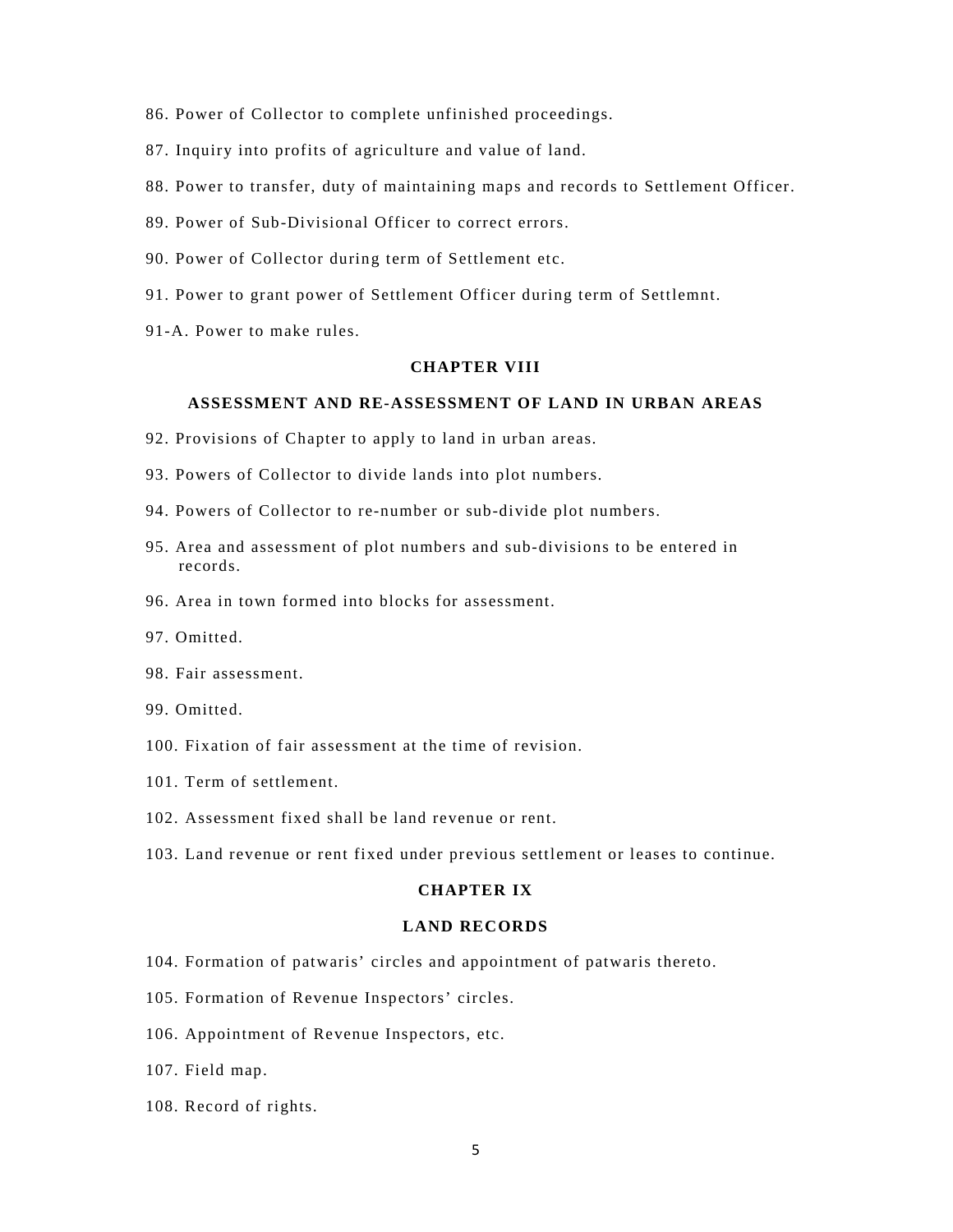- 86. Power of Collector to complete unfinished proceedings.
- 87. Inquiry into profits of agriculture and value of land.
- 88. Power to transfer, duty of maintaining maps and records to Settlement Officer.
- 89. Power of Sub-Divisional Officer to correct errors.
- 90. Power of Collector during term of Settlement etc.
- 91. Power to grant power of Settlement Officer during term of Settlemnt.
- 91-A. Power to make rules.

### **CHAPTER VIII**

## **ASSESSMENT AND RE-ASSESSMENT OF LAND IN URBAN AREAS**

- 92. Provisions of Chapter to apply to land in urban areas.
- 93. Powers of Collector to divide lands into plot numbers.
- 94. Powers of Collector to re-number or sub-divide plot numbers.
- 95. Area and assessment of plot numbers and sub-divisions to be entered in records.
- 96. Area in town formed into blocks for assessment.
- 97. Omitted.
- 98. Fair assessment.
- 99. Omitted.
- 100. Fixation of fair assessment at the time of revision.
- 101. Term of settlement.
- 102. Assessment fixed shall be land revenue or rent.
- 103. Land revenue or rent fixed under previous settlement or leases to continue.

### **CHAPTER IX**

### **LAND RECORDS**

- 104. Formation of patwaris' circles and appointment of patwaris thereto.
- 105. Formation of Revenue Inspectors' circles.
- 106. Appointment of Revenue Inspectors, etc.
- 107. Field map.
- 108. Record of rights.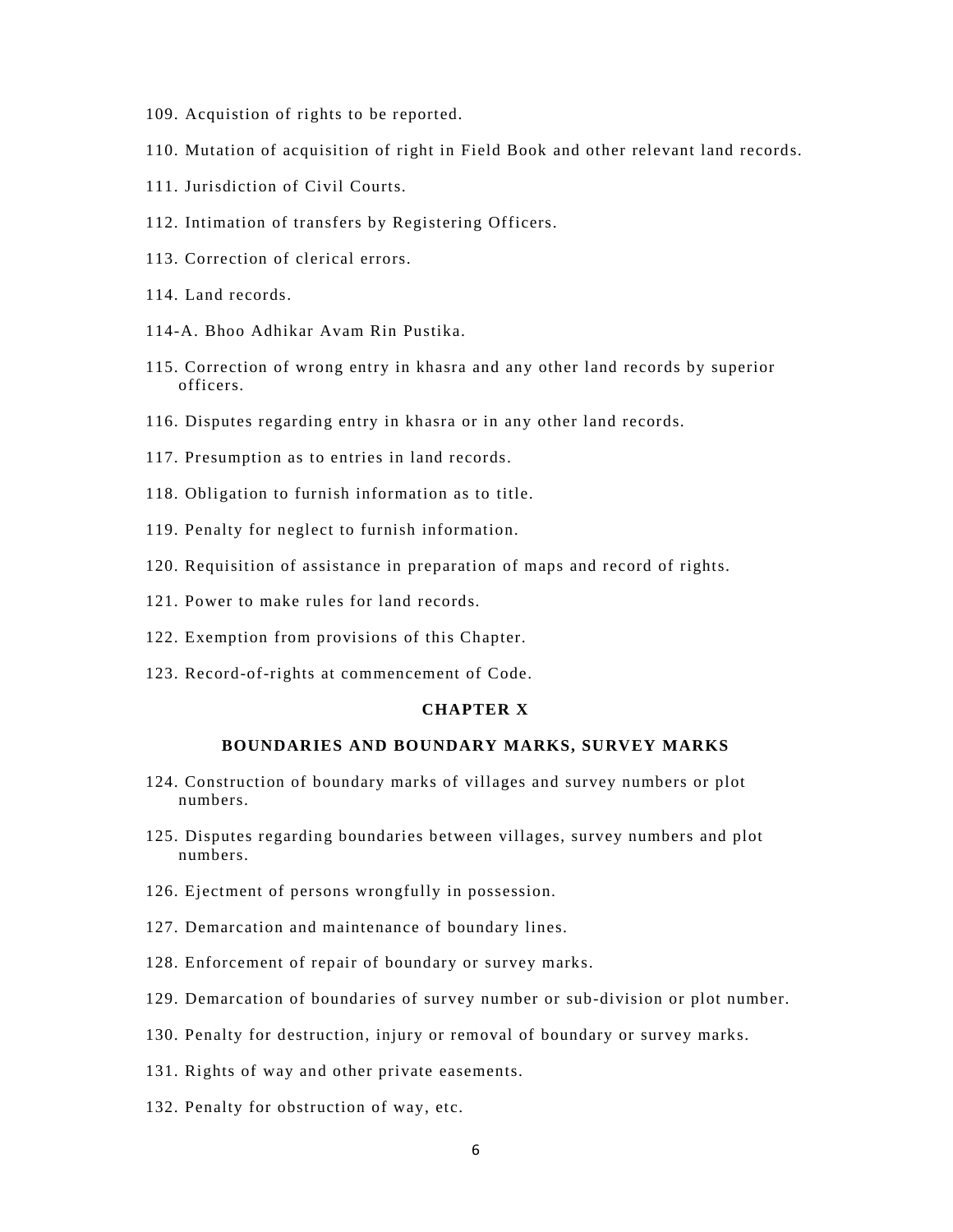- 109. Acquistion of rights to be reported.
- 110. Mutation of acquisition of right in Field Book and other relevant land records.
- 111. Jurisdiction of Civil Courts.
- 112. Intimation of transfers by Registering Officers.
- 113. Correction of clerical errors.
- 114. Land records.
- 114-A. Bhoo Adhikar Avam Rin Pustika.
- 115. Correction of wrong entry in khasra and any other land records by superior officers.
- 116. Disputes regarding entry in khasra or in any other land records.
- 117. Presumption as to entries in land records.
- 118. Obligation to furnish information as to title.
- 119. Penalty for neglect to furnish information.
- 120. Requisition of assistance in preparation of maps and record of rights.
- 121. Power to make rules for land records.
- 122. Exemption from provisions of this Chapter.
- 123. Record-of-rights at commencement of Code.

## **CHAPTER X**

## **BOUNDARIES AND BOUNDARY MARKS, SURVEY MARKS**

- 124. Construction of boundary marks of villages and survey numbers or plot numbers.
- 125. Disputes regarding boundaries between villages, survey numbers and plot numbers.
- 126. Ejectment of persons wrongfully in possession.
- 127. Demarcation and maintenance of boundary lines.
- 128. Enforcement of repair of boundary or survey marks.
- 129. Demarcation of boundaries of survey number or sub-division or plot number.
- 130. Penalty for destruction, injury or removal of boundary or survey marks.
- 131. Rights of way and other private easements.
- 132. Penalty for obstruction of way, etc.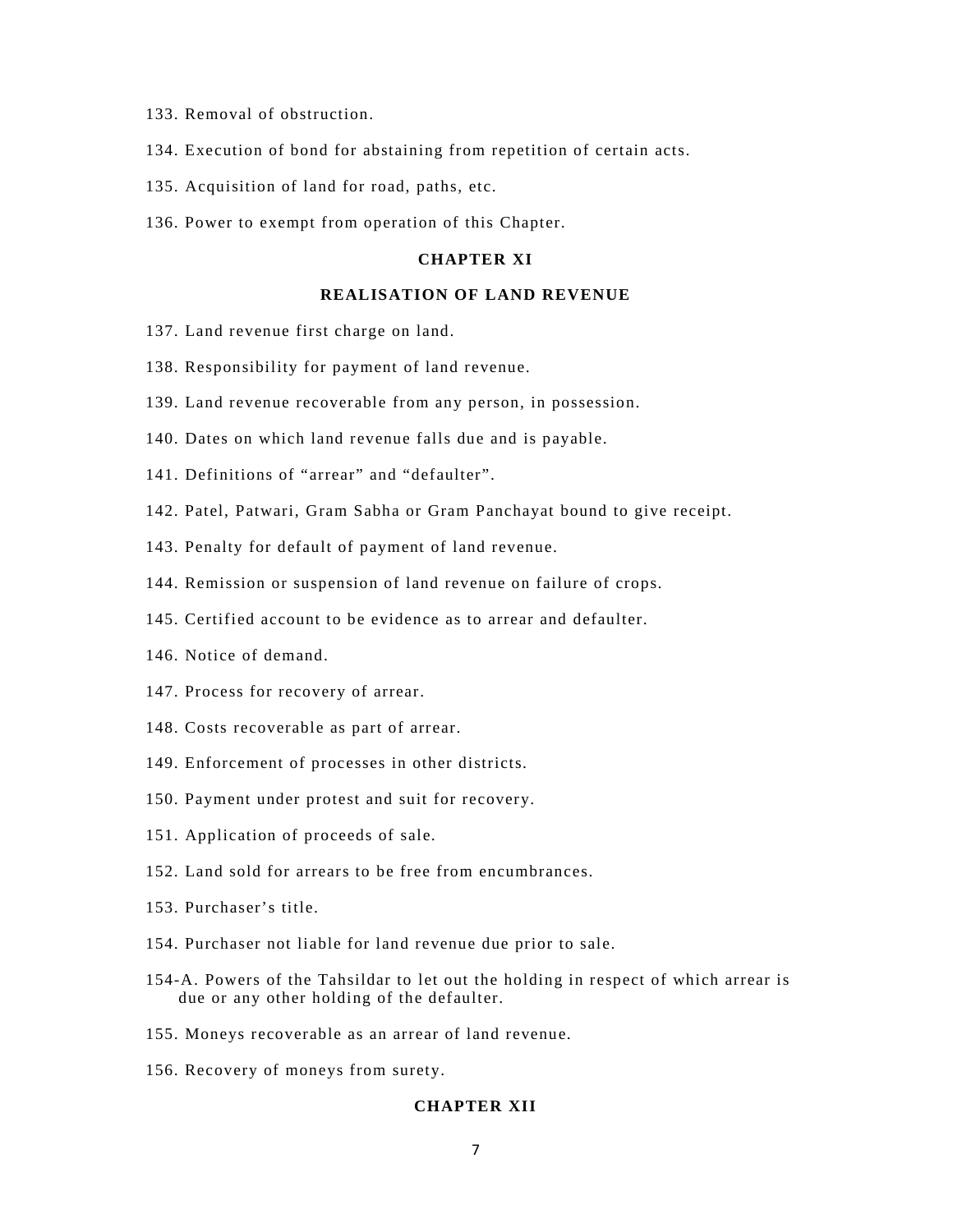- 133. Removal of obstruction.
- 134. Execution of bond for abstaining from repetition of certain acts.
- 135. Acquisition of land for road, paths, etc.
- 136. Power to exempt from operation of this Chapter.

## **CHAPTER XI**

## **REALISATION OF LAND REVENUE**

- 137. Land revenue first charge on land.
- 138. Responsibility for payment of land revenue.
- 139. Land revenue recoverable from any person, in possession.
- 140. Dates on which land revenue falls due and is payable.
- 141. Definitions of "arrear" and "defaulter".
- 142. Patel, Patwari, Gram Sabha or Gram Panchayat bound to give receipt.
- 143. Penalty for default of payment of land revenue.
- 144. Remission or suspension of land revenue on failure of crops.
- 145. Certified account to be evidence as to arrear and defaulter.
- 146. Notice of demand.
- 147. Process for recovery of arrear.
- 148. Costs recoverable as part of arrear.
- 149. Enforcement of processes in other districts.
- 150. Payment under protest and suit for recovery.
- 151. Application of proceeds of sale.
- 152. Land sold for arrears to be free from encumbrances.
- 153. Purchaser's title.
- 154. Purchaser not liable for land revenue due prior to sale.
- 154-A. Powers of the Tahsildar to let out the holding in respect of which arrear is due or any other holding of the defaulter.
- 155. Moneys recoverable as an arrear of land revenue.
- 156. Recovery of moneys from surety.

### **CHAPTER XII**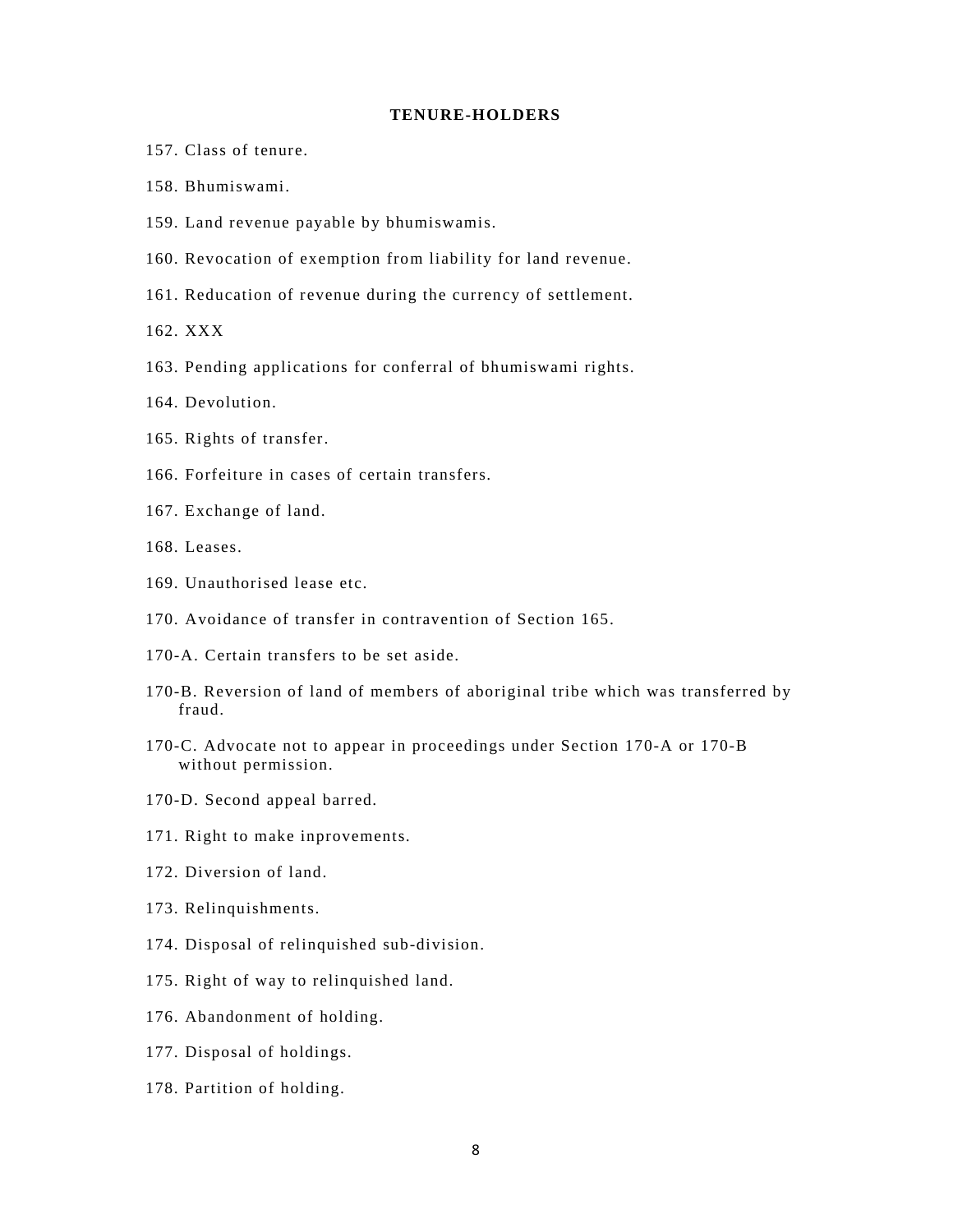## **TENURE-HOLDERS**

- 157. Class of tenure.
- 158. Bhumiswami.
- 159. Land revenue payable by bhumiswamis.
- 160. Revocation of exemption from liability for land revenue.
- 161. Reducation of revenue during the currency of settlement.
- 162. XXX
- 163. Pending applications for conferral of bhumiswami rights.
- 164. Devolution.
- 165. Rights of transfer.
- 166. Forfeiture in cases of certain transfers.
- 167. Exchange of land.
- 168. Leases.
- 169. Unauthorised lease etc.
- 170. Avoidance of transfer in contravention of Section 165.
- 170-A. Certain transfers to be set aside.
- 170-B. Reversion of land of members of aboriginal tribe which was transferred by fraud.
- 170-C. Advocate not to appear in proceedings under Section 170-A or 170-B without permission.
- 170-D. Second appeal barred.
- 171. Right to make inprovements.
- 172. Diversion of land.
- 173. Relinquishments.
- 174. Disposal of relinquished sub-division.
- 175. Right of way to relinquished land.
- 176. Abandonment of holding.
- 177. Disposal of holdings.
- 178. Partition of holding.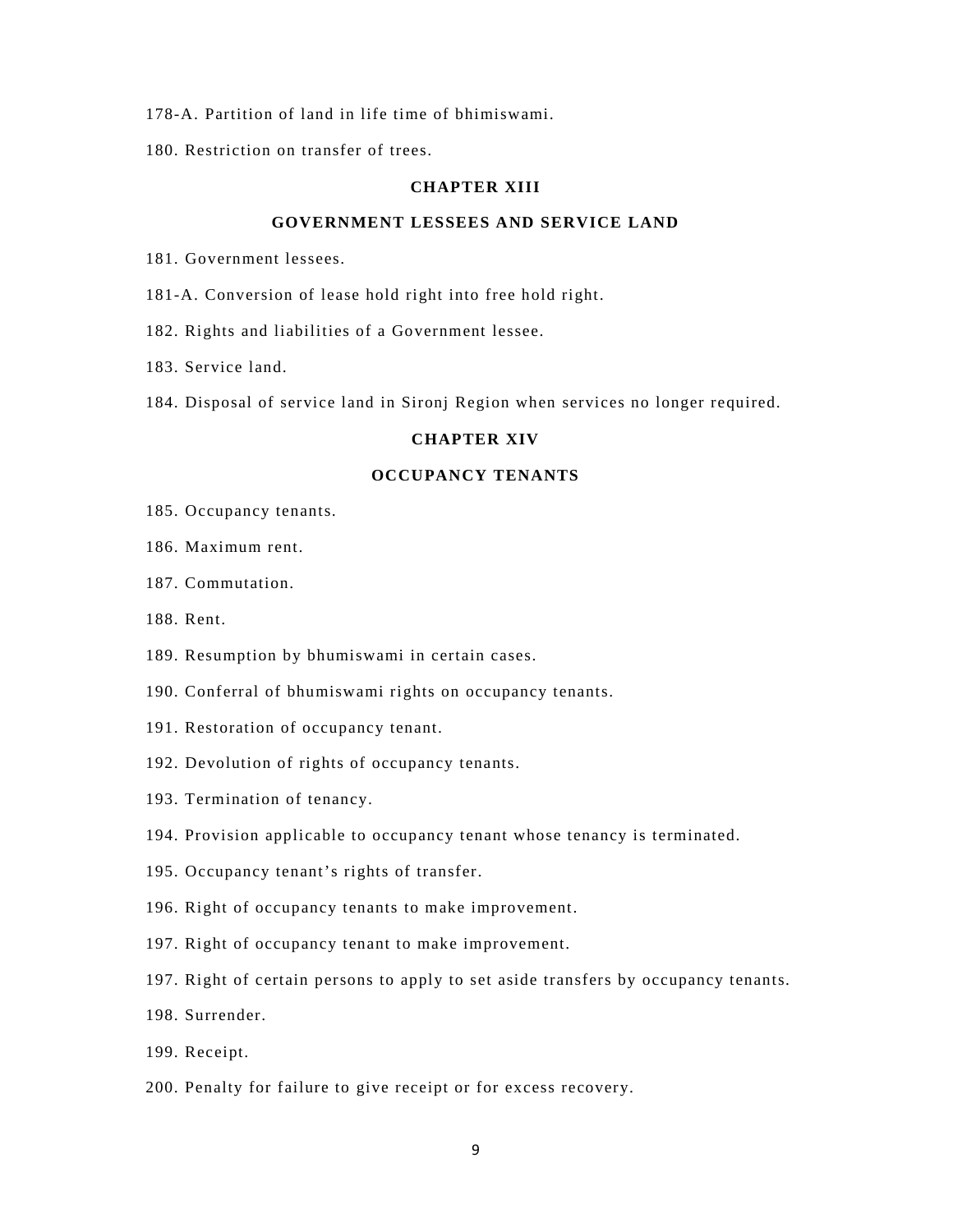- 178-A. Partition of land in life time of bhimiswami.
- 180. Restriction on transfer of trees.

## **CHAPTER XIII**

## **GOVERNMENT LESSEES AND SERVICE LAND**

- 181. Government lessees.
- 181-A. Conversion of lease hold right into free hold right.
- 182. Rights and liabilities of a Government lessee.
- 183. Service land.
- 184. Disposal of service land in Sironj Region when services no longer required.

# **CHAPTER XIV**

# **OCCUPANCY TENANTS**

- 185. Occupancy tenants.
- 186. Maximum rent.
- 187. Commutation.
- 188. Rent.
- 189. Resumption by bhumiswami in certain cases.
- 190. Conferral of bhumiswami rights on occupancy tenants.
- 191. Restoration of occupancy tenant.
- 192. Devolution of rights of occupancy tenants.
- 193. Termination of tenancy.
- 194. Provision applicable to occupancy tenant whose tenancy is terminated.
- 195. Occupancy tenant's rights of transfer.
- 196. Right of occupancy tenants to make improvement.
- 197. Right of occupancy tenant to make improvement.
- 197. Right of certain persons to apply to set aside transfers by occupancy tenants.
- 198. Surrender.
- 199. Receipt.
- 200. Penalty for failure to give receipt or for excess recovery.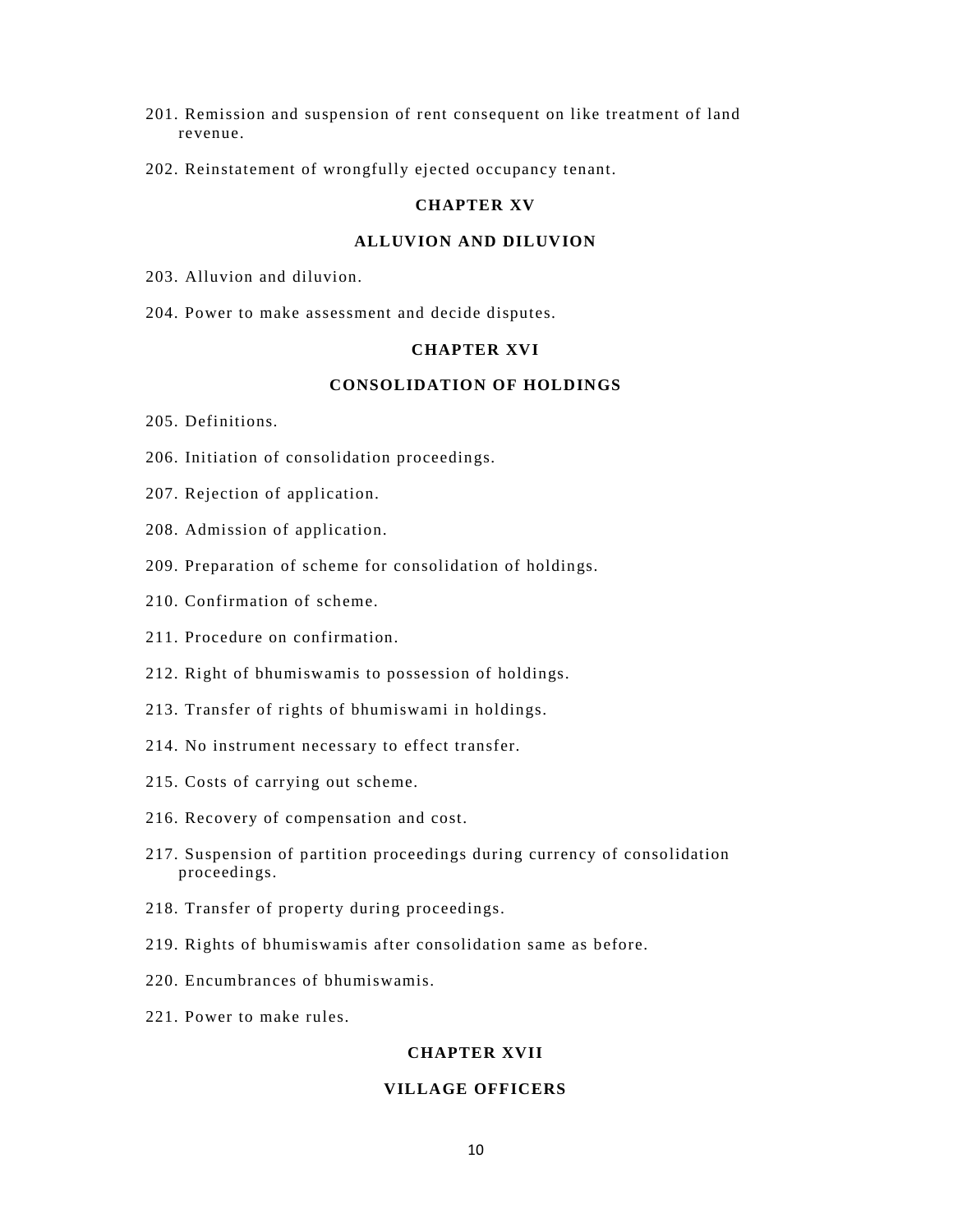- 201. Remission and suspension of rent consequent on like treatment of land revenue.
- 202. Reinstatement of wrongfully ejected occupancy tenant.

# **CHAPTER XV**

# **ALLUVION AND DILUVION**

- 203. Alluvion and diluvion.
- 204. Power to make assessment and decide disputes.

### **CHAPTER XVI**

# **CONSOLIDATION OF HOLDINGS**

- 205. Definitions.
- 206. Initiation of consolidation proceedings.
- 207. Rejection of application.
- 208. Admission of application.
- 209. Preparation of scheme for consolidation of holdings.
- 210. Confirmation of scheme.
- 211. Procedure on confirmation.
- 212. Right of bhumiswamis to possession of holdings.
- 213. Transfer of rights of bhumiswami in holdings.
- 214. No instrument necessary to effect transfer.
- 215. Costs of carrying out scheme.
- 216. Recovery of compensation and cost.
- 217. Suspension of partition proceedings during currency of consolidation proceedings.
- 218. Transfer of property during proceedings.
- 219. Rights of bhumiswamis after consolidation same as before.
- 220. Encumbrances of bhumiswamis.
- 221. Power to make rules.

# **CHAPTER XVII**

## **VILLAGE OFFICERS**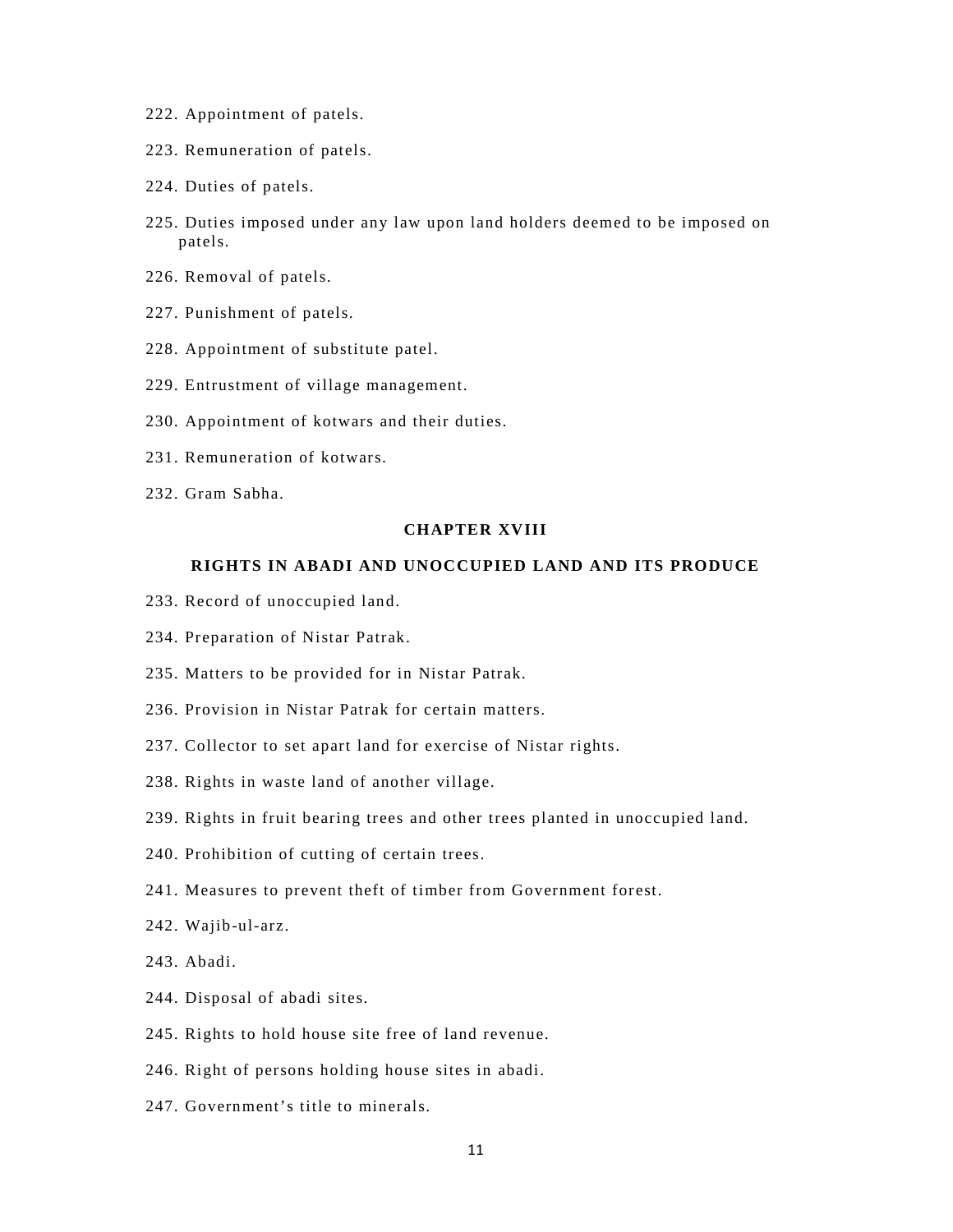- 222. Appointment of patels.
- 223. Remuneration of patels.
- 224. Duties of patels.
- 225. Duties imposed under any law upon land holders deemed to be imposed on patels.
- 226. Removal of patels.
- 227. Punishment of patels.
- 228. Appointment of substitute patel.
- 229. Entrustment of village management.
- 230. Appointment of kotwars and their duties.
- 231. Remuneration of kotwars.
- 232. Gram Sabha.

## **CHAPTER XVIII**

### **RIGHTS IN ABADI AND UNOCCUPIED LAND AND ITS PRODUCE**

- 233. Record of unoccupied land.
- 234. Preparation of Nistar Patrak.
- 235. Matters to be provided for in Nistar Patrak.
- 236. Provision in Nistar Patrak for certain matters.
- 237. Collector to set apart land for exercise of Nistar rights.
- 238. Rights in waste land of another village.
- 239. Rights in fruit bearing trees and other trees planted in unoccupied land.
- 240. Prohibition of cutting of certain trees.
- 241. Measures to prevent theft of timber from Government forest.
- 242. Wajib-ul-arz.
- 243. Abadi.
- 244. Disposal of abadi sites.
- 245. Rights to hold house site free of land revenue.
- 246. Right of persons holding house sites in abadi.
- 247. Government's title to minerals.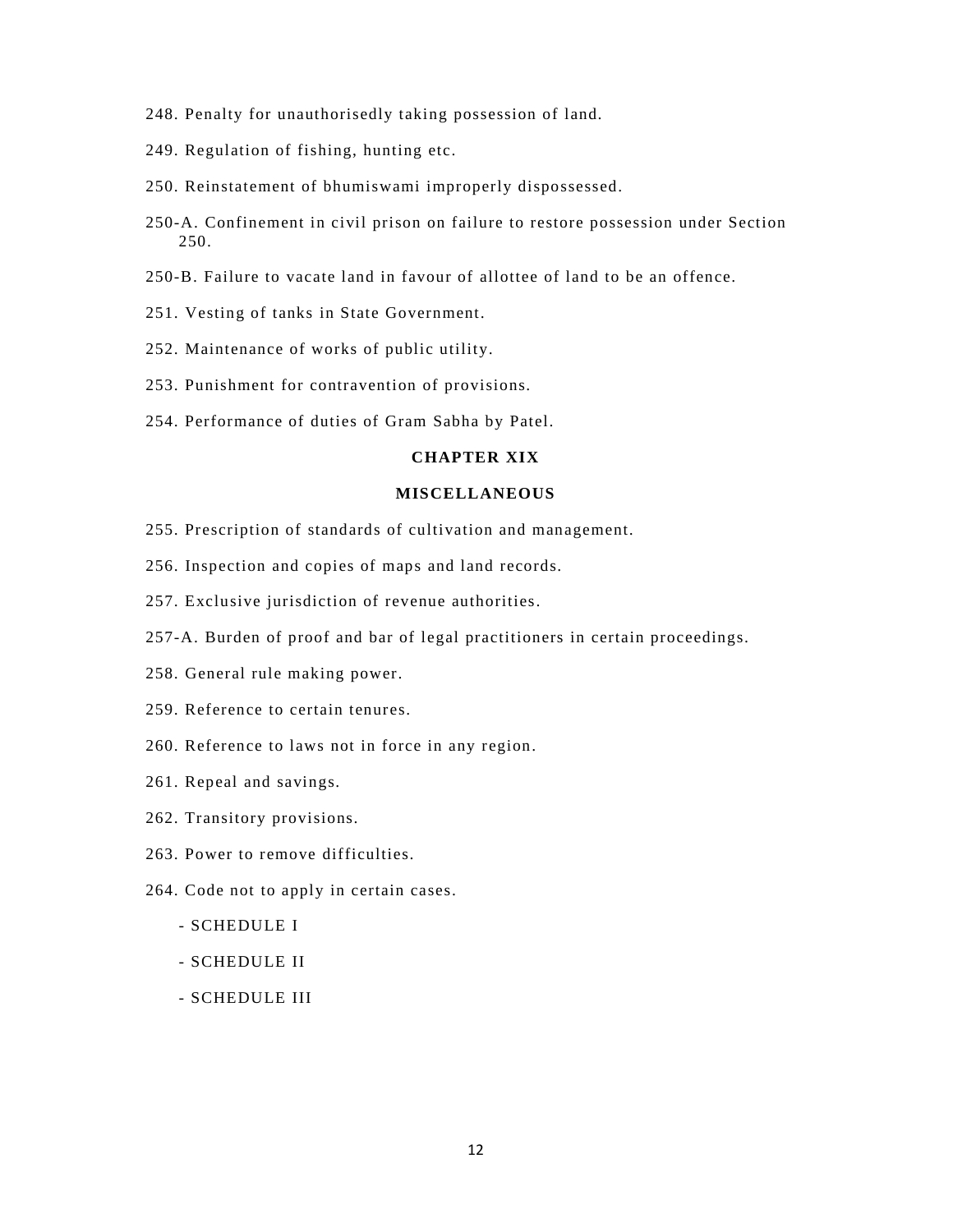- 248. Penalty for unauthorisedly taking possession of land.
- 249. Regulation of fishing, hunting etc.
- 250. Reinstatement of bhumiswami improperly dispossessed.
- 250-A. Confinement in civil prison on failure to restore possession under Section 250.
- 250-B. Failure to vacate land in favour of allottee of land to be an offence.
- 251. Vesting of tanks in State Government.
- 252. Maintenance of works of public utility.
- 253. Punishment for contravention of provisions.
- 254. Performance of duties of Gram Sabha by Patel.

# **CHAPTER XIX**

## **MISCELLANEOUS**

- 255. Prescription of standards of cultivation and management.
- 256. Inspection and copies of maps and land records.
- 257. Exclusive jurisdiction of revenue authorities.
- 257-A. Burden of proof and bar of legal practitioners in certain proceedings.
- 258. General rule making power.
- 259. Reference to certain tenures.
- 260. Reference to laws not in force in any region.
- 261. Repeal and savings.
- 262. Transitory provisions.
- 263. Power to remove difficulties.
- 264. Code not to apply in certain cases.
	- SCHEDULE I
	- SCHEDULE II
	- SCHEDULE III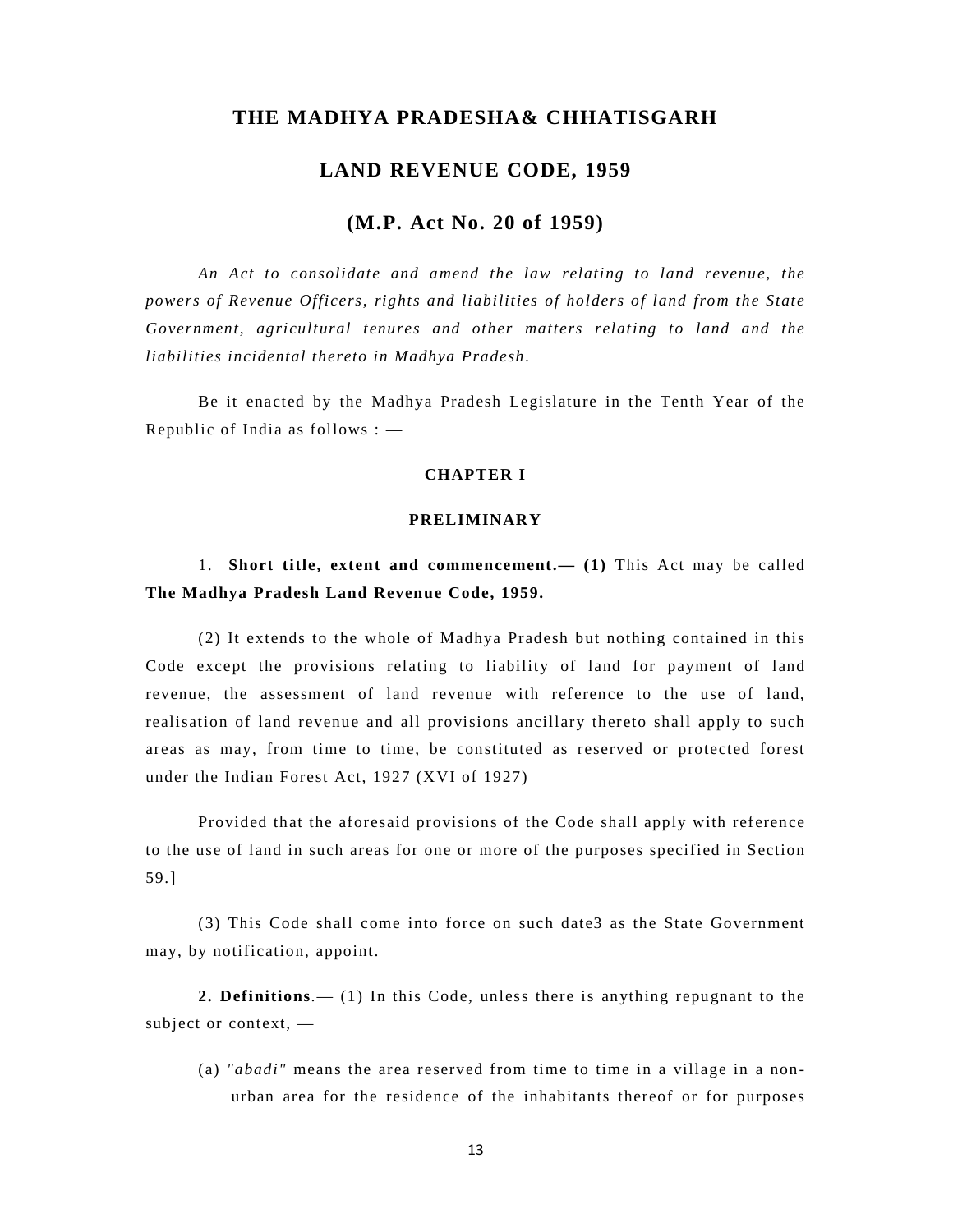# **THE MADHYA PRADESHA& CHHATISGARH**

# **LAND REVENUE CODE, 1959**

# **(M.P. Act No. 20 of 1959)**

*An Act to consolidate and amend the law relating to land revenue, the powers of Revenue Officers, rights and liabilities of holders of land from the State Government, agricultural tenures and other matters relating to land and the liabilities incidental thereto in Madhya Pradesh.* 

Be it enacted by the Madhya Pradesh Legislature in the Tenth Year of the Republic of India as follows : —

# **CHAPTER I**

## **PRELIMINARY**

1. **Short title, extent and commencement.— (1)** This Act may be called **The Madhya Pradesh Land Revenue Code, 1959.** 

(2) It extends to the whole of Madhya Pradesh but nothing contained in this Code except the provisions relating to liability of land for payment of land revenue, the assessment of land revenue with reference to the use of land, realisation of land revenue and all provisions ancillary thereto shall apply to such areas as may, from time to time, be constituted as reserved or protected forest under the Indian Forest Act, 1927 (XVI of 1927)

Provided that the aforesaid provisions of the Code shall apply with reference to the use of land in such areas for one or more of the purposes specified in Section 59.]

(3) This Code shall come into force on such date3 as the State Government may, by notification, appoint.

**2. Definitions**.— (1) In this Code, unless there is anything repugnant to the subject or context, —

(a) *"abadi"* means the area reserved from time to time in a village in a nonurban area for the residence of the inhabitants thereof or for purposes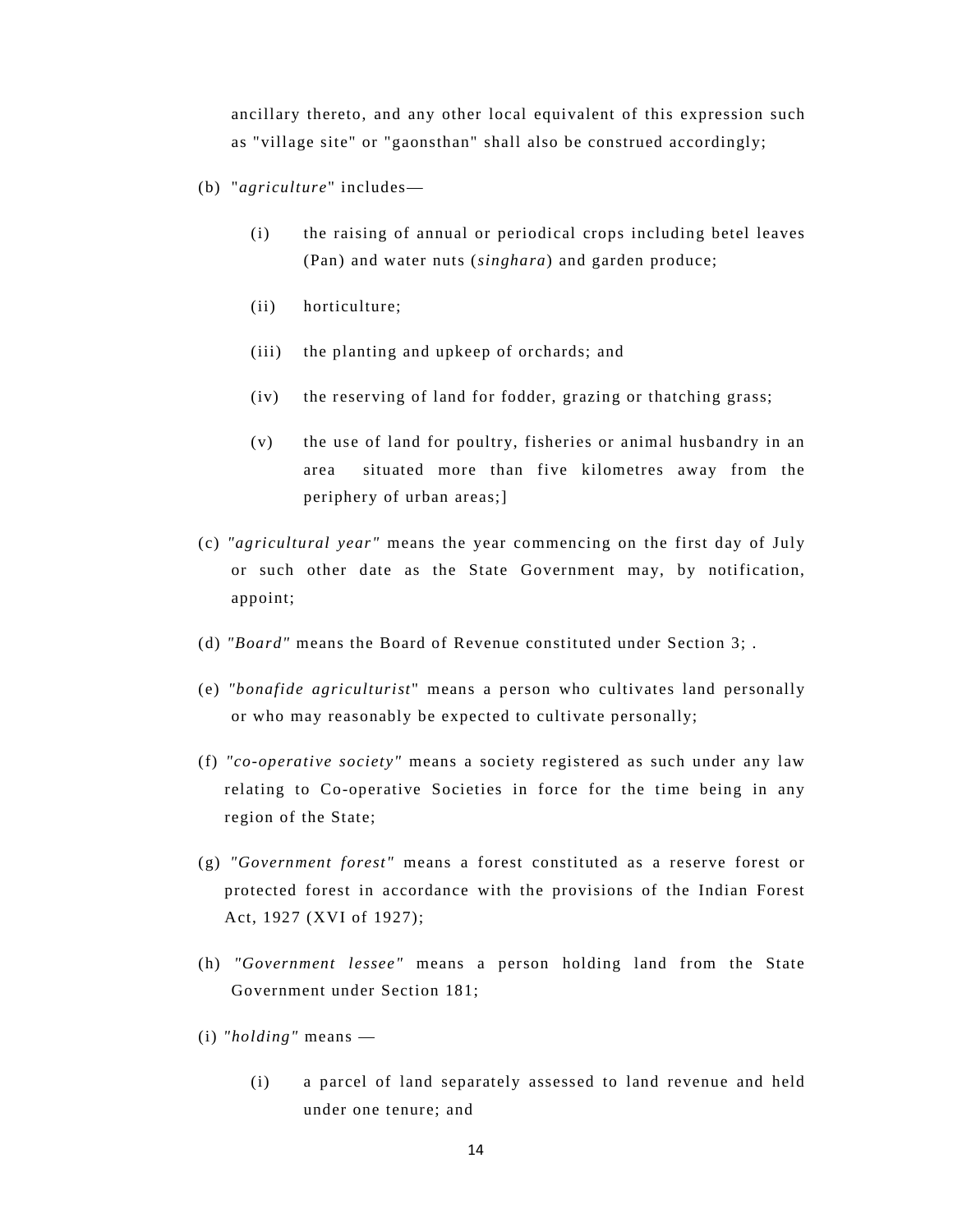ancillary thereto, and any other local equivalent of this expression such as "village site" or "gaonsthan" shall also be construed accordingly;

- (b) "*agriculture*" includes—
	- (i) the raising of annual or periodical crops including betel leaves (Pan) and water nuts (*singhara*) and garden produce;
	- (ii) horticulture;
	- (iii) the planting and upkeep of orchards; and
	- (iv) the reserving of land for fodder, grazing or thatching grass;
	- (v) the use of land for poultry, fisheries or animal husbandry in an area situated more than five kilometres away from the periphery of urban areas;]
- (c) *"agricultural year"* means the year commencing on the first day of July or such other date as the State Government may, by notification, appoint;
- (d) *"Board"* means the Board of Revenue constituted under Section 3; .
- (e) *"bonafide agriculturist* " means a person who cultivates land personally or who may reasonably be expected to cultivate personally;
- (f) *"co-operative society"* means a society registered as such under any law relating to Co-operative Societies in force for the time being in any region of the State;
- (g) *"Government forest"* means a forest constituted as a reserve forest or protected forest in accordance with the provisions of the Indian Forest Act, 1927 (XVI of 1927);
- (h) *"Government lessee"* means a person holding land from the State Government under Section 181;
- (i) *"holding"* means
	- (i) a parcel of land separately assessed to land revenue and held under one tenure; and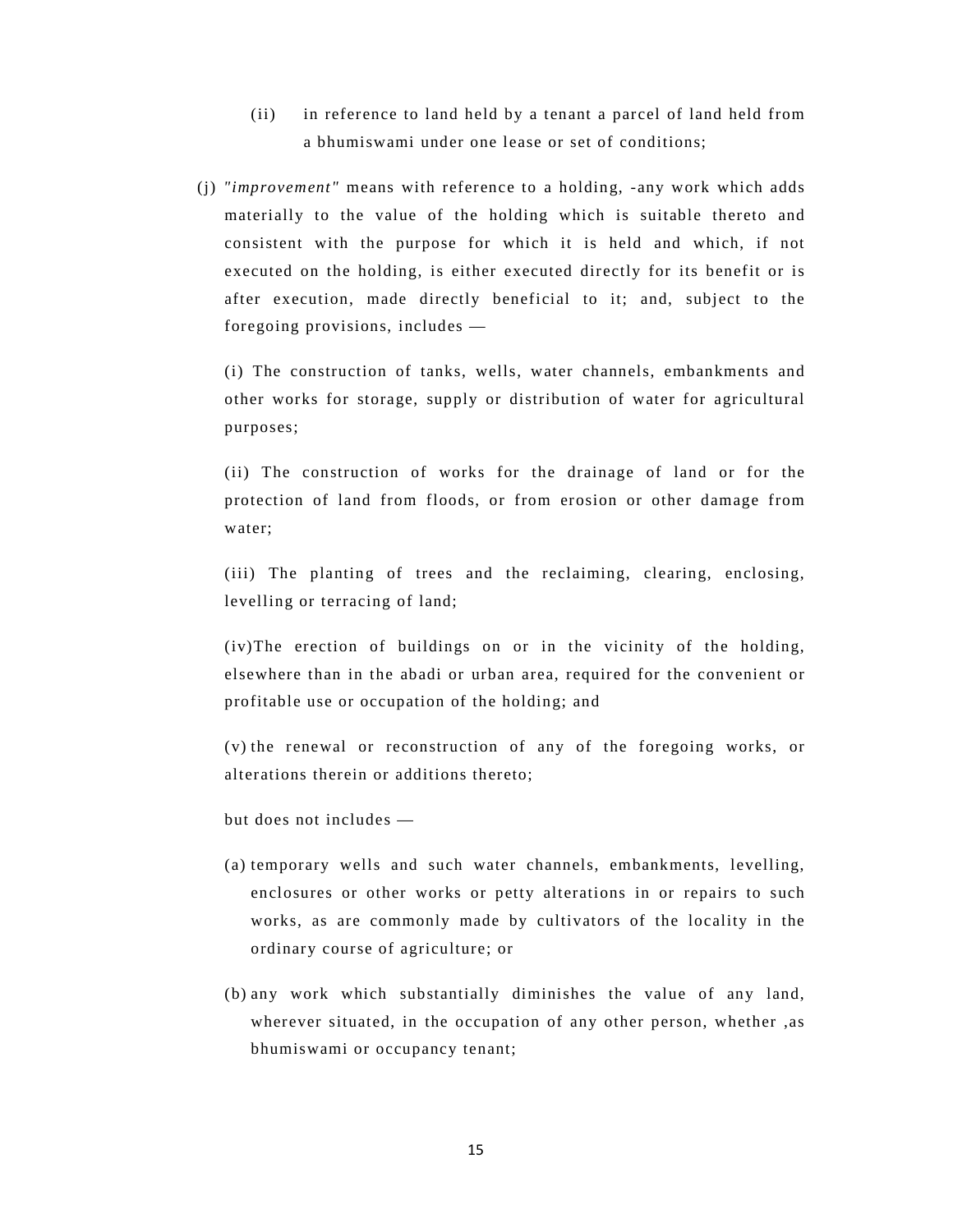- (ii) in reference to land held by a tenant a parcel of land held from a bhumiswami under one lease or set of conditions;
- (j) *"improvement"* means with reference to a holding, -any work which adds materially to the value of the holding which is suitable thereto and consistent with the purpose for which it is held and which, if not executed on the holding, is either executed directly for its benefit or is after execution, made directly beneficial to it; and, subject to the foregoing provisions, includes —

(i) The construction of tanks, wells, water channels, embankments and other works for storage, supply or distribution of water for agricultural purposes;

(ii) The construction of works for the drainage of land or for the protection of land from floods, or from erosion or other damage from water;

(iii) The planting of trees and the reclaiming, clearing, enclosing, levelling or terracing of land;

(iv)The erection of buildings on or in the vicinity of the holding, elsewhere than in the abadi or urban area, required for the convenient or profitable use or occupation of the holding; and

(v) the renewal or reconstruction of any of the foregoing works, or alterations therein or additions thereto;

but does not includes —

- (a) temporary wells and such water channels, embankments, levelling, enclosures or other works or petty alterations in or repairs to such works, as are commonly made by cultivators of the locality in the ordinary course of agriculture; or
- (b) any work which substantially diminishes the value of any land, wherever situated, in the occupation of any other person, whether ,as bhumiswami or occupancy tenant;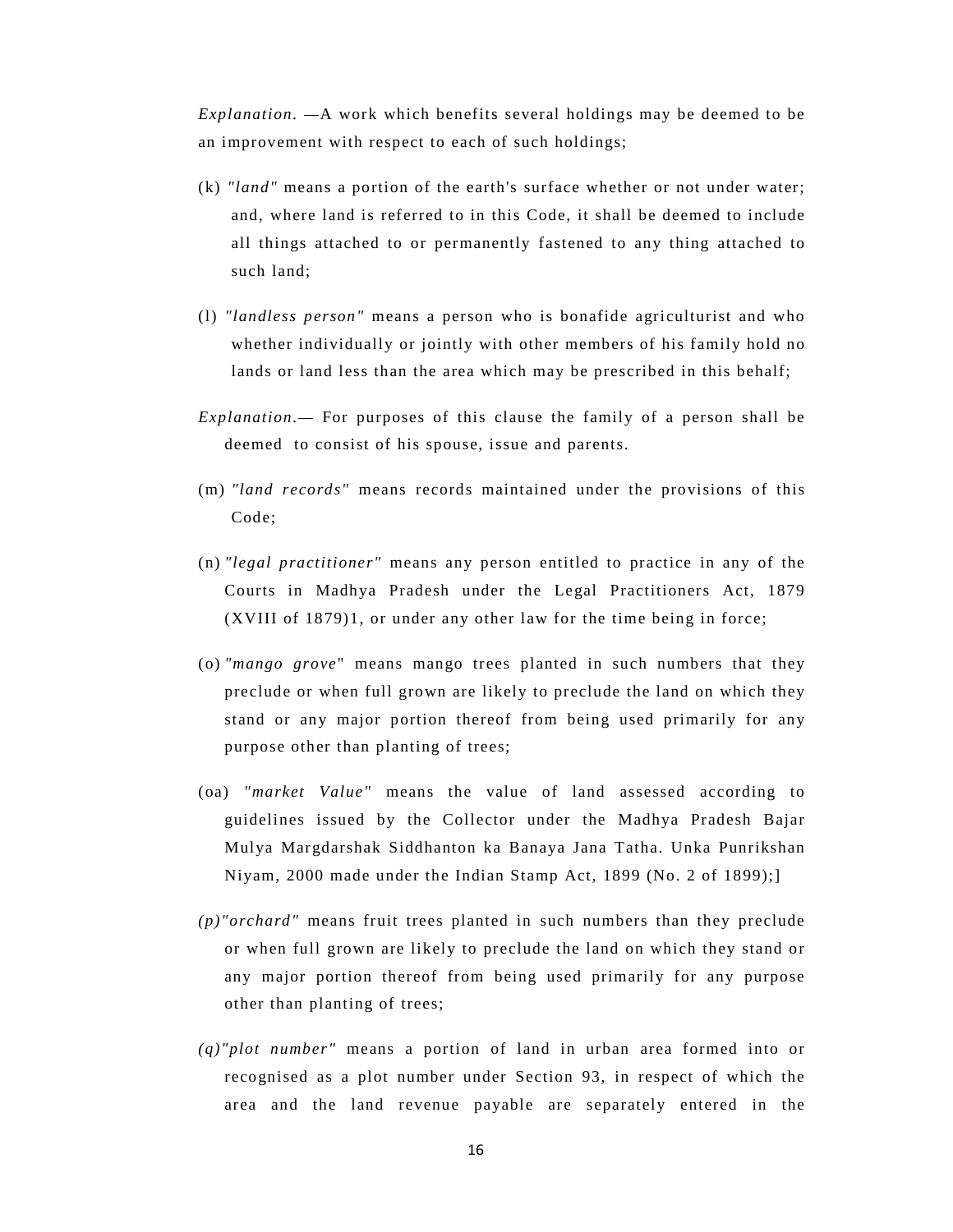*Explanation. —*A work which benefits several holdings may be deemed to be an improvement with respect to each of such holdings;

- (k) *"land"* means a portion of the earth's surface whether or not under water; and, where land is referred to in this Code, it shall be deemed to include all things attached to or permanently fastened to any thing attached to such land;
- (l) *"landless person"* means a person who is bonafide agriculturist and who whether individually or jointly with other members of his family hold no lands or land less than the area which may be prescribed in this behalf;
- *Explanation.—* For purposes of this clause the family of a person shall be deemed to consist of his spouse, issue and parents.
- (m) *"land records"* means records maintained under the provisions of this Code;
- (n) *"legal practitioner"* means any person entitled to practice in any of the Courts in Madhya Pradesh under the Legal Practitioners Act, 1879 (XVIII of 1879)1, or under any other law for the time being in force;
- (o) *"mango grove*" means mango trees planted in such numbers that they preclude or when full grown are likely to preclude the land on which they stand or any major portion thereof from being used primarily for any purpose other than planting of trees;
- (oa) *"market Value"* means the value of land assessed according to guidelines issued by the Collector under the Madhya Pradesh Bajar Mulya Margdarshak Siddhanton ka Banaya Jana Tatha. Unka Punrikshan Niyam, 2000 made under the Indian Stamp Act, 1899 (No. 2 of 1899);]
- *(p)"orchard"* means fruit trees planted in such numbers than they preclude or when full grown are likely to preclude the land on which they stand or any major portion thereof from being used primarily for any purpose other than planting of trees;
- *(q)"plot number"* means a portion of land in urban area formed into or recognised as a plot number under Section 93, in respect of which the area and the land revenue payable are separately entered in the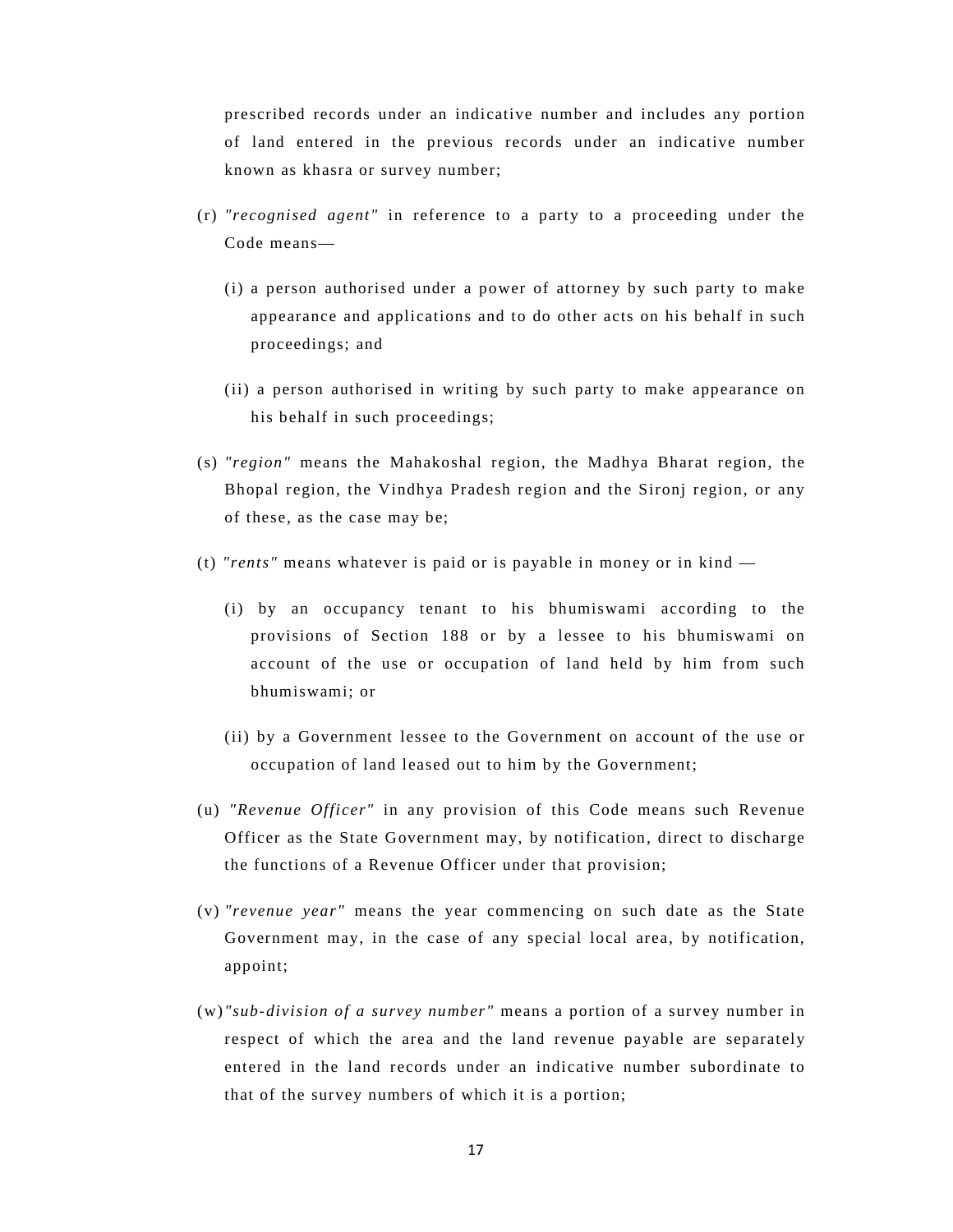prescribed records under an indicative number and includes any portion of land entered in the previous records under an indicative number known as khasra or survey number;

- (r) *"recognised agent"* in reference to a party to a proceeding under the Code means—
	- (i) a person authorised under a power of attorney by such party to make appearance and applications and to do other acts on his behalf in such proceedings; and
	- (ii) a person authorised in writing by such party to make appearance on his behalf in such proceedings;
- (s) *"region"* means the Mahakoshal region, the Madhya Bharat region, the Bhopal region, the Vindhya Pradesh region and the Sironj region, or any of these, as the case may be;
- (t) *"rents"* means whatever is paid or is payable in money or in kind
	- (i) by an occupancy tenant to his bhumiswami according to the provisions of Section 188 or by a lessee to his bhumiswami on account of the use or occupation of land held by him from such bhumiswami; or
	- (ii) by a Government lessee to the Government on account of the use or occupation of land leased out to him by the Government;
- (u) *"Revenue Officer"* in any provision of this Code means such Revenue Officer as the State Government may, by notification, direct to discharge the functions of a Revenue Officer under that provision;
- (v) *"revenue year"* means the year commencing on such date as the State Government may, in the case of any special local area, by notification, appoint;
- (w) *"sub-division of a survey number"* means a portion of a survey number in respect of which the area and the land revenue payable are separately entered in the land records under an indicative number subordinate to that of the survey numbers of which it is a portion;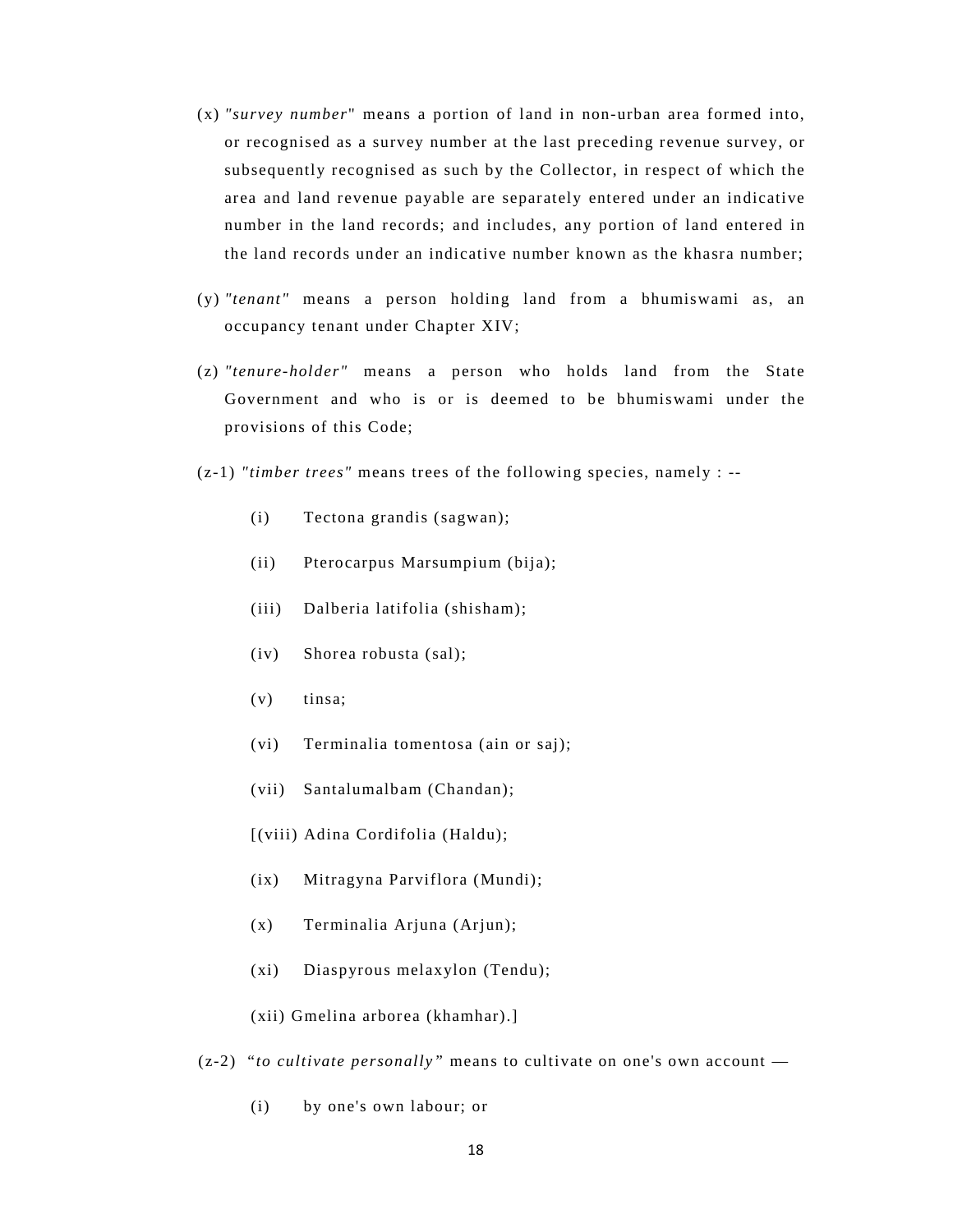- (x) *"survey number*" means a portion of land in non-urban area formed into, or recognised as a survey number at the last preceding revenue survey, or subsequently recognised as such by the Collector, in respect of which the area and land revenue payable are separately entered under an indicative number in the land records; and includes, any portion of land entered in the land records under an indicative number known as the khasra number;
- (y) *"tenant"* means a person holding land from a bhumiswami as, an occupancy tenant under Chapter XIV;
- (z) *"tenure-holder"* means a person who holds land from the State Government and who is or is deemed to be bhumiswami under the provisions of this Code;
- (z-1) *"timber trees"* means trees of the following species, namely : --
	- (i) Tectona grandis (sagwan);
	- (ii) Pterocarpus Marsumpium (bija);
	- (iii) Dalberia latifolia (shisham);
	- (iv) Shorea robusta (sal);
	- (v) tinsa;
	- (vi) Terminalia tomentosa (ain or saj);
	- (vii) Santalumalbam (Chandan);
	- [(viii) Adina Cordifolia (Haldu);
	- (ix) Mitragyna Parviflora (Mundi);
	- (x) Terminalia Arjuna (Arjun);
	- (xi) Diaspyrous melaxylon (Tendu);
	- (xii) Gmelina arborea (khamhar).]
- (z-2) "*to cultivate personally"* means to cultivate on one's own account
	- (i) by one's own labour; or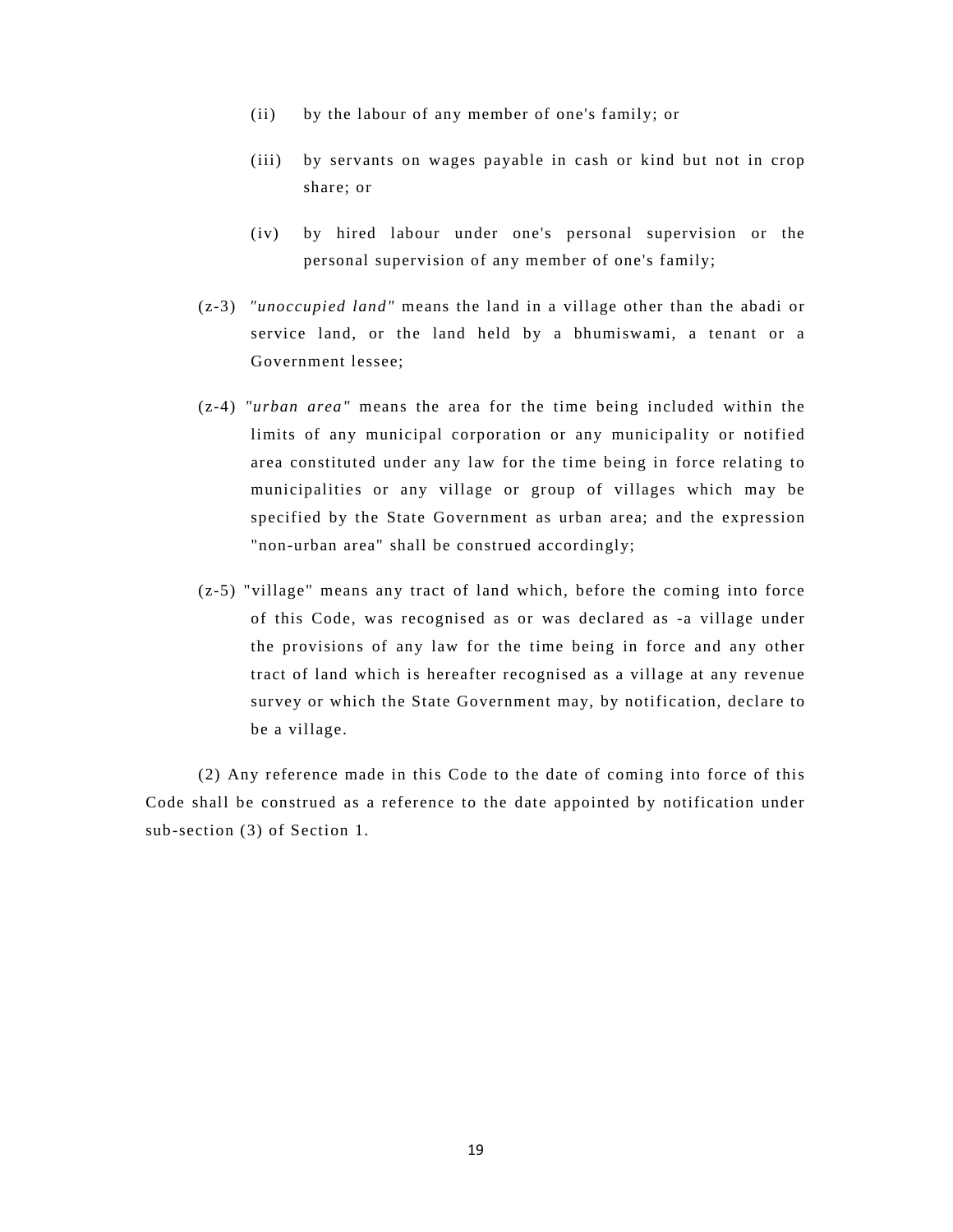- (ii) by the labour of any member of one's family; or
- (iii) by servants on wages payable in cash or kind but not in crop share; or
- (iv) by hired labour under one's personal supervision or the personal supervision of any member of one's family;
- (z-3) *"unoccupied land"* means the land in a village other than the abadi or service land, or the land held by a bhumiswami, a tenant or a Government lessee;
- (z-4) *"urban area"* means the area for the time being included within the limits of any municipal corporation or any municipality or notified area constituted under any law for the time being in force relating to municipalities or any village or group of villages which may be specified by the State Government as urban area; and the expression "non-urban area" shall be construed accordingly;
- (z-5) "village" means any tract of land which, before the coming into force of this Code, was recognised as or was declared as -a village under the provisions of any law for the time being in force and any other tract of land which is hereafter recognised as a village at any revenue survey or which the State Government may, by notification, declare to be a village.

(2) Any reference made in this Code to the date of coming into force of this Code shall be construed as a reference to the date appointed by notification under sub-section (3) of Section 1.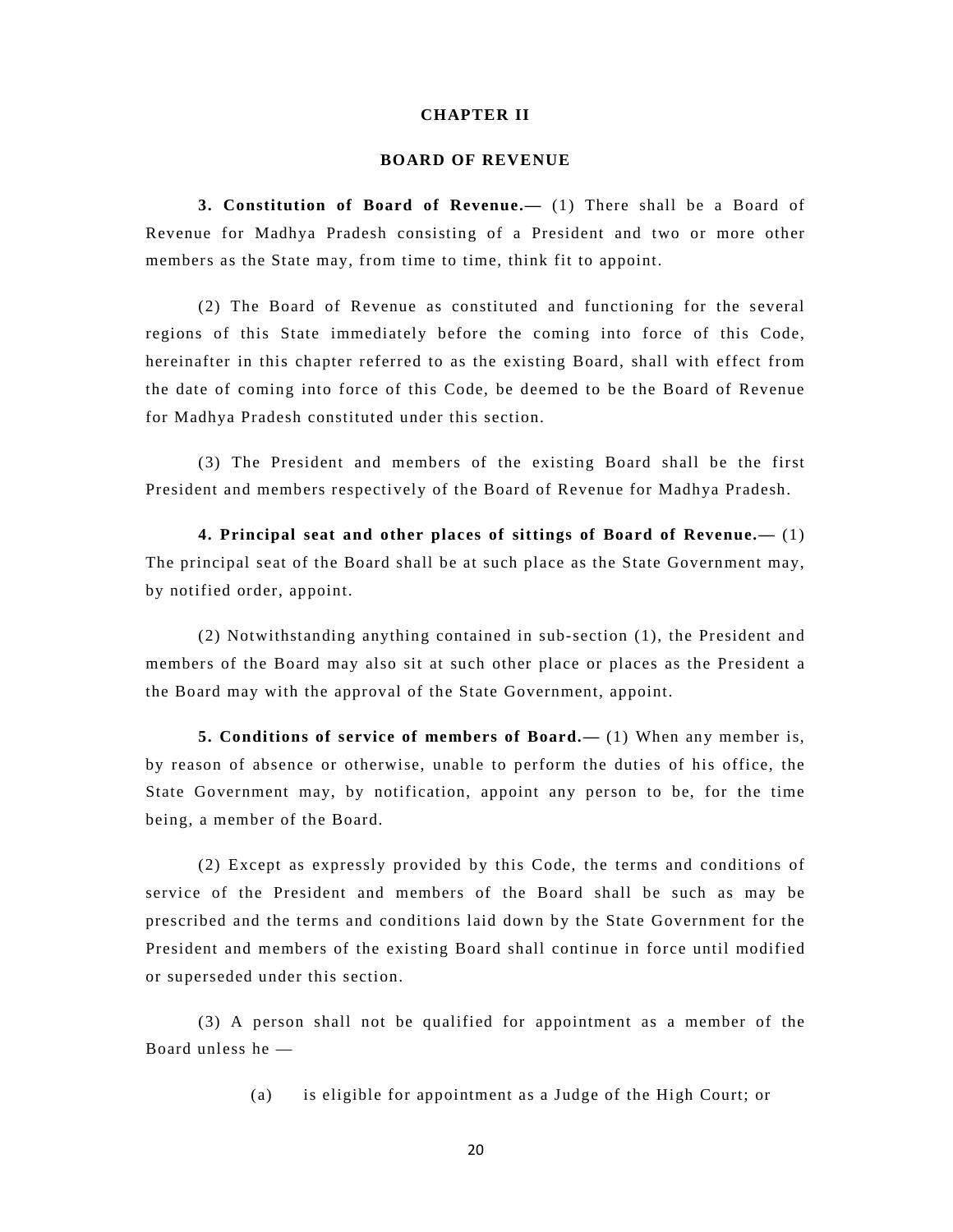### **CHAPTER II**

### **BOARD OF REVENUE**

**3. Constitution of Board of Revenue.—** (1) There shall be a Board of Revenue for Madhya Pradesh consisting of a President and two or more other members as the State may, from time to time, think fit to appoint.

(2) The Board of Revenue as constituted and functioning for the several regions of this State immediately before the coming into force of this Code, hereinafter in this chapter referred to as the existing Board, shall with effect from the date of coming into force of this Code, be deemed to be the Board of Revenue for Madhya Pradesh constituted under this section.

(3) The President and members of the existing Board shall be the first President and members respectively of the Board of Revenue for Madhya Pradesh.

**4. Principal seat and other places of sittings of Board of Revenue.—** (1) The principal seat of the Board shall be at such place as the State Government may, by notified order, appoint.

(2) Notwithstanding anything contained in sub-section (1), the President and members of the Board may also sit at such other place or places as the President a the Board may with the approval of the State Government, appoint.

**5. Conditions of service of members of Board.—** (1) When any member is, by reason of absence or otherwise, unable to perform the duties of his office, the State Government may, by notification, appoint any person to be, for the time being, a member of the Board.

(2) Except as expressly provided by this Code, the terms and conditions of service of the President and members of the Board shall be such as may be prescribed and the terms and conditions laid down by the State Government for the President and members of the existing Board shall continue in force until modified or superseded under this section.

(3) A person shall not be qualified for appointment as a member of the Board unless he —

(a) is eligible for appointment as a Judge of the High Court; or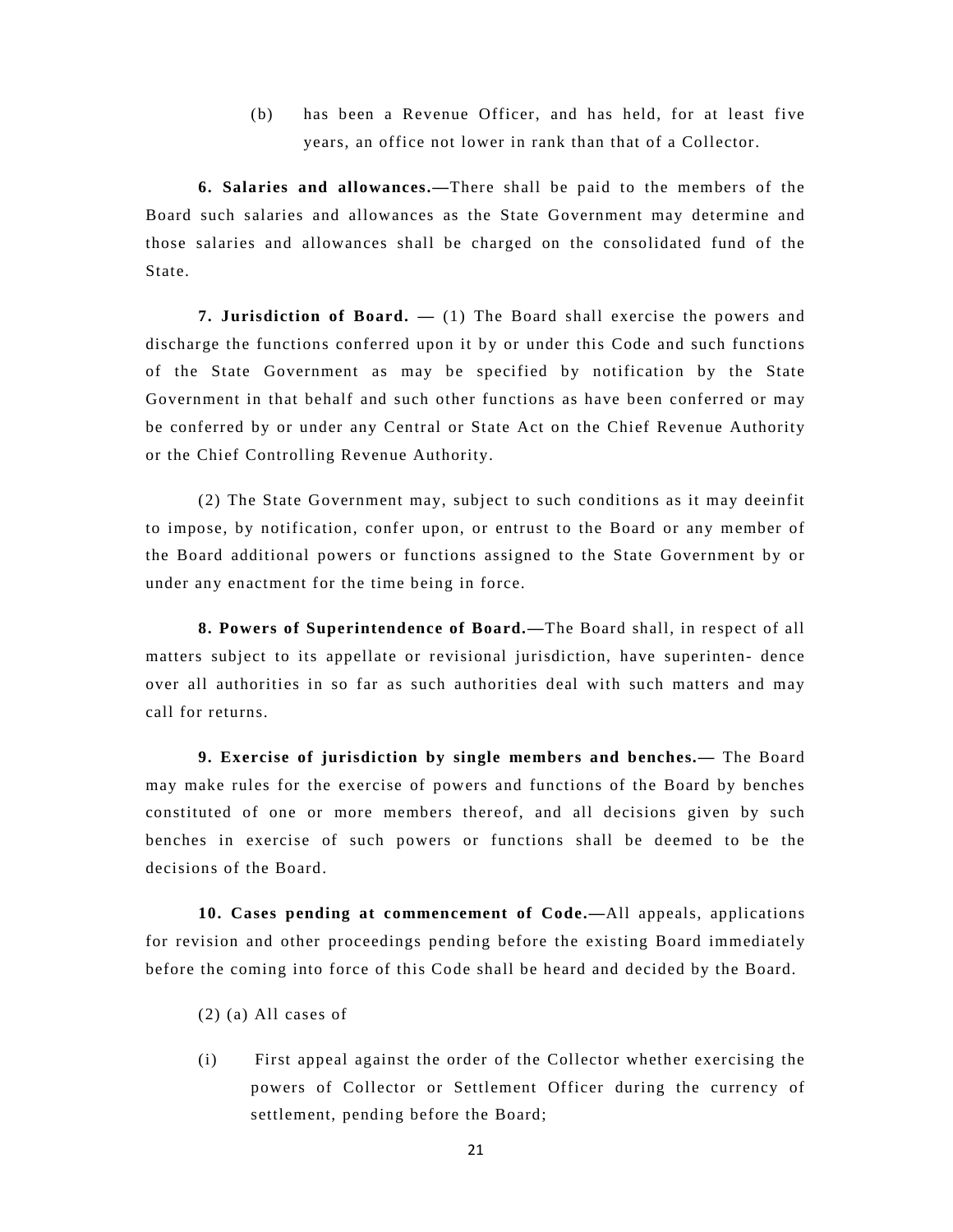(b) has been a Revenue Officer, and has held, for at least five years, an office not lower in rank than that of a Collector.

**6. Salaries and allowances.—**There shall be paid to the members of the Board such salaries and allowances as the State Government may determine and those salaries and allowances shall be charged on the consolidated fund of the State.

**7. Jurisdiction of Board. —** (1) The Board shall exercise the powers and discharge the functions conferred upon it by or under this Code and such functions of the State Government as may be specified by notification by the State Government in that behalf and such other functions as have been conferred or may be conferred by or under any Central or State Act on the Chief Revenue Authority or the Chief Controlling Revenue Authority.

(2) The State Government may, subject to such conditions as it may deeinfit to impose, by notification, confer upon, or entrust to the Board or any member of the Board additional powers or functions assigned to the State Government by or under any enactment for the time being in force.

**8. Powers of Superintendence of Board.—**The Board shall, in respect of all matters subject to its appellate or revisional jurisdiction, have superinten- dence over all authorities in so far as such authorities deal with such matters and may call for returns.

**9. Exercise of jurisdiction by single members and benches.—** The Board may make rules for the exercise of powers and functions of the Board by benches constituted of one or more members thereof, and all decisions given by such benches in exercise of such powers or functions shall be deemed to be the decisions of the Board.

**10. Cases pending at commencement of Code.—**All appeals, applications for revision and other proceedings pending before the existing Board immediately before the coming into force of this Code shall be heard and decided by the Board.

- (2) (a) All cases of
- (i) First appeal against the order of the Collector whether exercising the powers of Collector or Settlement Officer during the currency of settlement, pending before the Board;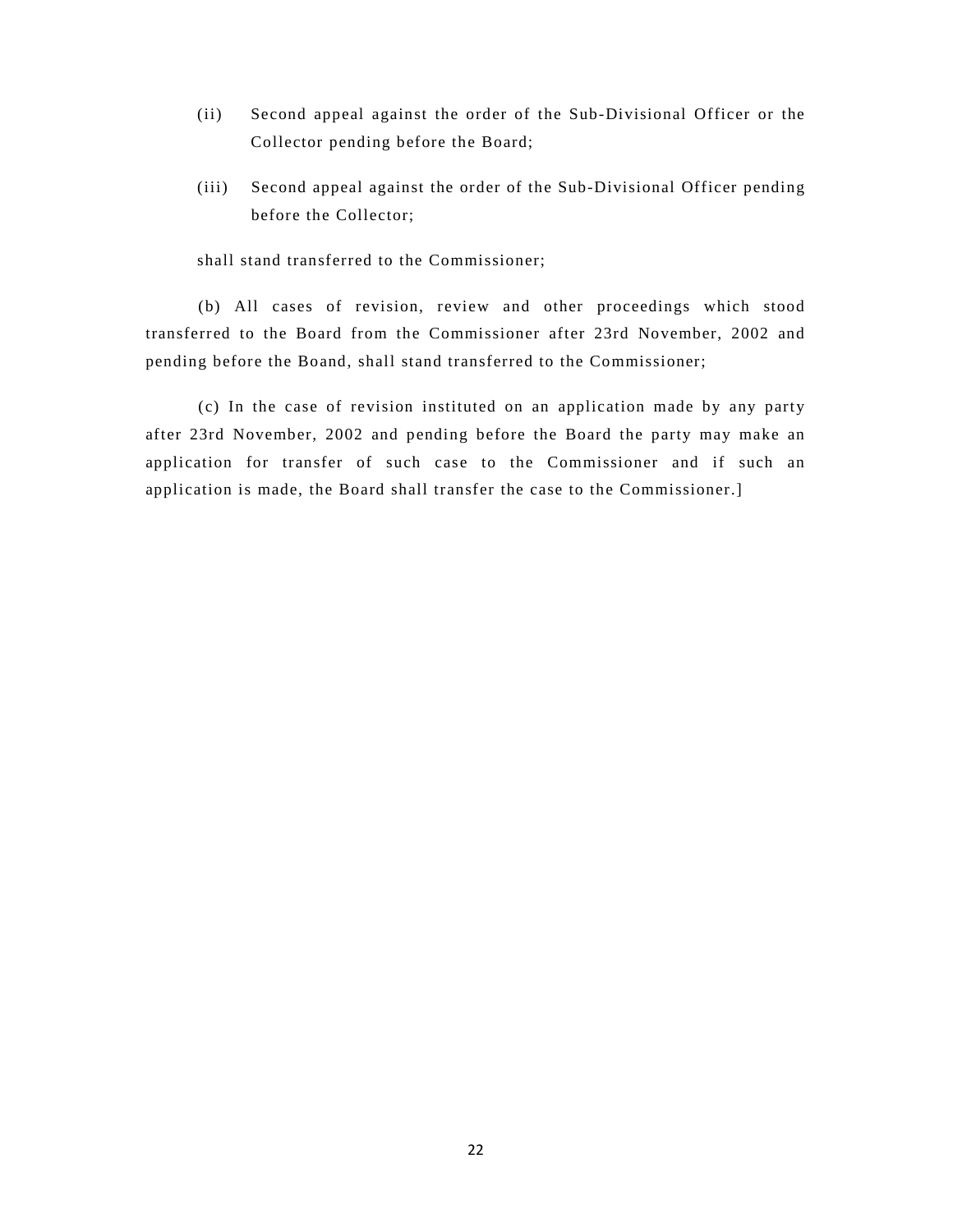- (ii) Second appeal against the order of the Sub-Divisional Officer or the Collector pending before the Board;
- (iii) Second appeal against the order of the Sub-Divisional Officer pending before the Collector;

shall stand transferred to the Commissioner;

(b) All cases of revision, review and other proceedings which stood transferred to the Board from the Commissioner after 23rd November, 2002 and pending before the Boand, shall stand transferred to the Commissioner;

(c) In the case of revision instituted on an application made by any party after 23rd November, 2002 and pending before the Board the party may make an application for transfer of such case to the Commissioner and if such an application is made, the Board shall transfer the case to the Commissioner.]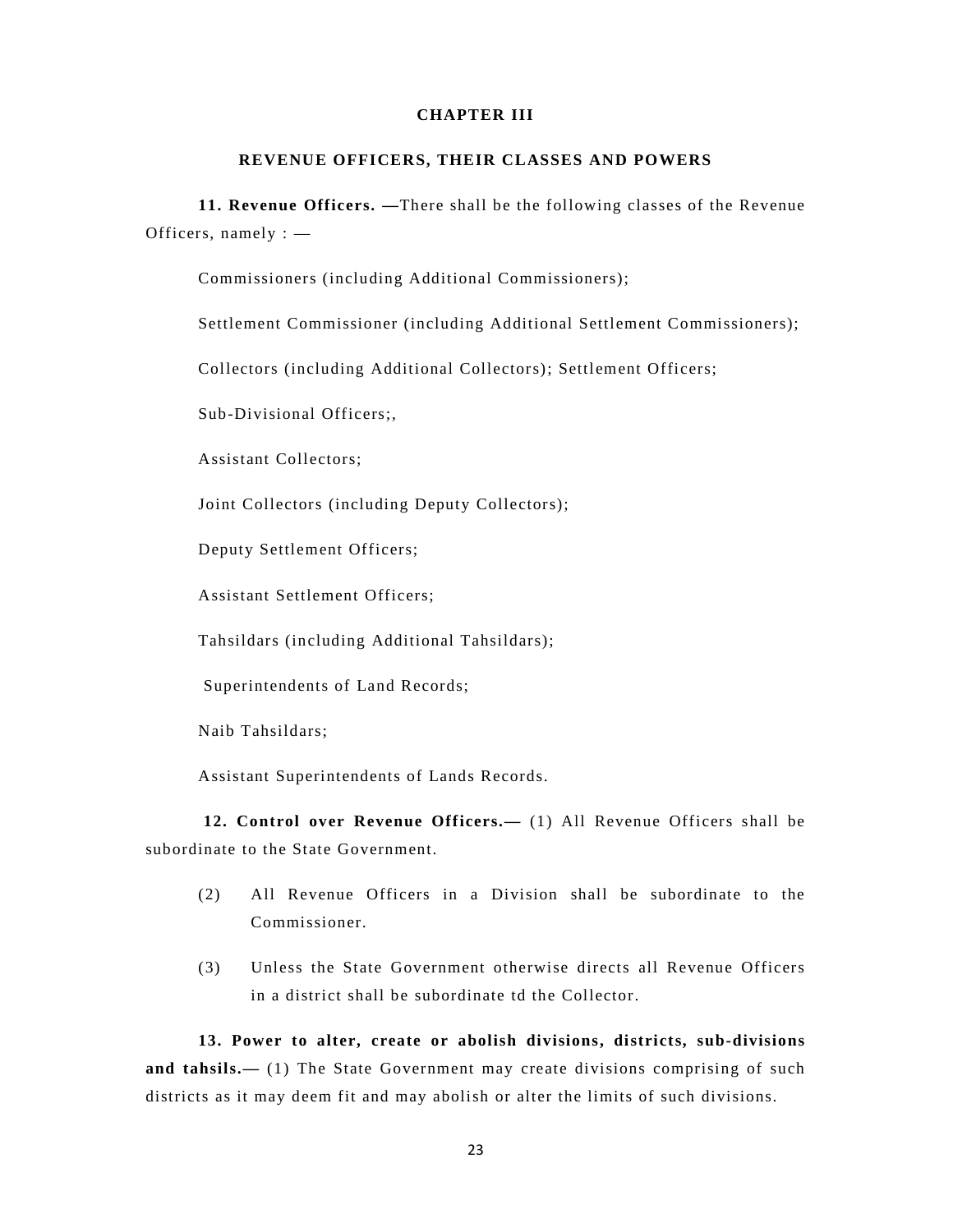### **CHAPTER III**

### **REVENUE OFFICERS, THEIR CLASSES AND POWERS**

**11. Revenue Officers. —**There shall be the following classes of the Revenue Officers, namely : —

Commissioners (including Additional Commissioners);

Settlement Commissioner (including Additional Settlement Commissioners);

Collectors (including Additional Collectors); Settlement Officers;

Sub-Divisional Officers;,

Assistant Collectors;

Joint Collectors (including Deputy Collectors);

Deputy Settlement Officers;

Assistant Settlement Officers;

Tahsildars (including Additional Tahsildars);

Superintendents of Land Records;

Naib Tahsildars;

Assistant Superintendents of Lands Records.

**12. Control over Revenue Officers.—** (1) All Revenue Officers shall be subordinate to the State Government.

- (2) All Revenue Officers in a Division shall be subordinate to the Commissioner.
- (3) Unless the State Government otherwise directs all Revenue Officers in a district shall be subordinate td the Collector.

**13. Power to alter, create or abolish divisions, districts, sub-divisions**  and tahsils.— (1) The State Government may create divisions comprising of such districts as it may deem fit and may abolish or alter the limits of such divisions.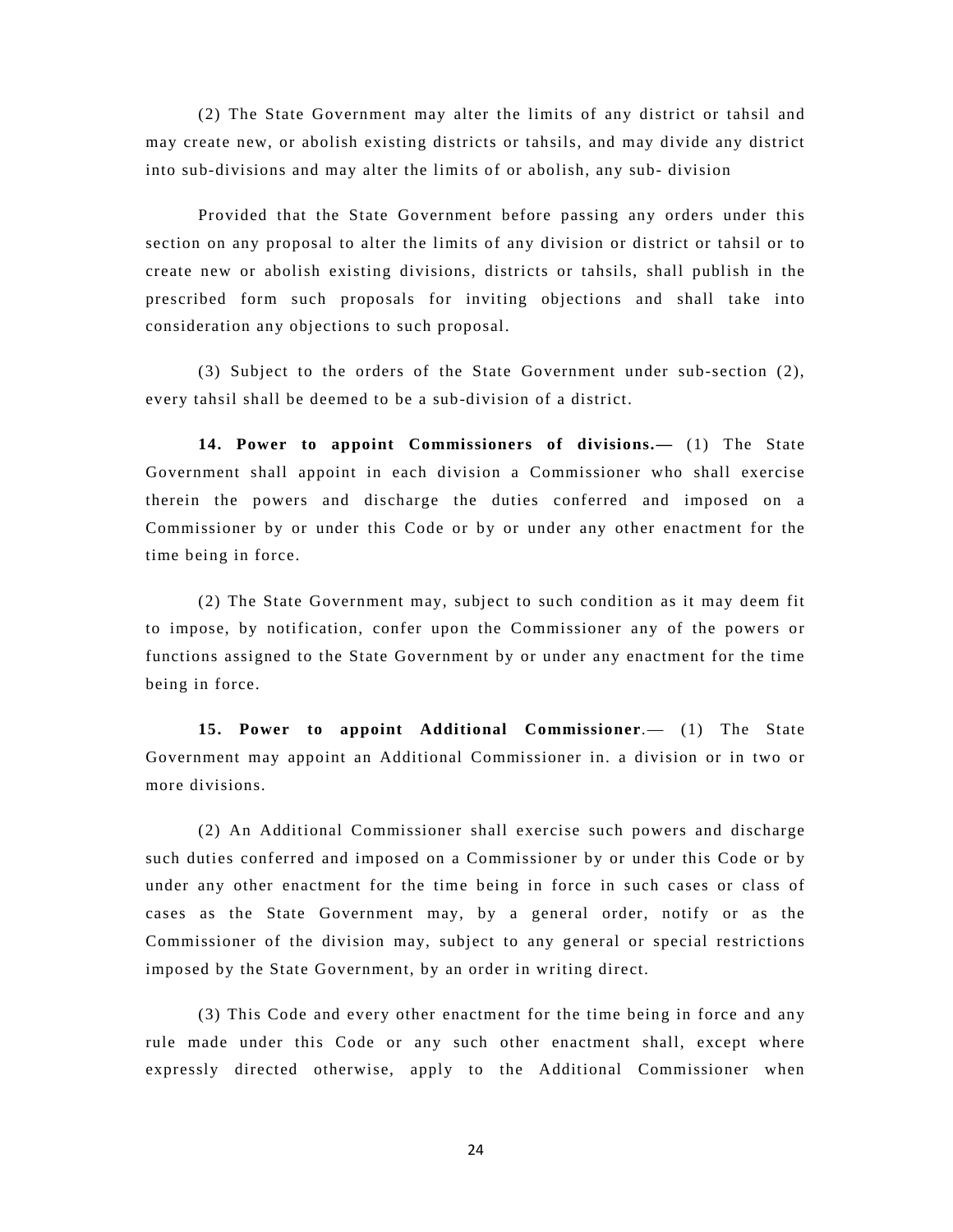(2) The State Government may alter the limits of any district or tahsil and may create new, or abolish existing districts or tahsils, and may divide any district into sub-divisions and may alter the limits of or abolish, any sub- division

Provided that the State Government before passing any orders under this section on any proposal to alter the limits of any division or district or tahsil or to create new or abolish existing divisions, districts or tahsils, shall publish in the prescribed form such proposals for inviting objections and shall take into consideration any objections to such proposal.

(3) Subject to the orders of the State Government under sub-section (2), every tahsil shall be deemed to be a sub-division of a district.

**14. Power to appoint Commissioners of divisions.—** (1) The State Government shall appoint in each division a Commissioner who shall exercise therein the powers and discharge the duties conferred and imposed on a Commissioner by or under this Code or by or under any other enactment for the time being in force.

(2) The State Government may, subject to such condition as it may deem fit to impose, by notification, confer upon the Commissioner any of the powers or functions assigned to the State Government by or under any enactment for the time being in force.

**15. Power to appoint Additional Commissioner**.— (1) The State Government may appoint an Additional Commissioner in. a division or in two or more divisions.

(2) An Additional Commissioner shall exercise such powers and discharge such duties conferred and imposed on a Commissioner by or under this Code or by under any other enactment for the time being in force in such cases or class of cases as the State Government may, by a general order, notify or as the Commissioner of the division may, subject to any general or special restrictions imposed by the State Government, by an order in writing direct.

(3) This Code and every other enactment for the time being in force and any rule made under this Code or any such other enactment shall, except where expressly directed otherwise, apply to the Additional Commissioner when

24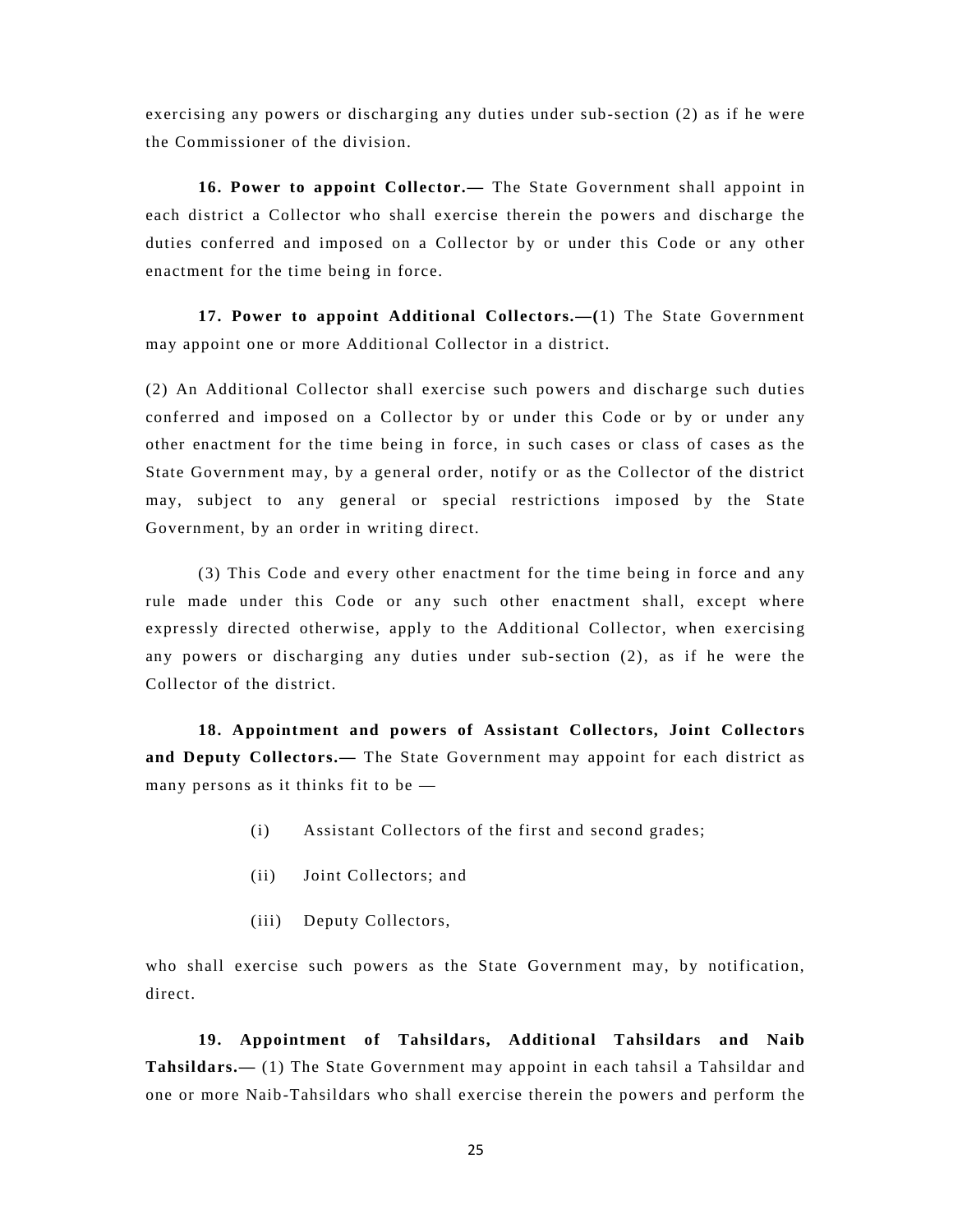exercising any powers or discharging any duties under sub-section (2) as if he were the Commissioner of the division.

**16. Power to appoint Collector.—** The State Government shall appoint in each district a Collector who shall exercise therein the powers and discharge the duties conferred and imposed on a Collector by or under this Code or any other enactment for the time being in force.

**17. Power to appoint Additional Collectors.—(**1) The State Government may appoint one or more Additional Collector in a district.

(2) An Additional Collector shall exercise such powers and discharge such duties conferred and imposed on a Collector by or under this Code or by or under any other enactment for the time being in force, in such cases or class of cases as the State Government may, by a general order, notify or as the Collector of the district may, subject to any general or special restrictions imposed by the State Government, by an order in writing direct.

(3) This Code and every other enactment for the time being in force and any rule made under this Code or any such other enactment shall, except where expressly directed otherwise, apply to the Additional Collector, when exercising any powers or discharging any duties under sub-section (2), as if he were the Collector of the district.

**18. Appointment and powers of Assistant Collectors, Joint Collectors and Deputy Collectors.—** The State Government may appoint for each district as many persons as it thinks fit to be —

- (i) Assistant Collectors of the first and second grades;
- (ii) Joint Collectors; and
- (iii) Deputy Collectors,

who shall exercise such powers as the State Government may, by notification, direct.

**19. Appointment of Tahsildars, Additional Tahsildars and Naib Tahsildars.—** (1) The State Government may appoint in each tahsil a Tahsildar and one or more Naib-Tahsildars who shall exercise therein the powers and perform the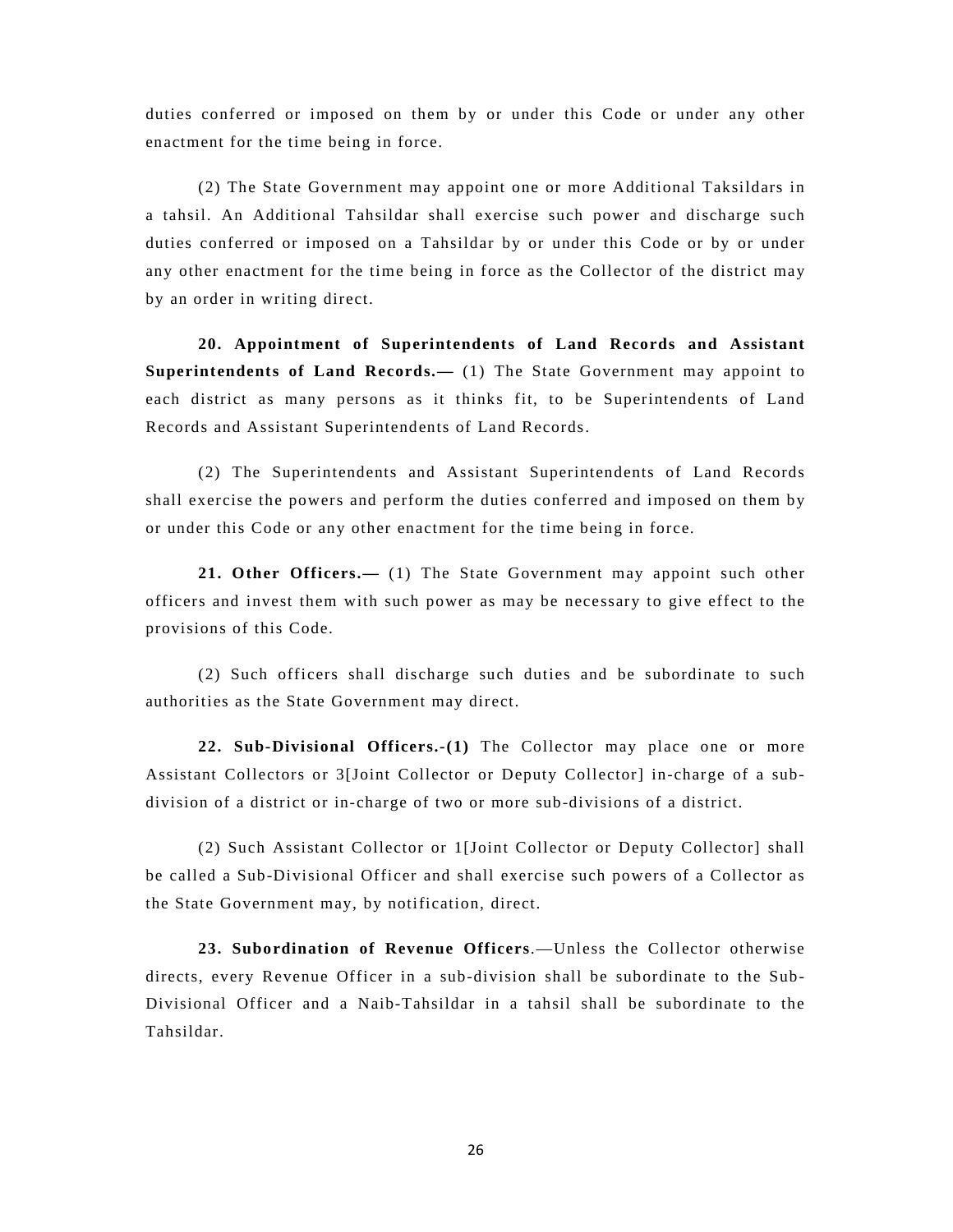duties conferred or imposed on them by or under this Code or under any other enactment for the time being in force.

(2) The State Government may appoint one or more Additional Taksildars in a tahsil. An Additional Tahsildar shall exercise such power and discharge such duties conferred or imposed on a Tahsildar by or under this Code or by or under any other enactment for the time being in force as the Collector of the district may by an order in writing direct.

**20. Appointment of Superintendents of Land Records and Assistant Superintendents of Land Records.—** (1) The State Government may appoint to each district as many persons as it thinks fit, to be Superintendents of Land Records and Assistant Superintendents of Land Records.

(2) The Superintendents and Assistant Superintendents of Land Records shall exercise the powers and perform the duties conferred and imposed on them by or under this Code or any other enactment for the time being in force.

**21. Other Officers.—** (1) The State Government may appoint such other officers and invest them with such power as may be necessary to give effect to the provisions of this Code.

(2) Such officers shall discharge such duties and be subordinate to such authorities as the State Government may direct.

**22. Sub-Divisional Officers.-(1)** The Collector may place one or more Assistant Collectors or 3[Joint Collector or Deputy Collector] in-charge of a subdivision of a district or in-charge of two or more sub-divisions of a district.

(2) Such Assistant Collector or 1[Joint Collector or Deputy Collector] shall be called a Sub-Divisional Officer and shall exercise such powers of a Collector as the State Government may, by notification, direct.

**23. Subordination of Revenue Officers**.—Unless the Collector otherwise directs, every Revenue Officer in a sub-division shall be subordinate to the Sub-Divisional Officer and a Naib-Tahsildar in a tahsil shall be subordinate to the Tahsildar.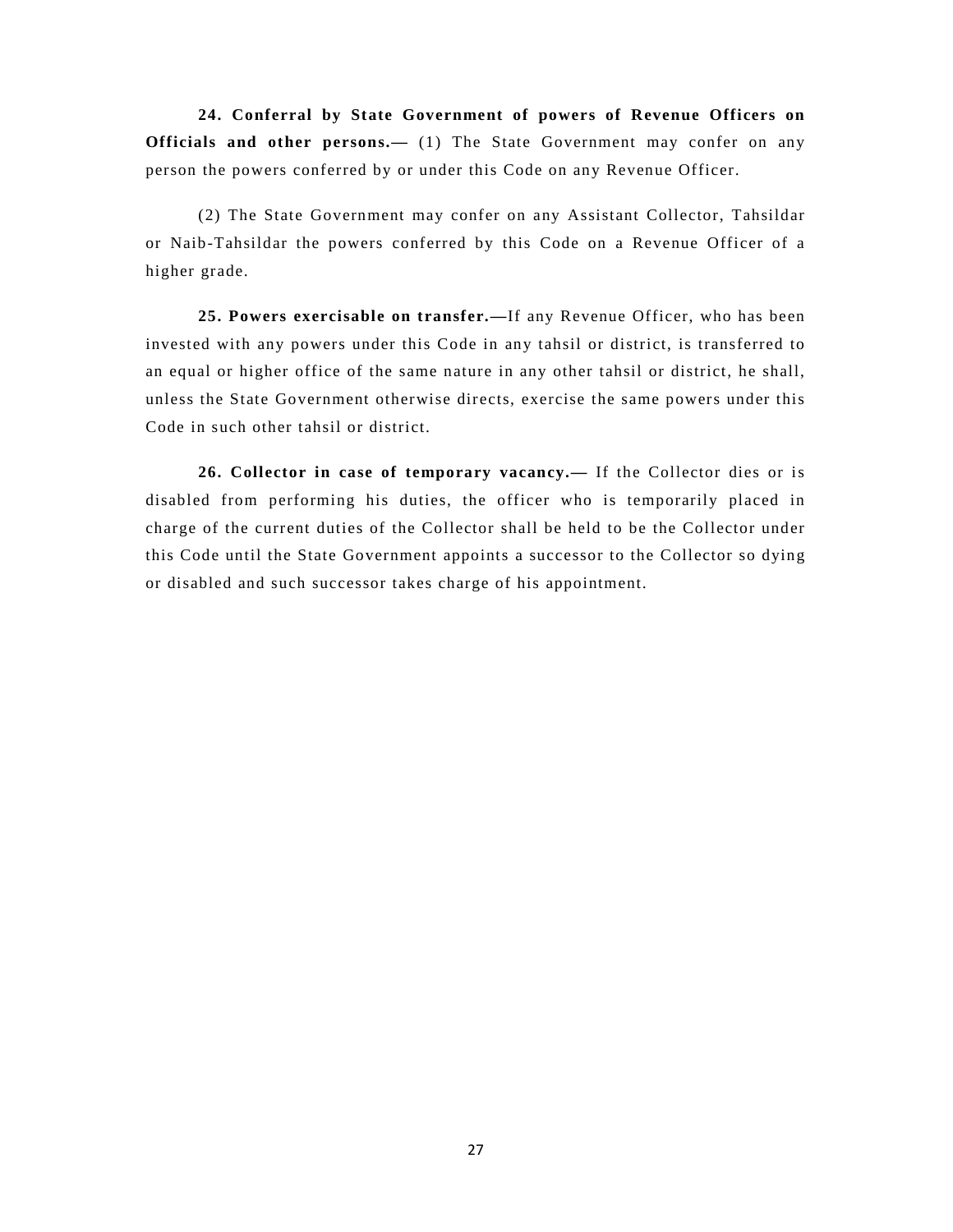**24. Conferral by State Government of powers of Revenue Officers on Officials and other persons.—** (1) The State Government may confer on any person the powers conferred by or under this Code on any Revenue Officer.

(2) The State Government may confer on any Assistant Collector, Tahsildar or Naib-Tahsildar the powers conferred by this Code on a Revenue Officer of a higher grade.

**25. Powers exercisable on transfer.—**If any Revenue Officer, who has been invested with any powers under this Code in any tahsil or district, is transferred to an equal or higher office of the same nature in any other tahsil or district, he shall, unless the State Government otherwise directs, exercise the same powers under this Code in such other tahsil or district.

**26. Collector in case of temporary vacancy.—** If the Collector dies or is disabled from performing his duties, the officer who is temporarily placed in charge of the current duties of the Collector shall be held to be the Collector under this Code until the State Government appoints a successor to the Collector so dying or disabled and such successor takes charge of his appointment.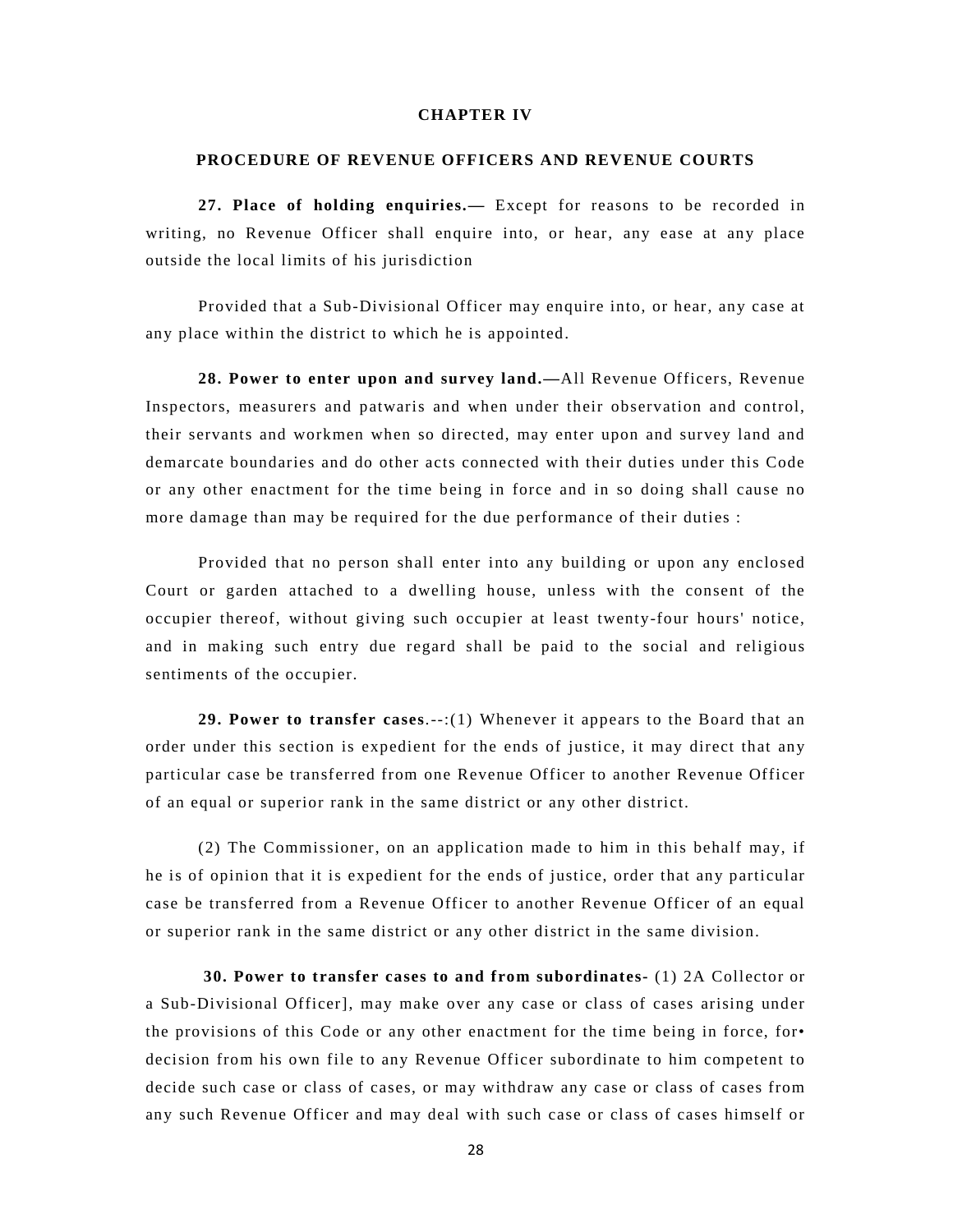### **CHAPTER IV**

#### **PROCEDURE OF REVENUE OFFICERS AND REVENUE COURTS**

**27. Place of holding enquiries.—** Except for reasons to be recorded in writing, no Revenue Officer shall enquire into, or hear, any ease at any place outside the local limits of his jurisdiction

Provided that a Sub-Divisional Officer may enquire into, or hear, any case at any place within the district to which he is appointed.

**28. Power to enter upon and survey land.—**All Revenue Officers, Revenue Inspectors, measurers and patwaris and when under their observation and control, their servants and workmen when so directed, may enter upon and survey land and demarcate boundaries and do other acts connected with their duties under this Code or any other enactment for the time being in force and in so doing shall cause no more damage than may be required for the due performance of their duties :

Provided that no person shall enter into any building or upon any enclosed Court or garden attached to a dwelling house, unless with the consent of the occupier thereof, without giving such occupier at least twenty-four hours' notice, and in making such entry due regard shall be paid to the social and religious sentiments of the occupier.

**29. Power to transfer cases**.--:(1) Whenever it appears to the Board that an order under this section is expedient for the ends of justice, it may direct that any particular case be transferred from one Revenue Officer to another Revenue Officer of an equal or superior rank in the same district or any other district.

(2) The Commissioner, on an application made to him in this behalf may, if he is of opinion that it is expedient for the ends of justice, order that any particular case be transferred from a Revenue Officer to another Revenue Officer of an equal or superior rank in the same district or any other district in the same division.

 **30. Power to transfer cases to and from subordinates-** (1) 2A Collector or a Sub-Divisional Officer], may make over any case or class of cases arising under the provisions of this Code or any other enactment for the time being in force, for• decision from his own file to any Revenue Officer subordinate to him competent to decide such case or class of cases, or may withdraw any case or class of cases from any such Revenue Officer and may deal with such case or class of cases himself or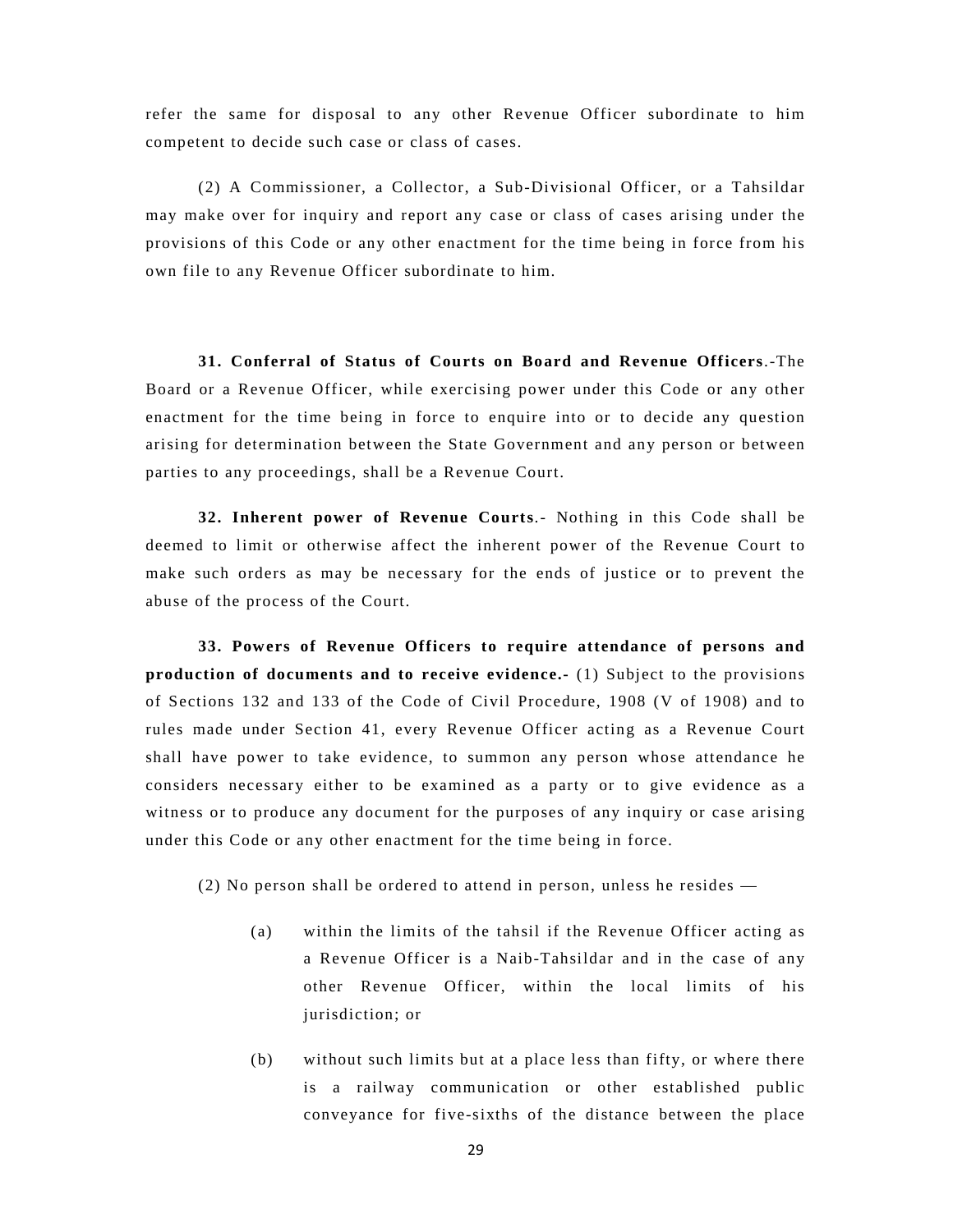refer the same for disposal to any other Revenue Officer subordinate to him competent to decide such case or class of cases.

(2) A Commissioner, a Collector, a Sub-Divisional Officer, or a Tahsildar may make over for inquiry and report any case or class of cases arising under the provisions of this Code or any other enactment for the time being in force from his own file to any Revenue Officer subordinate to him.

**31. Conferral of Status of Courts on Board and Revenue Officers**.-The Board or a Revenue Officer, while exercising power under this Code or any other enactment for the time being in force to enquire into or to decide any question arising for determination between the State Government and any person or between parties to any proceedings, shall be a Revenue Court.

**32. Inherent power of Revenue Courts**.- Nothing in this Code shall be deemed to limit or otherwise affect the inherent power of the Revenue Court to make such orders as may be necessary for the ends of justice or to prevent the abuse of the process of the Court.

**33. Powers of Revenue Officers to require attendance of persons and production of documents and to receive evidence.-** (1) Subject to the provisions of Sections 132 and 133 of the Code of Civil Procedure, 1908 (V of 1908) and to rules made under Section 41, every Revenue Officer acting as a Revenue Court shall have power to take evidence, to summon any person whose attendance he considers necessary either to be examined as a party or to give evidence as a witness or to produce any document for the purposes of any inquiry or case arising under this Code or any other enactment for the time being in force.

(2) No person shall be ordered to attend in person, unless he resides —

- (a) within the limits of the tahsil if the Revenue Officer acting as a Revenue Officer is a Naib-Tahsildar and in the case of any other Revenue Officer, within the local limits of his jurisdiction; or
- (b) without such limits but at a place less than fifty, or where there is a railway communication or other established public conveyance for five-sixths of the distance between the place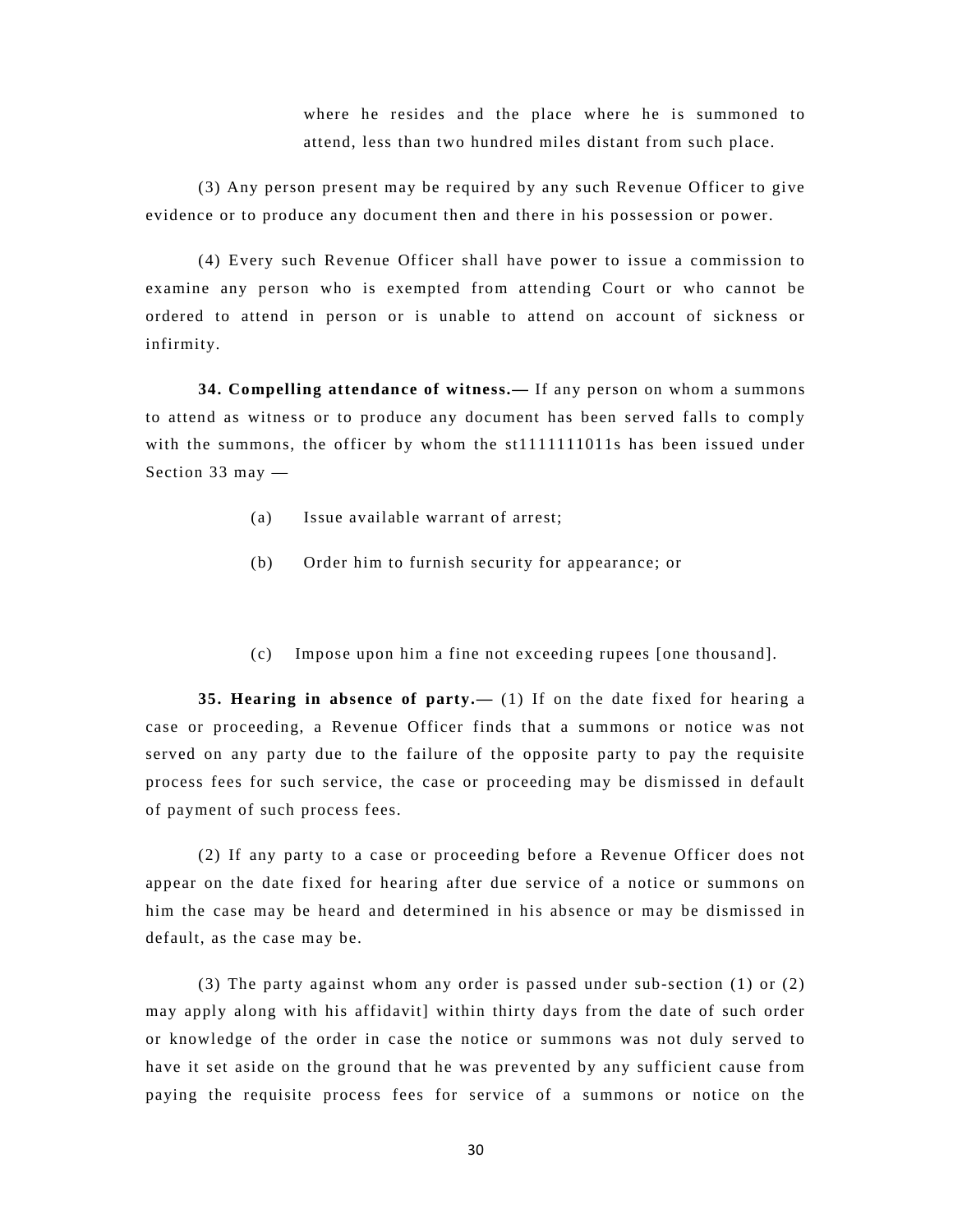where he resides and the place where he is summoned to attend, less than two hundred miles distant from such place.

(3) Any person present may be required by any such Revenue Officer to give evidence or to produce any document then and there in his possession or power.

(4) Every such Revenue Officer shall have power to issue a commission to examine any person who is exempted from attending Court or who cannot be ordered to attend in person or is unable to attend on account of sickness or infirmity.

**34. Compelling attendance of witness.—** If any person on whom a summons to attend as witness or to produce any document has been served falls to comply with the summons, the officer by whom the st1111111011s has been issued under Section 33 may —

- (a) Issue available warrant of arrest;
- (b) Order him to furnish security for appearance; or
- (c) Impose upon him a fine not exceeding rupees [one thousand].

**35. Hearing in absence of party.—** (1) If on the date fixed for hearing a case or proceeding, a Revenue Officer finds that a summons or notice was not served on any party due to the failure of the opposite party to pay the requisite process fees for such service, the case or proceeding may be dismissed in default of payment of such process fees.

(2) If any party to a case or proceeding before a Revenue Officer does not appear on the date fixed for hearing after due service of a notice or summons on him the case may be heard and determined in his absence or may be dismissed in default, as the case may be.

(3) The party against whom any order is passed under sub-section (1) or (2) may apply along with his affidavit] within thirty days from the date of such order or knowledge of the order in case the notice or summons was not duly served to have it set aside on the ground that he was prevented by any sufficient cause from paying the requisite process fees for service of a summons or notice on the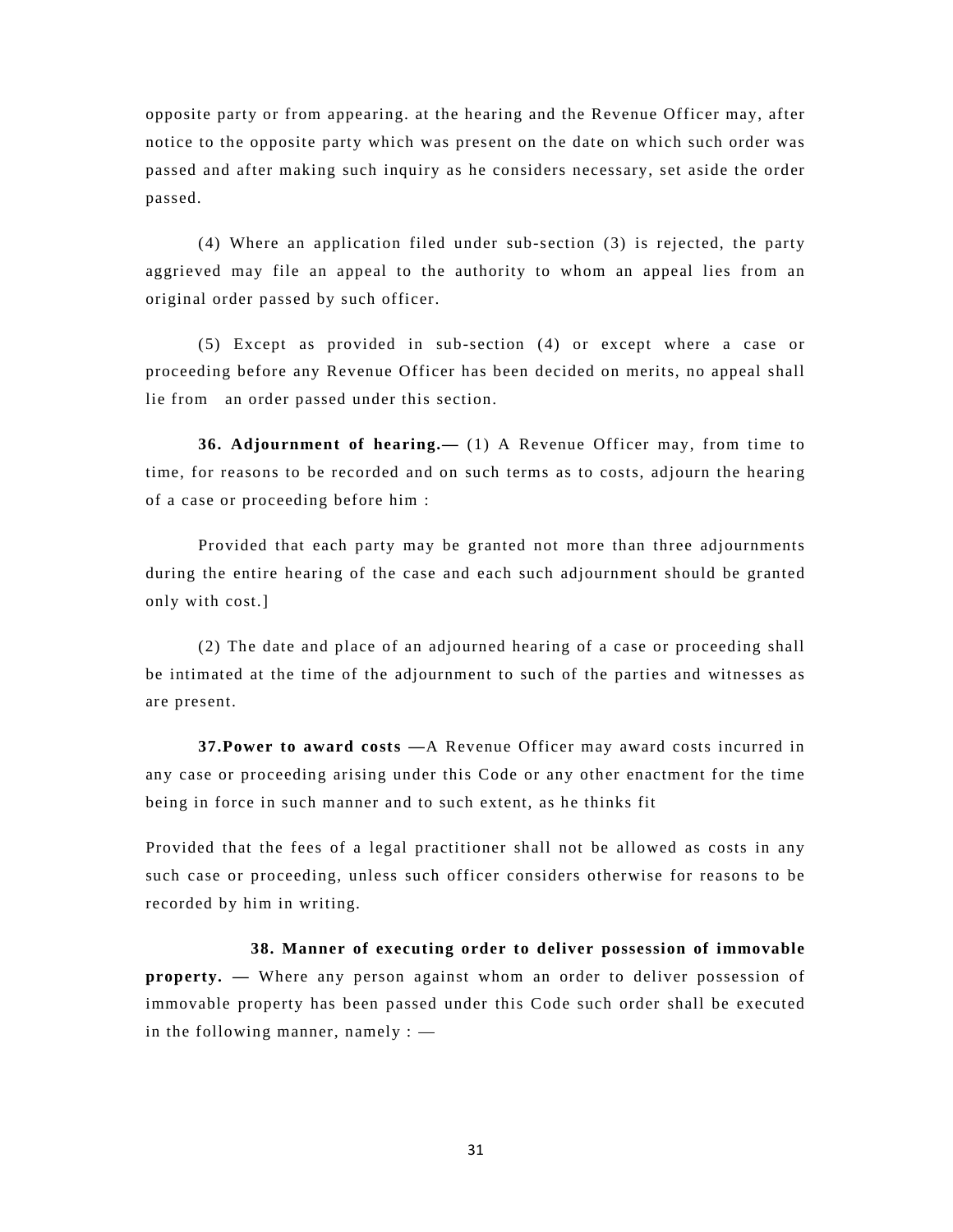opposite party or from appearing. at the hearing and the Revenue Officer may, after notice to the opposite party which was present on the date on which such order was passed and after making such inquiry as he considers necessary, set aside the order passed.

(4) Where an application filed under sub-section (3) is rejected, the party aggrieved may file an appeal to the authority to whom an appeal lies from an original order passed by such officer.

(5) Except as provided in sub-section (4) or except where a case or proceeding before any Revenue Officer has been decided on merits, no appeal shall lie from an order passed under this section.

**36. Adjournment of hearing.—** (1) A Revenue Officer may, from time to time, for reasons to be recorded and on such terms as to costs, adjourn the hearing of a case or proceeding before him :

Provided that each party may be granted not more than three adjournments during the entire hearing of the case and each such adjournment should be granted only with cost.]

(2) The date and place of an adjourned hearing of a case or proceeding shall be intimated at the time of the adjournment to such of the parties and witnesses as are present.

**37.Power to award costs —**A Revenue Officer may award costs incurred in any case or proceeding arising under this Code or any other enactment for the time being in force in such manner and to such extent, as he thinks fit

Provided that the fees of a legal practitioner shall not be allowed as costs in any such case or proceeding, unless such officer considers otherwise for reasons to be recorded by him in writing.

**38. Manner of executing order to deliver possession of immovable property.** — Where any person against whom an order to deliver possession of immovable property has been passed under this Code such order shall be executed in the following manner, namely  $:$   $-$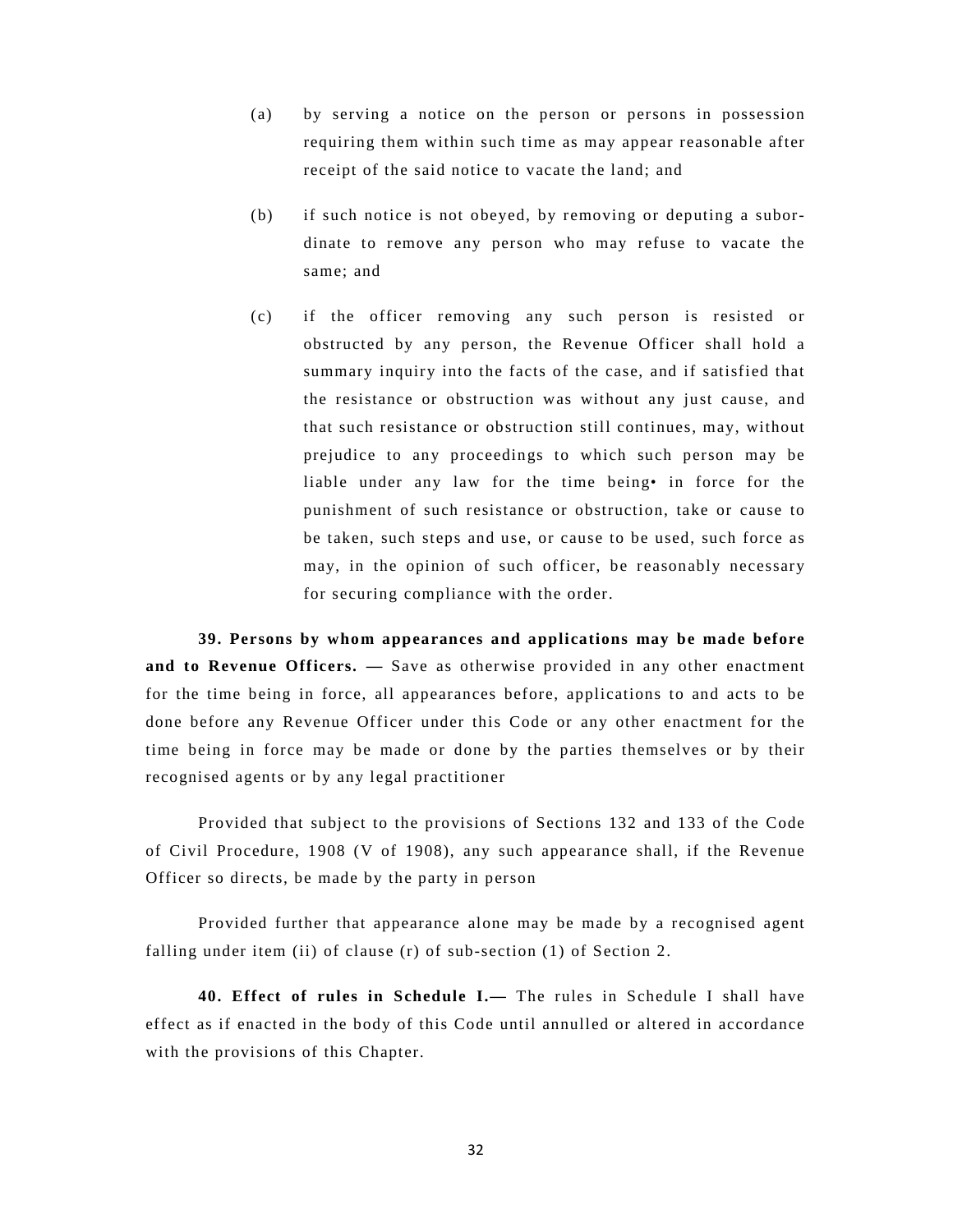- (a) by serving a notice on the person or persons in possession requiring them within such time as may appear reasonable after receipt of the said notice to vacate the land; and
- (b) if such notice is not obeyed, by removing or deputing a subordinate to remove any person who may refuse to vacate the same; and
- (c) if the officer removing any such person is resisted or obstructed by any person, the Revenue Officer shall hold a summary inquiry into the facts of the case, and if satisfied that the resistance or obstruction was without any just cause, and that such resistance or obstruction still continues, may, without prejudice to any proceedings to which such person may be liable under any law for the time being• in force for the punishment of such resistance or obstruction, take or cause to be taken, such steps and use, or cause to be used, such force as may, in the opinion of such officer, be reasonably necessary for securing compliance with the order.

**39. Persons by whom appearances and applications may be made before and to Revenue Officers. —** Save as otherwise provided in any other enactment for the time being in force, all appearances before, applications to and acts to be done before any Revenue Officer under this Code or any other enactment for the time being in force may be made or done by the parties themselves or by their recognised agents or by any legal practitioner

Provided that subject to the provisions of Sections 132 and 133 of the Code of Civil Procedure, 1908 (V of 1908), any such appearance shall, if the Revenue Officer so directs, be made by the party in person

Provided further that appearance alone may be made by a recognised agent falling under item (ii) of clause (r) of sub-section (1) of Section 2.

**40. Effect of rules in Schedule I.—** The rules in Schedule I shall have effect as if enacted in the body of this Code until annulled or altered in accordance with the provisions of this Chapter.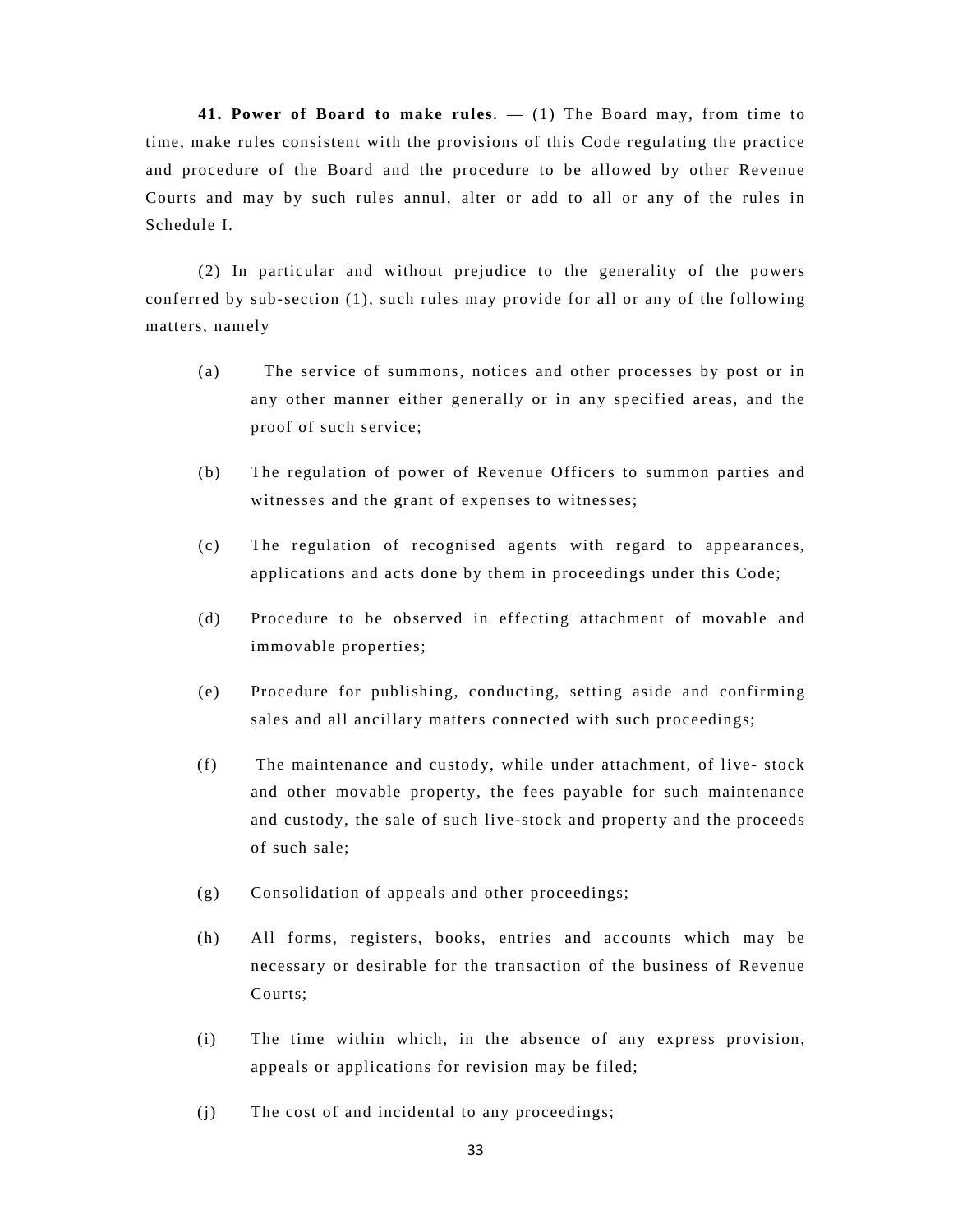**41. Power of Board to make rules**. — (1) The Board may, from time to time, make rules consistent with the provisions of this Code regulating the practice and procedure of the Board and the procedure to be allowed by other Revenue Courts and may by such rules annul, alter or add to all or any of the rules in Schedule I.

(2) In particular and without prejudice to the generality of the powers conferred by sub-section (1), such rules may provide for all or any of the following matters, namely

- (a) The service of summons, notices and other processes by post or in any other manner either generally or in any specified areas, and the proof of such service;
- (b) The regulation of power of Revenue Officers to summon parties and witnesses and the grant of expenses to witnesses;
- (c) The regulation of recognised agents with regard to appearances, applications and acts done by them in proceedings under this Code;
- (d) Procedure to be observed in effecting attachment of movable and immovable properties;
- (e) Procedure for publishing, conducting, setting aside and confirming sales and all ancillary matters connected with such proceedings;
- (f) The maintenance and custody, while under attachment, of live- stock and other movable property, the fees payable for such maintenance and custody, the sale of such live-stock and property and the proceeds of such sale;
- (g) Consolidation of appeals and other proceedings;
- (h) All forms, registers, books, entries and accounts which may be necessary or desirable for the transaction of the business of Revenue Courts;
- (i) The time within which, in the absence of any express provision, appeals or applications for revision may be filed;
- (j) The cost of and incidental to any proceedings;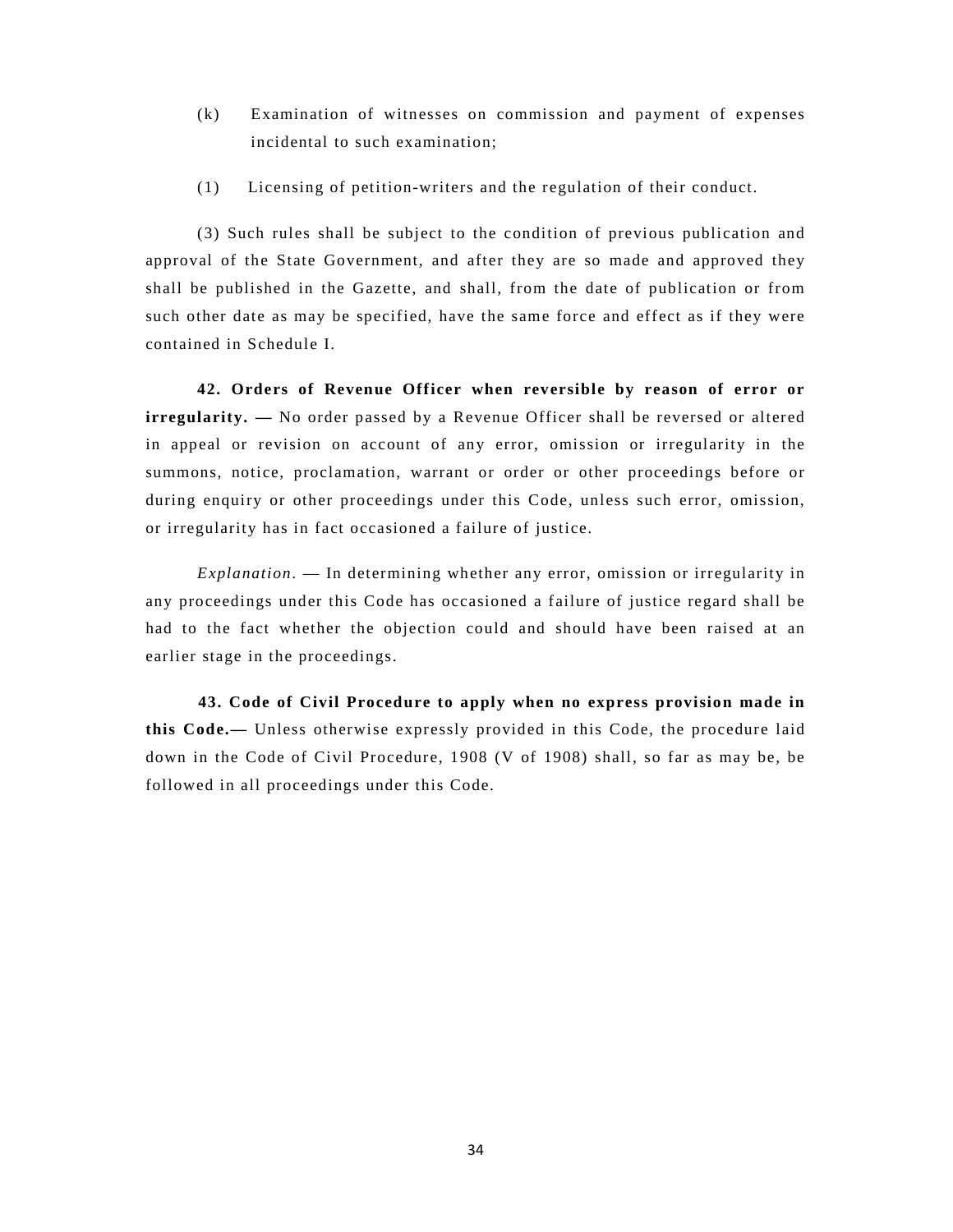- (k) Examination of witnesses on commission and payment of expenses incidental to such examination;
- (1) Licensing of petition-writers and the regulation of their conduct.

(3) Such rules shall be subject to the condition of previous publication and approval of the State Government, and after they are so made and approved they shall be published in the Gazette, and shall, from the date of publication or from such other date as may be specified, have the same force and effect as if they were contained in Schedule I.

**42. Orders of Revenue Officer when reversible by reason of error or irregularity.** — No order passed by a Revenue Officer shall be reversed or altered in appeal or revision on account of any error, omission or irregularity in the summons, notice, proclamation, warrant or order or other proceedings before or during enquiry or other proceedings under this Code, unless such error, omission, or irregularity has in fact occasioned a failure of justice.

*Explanation*. — In determining whether any error, omission or irregularity in any proceedings under this Code has occasioned a failure of justice regard shall be had to the fact whether the objection could and should have been raised at an earlier stage in the proceedings.

**43. Code of Civil Procedure to apply when no express provision made in this Code.—** Unless otherwise expressly provided in this Code, the procedure laid down in the Code of Civil Procedure, 1908 (V of 1908) shall, so far as may be, be followed in all proceedings under this Code.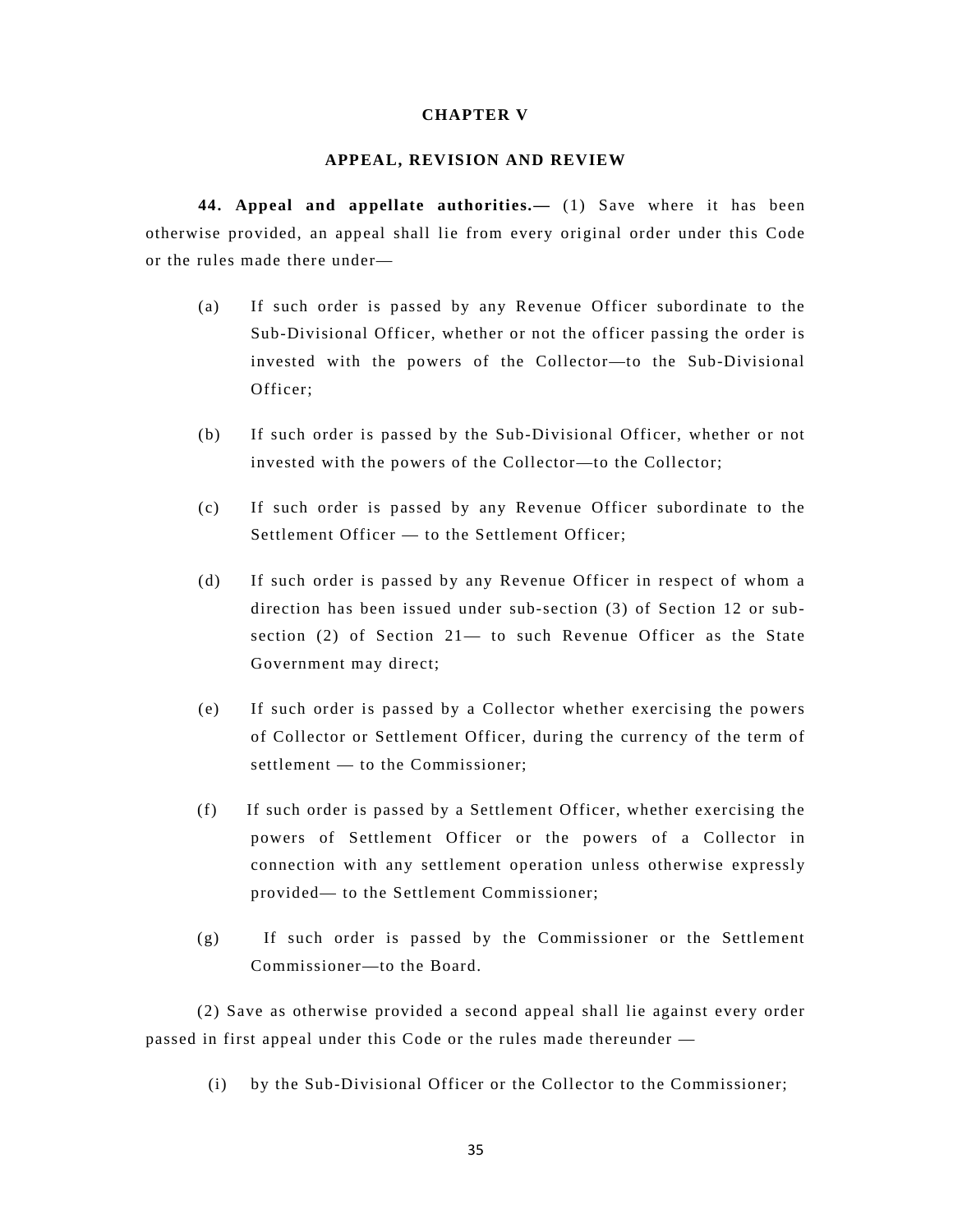### **CHAPTER V**

### **APPEAL, REVISION AND REVIEW**

**44. Appeal and appellate authorities.—** (1) Save where it has been otherwise provided, an appeal shall lie from every original order under this Code or the rules made there under—

- (a) If such order is passed by any Revenue Officer subordinate to the Sub-Divisional Officer, whether or not the officer passing the order is invested with the powers of the Collector—to the Sub-Divisional Officer;
- (b) If such order is passed by the Sub-Divisional Officer, whether or not invested with the powers of the Collector—to the Collector;
- (c) If such order is passed by any Revenue Officer subordinate to the Settlement Officer — to the Settlement Officer;
- (d) If such order is passed by any Revenue Officer in respect of whom a direction has been issued under sub-section (3) of Section 12 or subsection (2) of Section  $21-$  to such Revenue Officer as the State Government may direct;
- (e) If such order is passed by a Collector whether exercising the powers of Collector or Settlement Officer, during the currency of the term of settlement — to the Commissioner;
- (f) If such order is passed by a Settlement Officer, whether exercising the powers of Settlement Officer or the powers of a Collector in connection with any settlement operation unless otherwise expressly provided— to the Settlement Commissioner;
- (g) If such order is passed by the Commissioner or the Settlement Commissioner—to the Board.

(2) Save as otherwise provided a second appeal shall lie against every order passed in first appeal under this Code or the rules made thereunder —

(i) by the Sub-Divisional Officer or the Collector to the Commissioner;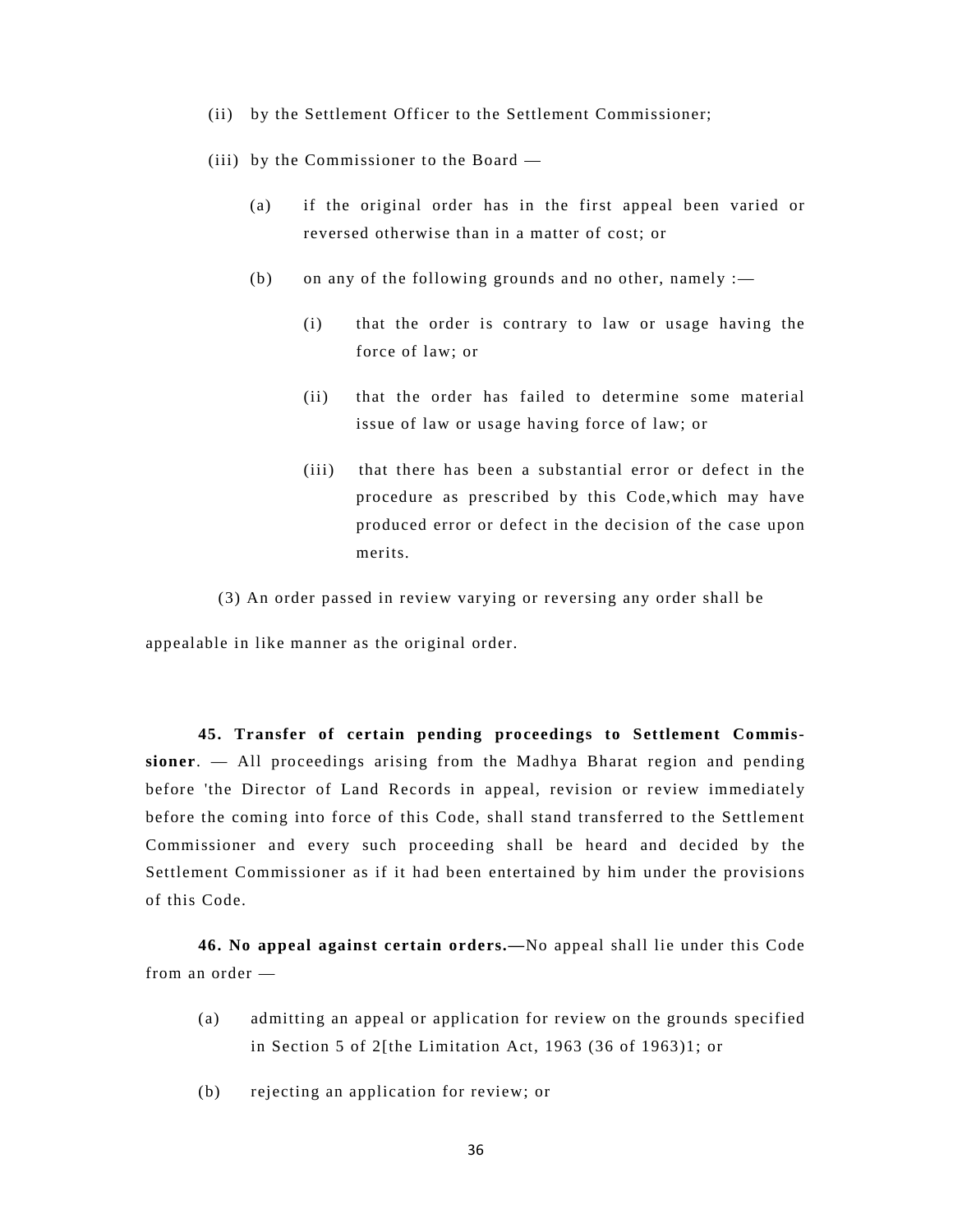- (ii) by the Settlement Officer to the Settlement Commissioner;
- (iii) by the Commissioner to the Board
	- (a) if the original order has in the first appeal been varied or reversed otherwise than in a matter of cost; or
	- (b) on any of the following grounds and no other, namely  $:=$ 
		- (i) that the order is contrary to law or usage having the force of law; or
		- (ii) that the order has failed to determine some material issue of law or usage having force of law; or
		- (iii) that there has been a substantial error or defect in the procedure as prescribed by this Code,which may have produced error or defect in the decision of the case upon merits.
- (3) An order passed in review varying or reversing any order shall be

appealable in like manner as the original order.

**45. Transfer of certain pending proceedings to Settlement Commissioner**. — All proceedings arising from the Madhya Bharat region and pending before 'the Director of Land Records in appeal, revision or review immediately before the coming into force of this Code, shall stand transferred to the Settlement Commissioner and every such proceeding shall be heard and decided by the Settlement Commissioner as if it had been entertained by him under the provisions of this Code.

**46. No appeal against certain orders.—**No appeal shall lie under this Code from an order —

- (a) admitting an appeal or application for review on the grounds specified in Section 5 of 2[the Limitation Act, 1963 (36 of 1963)1; or
- (b) rejecting an application for review; or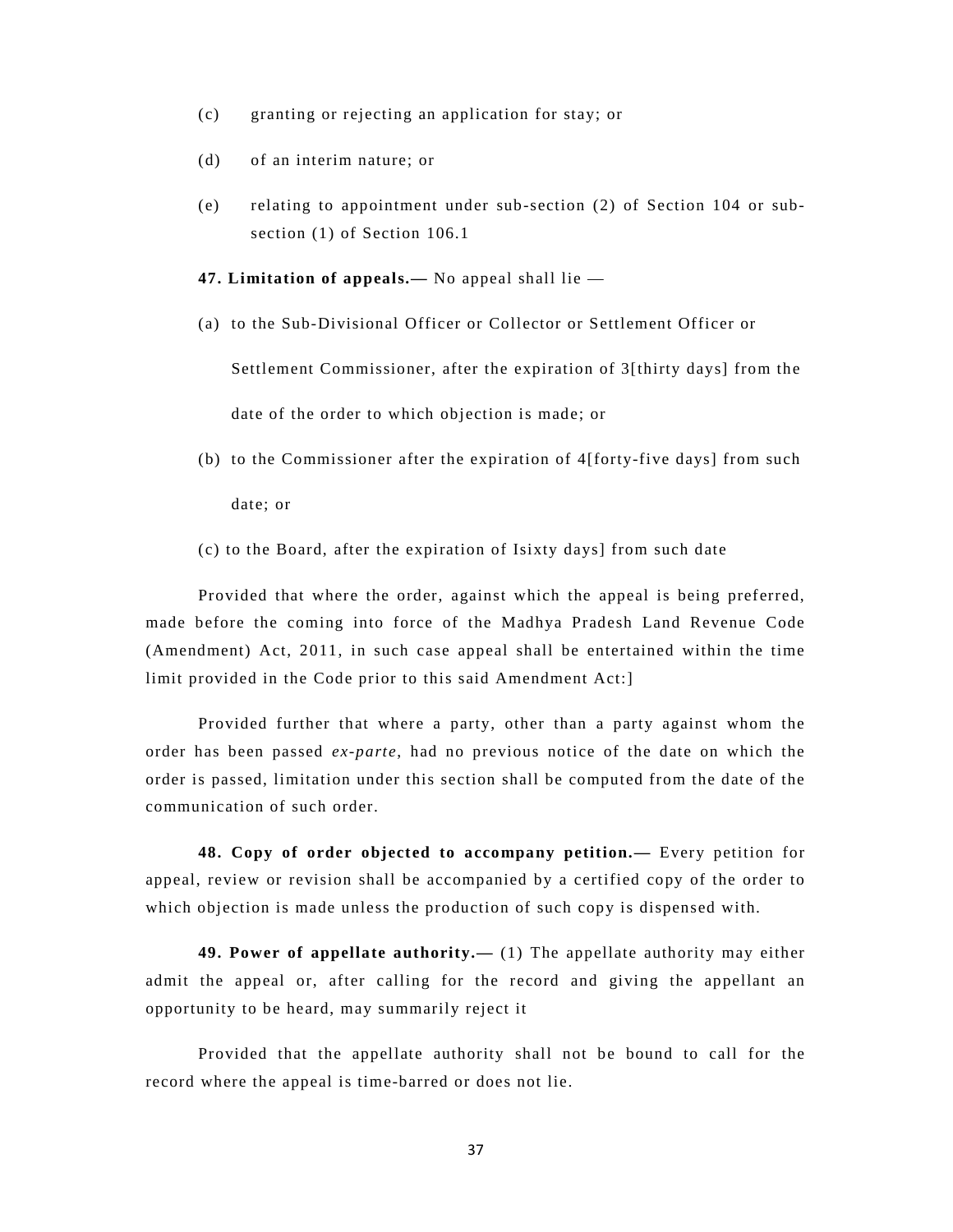- (c) granting or rejecting an application for stay; or
- (d) of an interim nature; or
- (e) relating to appointment under sub-section (2) of Section 104 or subsection (1) of Section 106.1
- **47. Limitation of appeals.—** No appeal shall lie —
- (a) to the Sub-Divisional Officer or Collector or Settlement Officer or

 Settlement Commissioner, after the expiration of 3[thirty days] from the date of the order to which objection is made; or

- (b) to the Commissioner after the expiration of 4[forty-five days] from such date; or
- (c) to the Board, after the expiration of Isixty days] from such date

Provided that where the order, against which the appeal is being preferred, made before the coming into force of the Madhya Pradesh Land Revenue Code (Amendment) Act, 2011, in such case appeal shall be entertained within the time limit provided in the Code prior to this said Amendment Act:]

Provided further that where a party, other than a party against whom the order has been passed *ex-parte*, had no previous notice of the date on which the order is passed, limitation under this section shall be computed from the date of the communication of such order.

**48. Copy of order objected to accompany petition.—** Every petition for appeal, review or revision shall be accompanied by a certified copy of the order to which objection is made unless the production of such copy is dispensed with.

**49. Power of appellate authority.—** (1) The appellate authority may either admit the appeal or, after calling for the record and giving the appellant an opportunity to be heard, may summarily reject it

Provided that the appellate authority shall not be bound to call for the record where the appeal is time-barred or does not lie.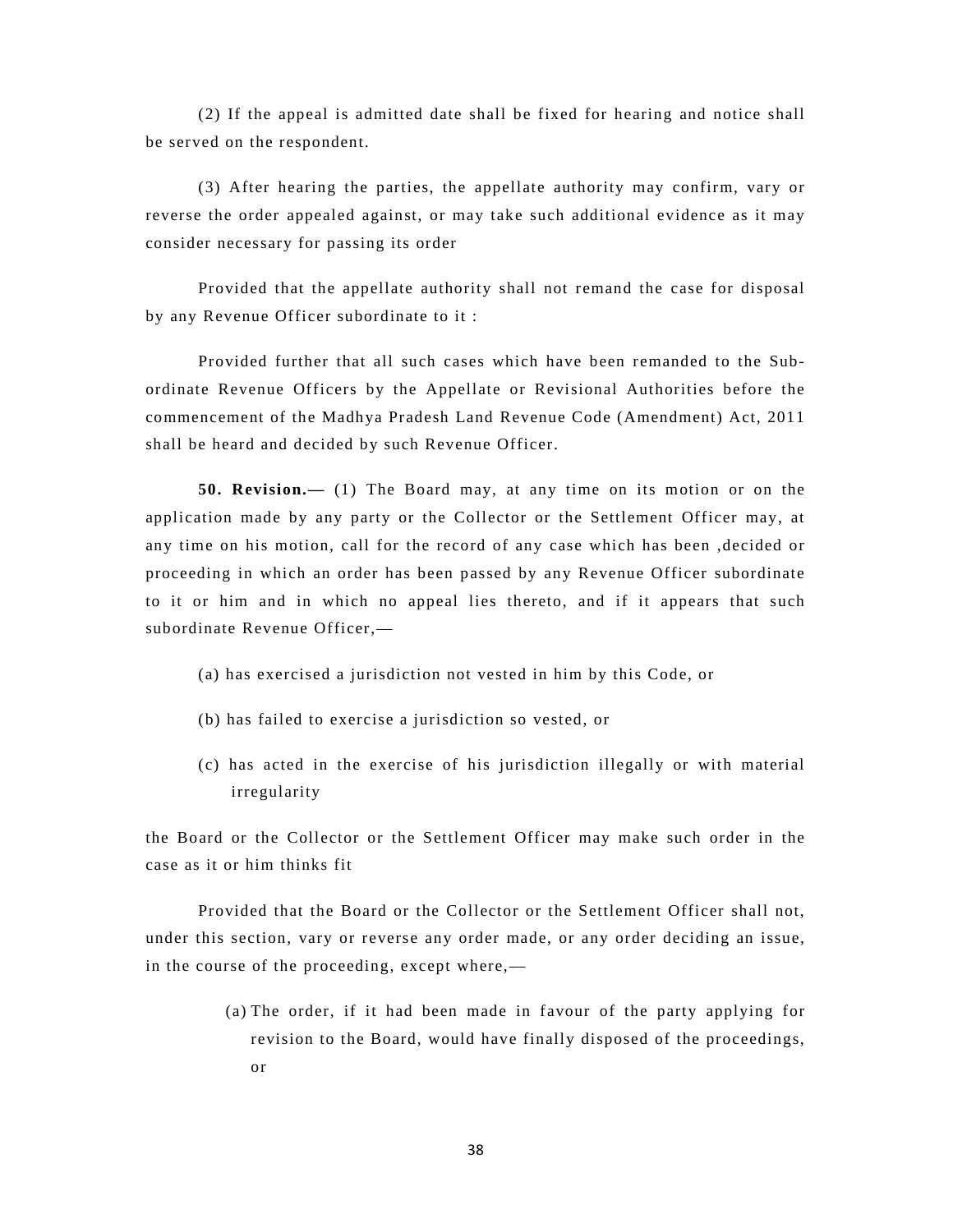(2) If the appeal is admitted date shall be fixed for hearing and notice shall be served on the respondent.

(3) After hearing the parties, the appellate authority may confirm, vary or reverse the order appealed against, or may take such additional evidence as it may consider necessary for passing its order

Provided that the appellate authority shall not remand the case for disposal by any Revenue Officer subordinate to it :

Provided further that all such cases which have been remanded to the Subordinate Revenue Officers by the Appellate or Revisional Authorities before the commencement of the Madhya Pradesh Land Revenue Code (Amendment) Act, 2011 shall be heard and decided by such Revenue Officer.

**50. Revision.—** (1) The Board may, at any time on its motion or on the application made by any party or the Collector or the Settlement Officer may, at any time on his motion, call for the record of any case which has been ,decided or proceeding in which an order has been passed by any Revenue Officer subordinate to it or him and in which no appeal lies thereto, and if it appears that such subordinate Revenue Officer,—

(a) has exercised a jurisdiction not vested in him by this Code, or

- (b) has failed to exercise a jurisdiction so vested, or
- (c) has acted in the exercise of his jurisdiction illegally or with material irregularity

the Board or the Collector or the Settlement Officer may make such order in the case as it or him thinks fit

Provided that the Board or the Collector or the Settlement Officer shall not, under this section, vary or reverse any order made, or any order deciding an issue, in the course of the proceeding, except where,—

> (a) The order, if it had been made in favour of the party applying for revision to the Board, would have finally disposed of the proceedings, or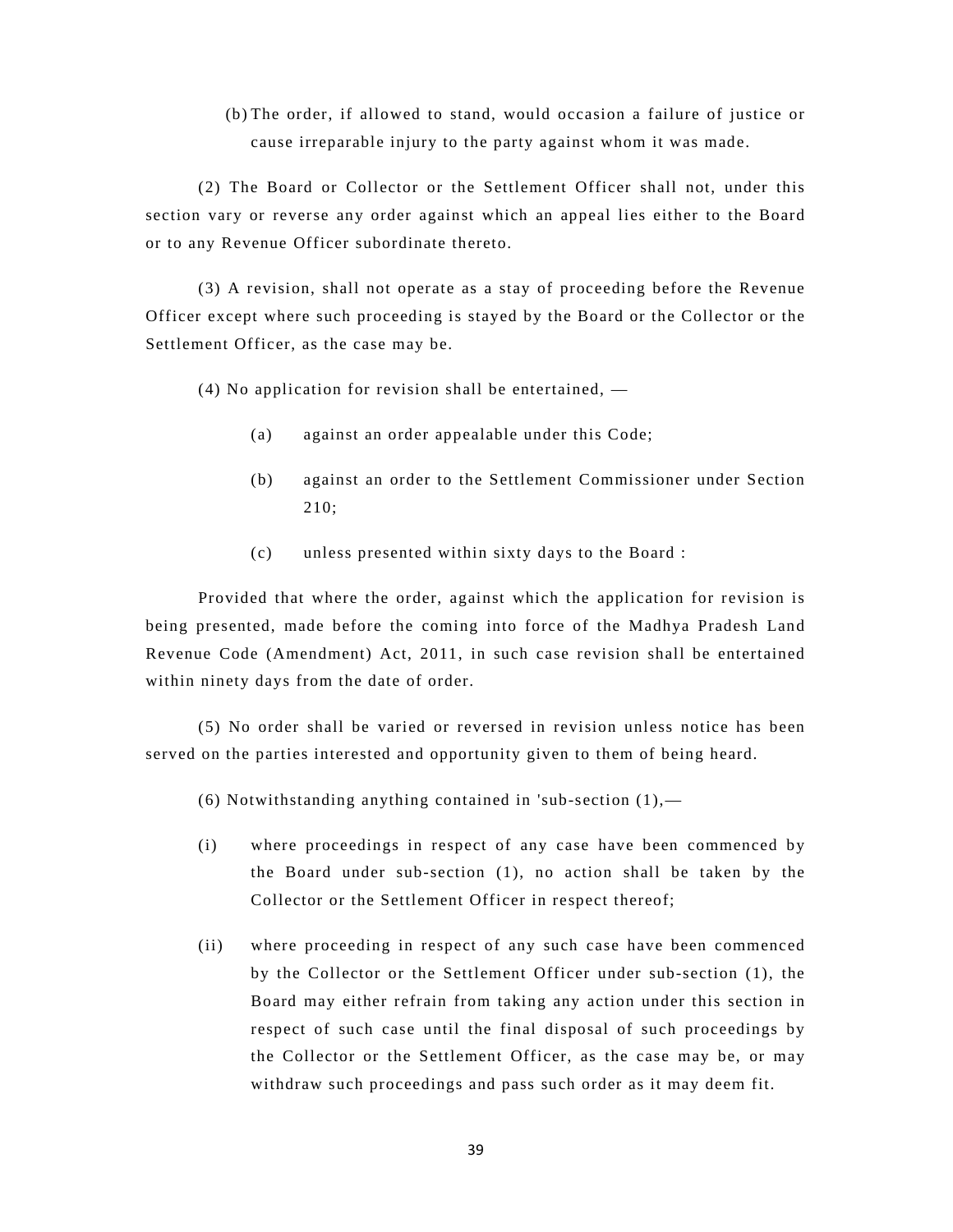(b) The order, if allowed to stand, would occasion a failure of justice or cause irreparable injury to the party against whom it was made.

(2) The Board or Collector or the Settlement Officer shall not, under this section vary or reverse any order against which an appeal lies either to the Board or to any Revenue Officer subordinate thereto.

(3) A revision, shall not operate as a stay of proceeding before the Revenue Officer except where such proceeding is stayed by the Board or the Collector or the Settlement Officer, as the case may be.

(4) No application for revision shall be entertained, —

- (a) against an order appealable under this Code;
- (b) against an order to the Settlement Commissioner under Section 210;
- (c) unless presented within sixty days to the Board :

Provided that where the order, against which the application for revision is being presented, made before the coming into force of the Madhya Pradesh Land Revenue Code (Amendment) Act, 2011, in such case revision shall be entertained within ninety days from the date of order.

(5) No order shall be varied or reversed in revision unless notice has been served on the parties interested and opportunity given to them of being heard.

(6) Notwithstanding anything contained in 'sub-section  $(1)$ ,—

- (i) where proceedings in respect of any case have been commenced by the Board under sub-section (1), no action shall be taken by the Collector or the Settlement Officer in respect thereof;
- (ii) where proceeding in respect of any such case have been commenced by the Collector or the Settlement Officer under sub-section (1), the Board may either refrain from taking any action under this section in respect of such case until the final disposal of such proceedings by the Collector or the Settlement Officer, as the case may be, or may withdraw such proceedings and pass such order as it may deem fit.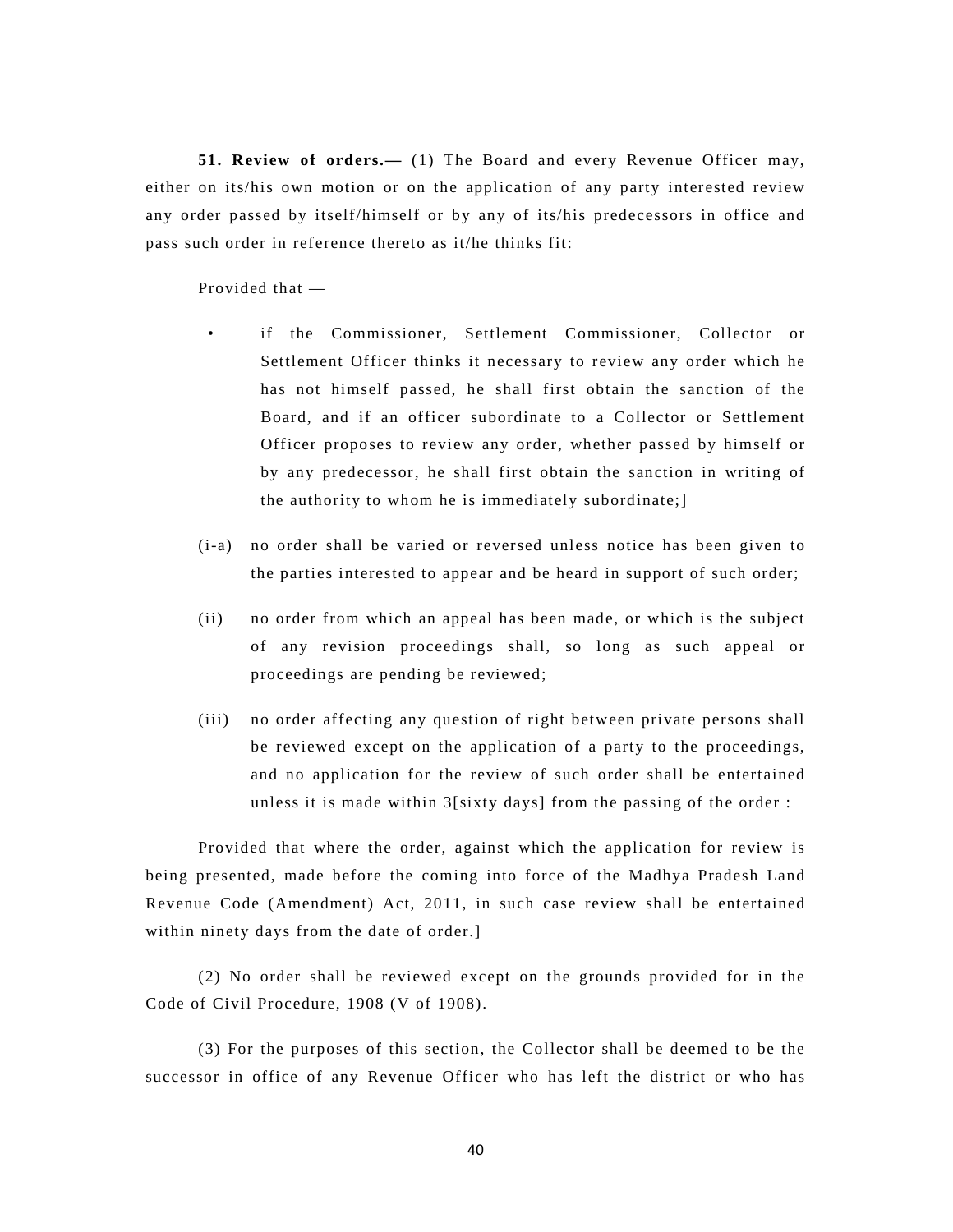**51. Review of orders.—** (1) The Board and every Revenue Officer may, either on its/his own motion or on the application of any party interested review any order passed by itself/himself or by any of its/his predecessors in office and pass such order in reference thereto as it/he thinks fit:

Provided that —

- if the Commissioner, Settlement Commissioner, Collector or Settlement Officer thinks it necessary to review any order which he has not himself passed, he shall first obtain the sanction of the Board, and if an officer subordinate to a Collector or Settlement Officer proposes to review any order, whether passed by himself or by any predecessor, he shall first obtain the sanction in writing of the authority to whom he is immediately subordinate;]
- (i-a) no order shall be varied or reversed unless notice has been given to the parties interested to appear and be heard in support of such order;
- (ii) no order from which an appeal has been made, or which is the subject of any revision proceedings shall, so long as such appeal or proceedings are pending be reviewed;
- (iii) no order affecting any question of right between private persons shall be reviewed except on the application of a party to the proceedings, and no application for the review of such order shall be entertained unless it is made within 3[sixty days] from the passing of the order :

Provided that where the order, against which the application for review is being presented, made before the coming into force of the Madhya Pradesh Land Revenue Code (Amendment) Act, 2011, in such case review shall be entertained within ninety days from the date of order.]

(2) No order shall be reviewed except on the grounds provided for in the Code of Civil Procedure, 1908 (V of 1908).

(3) For the purposes of this section, the Collector shall be deemed to be the successor in office of any Revenue Officer who has left the district or who has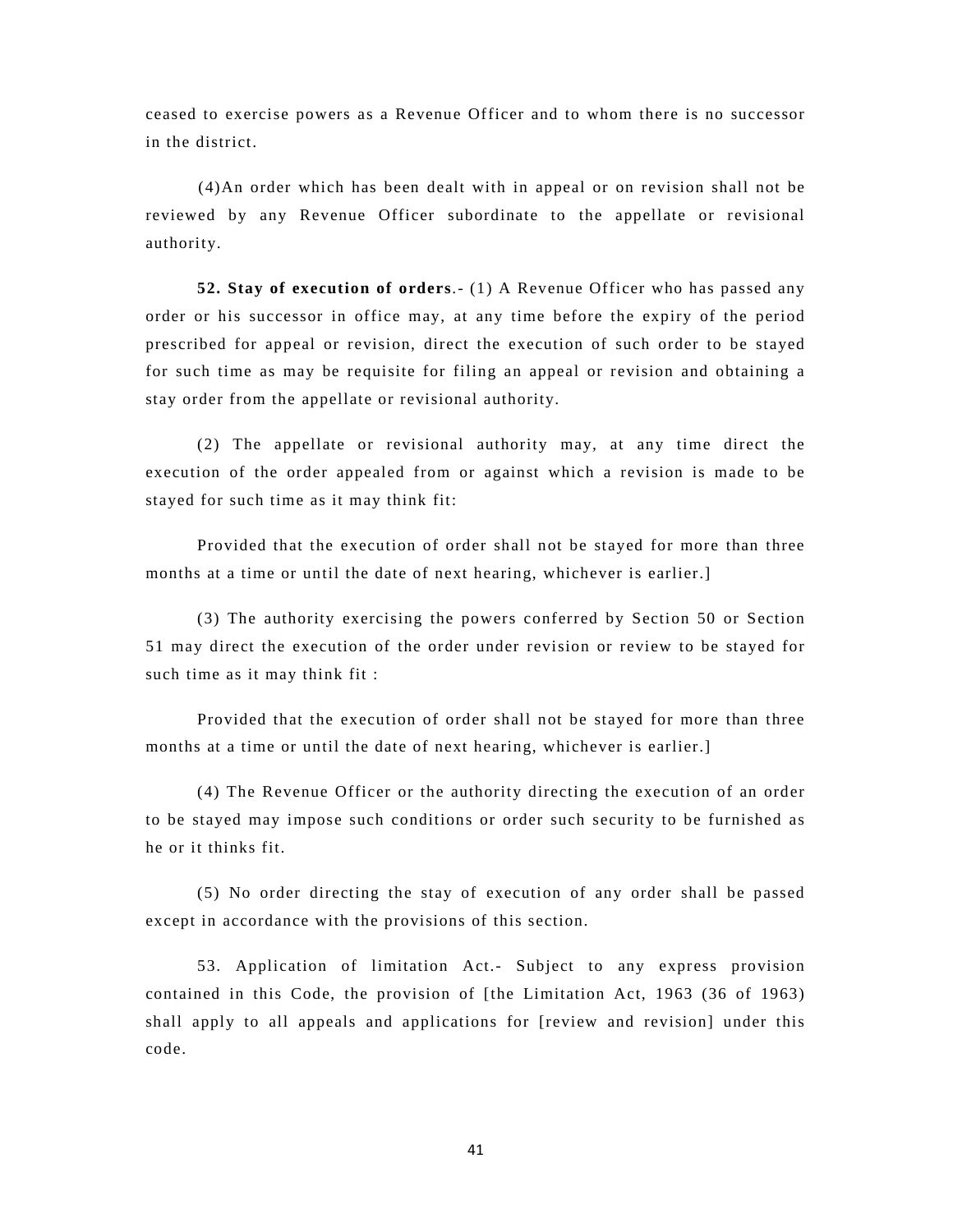ceased to exercise powers as a Revenue Officer and to whom there is no successor in the district.

(4)An order which has been dealt with in appeal or on revision shall not be reviewed by any Revenue Officer subordinate to the appellate or revisional authority.

**52. Stay of execution of orders**.- (1) A Revenue Officer who has passed any order or his successor in office may, at any time before the expiry of the period prescribed for appeal or revision, direct the execution of such order to be stayed for such time as may be requisite for filing an appeal or revision and obtaining a stay order from the appellate or revisional authority.

(2) The appellate or revisional authority may, at any time direct the execution of the order appealed from or against which a revision is made to be stayed for such time as it may think fit:

Provided that the execution of order shall not be stayed for more than three months at a time or until the date of next hearing, whichever is earlier.]

(3) The authority exercising the powers conferred by Section 50 or Section 51 may direct the execution of the order under revision or review to be stayed for such time as it may think fit :

Provided that the execution of order shall not be stayed for more than three months at a time or until the date of next hearing, whichever is earlier.]

(4) The Revenue Officer or the authority directing the execution of an order to be stayed may impose such conditions or order such security to be furnished as he or it thinks fit.

(5) No order directing the stay of execution of any order shall be passed except in accordance with the provisions of this section.

53. Application of limitation Act.- Subject to any express provision contained in this Code, the provision of [the Limitation Act, 1963 (36 of 1963) shall apply to all appeals and applications for [review and revision] under this code.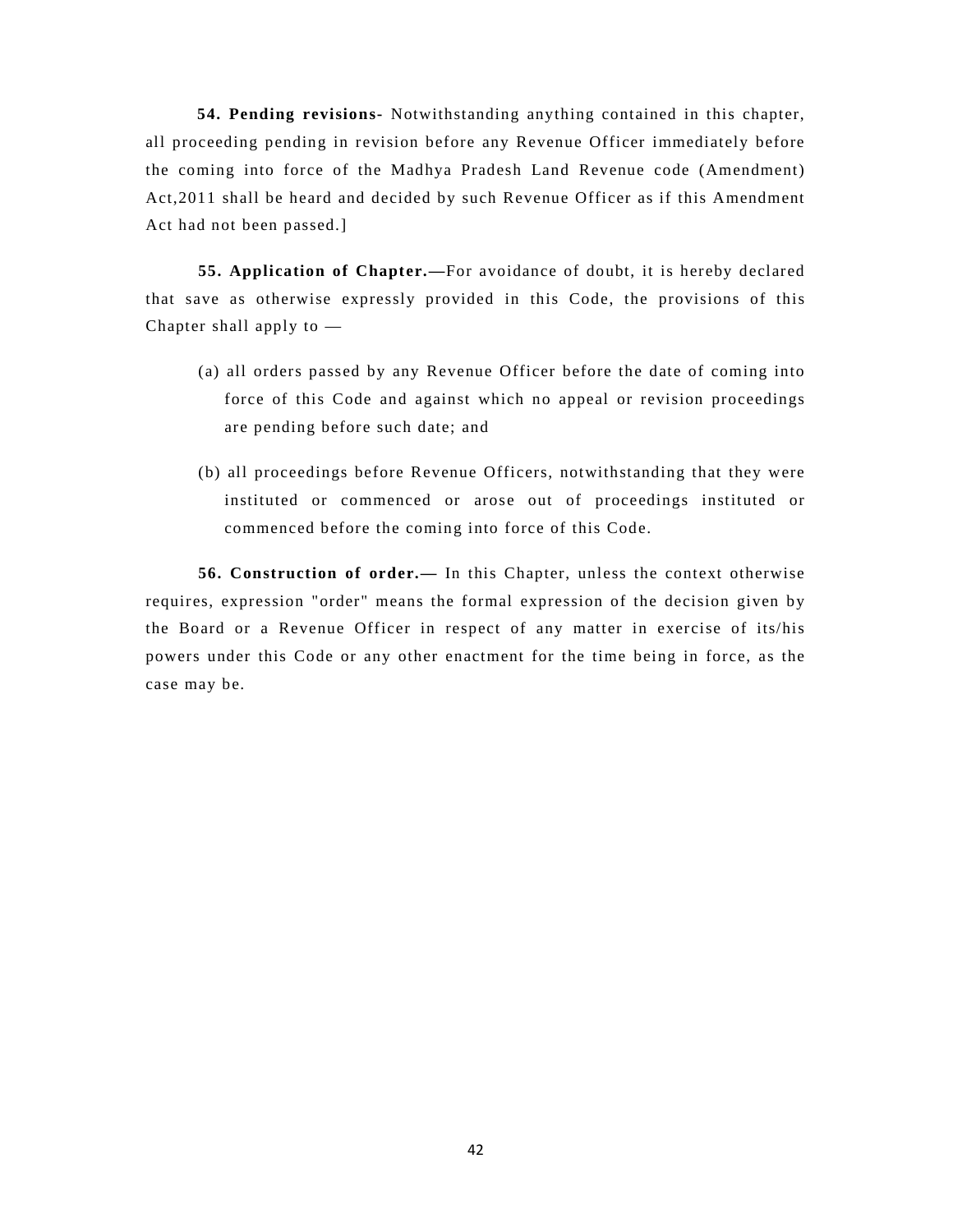**54. Pending revisions-** Notwithstanding anything contained in this chapter, all proceeding pending in revision before any Revenue Officer immediately before the coming into force of the Madhya Pradesh Land Revenue code (Amendment) Act,2011 shall be heard and decided by such Revenue Officer as if this Amendment Act had not been passed.]

**55. Application of Chapter.—**For avoidance of doubt, it is hereby declared that save as otherwise expressly provided in this Code, the provisions of this Chapter shall apply to —

- (a) all orders passed by any Revenue Officer before the date of coming into force of this Code and against which no appeal or revision proceedings are pending before such date; and
- (b) all proceedings before Revenue Officers, notwithstanding that they were instituted or commenced or arose out of proceedings instituted or commenced before the coming into force of this Code.

**56. Construction of order.—** In this Chapter, unless the context otherwise requires, expression "order" means the formal expression of the decision given by the Board or a Revenue Officer in respect of any matter in exercise of its/his powers under this Code or any other enactment for the time being in force, as the case may be.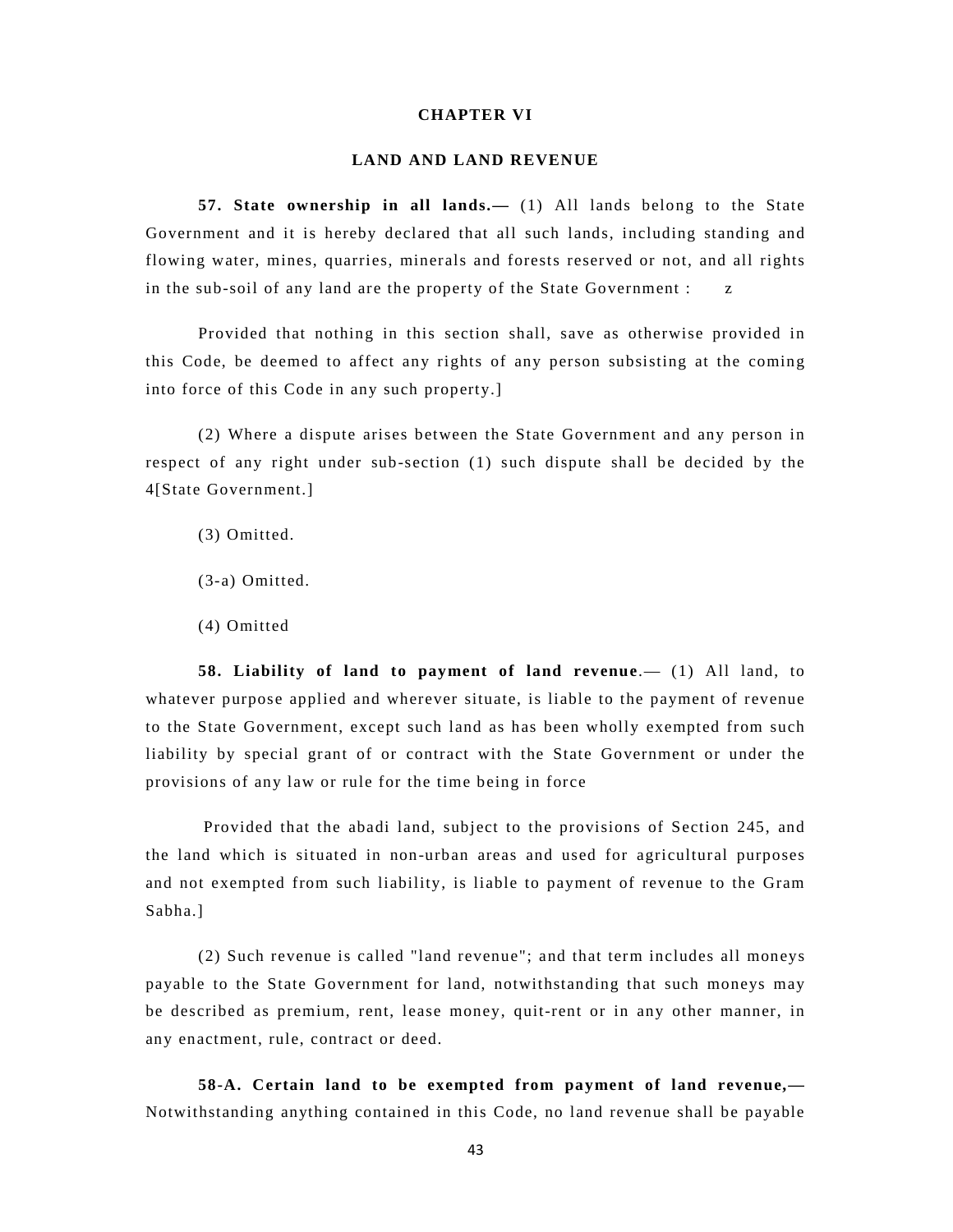## **CHAPTER VI**

### **LAND AND LAND REVENUE**

**57. State ownership in all lands.—** (1) All lands belong to the State Government and it is hereby declared that all such lands, including standing and flowing water, mines, quarries, minerals and forests reserved or not, and all rights in the sub-soil of any land are the property of the State Government : z

Provided that nothing in this section shall, save as otherwise provided in this Code, be deemed to affect any rights of any person subsisting at the coming into force of this Code in any such property.]

(2) Where a dispute arises between the State Government and any person in respect of any right under sub-section (1) such dispute shall be decided by the 4[State Government.]

- (3) Omitted.
- (3-a) Omitted.
- (4) Omitted

**58. Liability of land to payment of land revenue**.— (1) All land, to whatever purpose applied and wherever situate, is liable to the payment of revenue to the State Government, except such land as has been wholly exempted from such liability by special grant of or contract with the State Government or under the provisions of any law or rule for the time being in force

 Provided that the abadi land, subject to the provisions of Section 245, and the land which is situated in non-urban areas and used for agricultural purposes and not exempted from such liability, is liable to payment of revenue to the Gram Sabha.]

(2) Such revenue is called "land revenue"; and that term includes all moneys payable to the State Government for land, notwithstanding that such moneys may be described as premium, rent, lease money, quit-rent or in any other manner, in any enactment, rule, contract or deed.

**58-A. Certain land to be exempted from payment of land revenue,—** Notwithstanding anything contained in this Code, no land revenue shall be payable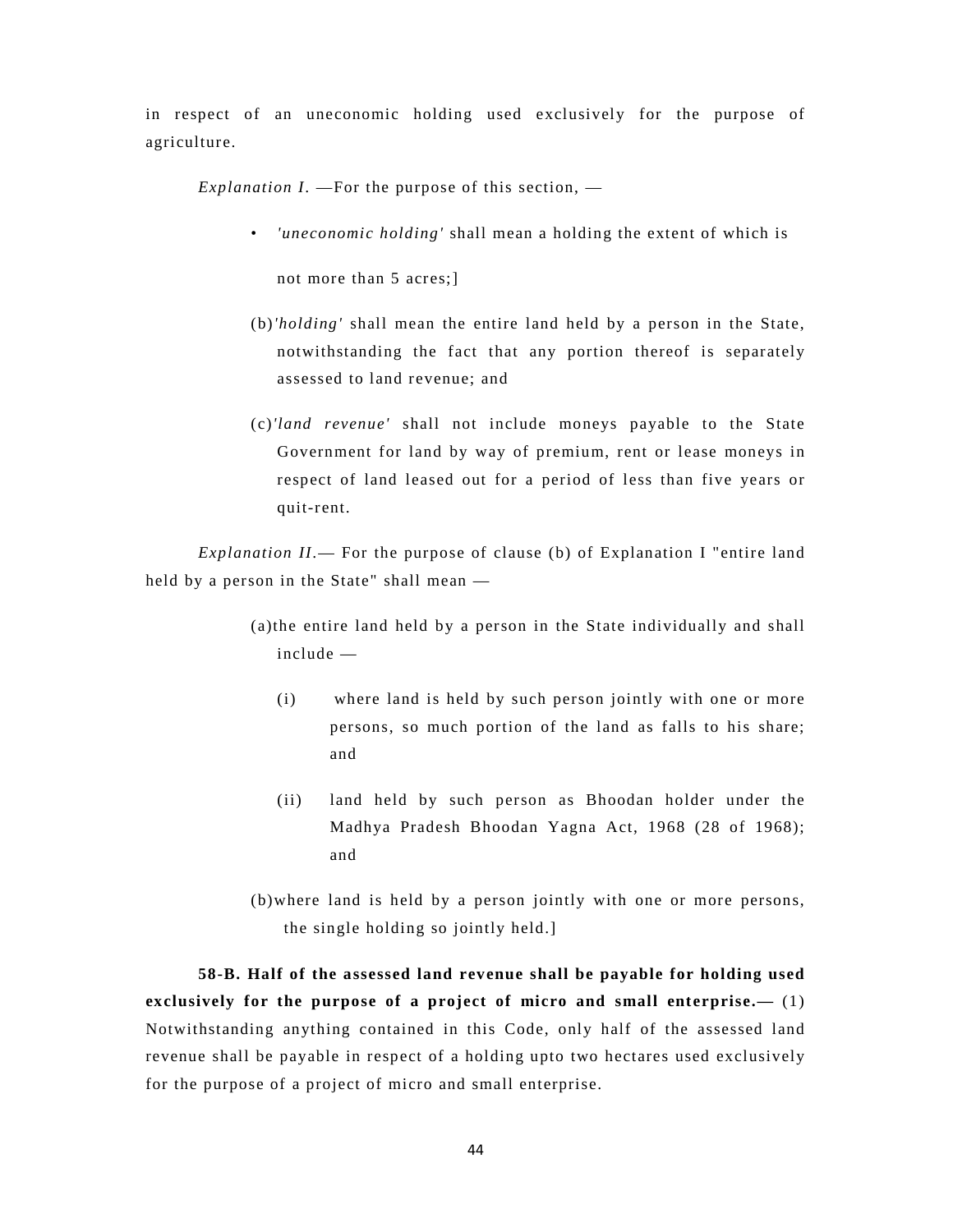in respect of an uneconomic holding used exclusively for the purpose of agriculture.

*Explanation I*. —For the purpose of this section, —

*'uneconomic holding'* shall mean a holding the extent of which is

not more than 5 acres;]

- (b)*'holding'* shall mean the entire land held by a person in the State, notwithstanding the fact that any portion thereof is separately assessed to land revenue; and
- (c)*'land revenue'* shall not include moneys payable to the State Government for land by way of premium, rent or lease moneys in respect of land leased out for a period of less than five years or quit-rent.

*Explanation II*.— For the purpose of clause (b) of Explanation I "entire land held by a person in the State" shall mean —

- (a)the entire land held by a person in the State individually and shall include —
	- (i) where land is held by such person jointly with one or more persons, so much portion of the land as falls to his share; and
	- (ii) land held by such person as Bhoodan holder under the Madhya Pradesh Bhoodan Yagna Act, 1968 (28 of 1968); and
- (b)where land is held by a person jointly with one or more persons, the single holding so jointly held.]

**58-B. Half of the assessed land revenue shall be payable for holding used exclusively for the purpose of a project of micro and small enterprise.—** (1) Notwithstanding anything contained in this Code, only half of the assessed land revenue shall be payable in respect of a holding upto two hectares used exclusively for the purpose of a project of micro and small enterprise.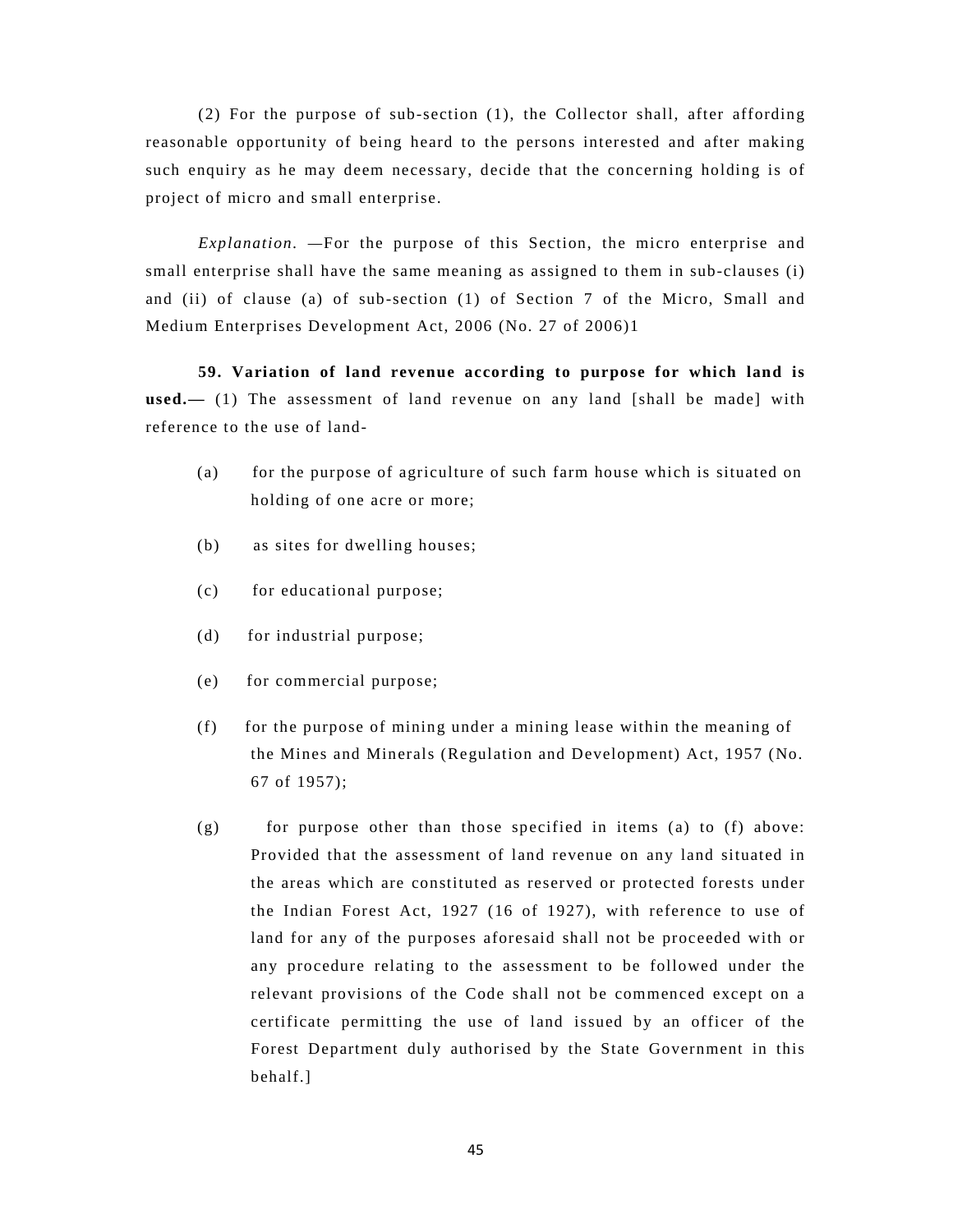(2) For the purpose of sub-section (1), the Collector shall, after affording reasonable opportunity of being heard to the persons interested and after making such enquiry as he may deem necessary, decide that the concerning holding is of project of micro and small enterprise.

*Explanation. —*For the purpose of this Section, the micro enterprise and small enterprise shall have the same meaning as assigned to them in sub-clauses (i) and (ii) of clause (a) of sub-section (1) of Section 7 of the Micro, Small and Medium Enterprises Development Act, 2006 (No. 27 of 2006)1

**59. Variation of land revenue according to purpose for which land is used.—** (1) The assessment of land revenue on any land [shall be made] with reference to the use of land-

- (a) for the purpose of agriculture of such farm house which is situated on holding of one acre or more;
- (b) as sites for dwelling houses;
- (c) for educational purpose;
- (d) for industrial purpose;
- (e) for commercial purpose;
- (f) for the purpose of mining under a mining lease within the meaning of the Mines and Minerals (Regulation and Development) Act, 1957 (No. 67 of 1957);
- $(g)$  for purpose other than those specified in items (a) to  $(f)$  above: Provided that the assessment of land revenue on any land situated in the areas which are constituted as reserved or protected forests under the Indian Forest Act, 1927 (16 of 1927), with reference to use of land for any of the purposes aforesaid shall not be proceeded with or any procedure relating to the assessment to be followed under the relevant provisions of the Code shall not be commenced except on a certificate permitting the use of land issued by an officer of the Forest Department duly authorised by the State Government in this behalf.]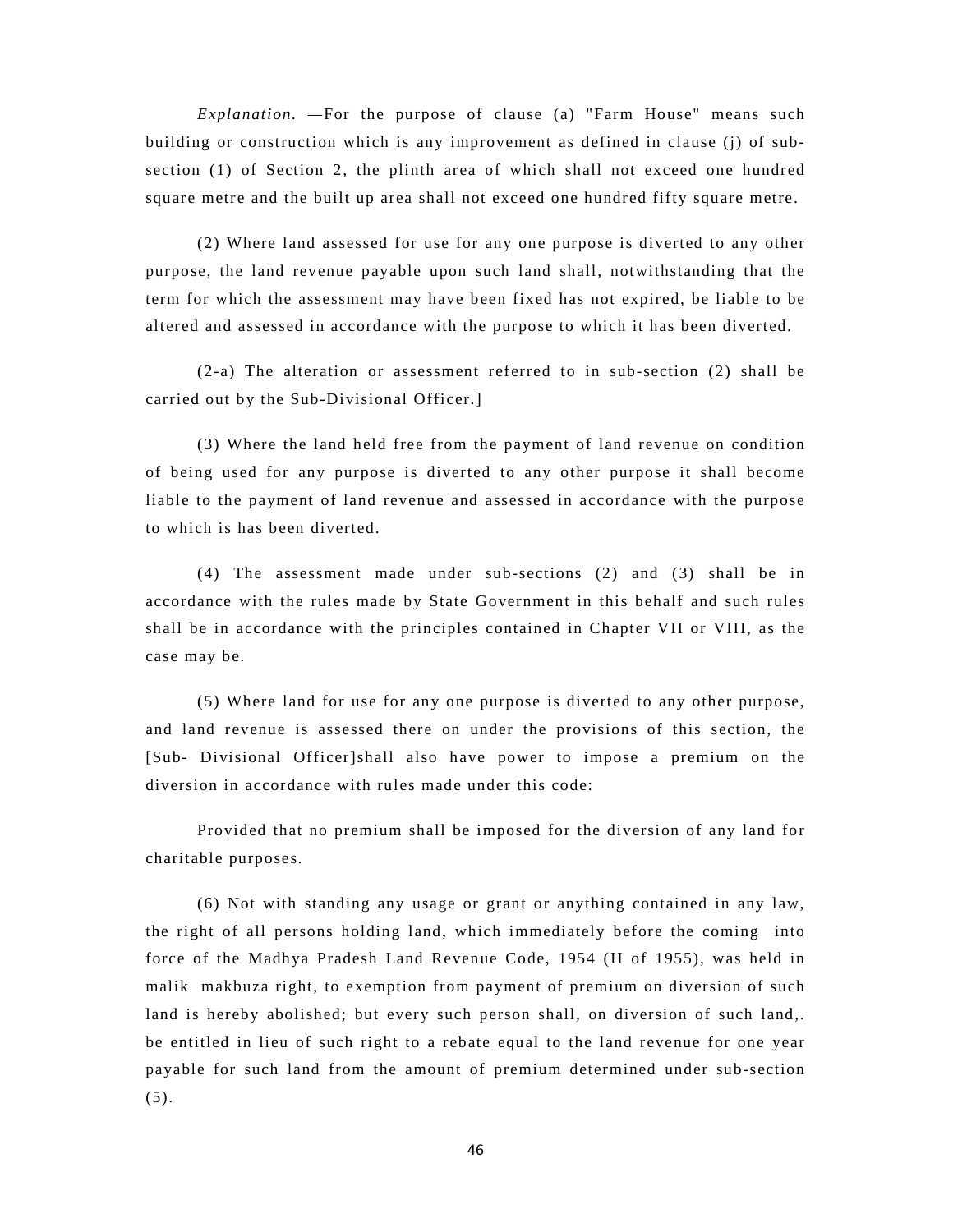*Explanation. —*For the purpose of clause (a) "Farm House" means such building or construction which is any improvement as defined in clause (j) of subsection (1) of Section 2, the plinth area of which shall not exceed one hundred square metre and the built up area shall not exceed one hundred fifty square metre.

(2) Where land assessed for use for any one purpose is diverted to any other purpose, the land revenue payable upon such land shall, notwithstanding that the term for which the assessment may have been fixed has not expired, be liable to be altered and assessed in accordance with the purpose to which it has been diverted.

(2-a) The alteration or assessment referred to in sub-section (2) shall be carried out by the Sub-Divisional Officer.]

(3) Where the land held free from the payment of land revenue on condition of being used for any purpose is diverted to any other purpose it shall become liable to the payment of land revenue and assessed in accordance with the purpose to which is has been diverted.

(4) The assessment made under sub-sections (2) and (3) shall be in accordance with the rules made by State Government in this behalf and such rules shall be in accordance with the principles contained in Chapter VII or VIII, as the case may be.

(5) Where land for use for any one purpose is diverted to any other purpose, and land revenue is assessed there on under the provisions of this section, the [Sub- Divisional Officer]shall also have power to impose a premium on the diversion in accordance with rules made under this code:

Provided that no premium shall be imposed for the diversion of any land for charitable purposes.

(6) Not with standing any usage or grant or anything contained in any law, the right of all persons holding land, which immediately before the coming into force of the Madhya Pradesh Land Revenue Code, 1954 (II of 1955), was held in malik makbuza right, to exemption from payment of premium on diversion of such land is hereby abolished; but every such person shall, on diversion of such land,. be entitled in lieu of such right to a rebate equal to the land revenue for one year payable for such land from the amount of premium determined under sub-section  $(5).$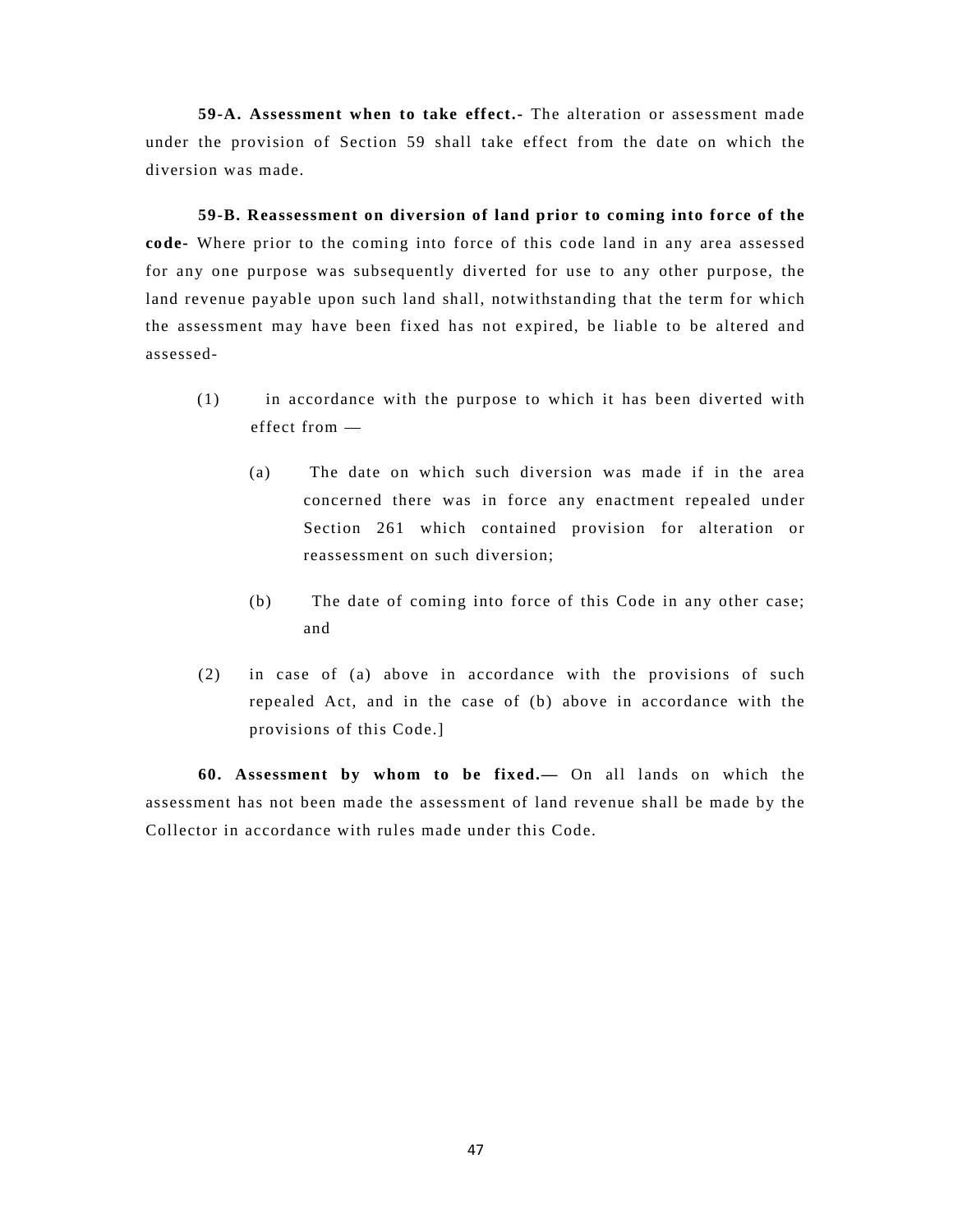**59-A. Assessment when to take effect.-** The alteration or assessment made under the provision of Section 59 shall take effect from the date on which the diversion was made.

**59-B. Reassessment on diversion of land prior to coming into force of the code-** Where prior to the coming into force of this code land in any area assessed for any one purpose was subsequently diverted for use to any other purpose, the land revenue payable upon such land shall, notwithstanding that the term for which the assessment may have been fixed has not expired, be liable to be altered and assessed-

- (1) in accordance with the purpose to which it has been diverted with effect from —
	- (a) The date on which such diversion was made if in the area concerned there was in force any enactment repealed under Section 261 which contained provision for alteration or reassessment on such diversion;
	- (b) The date of coming into force of this Code in any other case; and
- (2) in case of (a) above in accordance with the provisions of such repealed Act, and in the case of (b) above in accordance with the provisions of this Code.]

**60. Assessment by whom to be fixed.—** On all lands on which the assessment has not been made the assessment of land revenue shall be made by the Collector in accordance with rules made under this Code.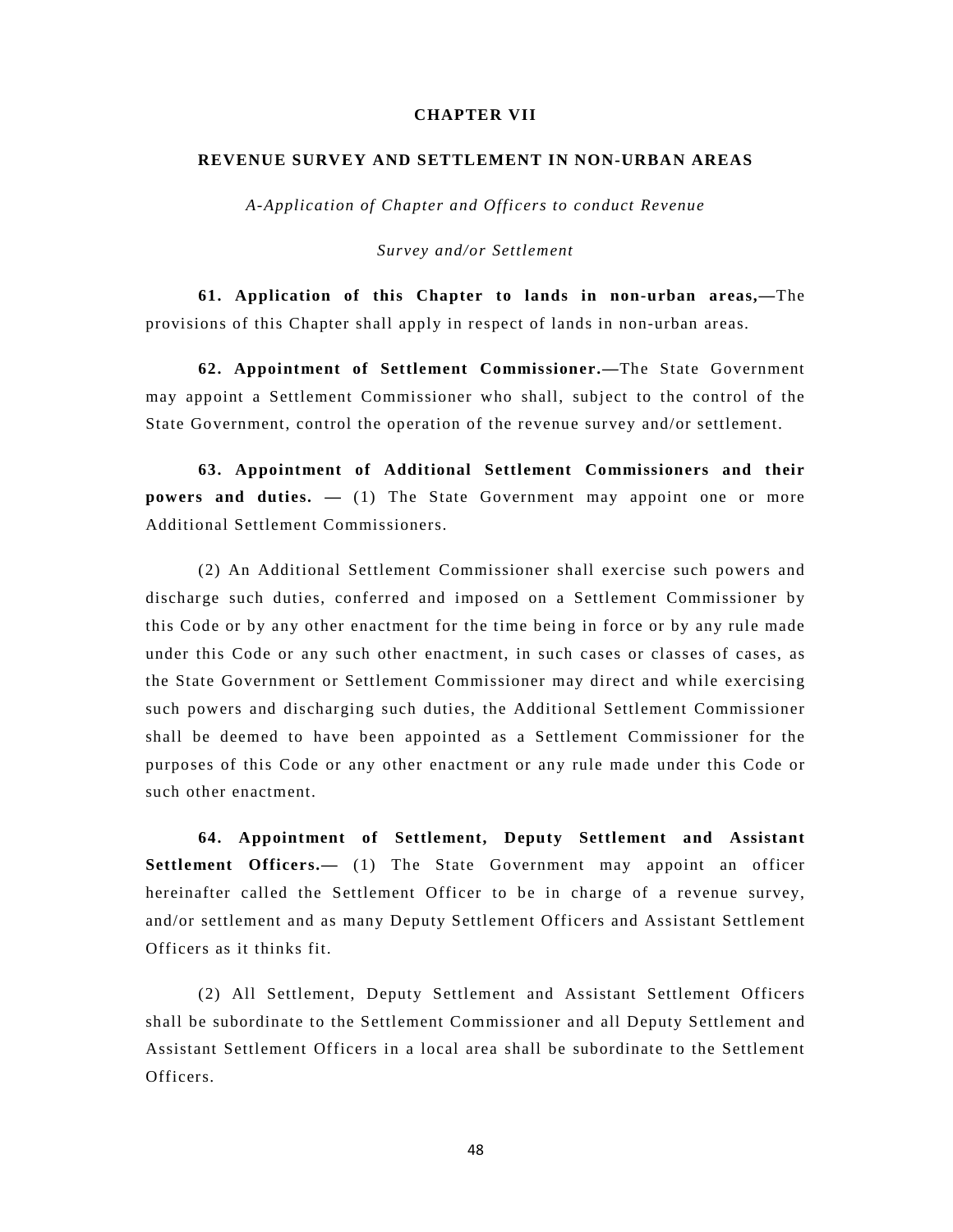## **CHAPTER VII**

#### **REVENUE SURVEY AND SETTLEMENT IN NON-URBAN AREAS**

*A-Application of Chapter and Officers to conduct Revenue* 

*Survey and/or Settlement*

**61. Application of this Chapter to lands in non-urban areas,—**The provisions of this Chapter shall apply in respect of lands in non-urban areas.

**62. Appointment of Settlement Commissioner.—**The State Government may appoint a Settlement Commissioner who shall, subject to the control of the State Government, control the operation of the revenue survey and/or settlement.

**63. Appointment of Additional Settlement Commissioners and their powers and duties.**  $-$  (1) The State Government may appoint one or more Additional Settlement Commissioners.

(2) An Additional Settlement Commissioner shall exercise such powers and discharge such duties, conferred and imposed on a Settlement Commissioner by this Code or by any other enactment for the time being in force or by any rule made under this Code or any such other enactment, in such cases or classes of cases, as the State Government or Settlement Commissioner may direct and while exercising such powers and discharging such duties, the Additional Settlement Commissioner shall be deemed to have been appointed as a Settlement Commissioner for the purposes of this Code or any other enactment or any rule made under this Code or such other enactment.

**64. Appointment of Settlement, Deputy Settlement and Assistant Settlement Officers.—** (1) The State Government may appoint an officer hereinafter called the Settlement Officer to be in charge of a revenue survey, and/or settlement and as many Deputy Settlement Officers and Assistant Settlement Officers as it thinks fit.

(2) All Settlement, Deputy Settlement and Assistant Settlement Officers shall be subordinate to the Settlement Commissioner and all Deputy Settlement and Assistant Settlement Officers in a local area shall be subordinate to the Settlement Officers.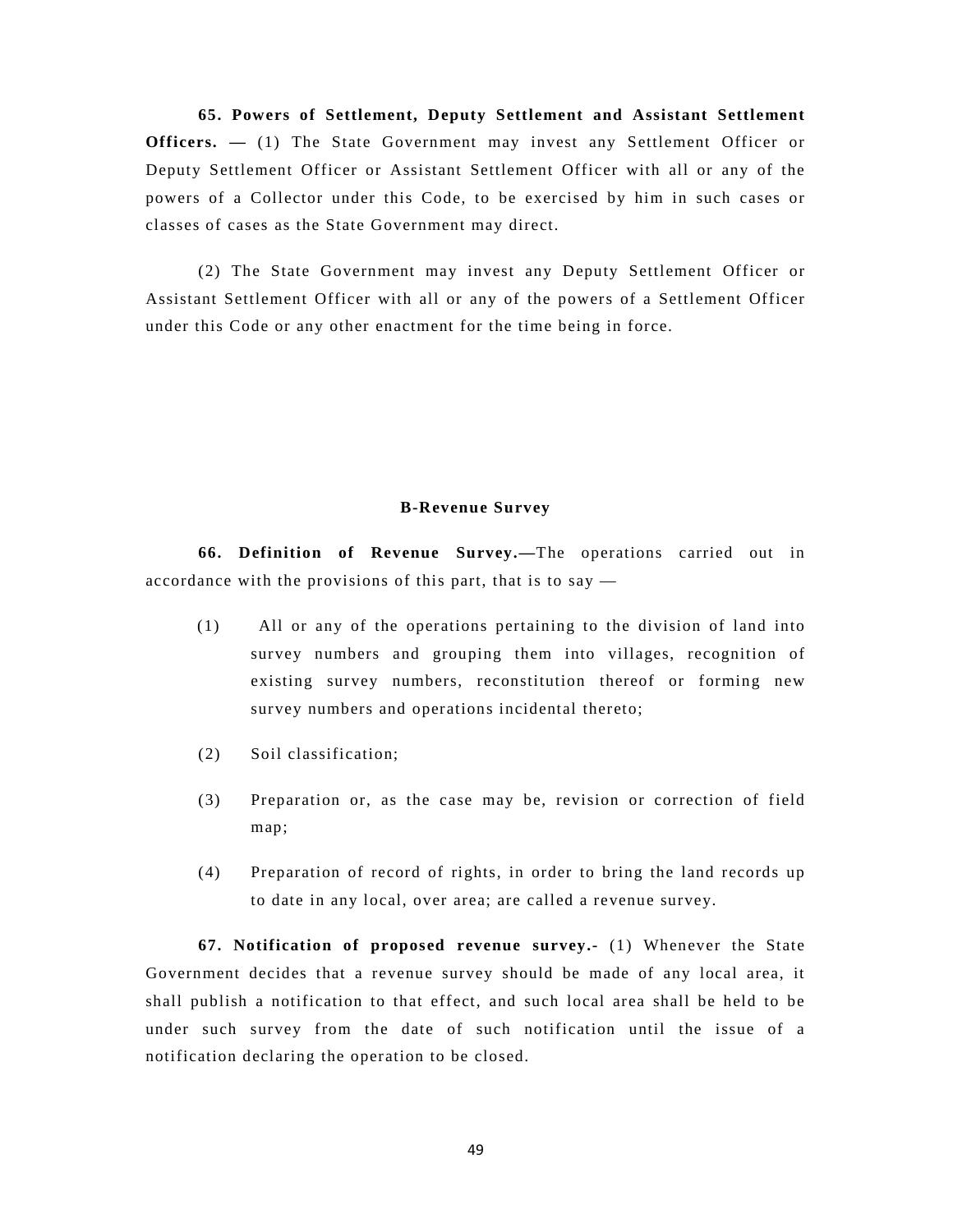**65. Powers of Settlement, Deputy Settlement and Assistant Settlement Officers.**  $-$  (1) The State Government may invest any Settlement Officer or Deputy Settlement Officer or Assistant Settlement Officer with all or any of the powers of a Collector under this Code, to be exercised by him in such cases or classes of cases as the State Government may direct.

(2) The State Government may invest any Deputy Settlement Officer or Assistant Settlement Officer with all or any of the powers of a Settlement Officer under this Code or any other enactment for the time being in force.

## **B-Revenue Survey**

**66. Definition of Revenue Survey.—**The operations carried out in accordance with the provisions of this part, that is to say  $-$ 

- (1) All or any of the operations pertaining to the division of land into survey numbers and grouping them into villages, recognition of existing survey numbers, reconstitution thereof or forming new survey numbers and operations incidental thereto;
- (2) Soil classification;
- (3) Preparation or, as the case may be, revision or correction of field map;
- (4) Preparation of record of rights, in order to bring the land records up to date in any local, over area; are called a revenue survey.

**67. Notification of proposed revenue survey.-** (1) Whenever the State Government decides that a revenue survey should be made of any local area, it shall publish a notification to that effect, and such local area shall be held to be under such survey from the date of such notification until the issue of a notification declaring the operation to be closed.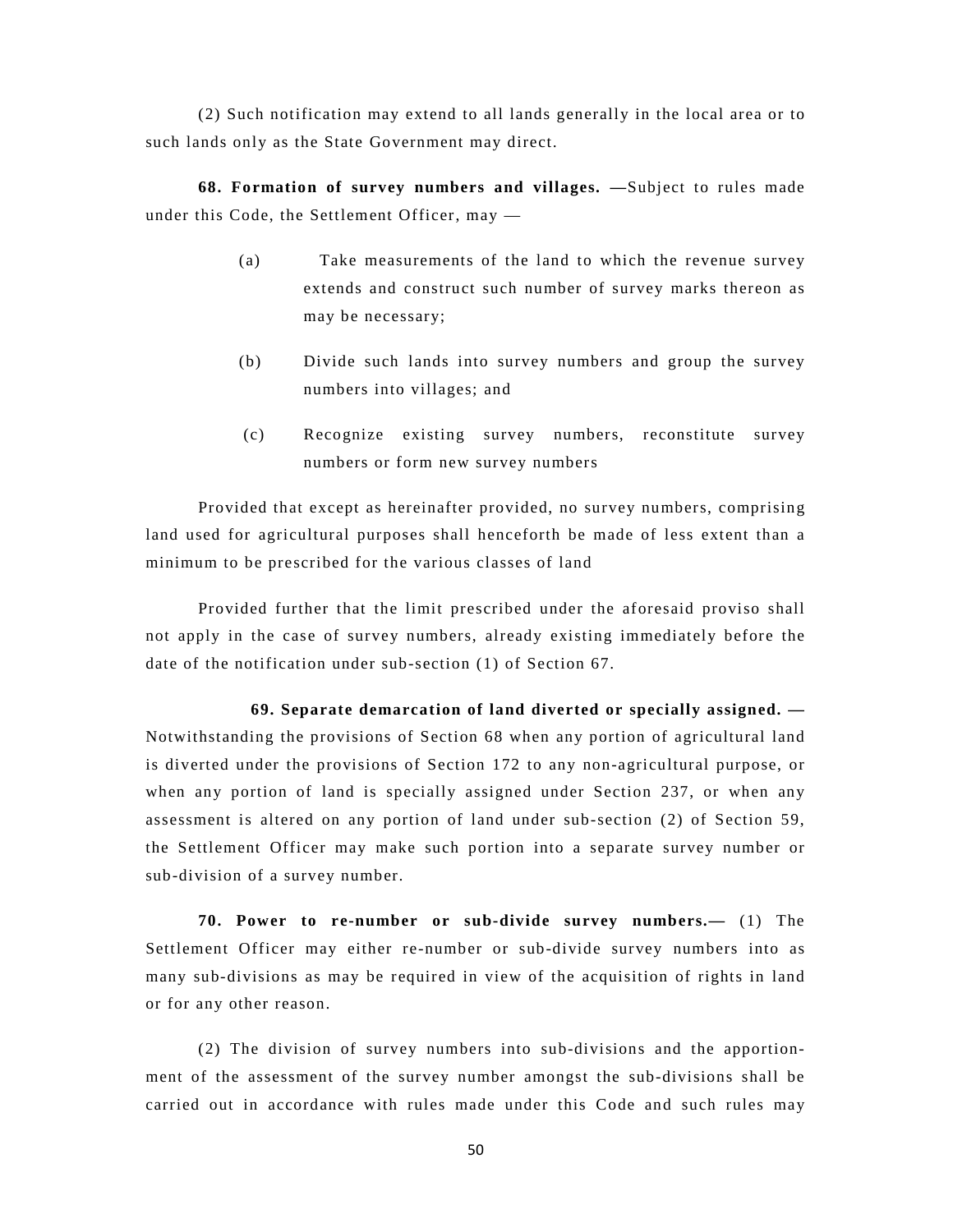(2) Such notification may extend to all lands generally in the local area or to such lands only as the State Government may direct.

**68. Formation of survey numbers and villages. —**Subject to rules made under this Code, the Settlement Officer, may —

- (a) Take measurements of the land to which the revenue survey extends and construct such number of survey marks thereon as may be necessary;
- (b) Divide such lands into survey numbers and group the survey numbers into villages; and
- (c) Recognize existing survey numbers, reconstitute survey numbers or form new survey numbers

Provided that except as hereinafter provided, no survey numbers, comprising land used for agricultural purposes shall henceforth be made of less extent than a minimum to be prescribed for the various classes of land

Provided further that the limit prescribed under the aforesaid proviso shall not apply in the case of survey numbers, already existing immediately before the date of the notification under sub-section (1) of Section 67.

**69. Separate demarcation of land diverted or specially assigned. —** Notwithstanding the provisions of Section 68 when any portion of agricultural land is diverted under the provisions of Section 172 to any non-agricultural purpose, or when any portion of land is specially assigned under Section 237, or when any assessment is altered on any portion of land under sub-section (2) of Section 59, the Settlement Officer may make such portion into a separate survey number or sub-division of a survey number.

**70. Power to re-number or sub-divide survey numbers.—** (1) The Settlement Officer may either re-number or sub-divide survey numbers into as many sub-divisions as may be required in view of the acquisition of rights in land or for any other reason.

(2) The division of survey numbers into sub-divisions and the apportionment of the assessment of the survey number amongst the sub-divisions shall be carried out in accordance with rules made under this Code and such rules may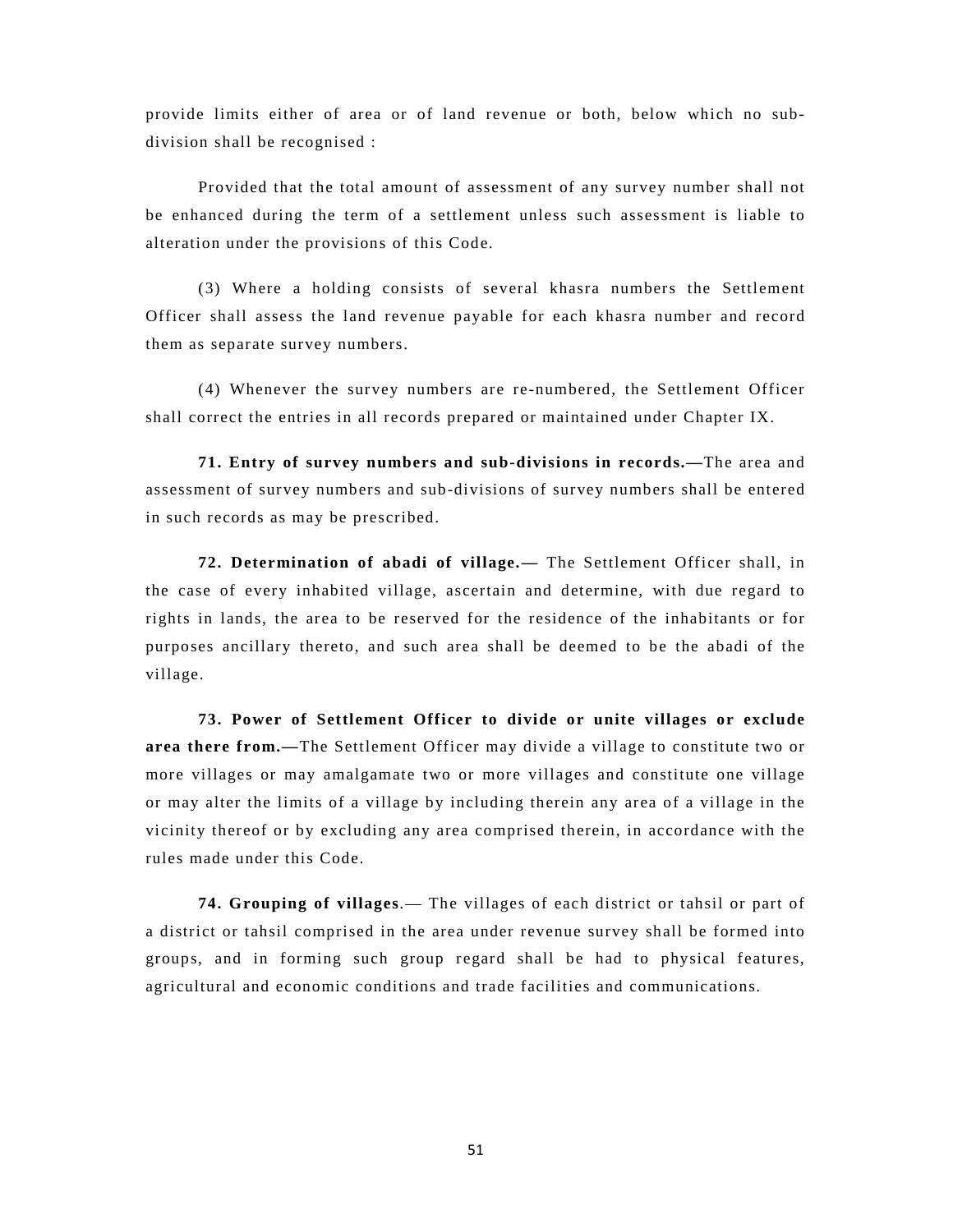provide limits either of area or of land revenue or both, below which no subdivision shall be recognised :

Provided that the total amount of assessment of any survey number shall not be enhanced during the term of a settlement unless such assessment is liable to alteration under the provisions of this Code.

(3) Where a holding consists of several khasra numbers the Settlement Officer shall assess the land revenue payable for each khasra number and record them as separate survey numbers.

(4) Whenever the survey numbers are re-numbered, the Settlement Officer shall correct the entries in all records prepared or maintained under Chapter IX.

**71. Entry of survey numbers and sub-divisions in records.—**The area and assessment of survey numbers and sub-divisions of survey numbers shall be entered in such records as may be prescribed.

**72. Determination of abadi of village.—** The Settlement Officer shall, in the case of every inhabited village, ascertain and determine, with due regard to rights in lands, the area to be reserved for the residence of the inhabitants or for purposes ancillary thereto, and such area shall be deemed to be the abadi of the village.

**73. Power of Settlement Officer to divide or unite villages or exclude area there from.—**The Settlement Officer may divide a village to constitute two or more villages or may amalgamate two or more villages and constitute one village or may alter the limits of a village by including therein any area of a village in the vicinity thereof or by excluding any area comprised therein, in accordance with the rules made under this Code.

**74. Grouping of villages**.— The villages of each district or tahsil or part of a district or tahsil comprised in the area under revenue survey shall be formed into groups, and in forming such group regard shall be had to physical features, agricultural and economic conditions and trade facilities and communications.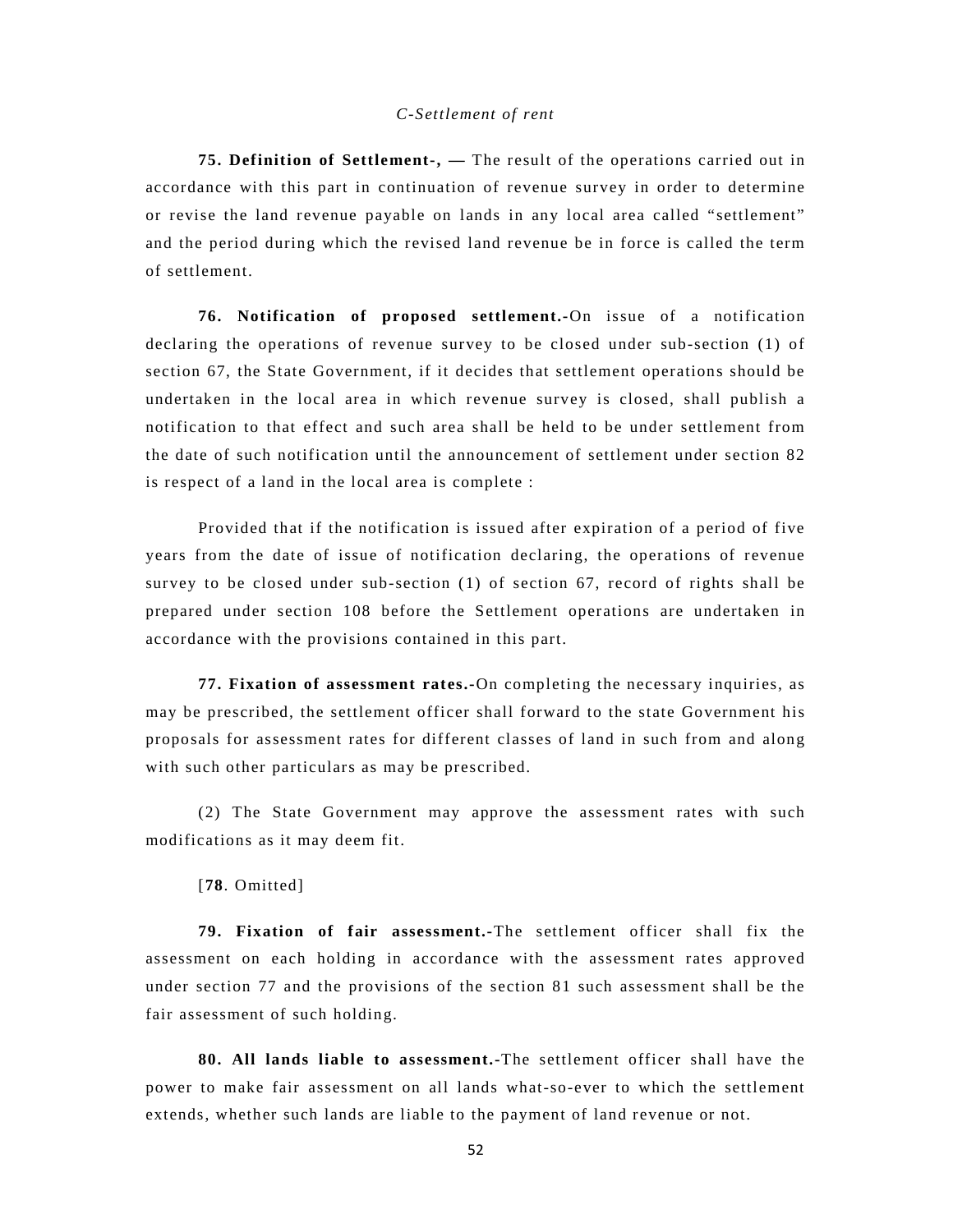#### *C-Settlement of rent*

**75. Definition of Settlement-, —** The result of the operations carried out in accordance with this part in continuation of revenue survey in order to determine or revise the land revenue payable on lands in any local area called "settlement" and the period during which the revised land revenue be in force is called the term of settlement.

**76. Notification of proposed settlement.-**On issue of a notification declaring the operations of revenue survey to be closed under sub-section (1) of section 67, the State Government, if it decides that settlement operations should be undertaken in the local area in which revenue survey is closed, shall publish a notification to that effect and such area shall be held to be under settlement from the date of such notification until the announcement of settlement under section 82 is respect of a land in the local area is complete :

Provided that if the notification is issued after expiration of a period of five years from the date of issue of notification declaring, the operations of revenue survey to be closed under sub-section (1) of section 67, record of rights shall be prepared under section 108 before the Settlement operations are undertaken in accordance with the provisions contained in this part.

**77. Fixation of assessment rates.-**On completing the necessary inquiries, as may be prescribed, the settlement officer shall forward to the state Government his proposals for assessment rates for different classes of land in such from and along with such other particulars as may be prescribed.

(2) The State Government may approve the assessment rates with such modifications as it may deem fit.

[**78**. Omitted]

**79. Fixation of fair assessment.-**The settlement officer shall fix the assessment on each holding in accordance with the assessment rates approved under section 77 and the provisions of the section 81 such assessment shall be the fair assessment of such holding.

**80. All lands liable to assessment.-**The settlement officer shall have the power to make fair assessment on all lands what-so-ever to which the settlement extends, whether such lands are liable to the payment of land revenue or not.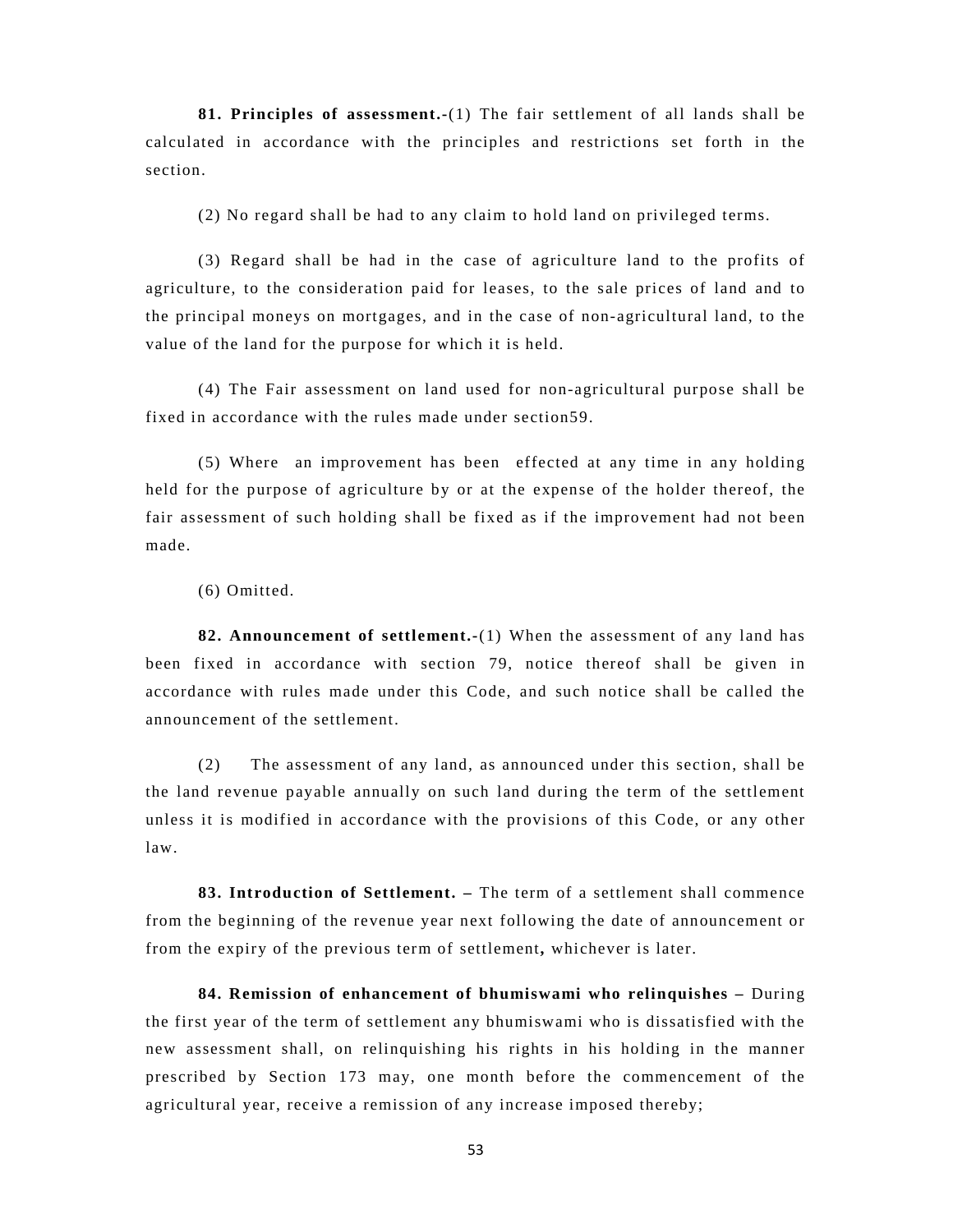**81. Principles of assessment.-**(1) The fair settlement of all lands shall be calculated in accordance with the principles and restrictions set forth in the section.

(2) No regard shall be had to any claim to hold land on privileged terms.

(3) Regard shall be had in the case of agriculture land to the profits of agriculture, to the consideration paid for leases, to the sale prices of land and to the principal moneys on mortgages, and in the case of non-agricultural land, to the value of the land for the purpose for which it is held.

(4) The Fair assessment on land used for non-agricultural purpose shall be fixed in accordance with the rules made under section59.

(5) Where an improvement has been effected at any time in any holding held for the purpose of agriculture by or at the expense of the holder thereof, the fair assessment of such holding shall be fixed as if the improvement had not been made.

(6) Omitted.

**82. Announcement of settlement.-**(1) When the assessment of any land has been fixed in accordance with section 79, notice thereof shall be given in accordance with rules made under this Code, and such notice shall be called the announcement of the settlement.

(2) The assessment of any land, as announced under this section, shall be the land revenue payable annually on such land during the term of the settlement unless it is modified in accordance with the provisions of this Code, or any other law.

**83. Introduction of Settlement. –** The term of a settlement shall commence from the beginning of the revenue year next following the date of announcement or from the expiry of the previous term of settlement**,** whichever is later.

**84. Remission of enhancement of bhumiswami who relinquishes –** During the first year of the term of settlement any bhumiswami who is dissatisfied with the new assessment shall, on relinquishing his rights in his holding in the manner prescribed by Section 173 may, one month before the commencement of the agricultural year, receive a remission of any increase imposed thereby;

53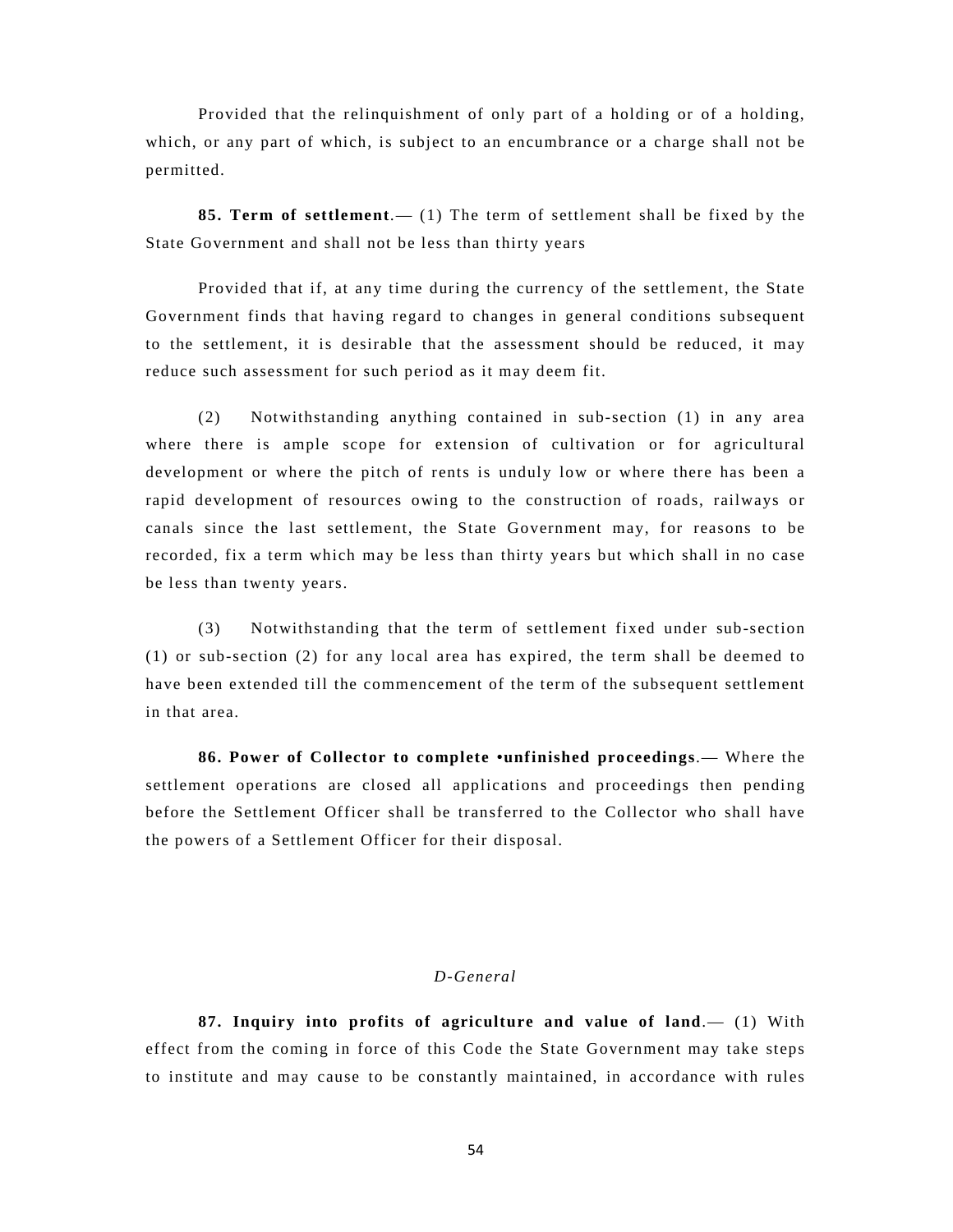Provided that the relinquishment of only part of a holding or of a holding, which, or any part of which, is subject to an encumbrance or a charge shall not be permitted.

**85. Term of settlement**.— (1) The term of settlement shall be fixed by the State Government and shall not be less than thirty years

Provided that if, at any time during the currency of the settlement, the State Government finds that having regard to changes in general conditions subsequent to the settlement, it is desirable that the assessment should be reduced, it may reduce such assessment for such period as it may deem fit.

(2) Notwithstanding anything contained in sub-section (1) in any area where there is ample scope for extension of cultivation or for agricultural development or where the pitch of rents is unduly low or where there has been a rapid development of resources owing to the construction of roads, railways or canals since the last settlement, the State Government may, for reasons to be recorded, fix a term which may be less than thirty years but which shall in no case be less than twenty years.

(3) Notwithstanding that the term of settlement fixed under sub-section (1) or sub-section (2) for any local area has expired, the term shall be deemed to have been extended till the commencement of the term of the subsequent settlement in that area.

**86. Power of Collector to complete •unfinished proceedings**.— Where the settlement operations are closed all applications and proceedings then pending before the Settlement Officer shall be transferred to the Collector who shall have the powers of a Settlement Officer for their disposal.

# *D-General*

**87. Inquiry into profits of agriculture and value of land**.— (1) With effect from the coming in force of this Code the State Government may take steps to institute and may cause to be constantly maintained, in accordance with rules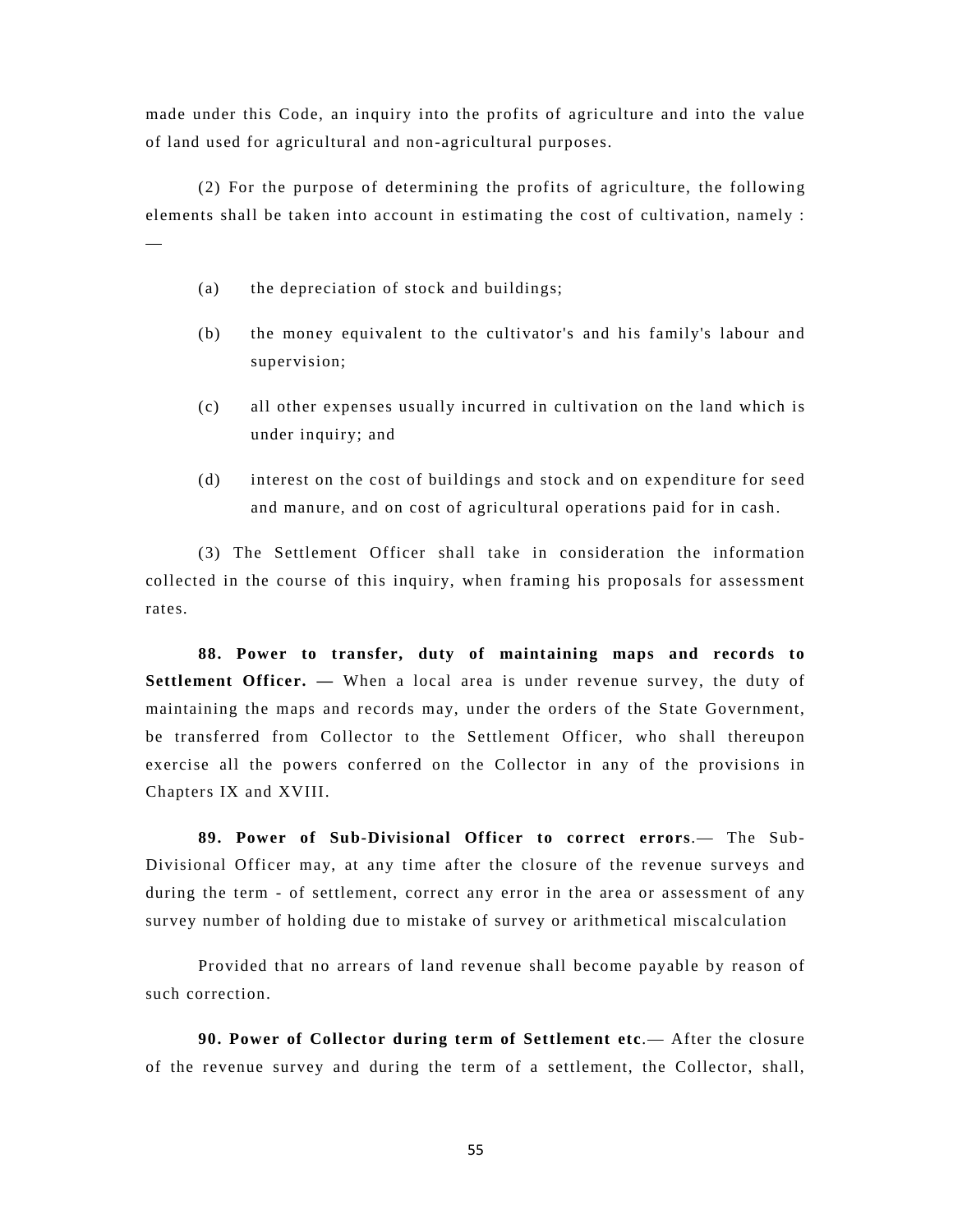made under this Code, an inquiry into the profits of agriculture and into the value of land used for agricultural and non-agricultural purposes.

(2) For the purpose of determining the profits of agriculture, the following elements shall be taken into account in estimating the cost of cultivation, namely :

(a) the depreciation of stock and buildings;

—

- (b) the money equivalent to the cultivator's and his family's labour and supervision;
- (c) all other expenses usually incurred in cultivation on the land which is under inquiry; and
- (d) interest on the cost of buildings and stock and on expenditure for seed and manure, and on cost of agricultural operations paid for in cash.

(3) The Settlement Officer shall take in consideration the information collected in the course of this inquiry, when framing his proposals for assessment rates.

**88. Power to transfer, duty of maintaining maps and records to Settlement Officer. —** When a local area is under revenue survey, the duty of maintaining the maps and records may, under the orders of the State Government, be transferred from Collector to the Settlement Officer, who shall thereupon exercise all the powers conferred on the Collector in any of the provisions in Chapters IX and XVIII.

**89. Power of Sub-Divisional Officer to correct errors**.— The Sub-Divisional Officer may, at any time after the closure of the revenue surveys and during the term - of settlement, correct any error in the area or assessment of any survey number of holding due to mistake of survey or arithmetical miscalculation

Provided that no arrears of land revenue shall become payable by reason of such correction.

**90. Power of Collector during term of Settlement etc**.— After the closure of the revenue survey and during the term of a settlement, the Collector, shall,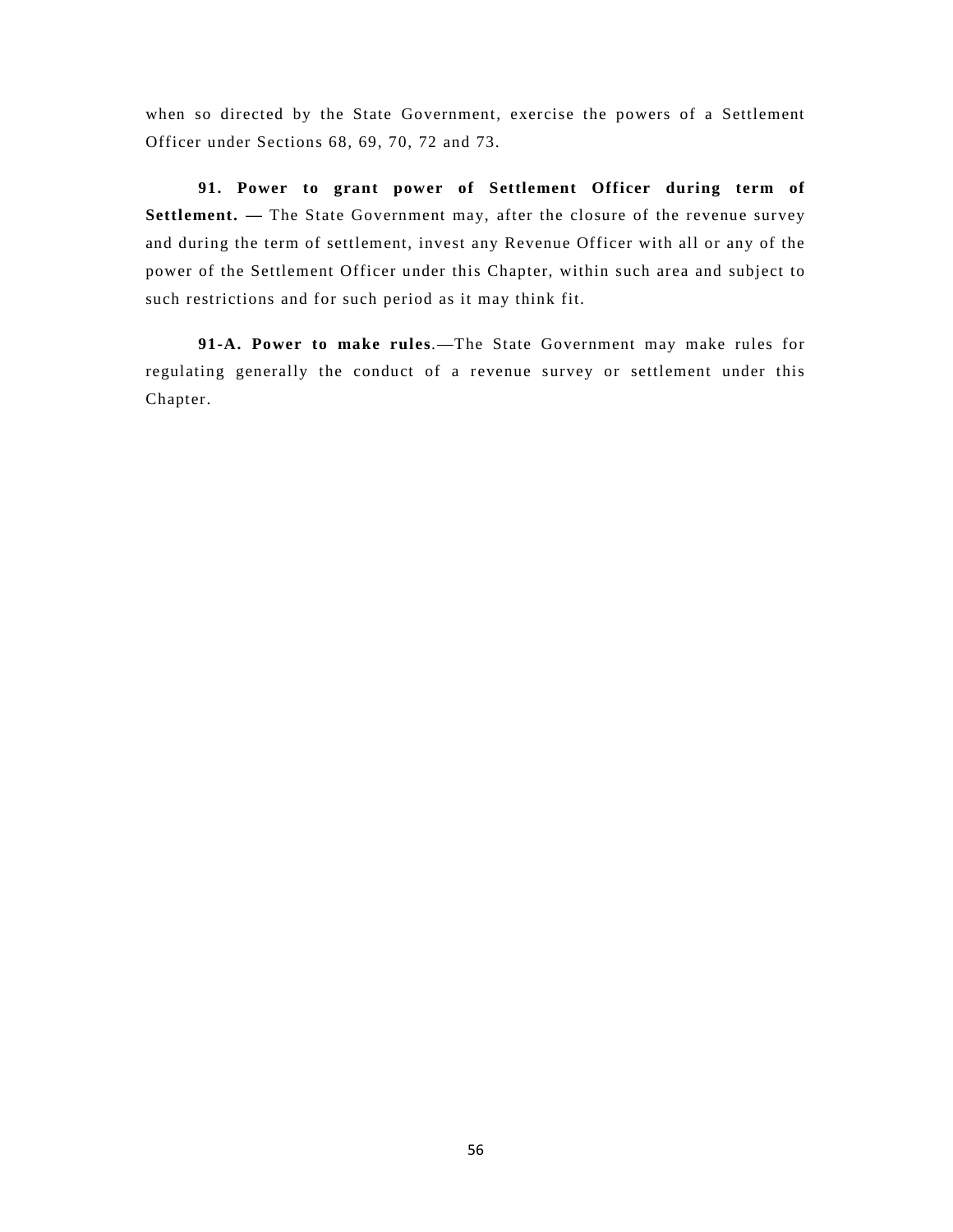when so directed by the State Government, exercise the powers of a Settlement Officer under Sections 68, 69, 70, 72 and 73.

**91. Power to grant power of Settlement Officer during term of Settlement.** — The State Government may, after the closure of the revenue survey and during the term of settlement, invest any Revenue Officer with all or any of the power of the Settlement Officer under this Chapter, within such area and subject to such restrictions and for such period as it may think fit.

**91-A. Power to make rules**.—The State Government may make rules for regulating generally the conduct of a revenue survey or settlement under this Chapter.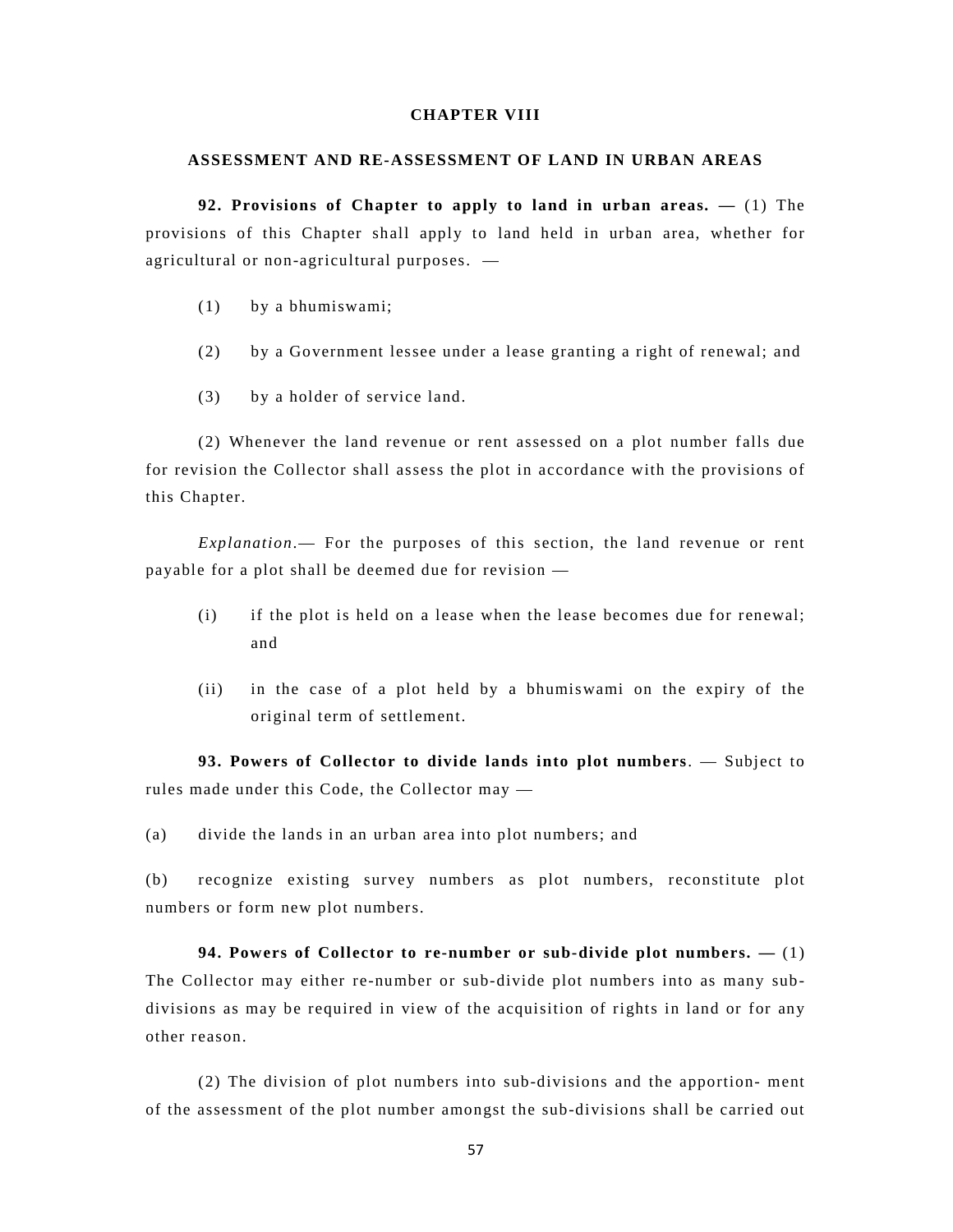## **CHAPTER VIII**

#### **ASSESSMENT AND RE-ASSESSMENT OF LAND IN URBAN AREAS**

**92. Provisions of Chapter to apply to land in urban areas. —** (1) The provisions of this Chapter shall apply to land held in urban area, whether for agricultural or non-agricultural purposes. —

- (1) by a bhumiswami;
- (2) by a Government lessee under a lease granting a right of renewal; and
- (3) by a holder of service land.

(2) Whenever the land revenue or rent assessed on a plot number falls due for revision the Collector shall assess the plot in accordance with the provisions of this Chapter.

*Explanation*.— For the purposes of this section, the land revenue or rent payable for a plot shall be deemed due for revision —

- (i) if the plot is held on a lease when the lease becomes due for renewal; and
- (ii) in the case of a plot held by a bhumiswami on the expiry of the original term of settlement.

**93. Powers of Collector to divide lands into plot numbers**. — Subject to rules made under this Code, the Collector may —

(a) divide the lands in an urban area into plot numbers; and

(b) recognize existing survey numbers as plot numbers, reconstitute plot numbers or form new plot numbers.

**94. Powers of Collector to re-number or sub-divide plot numbers. —** (1) The Collector may either re-number or sub-divide plot numbers into as many subdivisions as may be required in view of the acquisition of rights in land or for any other reason.

(2) The division of plot numbers into sub-divisions and the apportion- ment of the assessment of the plot number amongst the sub-divisions shall be carried out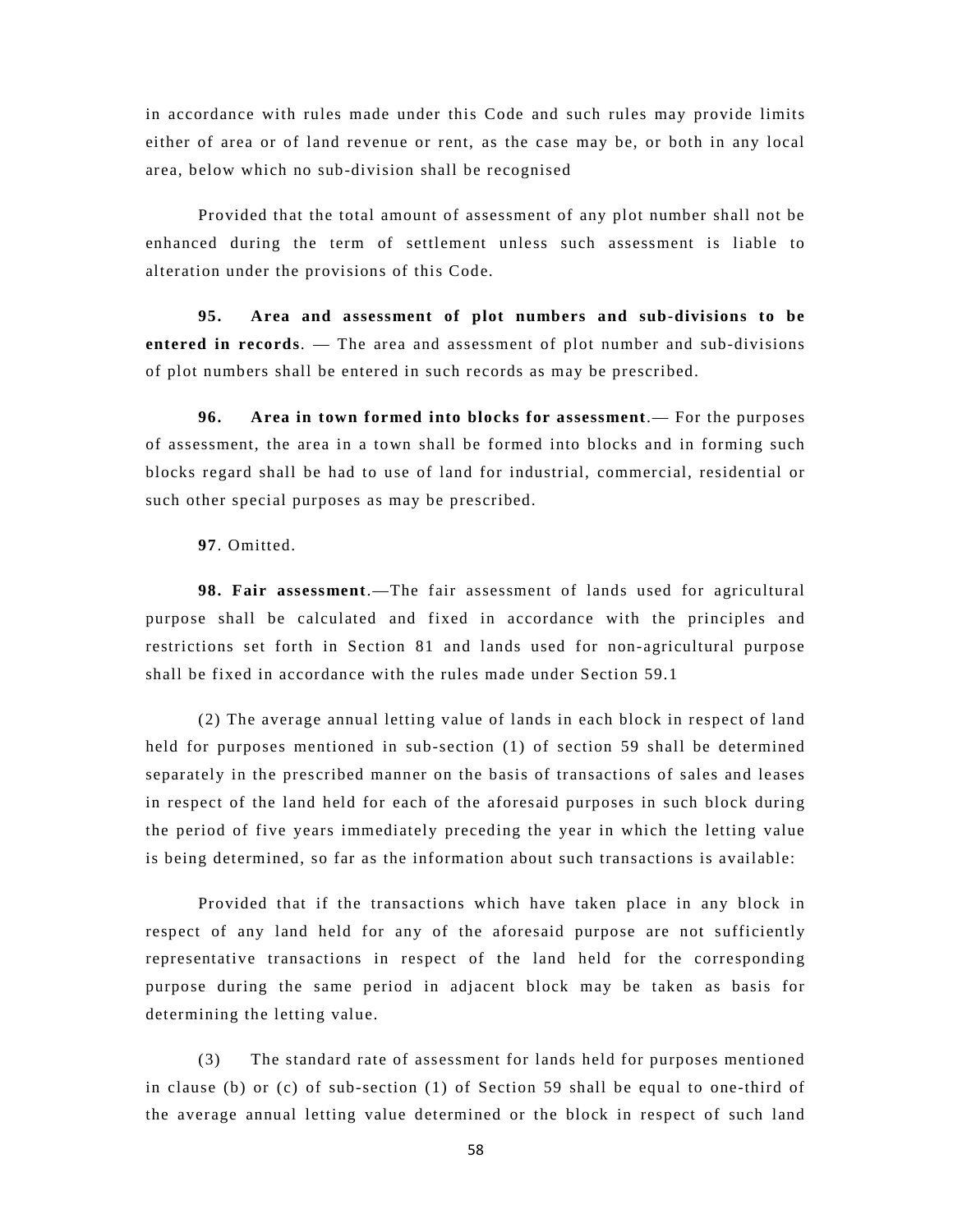in accordance with rules made under this Code and such rules may provide limits either of area or of land revenue or rent, as the case may be, or both in any local area, below which no sub-division shall be recognised

Provided that the total amount of assessment of any plot number shall not be enhanced during the term of settlement unless such assessment is liable to alteration under the provisions of this Code.

**95. Area and assessment of plot numbers and sub-divisions to be entered in records**. — The area and assessment of plot number and sub-divisions of plot numbers shall be entered in such records as may be prescribed.

**96. Area in town formed into blocks for assessment**.— For the purposes of assessment, the area in a town shall be formed into blocks and in forming such blocks regard shall be had to use of land for industrial, commercial, residential or such other special purposes as may be prescribed.

**97**. Omitted.

**98. Fair assessment**.—The fair assessment of lands used for agricultural purpose shall be calculated and fixed in accordance with the principles and restrictions set forth in Section 81 and lands used for non-agricultural purpose shall be fixed in accordance with the rules made under Section 59.1

(2) The average annual letting value of lands in each block in respect of land held for purposes mentioned in sub-section (1) of section 59 shall be determined separately in the prescribed manner on the basis of transactions of sales and leases in respect of the land held for each of the aforesaid purposes in such block during the period of five years immediately preceding the year in which the letting value is being determined, so far as the information about such transactions is available:

Provided that if the transactions which have taken place in any block in respect of any land held for any of the aforesaid purpose are not sufficiently representative transactions in respect of the land held for the corresponding purpose during the same period in adjacent block may be taken as basis for determining the letting value.

(3) The standard rate of assessment for lands held for purposes mentioned in clause (b) or (c) of sub-section (1) of Section 59 shall be equal to one-third of the average annual letting value determined or the block in respect of such land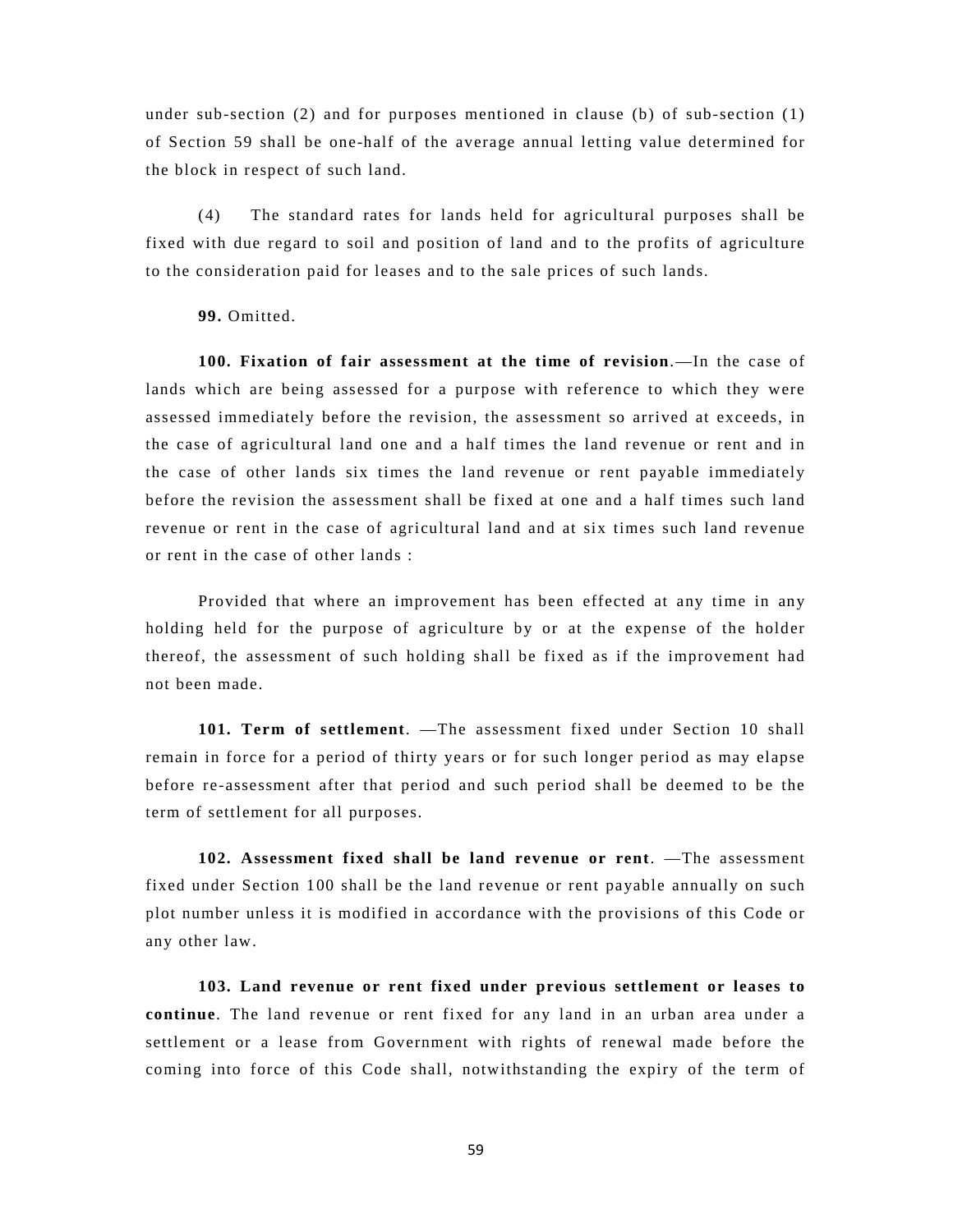under sub-section (2) and for purposes mentioned in clause (b) of sub-section (1) of Section 59 shall be one-half of the average annual letting value determined for the block in respect of such land.

(4) The standard rates for lands held for agricultural purposes shall be fixed with due regard to soil and position of land and to the profits of agriculture to the consideration paid for leases and to the sale prices of such lands.

**99.** Omitted.

**100. Fixation of fair assessment at the time of revision**.—In the case of lands which are being assessed for a purpose with reference to which they were assessed immediately before the revision, the assessment so arrived at exceeds, in the case of agricultural land one and a half times the land revenue or rent and in the case of other lands six times the land revenue or rent payable immediately before the revision the assessment shall be fixed at one and a half times such land revenue or rent in the case of agricultural land and at six times such land revenue or rent in the case of other lands :

Provided that where an improvement has been effected at any time in any holding held for the purpose of agriculture by or at the expense of the holder thereof, the assessment of such holding shall be fixed as if the improvement had not been made.

**101. Term of settlement**. —The assessment fixed under Section 10 shall remain in force for a period of thirty years or for such longer period as may elapse before re-assessment after that period and such period shall be deemed to be the term of settlement for all purposes.

**102. Assessment fixed shall be land revenue or rent**. —The assessment fixed under Section 100 shall be the land revenue or rent payable annually on such plot number unless it is modified in accordance with the provisions of this Code or any other law.

**103. Land revenue or rent fixed under previous settlement or leases to continue**. The land revenue or rent fixed for any land in an urban area under a settlement or a lease from Government with rights of renewal made before the coming into force of this Code shall, notwithstanding the expiry of the term of

59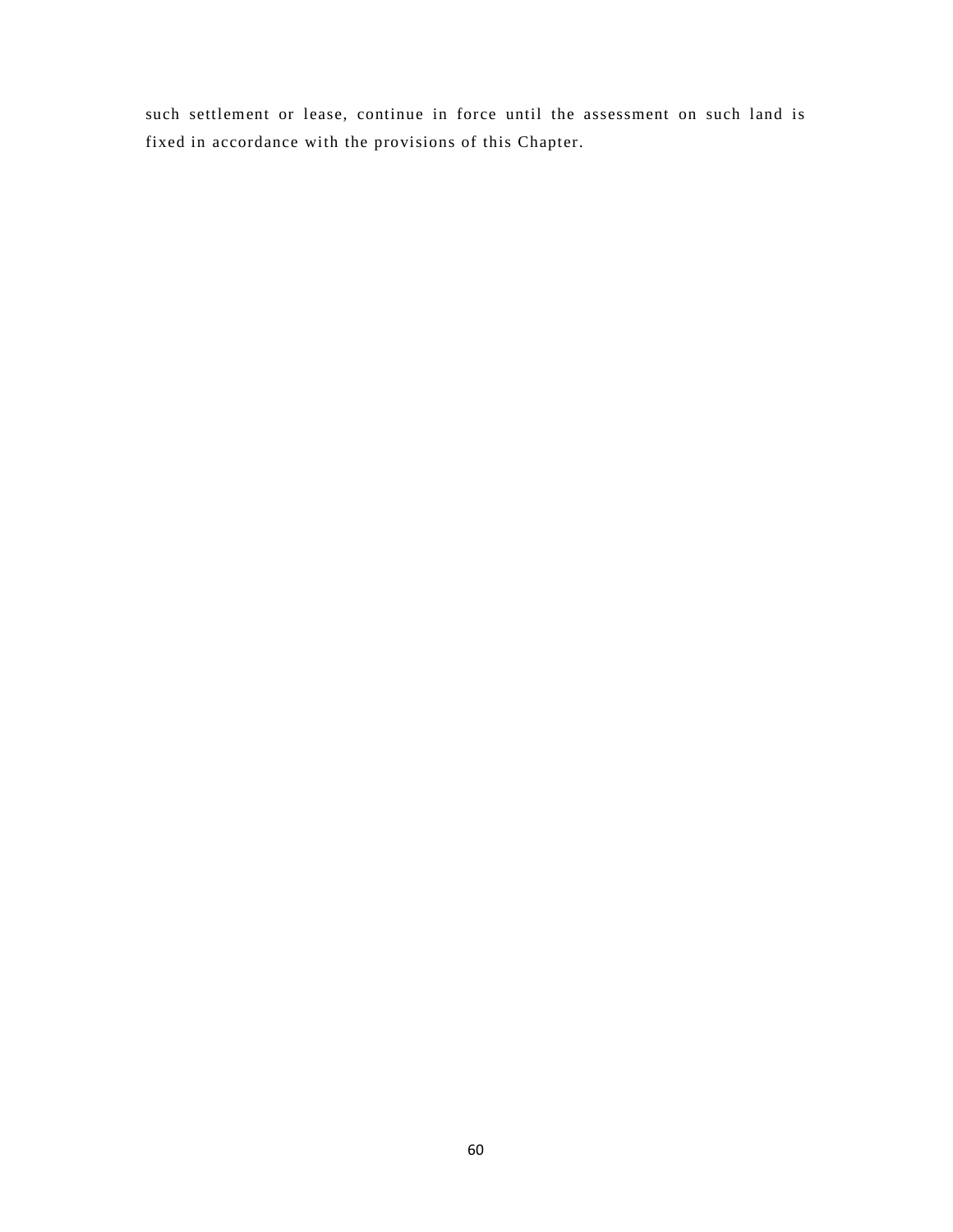such settlement or lease, continue in force until the assessment on such land is fixed in accordance with the provisions of this Chapter.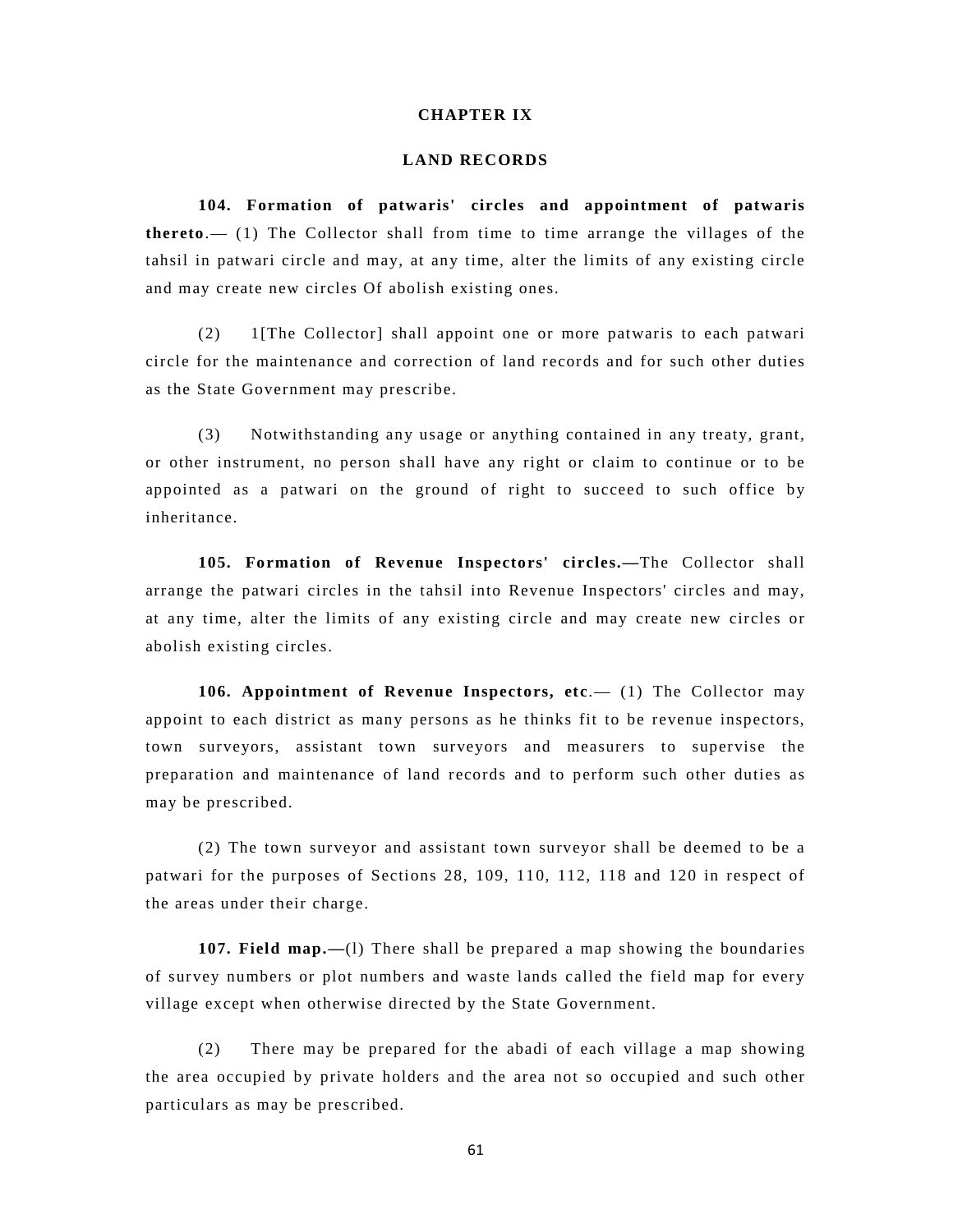## **CHAPTER IX**

#### **LAND RECORDS**

**104. Formation of patwaris' circles and appointment of patwaris thereto**.— (1) The Collector shall from time to time arrange the villages of the tahsil in patwari circle and may, at any time, alter the limits of any existing circle and may create new circles Of abolish existing ones.

(2) 1[The Collector] shall appoint one or more patwaris to each patwari circle for the maintenance and correction of land records and for such other duties as the State Government may prescribe.

(3) Notwithstanding any usage or anything contained in any treaty, grant, or other instrument, no person shall have any right or claim to continue or to be appointed as a patwari on the ground of right to succeed to such office by inheritance.

**105. Formation of Revenue Inspectors' circles.—**The Collector shall arrange the patwari circles in the tahsil into Revenue Inspectors' circles and may, at any time, alter the limits of any existing circle and may create new circles or abolish existing circles.

**106. Appointment of Revenue Inspectors, etc.** (1) The Collector may appoint to each district as many persons as he thinks fit to be revenue inspectors, town surveyors, assistant town surveyors and measurers to supervise the preparation and maintenance of land records and to perform such other duties as may be prescribed.

(2) The town surveyor and assistant town surveyor shall be deemed to be a patwari for the purposes of Sections 28, 109, 110, 112, 118 and 120 in respect of the areas under their charge.

**107. Field map.—**(l) There shall be prepared a map showing the boundaries of survey numbers or plot numbers and waste lands called the field map for every village except when otherwise directed by the State Government.

(2) There may be prepared for the abadi of each village a map showing the area occupied by private holders and the area not so occupied and such other particulars as may be prescribed.

61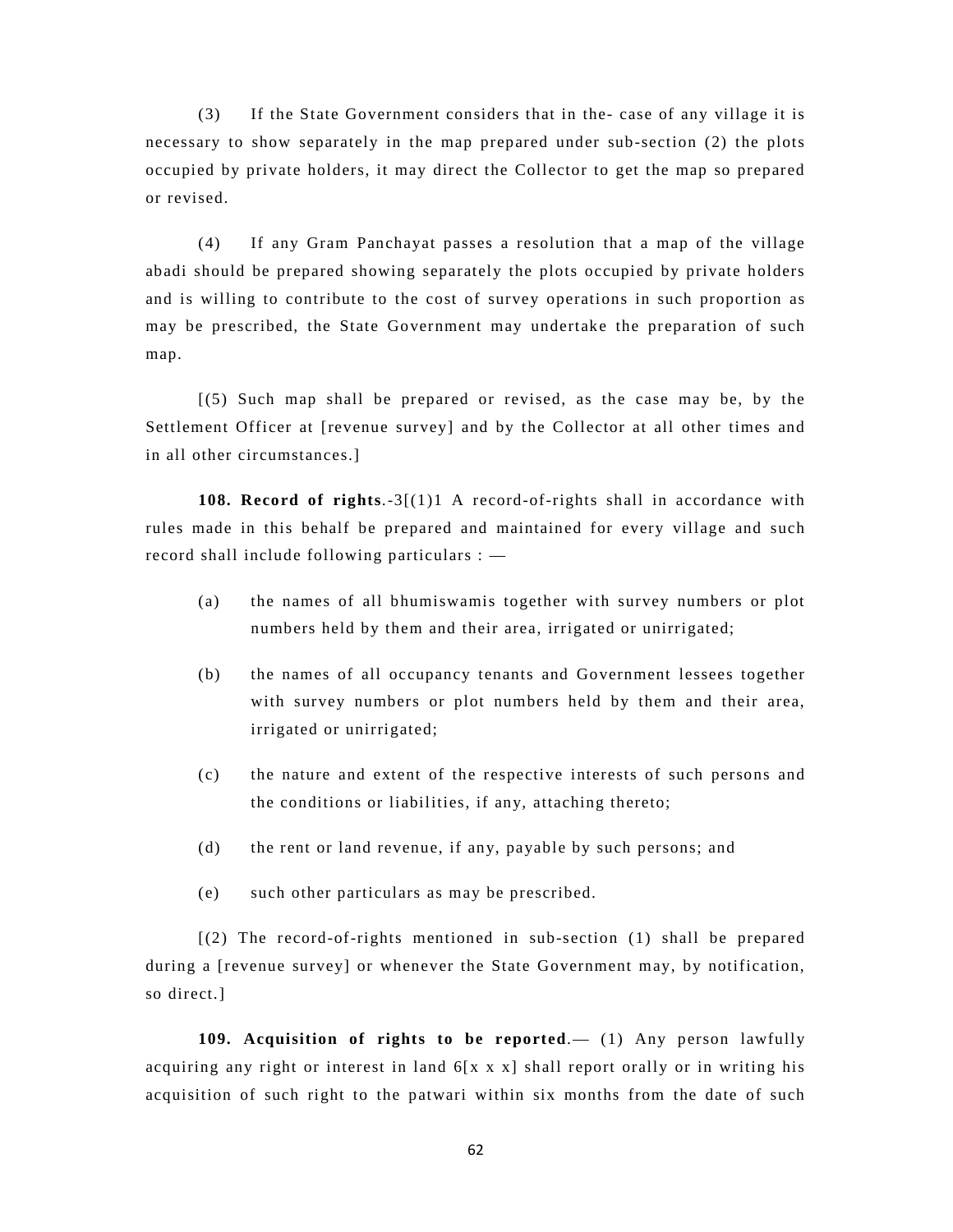(3) If the State Government considers that in the- case of any village it is necessary to show separately in the map prepared under sub-section (2) the plots occupied by private holders, it may direct the Collector to get the map so prepared or revised.

(4) If any Gram Panchayat passes a resolution that a map of the village abadi should be prepared showing separately the plots occupied by private holders and is willing to contribute to the cost of survey operations in such proportion as may be prescribed, the State Government may undertake the preparation of such map.

[(5) Such map shall be prepared or revised, as the case may be, by the Settlement Officer at [revenue survey] and by the Collector at all other times and in all other circumstances.]

**108. Record of rights**.-3[(1)1 A record-of-rights shall in accordance with rules made in this behalf be prepared and maintained for every village and such record shall include following particulars : —

- (a) the names of all bhumiswamis together with survey numbers or plot numbers held by them and their area, irrigated or unirrigated;
- (b) the names of all occupancy tenants and Government lessees together with survey numbers or plot numbers held by them and their area, irrigated or unirrigated;
- (c) the nature and extent of the respective interests of such persons and the conditions or liabilities, if any, attaching thereto;
- (d) the rent or land revenue, if any, payable by such persons; and
- (e) such other particulars as may be prescribed.

[(2) The record-of-rights mentioned in sub-section (1) shall be prepared during a [revenue survey] or whenever the State Government may, by notification, so direct.]

**109. Acquisition of rights to be reported**.— (1) Any person lawfully acquiring any right or interest in land 6[x x x] shall report orally or in writing his acquisition of such right to the patwari within six months from the date of such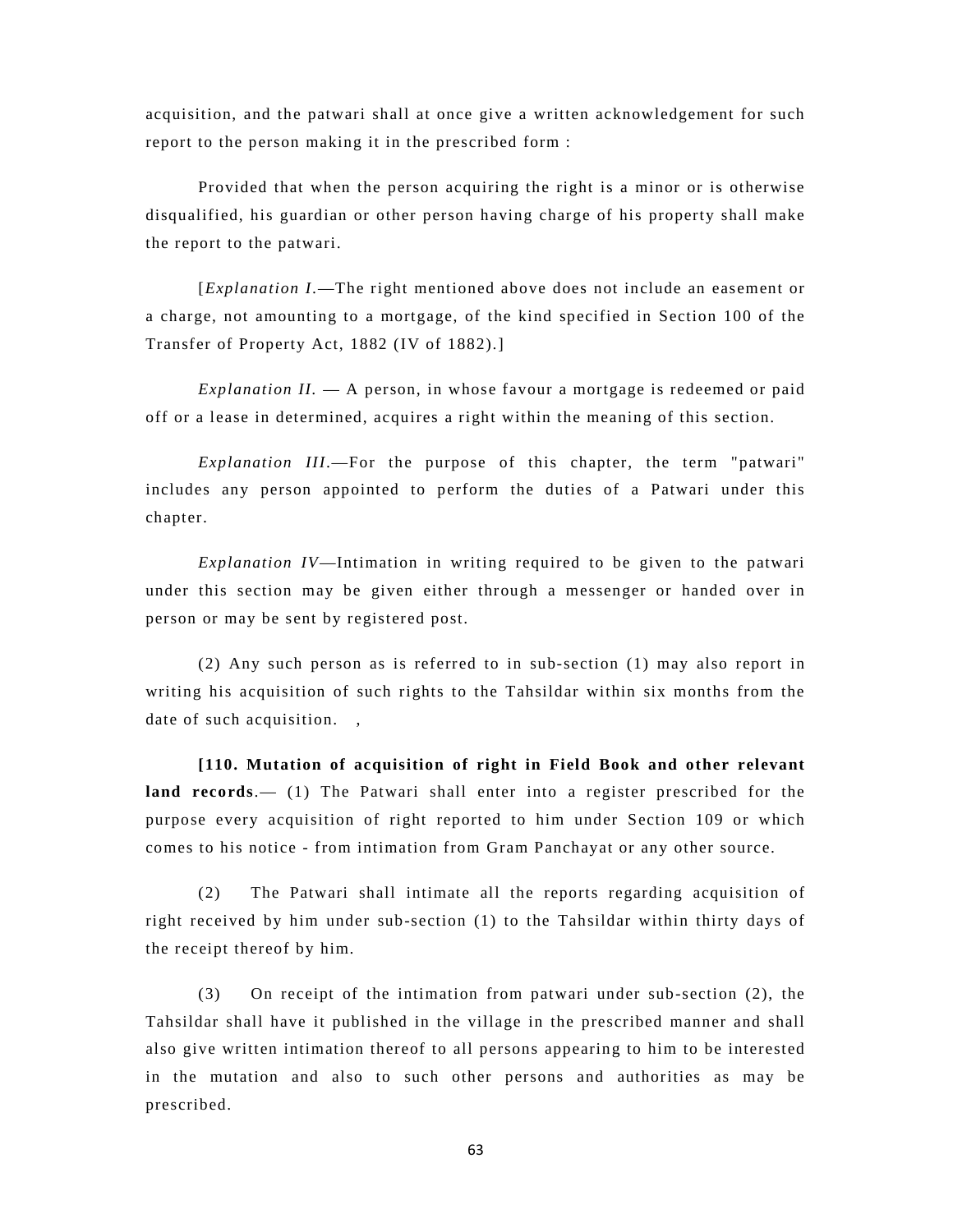acquisition, and the patwari shall at once give a written acknowledgement for such report to the person making it in the prescribed form :

Provided that when the person acquiring the right is a minor or is otherwise disqualified, his guardian or other person having charge of his property shall make the report to the patwari.

[*Explanation I*.—The right mentioned above does not include an easement or a charge, not amounting to a mortgage, of the kind specified in Section 100 of the Transfer of Property Act, 1882 (IV of 1882).]

*Explanation II.* — A person, in whose favour a mortgage is redeemed or paid off or a lease in determined, acquires a right within the meaning of this section.

*Explanation III*.—For the purpose of this chapter, the term "patwari" includes any person appointed to perform the duties of a Patwari under this chapter.

*Explanation IV*—Intimation in writing required to be given to the patwari under this section may be given either through a messenger or handed over in person or may be sent by registered post.

(2) Any such person as is referred to in sub-section (1) may also report in writing his acquisition of such rights to the Tahsildar within six months from the date of such acquisition.,

**[110. Mutation of acquisition of right in Field Book and other relevant land records**.— (1) The Patwari shall enter into a register prescribed for the purpose every acquisition of right reported to him under Section 109 or which comes to his notice - from intimation from Gram Panchayat or any other source.

(2) The Patwari shall intimate all the reports regarding acquisition of right received by him under sub-section (1) to the Tahsildar within thirty days of the receipt thereof by him.

(3) On receipt of the intimation from patwari under sub-section (2), the Tahsildar shall have it published in the village in the prescribed manner and shall also give written intimation thereof to all persons appearing to him to be interested in the mutation and also to such other persons and authorities as may be prescribed.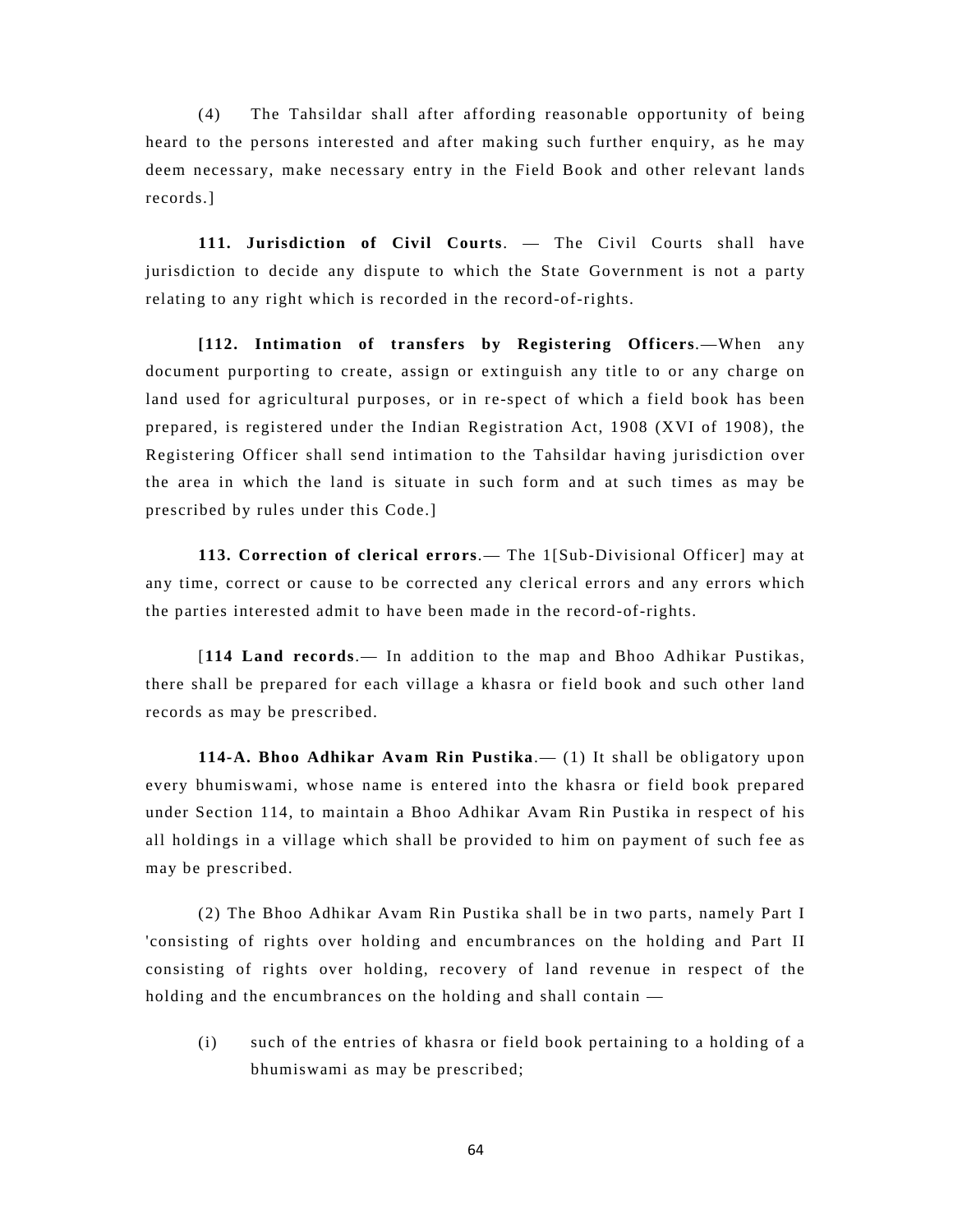(4) The Tahsildar shall after affording reasonable opportunity of being heard to the persons interested and after making such further enquiry, as he may deem necessary, make necessary entry in the Field Book and other relevant lands records.]

**111. Jurisdiction of Civil Courts**. — The Civil Courts shall have jurisdiction to decide any dispute to which the State Government is not a party relating to any right which is recorded in the record-of-rights.

**[112. Intimation of transfers by Registering Officers**.—When any document purporting to create, assign or extinguish any title to or any charge on land used for agricultural purposes, or in re-spect of which a field book has been prepared, is registered under the Indian Registration Act, 1908 (XVI of 1908), the Registering Officer shall send intimation to the Tahsildar having jurisdiction over the area in which the land is situate in such form and at such times as may be prescribed by rules under this Code.]

**113. Correction of clerical errors**.— The 1[Sub-Divisional Officer] may at any time, correct or cause to be corrected any clerical errors and any errors which the parties interested admit to have been made in the record-of-rights.

[**114 Land records**.— In addition to the map and Bhoo Adhikar Pustikas, there shall be prepared for each village a khasra or field book and such other land records as may be prescribed.

**114-A. Bhoo Adhikar Avam Rin Pustika**.— (1) It shall be obligatory upon every bhumiswami, whose name is entered into the khasra or field book prepared under Section 114, to maintain a Bhoo Adhikar Avam Rin Pustika in respect of his all holdings in a village which shall be provided to him on payment of such fee as may be prescribed.

(2) The Bhoo Adhikar Avam Rin Pustika shall be in two parts, namely Part I 'consisting of rights over holding and encumbrances on the holding and Part II consisting of rights over holding, recovery of land revenue in respect of the holding and the encumbrances on the holding and shall contain —

(i) such of the entries of khasra or field book pertaining to a holding of a bhumiswami as may be prescribed;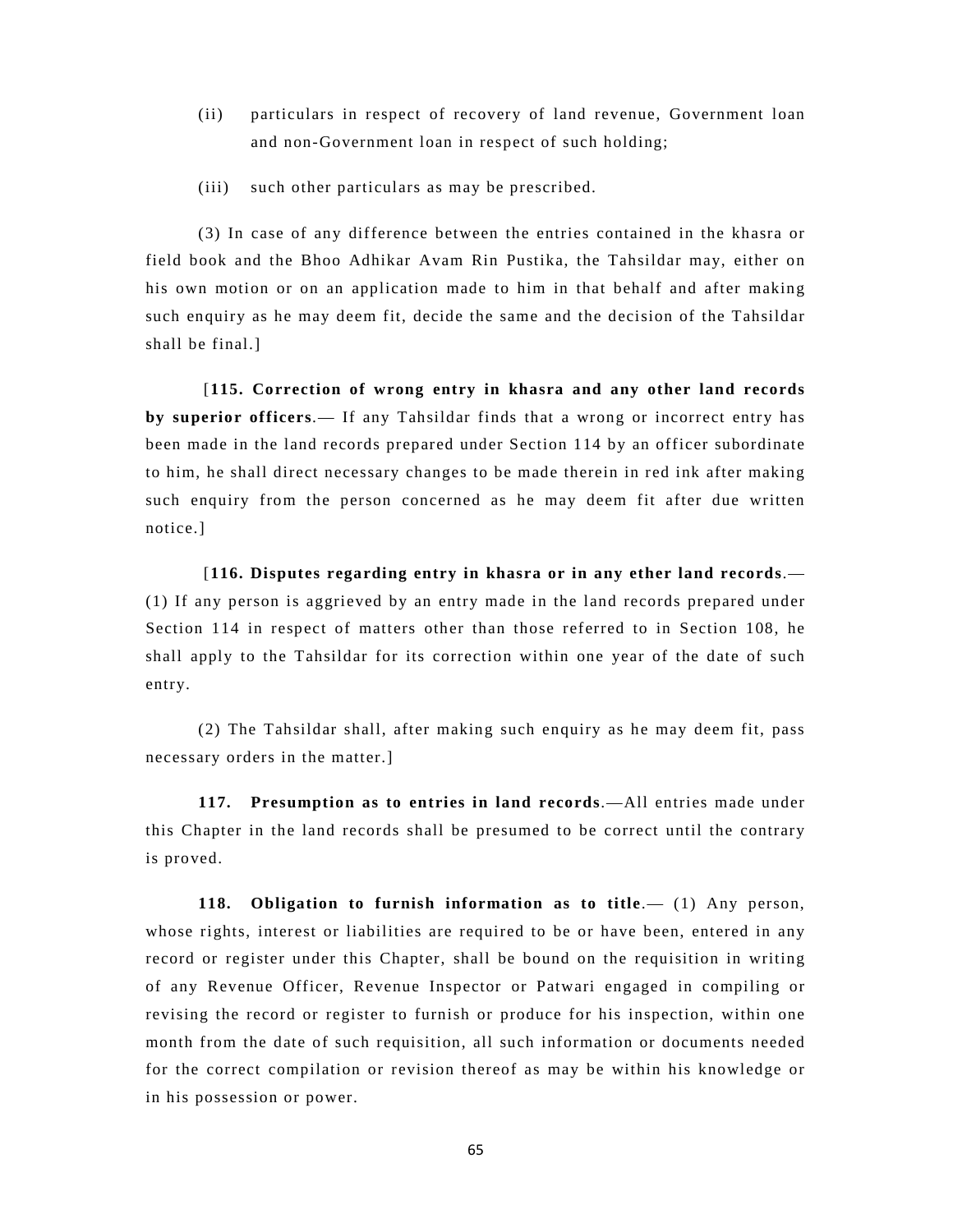- (ii) particulars in respect of recovery of land revenue, Government loan and non-Government loan in respect of such holding;
- (iii) such other particulars as may be prescribed.

(3) In case of any difference between the entries contained in the khasra or field book and the Bhoo Adhikar Avam Rin Pustika, the Tahsildar may, either on his own motion or on an application made to him in that behalf and after making such enquiry as he may deem fit, decide the same and the decision of the Tahsildar shall be final.]

 [**115. Correction of wrong entry in khasra and any other land records by superior officers**.— If any Tahsildar finds that a wrong or incorrect entry has been made in the land records prepared under Section 114 by an officer subordinate to him, he shall direct necessary changes to be made therein in red ink after making such enquiry from the person concerned as he may deem fit after due written notice.]

 [**116. Disputes regarding entry in khasra or in any ether land records**.— (1) If any person is aggrieved by an entry made in the land records prepared under Section 114 in respect of matters other than those referred to in Section 108, he shall apply to the Tahsildar for its correction within one year of the date of such entry.

(2) The Tahsildar shall, after making such enquiry as he may deem fit, pass necessary orders in the matter.]

**117. Presumption as to entries in land records**.—All entries made under this Chapter in the land records shall be presumed to be correct until the contrary is proved.

**118. Obligation to furnish information as to title**.— (1) Any person, whose rights, interest or liabilities are required to be or have been, entered in any record or register under this Chapter, shall be bound on the requisition in writing of any Revenue Officer, Revenue Inspector or Patwari engaged in compiling or revising the record or register to furnish or produce for his inspection, within one month from the date of such requisition, all such information or documents needed for the correct compilation or revision thereof as may be within his knowledge or in his possession or power.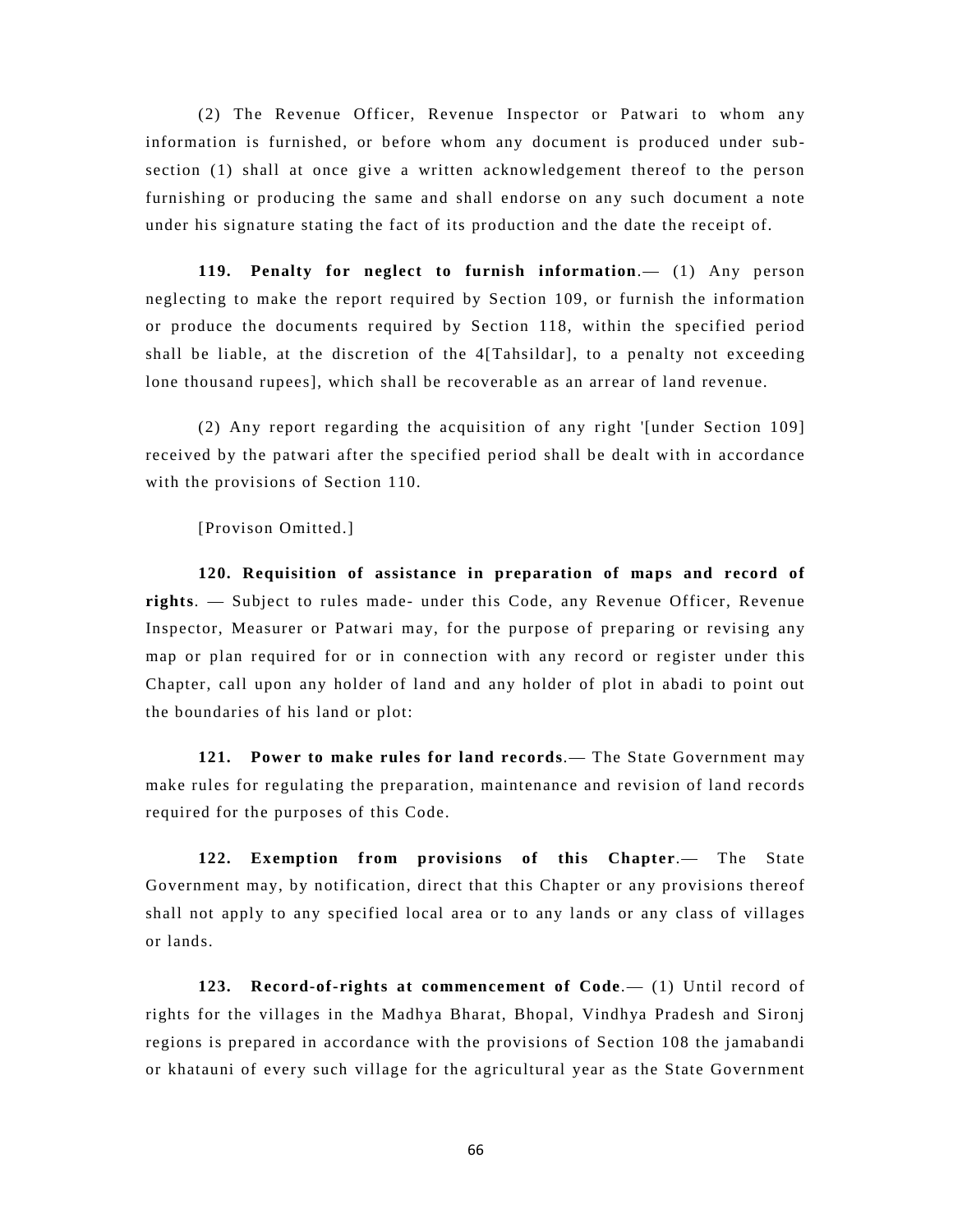(2) The Revenue Officer, Revenue Inspector or Patwari to whom any information is furnished, or before whom any document is produced under subsection (1) shall at once give a written acknowledgement thereof to the person furnishing or producing the same and shall endorse on any such document a note under his signature stating the fact of its production and the date the receipt of.

**119. Penalty for neglect to furnish information**.— (1) Any person neglecting to make the report required by Section 109, or furnish the information or produce the documents required by Section 118, within the specified period shall be liable, at the discretion of the  $4[Tahsildar]$ , to a penalty not exceeding lone thousand rupees], which shall be recoverable as an arrear of land revenue.

(2) Any report regarding the acquisition of any right '[under Section 109] received by the patwari after the specified period shall be dealt with in accordance with the provisions of Section 110.

[Provison Omitted.]

 **120. Requisition of assistance in preparation of maps and record of rights**. — Subject to rules made- under this Code, any Revenue Officer, Revenue Inspector, Measurer or Patwari may, for the purpose of preparing or revising any map or plan required for or in connection with any record or register under this Chapter, call upon any holder of land and any holder of plot in abadi to point out the boundaries of his land or plot:

**121. Power to make rules for land records**.— The State Government may make rules for regulating the preparation, maintenance and revision of land records required for the purposes of this Code.

**122. Exemption from provisions of this Chapter**.— The State Government may, by notification, direct that this Chapter or any provisions thereof shall not apply to any specified local area or to any lands or any class of villages or lands.

**123. Record-of-rights at commencement of Code**.— (1) Until record of rights for the villages in the Madhya Bharat, Bhopal, Vindhya Pradesh and Sironj regions is prepared in accordance with the provisions of Section 108 the jamabandi or khatauni of every such village for the agricultural year as the State Government

66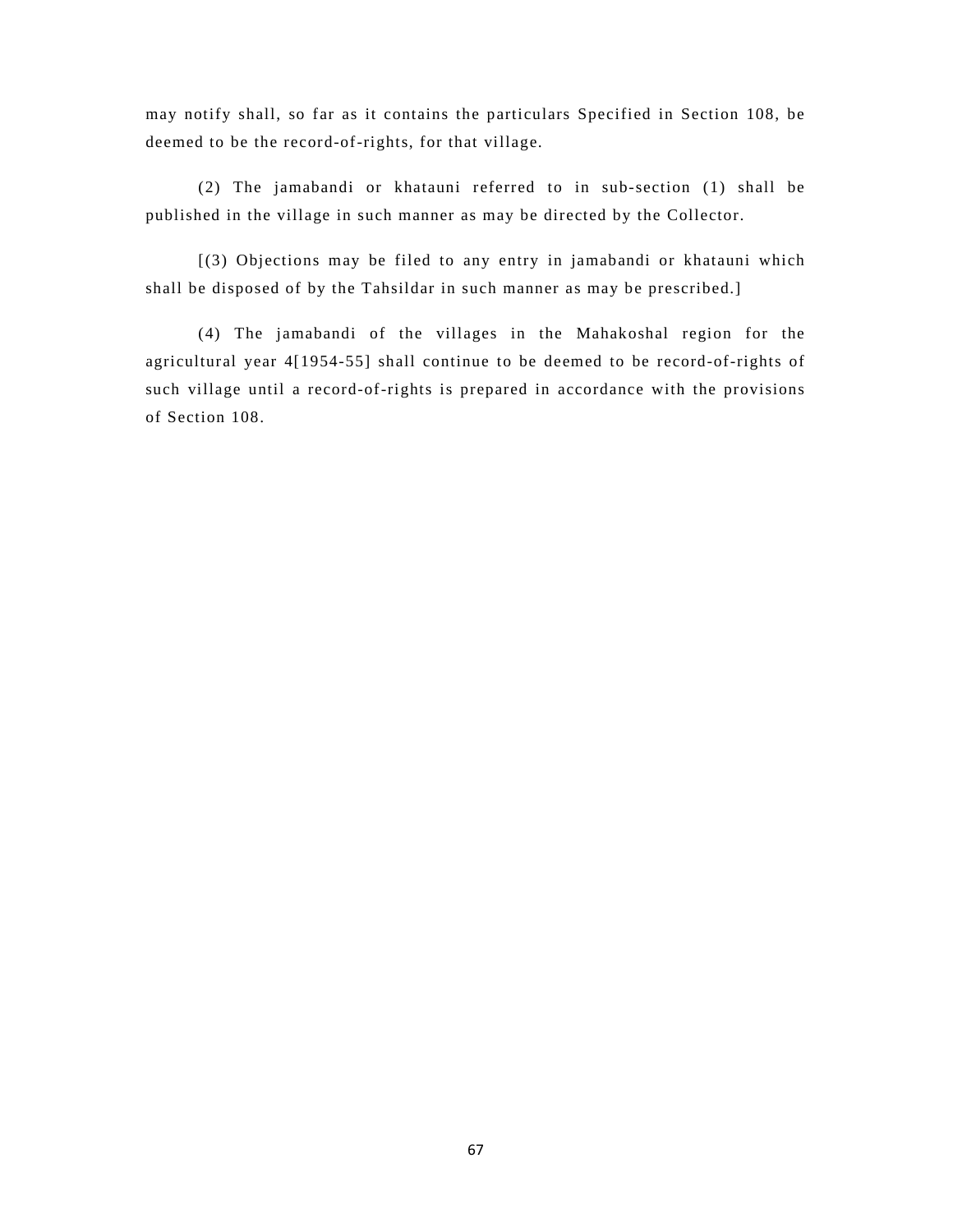may notify shall, so far as it contains the particulars Specified in Section 108, be deemed to be the record-of-rights, for that village.

(2) The jamabandi or khatauni referred to in sub-section (1) shall be published in the village in such manner as may be directed by the Collector.

[(3) Objections may be filed to any entry in jamabandi or khatauni which shall be disposed of by the Tahsildar in such manner as may be prescribed.]

(4) The jamabandi of the villages in the Mahakoshal region for the agricultural year 4[1954-55] shall continue to be deemed to be record-of-rights of such village until a record-of-rights is prepared in accordance with the provisions of Section 108.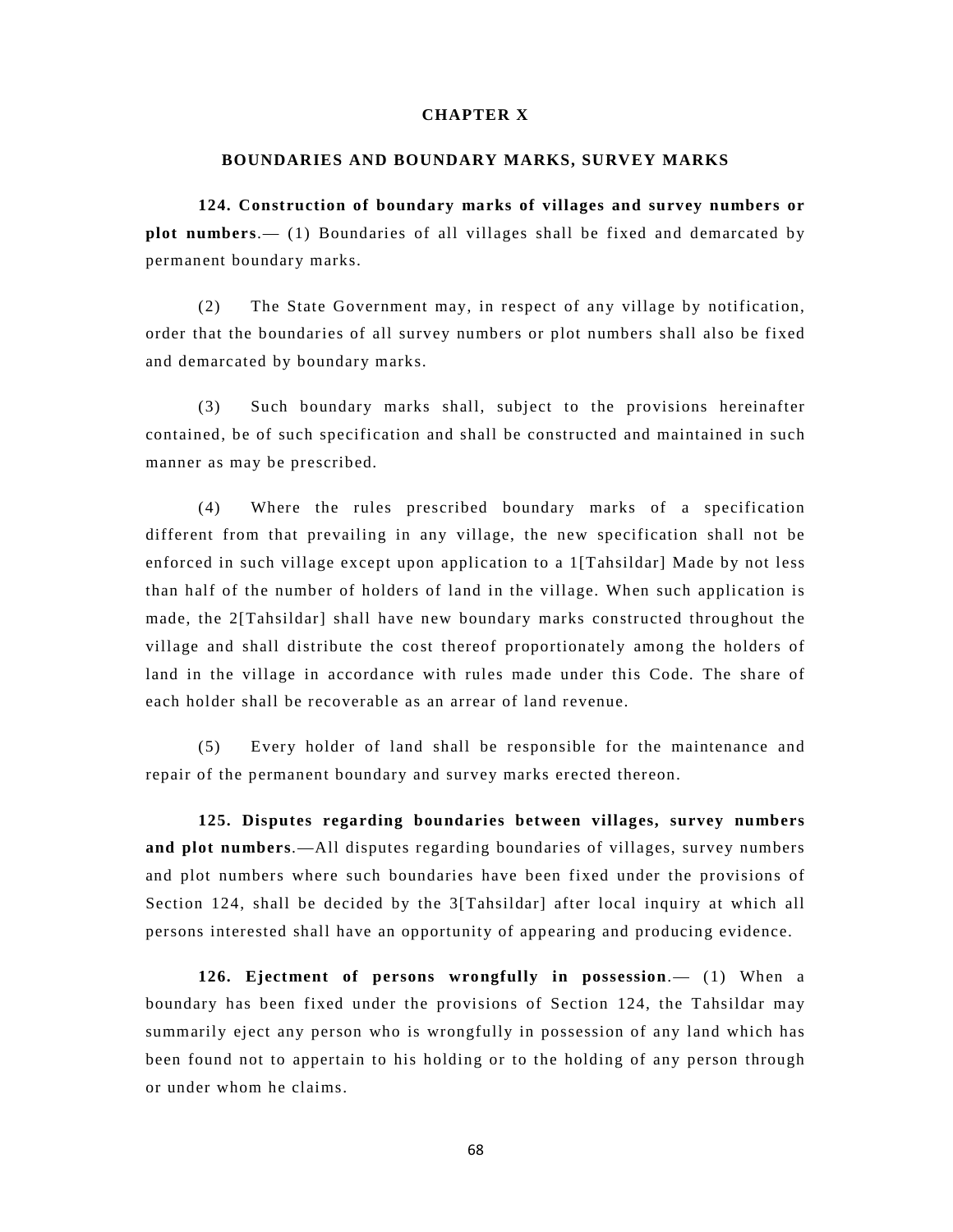## **CHAPTER X**

#### **BOUNDARIES AND BOUNDARY MARKS, SURVEY MARKS**

**124. Construction of boundary marks of villages and survey numbers or plot numbers**.— (1) Boundaries of all villages shall be fixed and demarcated by permanent boundary marks.

(2) The State Government may, in respect of any village by notification, order that the boundaries of all survey numbers or plot numbers shall also be fixed and demarcated by boundary marks.

(3) Such boundary marks shall, subject to the provisions hereinafter contained, be of such specification and shall be constructed and maintained in such manner as may be prescribed.

(4) Where the rules prescribed boundary marks of a specification different from that prevailing in any village, the new specification shall not be enforced in such village except upon application to a 1[Tahsildar] Made by not less than half of the number of holders of land in the village. When such application is made, the 2[Tahsildar] shall have new boundary marks constructed throughout the village and shall distribute the cost thereof proportionately among the holders of land in the village in accordance with rules made under this Code. The share of each holder shall be recoverable as an arrear of land revenue.

(5) Every holder of land shall be responsible for the maintenance and repair of the permanent boundary and survey marks erected thereon.

**125. Disputes regarding boundaries between villages, survey numbers and plot numbers**.—All disputes regarding boundaries of villages, survey numbers and plot numbers where such boundaries have been fixed under the provisions of Section 124, shall be decided by the 3[Tahsildar] after local inquiry at which all persons interested shall have an opportunity of appearing and producing evidence.

**126. Ejectment of persons wrongfully in possession**.— (1) When a boundary has been fixed under the provisions of Section 124, the Tahsildar may summarily eject any person who is wrongfully in possession of any land which has been found not to appertain to his holding or to the holding of any person through or under whom he claims.

68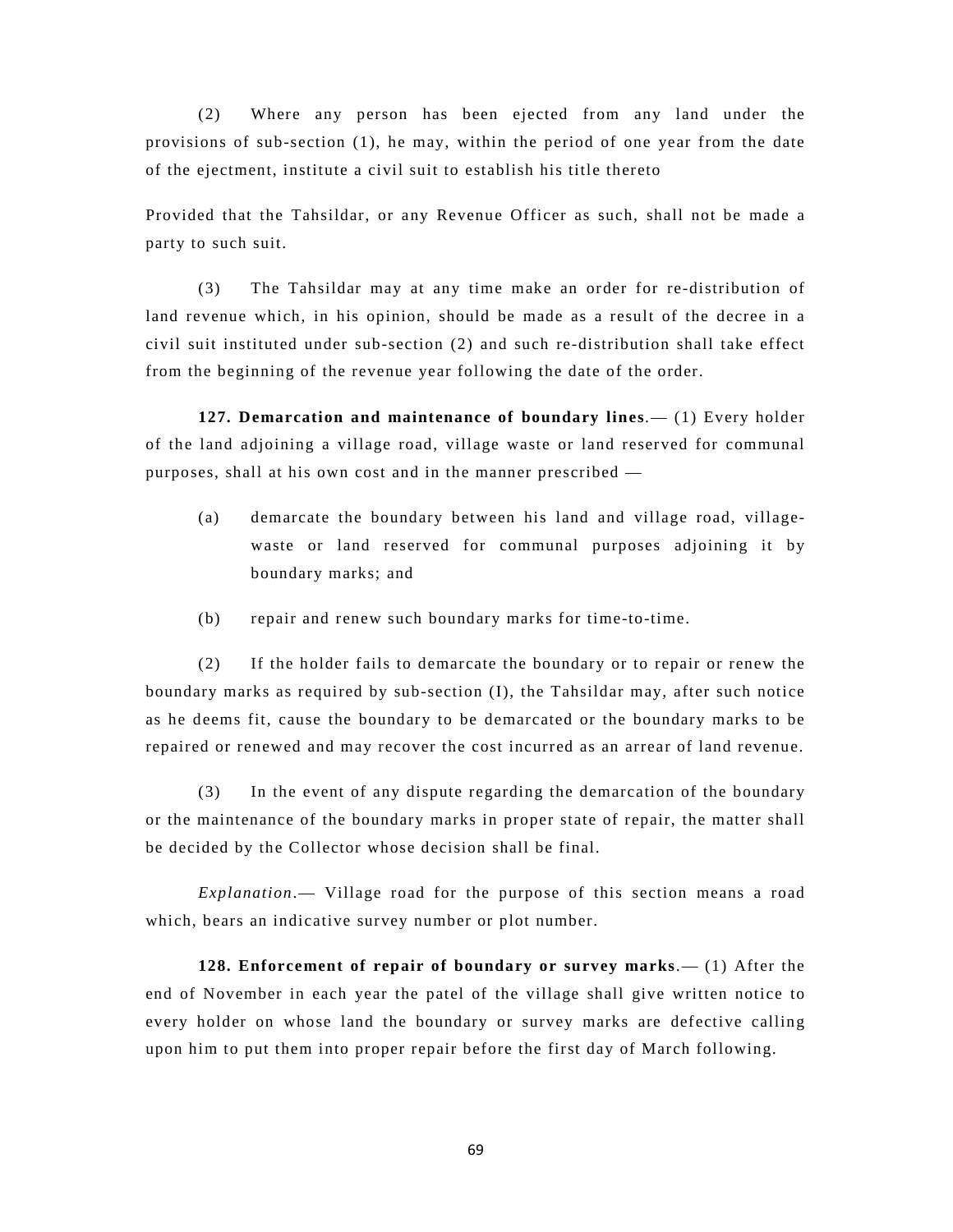(2) Where any person has been ejected from any land under the provisions of sub-section (1), he may, within the period of one year from the date of the ejectment, institute a civil suit to establish his title thereto

Provided that the Tahsildar, or any Revenue Officer as such, shall not be made a party to such suit.

(3) The Tahsildar may at any time make an order for re-distribution of land revenue which, in his opinion, should be made as a result of the decree in a civil suit instituted under sub-section (2) and such re-distribution shall take effect from the beginning of the revenue year following the date of the order.

**127. Demarcation and maintenance of boundary lines**.— (1) Every holder of the land adjoining a village road, village waste or land reserved for communal purposes, shall at his own cost and in the manner prescribed —

- (a) demarcate the boundary between his land and village road, villagewaste or land reserved for communal purposes adjoining it by boundary marks; and
- (b) repair and renew such boundary marks for time-to-time.

(2) If the holder fails to demarcate the boundary or to repair or renew the boundary marks as required by sub-section (I), the Tahsildar may, after such notice as he deems fit, cause the boundary to be demarcated or the boundary marks to be repaired or renewed and may recover the cost incurred as an arrear of land revenue.

(3) In the event of any dispute regarding the demarcation of the boundary or the maintenance of the boundary marks in proper state of repair, the matter shall be decided by the Collector whose decision shall be final.

*Explanation*.— Village road for the purpose of this section means a road which, bears an indicative survey number or plot number.

**128. Enforcement of repair of boundary or survey marks**.— (1) After the end of November in each year the patel of the village shall give written notice to every holder on whose land the boundary or survey marks are defective calling upon him to put them into proper repair before the first day of March following.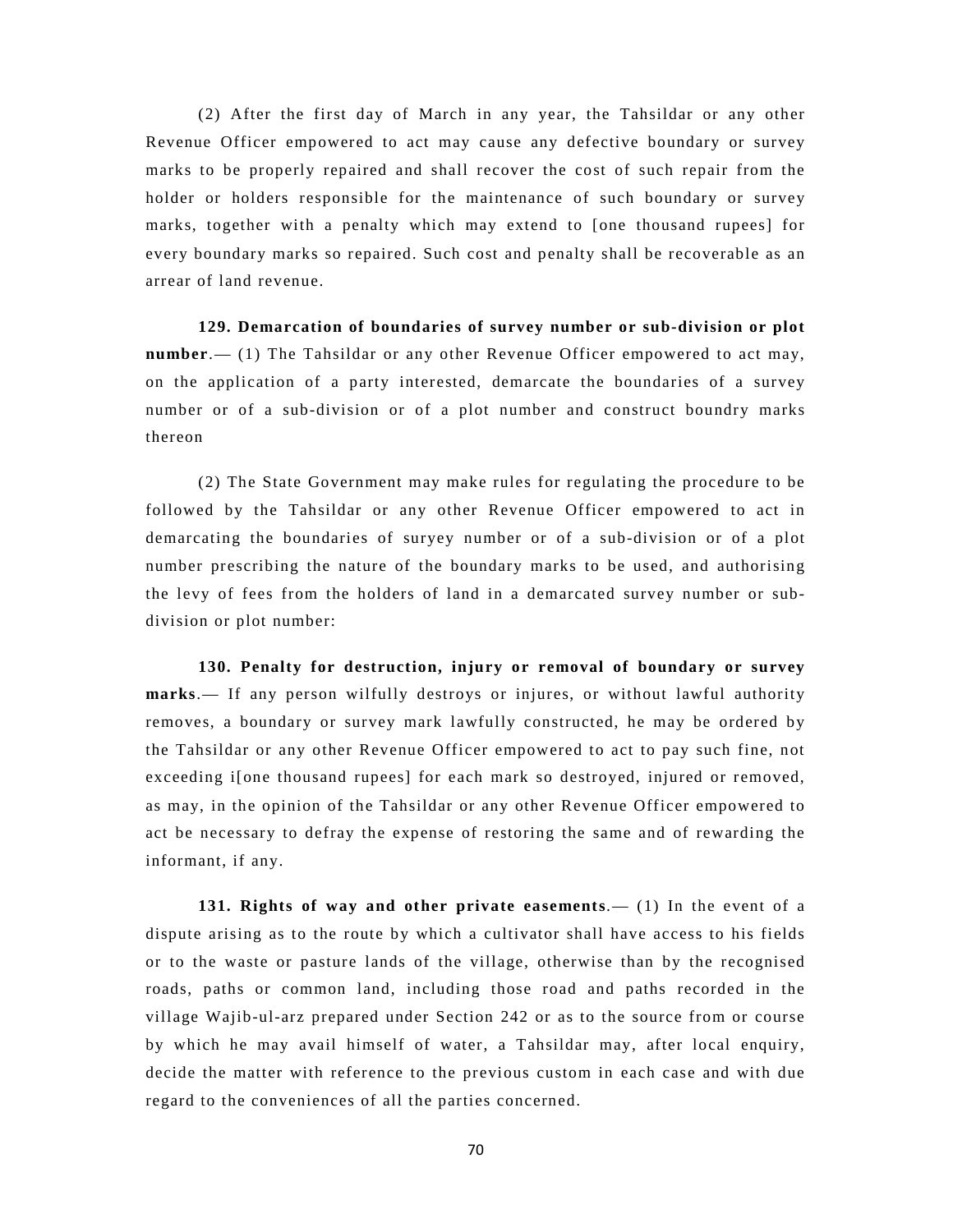(2) After the first day of March in any year, the Tahsildar or any other Revenue Officer empowered to act may cause any defective boundary or survey marks to be properly repaired and shall recover the cost of such repair from the holder or holders responsible for the maintenance of such boundary or survey marks, together with a penalty which may extend to [one thousand rupees] for every boundary marks so repaired. Such cost and penalty shall be recoverable as an arrear of land revenue.

**129. Demarcation of boundaries of survey number or sub-division or plot number**.— (1) The Tahsildar or any other Revenue Officer empowered to act may, on the application of a party interested, demarcate the boundaries of a survey number or of a sub-division or of a plot number and construct boundry marks thereon

(2) The State Government may make rules for regulating the procedure to be followed by the Tahsildar or any other Revenue Officer empowered to act in demarcating the boundaries of suryey number or of a sub-division or of a plot number prescribing the nature of the boundary marks to be used, and authorising the levy of fees from the holders of land in a demarcated survey number or subdivision or plot number:

**130. Penalty for destruction, injury or removal of boundary or survey marks**.— If any person wilfully destroys or injures, or without lawful authority removes, a boundary or survey mark lawfully constructed, he may be ordered by the Tahsildar or any other Revenue Officer empowered to act to pay such fine, not exceeding i[one thousand rupees] for each mark so destroyed, injured or removed, as may, in the opinion of the Tahsildar or any other Revenue Officer empowered to act be necessary to defray the expense of restoring the same and of rewarding the informant, if any.

**131. Rights of way and other private easements**.— (1) In the event of a dispute arising as to the route by which a cultivator shall have access to his fields or to the waste or pasture lands of the village, otherwise than by the recognised roads, paths or common land, including those road and paths recorded in the village Wajib-ul-arz prepared under Section 242 or as to the source from or course by which he may avail himself of water, a Tahsildar may, after local enquiry, decide the matter with reference to the previous custom in each case and with due regard to the conveniences of all the parties concerned.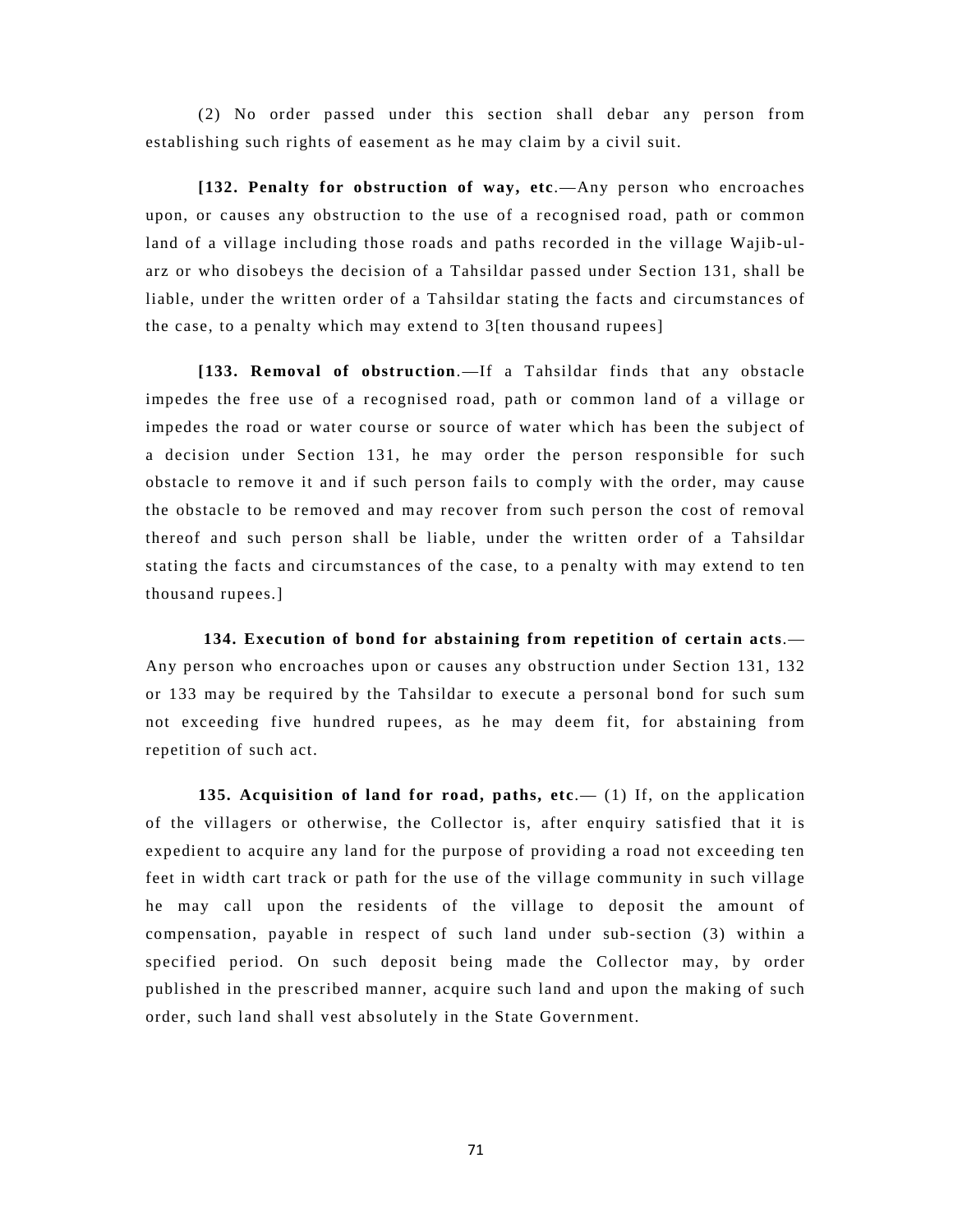(2) No order passed under this section shall debar any person from establishing such rights of easement as he may claim by a civil suit.

**[132. Penalty for obstruction of way, etc**.—Any person who encroaches upon, or causes any obstruction to the use of a recognised road, path or common land of a village including those roads and paths recorded in the village Wajib-ularz or who disobeys the decision of a Tahsildar passed under Section 131, shall be liable, under the written order of a Tahsildar stating the facts and circumstances of the case, to a penalty which may extend to 3[ten thousand rupees]

**[133. Removal of obstruction**.—If a Tahsildar finds that any obstacle impedes the free use of a recognised road, path or common land of a village or impedes the road or water course or source of water which has been the subject of a decision under Section 131, he may order the person responsible for such obstacle to remove it and if such person fails to comply with the order, may cause the obstacle to be removed and may recover from such person the cost of removal thereof and such person shall be liable, under the written order of a Tahsildar stating the facts and circumstances of the case, to a penalty with may extend to ten thousand rupees.]

**134. Execution of bond for abstaining from repetition of certain acts**.— Any person who encroaches upon or causes any obstruction under Section 131, 132 or 133 may be required by the Tahsildar to execute a personal bond for such sum not exceeding five hundred rupees, as he may deem fit, for abstaining from repetition of such act.

**135. Acquisition of land for road, paths, etc.** (1) If, on the application of the villagers or otherwise, the Collector is, after enquiry satisfied that it is expedient to acquire any land for the purpose of providing a road not exceeding ten feet in width cart track or path for the use of the village community in such village he may call upon the residents of the village to deposit the amount of compensation, payable in respect of such land under sub-section (3) within a specified period. On such deposit being made the Collector may, by order published in the prescribed manner, acquire such land and upon the making of such order, such land shall vest absolutely in the State Government.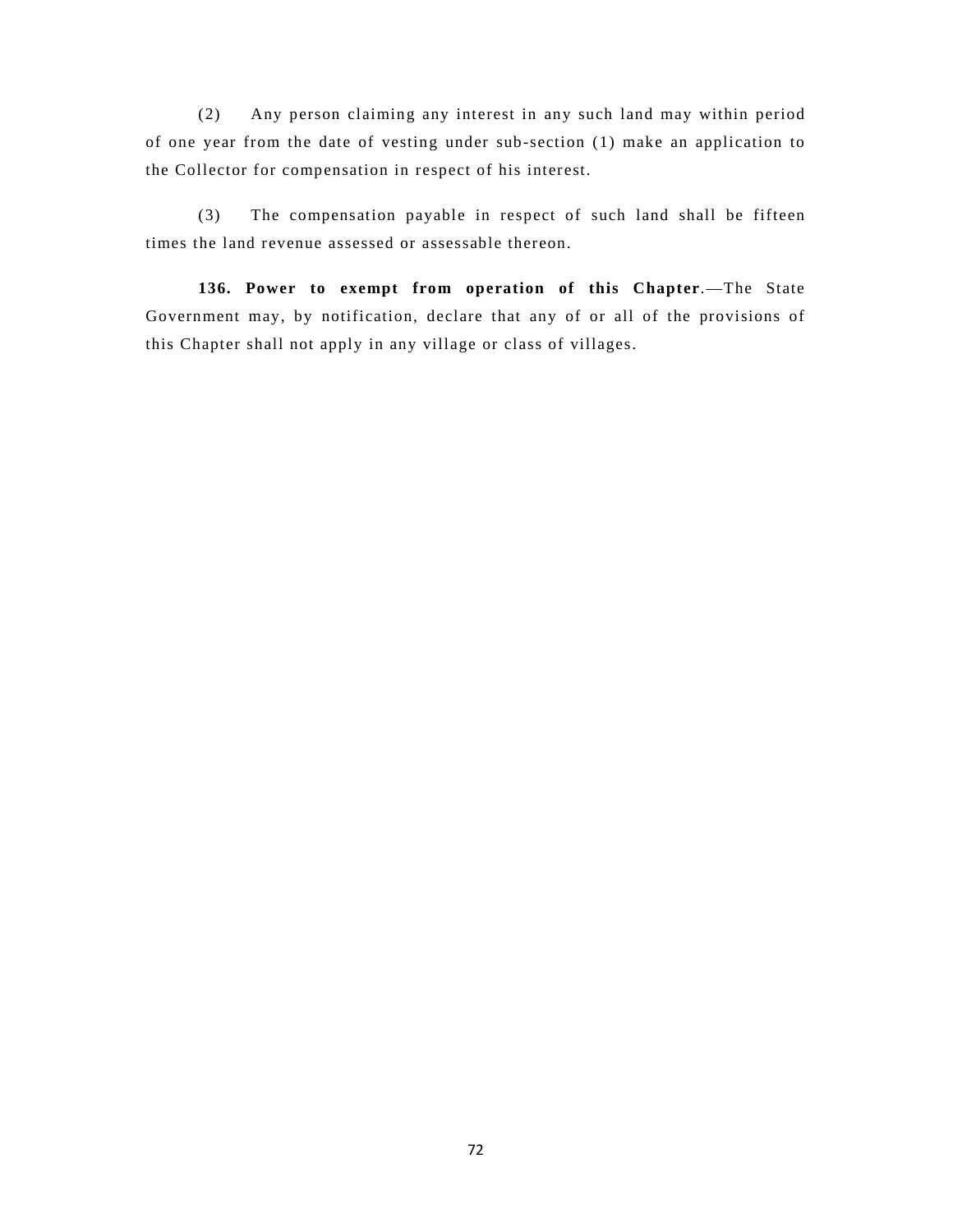(2) Any person claiming any interest in any such land may within period of one year from the date of vesting under sub-section (1) make an application to the Collector for compensation in respect of his interest.

(3) The compensation payable in respect of such land shall be fifteen times the land revenue assessed or assessable thereon.

**136. Power to exempt from operation of this Chapter**.—The State Government may, by notification, declare that any of or all of the provisions of this Chapter shall not apply in any village or class of villages.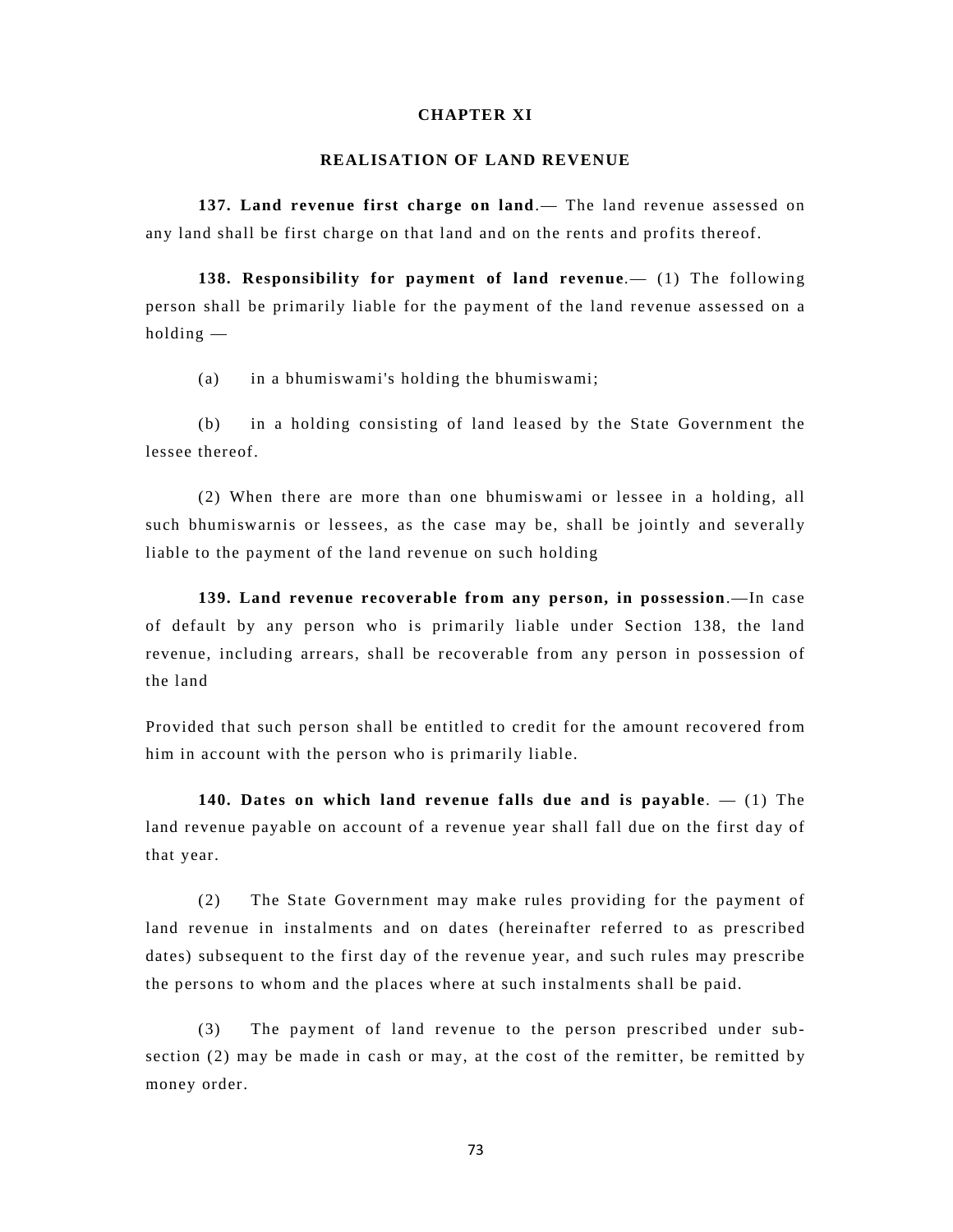# **CHAPTER XI**

## **REALISATION OF LAND REVENUE**

**137. Land revenue first charge on land**.— The land revenue assessed on any land shall be first charge on that land and on the rents and profits thereof.

**138. Responsibility for payment of land revenue**.— (1) The following person shall be primarily liable for the payment of the land revenue assessed on a holding —

(a) in a bhumiswami's holding the bhumiswami;

(b) in a holding consisting of land leased by the State Government the lessee thereof.

(2) When there are more than one bhumiswami or lessee in a holding, all such bhumiswarnis or lessees, as the case may be, shall be jointly and severally liable to the payment of the land revenue on such holding

**139. Land revenue recoverable from any person, in possession**.—In case of default by any person who is primarily liable under Section 138, the land revenue, including arrears, shall be recoverable from any person in possession of the land

Provided that such person shall be entitled to credit for the amount recovered from him in account with the person who is primarily liable.

**140. Dates on which land revenue falls due and is payable**. — (1) The land revenue payable on account of a revenue year shall fall due on the first day of that year.

(2) The State Government may make rules providing for the payment of land revenue in instalments and on dates (hereinafter referred to as prescribed dates) subsequent to the first day of the revenue year, and such rules may prescribe the persons to whom and the places where at such instalments shall be paid.

(3) The payment of land revenue to the person prescribed under subsection (2) may be made in cash or may, at the cost of the remitter, be remitted by money order.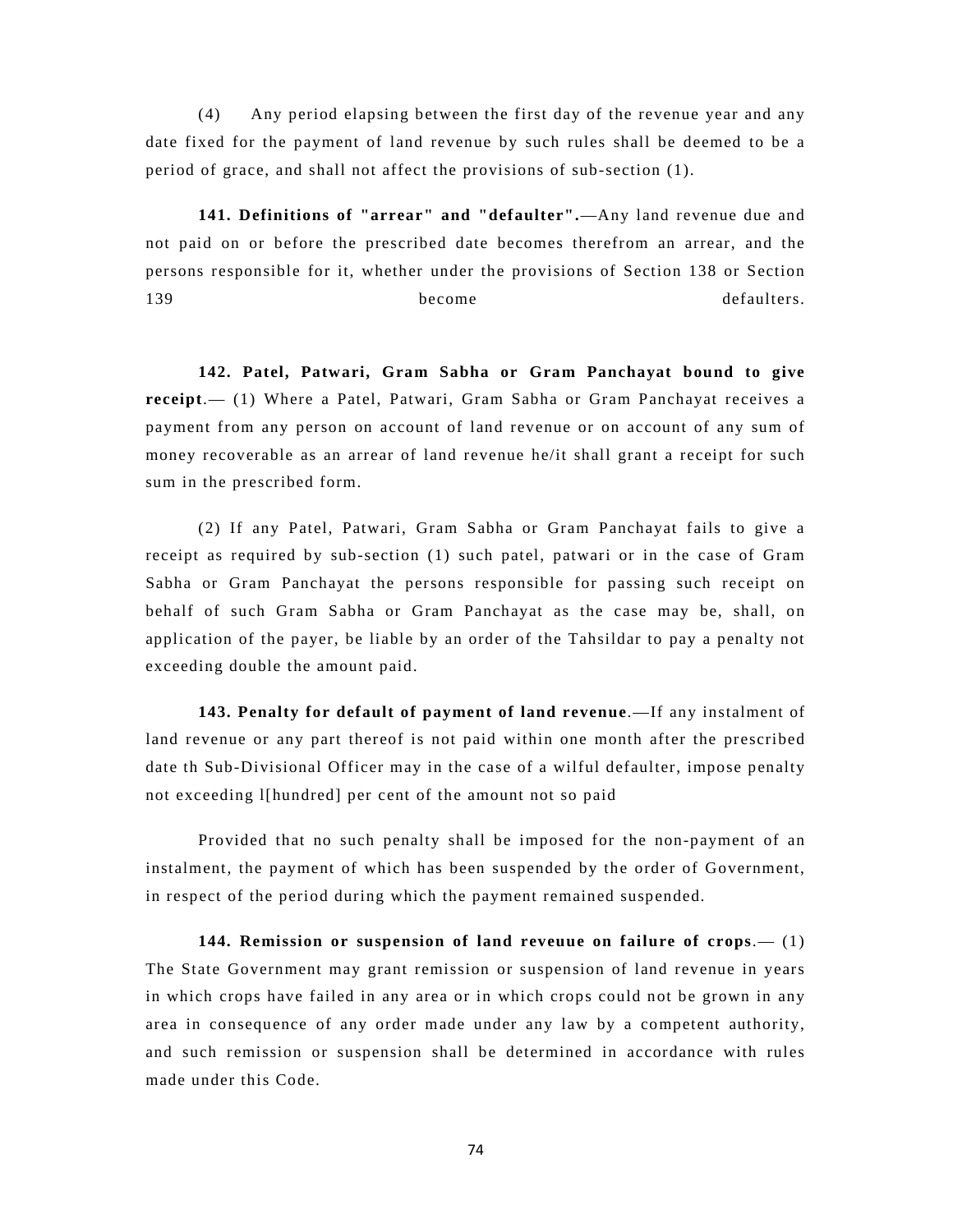(4) Any period elapsing between the first day of the revenue year and any date fixed for the payment of land revenue by such rules shall be deemed to be a period of grace, and shall not affect the provisions of sub-section (1).

**141. Definitions of "arrear" and "defaulter".**—Any land revenue due and not paid on or before the prescribed date becomes therefrom an arrear, and the persons responsible for it, whether under the provisions of Section 138 or Section 139 become become defaulters.

**142. Patel, Patwari, Gram Sabha or Gram Panchayat bound to give receipt**.— (1) Where a Patel, Patwari, Gram Sabha or Gram Panchayat receives a payment from any person on account of land revenue or on account of any sum of money recoverable as an arrear of land revenue he/it shall grant a receipt for such sum in the prescribed form.

(2) If any Patel, Patwari, Gram Sabha or Gram Panchayat fails to give a receipt as required by sub-section (1) such patel, patwari or in the case of Gram Sabha or Gram Panchayat the persons responsible for passing such receipt on behalf of such Gram Sabha or Gram Panchayat as the case may be, shall, on application of the payer, be liable by an order of the Tahsildar to pay a penalty not exceeding double the amount paid.

**143. Penalty for default of payment of land revenue**.—If any instalment of land revenue or any part thereof is not paid within one month after the prescribed date th Sub-Divisional Officer may in the case of a wilful defaulter, impose penalty not exceeding l[hundred] per cent of the amount not so paid

Provided that no such penalty shall be imposed for the non-payment of an instalment, the payment of which has been suspended by the order of Government, in respect of the period during which the payment remained suspended.

**144. Remission or suspension of land reveuue on failure of crops**.— (1) The State Government may grant remission or suspension of land revenue in years in which crops have failed in any area or in which crops could not be grown in any area in consequence of any order made under any law by a competent authority, and such remission or suspension shall be determined in accordance with rules made under this Code.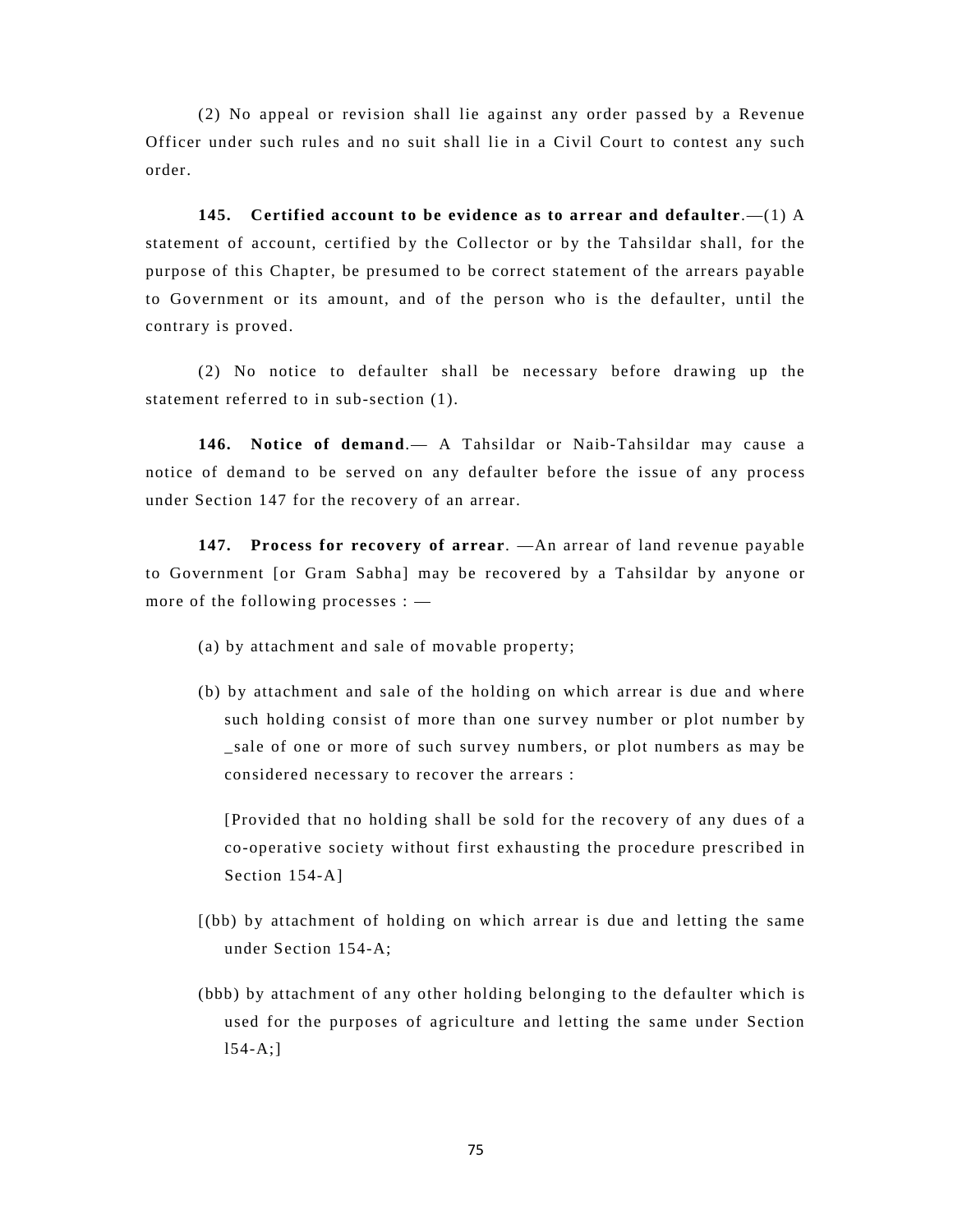(2) No appeal or revision shall lie against any order passed by a Revenue Officer under such rules and no suit shall lie in a Civil Court to contest any such order.

**145. Certified account to be evidence as to arrear and defaulter**.—(1) A statement of account, certified by the Collector or by the Tahsildar shall, for the purpose of this Chapter, be presumed to be correct statement of the arrears payable to Government or its amount, and of the person who is the defaulter, until the contrary is proved.

(2) No notice to defaulter shall be necessary before drawing up the statement referred to in sub-section (1).

**146. Notice of demand**.— A Tahsildar or Naib-Tahsildar may cause a notice of demand to be served on any defaulter before the issue of any process under Section 147 for the recovery of an arrear.

**147. Process for recovery of arrear**. —An arrear of land revenue payable to Government [or Gram Sabha] may be recovered by a Tahsildar by anyone or more of the following processes : —

- (a) by attachment and sale of movable property;
- (b) by attachment and sale of the holding on which arrear is due and where such holding consist of more than one survey number or plot number by sale of one or more of such survey numbers, or plot numbers as may be considered necessary to recover the arrears :

[Provided that no holding shall be sold for the recovery of any dues of a co-operative society without first exhausting the procedure prescribed in Section 154-A]

- [(bb) by attachment of holding on which arrear is due and letting the same under Section 154-A;
- (bbb) by attachment of any other holding belonging to the defaulter which is used for the purposes of agriculture and letting the same under Section  $154 - A;$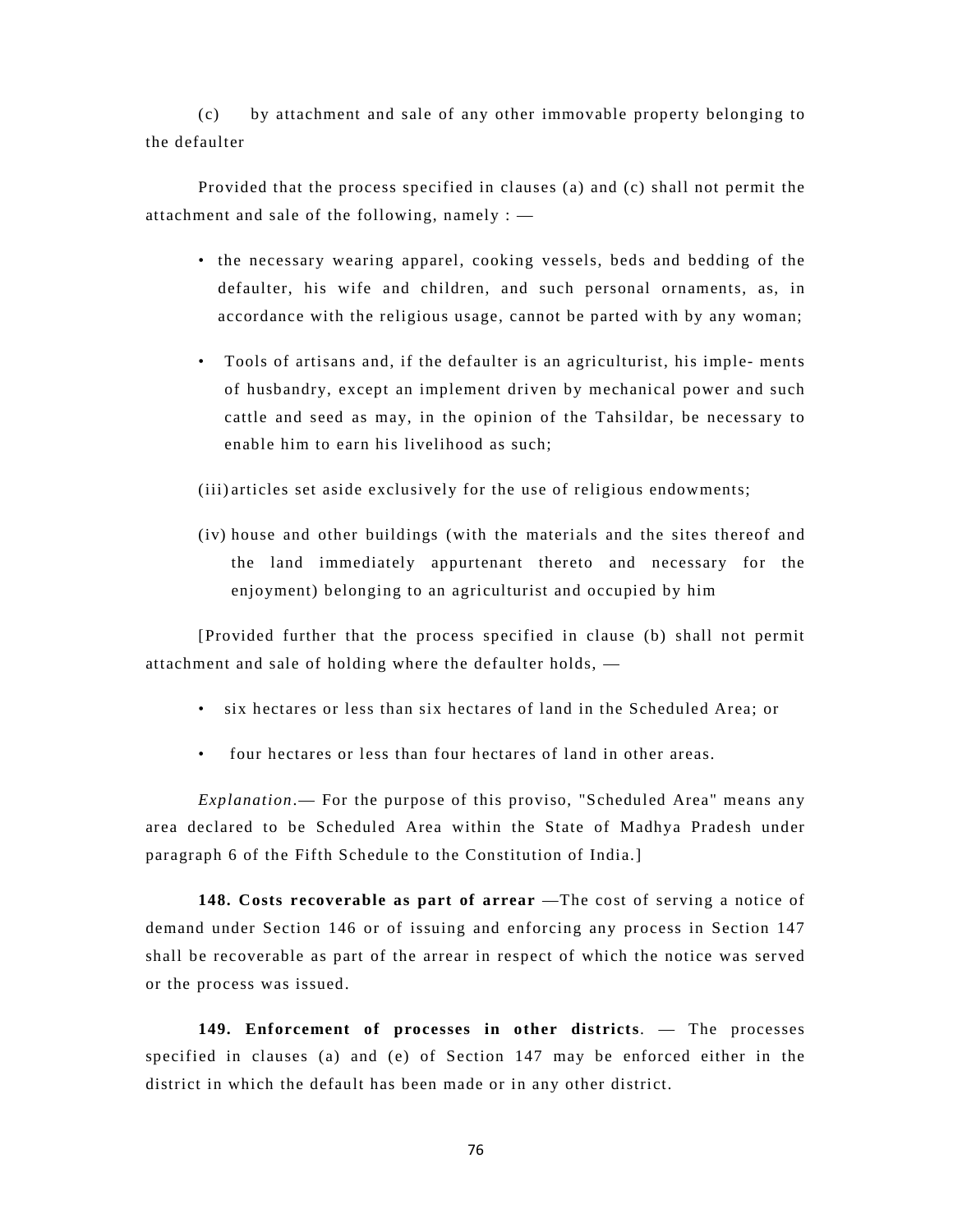(c) by attachment and sale of any other immovable property belonging to the defaulter

Provided that the process specified in clauses (a) and (c) shall not permit the attachment and sale of the following, namely : —

- the necessary wearing apparel, cooking vessels, beds and bedding of the defaulter, his wife and children, and such personal ornaments, as, in accordance with the religious usage, cannot be parted with by any woman;
- Tools of artisans and, if the defaulter is an agriculturist, his imple- ments of husbandry, except an implement driven by mechanical power and such cattle and seed as may, in the opinion of the Tahsildar, be necessary to enable him to earn his livelihood as such;

(iii) articles set aside exclusively for the use of religious endowments;

(iv) house and other buildings (with the materials and the sites thereof and the land immediately appurtenant thereto and necessary for the enjoyment) belonging to an agriculturist and occupied by him

[Provided further that the process specified in clause (b) shall not permit attachment and sale of holding where the defaulter holds, —

- six hectares or less than six hectares of land in the Scheduled Area; or
- four hectares or less than four hectares of land in other areas.

*Explanation*.— For the purpose of this proviso, "Scheduled Area" means any area declared to be Scheduled Area within the State of Madhya Pradesh under paragraph 6 of the Fifth Schedule to the Constitution of India.]

**148. Costs recoverable as part of arrear** —The cost of serving a notice of demand under Section 146 or of issuing and enforcing any process in Section 147 shall be recoverable as part of the arrear in respect of which the notice was served or the process was issued.

**149. Enforcement of processes in other districts**. — The processes specified in clauses (a) and (e) of Section 147 may be enforced either in the district in which the default has been made or in any other district.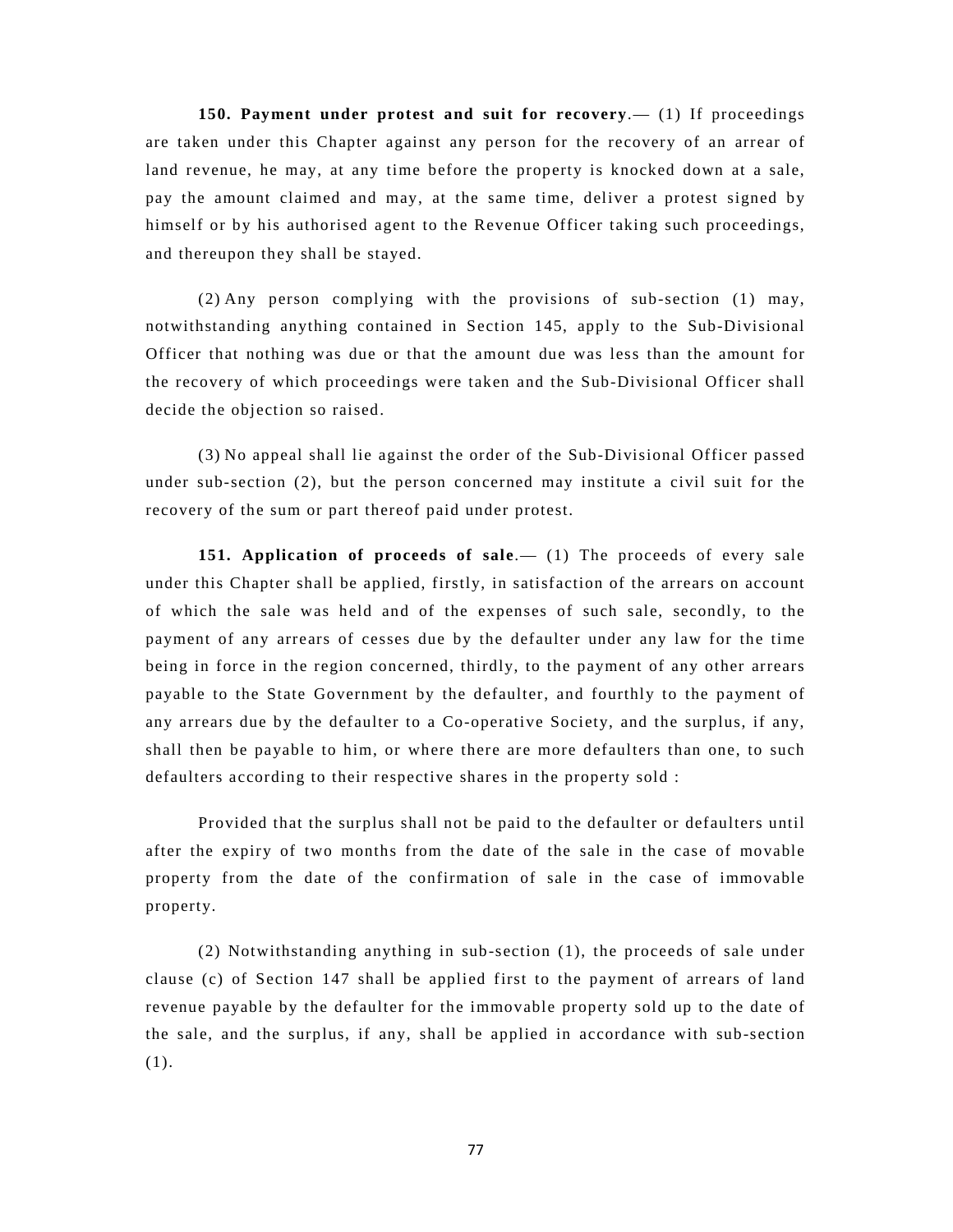**150. Payment under protest and suit for recovery**.— (1) If proceedings are taken under this Chapter against any person for the recovery of an arrear of land revenue, he may, at any time before the property is knocked down at a sale, pay the amount claimed and may, at the same time, deliver a protest signed by himself or by his authorised agent to the Revenue Officer taking such proceedings, and thereupon they shall be stayed.

(2) Any person complying with the provisions of sub-section (1) may, notwithstanding anything contained in Section 145, apply to the Sub-Divisional Officer that nothing was due or that the amount due was less than the amount for the recovery of which proceedings were taken and the Sub-Divisional Officer shall decide the objection so raised.

(3) No appeal shall lie against the order of the Sub-Divisional Officer passed under sub-section (2), but the person concerned may institute a civil suit for the recovery of the sum or part thereof paid under protest.

**151. Application of proceeds of sale.** (1) The proceeds of every sale under this Chapter shall be applied, firstly, in satisfaction of the arrears on account of which the sale was held and of the expenses of such sale, secondly, to the payment of any arrears of cesses due by the defaulter under any law for the time being in force in the region concerned, thirdly, to the payment of any other arrears payable to the State Government by the defaulter, and fourthly to the payment of any arrears due by the defaulter to a Co-operative Society, and the surplus, if any, shall then be payable to him, or where there are more defaulters than one, to such defaulters according to their respective shares in the property sold :

Provided that the surplus shall not be paid to the defaulter or defaulters until after the expiry of two months from the date of the sale in the case of movable property from the date of the confirmation of sale in the case of immovable property.

(2) Notwithstanding anything in sub-section (1), the proceeds of sale under clause (c) of Section 147 shall be applied first to the payment of arrears of land revenue payable by the defaulter for the immovable property sold up to the date of the sale, and the surplus, if any, shall be applied in accordance with sub-section (1).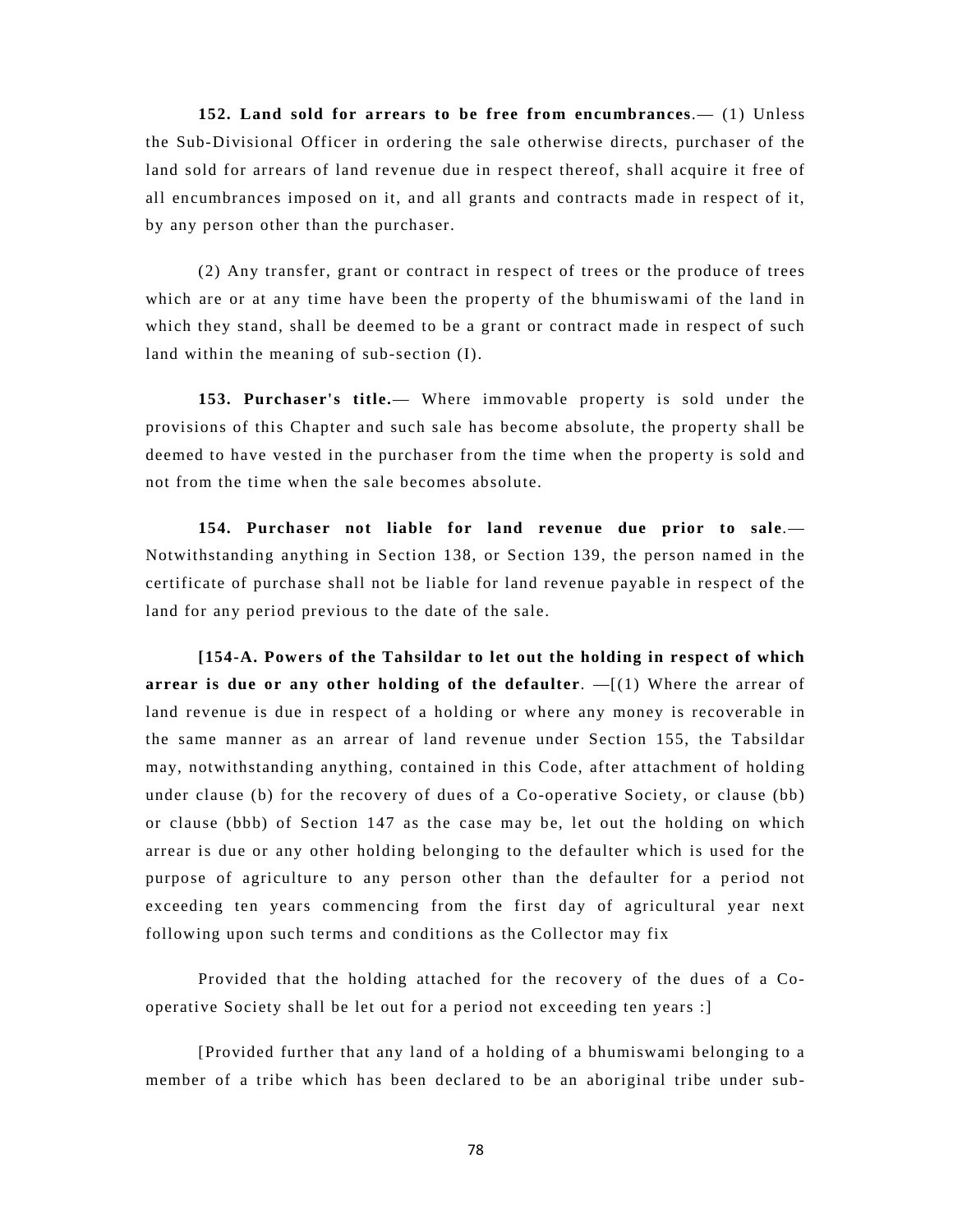**152. Land sold for arrears to be free from encumbrances**.— (1) Unless the Sub-Divisional Officer in ordering the sale otherwise directs, purchaser of the land sold for arrears of land revenue due in respect thereof, shall acquire it free of all encumbrances imposed on it, and all grants and contracts made in respect of it, by any person other than the purchaser.

(2) Any transfer, grant or contract in respect of trees or the produce of trees which are or at any time have been the property of the bhumiswami of the land in which they stand, shall be deemed to be a grant or contract made in respect of such land within the meaning of sub-section (I).

**153. Purchaser's title.**— Where immovable property is sold under the provisions of this Chapter and such sale has become absolute, the property shall be deemed to have vested in the purchaser from the time when the property is sold and not from the time when the sale becomes absolute.

**154. Purchaser not liable for land revenue due prior to sale**.— Notwithstanding anything in Section 138, or Section 139, the person named in the certificate of purchase shall not be liable for land revenue payable in respect of the land for any period previous to the date of the sale.

**[154-A. Powers of the Tahsildar to let out the holding in respect of which arrear is due or any other holding of the defaulter**. —[(1) Where the arrear of land revenue is due in respect of a holding or where any money is recoverable in the same manner as an arrear of land revenue under Section 155, the Tabsildar may, notwithstanding anything, contained in this Code, after attachment of holding under clause (b) for the recovery of dues of a Co-operative Society, or clause (bb) or clause (bbb) of Section 147 as the case may be, let out the holding on which arrear is due or any other holding belonging to the defaulter which is used for the purpose of agriculture to any person other than the defaulter for a period not exceeding ten years commencing from the first day of agricultural year next following upon such terms and conditions as the Collector may fix

Provided that the holding attached for the recovery of the dues of a Cooperative Society shall be let out for a period not exceeding ten years :]

[Provided further that any land of a holding of a bhumiswami belonging to a member of a tribe which has been declared to be an aboriginal tribe under sub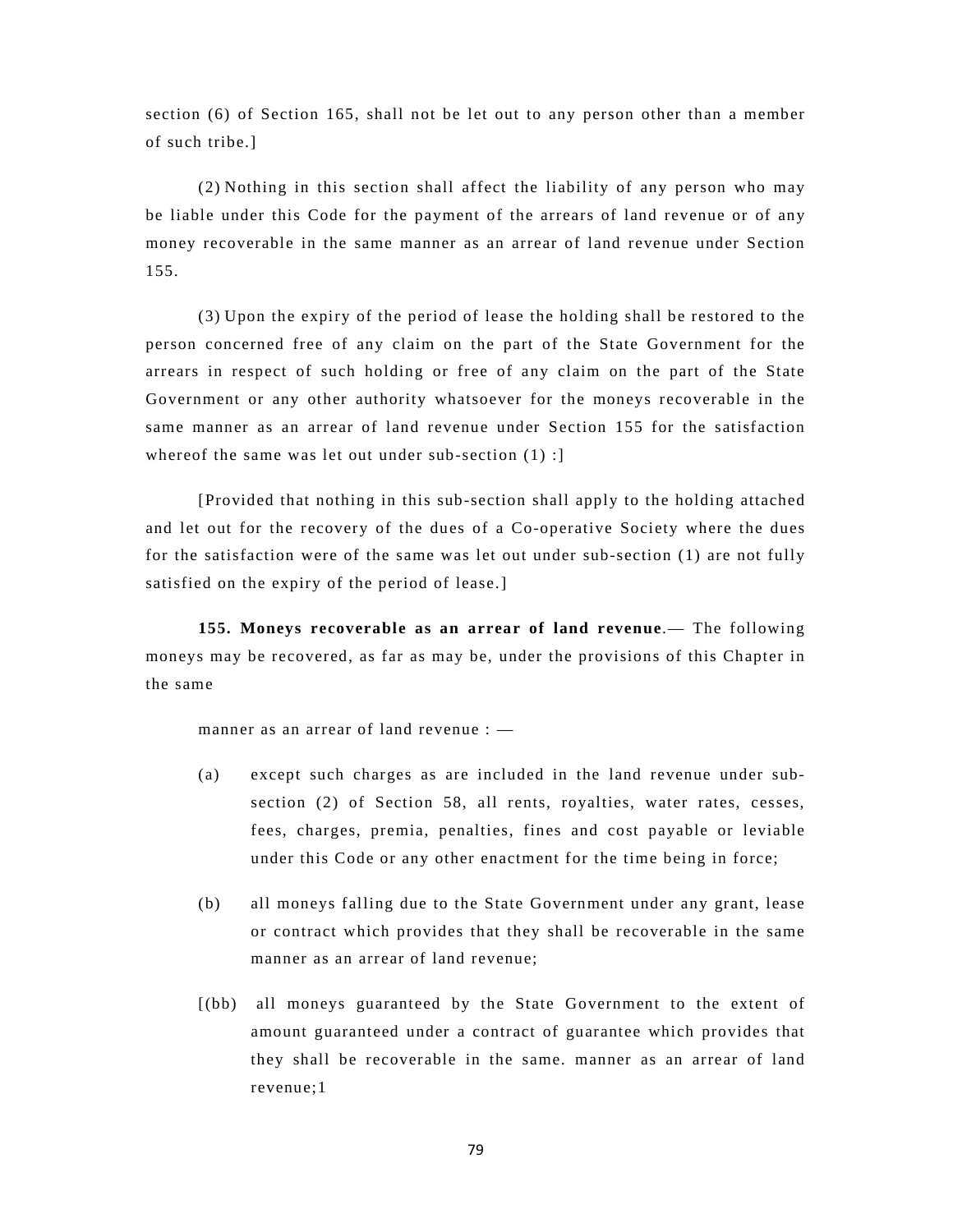section (6) of Section 165, shall not be let out to any person other than a member of such tribe.]

(2) Nothing in this section shall affect the liability of any person who may be liable under this Code for the payment of the arrears of land revenue or of any money recoverable in the same manner as an arrear of land revenue under Section 155.

(3) Upon the expiry of the period of lease the holding shall be restored to the person concerned free of any claim on the part of the State Government for the arrears in respect of such holding or free of any claim on the part of the State Government or any other authority whatsoever for the moneys recoverable in the same manner as an arrear of land revenue under Section 155 for the satisfaction whereof the same was let out under sub-section (1) :]

[Provided that nothing in this sub-section shall apply to the holding attached and let out for the recovery of the dues of a Co-operative Society where the dues for the satisfaction were of the same was let out under sub-section (1) are not fully satisfied on the expiry of the period of lease.]

**155. Moneys recoverable as an arrear of land revenue**.— The following moneys may be recovered, as far as may be, under the provisions of this Chapter in the same

manner as an arrear of land revenue :  $-$ 

- (a) except such charges as are included in the land revenue under subsection (2) of Section 58, all rents, royalties, water rates, cesses, fees, charges, premia, penalties, fines and cost payable or leviable under this Code or any other enactment for the time being in force;
- (b) all moneys falling due to the State Government under any grant, lease or contract which provides that they shall be recoverable in the same manner as an arrear of land revenue;
- [(bb) all moneys guaranteed by the State Government to the extent of amount guaranteed under a contract of guarantee which provides that they shall be recoverable in the same. manner as an arrear of land revenue;1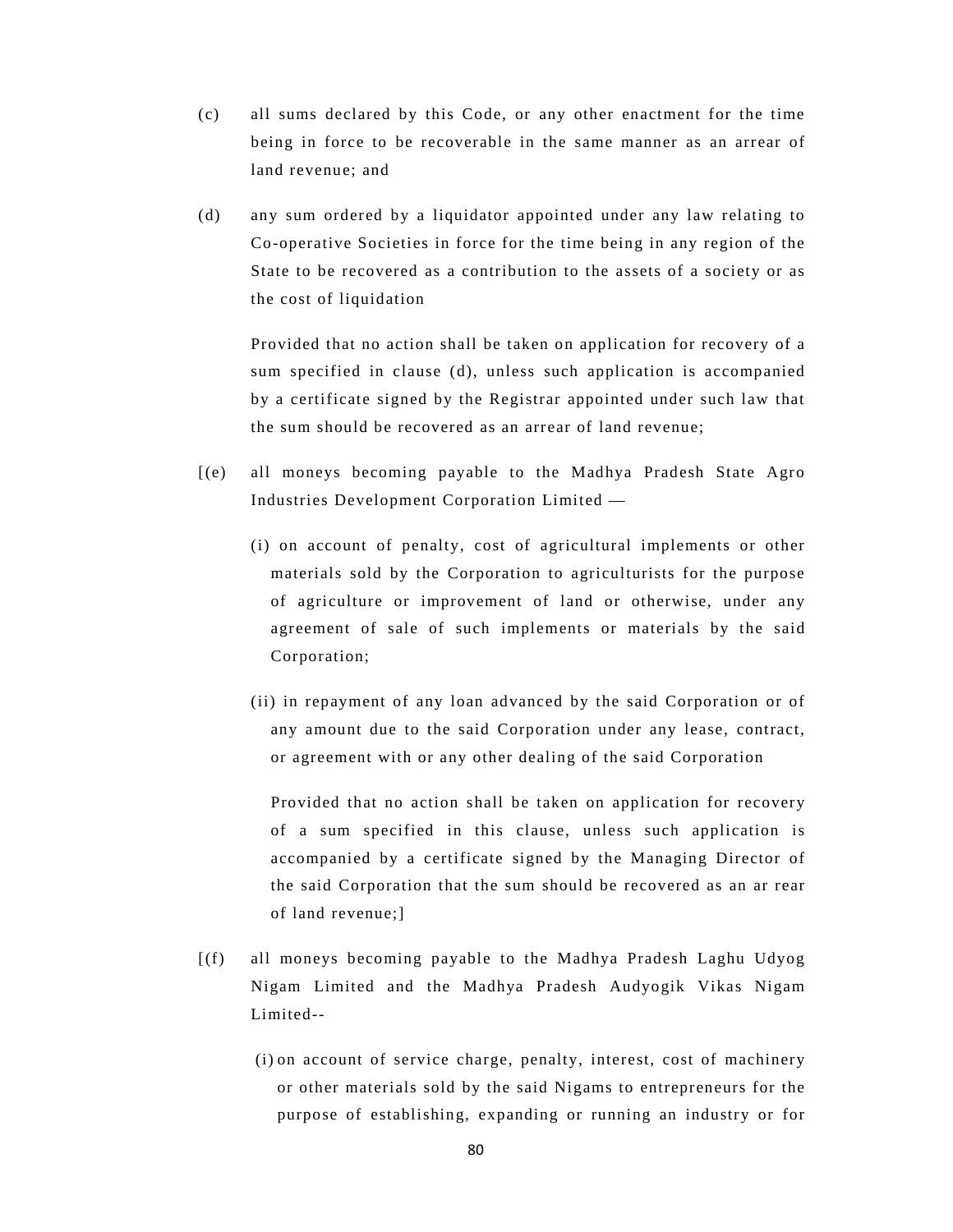- (c) all sums declared by this Code, or any other enactment for the time being in force to be recoverable in the same manner as an arrear of land revenue; and
- (d) any sum ordered by a liquidator appointed under any law relating to Co-operative Societies in force for the time being in any region of the State to be recovered as a contribution to the assets of a society or as the cost of liquidation

Provided that no action shall be taken on application for recovery of a sum specified in clause (d), unless such application is accompanied by a certificate signed by the Registrar appointed under such law that the sum should be recovered as an arrear of land revenue;

- [(e) all moneys becoming payable to the Madhya Pradesh State Agro Industries Development Corporation Limited —
	- (i) on account of penalty, cost of agricultural implements or other materials sold by the Corporation to agriculturists for the purpose of agriculture or improvement of land or otherwise, under any agreement of sale of such implements or materials by the said Corporation;
	- (ii) in repayment of any loan advanced by the said Corporation or of any amount due to the said Corporation under any lease, contract, or agreement with or any other dealing of the said Corporation

Provided that no action shall be taken on application for recovery of a sum specified in this clause, unless such application is accompanied by a certificate signed by the Managing Director of the said Corporation that the sum should be recovered as an ar rear of land revenue;]

- [(f) all moneys becoming payable to the Madhya Pradesh Laghu Udyog Nigam Limited and the Madhya Pradesh Audyogik Vikas Nigam Limited--
	- (i) on account of service charge, penalty, interest, cost of machinery or other materials sold by the said Nigams to entrepreneurs for the purpose of establishing, expanding or running an industry or for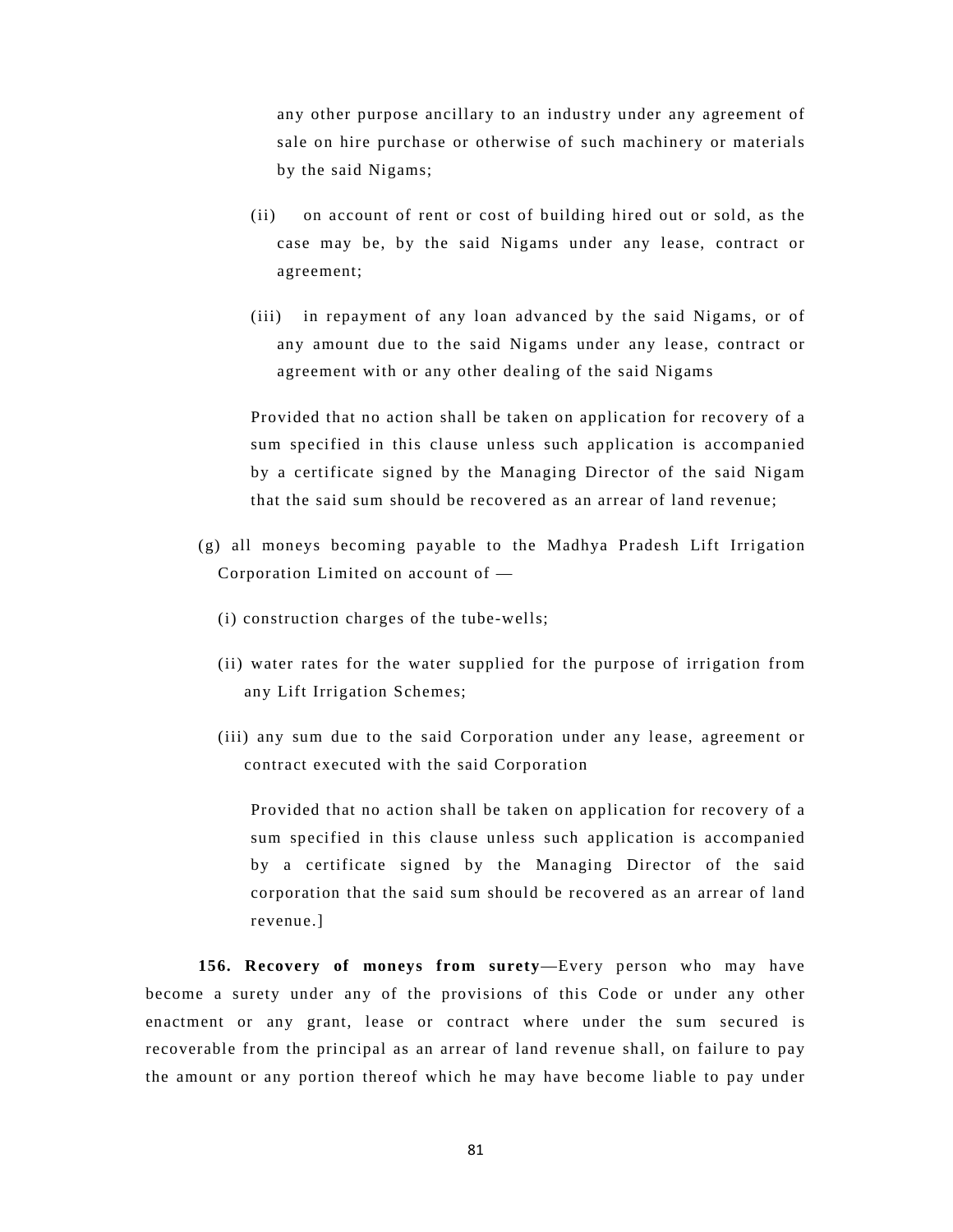any other purpose ancillary to an industry under any agreement of sale on hire purchase or otherwise of such machinery or materials by the said Nigams;

- (ii) on account of rent or cost of building hired out or sold, as the case may be, by the said Nigams under any lease, contract or agreement;
- (iii) in repayment of any loan advanced by the said Nigams, or of any amount due to the said Nigams under any lease, contract or agreement with or any other dealing of the said Nigams

Provided that no action shall be taken on application for recovery of a sum specified in this clause unless such application is accompanied by a certificate signed by the Managing Director of the said Nigam that the said sum should be recovered as an arrear of land revenue;

- (g) all moneys becoming payable to the Madhya Pradesh Lift Irrigation Corporation Limited on account of —
	- (i) construction charges of the tube-wells;
	- (ii) water rates for the water supplied for the purpose of irrigation from any Lift Irrigation Schemes;
	- (iii) any sum due to the said Corporation under any lease, agreement or contract executed with the said Corporation

Provided that no action shall be taken on application for recovery of a sum specified in this clause unless such application is accompanied by a certificate signed by the Managing Director of the said corporation that the said sum should be recovered as an arrear of land revenue.]

**156. Recovery of moneys from surety**—Every person who may have become a surety under any of the provisions of this Code or under any other enactment or any grant, lease or contract where under the sum secured is recoverable from the principal as an arrear of land revenue shall, on failure to pay the amount or any portion thereof which he may have become liable to pay under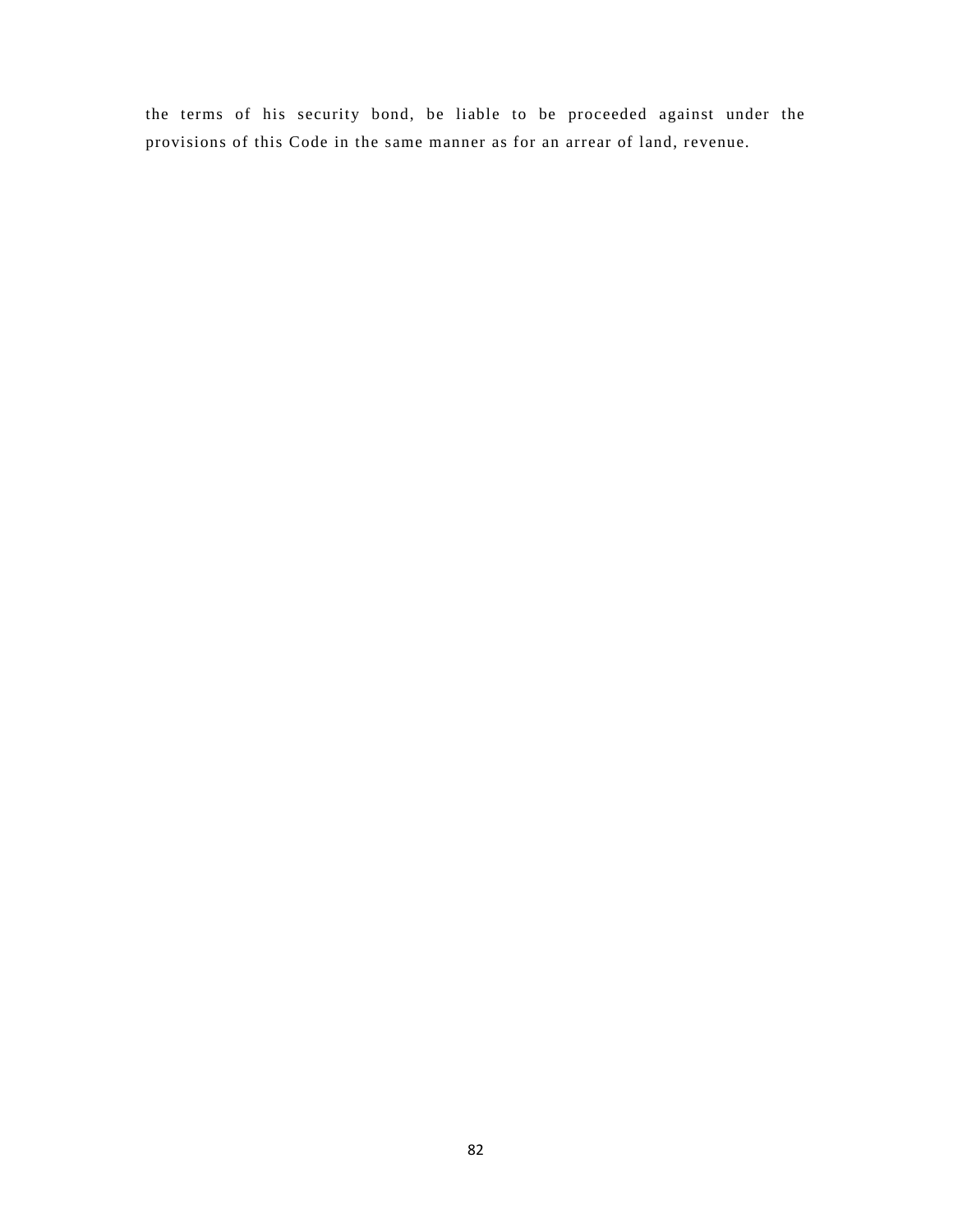the terms of his security bond, be liable to be proceeded against under the provisions of this Code in the same manner as for an arrear of land, revenue.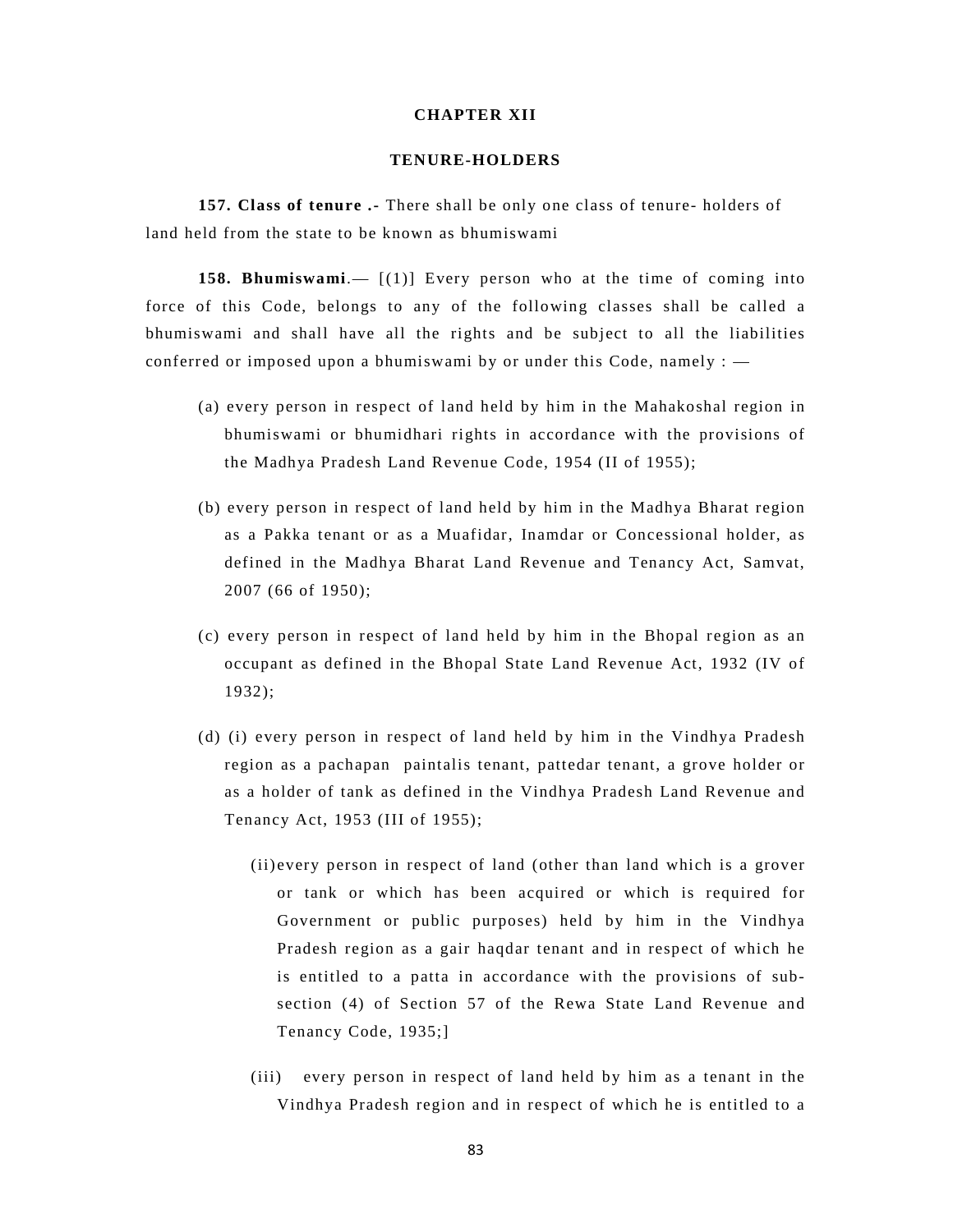# **CHAPTER XII**

### **TENURE-HOLDERS**

 **157. Class of tenure .-** There shall be only one class of tenure- holders of land held from the state to be known as bhumiswami

**158. Bhumiswami**.— [(1)] Every person who at the time of coming into force of this Code, belongs to any of the following classes shall be called a bhumiswami and shall have all the rights and be subject to all the liabilities conferred or imposed upon a bhumiswami by or under this Code, namely : —

- (a) every person in respect of land held by him in the Mahakoshal region in bhumiswami or bhumidhari rights in accordance with the provisions of the Madhya Pradesh Land Revenue Code, 1954 (II of 1955);
- (b) every person in respect of land held by him in the Madhya Bharat region as a Pakka tenant or as a Muafidar, Inamdar or Concessional holder, as defined in the Madhya Bharat Land Revenue and Tenancy Act, Samvat, 2007 (66 of 1950);
- (c) every person in respect of land held by him in the Bhopal region as an occupant as defined in the Bhopal State Land Revenue Act, 1932 (IV of 1932);
- (d) (i) every person in respect of land held by him in the Vindhya Pradesh region as a pachapan paintalis tenant, pattedar tenant, a grove holder or as a holder of tank as defined in the Vindhya Pradesh Land Revenue and Tenancy Act, 1953 (III of 1955);
	- (ii) every person in respect of land (other than land which is a grover or tank or which has been acquired or which is required for Government or public purposes) held by him in the Vindhya Pradesh region as a gair haqdar tenant and in respect of which he is entitled to a patta in accordance with the provisions of subsection (4) of Section 57 of the Rewa State Land Revenue and Tenancy Code, 1935;]
	- (iii) every person in respect of land held by him as a tenant in the Vindhya Pradesh region and in respect of which he is entitled to a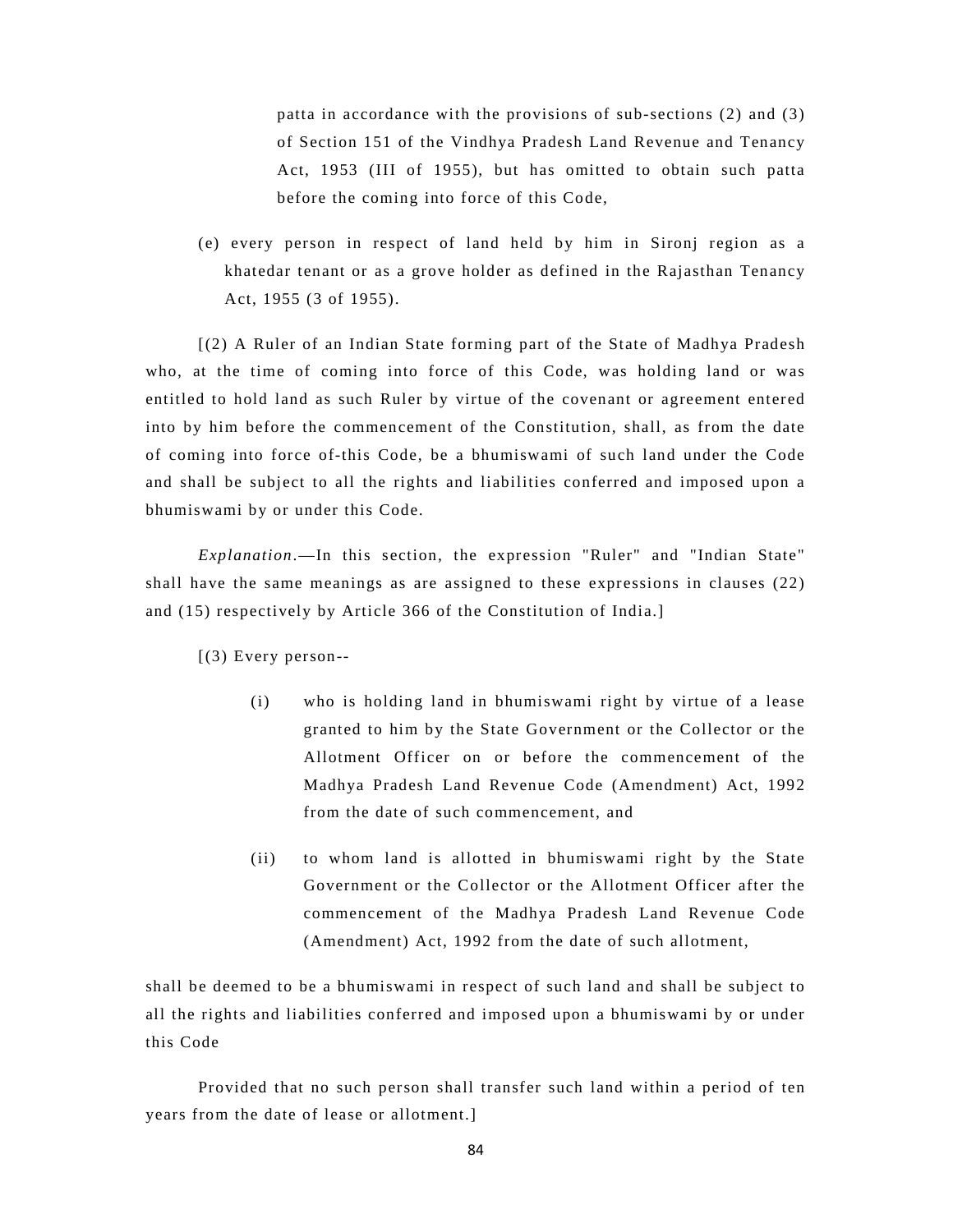patta in accordance with the provisions of sub-sections (2) and (3) of Section 151 of the Vindhya Pradesh Land Revenue and Tenancy Act, 1953 (III of 1955), but has omitted to obtain such patta before the coming into force of this Code,

(e) every person in respect of land held by him in Sironj region as a khatedar tenant or as a grove holder as defined in the Rajasthan Tenancy Act, 1955 (3 of 1955).

[(2) A Ruler of an Indian State forming part of the State of Madhya Pradesh who, at the time of coming into force of this Code, was holding land or was entitled to hold land as such Ruler by virtue of the covenant or agreement entered into by him before the commencement of the Constitution, shall, as from the date of coming into force of-this Code, be a bhumiswami of such land under the Code and shall be subject to all the rights and liabilities conferred and imposed upon a bhumiswami by or under this Code.

*Explanation*.—In this section, the expression "Ruler" and "Indian State" shall have the same meanings as are assigned to these expressions in clauses (22) and (15) respectively by Article 366 of the Constitution of India.]

[(3) Every person--

- (i) who is holding land in bhumiswami right by virtue of a lease granted to him by the State Government or the Collector or the Allotment Officer on or before the commencement of the Madhya Pradesh Land Revenue Code (Amendment) Act, 1992 from the date of such commencement, and
- (ii) to whom land is allotted in bhumiswami right by the State Government or the Collector or the Allotment Officer after the commencement of the Madhya Pradesh Land Revenue Code (Amendment) Act, 1992 from the date of such allotment,

shall be deemed to be a bhumiswami in respect of such land and shall be subject to all the rights and liabilities conferred and imposed upon a bhumiswami by or under this Code

Provided that no such person shall transfer such land within a period of ten years from the date of lease or allotment.]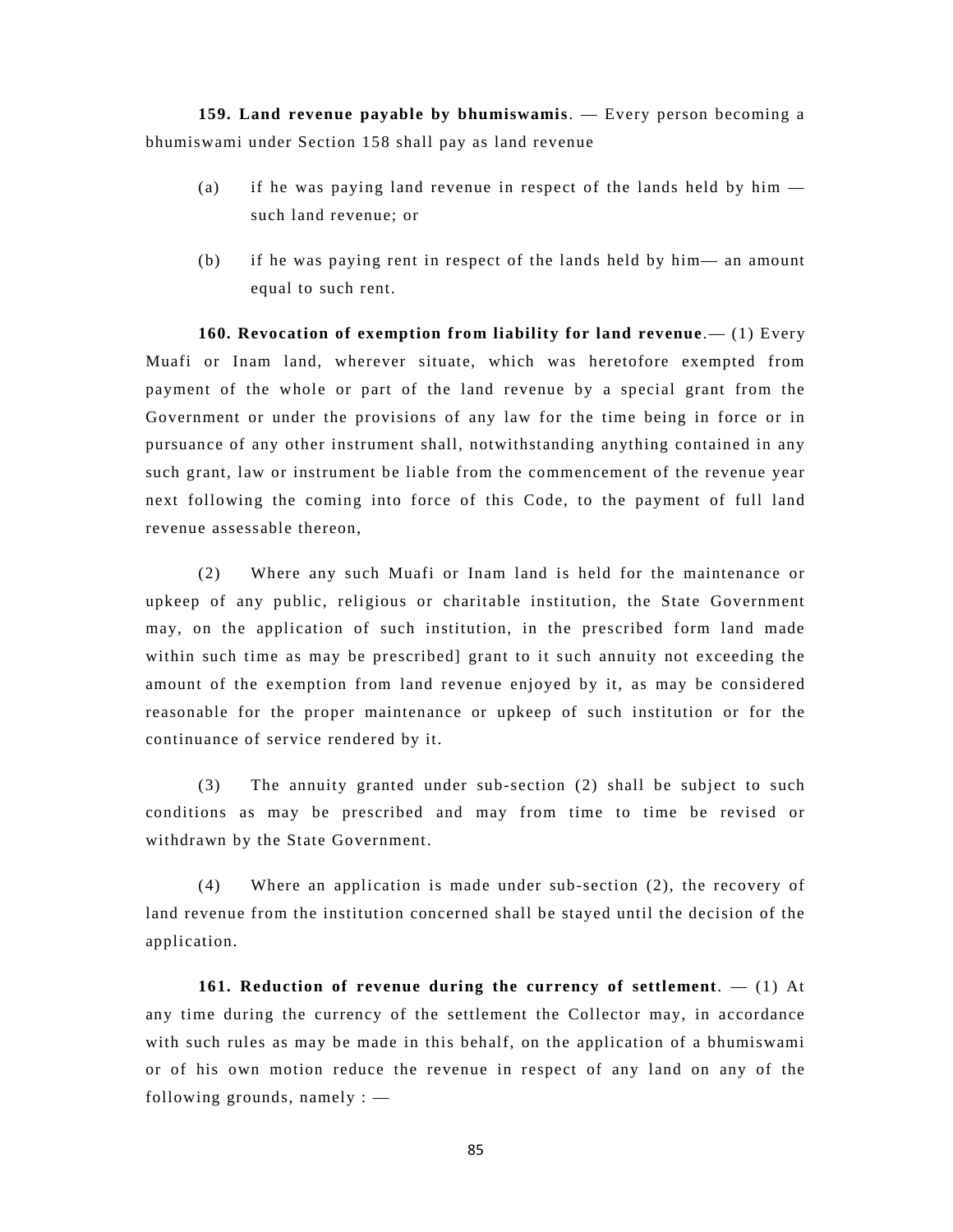**159. Land revenue payable by bhumiswamis**. — Every person becoming a bhumiswami under Section 158 shall pay as land revenue

- (a) if he was paying land revenue in respect of the lands held by him such land revenue; or
- (b) if he was paying rent in respect of the lands held by him— an amount equal to such rent.

**160. Revocation of exemption from liability for land revenue**.— (1) Every Muafi or Inam land, wherever situate, which was heretofore exempted from payment of the whole or part of the land revenue by a special grant from the Government or under the provisions of any law for the time being in force or in pursuance of any other instrument shall, notwithstanding anything contained in any such grant, law or instrument be liable from the commencement of the revenue year next following the coming into force of this Code, to the payment of full land revenue assessable thereon,

(2) Where any such Muafi or Inam land is held for the maintenance or upkeep of any public, religious or charitable institution, the State Government may, on the application of such institution, in the prescribed form land made within such time as may be prescribed] grant to it such annuity not exceeding the amount of the exemption from land revenue enjoyed by it, as may be considered reasonable for the proper maintenance or upkeep of such institution or for the continuance of service rendered by it.

(3) The annuity granted under sub-section (2) shall be subject to such conditions as may be prescribed and may from time to time be revised or withdrawn by the State Government.

(4) Where an application is made under sub-section (2), the recovery of land revenue from the institution concerned shall be stayed until the decision of the application.

**161. Reduction of revenue during the currency of settlement**. — (1) At any time during the currency of the settlement the Collector may, in accordance with such rules as may be made in this behalf, on the application of a bhumiswami or of his own motion reduce the revenue in respect of any land on any of the following grounds, namely : —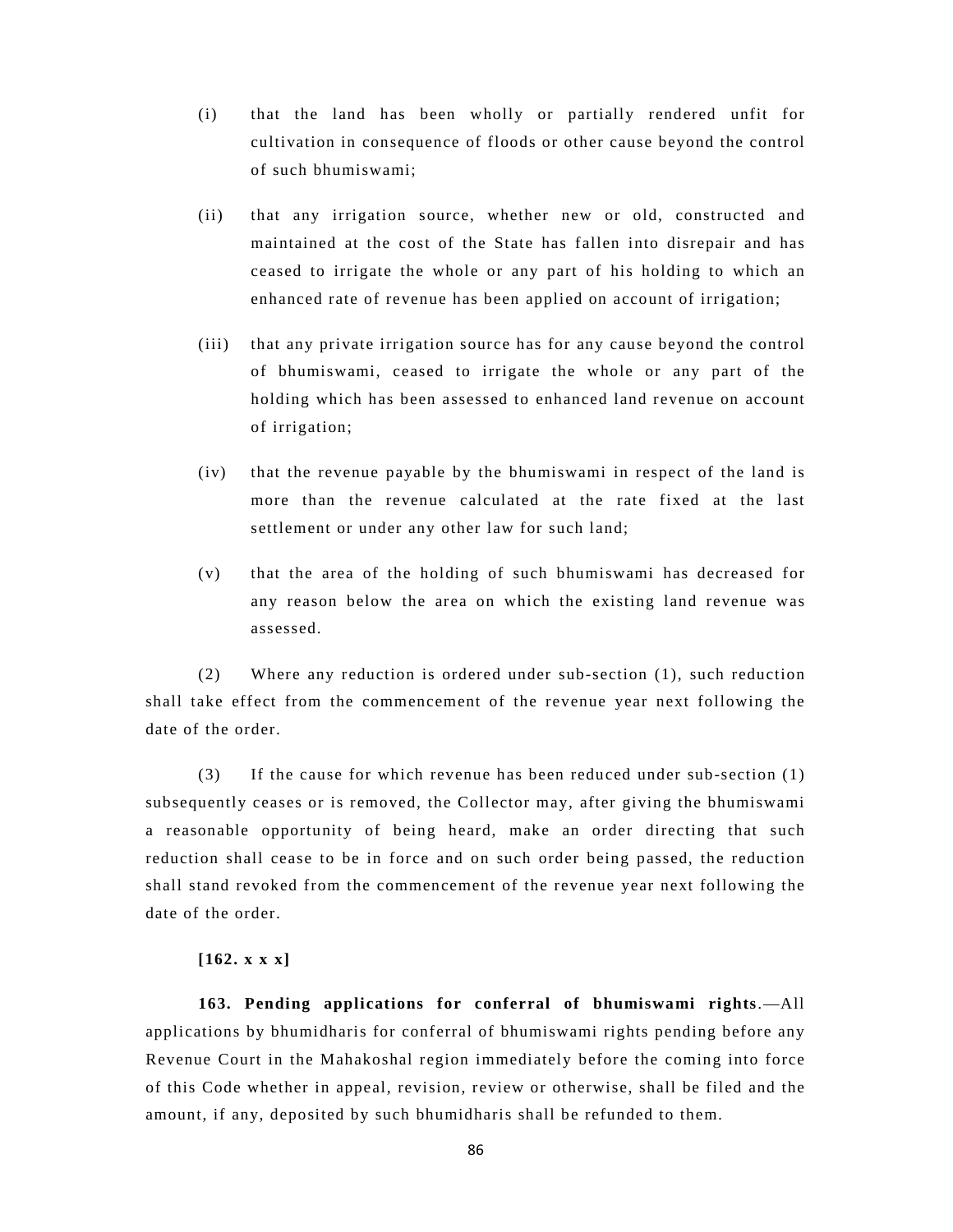- (i) that the land has been wholly or partially rendered unfit for cultivation in consequence of floods or other cause beyond the control of such bhumiswami;
- (ii) that any irrigation source, whether new or old, constructed and maintained at the cost of the State has fallen into disrepair and has ceased to irrigate the whole or any part of his holding to which an enhanced rate of revenue has been applied on account of irrigation;
- (iii) that any private irrigation source has for any cause beyond the control of bhumiswami, ceased to irrigate the whole or any part of the holding which has been assessed to enhanced land revenue on account of irrigation;
- (iv) that the revenue payable by the bhumiswami in respect of the land is more than the revenue calculated at the rate fixed at the last settlement or under any other law for such land;
- (v) that the area of the holding of such bhumiswami has decreased for any reason below the area on which the existing land revenue was assessed.

(2) Where any reduction is ordered under sub-section (1), such reduction shall take effect from the commencement of the revenue year next following the date of the order.

(3) If the cause for which revenue has been reduced under sub-section (1) subsequently ceases or is removed, the Collector may, after giving the bhumiswami a reasonable opportunity of being heard, make an order directing that such reduction shall cease to be in force and on such order being passed, the reduction shall stand revoked from the commencement of the revenue year next following the date of the order.

# **[162. x x x]**

**163. Pending applications for conferral of bhumiswami rights**.—All applications by bhumidharis for conferral of bhumiswami rights pending before any Revenue Court in the Mahakoshal region immediately before the coming into force of this Code whether in appeal, revision, review or otherwise, shall be filed and the amount, if any, deposited by such bhumidharis shall be refunded to them.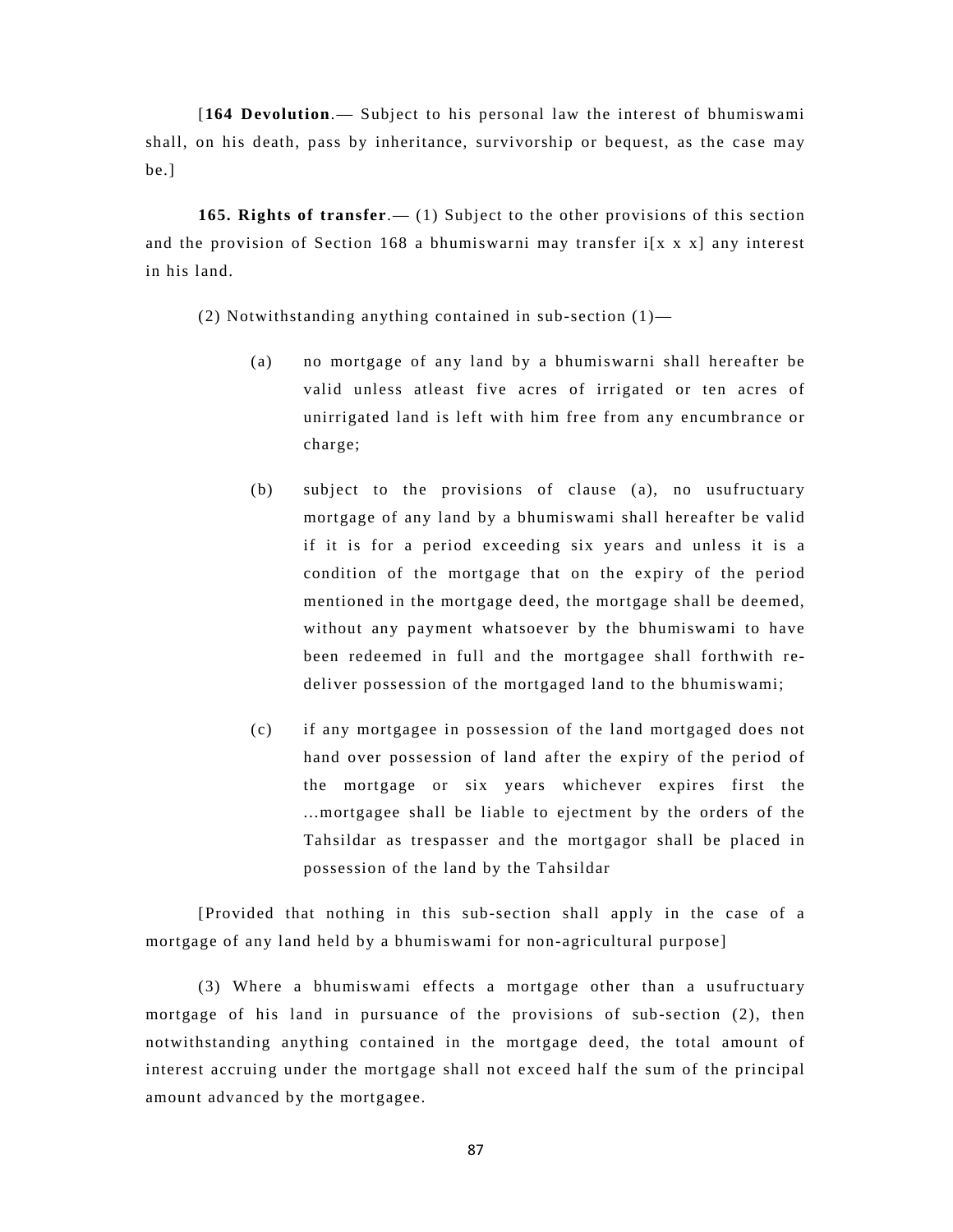[**164 Devolution**.— Subject to his personal law the interest of bhumiswami shall, on his death, pass by inheritance, survivorship or bequest, as the case may be.]

**165. Rights of transfer**.— (1) Subject to the other provisions of this section and the provision of Section 168 a bhumiswarni may transfer i[x x x] any interest in his land.

(2) Notwithstanding anything contained in sub-section (1)—

- (a) no mortgage of any land by a bhumiswarni shall hereafter be valid unless atleast five acres of irrigated or ten acres of unirrigated land is left with him free from any encumbrance or charge;
- (b) subject to the provisions of clause (a), no usufructuary mortgage of any land by a bhumiswami shall hereafter be valid if it is for a period exceeding six years and unless it is a condition of the mortgage that on the expiry of the period mentioned in the mortgage deed, the mortgage shall be deemed, without any payment whatsoever by the bhumiswami to have been redeemed in full and the mortgagee shall forthwith redeliver possession of the mortgaged land to the bhumiswami;
- (c) if any mortgagee in possession of the land mortgaged does not hand over possession of land after the expiry of the period of the mortgage or six years whichever expires first the ...mortgagee shall be liable to ejectment by the orders of the Tahsildar as trespasser and the mortgagor shall be placed in possession of the land by the Tahsildar

[Provided that nothing in this sub-section shall apply in the case of a mortgage of any land held by a bhumiswami for non-agricultural purpose]

(3) Where a bhumiswami effects a mortgage other than a usufructuary mortgage of his land in pursuance of the provisions of sub-section (2), then notwithstanding anything contained in the mortgage deed, the total amount of interest accruing under the mortgage shall not exceed half the sum of the principal amount advanced by the mortgagee.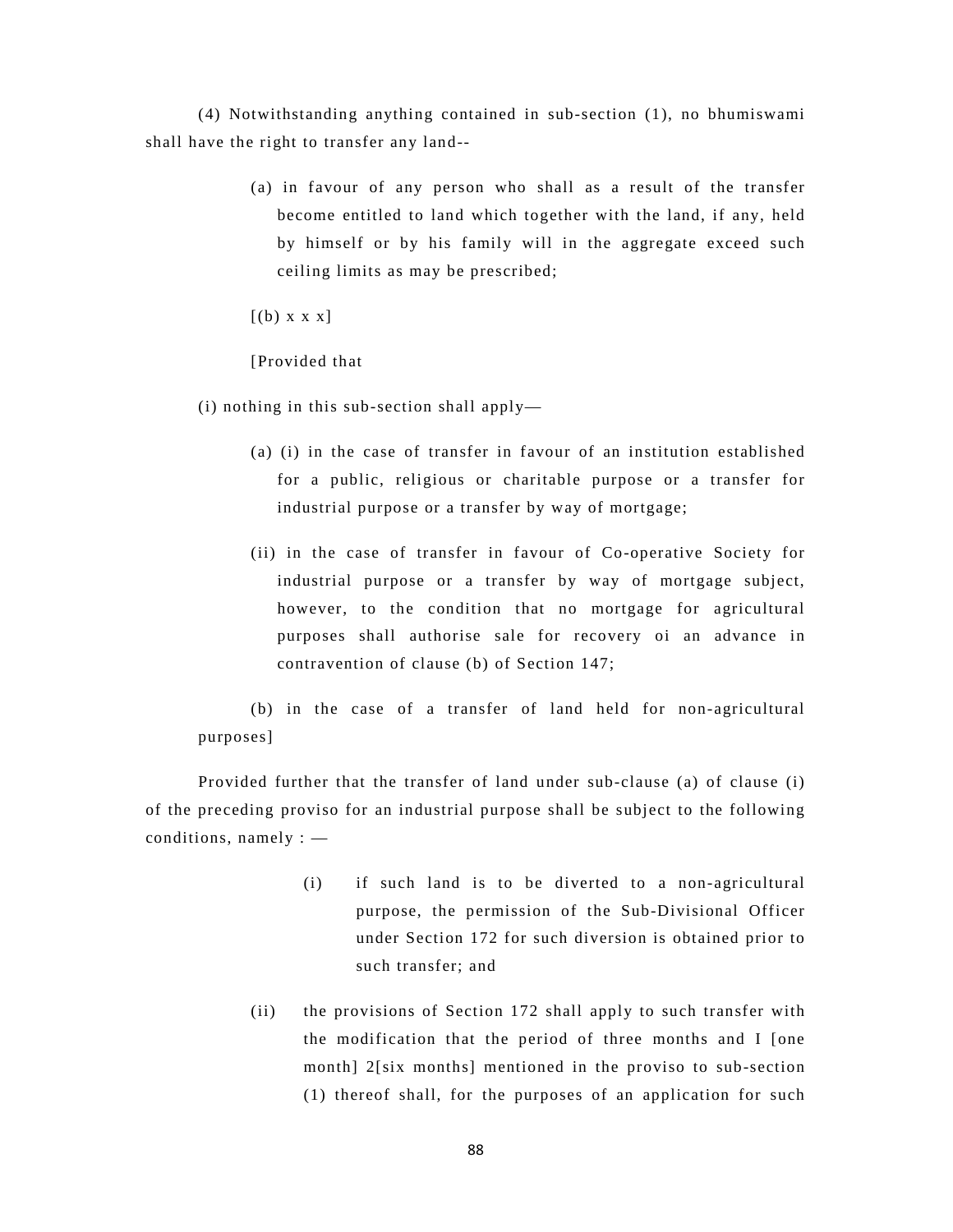(4) Notwithstanding anything contained in sub-section (1), no bhumiswami shall have the right to transfer any land--

> (a) in favour of any person who shall as a result of the transfer become entitled to land which together with the land, if any, held by himself or by his family will in the aggregate exceed such ceiling limits as may be prescribed;

 $[(b) \times x \times x]$ 

[Provided that

(i) nothing in this sub-section shall apply—

- (a) (i) in the case of transfer in favour of an institution established for a public, religious or charitable purpose or a transfer for industrial purpose or a transfer by way of mortgage;
- (ii) in the case of transfer in favour of Co-operative Society for industrial purpose or a transfer by way of mortgage subject, however, to the condition that no mortgage for agricultural purposes shall authorise sale for recovery oi an advance in contravention of clause (b) of Section 147;

(b) in the case of a transfer of land held for non-agricultural purposes]

Provided further that the transfer of land under sub-clause (a) of clause (i) of the preceding proviso for an industrial purpose shall be subject to the following conditions, namely : —

- (i) if such land is to be diverted to a non-agricultural purpose, the permission of the Sub-Divisional Officer under Section 172 for such diversion is obtained prior to such transfer; and
- (ii) the provisions of Section 172 shall apply to such transfer with the modification that the period of three months and I [one month] 2[six months] mentioned in the proviso to sub-section (1) thereof shall, for the purposes of an application for such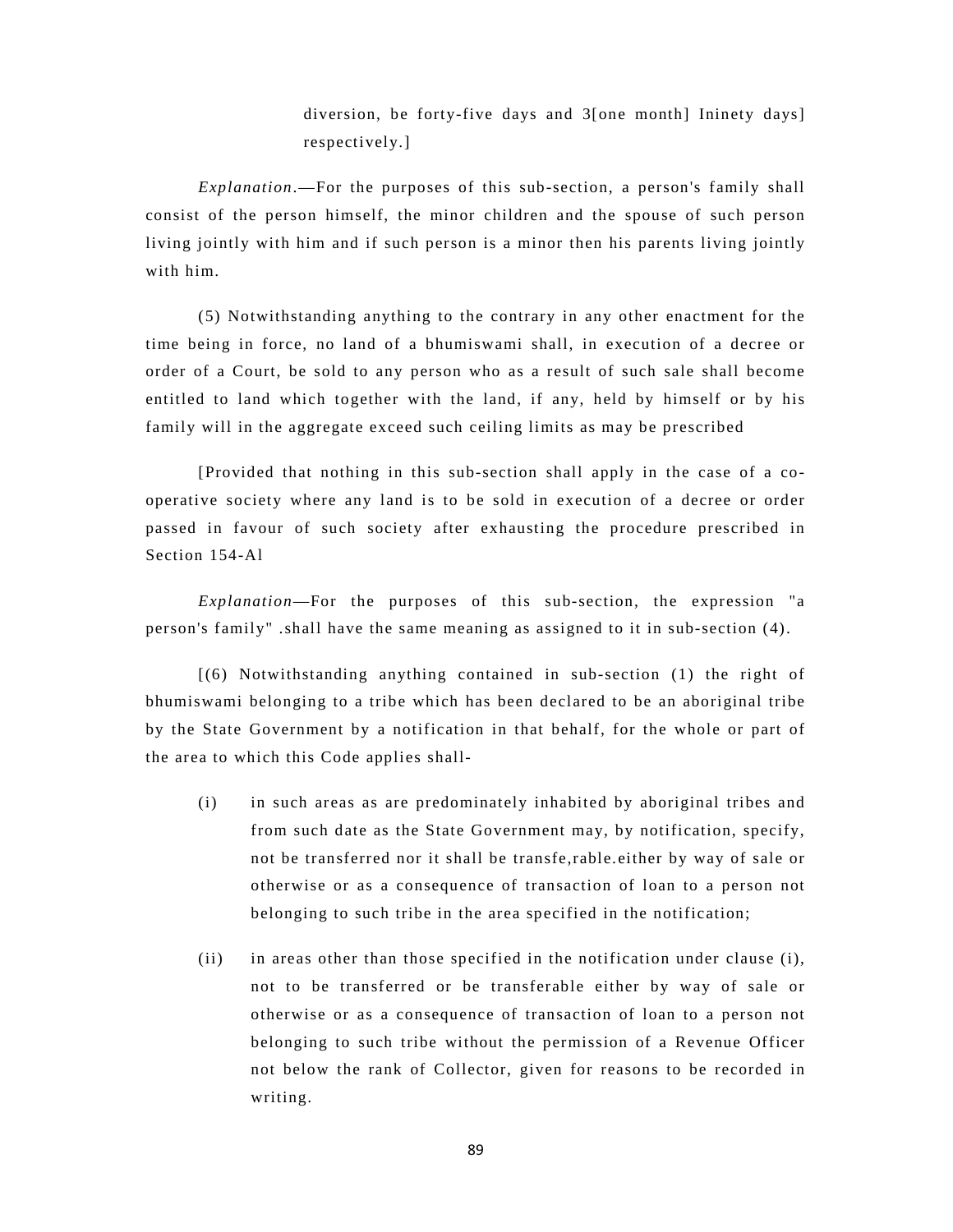diversion, be forty-five days and 3[one month] Ininety days] respectively.]

*Explanation*.—For the purposes of this sub-section, a person's family shall consist of the person himself, the minor children and the spouse of such person living jointly with him and if such person is a minor then his parents living jointly with him.

(5) Notwithstanding anything to the contrary in any other enactment for the time being in force, no land of a bhumiswami shall, in execution of a decree or order of a Court, be sold to any person who as a result of such sale shall become entitled to land which together with the land, if any, held by himself or by his family will in the aggregate exceed such ceiling limits as may be prescribed

[Provided that nothing in this sub-section shall apply in the case of a cooperative society where any land is to be sold in execution of a decree or order passed in favour of such society after exhausting the procedure prescribed in Section 154-Al

*Explanation*—For the purposes of this sub-section, the expression "a person's family" .shall have the same meaning as assigned to it in sub-section (4).

[(6) Notwithstanding anything contained in sub-section (1) the right of bhumiswami belonging to a tribe which has been declared to be an aboriginal tribe by the State Government by a notification in that behalf, for the whole or part of the area to which this Code applies shall-

- (i) in such areas as are predominately inhabited by aboriginal tribes and from such date as the State Government may, by notification, specify, not be transferred nor it shall be transfe,rable.either by way of sale or otherwise or as a consequence of transaction of loan to a person not belonging to such tribe in the area specified in the notification;
- (ii) in areas other than those specified in the notification under clause (i), not to be transferred or be transferable either by way of sale or otherwise or as a consequence of transaction of loan to a person not belonging to such tribe without the permission of a Revenue Officer not below the rank of Collector, given for reasons to be recorded in writing.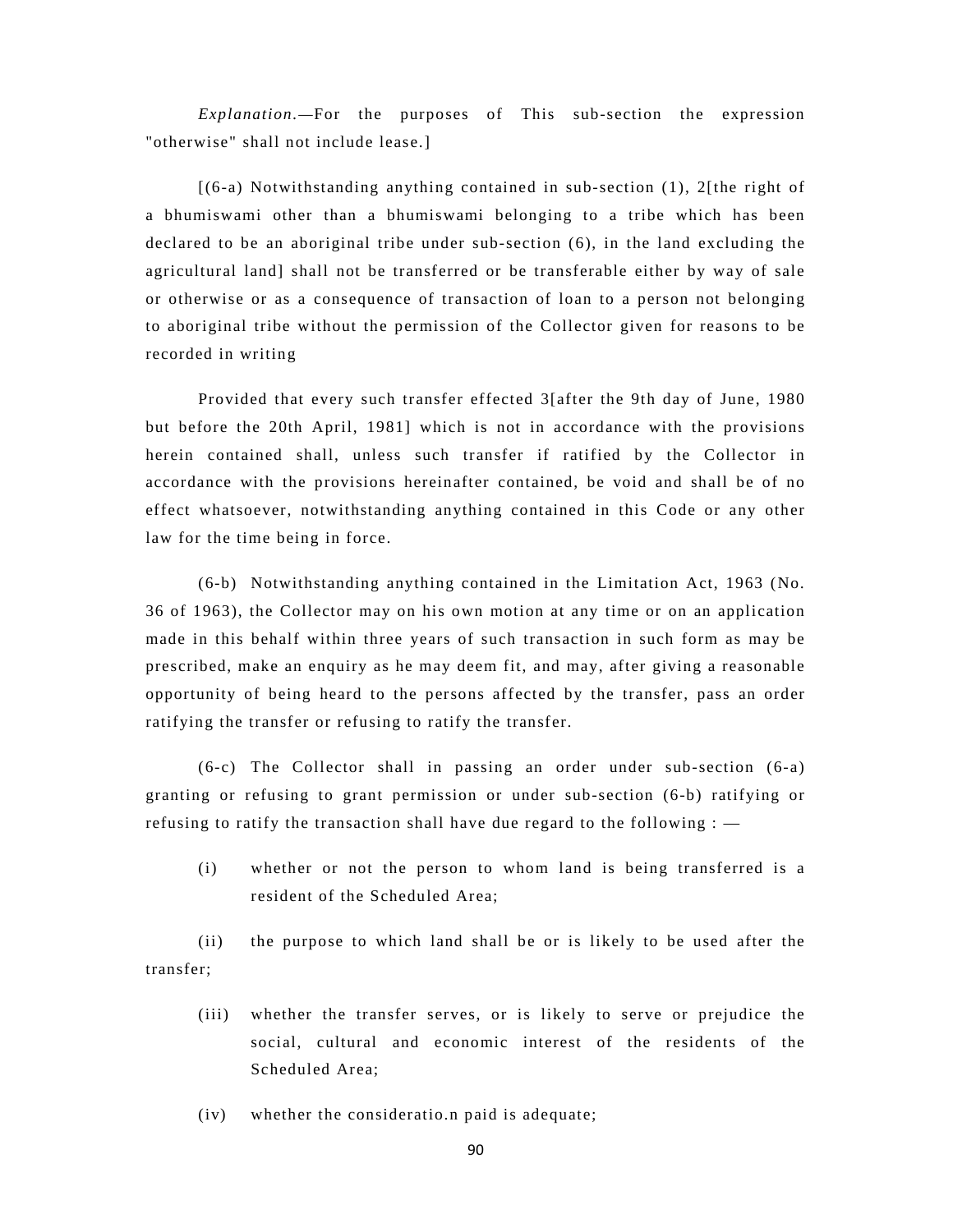*Explanation.—*For the purposes of This sub-section the expression "otherwise" shall not include lease.]

[(6-a) Notwithstanding anything contained in sub-section (1), 2[the right of a bhumiswami other than a bhumiswami belonging to a tribe which has been declared to be an aboriginal tribe under sub-section (6), in the land excluding the agricultural land] shall not be transferred or be transferable either by way of sale or otherwise or as a consequence of transaction of loan to a person not belonging to aboriginal tribe without the permission of the Collector given for reasons to be recorded in writing

Provided that every such transfer effected 3[after the 9th day of June, 1980 but before the 20th April, 1981] which is not in accordance with the provisions herein contained shall, unless such transfer if ratified by the Collector in accordance with the provisions hereinafter contained, be void and shall be of no effect whatsoever, notwithstanding anything contained in this Code or any other law for the time being in force.

(6-b) Notwithstanding anything contained in the Limitation Act, 1963 (No. 36 of 1963), the Collector may on his own motion at any time or on an application made in this behalf within three years of such transaction in such form as may be prescribed, make an enquiry as he may deem fit, and may, after giving a reasonable opportunity of being heard to the persons affected by the transfer, pass an order ratifying the transfer or refusing to ratify the transfer.

(6-c) The Collector shall in passing an order under sub-section (6-a) granting or refusing to grant permission or under sub-section (6-b) ratifying or refusing to ratify the transaction shall have due regard to the following : —

(i) whether or not the person to whom land is being transferred is a resident of the Scheduled Area;

(ii) the purpose to which land shall be or is likely to be used after the transfer;

- (iii) whether the transfer serves, or is likely to serve or prejudice the social, cultural and economic interest of the residents of the Scheduled Area;
- (iv) whether the consideratio.n paid is adequate;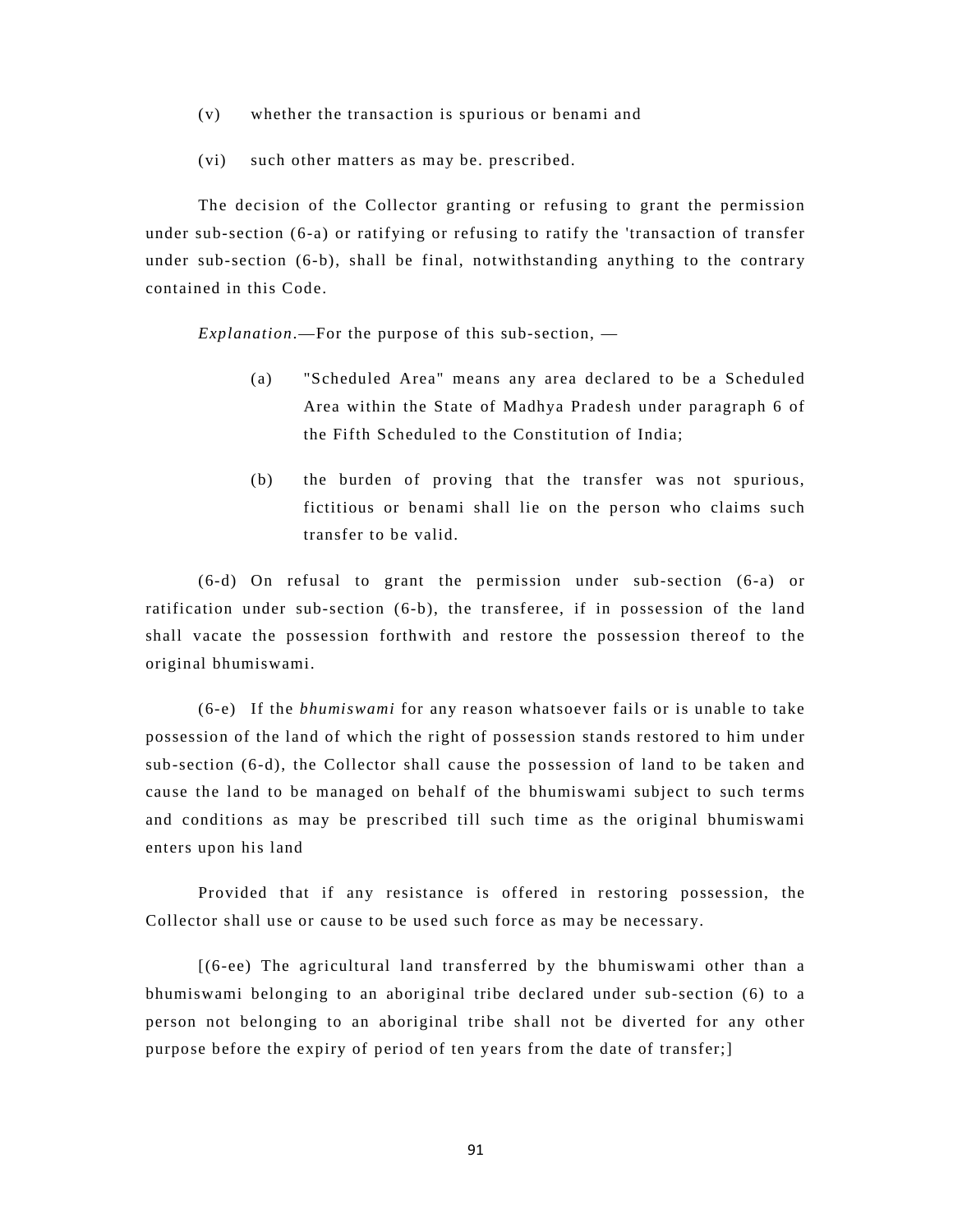- (v) whether the transaction is spurious or benami and
- (vi) such other matters as may be. prescribed.

The decision of the Collector granting or refusing to grant the permission under sub-section (6-a) or ratifying or refusing to ratify the 'transaction of transfer under sub-section (6-b), shall be final, notwithstanding anything to the contrary contained in this Code.

*Explanation*.—For the purpose of this sub-section, —

- (a) "Scheduled Area" means any area declared to be a Scheduled Area within the State of Madhya Pradesh under paragraph 6 of the Fifth Scheduled to the Constitution of India;
- (b) the burden of proving that the transfer was not spurious, fictitious or benami shall lie on the person who claims such transfer to be valid.

(6-d) On refusal to grant the permission under sub-section (6-a) or ratification under sub-section (6-b), the transferee, if in possession of the land shall vacate the possession forthwith and restore the possession thereof to the original bhumiswami.

(6-e) If the *bhumiswami* for any reason whatsoever fails or is unable to take possession of the land of which the right of possession stands restored to him under sub-section (6-d), the Collector shall cause the possession of land to be taken and cause the land to be managed on behalf of the bhumiswami subject to such terms and conditions as may be prescribed till such time as the original bhumiswami enters upon his land

Provided that if any resistance is offered in restoring possession, the Collector shall use or cause to be used such force as may be necessary.

[(6-ee) The agricultural land transferred by the bhumiswami other than a bhumiswami belonging to an aboriginal tribe declared under sub-section (6) to a person not belonging to an aboriginal tribe shall not be diverted for any other purpose before the expiry of period of ten years from the date of transfer;]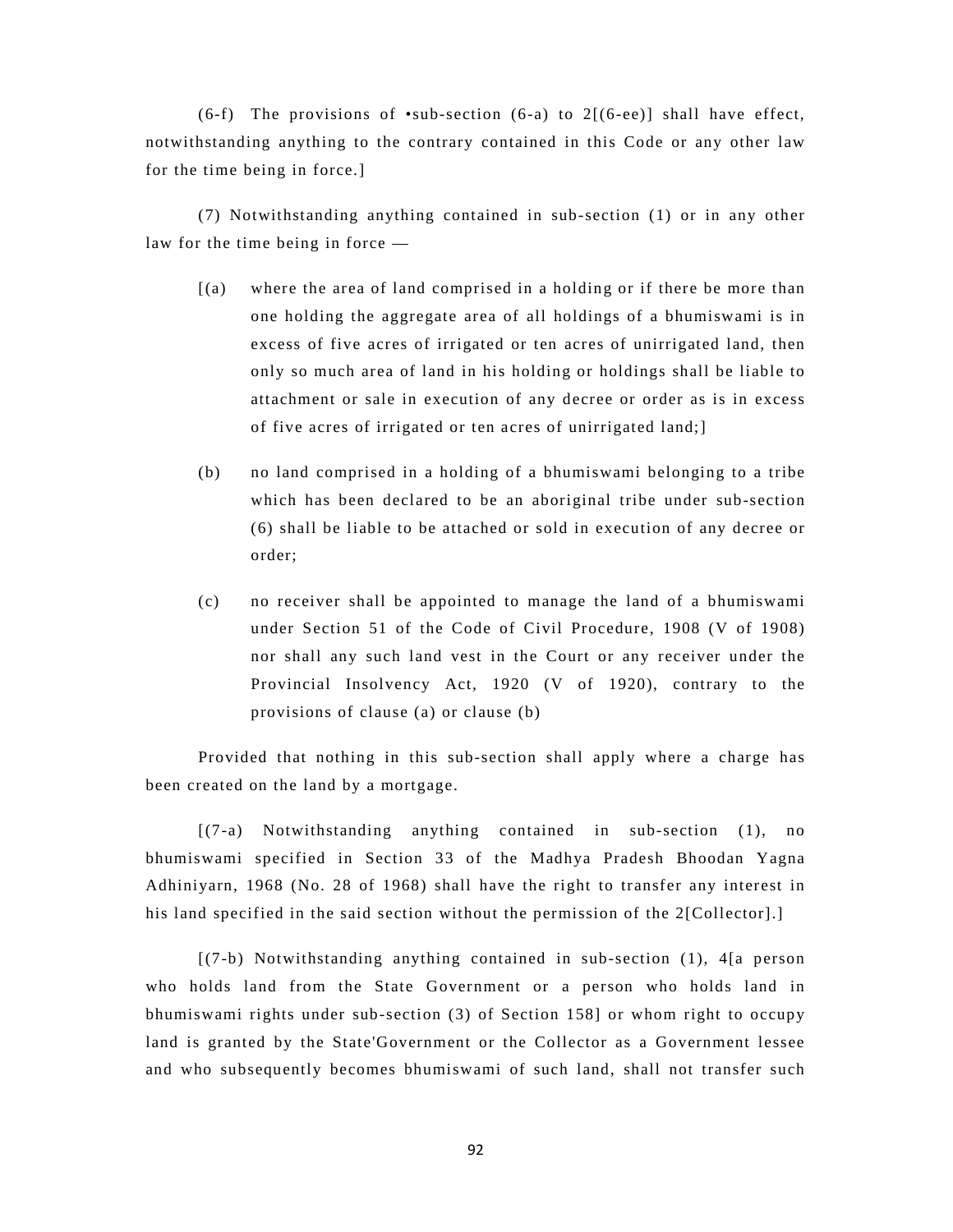(6-f) The provisions of  $\bullet$ sub-section (6-a) to 2[(6-ee)] shall have effect, notwithstanding anything to the contrary contained in this Code or any other law for the time being in force.]

(7) Notwithstanding anything contained in sub-section (1) or in any other law for the time being in force —

- [(a) where the area of land comprised in a holding or if there be more than one holding the aggregate area of all holdings of a bhumiswami is in excess of five acres of irrigated or ten acres of unirrigated land, then only so much area of land in his holding or holdings shall be liable to attachment or sale in execution of any decree or order as is in excess of five acres of irrigated or ten acres of unirrigated land;]
- (b) no land comprised in a holding of a bhumiswami belonging to a tribe which has been declared to be an aboriginal tribe under sub-section (6) shall be liable to be attached or sold in execution of any decree or order;
- (c) no receiver shall be appointed to manage the land of a bhumiswami under Section 51 of the Code of Civil Procedure, 1908 (V of 1908) nor shall any such land vest in the Court or any receiver under the Provincial Insolvency Act, 1920 (V of 1920), contrary to the provisions of clause (a) or clause (b)

Provided that nothing in this sub-section shall apply where a charge has been created on the land by a mortgage.

[(7-a) Notwithstanding anything contained in sub-section (1), no bhumiswami specified in Section 33 of the Madhya Pradesh Bhoodan Yagna Adhiniyarn, 1968 (No. 28 of 1968) shall have the right to transfer any interest in his land specified in the said section without the permission of the 2[Collector].]

[(7-b) Notwithstanding anything contained in sub-section (1), 4[a person who holds land from the State Government or a person who holds land in bhumiswami rights under sub-section (3) of Section 158] or whom right to occupy land is granted by the State'Government or the Collector as a Government lessee and who subsequently becomes bhumiswami of such land, shall not transfer such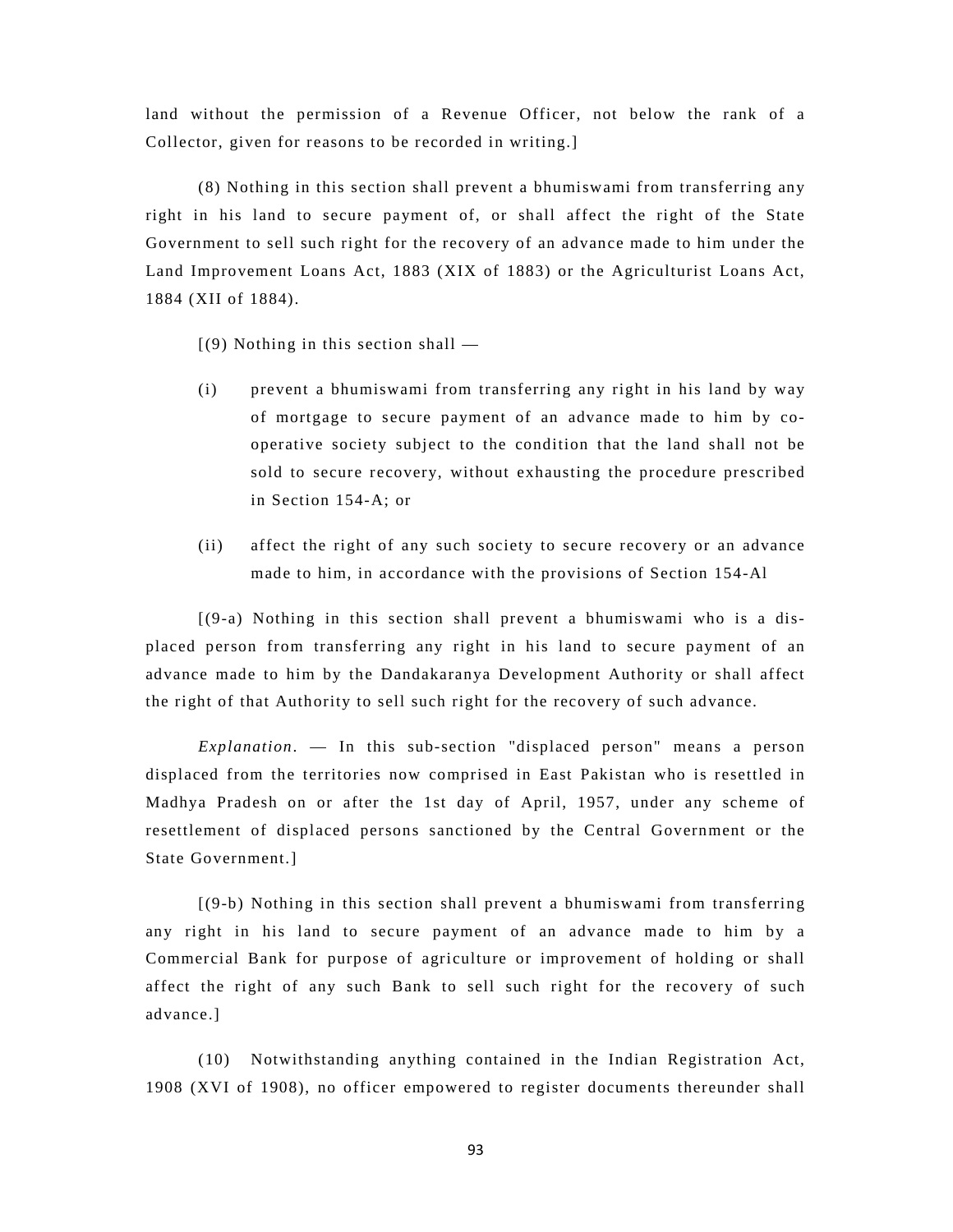land without the permission of a Revenue Officer, not below the rank of a Collector, given for reasons to be recorded in writing.]

(8) Nothing in this section shall prevent a bhumiswami from transferring any right in his land to secure payment of, or shall affect the right of the State Government to sell such right for the recovery of an advance made to him under the Land Improvement Loans Act, 1883 (XIX of 1883) or the Agriculturist Loans Act, 1884 (XII of 1884).

 $(9)$  Nothing in this section shall —

- (i) prevent a bhumiswami from transferring any right in his land by way of mortgage to secure payment of an advance made to him by cooperative society subject to the condition that the land shall not be sold to secure recovery, without exhausting the procedure prescribed in Section 154-A; or
- (ii) affect the right of any such society to secure recovery or an advance made to him, in accordance with the provisions of Section 154-Al

[(9-a) Nothing in this section shall prevent a bhumiswami who is a displaced person from transferring any right in his land to secure payment of an advance made to him by the Dandakaranya Development Authority or shall affect the right of that Authority to sell such right for the recovery of such advance.

*Explanation*. — In this sub-section "displaced person" means a person displaced from the territories now comprised in East Pakistan who is resettled in Madhya Pradesh on or after the 1st day of April, 1957, under any scheme of resettlement of displaced persons sanctioned by the Central Government or the State Government.]

[(9-b) Nothing in this section shall prevent a bhumiswami from transferring any right in his land to secure payment of an advance made to him by a Commercial Bank for purpose of agriculture or improvement of holding or shall affect the right of any such Bank to sell such right for the recovery of such advance.]

(10) Notwithstanding anything contained in the Indian Registration Act, 1908 (XVI of 1908), no officer empowered to register documents thereunder shall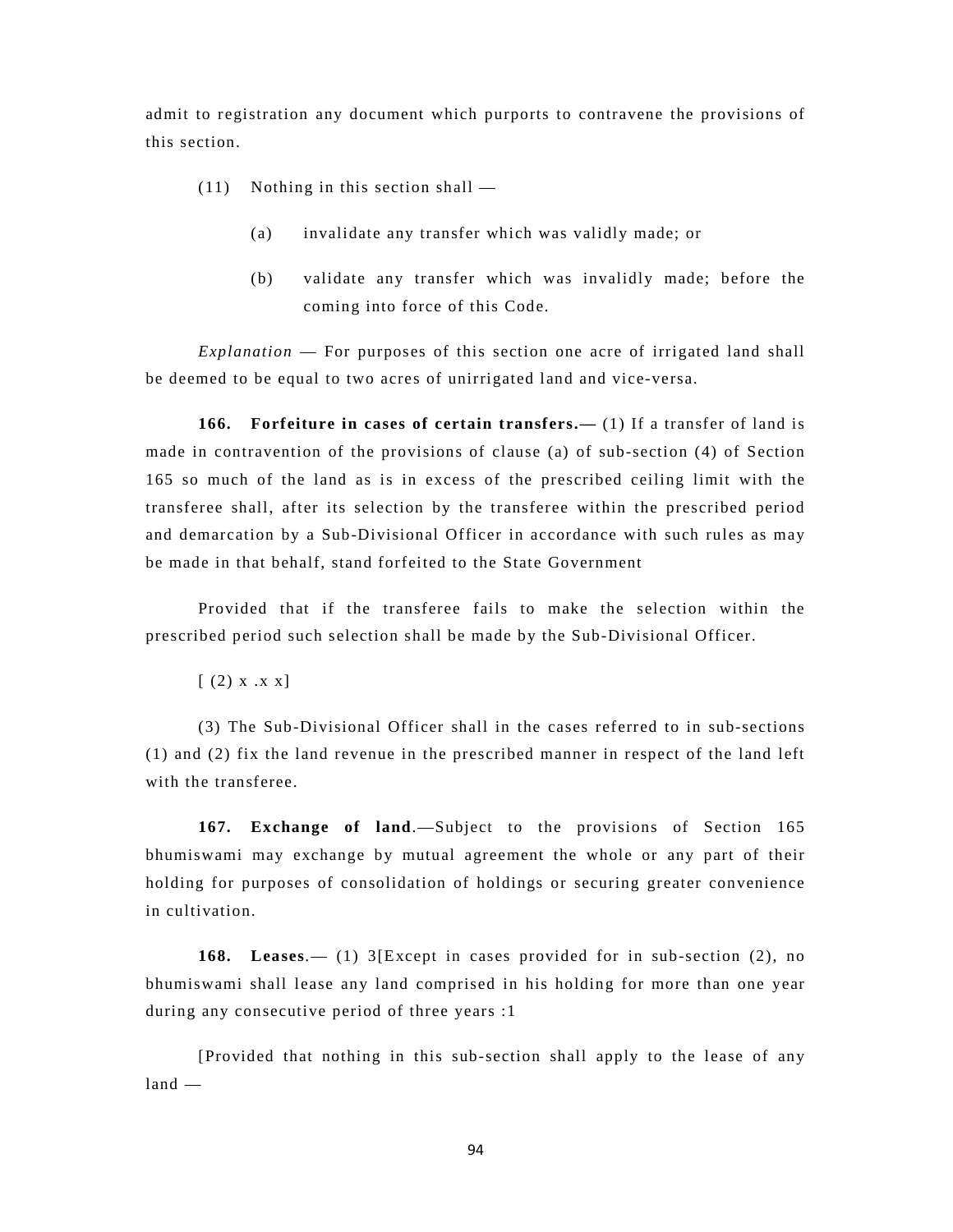admit to registration any document which purports to contravene the provisions of this section.

- (11) Nothing in this section shall
	- (a) invalidate any transfer which was validly made; or
	- (b) validate any transfer which was invalidly made; before the coming into force of this Code.

*Explanation* — For purposes of this section one acre of irrigated land shall be deemed to be equal to two acres of unirrigated land and vice-versa.

**166. Forfeiture in cases of certain transfers.—** (1) If a transfer of land is made in contravention of the provisions of clause (a) of sub-section (4) of Section 165 so much of the land as is in excess of the prescribed ceiling limit with the transferee shall, after its selection by the transferee within the prescribed period and demarcation by a Sub-Divisional Officer in accordance with such rules as may be made in that behalf, stand forfeited to the State Government

Provided that if the transferee fails to make the selection within the prescribed period such selection shall be made by the Sub-Divisional Officer.

 $[ (2) x . x x]$ 

(3) The Sub-Divisional Officer shall in the cases referred to in sub-sections (1) and (2) fix the land revenue in the prescribed manner in respect of the land left with the transferee.

**167. Exchange of land**.—Subject to the provisions of Section 165 bhumiswami may exchange by mutual agreement the whole or any part of their holding for purposes of consolidation of holdings or securing greater convenience in cultivation.

**168. Leases**.— (1) 3[Except in cases provided for in sub-section (2), no bhumiswami shall lease any land comprised in his holding for more than one year during any consecutive period of three years :1

[Provided that nothing in this sub-section shall apply to the lease of any land —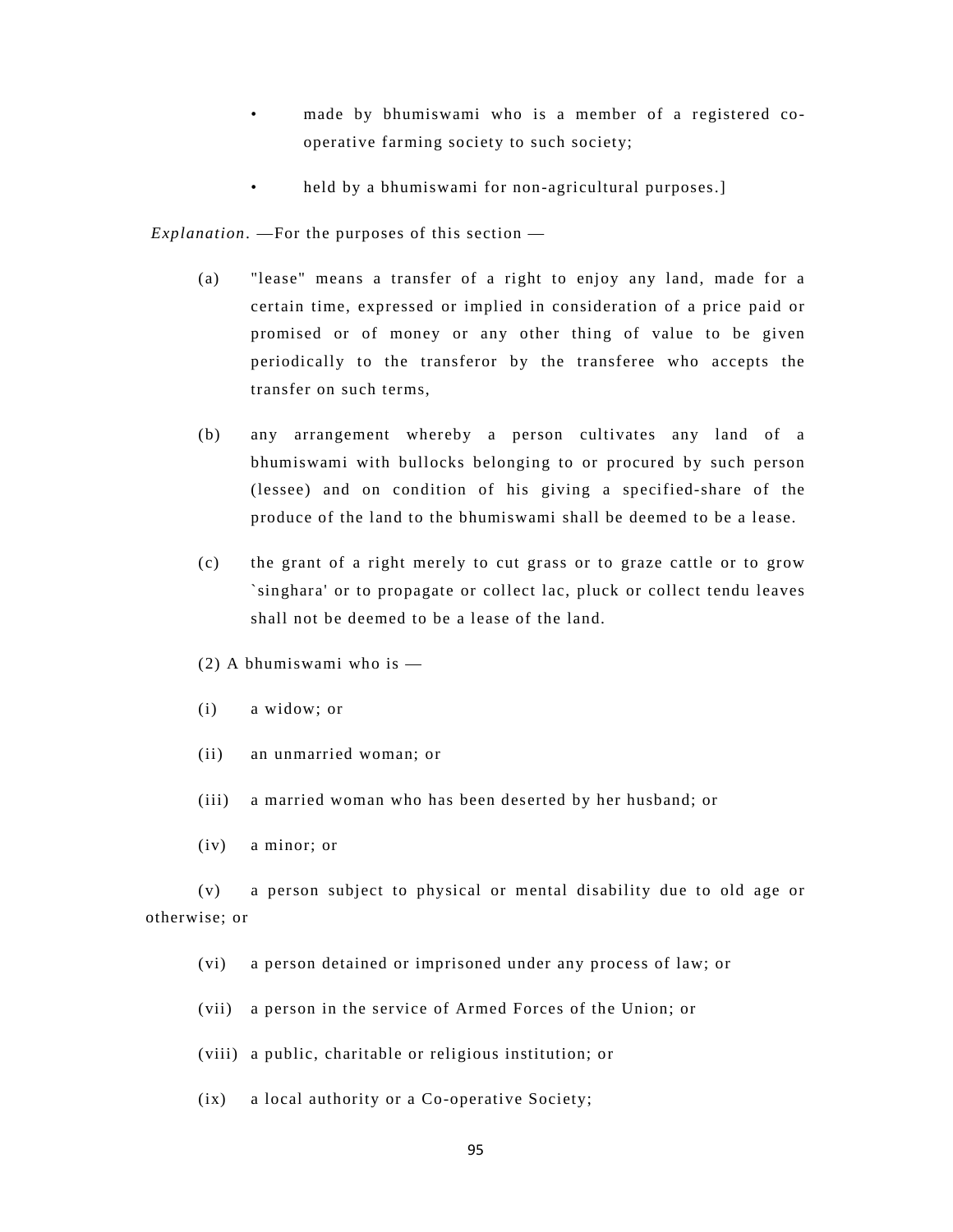- made by bhumiswami who is a member of a registered cooperative farming society to such society;
- held by a bhumiswami for non-agricultural purposes.]

 *Explanation*. —For the purposes of this section —

- (a) "lease" means a transfer of a right to enjoy any land, made for a certain time, expressed or implied in consideration of a price paid or promised or of money or any other thing of value to be given periodically to the transferor by the transferee who accepts the transfer on such terms,
- (b) any arrangement whereby a person cultivates any land of a bhumiswami with bullocks belonging to or procured by such person (lessee) and on condition of his giving a specified-share of the produce of the land to the bhumiswami shall be deemed to be a lease.
- (c) the grant of a right merely to cut grass or to graze cattle or to grow `singhara' or to propagate or collect lac, pluck or collect tendu leaves shall not be deemed to be a lease of the land.
- (2) A bhumiswami who is —
- (i) a widow; or
- (ii) an unmarried woman; or
- (iii) a married woman who has been deserted by her husband; or
- (iv) a minor; or

(v) a person subject to physical or mental disability due to old age or otherwise; or

- (vi) a person detained or imprisoned under any process of law; or
- (vii) a person in the service of Armed Forces of the Union; or
- (viii) a public, charitable or religious institution; or
- (ix) a local authority or a Co-operative Society;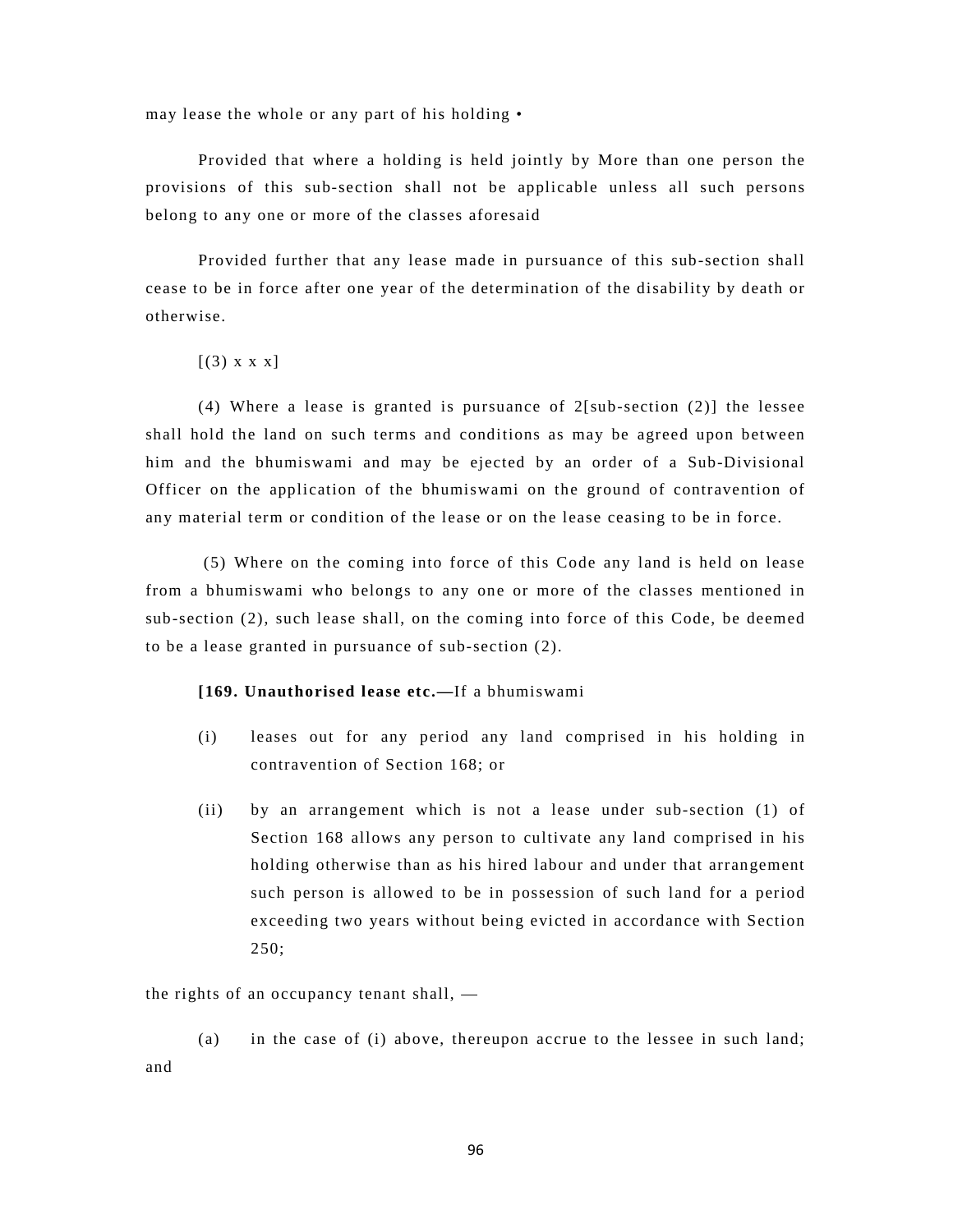may lease the whole or any part of his holding •

Provided that where a holding is held jointly by More than one person the provisions of this sub-section shall not be applicable unless all such persons belong to any one or more of the classes aforesaid

Provided further that any lease made in pursuance of this sub-section shall cease to be in force after one year of the determination of the disability by death or otherwise.

 $[(3) \times \times \times]$ 

(4) Where a lease is granted is pursuance of  $2[\text{sub-section } (2)]$  the lessee shall hold the land on such terms and conditions as may be agreed upon between him and the bhumiswami and may be ejected by an order of a Sub-Divisional Officer on the application of the bhumiswami on the ground of contravention of any material term or condition of the lease or on the lease ceasing to be in force.

 (5) Where on the coming into force of this Code any land is held on lease from a bhumiswami who belongs to any one or more of the classes mentioned in sub-section (2), such lease shall, on the coming into force of this Code, be deemed to be a lease granted in pursuance of sub-section (2).

# **[169. Unauthorised lease etc.—**If a bhumiswami

- (i) leases out for any period any land comprised in his holding in contravention of Section 168; or
- (ii) by an arrangement which is not a lease under sub-section (1) of Section 168 allows any person to cultivate any land comprised in his holding otherwise than as his hired labour and under that arrangement such person is allowed to be in possession of such land for a period exceeding two years without being evicted in accordance with Section 250;

the rights of an occupancy tenant shall, —

(a) in the case of (i) above, thereupon accrue to the lessee in such land; and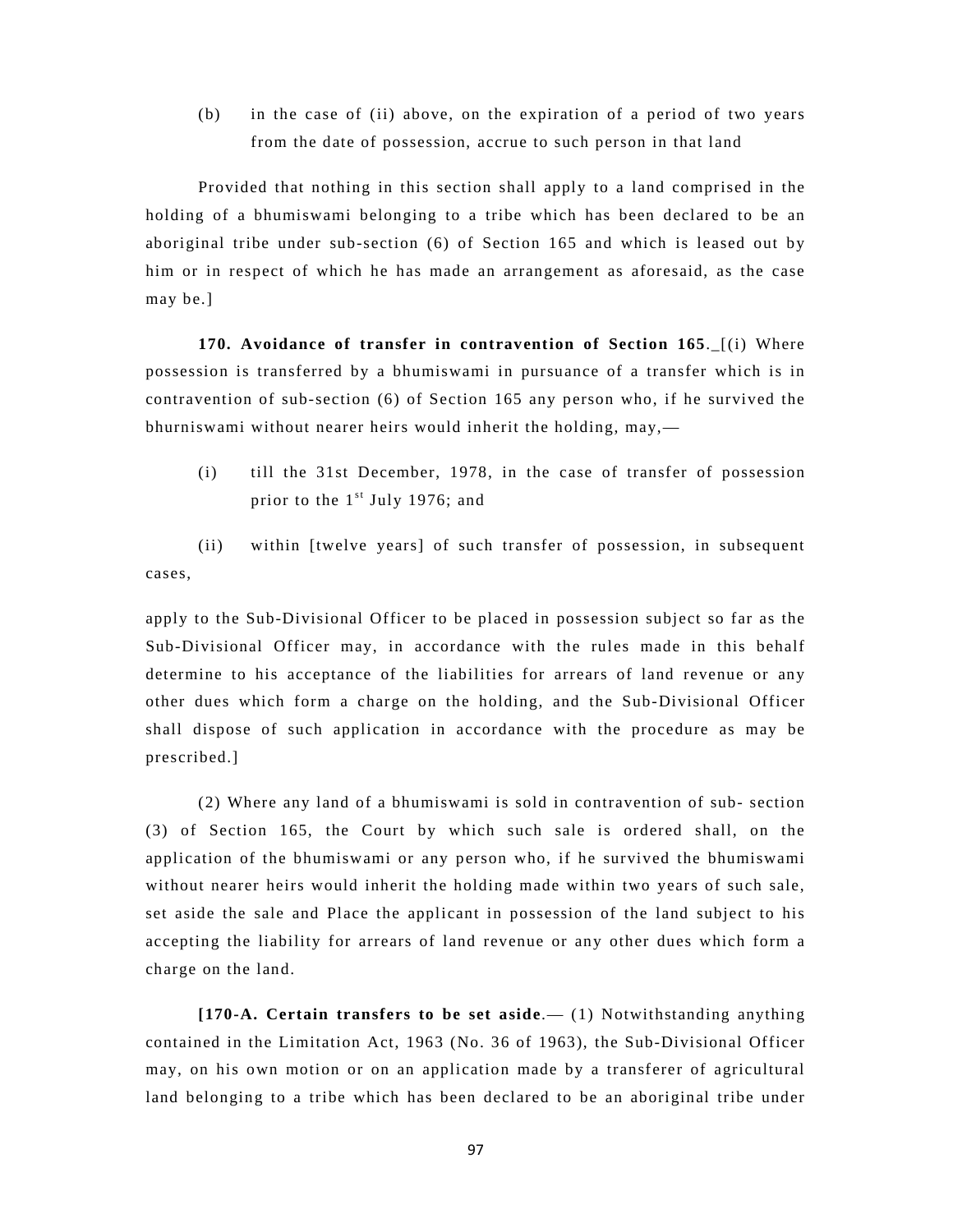(b) in the case of (ii) above, on the expiration of a period of two years from the date of possession, accrue to such person in that land

Provided that nothing in this section shall apply to a land comprised in the holding of a bhumiswami belonging to a tribe which has been declared to be an aboriginal tribe under sub-section (6) of Section 165 and which is leased out by him or in respect of which he has made an arrangement as aforesaid, as the case may be.]

**170. Avoidance of transfer in contravention of Section 165.** [(i) Where possession is transferred by a bhumiswami in pursuance of a transfer which is in contravention of sub-section (6) of Section 165 any person who, if he survived the bhurniswami without nearer heirs would inherit the holding, may,—

(i) till the 31st December, 1978, in the case of transfer of possession prior to the  $1<sup>st</sup>$  July 1976; and

(ii) within [twelve years] of such transfer of possession, in subsequent cases,

apply to the Sub-Divisional Officer to be placed in possession subject so far as the Sub-Divisional Officer may, in accordance with the rules made in this behalf determine to his acceptance of the liabilities for arrears of land revenue or any other dues which form a charge on the holding, and the Sub-Divisional Officer shall dispose of such application in accordance with the procedure as may be prescribed.]

(2) Where any land of a bhumiswami is sold in contravention of sub- section (3) of Section 165, the Court by which such sale is ordered shall, on the application of the bhumiswami or any person who, if he survived the bhumiswami without nearer heirs would inherit the holding made within two years of such sale, set aside the sale and Place the applicant in possession of the land subject to his accepting the liability for arrears of land revenue or any other dues which form a charge on the land.

**[170-A. Certain transfers to be set aside**.— (1) Notwithstanding anything contained in the Limitation Act, 1963 (No. 36 of 1963), the Sub-Divisional Officer may, on his own motion or on an application made by a transferer of agricultural land belonging to a tribe which has been declared to be an aboriginal tribe under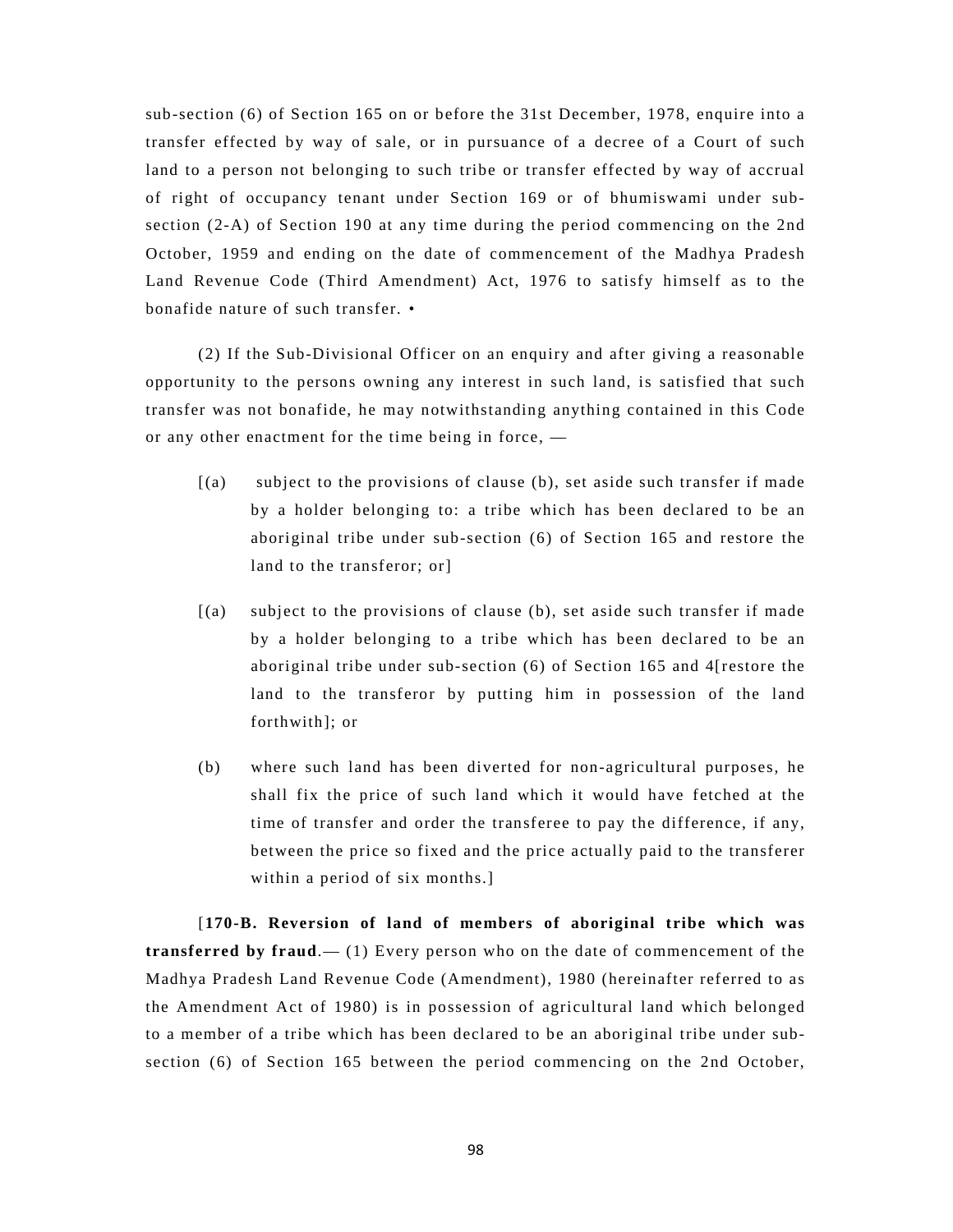sub-section (6) of Section 165 on or before the 31st December, 1978, enquire into a transfer effected by way of sale, or in pursuance of a decree of a Court of such land to a person not belonging to such tribe or transfer effected by way of accrual of right of occupancy tenant under Section 169 or of bhumiswami under subsection (2-A) of Section 190 at any time during the period commencing on the 2nd October, 1959 and ending on the date of commencement of the Madhya Pradesh Land Revenue Code (Third Amendment) Act, 1976 to satisfy himself as to the bonafide nature of such transfer. •

(2) If the Sub-Divisional Officer on an enquiry and after giving a reasonable opportunity to the persons owning any interest in such land, is satisfied that such transfer was not bonafide, he may notwithstanding anything contained in this Code or any other enactment for the time being in force, —

- [(a) subject to the provisions of clause (b), set aside such transfer if made by a holder belonging to: a tribe which has been declared to be an aboriginal tribe under sub-section (6) of Section 165 and restore the land to the transferor; or]
- [(a) subject to the provisions of clause (b), set aside such transfer if made by a holder belonging to a tribe which has been declared to be an aboriginal tribe under sub-section (6) of Section 165 and 4[restore the land to the transferor by putting him in possession of the land forthwith]; or
- (b) where such land has been diverted for non-agricultural purposes, he shall fix the price of such land which it would have fetched at the time of transfer and order the transferee to pay the difference, if any, between the price so fixed and the price actually paid to the transferer within a period of six months.]

[**170-B. Reversion of land of members of aboriginal tribe which was transferred by fraud**.— (1) Every person who on the date of commencement of the Madhya Pradesh Land Revenue Code (Amendment), 1980 (hereinafter referred to as the Amendment Act of 1980) is in possession of agricultural land which belonged to a member of a tribe which has been declared to be an aboriginal tribe under subsection (6) of Section 165 between the period commencing on the 2nd October,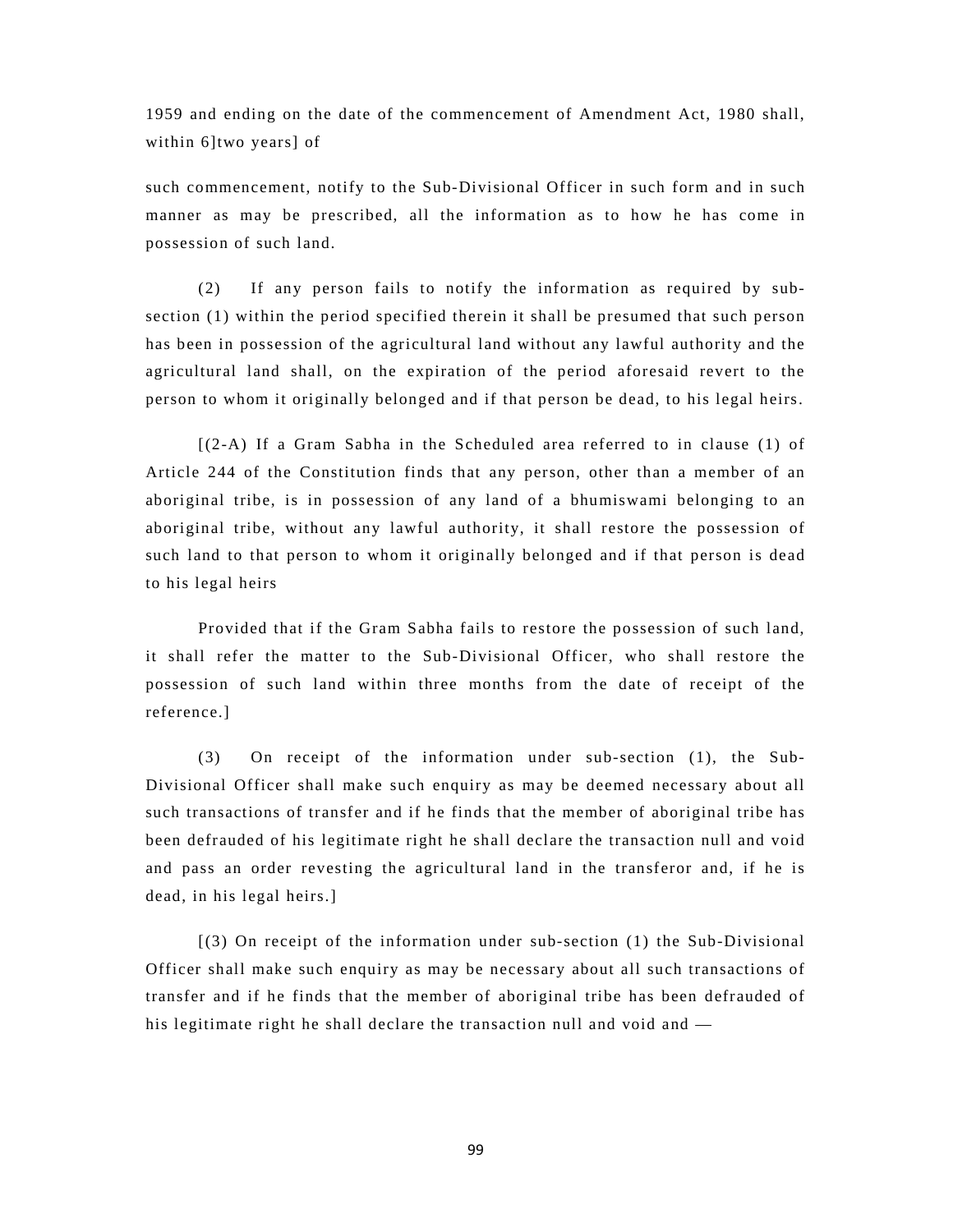1959 and ending on the date of the commencement of Amendment Act, 1980 shall, within 6]two years] of

such commencement, notify to the Sub-Divisional Officer in such form and in such manner as may be prescribed, all the information as to how he has come in possession of such land.

(2) If any person fails to notify the information as required by subsection (1) within the period specified therein it shall be presumed that such person has been in possession of the agricultural land without any lawful authority and the agricultural land shall, on the expiration of the period aforesaid revert to the person to whom it originally belonged and if that person be dead, to his legal heirs.

[(2-A) If a Gram Sabha in the Scheduled area referred to in clause (1) of Article 244 of the Constitution finds that any person, other than a member of an aboriginal tribe, is in possession of any land of a bhumiswami belonging to an aboriginal tribe, without any lawful authority, it shall restore the possession of such land to that person to whom it originally belonged and if that person is dead to his legal heirs

Provided that if the Gram Sabha fails to restore the possession of such land, it shall refer the matter to the Sub-Divisional Officer, who shall restore the possession of such land within three months from the date of receipt of the reference.]

(3) On receipt of the information under sub-section (1), the Sub-Divisional Officer shall make such enquiry as may be deemed necessary about all such transactions of transfer and if he finds that the member of aboriginal tribe has been defrauded of his legitimate right he shall declare the transaction null and void and pass an order revesting the agricultural land in the transferor and, if he is dead, in his legal heirs.]

[(3) On receipt of the information under sub-section (1) the Sub-Divisional Officer shall make such enquiry as may be necessary about all such transactions of transfer and if he finds that the member of aboriginal tribe has been defrauded of his legitimate right he shall declare the transaction null and void and —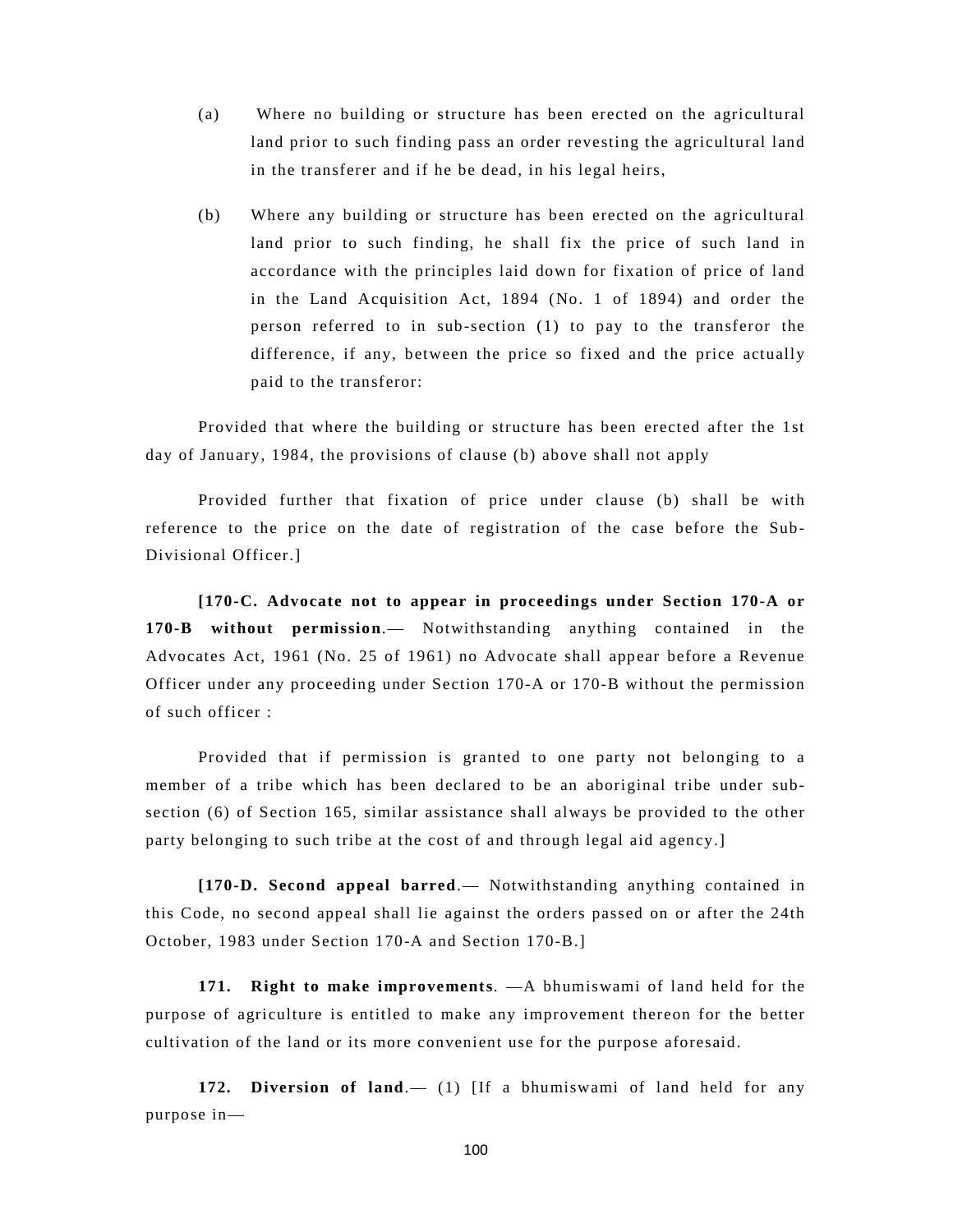- (a) Where no building or structure has been erected on the agricultural land prior to such finding pass an order revesting the agricultural land in the transferer and if he be dead, in his legal heirs,
- (b) Where any building or structure has been erected on the agricultural land prior to such finding, he shall fix the price of such land in accordance with the principles laid down for fixation of price of land in the Land Acquisition Act, 1894 (No. 1 of 1894) and order the person referred to in sub-section (1) to pay to the transferor the difference, if any, between the price so fixed and the price actually paid to the transferor:

Provided that where the building or structure has been erected after the 1st day of January, 1984, the provisions of clause (b) above shall not apply

Provided further that fixation of price under clause (b) shall be with reference to the price on the date of registration of the case before the Sub-Divisional Officer.]

**[170-C. Advocate not to appear in proceedings under Section 170-A or 170-B without permission**.— Notwithstanding anything contained in the Advocates Act, 1961 (No. 25 of 1961) no Advocate shall appear before a Revenue Officer under any proceeding under Section 170-A or 170-B without the permission of such officer :

Provided that if permission is granted to one party not belonging to a member of a tribe which has been declared to be an aboriginal tribe under subsection (6) of Section 165, similar assistance shall always be provided to the other party belonging to such tribe at the cost of and through legal aid agency.]

**[170-D. Second appeal barred**.— Notwithstanding anything contained in this Code, no second appeal shall lie against the orders passed on or after the 24th October, 1983 under Section 170-A and Section 170-B.]

**171. Right to make improvements**. —A bhumiswami of land held for the purpose of agriculture is entitled to make any improvement thereon for the better cultivation of the land or its more convenient use for the purpose aforesaid.

**172. Diversion of land**.— (1) [If a bhumiswami of land held for any purpose in—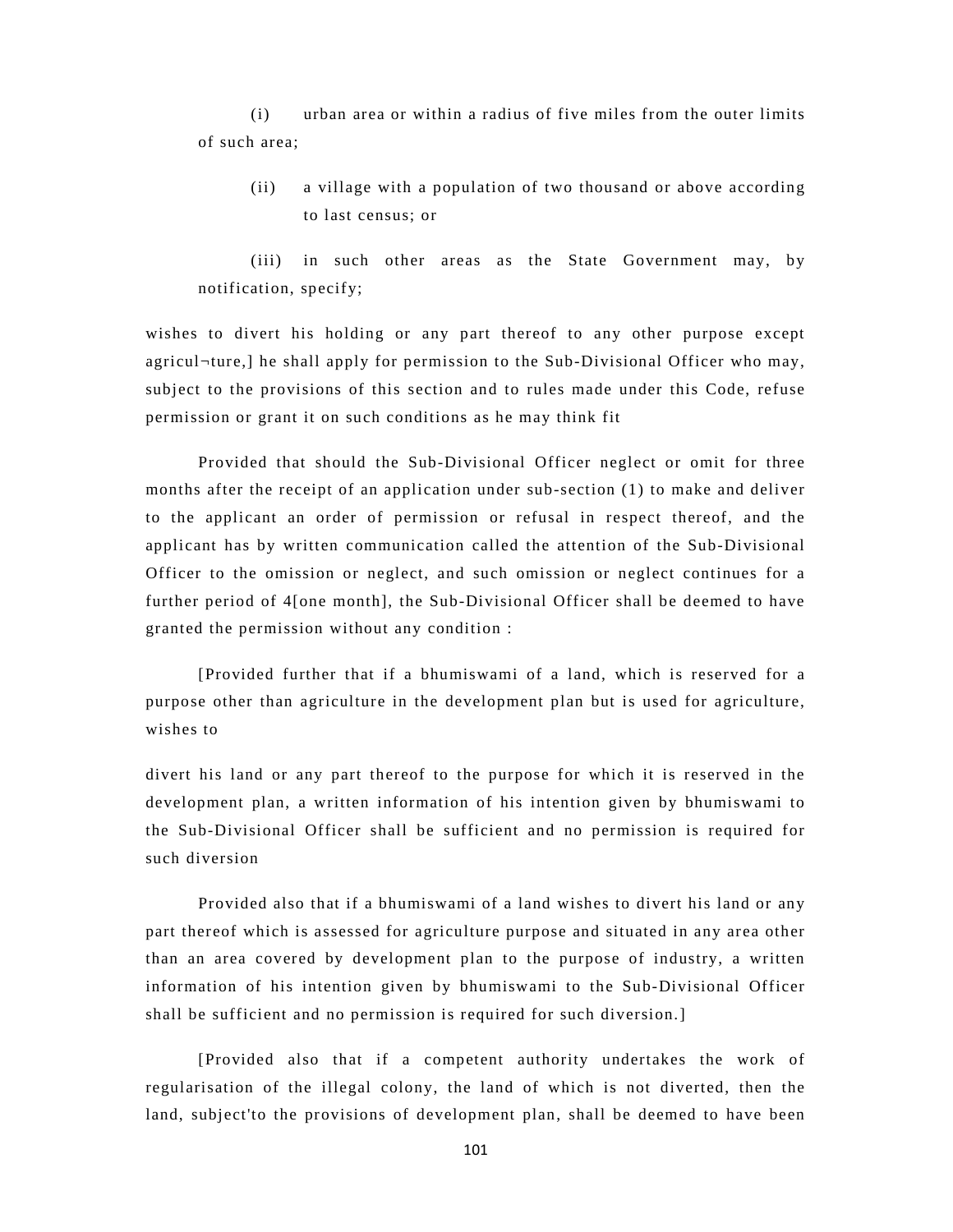(i) urban area or within a radius of five miles from the outer limits of such area;

(ii) a village with a population of two thousand or above according to last census; or

(iii) in such other areas as the State Government may, by notification, specify;

wishes to divert his holding or any part thereof to any other purpose except agricul¬ture,] he shall apply for permission to the Sub-Divisional Officer who may, subject to the provisions of this section and to rules made under this Code, refuse permission or grant it on such conditions as he may think fit

Provided that should the Sub-Divisional Officer neglect or omit for three months after the receipt of an application under sub-section (1) to make and deliver to the applicant an order of permission or refusal in respect thereof, and the applicant has by written communication called the attention of the Sub-Divisional Officer to the omission or neglect, and such omission or neglect continues for a further period of 4[one month], the Sub-Divisional Officer shall be deemed to have granted the permission without any condition :

[Provided further that if a bhumiswami of a land, which is reserved for a purpose other than agriculture in the development plan but is used for agriculture, wishes to

divert his land or any part thereof to the purpose for which it is reserved in the development plan, a written information of his intention given by bhumiswami to the Sub-Divisional Officer shall be sufficient and no permission is required for such diversion

Provided also that if a bhumiswami of a land wishes to divert his land or any part thereof which is assessed for agriculture purpose and situated in any area other than an area covered by development plan to the purpose of industry, a written information of his intention given by bhumiswami to the Sub-Divisional Officer shall be sufficient and no permission is required for such diversion.]

[Provided also that if a competent authority undertakes the work of regularisation of the illegal colony, the land of which is not diverted, then the land, subject'to the provisions of development plan, shall be deemed to have been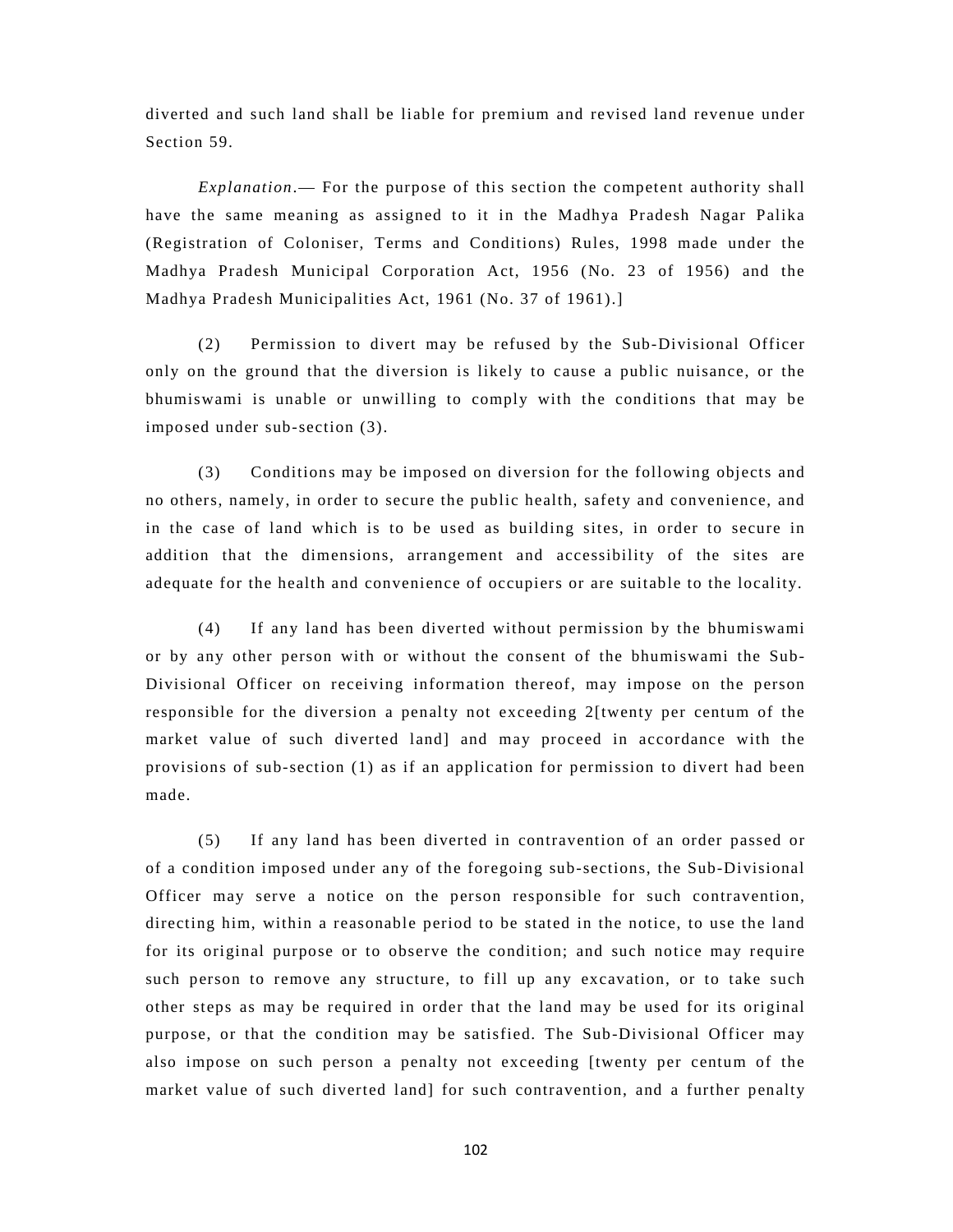diverted and such land shall be liable for premium and revised land revenue under Section 59.

*Explanation*.— For the purpose of this section the competent authority shall have the same meaning as assigned to it in the Madhya Pradesh Nagar Palika (Registration of Coloniser, Terms and Conditions) Rules, 1998 made under the Madhya Pradesh Municipal Corporation Act, 1956 (No. 23 of 1956) and the Madhya Pradesh Municipalities Act, 1961 (No. 37 of 1961).]

(2) Permission to divert may be refused by the Sub-Divisional Officer only on the ground that the diversion is likely to cause a public nuisance, or the bhumiswami is unable or unwilling to comply with the conditions that may be imposed under sub-section (3).

(3) Conditions may be imposed on diversion for the following objects and no others, namely, in order to secure the public health, safety and convenience, and in the case of land which is to be used as building sites, in order to secure in addition that the dimensions, arrangement and accessibility of the sites are adequate for the health and convenience of occupiers or are suitable to the locality.

(4) If any land has been diverted without permission by the bhumiswami or by any other person with or without the consent of the bhumiswami the Sub-Divisional Officer on receiving information thereof, may impose on the person responsible for the diversion a penalty not exceeding 2[twenty per centum of the market value of such diverted land] and may proceed in accordance with the provisions of sub-section (1) as if an application for permission to divert had been made.

(5) If any land has been diverted in contravention of an order passed or of a condition imposed under any of the foregoing sub-sections, the Sub-Divisional Officer may serve a notice on the person responsible for such contravention, directing him, within a reasonable period to be stated in the notice, to use the land for its original purpose or to observe the condition; and such notice may require such person to remove any structure, to fill up any excavation, or to take such other steps as may be required in order that the land may be used for its original purpose, or that the condition may be satisfied. The Sub-Divisional Officer may also impose on such person a penalty not exceeding [twenty per centum of the market value of such diverted land] for such contravention, and a further penalty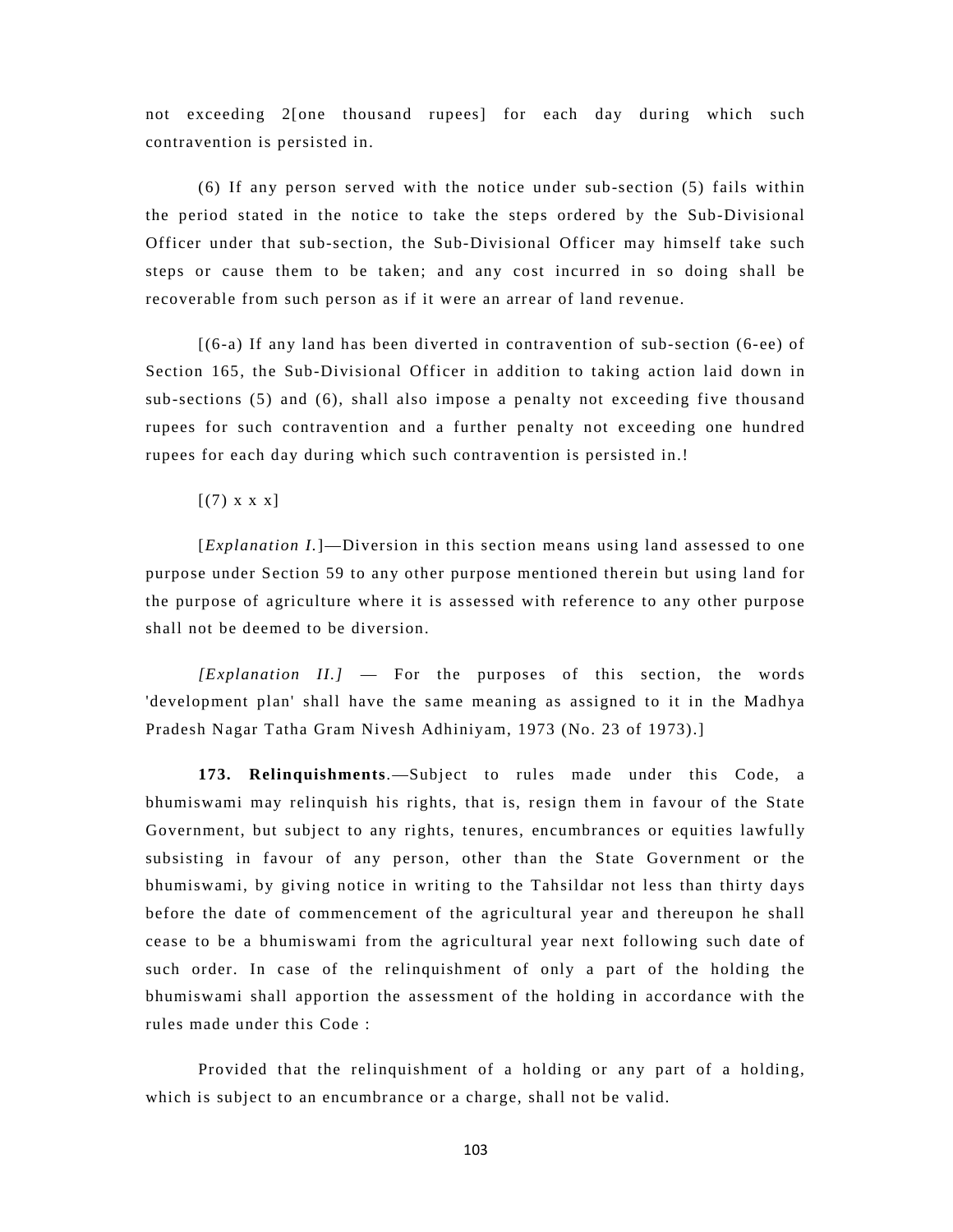not exceeding 2[one thousand rupees] for each day during which such contravention is persisted in.

(6) If any person served with the notice under sub-section (5) fails within the period stated in the notice to take the steps ordered by the Sub-Divisional Officer under that sub-section, the Sub-Divisional Officer may himself take such steps or cause them to be taken; and any cost incurred in so doing shall be recoverable from such person as if it were an arrear of land revenue.

[(6-a) If any land has been diverted in contravention of sub-section (6-ee) of Section 165, the Sub-Divisional Officer in addition to taking action laid down in sub-sections (5) and (6), shall also impose a penalty not exceeding five thousand rupees for such contravention and a further penalty not exceeding one hundred rupees for each day during which such contravention is persisted in.!

 $[(7) \times \times \times]$ 

[*Explanation I.*]—Diversion in this section means using land assessed to one purpose under Section 59 to any other purpose mentioned therein but using land for the purpose of agriculture where it is assessed with reference to any other purpose shall not be deemed to be diversion.

*[Explanation II.]* — For the purposes of this section, the words 'development plan' shall have the same meaning as assigned to it in the Madhya Pradesh Nagar Tatha Gram Nivesh Adhiniyam, 1973 (No. 23 of 1973).]

**173. Relinquishments**.—Subject to rules made under this Code, a bhumiswami may relinquish his rights, that is, resign them in favour of the State Government, but subject to any rights, tenures, encumbrances or equities lawfully subsisting in favour of any person, other than the State Government or the bhumiswami, by giving notice in writing to the Tahsildar not less than thirty days before the date of commencement of the agricultural year and thereupon he shall cease to be a bhumiswami from the agricultural year next following such date of such order. In case of the relinquishment of only a part of the holding the bhumiswami shall apportion the assessment of the holding in accordance with the rules made under this Code :

Provided that the relinquishment of a holding or any part of a holding, which is subject to an encumbrance or a charge, shall not be valid.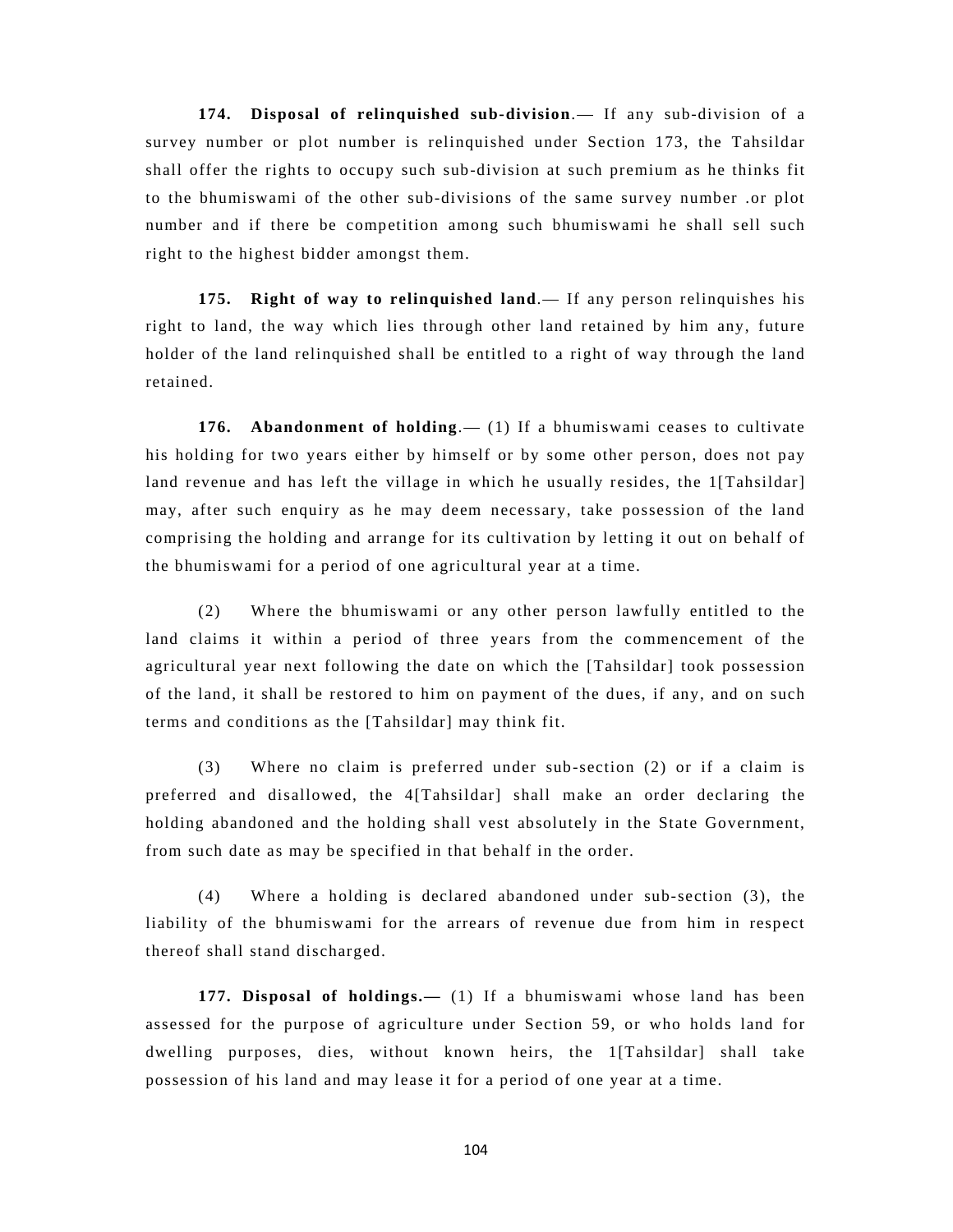**174. Disposal of relinquished sub-division**.— If any sub-division of a survey number or plot number is relinquished under Section 173, the Tahsildar shall offer the rights to occupy such sub-division at such premium as he thinks fit to the bhumiswami of the other sub-divisions of the same survey number .or plot number and if there be competition among such bhumiswami he shall sell such right to the highest bidder amongst them.

**175. Right of way to relinquished land**.— If any person relinquishes his right to land, the way which lies through other land retained by him any, future holder of the land relinquished shall be entitled to a right of way through the land retained.

**176. Abandonment of holding**.— (1) If a bhumiswami ceases to cultivate his holding for two years either by himself or by some other person, does not pay land revenue and has left the village in which he usually resides, the 1[Tahsildar] may, after such enquiry as he may deem necessary, take possession of the land comprising the holding and arrange for its cultivation by letting it out on behalf of the bhumiswami for a period of one agricultural year at a time.

(2) Where the bhumiswami or any other person lawfully entitled to the land claims it within a period of three years from the commencement of the agricultural year next following the date on which the [Tahsildar] took possession of the land, it shall be restored to him on payment of the dues, if any, and on such terms and conditions as the [Tahsildar] may think fit.

(3) Where no claim is preferred under sub-section (2) or if a claim is preferred and disallowed, the 4[Tahsildar] shall make an order declaring the holding abandoned and the holding shall vest absolutely in the State Government, from such date as may be specified in that behalf in the order.

(4) Where a holding is declared abandoned under sub-section (3), the liability of the bhumiswami for the arrears of revenue due from him in respect thereof shall stand discharged.

**177. Disposal of holdings.—** (1) If a bhumiswami whose land has been assessed for the purpose of agriculture under Section 59, or who holds land for dwelling purposes, dies, without known heirs, the 1[Tahsildar] shall take possession of his land and may lease it for a period of one year at a time.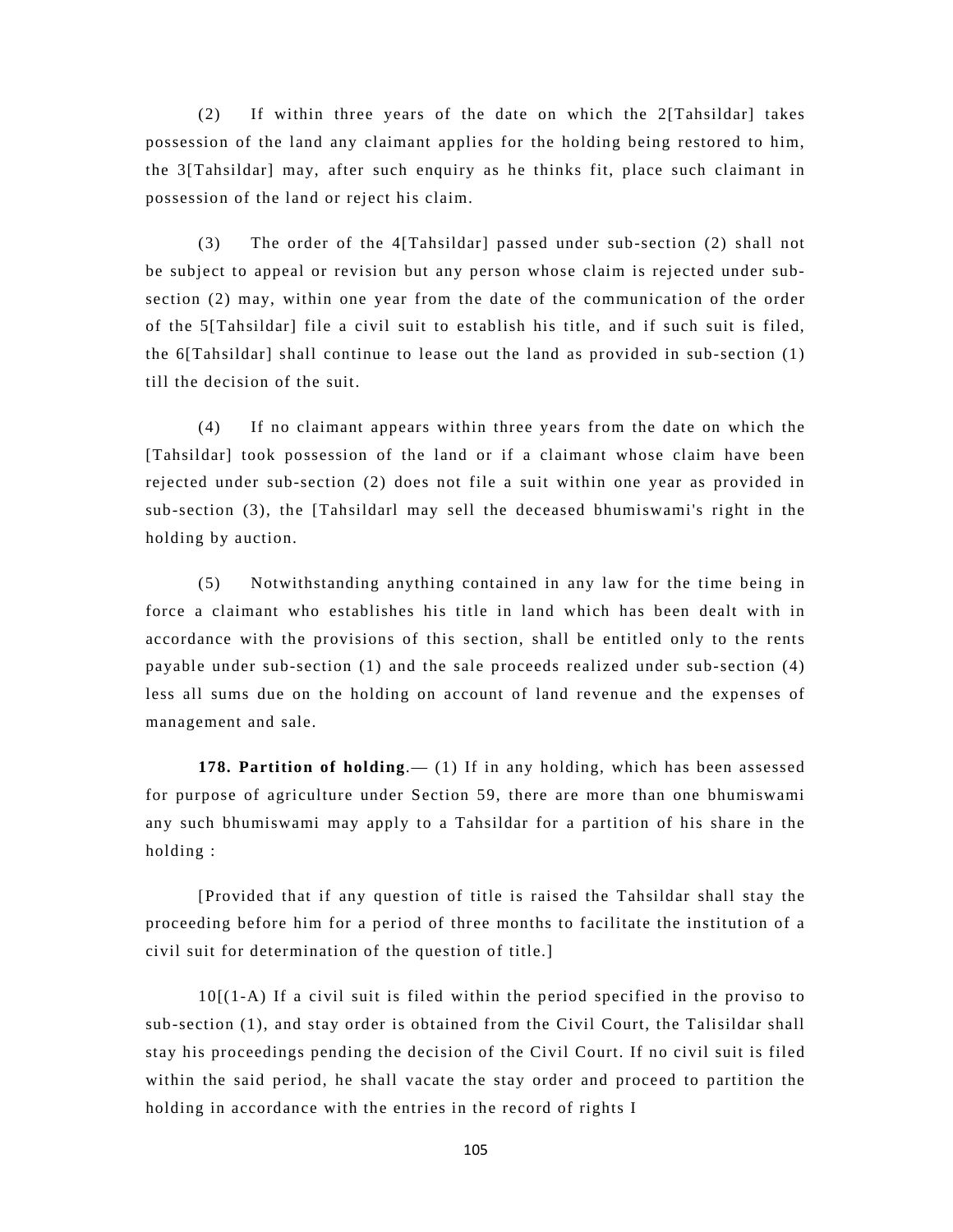(2) If within three years of the date on which the 2[Tahsildar] takes possession of the land any claimant applies for the holding being restored to him, the 3[Tahsildar] may, after such enquiry as he thinks fit, place such claimant in possession of the land or reject his claim.

(3) The order of the 4[Tahsildar] passed under sub-section (2) shall not be subject to appeal or revision but any person whose claim is rejected under subsection (2) may, within one year from the date of the communication of the order of the 5[Tahsildar] file a civil suit to establish his title, and if such suit is filed, the 6[Tahsildar] shall continue to lease out the land as provided in sub-section (1) till the decision of the suit.

(4) If no claimant appears within three years from the date on which the [Tahsildar] took possession of the land or if a claimant whose claim have been rejected under sub-section (2) does not file a suit within one year as provided in sub-section (3), the [Tahsildarl may sell the deceased bhumiswami's right in the holding by auction.

(5) Notwithstanding anything contained in any law for the time being in force a claimant who establishes his title in land which has been dealt with in accordance with the provisions of this section, shall be entitled only to the rents payable under sub-section (1) and the sale proceeds realized under sub-section (4) less all sums due on the holding on account of land revenue and the expenses of management and sale.

**178. Partition of holding**.— (1) If in any holding, which has been assessed for purpose of agriculture under Section 59, there are more than one bhumiswami any such bhumiswami may apply to a Tahsildar for a partition of his share in the holding :

[Provided that if any question of title is raised the Tahsildar shall stay the proceeding before him for a period of three months to facilitate the institution of a civil suit for determination of the question of title.]

10[(1-A) If a civil suit is filed within the period specified in the proviso to sub-section (1), and stay order is obtained from the Civil Court, the Talisildar shall stay his proceedings pending the decision of the Civil Court. If no civil suit is filed within the said period, he shall vacate the stay order and proceed to partition the holding in accordance with the entries in the record of rights I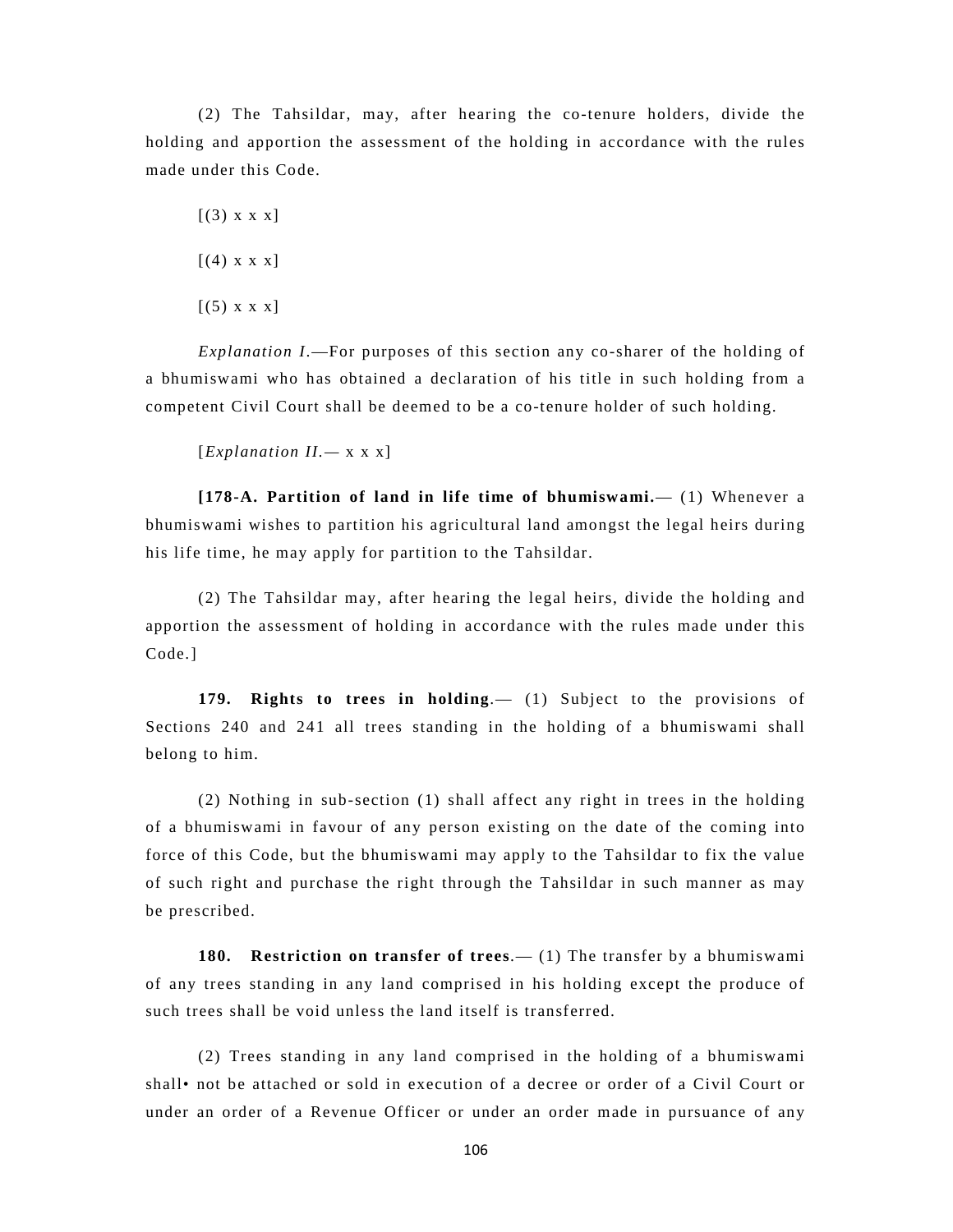(2) The Tahsildar, may, after hearing the co-tenure holders, divide the holding and apportion the assessment of the holding in accordance with the rules made under this Code.

- $[(3) \times \times \times]$
- $[(4)$  x x x]
- $[(5) \times \times \times]$

*Explanation I*.—For purposes of this section any co-sharer of the holding of a bhumiswami who has obtained a declaration of his title in such holding from a competent Civil Court shall be deemed to be a co-tenure holder of such holding.

$$
[Explanation II. - x x x]
$$

**[178-A. Partition of land in life time of bhumiswami.**— (1) Whenever a bhumiswami wishes to partition his agricultural land amongst the legal heirs during his life time, he may apply for partition to the Tahsildar.

(2) The Tahsildar may, after hearing the legal heirs, divide the holding and apportion the assessment of holding in accordance with the rules made under this Code.]

**179. Rights to trees in holding**.— (1) Subject to the provisions of Sections 240 and 241 all trees standing in the holding of a bhumiswami shall belong to him.

(2) Nothing in sub-section (1) shall affect any right in trees in the holding of a bhumiswami in favour of any person existing on the date of the coming into force of this Code, but the bhumiswami may apply to the Tahsildar to fix the value of such right and purchase the right through the Tahsildar in such manner as may be prescribed.

**180. Restriction on transfer of trees**.— (1) The transfer by a bhumiswami of any trees standing in any land comprised in his holding except the produce of such trees shall be void unless the land itself is transferred.

(2) Trees standing in any land comprised in the holding of a bhumiswami shall• not be attached or sold in execution of a decree or order of a Civil Court or under an order of a Revenue Officer or under an order made in pursuance of any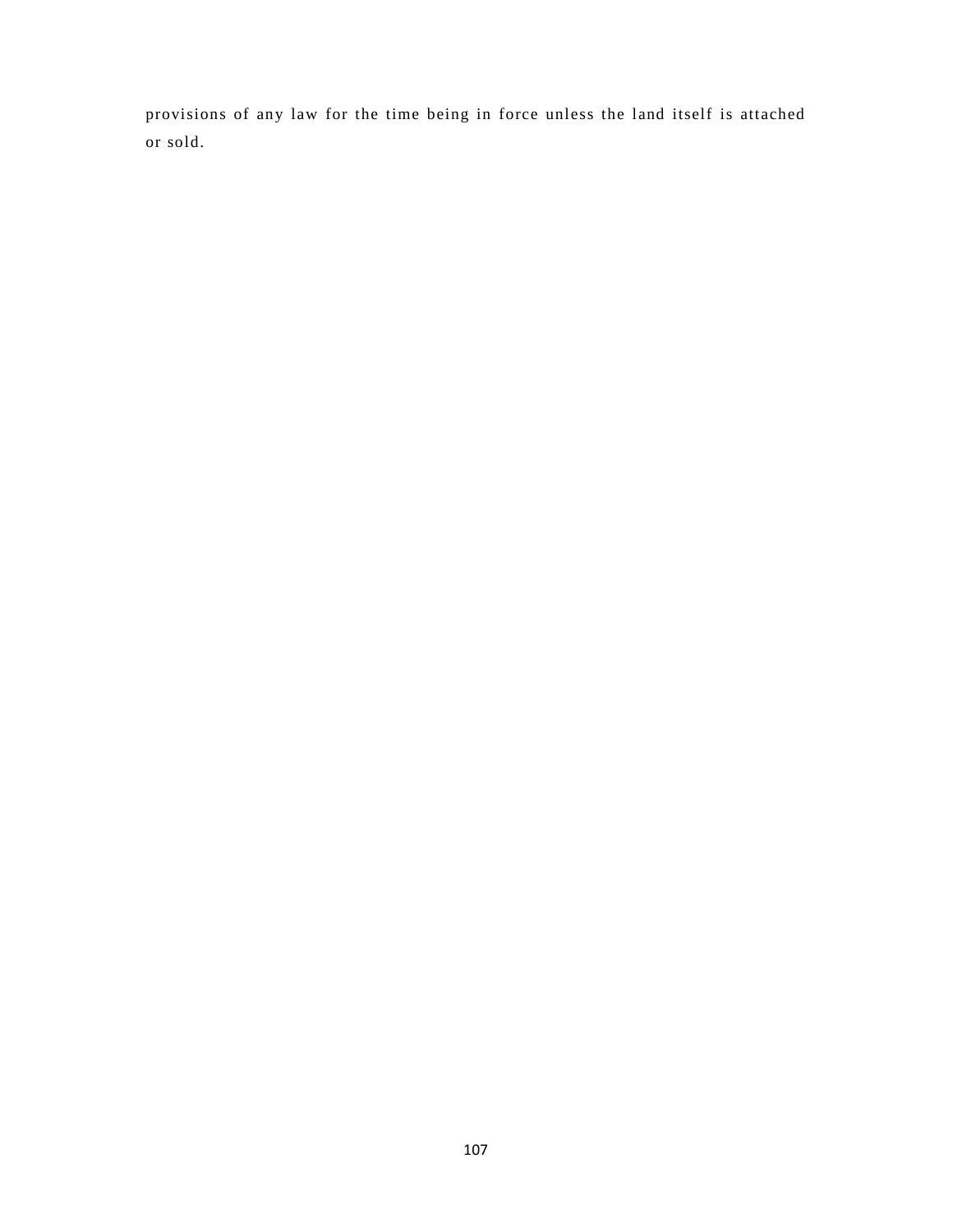provisions of any law for the time being in force unless the land itself is attached or sold.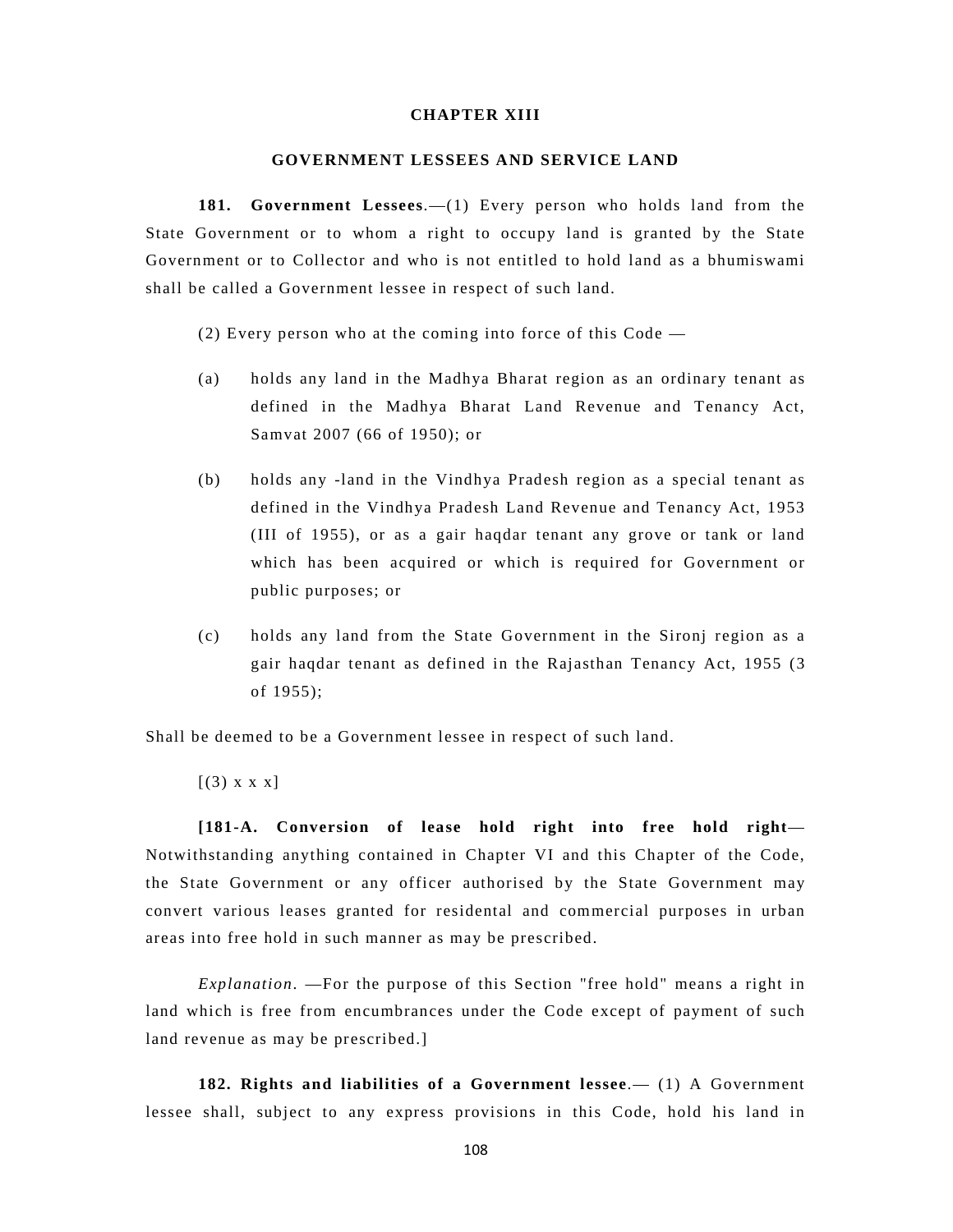# **CHAPTER XIII**

### **GOVERNMENT LESSEES AND SERVICE LAND**

**181. Government Lessees**.—(1) Every person who holds land from the State Government or to whom a right to occupy land is granted by the State Government or to Collector and who is not entitled to hold land as a bhumiswami shall be called a Government lessee in respect of such land.

(2) Every person who at the coming into force of this Code —

- (a) holds any land in the Madhya Bharat region as an ordinary tenant as defined in the Madhya Bharat Land Revenue and Tenancy Act, Samvat 2007 (66 of 1950); or
- (b) holds any -land in the Vindhya Pradesh region as a special tenant as defined in the Vindhya Pradesh Land Revenue and Tenancy Act, 1953 (III of 1955), or as a gair haqdar tenant any grove or tank or land which has been acquired or which is required for Government or public purposes; or
- (c) holds any land from the State Government in the Sironj region as a gair haqdar tenant as defined in the Rajasthan Tenancy Act, 1955 (3 of 1955);

Shall be deemed to be a Government lessee in respect of such land.

 $[(3) \times \times \times]$ 

**[181-A. Conversion of lease hold right into free hold right**— Notwithstanding anything contained in Chapter VI and this Chapter of the Code, the State Government or any officer authorised by the State Government may convert various leases granted for residental and commercial purposes in urban areas into free hold in such manner as may be prescribed.

*Explanation*. —For the purpose of this Section "free hold" means a right in land which is free from encumbrances under the Code except of payment of such land revenue as may be prescribed.]

**182. Rights and liabilities of a Government lessee**.— (1) A Government lessee shall, subject to any express provisions in this Code, hold his land in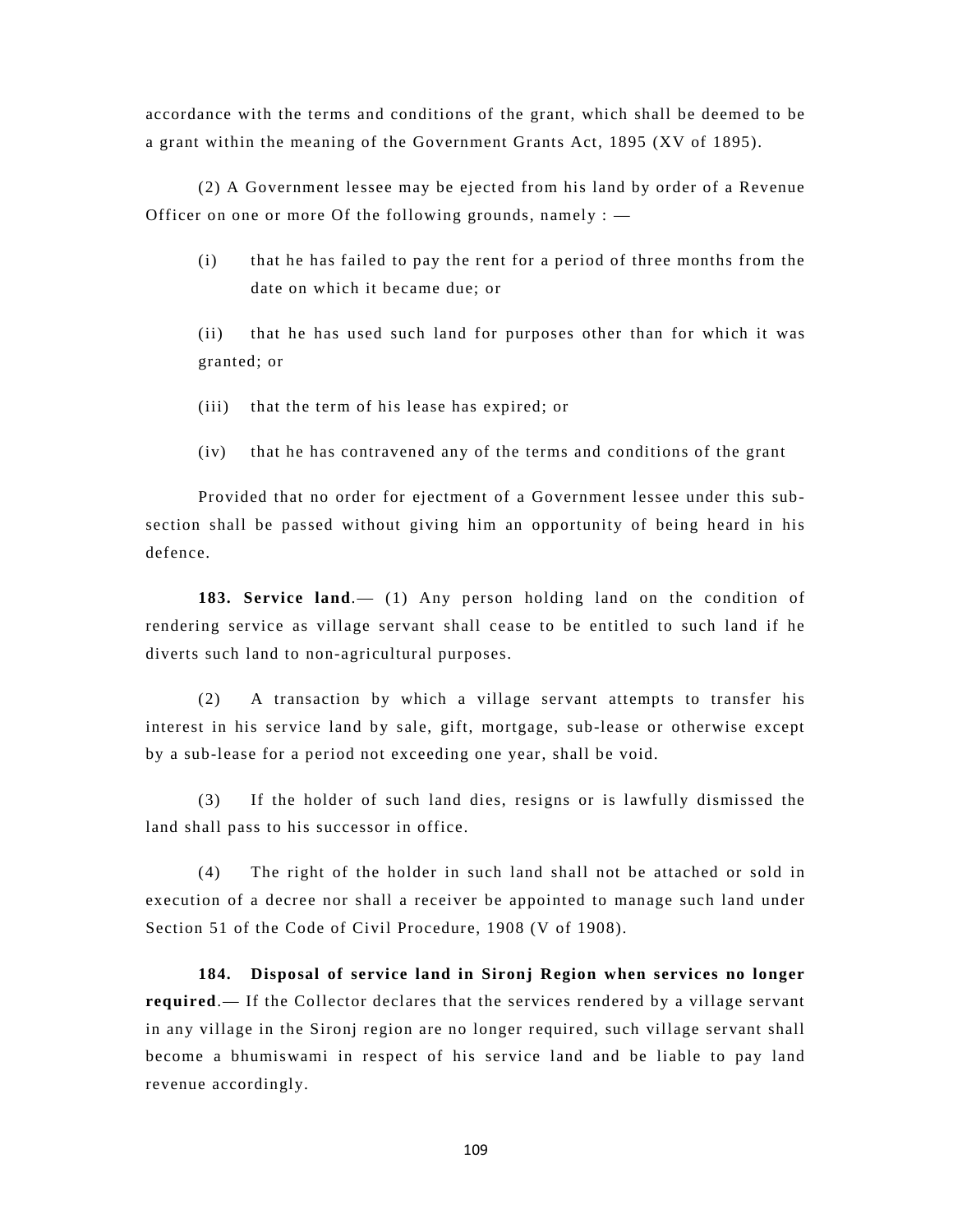accordance with the terms and conditions of the grant, which shall be deemed to be a grant within the meaning of the Government Grants Act, 1895 (XV of 1895).

(2) A Government lessee may be ejected from his land by order of a Revenue Officer on one or more Of the following grounds, namely  $:$   $-$ 

(i) that he has failed to pay the rent for a period of three months from the date on which it became due; or

(ii) that he has used such land for purposes other than for which it was granted; or

- (iii) that the term of his lease has expired; or
- (iv) that he has contravened any of the terms and conditions of the grant

Provided that no order for ejectment of a Government lessee under this subsection shall be passed without giving him an opportunity of being heard in his defence.

**183. Service land**.— (1) Any person holding land on the condition of rendering service as village servant shall cease to be entitled to such land if he diverts such land to non-agricultural purposes.

(2) A transaction by which a village servant attempts to transfer his interest in his service land by sale, gift, mortgage, sub-lease or otherwise except by a sub-lease for a period not exceeding one year, shall be void.

(3) If the holder of such land dies, resigns or is lawfully dismissed the land shall pass to his successor in office.

(4) The right of the holder in such land shall not be attached or sold in execution of a decree nor shall a receiver be appointed to manage such land under Section 51 of the Code of Civil Procedure, 1908 (V of 1908).

**184. Disposal of service land in Sironj Region when services no longer required**.— If the Collector declares that the services rendered by a village servant in any village in the Sironj region are no longer required, such village servant shall become a bhumiswami in respect of his service land and be liable to pay land revenue accordingly.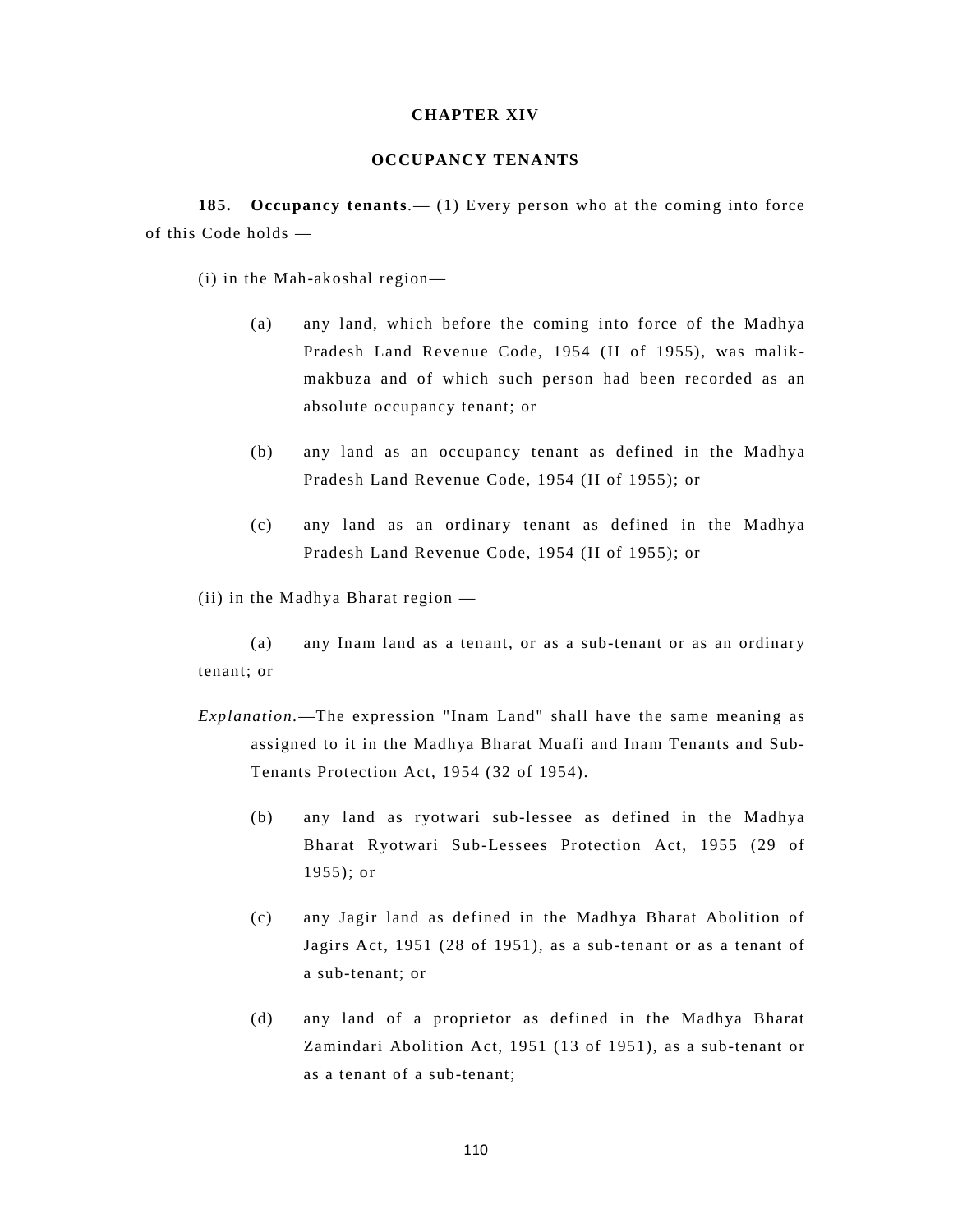# **CHAPTER XIV**

## **OCCUPANCY TENANTS**

**185. Occupancy tenants**.— (1) Every person who at the coming into force of this Code holds —

(i) in the Mah-akoshal region—

- (a) any land, which before the coming into force of the Madhya Pradesh Land Revenue Code, 1954 (II of 1955), was malikmakbuza and of which such person had been recorded as an absolute occupancy tenant; or
- (b) any land as an occupancy tenant as defined in the Madhya Pradesh Land Revenue Code, 1954 (II of 1955); or
- (c) any land as an ordinary tenant as defined in the Madhya Pradesh Land Revenue Code, 1954 (II of 1955); or

(ii) in the Madhya Bharat region —

(a) any Inam land as a tenant, or as a sub-tenant or as an ordinary tenant; or

- *Explanation.*—The expression "Inam Land" shall have the same meaning as assigned to it in the Madhya Bharat Muafi and Inam Tenants and Sub-Tenants Protection Act, 1954 (32 of 1954).
	- (b) any land as ryotwari sub-lessee as defined in the Madhya Bharat Ryotwari Sub-Lessees Protection Act, 1955 (29 of 1955); or
	- (c) any Jagir land as defined in the Madhya Bharat Abolition of Jagirs Act, 1951 (28 of 1951), as a sub-tenant or as a tenant of a sub-tenant; or
	- (d) any land of a proprietor as defined in the Madhya Bharat Zamindari Abolition Act, 1951 (13 of 1951), as a sub-tenant or as a tenant of a sub-tenant;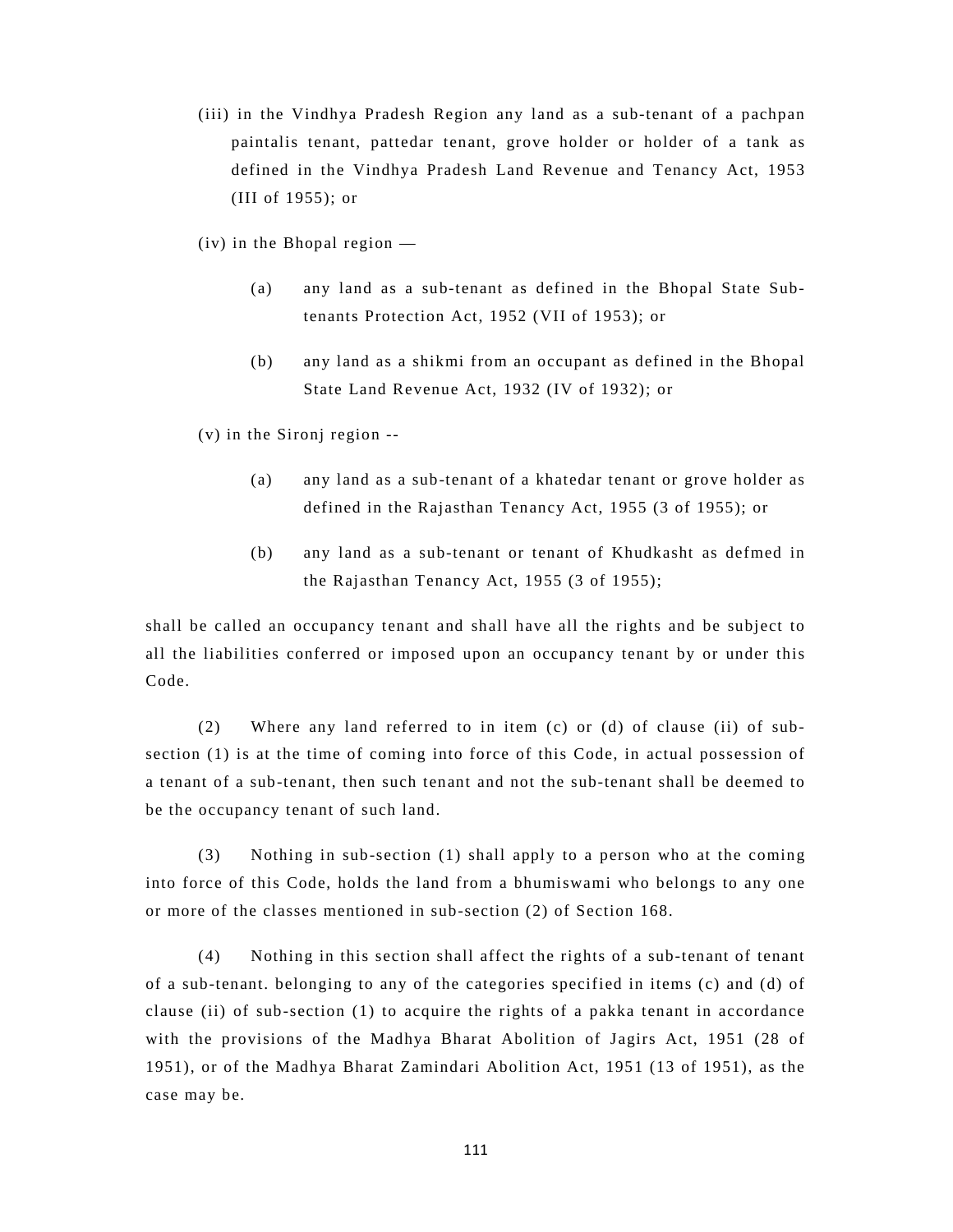(iii) in the Vindhya Pradesh Region any land as a sub-tenant of a pachpan paintalis tenant, pattedar tenant, grove holder or holder of a tank as defined in the Vindhya Pradesh Land Revenue and Tenancy Act, 1953 (III of 1955); or

(iv) in the Bhopal region —

- (a) any land as a sub-tenant as defined in the Bhopal State Subtenants Protection Act, 1952 (VII of 1953); or
- (b) any land as a shikmi from an occupant as defined in the Bhopal State Land Revenue Act, 1932 (IV of 1932); or

(v) in the Sironj region --

- (a) any land as a sub-tenant of a khatedar tenant or grove holder as defined in the Rajasthan Tenancy Act, 1955 (3 of 1955); or
- (b) any land as a sub-tenant or tenant of Khudkasht as defmed in the Rajasthan Tenancy Act, 1955 (3 of 1955);

shall be called an occupancy tenant and shall have all the rights and be subject to all the liabilities conferred or imposed upon an occupancy tenant by or under this Code.

(2) Where any land referred to in item (c) or (d) of clause (ii) of subsection (1) is at the time of coming into force of this Code, in actual possession of a tenant of a sub-tenant, then such tenant and not the sub-tenant shall be deemed to be the occupancy tenant of such land.

(3) Nothing in sub-section (1) shall apply to a person who at the coming into force of this Code, holds the land from a bhumiswami who belongs to any one or more of the classes mentioned in sub-section (2) of Section 168.

(4) Nothing in this section shall affect the rights of a sub-tenant of tenant of a sub-tenant. belonging to any of the categories specified in items (c) and (d) of clause (ii) of sub-section (1) to acquire the rights of a pakka tenant in accordance with the provisions of the Madhya Bharat Abolition of Jagirs Act, 1951 (28 of 1951), or of the Madhya Bharat Zamindari Abolition Act, 1951 (13 of 1951), as the case may be.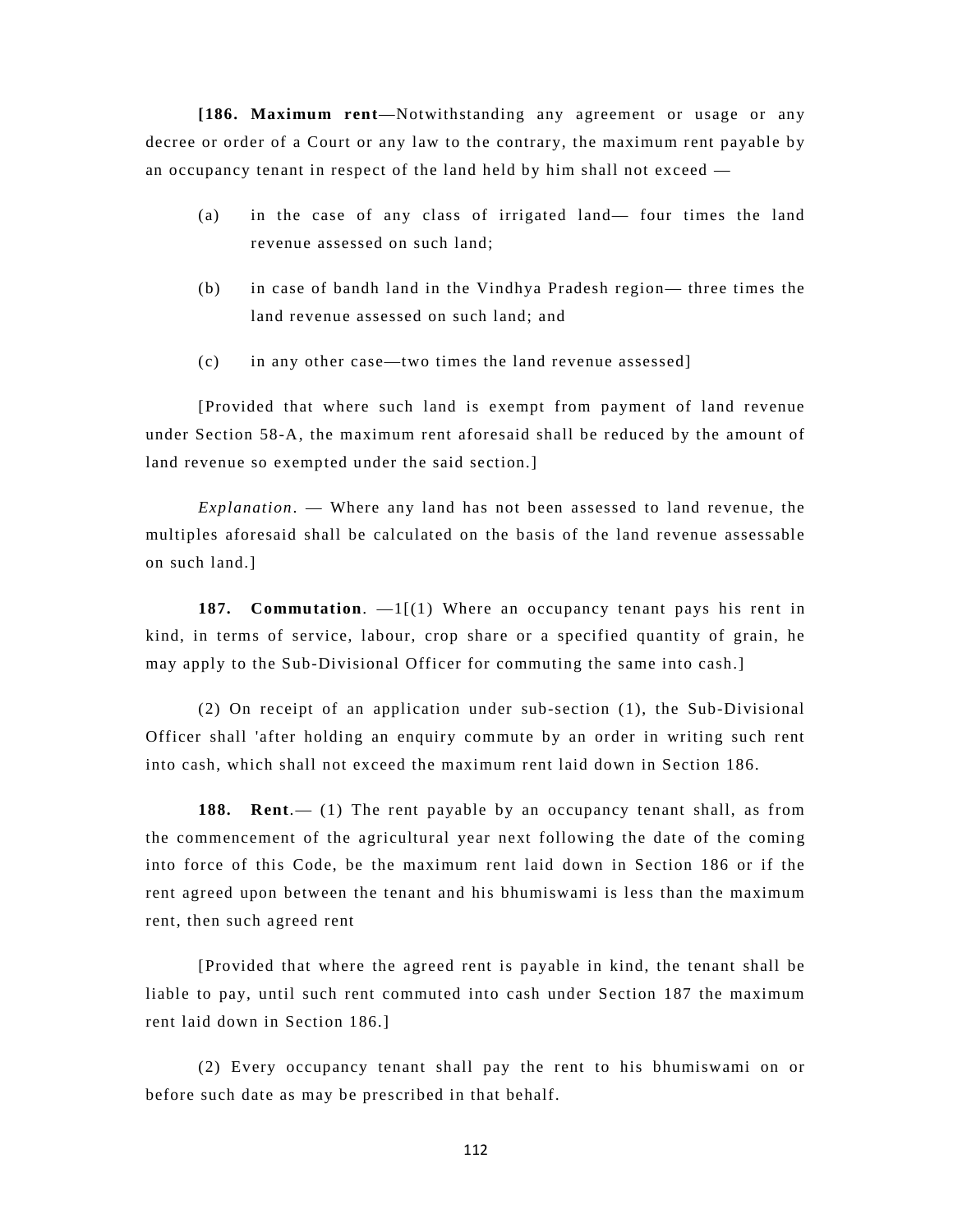**[186. Maximum rent**—Notwithstanding any agreement or usage or any decree or order of a Court or any law to the contrary, the maximum rent payable by an occupancy tenant in respect of the land held by him shall not exceed —

- (a) in the case of any class of irrigated land— four times the land revenue assessed on such land;
- (b) in case of bandh land in the Vindhya Pradesh region— three times the land revenue assessed on such land; and
- (c) in any other case—two times the land revenue assessed]

[Provided that where such land is exempt from payment of land revenue under Section 58-A, the maximum rent aforesaid shall be reduced by the amount of land revenue so exempted under the said section.]

*Explanation*. — Where any land has not been assessed to land revenue, the multiples aforesaid shall be calculated on the basis of the land revenue assessable on such land.]

**187. Commutation**. —1[(1) Where an occupancy tenant pays his rent in kind, in terms of service, labour, crop share or a specified quantity of grain, he may apply to the Sub-Divisional Officer for commuting the same into cash.]

(2) On receipt of an application under sub-section (1), the Sub-Divisional Officer shall 'after holding an enquiry commute by an order in writing such rent into cash, which shall not exceed the maximum rent laid down in Section 186.

**188.** Rent. (1) The rent payable by an occupancy tenant shall, as from the commencement of the agricultural year next following the date of the coming into force of this Code, be the maximum rent laid down in Section 186 or if the rent agreed upon between the tenant and his bhumiswami is less than the maximum rent, then such agreed rent

[Provided that where the agreed rent is payable in kind, the tenant shall be liable to pay, until such rent commuted into cash under Section 187 the maximum rent laid down in Section 186.]

(2) Every occupancy tenant shall pay the rent to his bhumiswami on or before such date as may be prescribed in that behalf.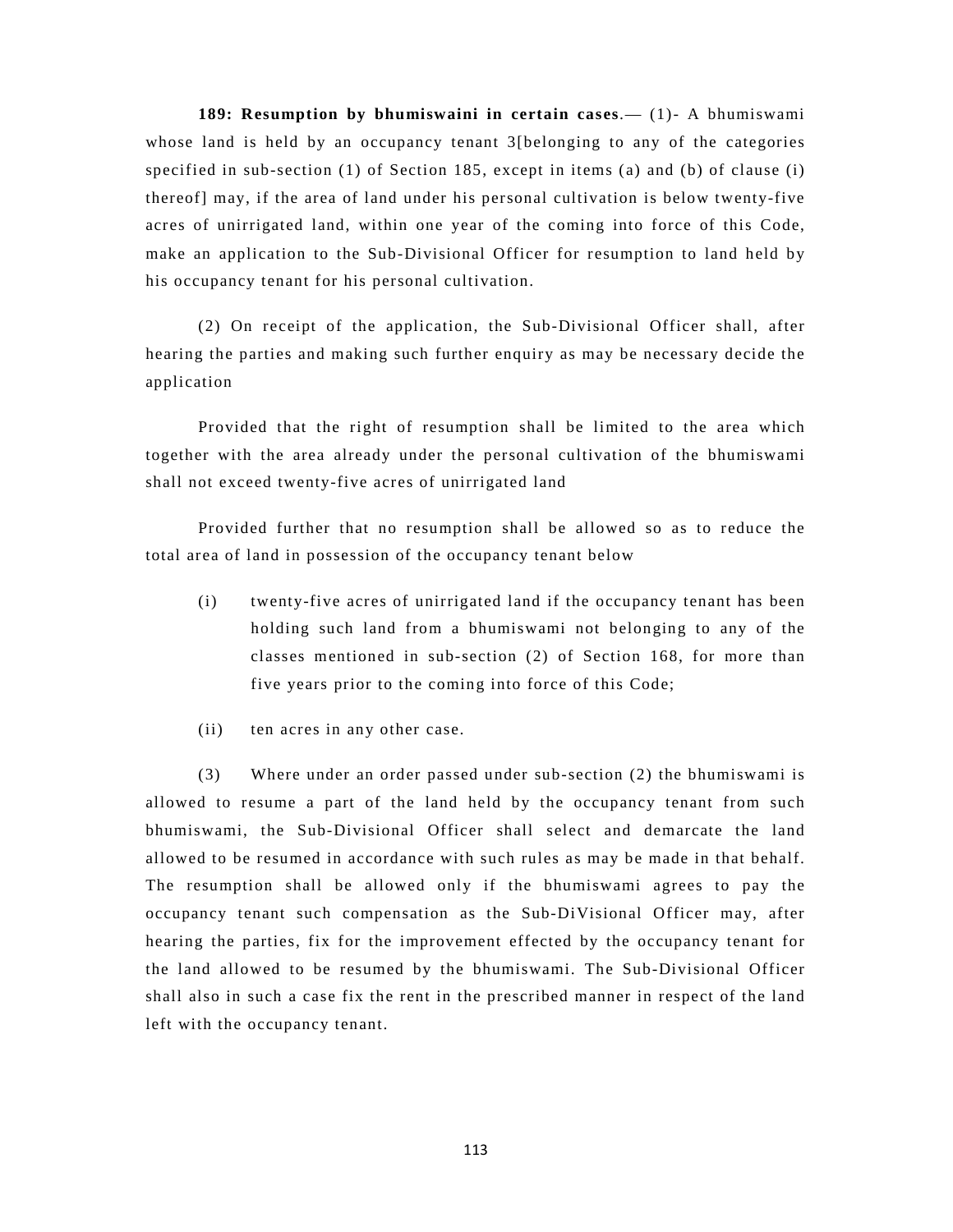**189: Resumption by bhumiswaini in certain cases**.— (1)- A bhumiswami whose land is held by an occupancy tenant 3[belonging to any of the categories specified in sub-section (1) of Section 185, except in items (a) and (b) of clause (i) thereof] may, if the area of land under his personal cultivation is below twenty-five acres of unirrigated land, within one year of the coming into force of this Code, make an application to the Sub-Divisional Officer for resumption to land held by his occupancy tenant for his personal cultivation.

(2) On receipt of the application, the Sub-Divisional Officer shall, after hearing the parties and making such further enquiry as may be necessary decide the application

Provided that the right of resumption shall be limited to the area which together with the area already under the personal cultivation of the bhumiswami shall not exceed twenty-five acres of unirrigated land

Provided further that no resumption shall be allowed so as to reduce the total area of land in possession of the occupancy tenant below

- (i) twenty-five acres of unirrigated land if the occupancy tenant has been holding such land from a bhumiswami not belonging to any of the classes mentioned in sub-section (2) of Section 168, for more than five years prior to the coming into force of this Code;
- (ii) ten acres in any other case.

(3) Where under an order passed under sub-section (2) the bhumiswami is allowed to resume a part of the land held by the occupancy tenant from such bhumiswami, the Sub-Divisional Officer shall select and demarcate the land allowed to be resumed in accordance with such rules as may be made in that behalf. The resumption shall be allowed only if the bhumiswami agrees to pay the occupancy tenant such compensation as the Sub-DiVisional Officer may, after hearing the parties, fix for the improvement effected by the occupancy tenant for the land allowed to be resumed by the bhumiswami. The Sub-Divisional Officer shall also in such a case fix the rent in the prescribed manner in respect of the land left with the occupancy tenant.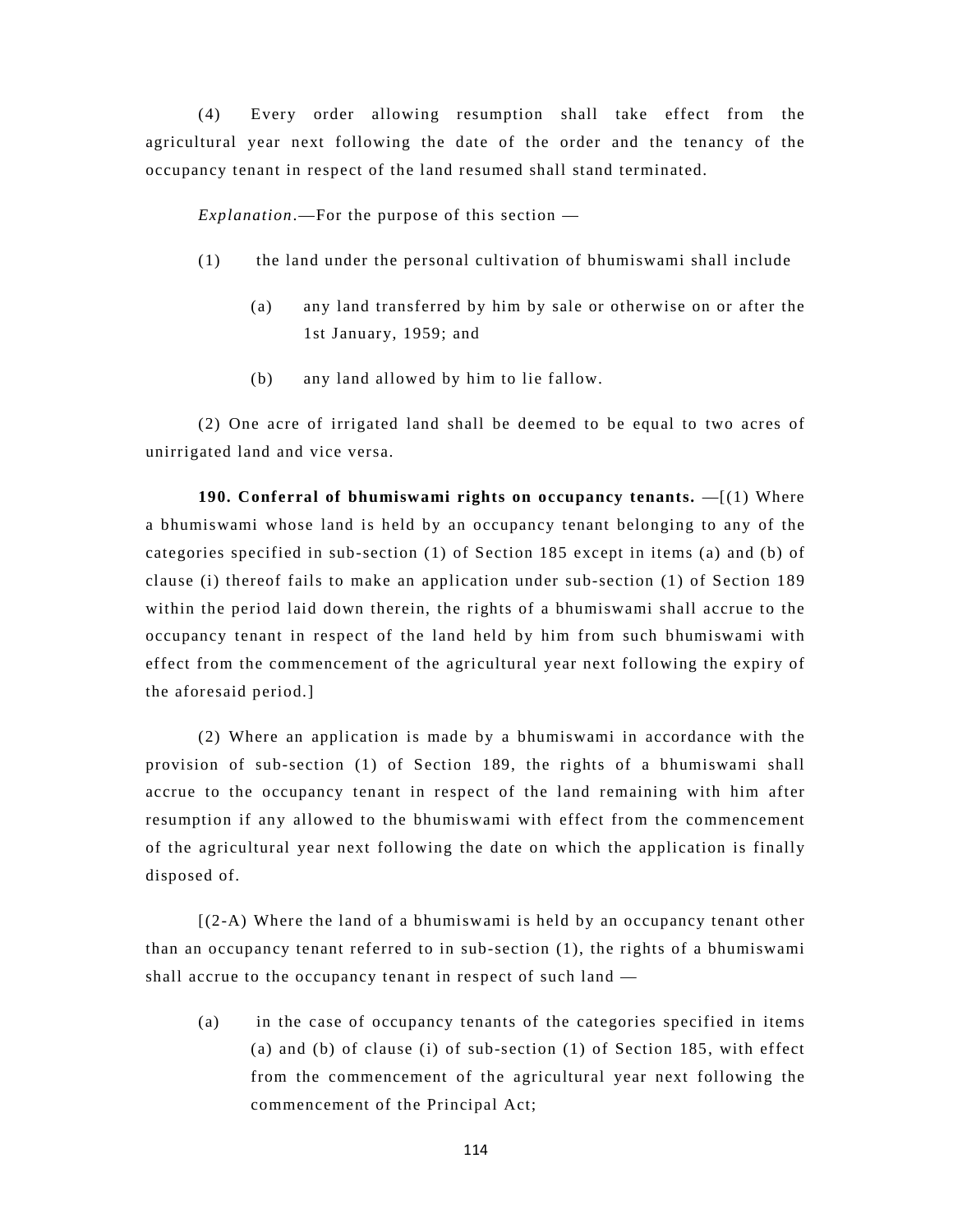(4) Every order allowing resumption shall take effect from the agricultural year next following the date of the order and the tenancy of the occupancy tenant in respect of the land resumed shall stand terminated.

*Explanation*.—For the purpose of this section —

- (1) the land under the personal cultivation of bhumiswami shall include
	- (a) any land transferred by him by sale or otherwise on or after the 1st January, 1959; and
	- (b) any land allowed by him to lie fallow.

(2) One acre of irrigated land shall be deemed to be equal to two acres of unirrigated land and vice versa.

**190. Conferral of bhumiswami rights on occupancy tenants.** —[(1) Where a bhumiswami whose land is held by an occupancy tenant belonging to any of the categories specified in sub-section (1) of Section 185 except in items (a) and (b) of clause (i) thereof fails to make an application under sub-section (1) of Section 189 within the period laid down therein, the rights of a bhumiswami shall accrue to the occupancy tenant in respect of the land held by him from such bhumiswami with effect from the commencement of the agricultural year next following the expiry of the aforesaid period.]

(2) Where an application is made by a bhumiswami in accordance with the provision of sub-section (1) of Section 189, the rights of a bhumiswami shall accrue to the occupancy tenant in respect of the land remaining with him after resumption if any allowed to the bhumiswami with effect from the commencement of the agricultural year next following the date on which the application is finally disposed of.

[(2-A) Where the land of a bhumiswami is held by an occupancy tenant other than an occupancy tenant referred to in sub-section (1), the rights of a bhumiswami shall accrue to the occupancy tenant in respect of such land —

(a) in the case of occupancy tenants of the categories specified in items (a) and (b) of clause (i) of sub-section (1) of Section 185, with effect from the commencement of the agricultural year next following the commencement of the Principal Act;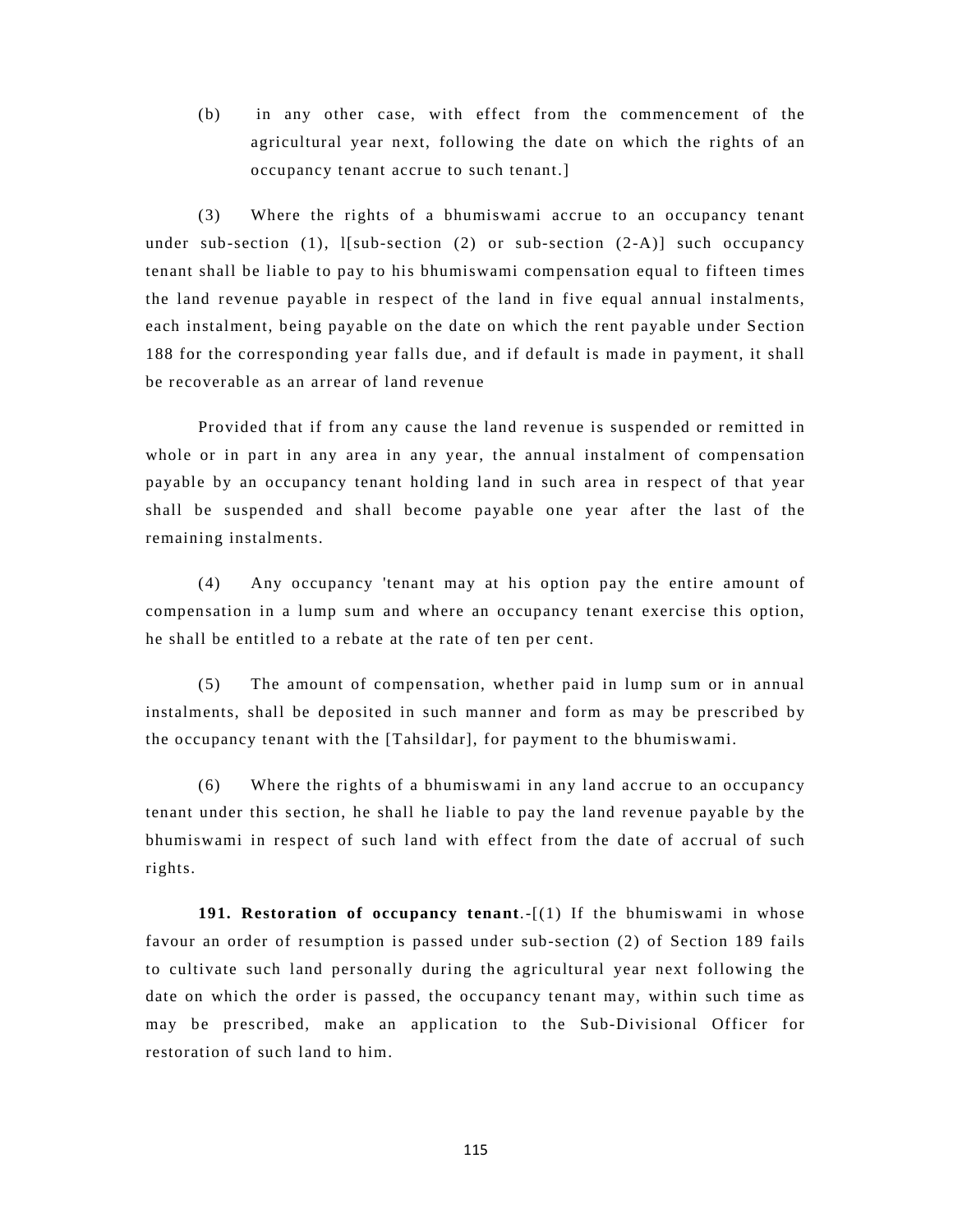(b) in any other case, with effect from the commencement of the agricultural year next, following the date on which the rights of an occupancy tenant accrue to such tenant.]

(3) Where the rights of a bhumiswami accrue to an occupancy tenant under sub-section (1),  $1 \mid sub-section (2)$  or sub-section  $(2-A) \mid such occur.$ tenant shall be liable to pay to his bhumiswami compensation equal to fifteen times the land revenue payable in respect of the land in five equal annual instalments, each instalment, being payable on the date on which the rent payable under Section 188 for the corresponding year falls due, and if default is made in payment, it shall be recoverable as an arrear of land revenue

Provided that if from any cause the land revenue is suspended or remitted in whole or in part in any area in any year, the annual instalment of compensation payable by an occupancy tenant holding land in such area in respect of that year shall be suspended and shall become payable one year after the last of the remaining instalments.

(4) Any occupancy 'tenant may at his option pay the entire amount of compensation in a lump sum and where an occupancy tenant exercise this option, he shall be entitled to a rebate at the rate of ten per cent.

(5) The amount of compensation, whether paid in lump sum or in annual instalments, shall be deposited in such manner and form as may be prescribed by the occupancy tenant with the [Tahsildar], for payment to the bhumiswami.

(6) Where the rights of a bhumiswami in any land accrue to an occupancy tenant under this section, he shall he liable to pay the land revenue payable by the bhumiswami in respect of such land with effect from the date of accrual of such rights.

**191. Restoration of occupancy tenant**.-[(1) If the bhumiswami in whose favour an order of resumption is passed under sub-section (2) of Section 189 fails to cultivate such land personally during the agricultural year next following the date on which the order is passed, the occupancy tenant may, within such time as may be prescribed, make an application to the Sub-Divisional Officer for restoration of such land to him.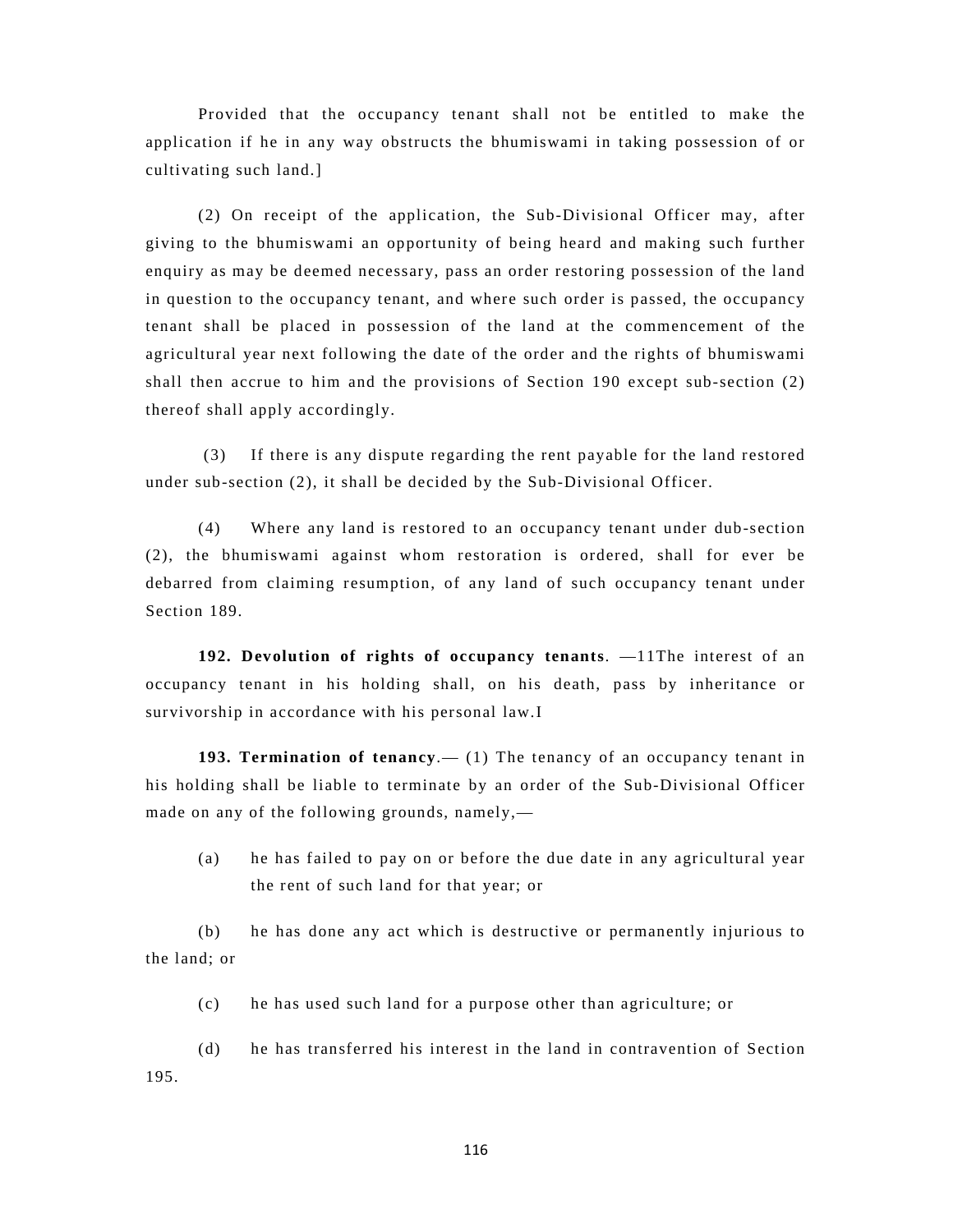Provided that the occupancy tenant shall not be entitled to make the application if he in any way obstructs the bhumiswami in taking possession of or cultivating such land.]

(2) On receipt of the application, the Sub-Divisional Officer may, after giving to the bhumiswami an opportunity of being heard and making such further enquiry as may be deemed necessary, pass an order restoring possession of the land in question to the occupancy tenant, and where such order is passed, the occupancy tenant shall be placed in possession of the land at the commencement of the agricultural year next following the date of the order and the rights of bhumiswami shall then accrue to him and the provisions of Section 190 except sub-section (2) thereof shall apply accordingly.

 (3) If there is any dispute regarding the rent payable for the land restored under sub-section (2), it shall be decided by the Sub-Divisional Officer.

(4) Where any land is restored to an occupancy tenant under dub-section (2), the bhumiswami against whom restoration is ordered, shall for ever be debarred from claiming resumption, of any land of such occupancy tenant under Section 189.

**192. Devolution of rights of occupancy tenants**. —11The interest of an occupancy tenant in his holding shall, on his death, pass by inheritance or survivorship in accordance with his personal law.I

**193. Termination of tenancy**.— (1) The tenancy of an occupancy tenant in his holding shall be liable to terminate by an order of the Sub-Divisional Officer made on any of the following grounds, namely,—

(a) he has failed to pay on or before the due date in any agricultural year the rent of such land for that year; or

(b) he has done any act which is destructive or permanently injurious to the land; or

(c) he has used such land for a purpose other than agriculture; or

(d) he has transferred his interest in the land in contravention of Section 195.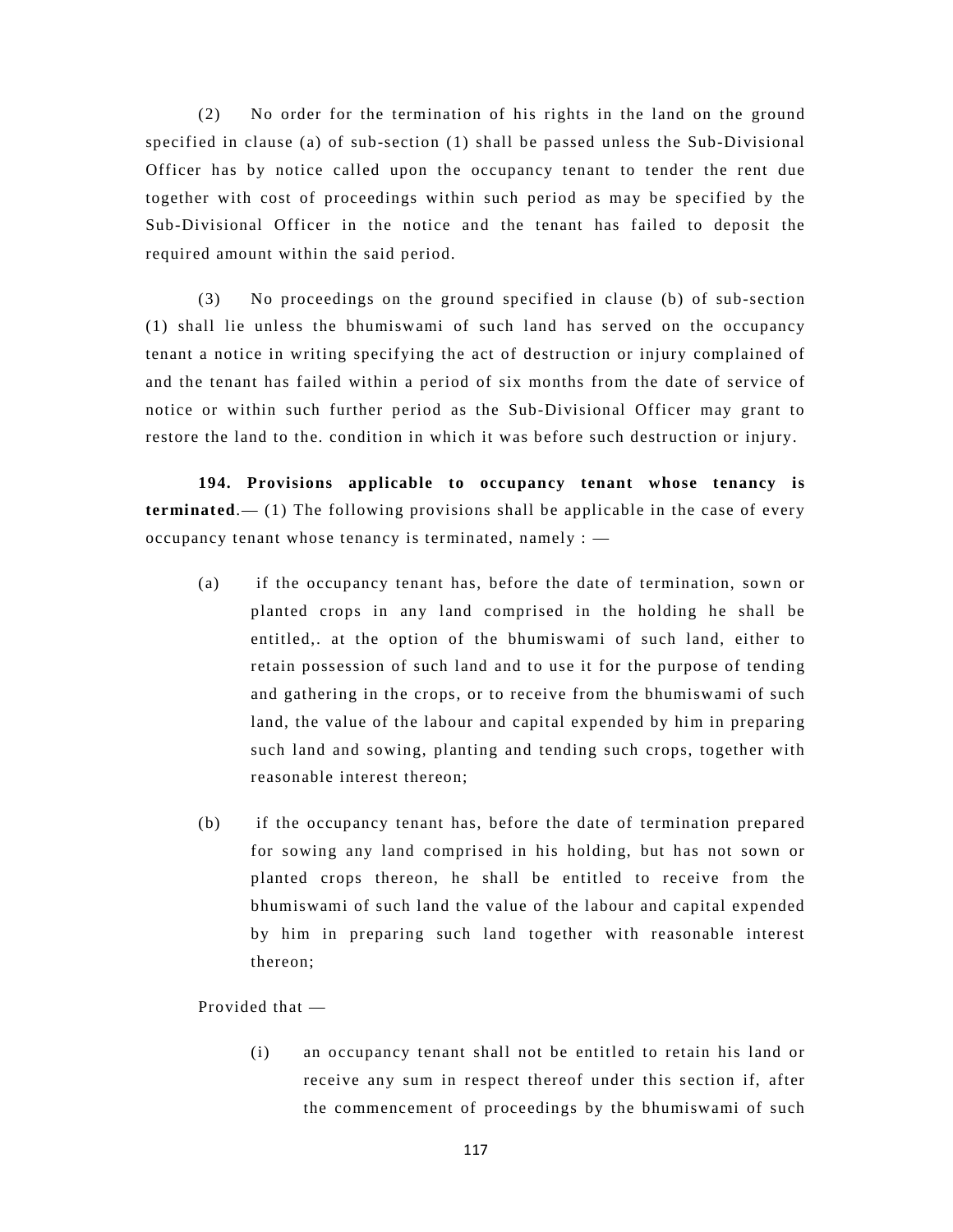(2) No order for the termination of his rights in the land on the ground specified in clause (a) of sub-section (1) shall be passed unless the Sub-Divisional Officer has by notice called upon the occupancy tenant to tender the rent due together with cost of proceedings within such period as may be specified by the Sub-Divisional Officer in the notice and the tenant has failed to deposit the required amount within the said period.

(3) No proceedings on the ground specified in clause (b) of sub-section (1) shall lie unless the bhumiswami of such land has served on the occupancy tenant a notice in writing specifying the act of destruction or injury complained of and the tenant has failed within a period of six months from the date of service of notice or within such further period as the Sub-Divisional Officer may grant to restore the land to the. condition in which it was before such destruction or injury.

**194. Provisions applicable to occupancy tenant whose tenancy is terminated**.— (1) The following provisions shall be applicable in the case of every occupancy tenant whose tenancy is terminated, namely : —

- (a) if the occupancy tenant has, before the date of termination, sown or planted crops in any land comprised in the holding he shall be entitled,. at the option of the bhumiswami of such land, either to retain possession of such land and to use it for the purpose of tending and gathering in the crops, or to receive from the bhumiswami of such land, the value of the labour and capital expended by him in preparing such land and sowing, planting and tending such crops, together with reasonable interest thereon;
- (b) if the occupancy tenant has, before the date of termination prepared for sowing any land comprised in his holding, but has not sown or planted crops thereon, he shall be entitled to receive from the bhumiswami of such land the value of the labour and capital expended by him in preparing such land together with reasonable interest thereon;

Provided that —

(i) an occupancy tenant shall not be entitled to retain his land or receive any sum in respect thereof under this section if, after the commencement of proceedings by the bhumiswami of such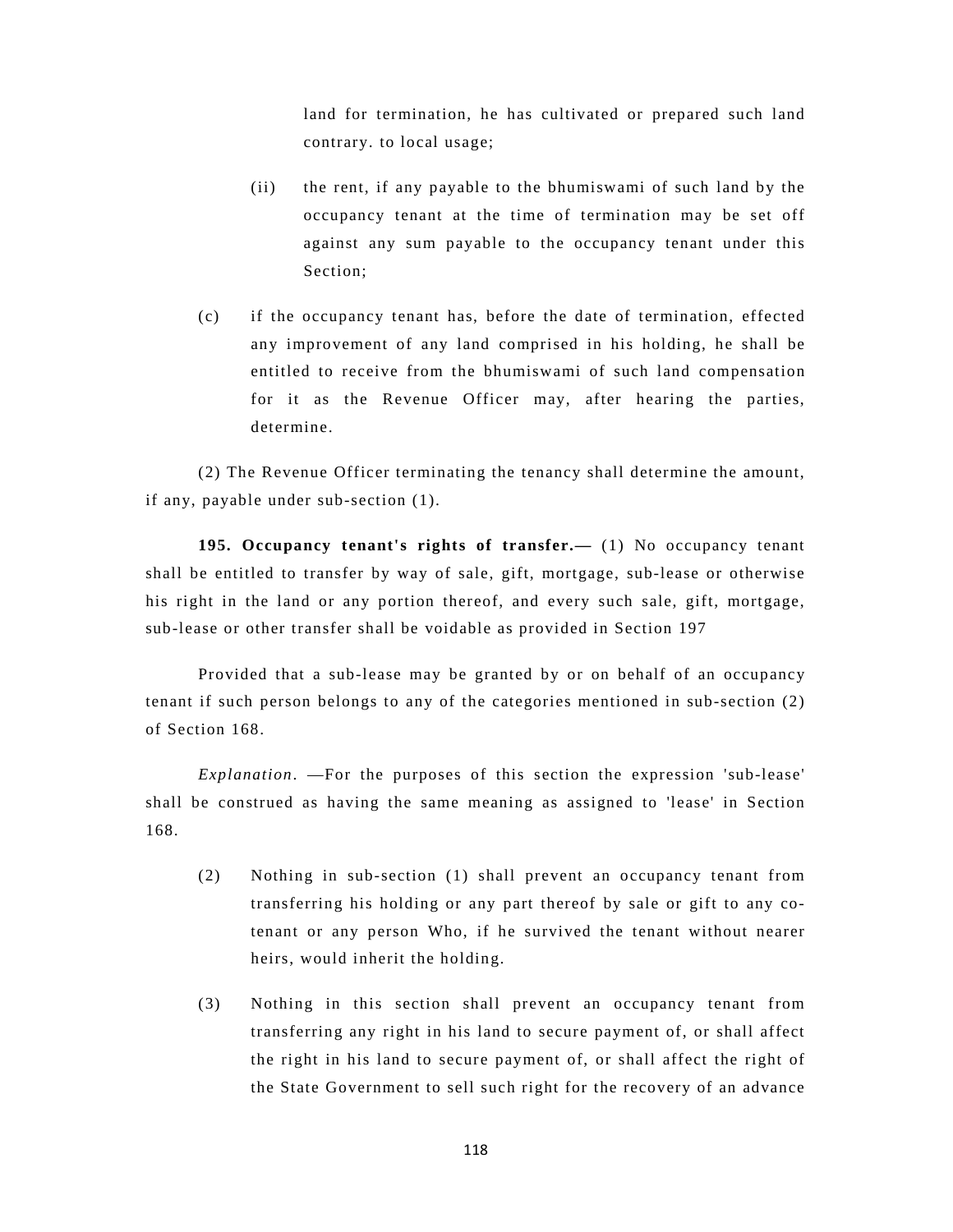land for termination, he has cultivated or prepared such land contrary. to local usage;

- (ii) the rent, if any payable to the bhumiswami of such land by the occupancy tenant at the time of termination may be set off against any sum payable to the occupancy tenant under this Section;
- (c) if the occupancy tenant has, before the date of termination, effected any improvement of any land comprised in his holding, he shall be entitled to receive from the bhumiswami of such land compensation for it as the Revenue Officer may, after hearing the parties, determine.

(2) The Revenue Officer terminating the tenancy shall determine the amount, if any, payable under sub-section (1).

**195. Occupancy tenant's rights of transfer.—** (1) No occupancy tenant shall be entitled to transfer by way of sale, gift, mortgage, sub-lease or otherwise his right in the land or any portion thereof, and every such sale, gift, mortgage, sub-lease or other transfer shall be voidable as provided in Section 197

Provided that a sub-lease may be granted by or on behalf of an occupancy tenant if such person belongs to any of the categories mentioned in sub-section (2) of Section 168.

*Explanation*. —For the purposes of this section the expression 'sub-lease' shall be construed as having the same meaning as assigned to 'lease' in Section 168.

- (2) Nothing in sub-section (1) shall prevent an occupancy tenant from transferring his holding or any part thereof by sale or gift to any cotenant or any person Who, if he survived the tenant without nearer heirs, would inherit the holding.
- (3) Nothing in this section shall prevent an occupancy tenant from transferring any right in his land to secure payment of, or shall affect the right in his land to secure payment of, or shall affect the right of the State Government to sell such right for the recovery of an advance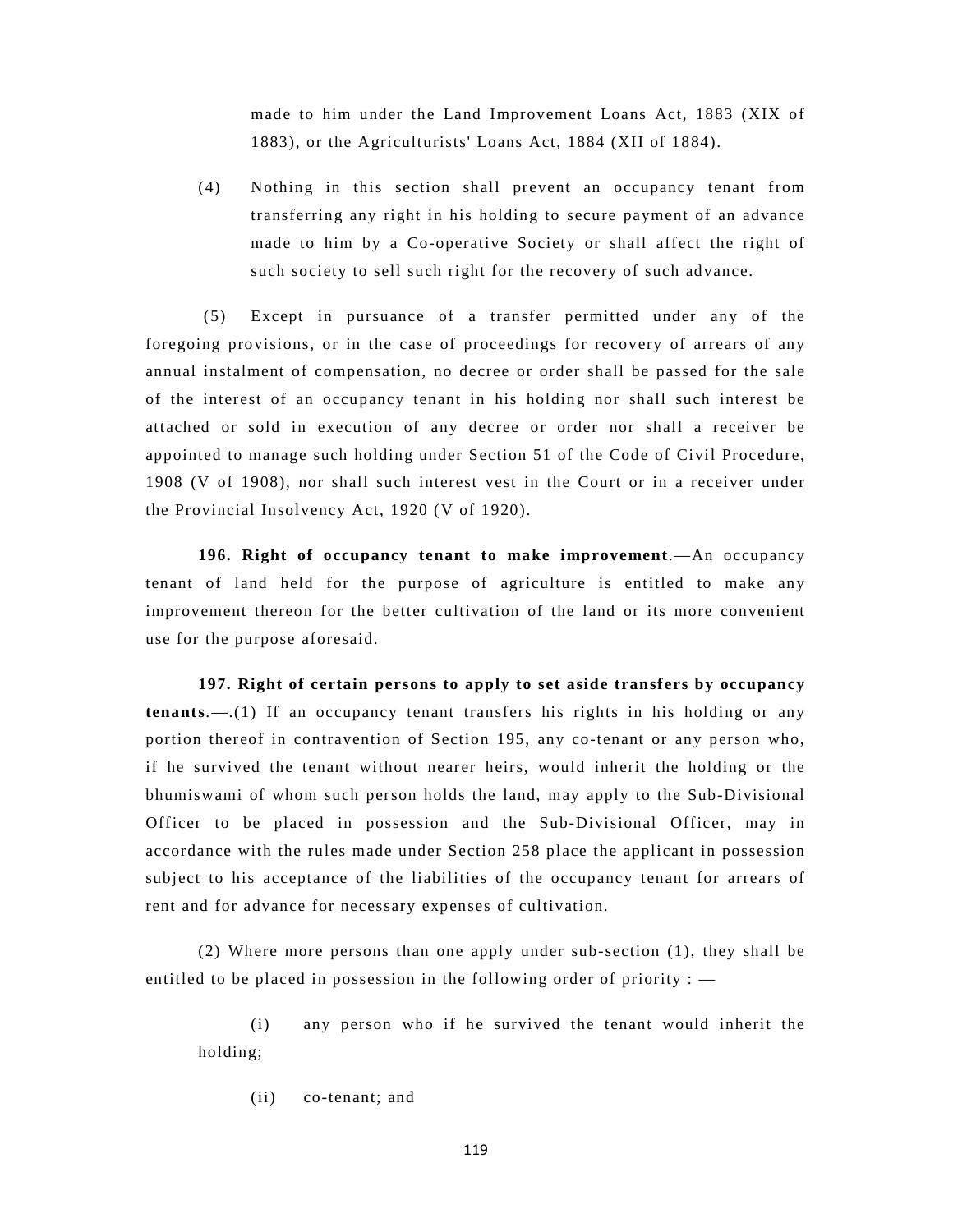made to him under the Land Improvement Loans Act, 1883 (XIX of 1883), or the Agriculturists' Loans Act, 1884 (XII of 1884).

(4) Nothing in this section shall prevent an occupancy tenant from transferring any right in his holding to secure payment of an advance made to him by a Co-operative Society or shall affect the right of such society to sell such right for the recovery of such advance.

 (5) Except in pursuance of a transfer permitted under any of the foregoing provisions, or in the case of proceedings for recovery of arrears of any annual instalment of compensation, no decree or order shall be passed for the sale of the interest of an occupancy tenant in his holding nor shall such interest be attached or sold in execution of any decree or order nor shall a receiver be appointed to manage such holding under Section 51 of the Code of Civil Procedure, 1908 (V of 1908), nor shall such interest vest in the Court or in a receiver under the Provincial Insolvency Act, 1920 (V of 1920).

**196. Right of occupancy tenant to make improvement**.—An occupancy tenant of land held for the purpose of agriculture is entitled to make any improvement thereon for the better cultivation of the land or its more convenient use for the purpose aforesaid.

**197. Right of certain persons to apply to set aside transfers by occupancy tenants**.—.(1) If an occupancy tenant transfers his rights in his holding or any portion thereof in contravention of Section 195, any co-tenant or any person who, if he survived the tenant without nearer heirs, would inherit the holding or the bhumiswami of whom such person holds the land, may apply to the Sub-Divisional Officer to be placed in possession and the Sub-Divisional Officer, may in accordance with the rules made under Section 258 place the applicant in possession subject to his acceptance of the liabilities of the occupancy tenant for arrears of rent and for advance for necessary expenses of cultivation.

(2) Where more persons than one apply under sub-section (1), they shall be entitled to be placed in possession in the following order of priority : —

(i) any person who if he survived the tenant would inherit the holding;

(ii) co-tenant; and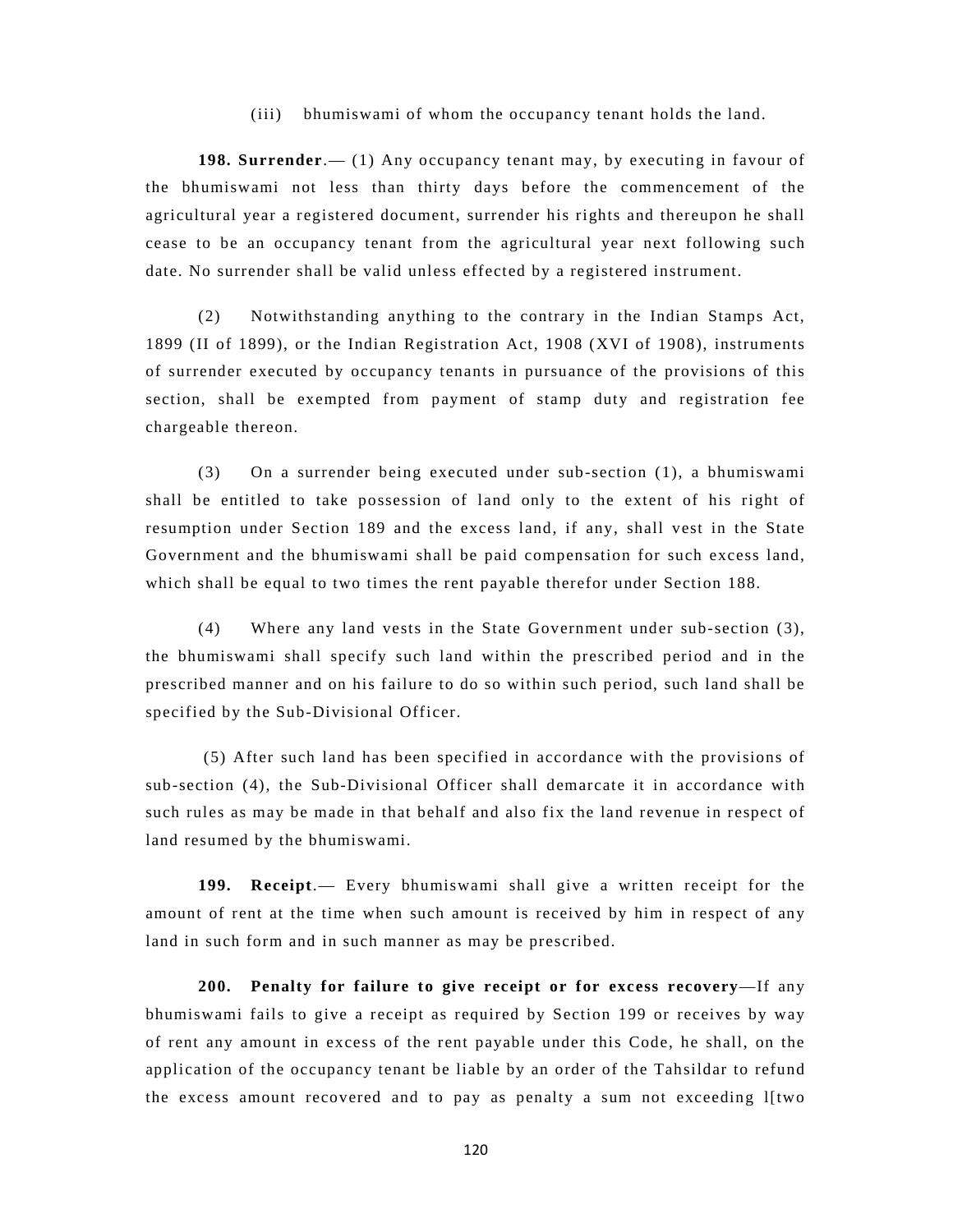#### (iii) bhumiswami of whom the occupancy tenant holds the land.

**198. Surrender**.— (1) Any occupancy tenant may, by executing in favour of the bhumiswami not less than thirty days before the commencement of the agricultural year a registered document, surrender his rights and thereupon he shall cease to be an occupancy tenant from the agricultural year next following such date. No surrender shall be valid unless effected by a registered instrument.

(2) Notwithstanding anything to the contrary in the Indian Stamps Act, 1899 (II of 1899), or the Indian Registration Act, 1908 (XVI of 1908), instruments of surrender executed by occupancy tenants in pursuance of the provisions of this section, shall be exempted from payment of stamp duty and registration fee chargeable thereon.

(3) On a surrender being executed under sub-section (1), a bhumiswami shall be entitled to take possession of land only to the extent of his right of resumption under Section 189 and the excess land, if any, shall vest in the State Government and the bhumiswami shall be paid compensation for such excess land, which shall be equal to two times the rent payable therefor under Section 188.

(4) Where any land vests in the State Government under sub-section (3), the bhumiswami shall specify such land within the prescribed period and in the prescribed manner and on his failure to do so within such period, such land shall be specified by the Sub-Divisional Officer.

 (5) After such land has been specified in accordance with the provisions of sub-section (4), the Sub-Divisional Officer shall demarcate it in accordance with such rules as may be made in that behalf and also fix the land revenue in respect of land resumed by the bhumiswami.

**199. Receipt**.— Every bhumiswami shall give a written receipt for the amount of rent at the time when such amount is received by him in respect of any land in such form and in such manner as may be prescribed.

**200. Penalty for failure to give receipt or for excess recovery**—If any bhumiswami fails to give a receipt as required by Section 199 or receives by way of rent any amount in excess of the rent payable under this Code, he shall, on the application of the occupancy tenant be liable by an order of the Tahsildar to refund the excess amount recovered and to pay as penalty a sum not exceeding l[two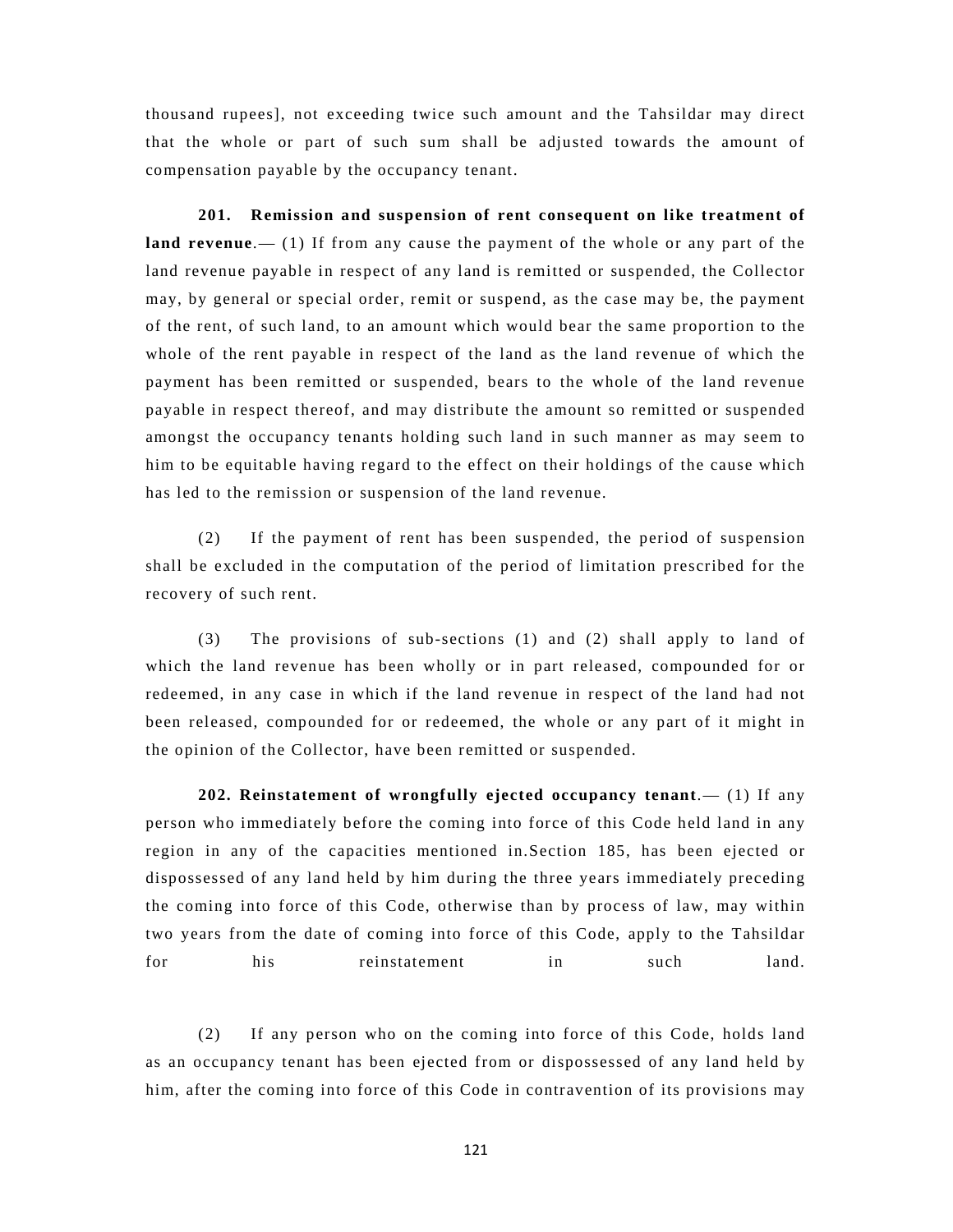thousand rupees], not exceeding twice such amount and the Tahsildar may direct that the whole or part of such sum shall be adjusted towards the amount of compensation payable by the occupancy tenant.

**201. Remission and suspension of rent consequent on like treatment of land revenue**.— (1) If from any cause the payment of the whole or any part of the land revenue payable in respect of any land is remitted or suspended, the Collector may, by general or special order, remit or suspend, as the case may be, the payment of the rent, of such land, to an amount which would bear the same proportion to the whole of the rent payable in respect of the land as the land revenue of which the payment has been remitted or suspended, bears to the whole of the land revenue payable in respect thereof, and may distribute the amount so remitted or suspended amongst the occupancy tenants holding such land in such manner as may seem to him to be equitable having regard to the effect on their holdings of the cause which has led to the remission or suspension of the land revenue.

(2) If the payment of rent has been suspended, the period of suspension shall be excluded in the computation of the period of limitation prescribed for the recovery of such rent.

(3) The provisions of sub-sections (1) and (2) shall apply to land of which the land revenue has been wholly or in part released, compounded for or redeemed, in any case in which if the land revenue in respect of the land had not been released, compounded for or redeemed, the whole or any part of it might in the opinion of the Collector, have been remitted or suspended.

**202. Reinstatement of wrongfully ejected occupancy tenant**.— (1) If any person who immediately before the coming into force of this Code held land in any region in any of the capacities mentioned in.Section 185, has been ejected or dispossessed of any land held by him during the three years immediately preceding the coming into force of this Code, otherwise than by process of law, may within two years from the date of coming into force of this Code, apply to the Tahsildar for his reinstatement in such land.

(2) If any person who on the coming into force of this Code, holds land as an occupancy tenant has been ejected from or dispossessed of any land held by him, after the coming into force of this Code in contravention of its provisions may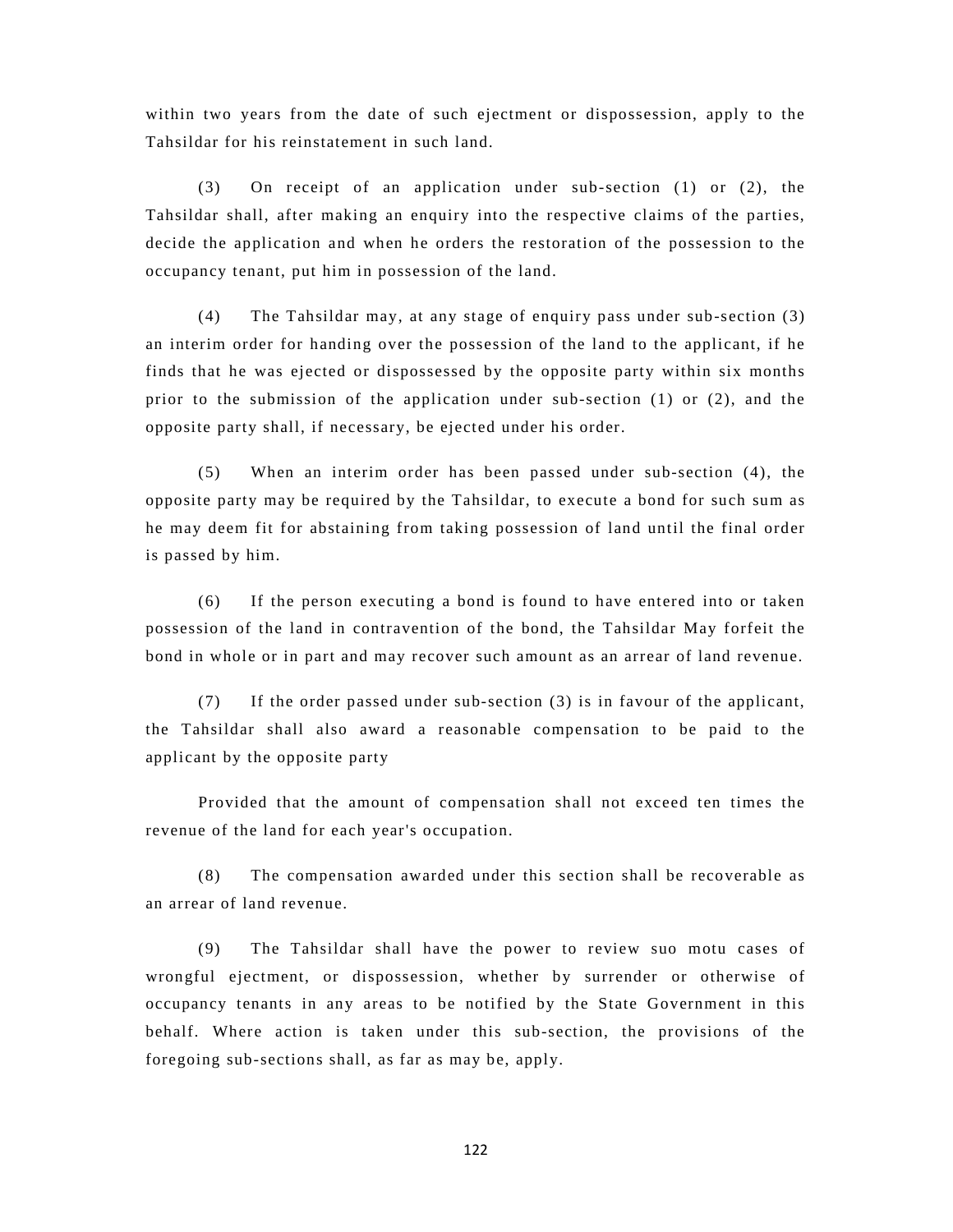within two years from the date of such ejectment or dispossession, apply to the Tahsildar for his reinstatement in such land.

(3) On receipt of an application under sub-section (1) or (2), the Tahsildar shall, after making an enquiry into the respective claims of the parties, decide the application and when he orders the restoration of the possession to the occupancy tenant, put him in possession of the land.

(4) The Tahsildar may, at any stage of enquiry pass under sub-section (3) an interim order for handing over the possession of the land to the applicant, if he finds that he was ejected or dispossessed by the opposite party within six months prior to the submission of the application under sub-section (1) or (2), and the opposite party shall, if necessary, be ejected under his order.

(5) When an interim order has been passed under sub-section (4), the opposite party may be required by the Tahsildar, to execute a bond for such sum as he may deem fit for abstaining from taking possession of land until the final order is passed by him.

(6) If the person executing a bond is found to have entered into or taken possession of the land in contravention of the bond, the Tahsildar May forfeit the bond in whole or in part and may recover such amount as an arrear of land revenue.

(7) If the order passed under sub-section (3) is in favour of the applicant, the Tahsildar shall also award a reasonable compensation to be paid to the applicant by the opposite party

Provided that the amount of compensation shall not exceed ten times the revenue of the land for each year's occupation.

(8) The compensation awarded under this section shall be recoverable as an arrear of land revenue.

(9) The Tahsildar shall have the power to review suo motu cases of wrongful ejectment, or dispossession, whether by surrender or otherwise of occupancy tenants in any areas to be notified by the State Government in this behalf. Where action is taken under this sub-section, the provisions of the foregoing sub-sections shall, as far as may be, apply.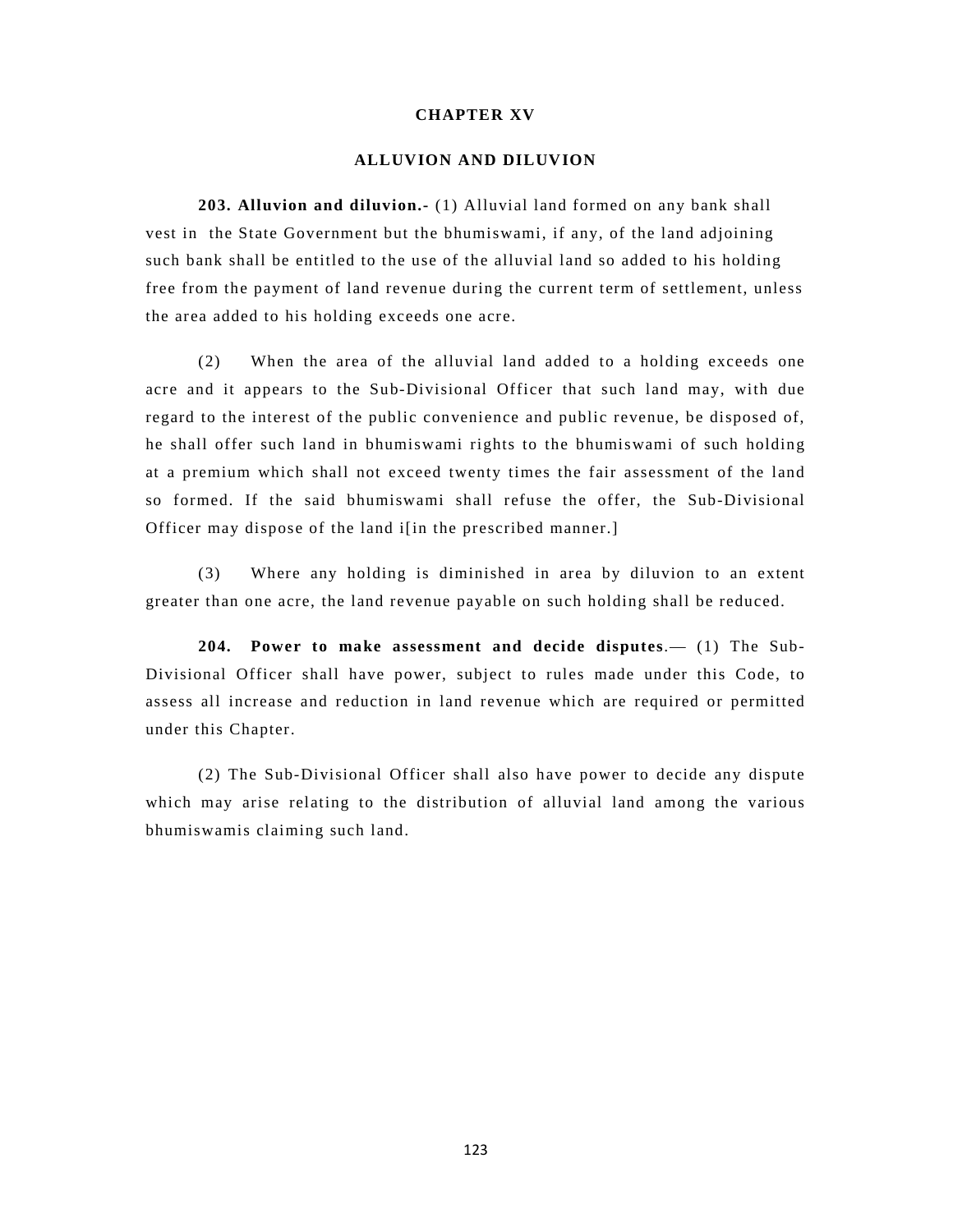# **CHAPTER XV**

## **ALLUVION AND DILUVION**

**203. Alluvion and diluvion.-** (1) Alluvial land formed on any bank shall vest in the State Government but the bhumiswami, if any, of the land adjoining such bank shall be entitled to the use of the alluvial land so added to his holding free from the payment of land revenue during the current term of settlement, unless the area added to his holding exceeds one acre.

(2) When the area of the alluvial land added to a holding exceeds one acre and it appears to the Sub-Divisional Officer that such land may, with due regard to the interest of the public convenience and public revenue, be disposed of, he shall offer such land in bhumiswami rights to the bhumiswami of such holding at a premium which shall not exceed twenty times the fair assessment of the land so formed. If the said bhumiswami shall refuse the offer, the Sub-Divisional Officer may dispose of the land i[in the prescribed manner.]

(3) Where any holding is diminished in area by diluvion to an extent greater than one acre, the land revenue payable on such holding shall be reduced.

**204. Power to make assessment and decide disputes**.— (1) The Sub-Divisional Officer shall have power, subject to rules made under this Code, to assess all increase and reduction in land revenue which are required or permitted under this Chapter.

(2) The Sub-Divisional Officer shall also have power to decide any dispute which may arise relating to the distribution of alluvial land among the various bhumiswamis claiming such land.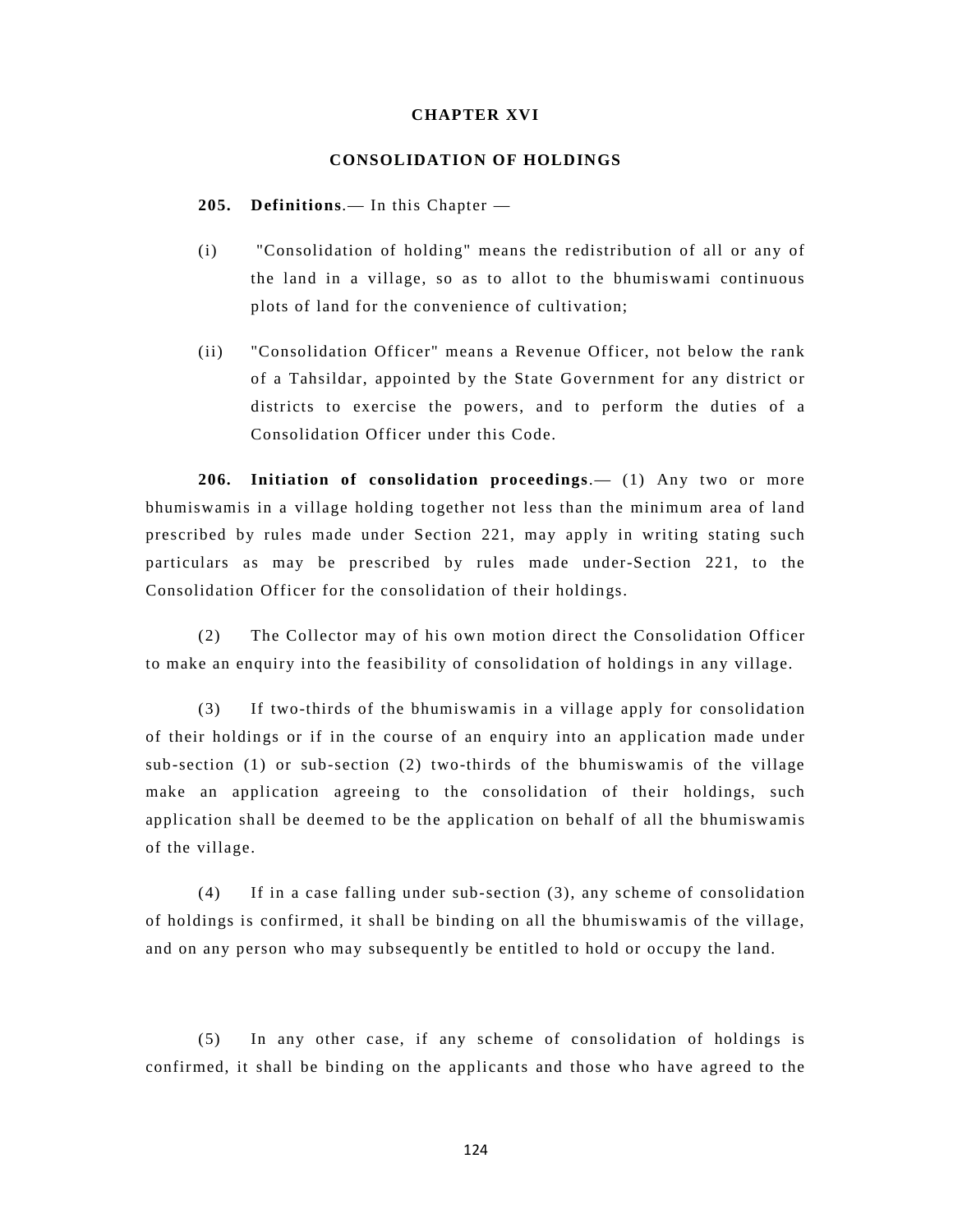# **CHAPTER XVI**

## **CONSOLIDATION OF HOLDINGS**

**205. Definitions**.— In this Chapter —

- (i) "Consolidation of holding" means the redistribution of all or any of the land in a village, so as to allot to the bhumiswami continuous plots of land for the convenience of cultivation;
- (ii) "Consolidation Officer" means a Revenue Officer, not below the rank of a Tahsildar, appointed by the State Government for any district or districts to exercise the powers, and to perform the duties of a Consolidation Officer under this Code.

**206. Initiation of consolidation proceedings**.— (1) Any two or more bhumiswamis in a village holding together not less than the minimum area of land prescribed by rules made under Section 221, may apply in writing stating such particulars as may be prescribed by rules made under-Section 221, to the Consolidation Officer for the consolidation of their holdings.

(2) The Collector may of his own motion direct the Consolidation Officer to make an enquiry into the feasibility of consolidation of holdings in any village.

(3) If two-thirds of the bhumiswamis in a village apply for consolidation of their holdings or if in the course of an enquiry into an application made under sub-section (1) or sub-section (2) two-thirds of the bhumiswamis of the village make an application agreeing to the consolidation of their holdings, such application shall be deemed to be the application on behalf of all the bhumiswamis of the village.

(4) If in a case falling under sub-section (3), any scheme of consolidation of holdings is confirmed, it shall be binding on all the bhumiswamis of the village, and on any person who may subsequently be entitled to hold or occupy the land.

(5) In any other case, if any scheme of consolidation of holdings is confirmed, it shall be binding on the applicants and those who have agreed to the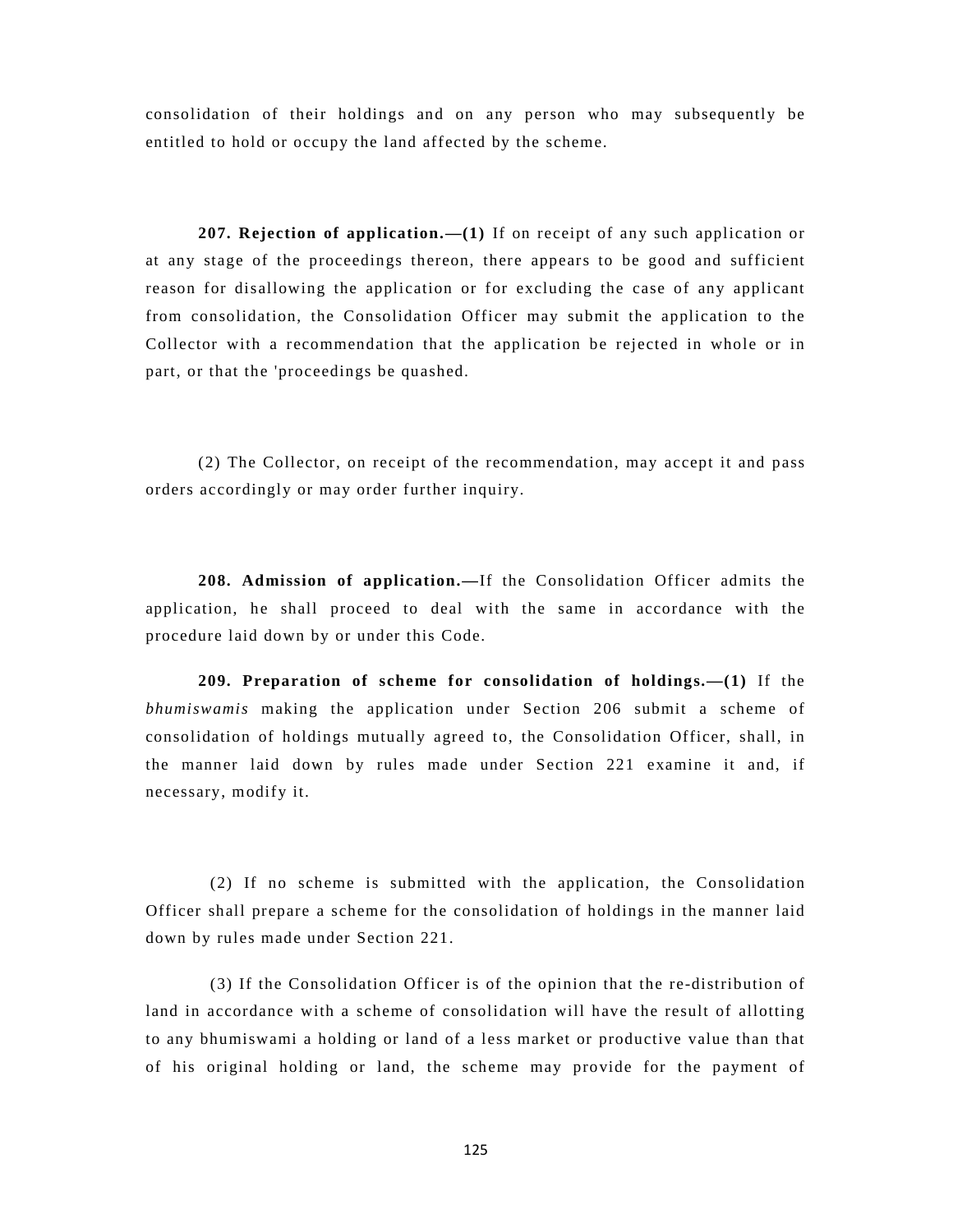consolidation of their holdings and on any person who may subsequently be entitled to hold or occupy the land affected by the scheme.

**207. Rejection of application.—(1)** If on receipt of any such application or at any stage of the proceedings thereon, there appears to be good and sufficient reason for disallowing the application or for excluding the case of any applicant from consolidation, the Consolidation Officer may submit the application to the Collector with a recommendation that the application be rejected in whole or in part, or that the 'proceedings be quashed.

(2) The Collector, on receipt of the recommendation, may accept it and pass orders accordingly or may order further inquiry.

**208. Admission of application.—**If the Consolidation Officer admits the application, he shall proceed to deal with the same in accordance with the procedure laid down by or under this Code.

**209. Preparation of scheme for consolidation of holdings.—(1)** If the *bhumiswamis* making the application under Section 206 submit a scheme of consolidation of holdings mutually agreed to, the Consolidation Officer, shall, in the manner laid down by rules made under Section 221 examine it and, if necessary, modify it.

 (2) If no scheme is submitted with the application, the Consolidation Officer shall prepare a scheme for the consolidation of holdings in the manner laid down by rules made under Section 221.

 (3) If the Consolidation Officer is of the opinion that the re-distribution of land in accordance with a scheme of consolidation will have the result of allotting to any bhumiswami a holding or land of a less market or productive value than that of his original holding or land, the scheme may provide for the payment of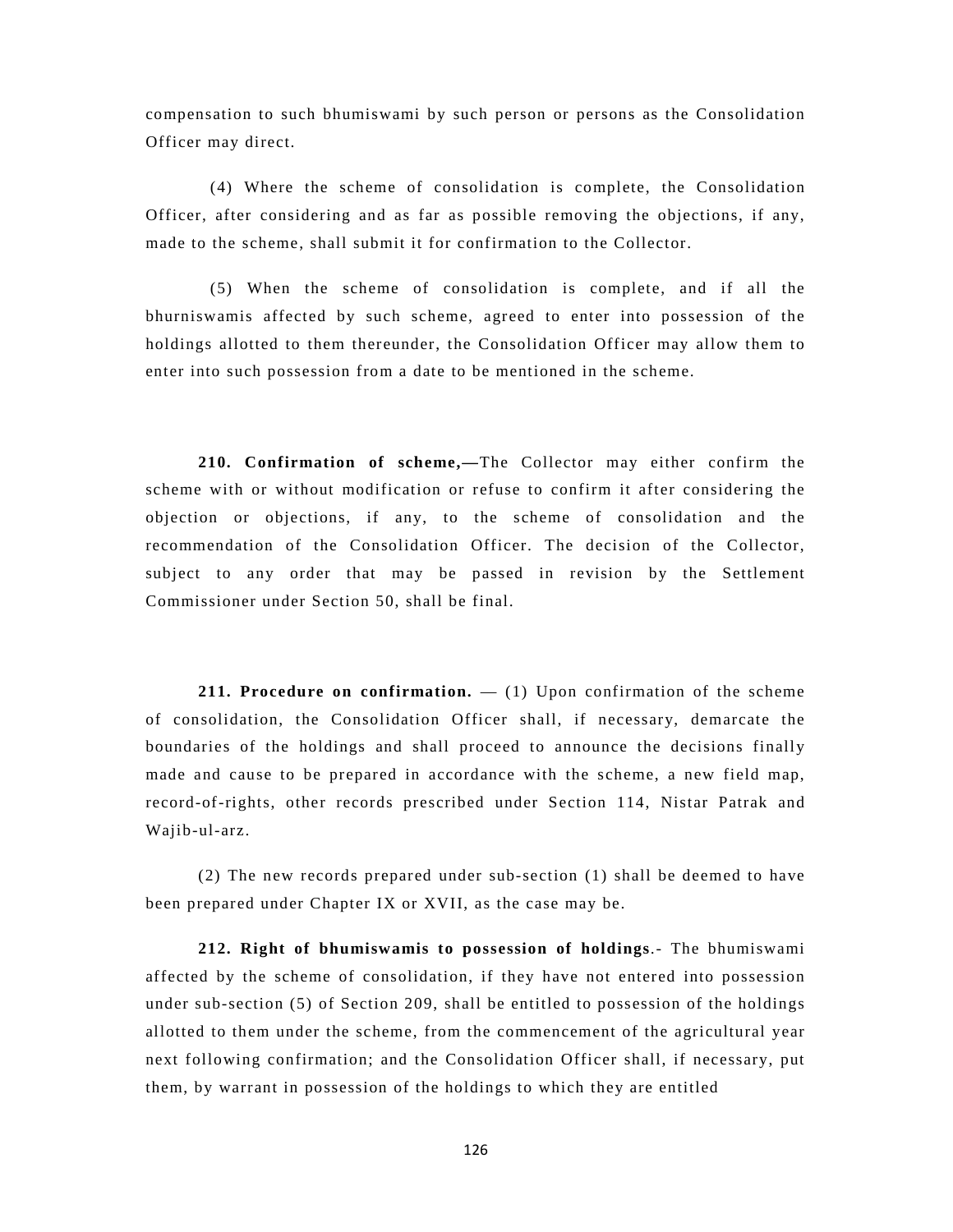compensation to such bhumiswami by such person or persons as the Consolidation Officer may direct.

 (4) Where the scheme of consolidation is complete, the Consolidation Officer, after considering and as far as possible removing the objections, if any, made to the scheme, shall submit it for confirmation to the Collector.

 (5) When the scheme of consolidation is complete, and if all the bhurniswamis affected by such scheme, agreed to enter into possession of the holdings allotted to them thereunder, the Consolidation Officer may allow them to enter into such possession from a date to be mentioned in the scheme.

**210. Confirmation of scheme,—**The Collector may either confirm the scheme with or without modification or refuse to confirm it after considering the objection or objections, if any, to the scheme of consolidation and the recommendation of the Consolidation Officer. The decision of the Collector, subject to any order that may be passed in revision by the Settlement Commissioner under Section 50, shall be final.

**211. Procedure on confirmation.** — (1) Upon confirmation of the scheme of consolidation, the Consolidation Officer shall, if necessary, demarcate the boundaries of the holdings and shall proceed to announce the decisions finally made and cause to be prepared in accordance with the scheme, a new field map, record-of-rights, other records prescribed under Section 114, Nistar Patrak and Wajib-ul-arz.

(2) The new records prepared under sub-section (1) shall be deemed to have been prepared under Chapter IX or XVII, as the case may be.

**212. Right of bhumiswamis to possession of holdings**.- The bhumiswami affected by the scheme of consolidation, if they have not entered into possession under sub-section (5) of Section 209, shall be entitled to possession of the holdings allotted to them under the scheme, from the commencement of the agricultural year next following confirmation; and the Consolidation Officer shall, if necessary, put them, by warrant in possession of the holdings to which they are entitled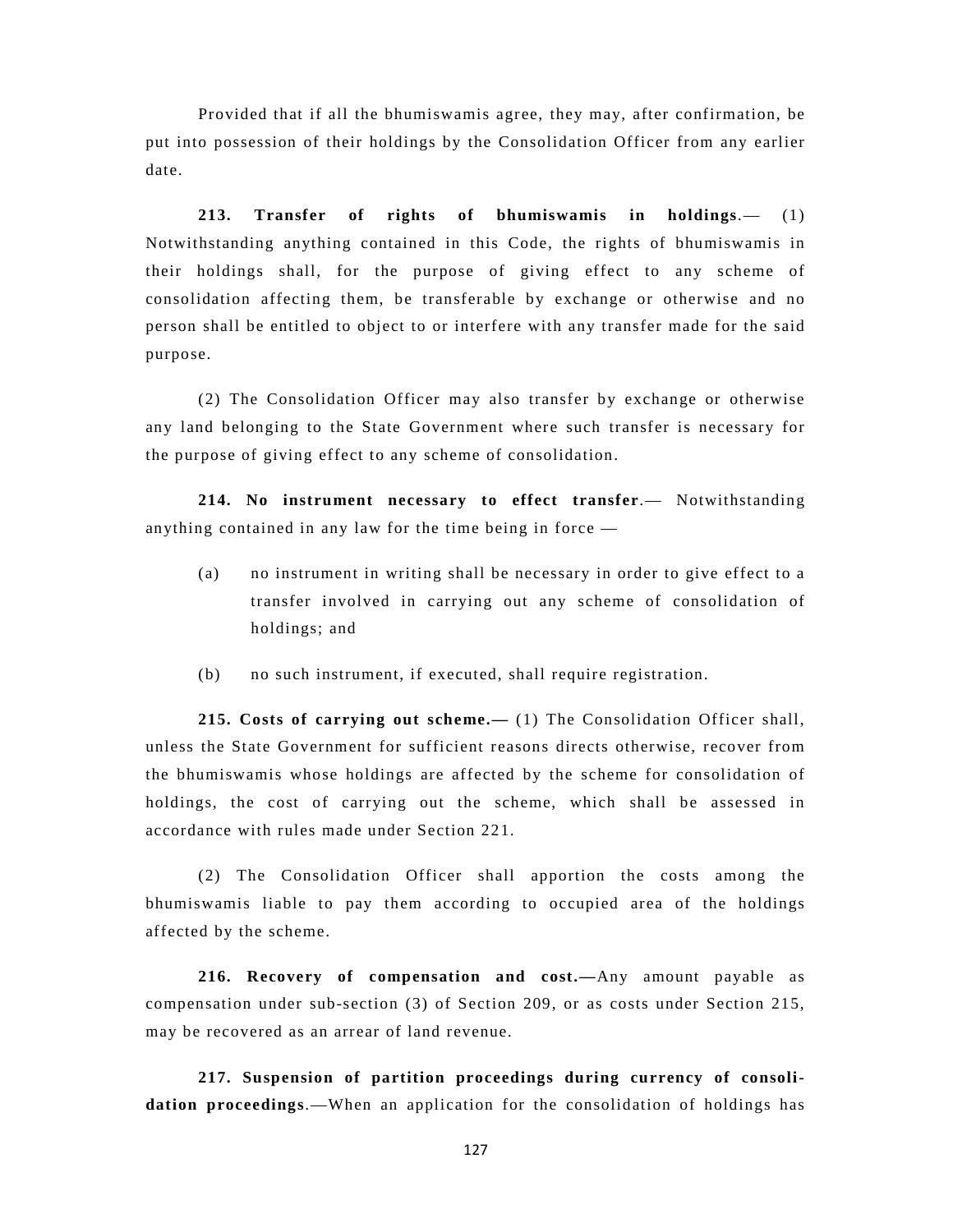Provided that if all the bhumiswamis agree, they may, after confirmation, be put into possession of their holdings by the Consolidation Officer from any earlier date.

**213. Transfer of rights of bhumiswamis in holdings**.— (1) Notwithstanding anything contained in this Code, the rights of bhumiswamis in their holdings shall, for the purpose of giving effect to any scheme of consolidation affecting them, be transferable by exchange or otherwise and no person shall be entitled to object to or interfere with any transfer made for the said purpose.

(2) The Consolidation Officer may also transfer by exchange or otherwise any land belonging to the State Government where such transfer is necessary for the purpose of giving effect to any scheme of consolidation.

**214. No instrument necessary to effect transfer**.— Notwithstanding anything contained in any law for the time being in force —

- (a) no instrument in writing shall be necessary in order to give effect to a transfer involved in carrying out any scheme of consolidation of holdings; and
- (b) no such instrument, if executed, shall require registration.

**215. Costs of carrying out scheme.—** (1) The Consolidation Officer shall, unless the State Government for sufficient reasons directs otherwise, recover from the bhumiswamis whose holdings are affected by the scheme for consolidation of holdings, the cost of carrying out the scheme, which shall be assessed in accordance with rules made under Section 221.

(2) The Consolidation Officer shall apportion the costs among the bhumiswamis liable to pay them according to occupied area of the holdings affected by the scheme.

**216. Recovery of compensation and cost.—**Any amount payable as compensation under sub-section (3) of Section 209, or as costs under Section 215, may be recovered as an arrear of land revenue.

**217. Suspension of partition proceedings during currency of consolidation proceedings**.—When an application for the consolidation of holdings has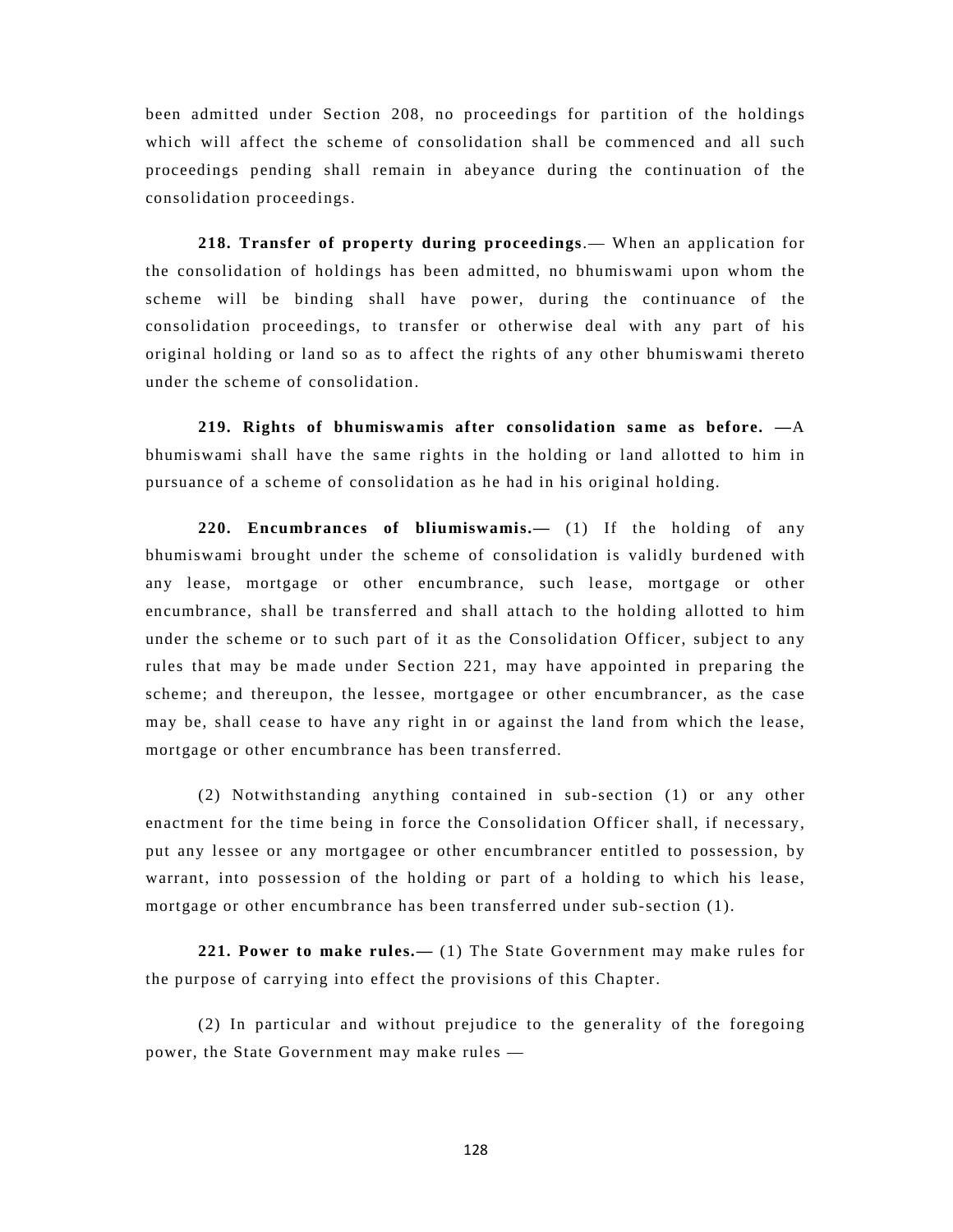been admitted under Section 208, no proceedings for partition of the holdings which will affect the scheme of consolidation shall be commenced and all such proceedings pending shall remain in abeyance during the continuation of the consolidation proceedings.

**218. Transfer of property during proceedings**.— When an application for the consolidation of holdings has been admitted, no bhumiswami upon whom the scheme will be binding shall have power, during the continuance of the consolidation proceedings, to transfer or otherwise deal with any part of his original holding or land so as to affect the rights of any other bhumiswami thereto under the scheme of consolidation.

**219. Rights of bhumiswamis after consolidation same as before. —**A bhumiswami shall have the same rights in the holding or land allotted to him in pursuance of a scheme of consolidation as he had in his original holding.

**220. Encumbrances of bliumiswamis.—** (1) If the holding of any bhumiswami brought under the scheme of consolidation is validly burdened with any lease, mortgage or other encumbrance, such lease, mortgage or other encumbrance, shall be transferred and shall attach to the holding allotted to him under the scheme or to such part of it as the Consolidation Officer, subject to any rules that may be made under Section 221, may have appointed in preparing the scheme; and thereupon, the lessee, mortgagee or other encumbrancer, as the case may be, shall cease to have any right in or against the land from which the lease, mortgage or other encumbrance has been transferred.

(2) Notwithstanding anything contained in sub-section (1) or any other enactment for the time being in force the Consolidation Officer shall, if necessary, put any lessee or any mortgagee or other encumbrancer entitled to possession, by warrant, into possession of the holding or part of a holding to which his lease, mortgage or other encumbrance has been transferred under sub-section (1).

**221. Power to make rules.—** (1) The State Government may make rules for the purpose of carrying into effect the provisions of this Chapter.

(2) In particular and without prejudice to the generality of the foregoing power, the State Government may make rules —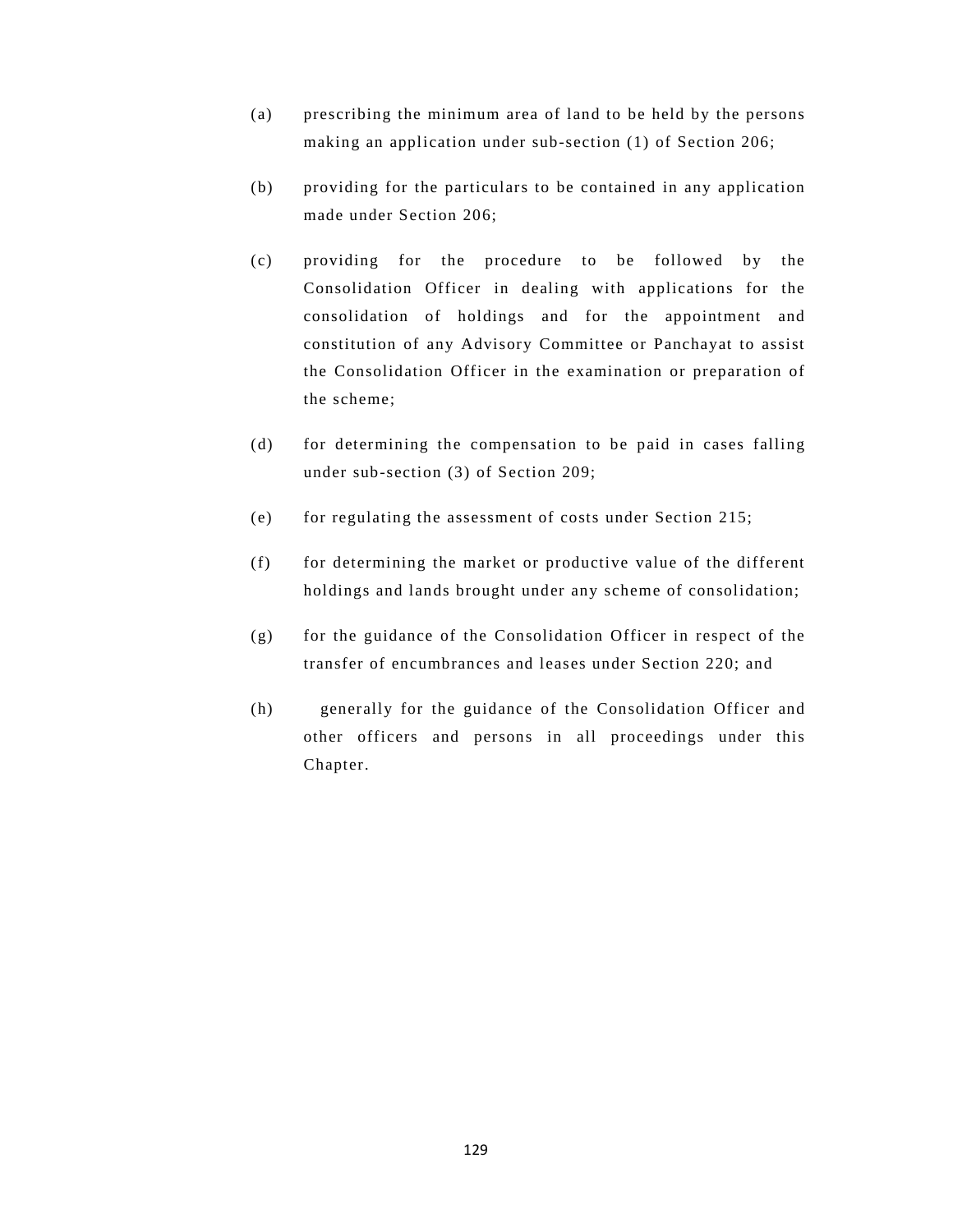- (a) prescribing the minimum area of land to be held by the persons making an application under sub-section (1) of Section 206;
- (b) providing for the particulars to be contained in any application made under Section 206;
- (c) providing for the procedure to be followed by the Consolidation Officer in dealing with applications for the consolidation of holdings and for the appointment and constitution of any Advisory Committee or Panchayat to assist the Consolidation Officer in the examination or preparation of the scheme;
- (d) for determining the compensation to be paid in cases falling under sub-section (3) of Section 209;
- (e) for regulating the assessment of costs under Section 215;
- (f) for determining the market or productive value of the different holdings and lands brought under any scheme of consolidation;
- (g) for the guidance of the Consolidation Officer in respect of the transfer of encumbrances and leases under Section 220; and
- (h) generally for the guidance of the Consolidation Officer and other officers and persons in all proceedings under this Chapter.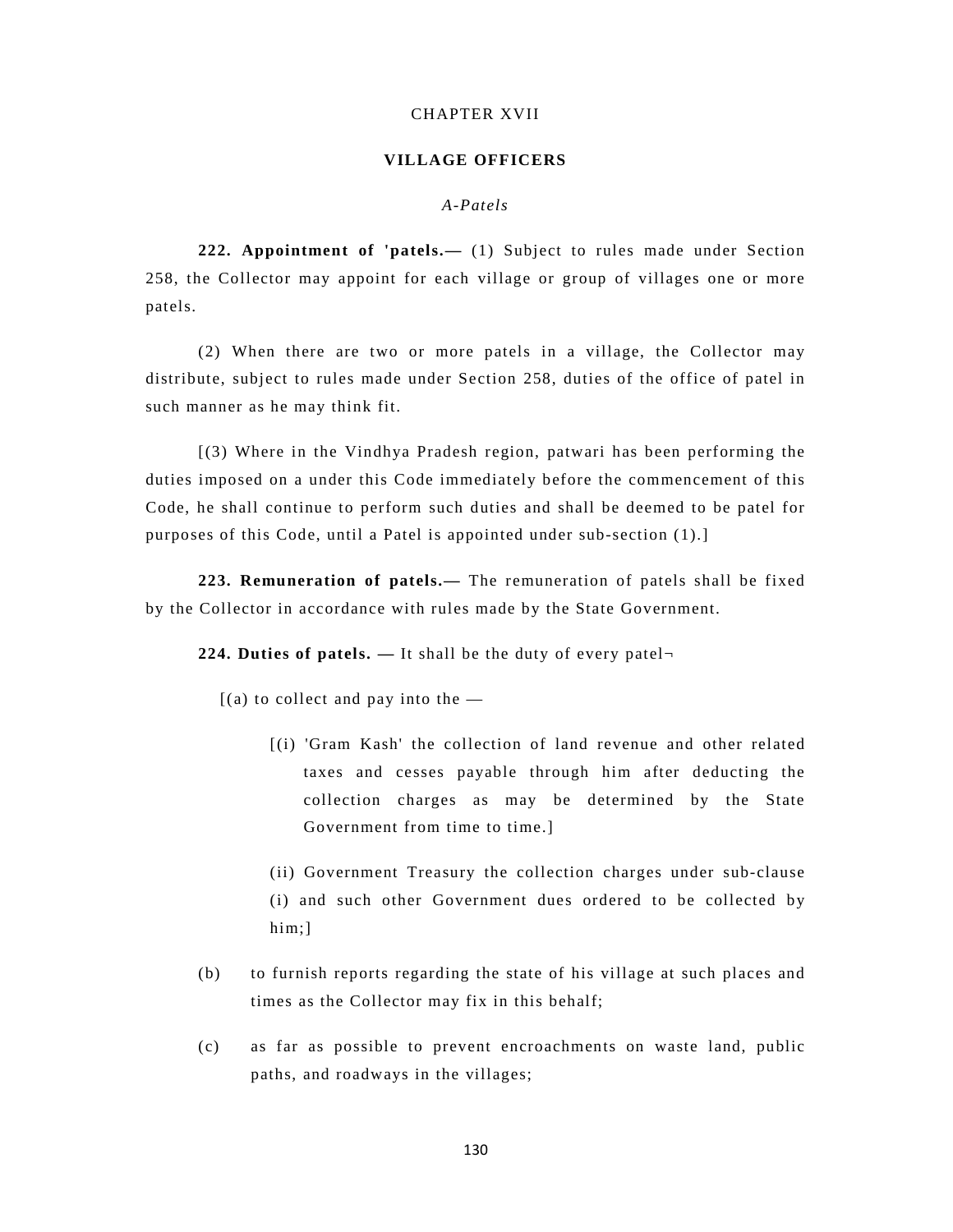#### CHAPTER XVII

#### **VILLAGE OFFICERS**

# *A-Patels*

**222. Appointment of 'patels.—** (1) Subject to rules made under Section 258, the Collector may appoint for each village or group of villages one or more patels.

(2) When there are two or more patels in a village, the Collector may distribute, subject to rules made under Section 258, duties of the office of patel in such manner as he may think fit.

[(3) Where in the Vindhya Pradesh region, patwari has been performing the duties imposed on a under this Code immediately before the commencement of this Code, he shall continue to perform such duties and shall be deemed to be patel for purposes of this Code, until a Patel is appointed under sub-section (1).]

**223. Remuneration of patels.—** The remuneration of patels shall be fixed by the Collector in accordance with rules made by the State Government.

**224. Duties of patels. —** It shall be the duty of every patel¬

 $[(a)$  to collect and pay into the  $-$ 

[(i) 'Gram Kash' the collection of land revenue and other related taxes and cesses payable through him after deducting the collection charges as may be determined by the State Government from time to time.]

(ii) Government Treasury the collection charges under sub-clause (i) and such other Government dues ordered to be collected by him;]

- (b) to furnish reports regarding the state of his village at such places and times as the Collector may fix in this behalf;
- (c) as far as possible to prevent encroachments on waste land, public paths, and roadways in the villages;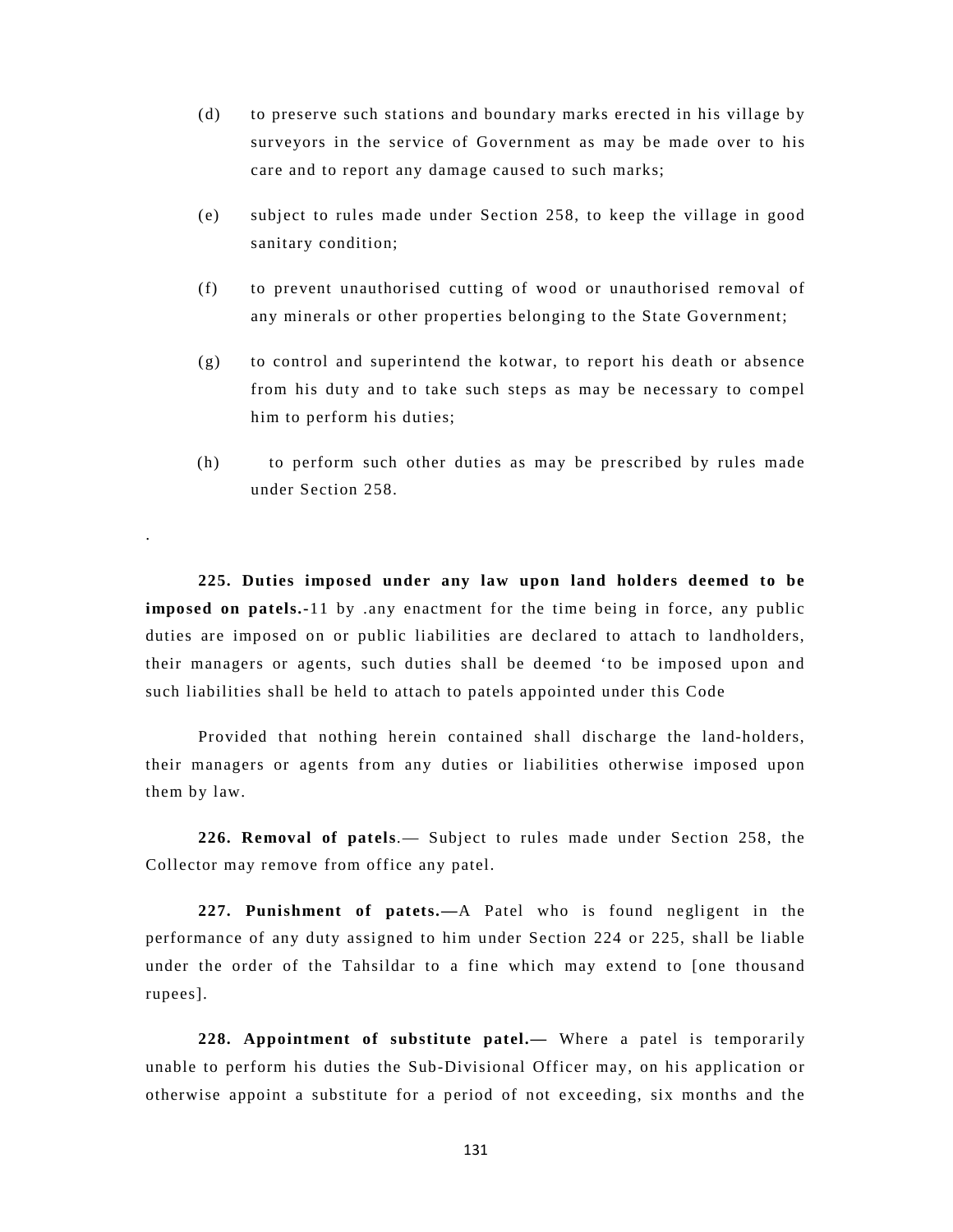- (d) to preserve such stations and boundary marks erected in his village by surveyors in the service of Government as may be made over to his care and to report any damage caused to such marks;
- (e) subject to rules made under Section 258, to keep the village in good sanitary condition;
- (f) to prevent unauthorised cutting of wood or unauthorised removal of any minerals or other properties belonging to the State Government;
- (g) to control and superintend the kotwar, to report his death or absence from his duty and to take such steps as may be necessary to compel him to perform his duties;
- (h) to perform such other duties as may be prescribed by rules made under Section 258.

**225. Duties imposed under any law upon land holders deemed to be imposed on patels.-**11 by .any enactment for the time being in force, any public duties are imposed on or public liabilities are declared to attach to landholders, their managers or agents, such duties shall be deemed 'to be imposed upon and such liabilities shall be held to attach to patels appointed under this Code

.

 Provided that nothing herein contained shall discharge the land-holders, their managers or agents from any duties or liabilities otherwise imposed upon them by law.

**226. Removal of patels**.— Subject to rules made under Section 258, the Collector may remove from office any patel.

**227. Punishment of patets.—**A Patel who is found negligent in the performance of any duty assigned to him under Section 224 or 225, shall be liable under the order of the Tahsildar to a fine which may extend to [one thousand rupees].

**228. Appointment of substitute patel.—** Where a patel is temporarily unable to perform his duties the Sub-Divisional Officer may, on his application or otherwise appoint a substitute for a period of not exceeding, six months and the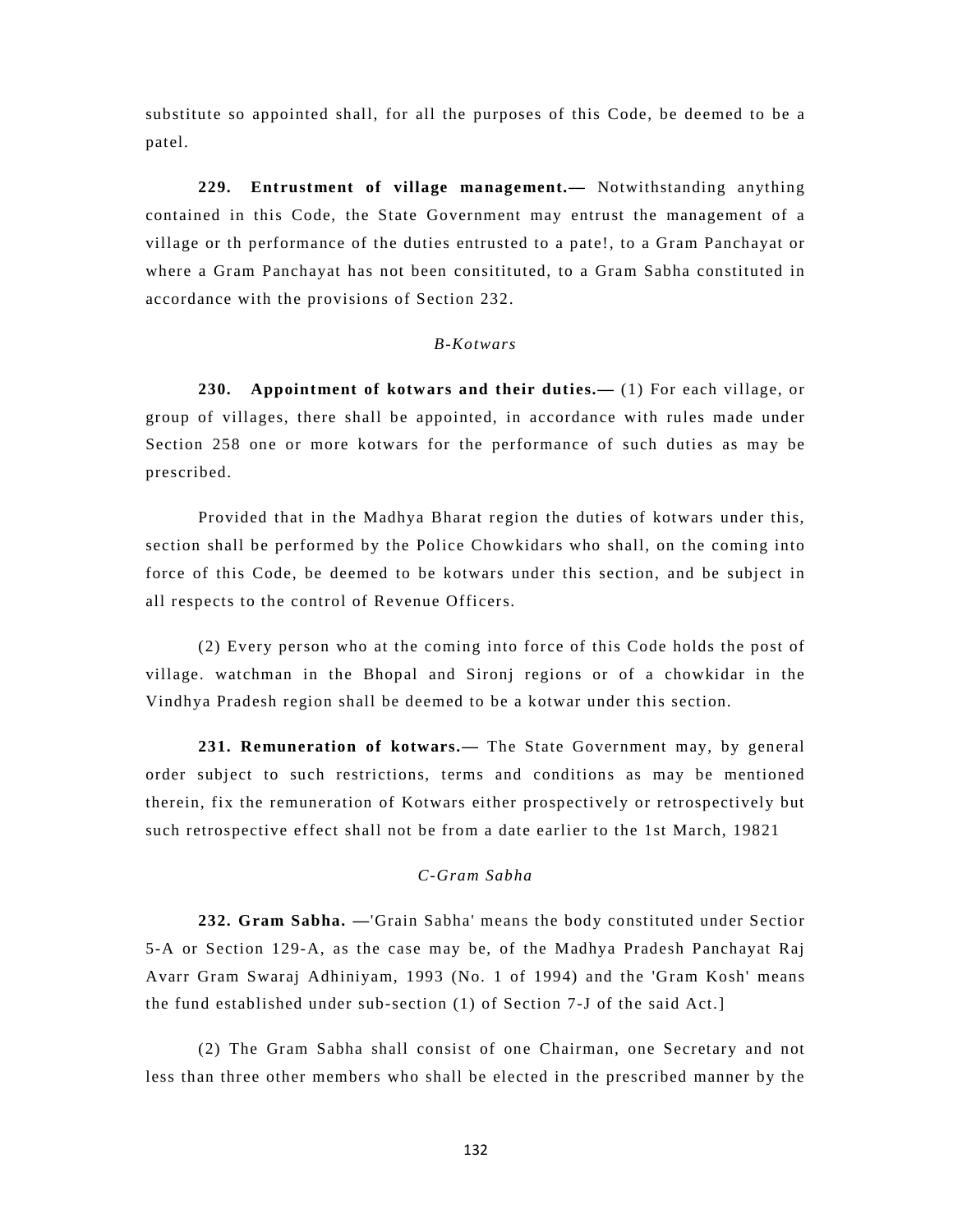substitute so appointed shall, for all the purposes of this Code, be deemed to be a patel.

**229. Entrustment of village management.—** Notwithstanding anything contained in this Code, the State Government may entrust the management of a village or th performance of the duties entrusted to a pate!, to a Gram Panchayat or where a Gram Panchayat has not been consitituted, to a Gram Sabha constituted in accordance with the provisions of Section 232.

# *B-Kotwars*

**230. Appointment of kotwars and their duties.—** (1) For each village, or group of villages, there shall be appointed, in accordance with rules made under Section 258 one or more kotwars for the performance of such duties as may be prescribed.

Provided that in the Madhya Bharat region the duties of kotwars under this, section shall be performed by the Police Chowkidars who shall, on the coming into force of this Code, be deemed to be kotwars under this section, and be subject in all respects to the control of Revenue Officers.

(2) Every person who at the coming into force of this Code holds the post of village. watchman in the Bhopal and Sironj regions or of a chowkidar in the Vindhya Pradesh region shall be deemed to be a kotwar under this section.

**231. Remuneration of kotwars.—** The State Government may, by general order subject to such restrictions, terms and conditions as may be mentioned therein, fix the remuneration of Kotwars either prospectively or retrospectively but such retrospective effect shall not be from a date earlier to the 1st March, 19821

# *C-Gram Sabha*

**232. Gram Sabha. —**'Grain Sabha' means the body constituted under Sectior 5-A or Section 129-A, as the case may be, of the Madhya Pradesh Panchayat Raj Avarr Gram Swaraj Adhiniyam, 1993 (No. 1 of 1994) and the 'Gram Kosh' means the fund established under sub-section (1) of Section 7-J of the said Act.]

(2) The Gram Sabha shall consist of one Chairman, one Secretary and not less than three other members who shall be elected in the prescribed manner by the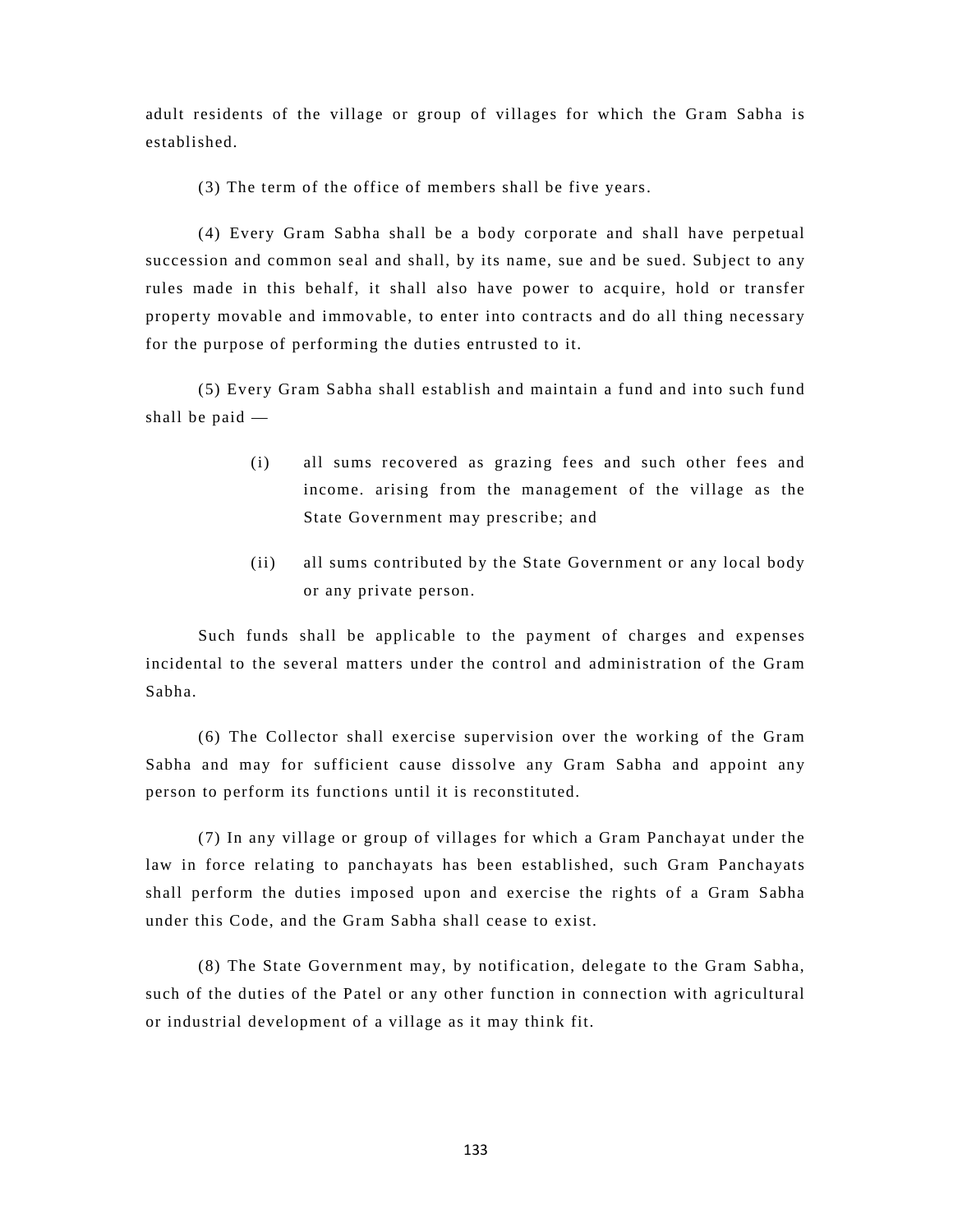adult residents of the village or group of villages for which the Gram Sabha is established.

(3) The term of the office of members shall be five years.

(4) Every Gram Sabha shall be a body corporate and shall have perpetual succession and common seal and shall, by its name, sue and be sued. Subject to any rules made in this behalf, it shall also have power to acquire, hold or transfer property movable and immovable, to enter into contracts and do all thing necessary for the purpose of performing the duties entrusted to it.

(5) Every Gram Sabha shall establish and maintain a fund and into such fund shall be paid —

- (i) all sums recovered as grazing fees and such other fees and income. arising from the management of the village as the State Government may prescribe; and
- (ii) all sums contributed by the State Government or any local body or any private person.

Such funds shall be applicable to the payment of charges and expenses incidental to the several matters under the control and administration of the Gram Sabha.

(6) The Collector shall exercise supervision over the working of the Gram Sabha and may for sufficient cause dissolve any Gram Sabha and appoint any person to perform its functions until it is reconstituted.

(7) In any village or group of villages for which a Gram Panchayat under the law in force relating to panchayats has been established, such Gram Panchayats shall perform the duties imposed upon and exercise the rights of a Gram Sabha under this Code, and the Gram Sabha shall cease to exist.

(8) The State Government may, by notification, delegate to the Gram Sabha, such of the duties of the Patel or any other function in connection with agricultural or industrial development of a village as it may think fit.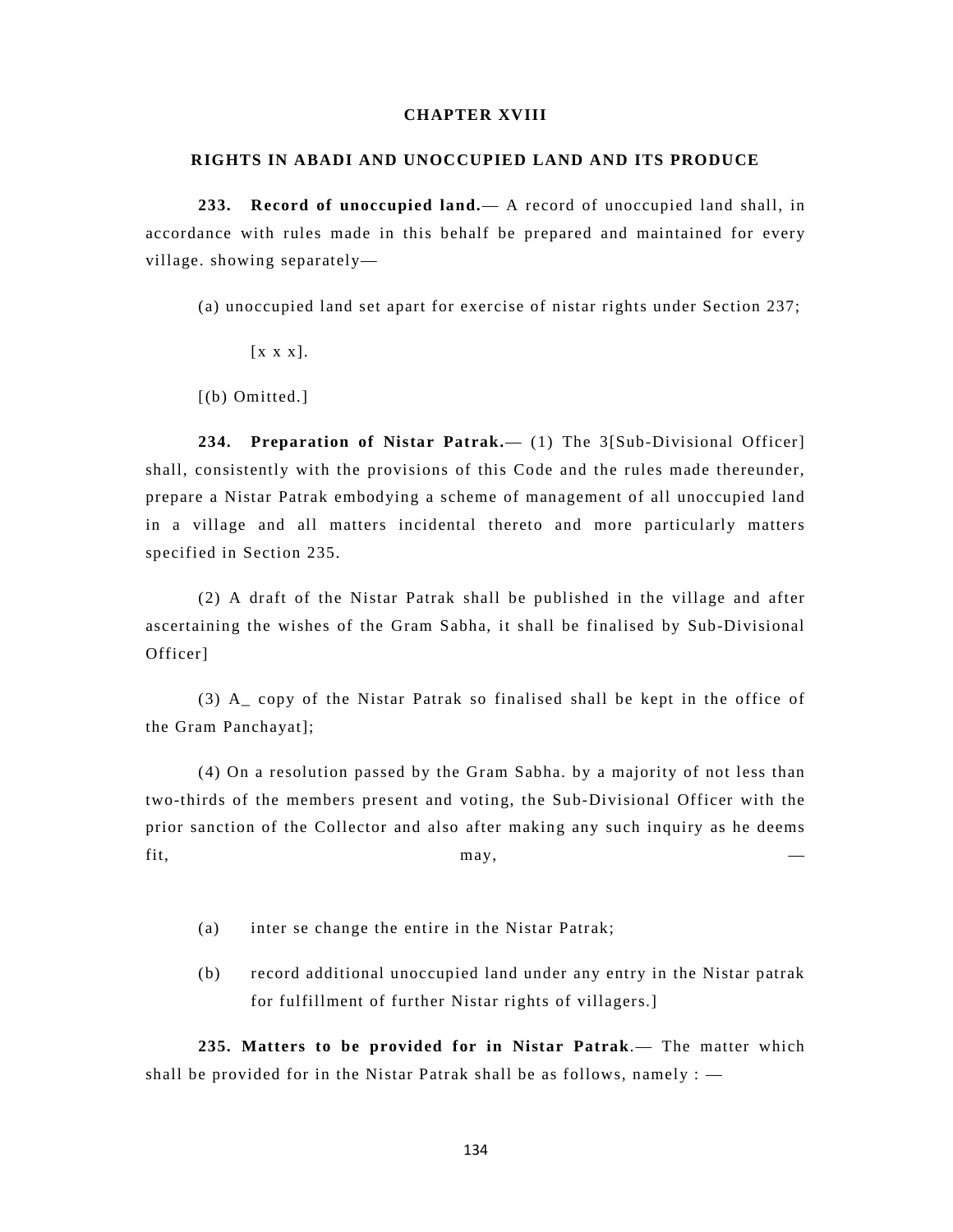# **CHAPTER XVIII**

#### **RIGHTS IN ABADI AND UNOCCUPIED LAND AND ITS PRODUCE**

**233. Record of unoccupied land.**— A record of unoccupied land shall, in accordance with rules made in this behalf be prepared and maintained for every village. showing separately—

(a) unoccupied land set apart for exercise of nistar rights under Section 237;

[x x x].

[(b) Omitted.]

**234. Preparation of Nistar Patrak.**— (1) The 3[Sub-Divisional Officer] shall, consistently with the provisions of this Code and the rules made thereunder, prepare a Nistar Patrak embodying a scheme of management of all unoccupied land in a village and all matters incidental thereto and more particularly matters specified in Section 235.

(2) A draft of the Nistar Patrak shall be published in the village and after ascertaining the wishes of the Gram Sabha, it shall be finalised by Sub-Divisional Officer]

(3) A\_ copy of the Nistar Patrak so finalised shall be kept in the office of the Gram Panchayat];

(4) On a resolution passed by the Gram Sabha. by a majority of not less than two-thirds of the members present and voting, the Sub-Divisional Officer with the prior sanction of the Collector and also after making any such inquiry as he deems fit, may,  $\qquad \qquad \qquad$ 

- (a) inter se change the entire in the Nistar Patrak;
- (b) record additional unoccupied land under any entry in the Nistar patrak for fulfillment of further Nistar rights of villagers.]

**235. Matters to be provided for in Nistar Patrak**.— The matter which shall be provided for in the Nistar Patrak shall be as follows, namely  $:$   $-$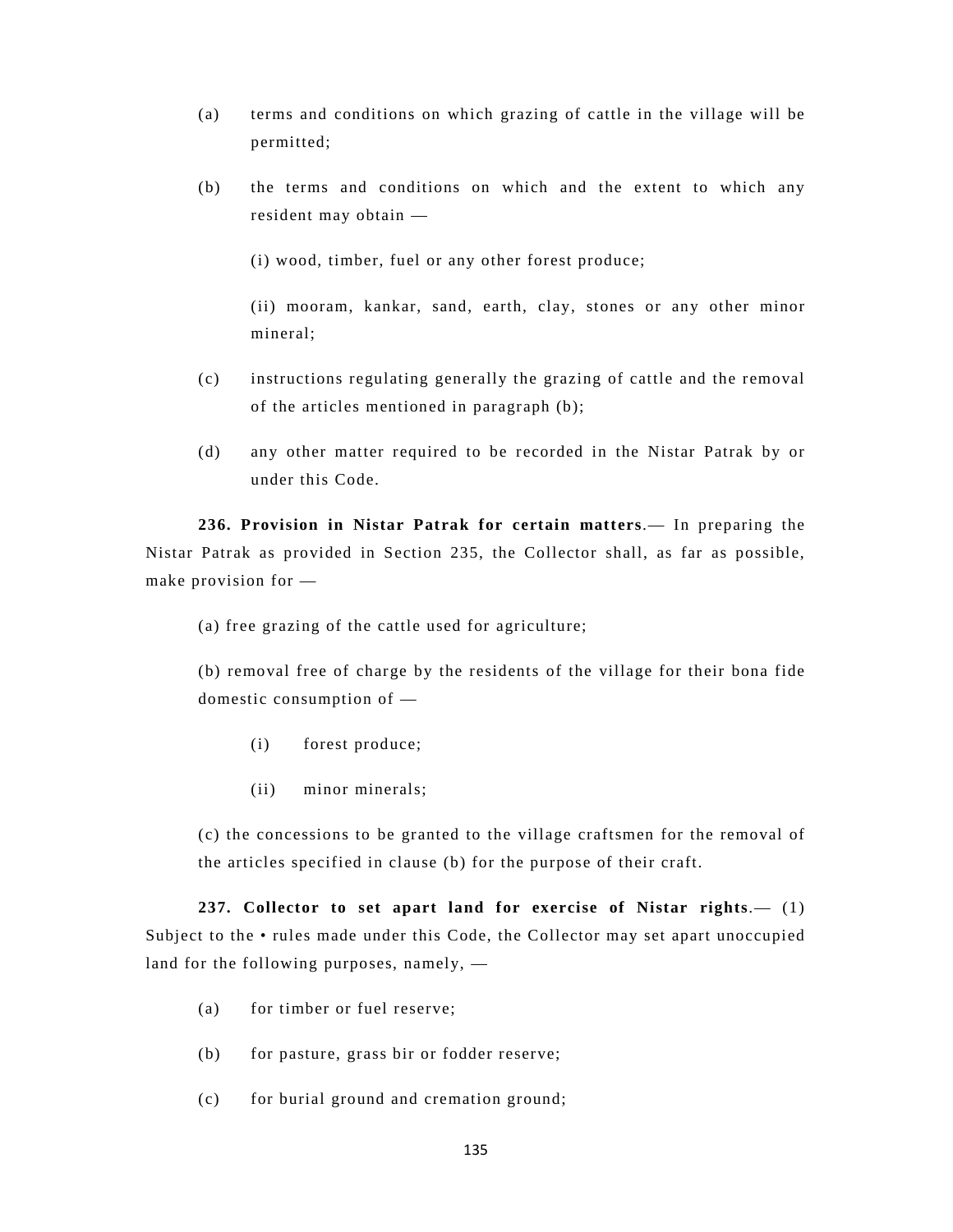- (a) terms and conditions on which grazing of cattle in the village will be permitted;
- (b) the terms and conditions on which and the extent to which any resident may obtain —

(i) wood, timber, fuel or any other forest produce;

(ii) mooram, kankar, sand, earth, clay, stones or any other minor mineral;

- (c) instructions regulating generally the grazing of cattle and the removal of the articles mentioned in paragraph (b);
- (d) any other matter required to be recorded in the Nistar Patrak by or under this Code.

**236. Provision in Nistar Patrak for certain matters**.— In preparing the Nistar Patrak as provided in Section 235, the Collector shall, as far as possible, make provision for —

(a) free grazing of the cattle used for agriculture;

(b) removal free of charge by the residents of the village for their bona fide domestic consumption of —

- (i) forest produce;
- (ii) minor minerals;

(c) the concessions to be granted to the village craftsmen for the removal of the articles specified in clause (b) for the purpose of their craft.

**237. Collector to set apart land for exercise of Nistar rights**.— (1) Subject to the • rules made under this Code, the Collector may set apart unoccupied land for the following purposes, namely, —

- (a) for timber or fuel reserve;
- (b) for pasture, grass bir or fodder reserve;
- (c) for burial ground and cremation ground;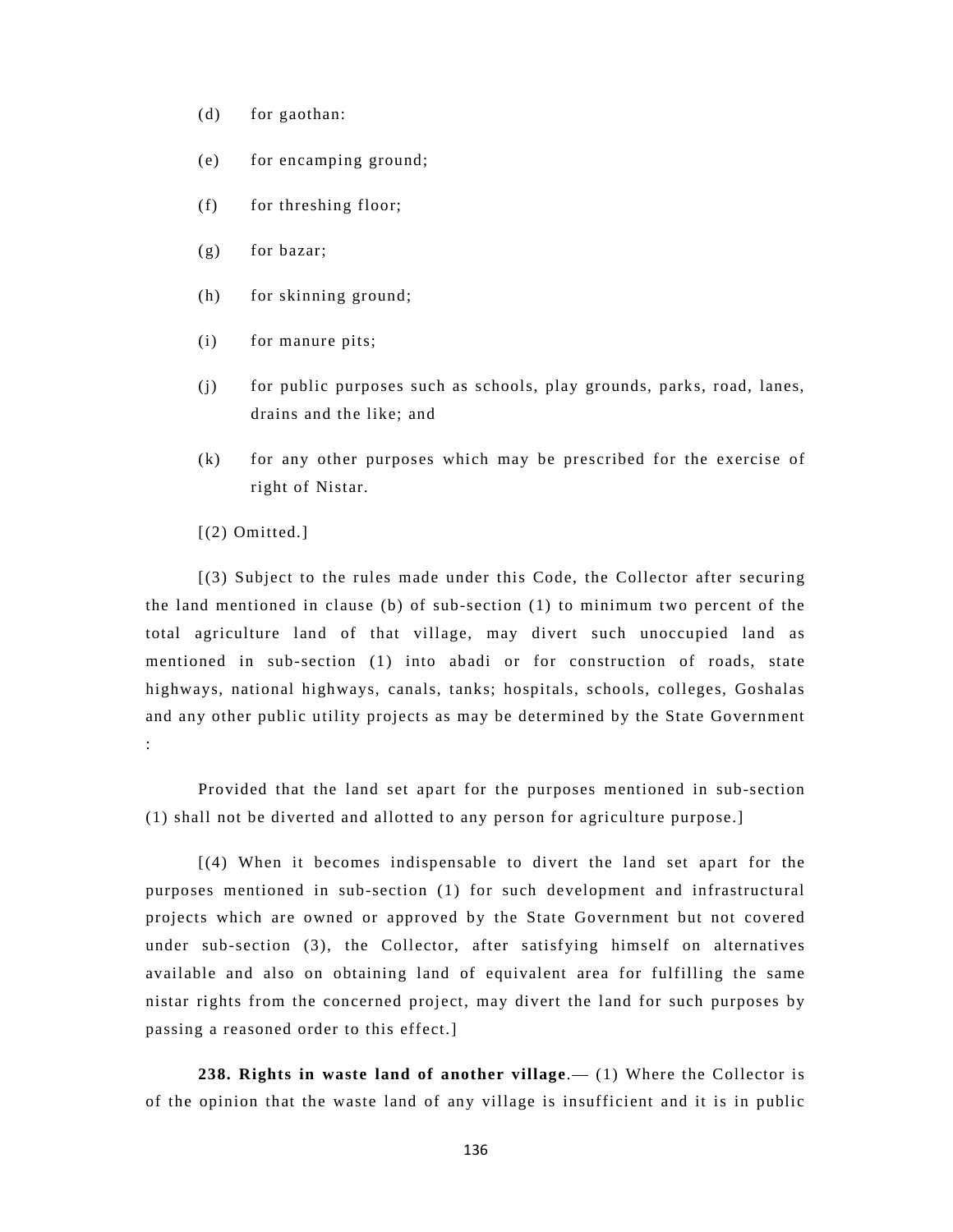- (d) for gaothan:
- (e) for encamping ground;
- (f) for threshing floor;
- (g) for bazar;
- (h) for skinning ground;
- (i) for manure pits;
- (j) for public purposes such as schools, play grounds, parks, road, lanes, drains and the like; and
- (k) for any other purposes which may be prescribed for the exercise of right of Nistar.
- [(2) Omitted.]

[(3) Subject to the rules made under this Code, the Collector after securing the land mentioned in clause (b) of sub-section (1) to minimum two percent of the total agriculture land of that village, may divert such unoccupied land as mentioned in sub-section (1) into abadi or for construction of roads, state highways, national highways, canals, tanks; hospitals, schools, colleges, Goshalas and any other public utility projects as may be determined by the State Government :

Provided that the land set apart for the purposes mentioned in sub-section (1) shall not be diverted and allotted to any person for agriculture purpose.]

[(4) When it becomes indispensable to divert the land set apart for the purposes mentioned in sub-section (1) for such development and infrastructural projects which are owned or approved by the State Government but not covered under sub-section (3), the Collector, after satisfying himself on alternatives available and also on obtaining land of equivalent area for fulfilling the same nistar rights from the concerned project, may divert the land for such purposes by passing a reasoned order to this effect.]

**238. Rights in waste land of another village**.— (1) Where the Collector is of the opinion that the waste land of any village is insufficient and it is in public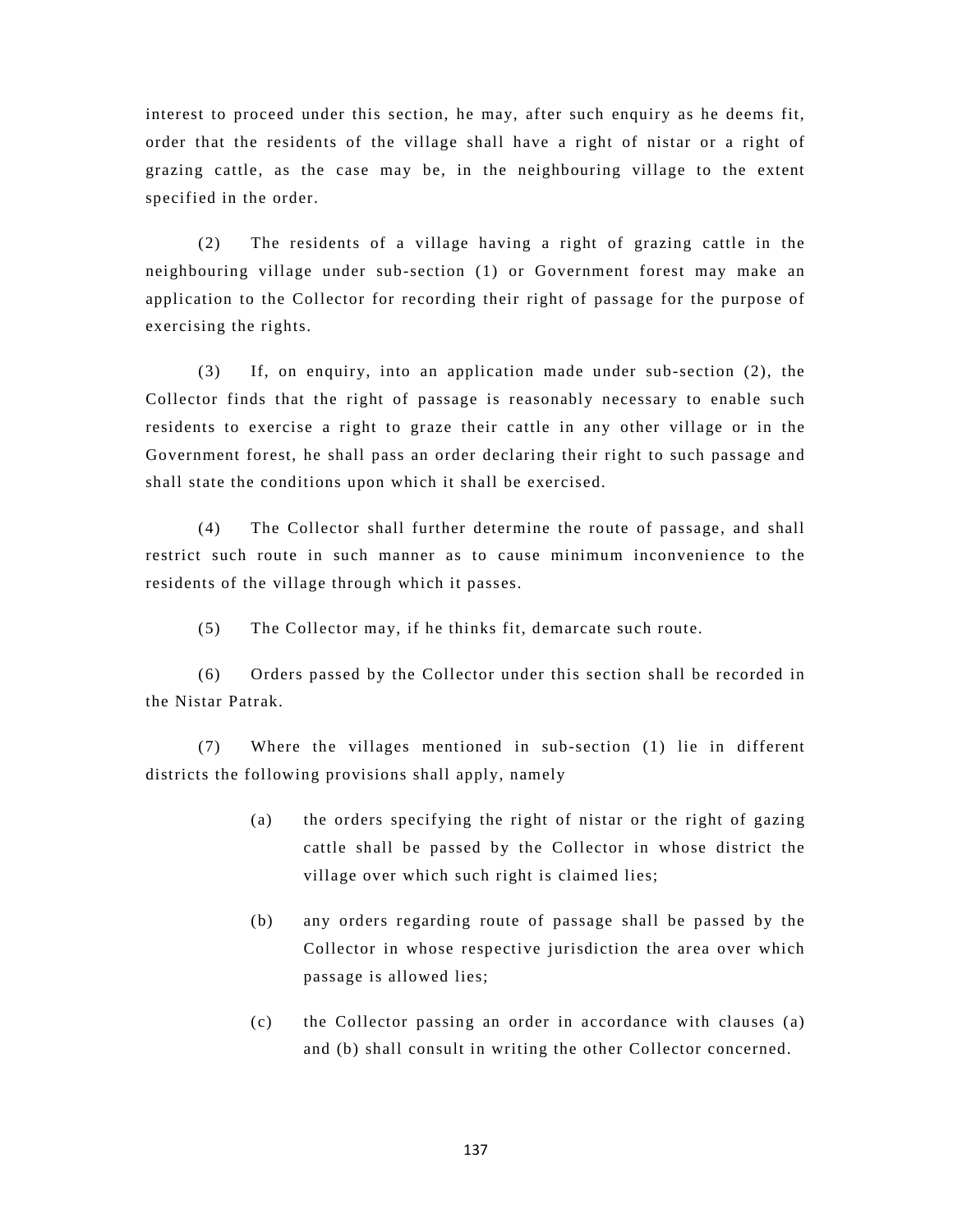interest to proceed under this section, he may, after such enquiry as he deems fit, order that the residents of the village shall have a right of nistar or a right of grazing cattle, as the case may be, in the neighbouring village to the extent specified in the order.

(2) The residents of a village having a right of grazing cattle in the neighbouring village under sub-section (1) or Government forest may make an application to the Collector for recording their right of passage for the purpose of exercising the rights.

(3) If, on enquiry, into an application made under sub-section (2), the Collector finds that the right of passage is reasonably necessary to enable such residents to exercise a right to graze their cattle in any other village or in the Government forest, he shall pass an order declaring their right to such passage and shall state the conditions upon which it shall be exercised.

(4) The Collector shall further determine the route of passage, and shall restrict such route in such manner as to cause minimum inconvenience to the residents of the village through which it passes.

(5) The Collector may, if he thinks fit, demarcate such route.

(6) Orders passed by the Collector under this section shall be recorded in the Nistar Patrak.

(7) Where the villages mentioned in sub-section (1) lie in different districts the following provisions shall apply, namely

- (a) the orders specifying the right of nistar or the right of gazing cattle shall be passed by the Collector in whose district the village over which such right is claimed lies;
- (b) any orders regarding route of passage shall be passed by the Collector in whose respective jurisdiction the area over which passage is allowed lies;
- (c) the Collector passing an order in accordance with clauses (a) and (b) shall consult in writing the other Collector concerned.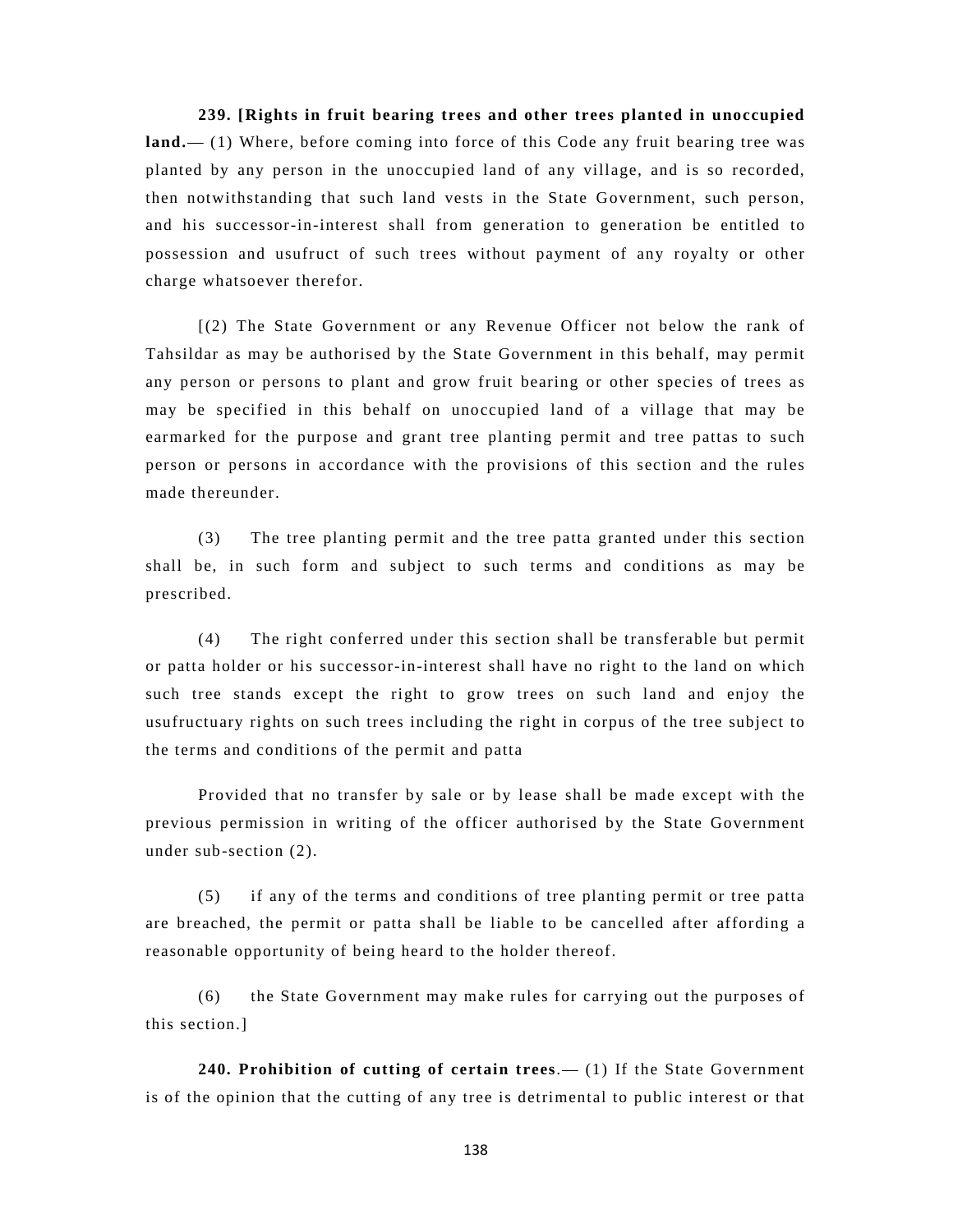**239. [Rights in fruit bearing trees and other trees planted in unoccupied land.**— (1) Where, before coming into force of this Code any fruit bearing tree was planted by any person in the unoccupied land of any village, and is so recorded, then notwithstanding that such land vests in the State Government, such person, and his successor-in-interest shall from generation to generation be entitled to possession and usufruct of such trees without payment of any royalty or other charge whatsoever therefor.

[(2) The State Government or any Revenue Officer not below the rank of Tahsildar as may be authorised by the State Government in this behalf, may permit any person or persons to plant and grow fruit bearing or other species of trees as may be specified in this behalf on unoccupied land of a village that may be earmarked for the purpose and grant tree planting permit and tree pattas to such person or persons in accordance with the provisions of this section and the rules made thereunder.

(3) The tree planting permit and the tree patta granted under this section shall be, in such form and subject to such terms and conditions as may be prescribed.

(4) The right conferred under this section shall be transferable but permit or patta holder or his successor-in-interest shall have no right to the land on which such tree stands except the right to grow trees on such land and enjoy the usufructuary rights on such trees including the right in corpus of the tree subject to the terms and conditions of the permit and patta

Provided that no transfer by sale or by lease shall be made except with the previous permission in writing of the officer authorised by the State Government under sub-section (2).

(5) if any of the terms and conditions of tree planting permit or tree patta are breached, the permit or patta shall be liable to be cancelled after affording a reasonable opportunity of being heard to the holder thereof.

(6) the State Government may make rules for carrying out the purposes of this section.]

**240. Prohibition of cutting of certain trees**.— (1) If the State Government is of the opinion that the cutting of any tree is detrimental to public interest or that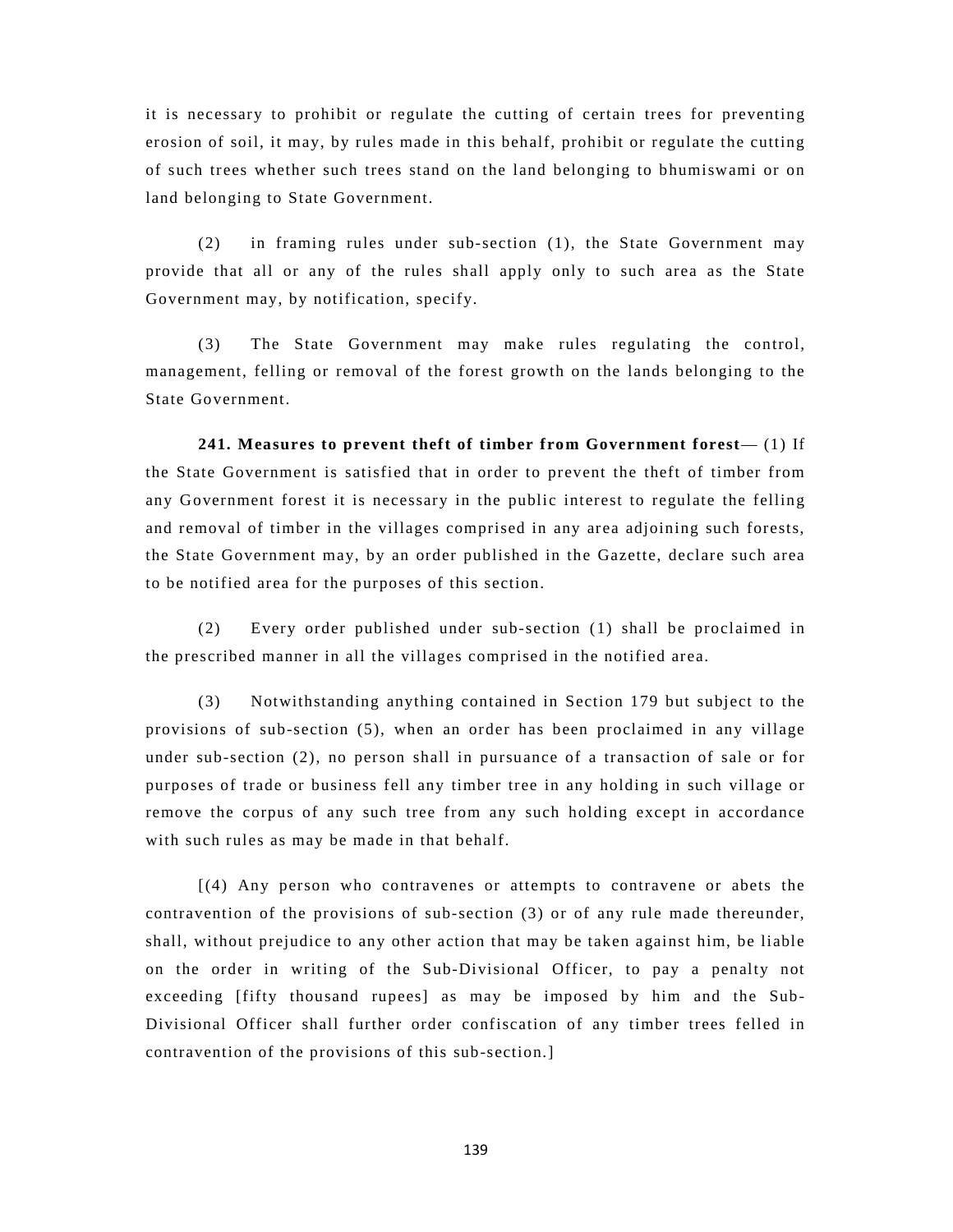it is necessary to prohibit or regulate the cutting of certain trees for preventing erosion of soil, it may, by rules made in this behalf, prohibit or regulate the cutting of such trees whether such trees stand on the land belonging to bhumiswami or on land belonging to State Government.

(2) in framing rules under sub-section (1), the State Government may provide that all or any of the rules shall apply only to such area as the State Government may, by notification, specify.

(3) The State Government may make rules regulating the control, management, felling or removal of the forest growth on the lands belonging to the State Government.

**241. Measures to prevent theft of timber from Government forest**— (1) If the State Government is satisfied that in order to prevent the theft of timber from any Government forest it is necessary in the public interest to regulate the felling and removal of timber in the villages comprised in any area adjoining such forests, the State Government may, by an order published in the Gazette, declare such area to be notified area for the purposes of this section.

(2) Every order published under sub-section (1) shall be proclaimed in the prescribed manner in all the villages comprised in the notified area.

(3) Notwithstanding anything contained in Section 179 but subject to the provisions of sub-section (5), when an order has been proclaimed in any village under sub-section (2), no person shall in pursuance of a transaction of sale or for purposes of trade or business fell any timber tree in any holding in such village or remove the corpus of any such tree from any such holding except in accordance with such rules as may be made in that behalf.

[(4) Any person who contravenes or attempts to contravene or abets the contravention of the provisions of sub-section (3) or of any rule made thereunder, shall, without prejudice to any other action that may be taken against him, be liable on the order in writing of the Sub-Divisional Officer, to pay a penalty not exceeding [fifty thousand rupees] as may be imposed by him and the Sub-Divisional Officer shall further order confiscation of any timber trees felled in contravention of the provisions of this sub-section.]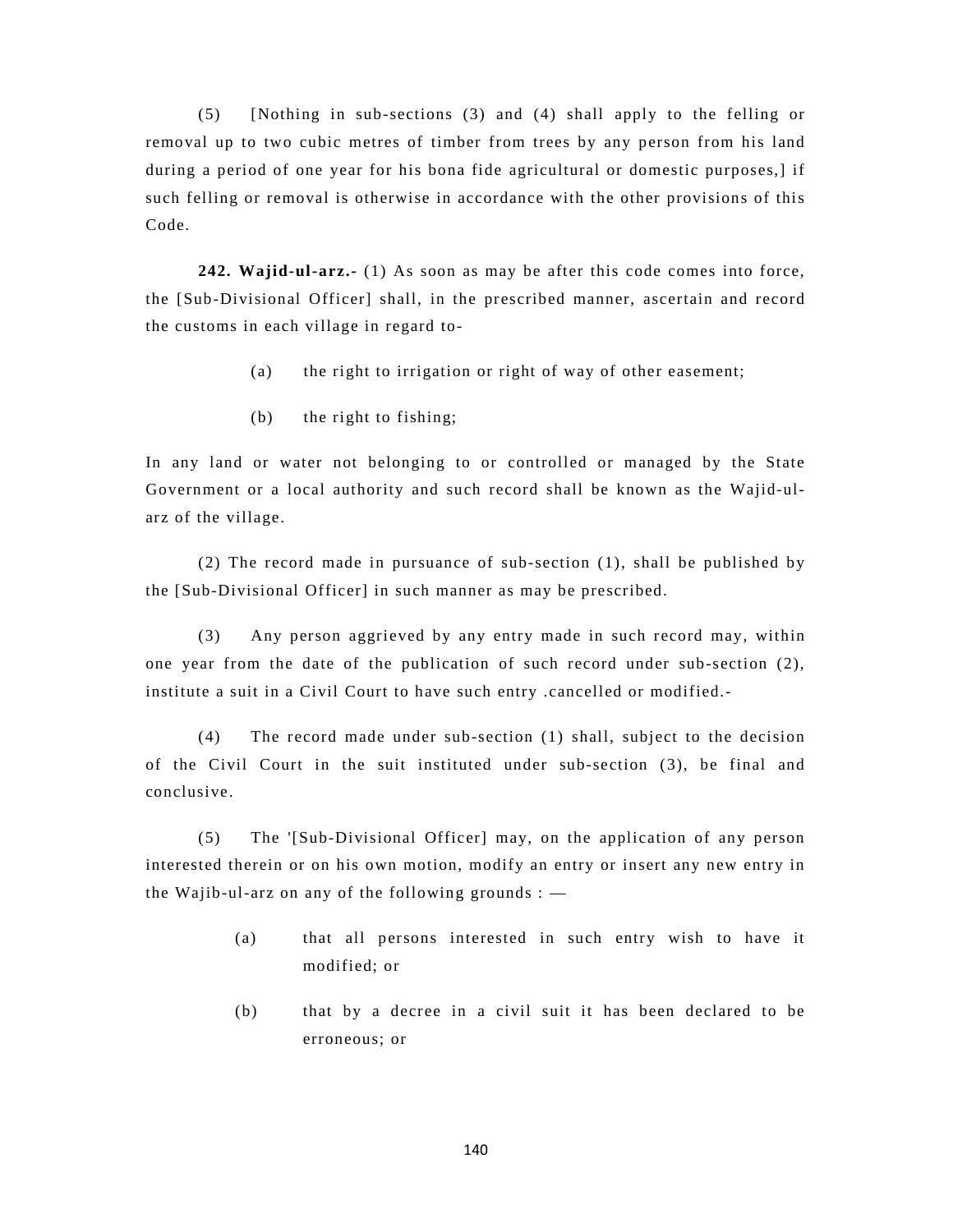(5) [Nothing in sub-sections (3) and (4) shall apply to the felling or removal up to two cubic metres of timber from trees by any person from his land during a period of one year for his bona fide agricultural or domestic purposes,] if such felling or removal is otherwise in accordance with the other provisions of this Code.

**242. Wajid-ul-arz.-** (1) As soon as may be after this code comes into force, the [Sub-Divisional Officer] shall, in the prescribed manner, ascertain and record the customs in each village in regard to-

- (a) the right to irrigation or right of way of other easement;
- (b) the right to fishing;

In any land or water not belonging to or controlled or managed by the State Government or a local authority and such record shall be known as the Wajid-ularz of the village.

 (2) The record made in pursuance of sub-section (1), shall be published by the [Sub-Divisional Officer] in such manner as may be prescribed.

(3) Any person aggrieved by any entry made in such record may, within one year from the date of the publication of such record under sub-section (2), institute a suit in a Civil Court to have such entry .cancelled or modified.-

(4) The record made under sub-section (1) shall, subject to the decision of the Civil Court in the suit instituted under sub-section (3), be final and conclusive.

(5) The '[Sub-Divisional Officer] may, on the application of any person interested therein or on his own motion, modify an entry or insert any new entry in the Wajib-ul-arz on any of the following grounds :  $-$ 

- (a) that all persons interested in such entry wish to have it modified; or
- (b) that by a decree in a civil suit it has been declared to be erroneous; or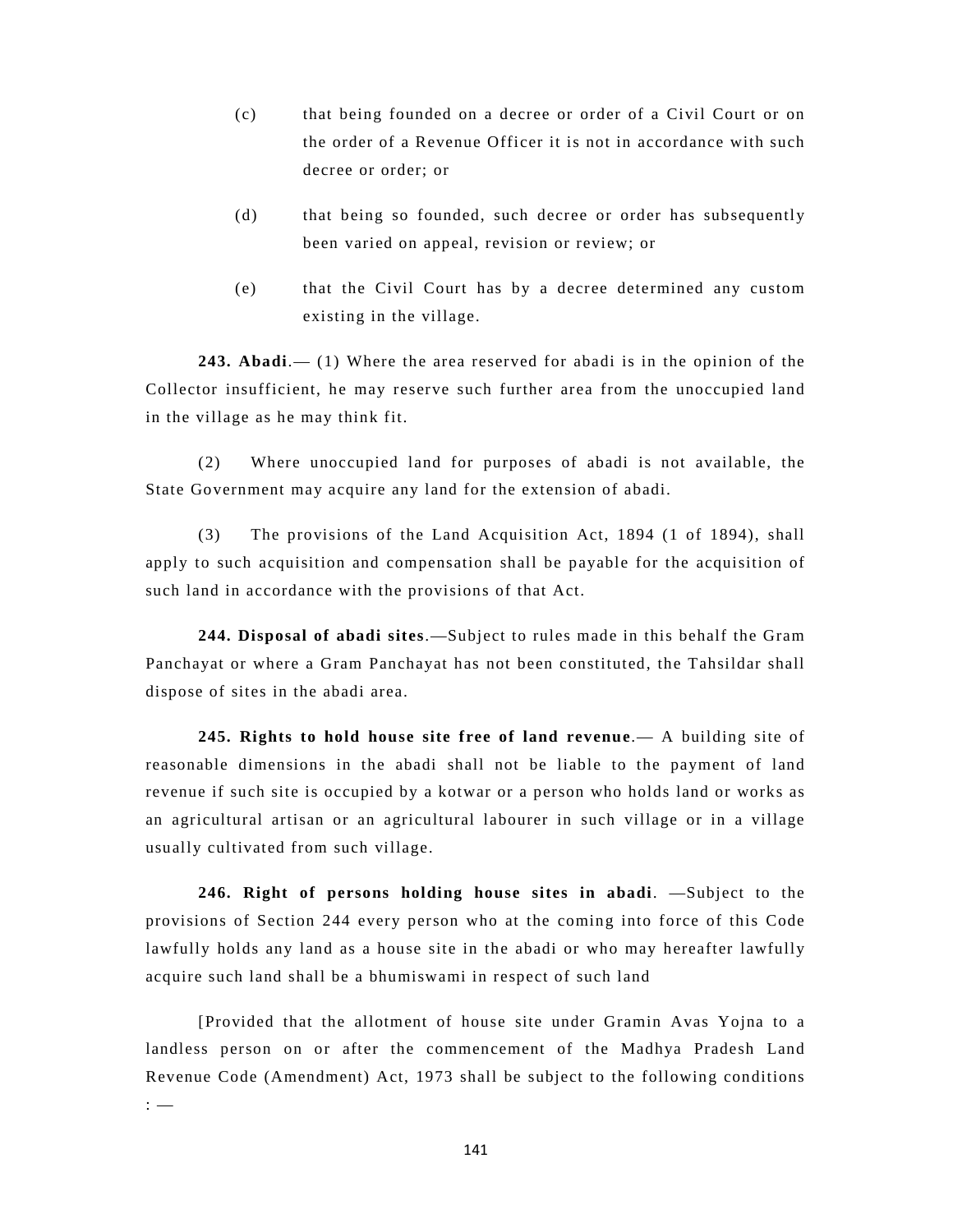- (c) that being founded on a decree or order of a Civil Court or on the order of a Revenue Officer it is not in accordance with such decree or order; or
- (d) that being so founded, such decree or order has subsequently been varied on appeal, revision or review; or
- (e) that the Civil Court has by a decree determined any custom existing in the village.

**243. Abadi**.— (1) Where the area reserved for abadi is in the opinion of the Collector insufficient, he may reserve such further area from the unoccupied land in the village as he may think fit.

(2) Where unoccupied land for purposes of abadi is not available, the State Government may acquire any land for the extension of abadi.

(3) The provisions of the Land Acquisition Act, 1894 (1 of 1894), shall apply to such acquisition and compensation shall be payable for the acquisition of such land in accordance with the provisions of that Act.

**244. Disposal of abadi sites**.—Subject to rules made in this behalf the Gram Panchayat or where a Gram Panchayat has not been constituted, the Tahsildar shall dispose of sites in the abadi area.

**245. Rights to hold house site free of land revenue**.— A building site of reasonable dimensions in the abadi shall not be liable to the payment of land revenue if such site is occupied by a kotwar or a person who holds land or works as an agricultural artisan or an agricultural labourer in such village or in a village usually cultivated from such village.

**246. Right of persons holding house sites in abadi**. —Subject to the provisions of Section 244 every person who at the coming into force of this Code lawfully holds any land as a house site in the abadi or who may hereafter lawfully acquire such land shall be a bhumiswami in respect of such land

[Provided that the allotment of house site under Gramin Avas Yojna to a landless person on or after the commencement of the Madhya Pradesh Land Revenue Code (Amendment) Act, 1973 shall be subject to the following conditions : —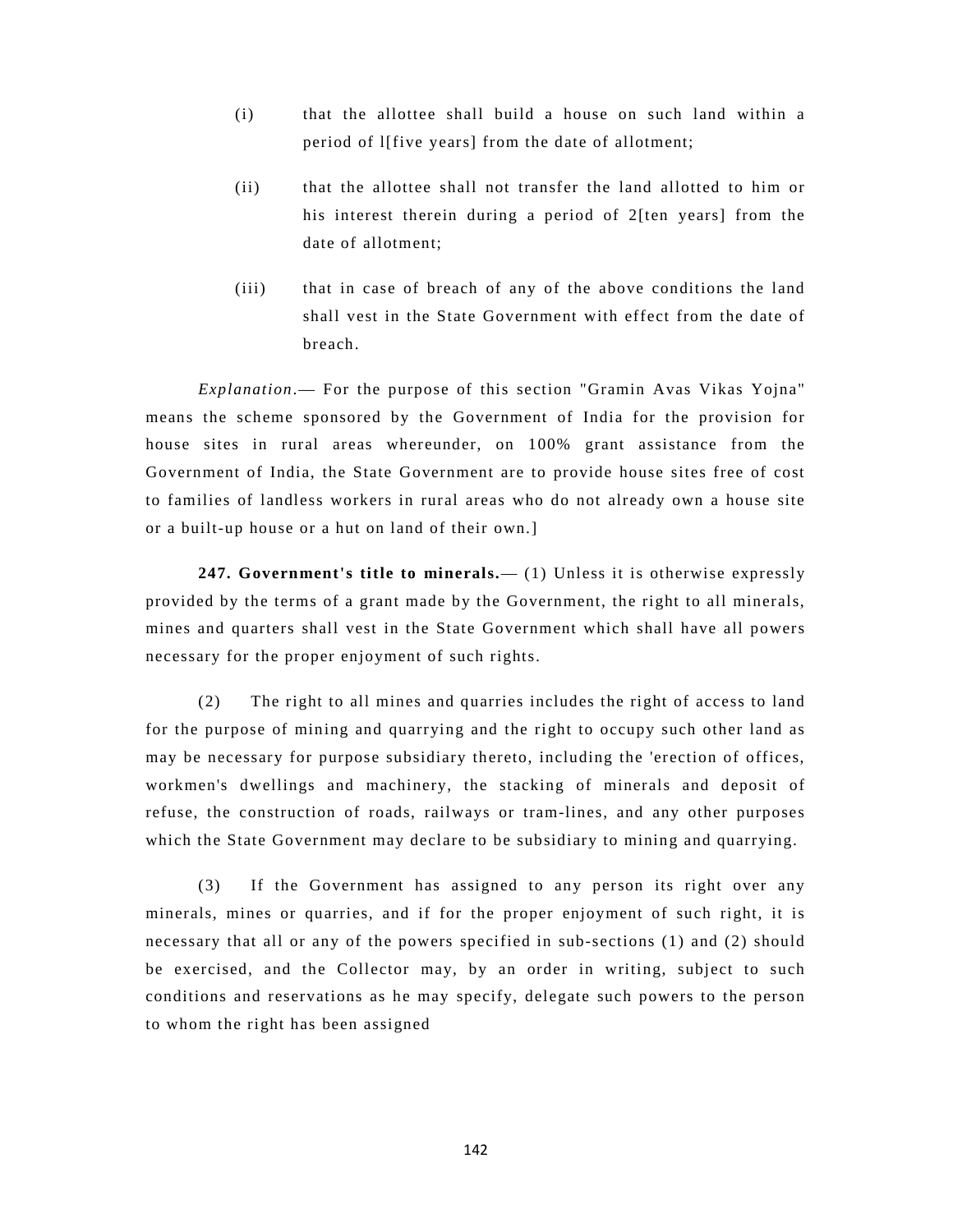- (i) that the allottee shall build a house on such land within a period of l[five years] from the date of allotment;
- (ii) that the allottee shall not transfer the land allotted to him or his interest therein during a period of 2[ten years] from the date of allotment;
- (iii) that in case of breach of any of the above conditions the land shall vest in the State Government with effect from the date of breach.

*Explanation*.— For the purpose of this section "Gramin Avas Vikas Yojna" means the scheme sponsored by the Government of India for the provision for house sites in rural areas whereunder, on 100% grant assistance from the Government of India, the State Government are to provide house sites free of cost to families of landless workers in rural areas who do not already own a house site or a built-up house or a hut on land of their own.]

**247. Government's title to minerals.**— (1) Unless it is otherwise expressly provided by the terms of a grant made by the Government, the right to all minerals, mines and quarters shall vest in the State Government which shall have all powers necessary for the proper enjoyment of such rights.

(2) The right to all mines and quarries includes the right of access to land for the purpose of mining and quarrying and the right to occupy such other land as may be necessary for purpose subsidiary thereto, including the 'erection of offices, workmen's dwellings and machinery, the stacking of minerals and deposit of refuse, the construction of roads, railways or tram-lines, and any other purposes which the State Government may declare to be subsidiary to mining and quarrying.

(3) If the Government has assigned to any person its right over any minerals, mines or quarries, and if for the proper enjoyment of such right, it is necessary that all or any of the powers specified in sub-sections (1) and (2) should be exercised, and the Collector may, by an order in writing, subject to such conditions and reservations as he may specify, delegate such powers to the person to whom the right has been assigned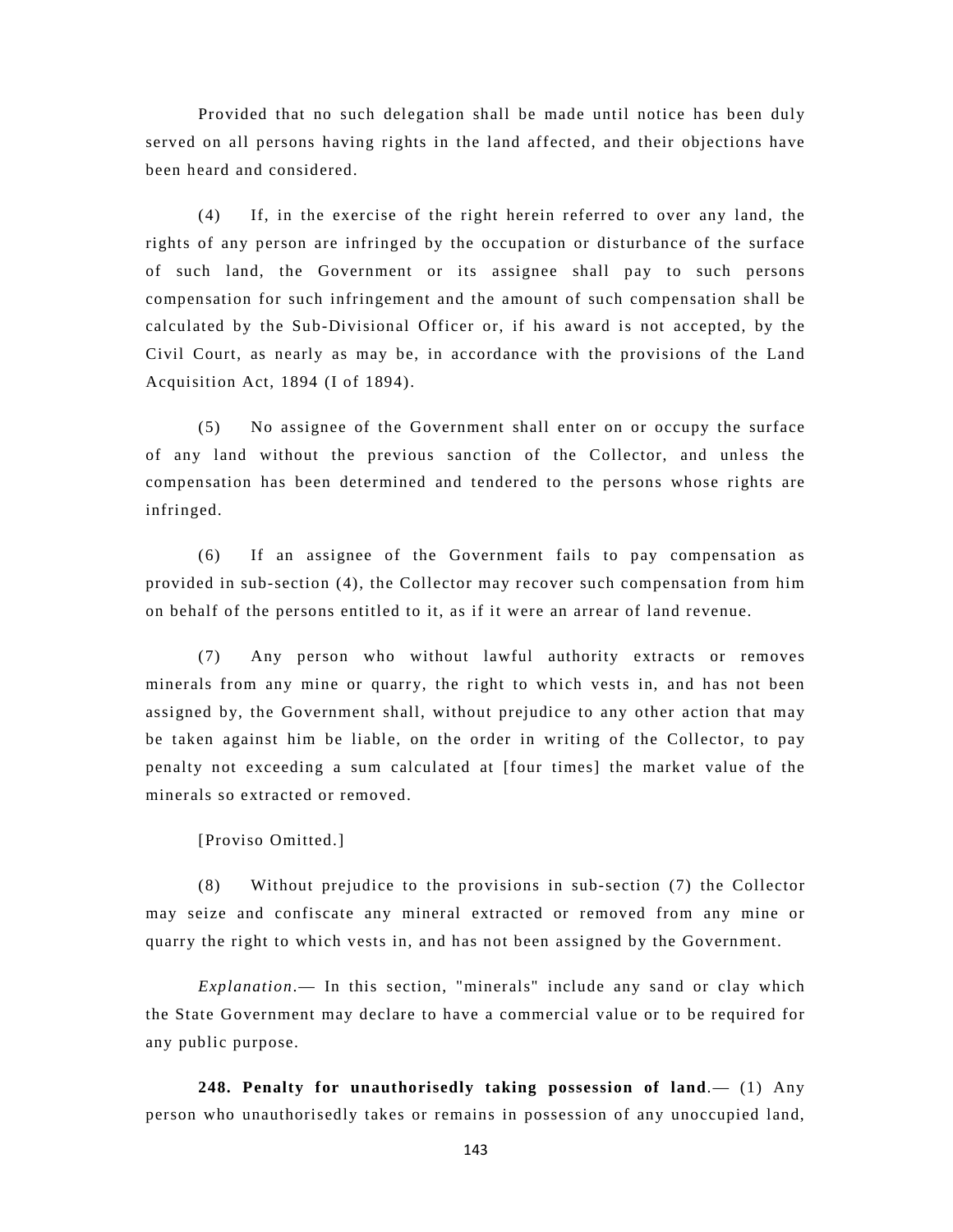Provided that no such delegation shall be made until notice has been duly served on all persons having rights in the land affected, and their objections have been heard and considered.

(4) If, in the exercise of the right herein referred to over any land, the rights of any person are infringed by the occupation or disturbance of the surface of such land, the Government or its assignee shall pay to such persons compensation for such infringement and the amount of such compensation shall be calculated by the Sub-Divisional Officer or, if his award is not accepted, by the Civil Court, as nearly as may be, in accordance with the provisions of the Land Acquisition Act, 1894 (I of 1894).

(5) No assignee of the Government shall enter on or occupy the surface of any land without the previous sanction of the Collector, and unless the compensation has been determined and tendered to the persons whose rights are infringed.

(6) If an assignee of the Government fails to pay compensation as provided in sub-section (4), the Collector may recover such compensation from him on behalf of the persons entitled to it, as if it were an arrear of land revenue.

(7) Any person who without lawful authority extracts or removes minerals from any mine or quarry, the right to which vests in, and has not been assigned by, the Government shall, without prejudice to any other action that may be taken against him be liable, on the order in writing of the Collector, to pay penalty not exceeding a sum calculated at [four times] the market value of the minerals so extracted or removed.

[Proviso Omitted.]

(8) Without prejudice to the provisions in sub-section (7) the Collector may seize and confiscate any mineral extracted or removed from any mine or quarry the right to which vests in, and has not been assigned by the Government.

*Explanation*.— In this section, "minerals" include any sand or clay which the State Government may declare to have a commercial value or to be required for any public purpose.

**248. Penalty for unauthorisedly taking possession of land**.— (1) Any person who unauthorisedly takes or remains in possession of any unoccupied land,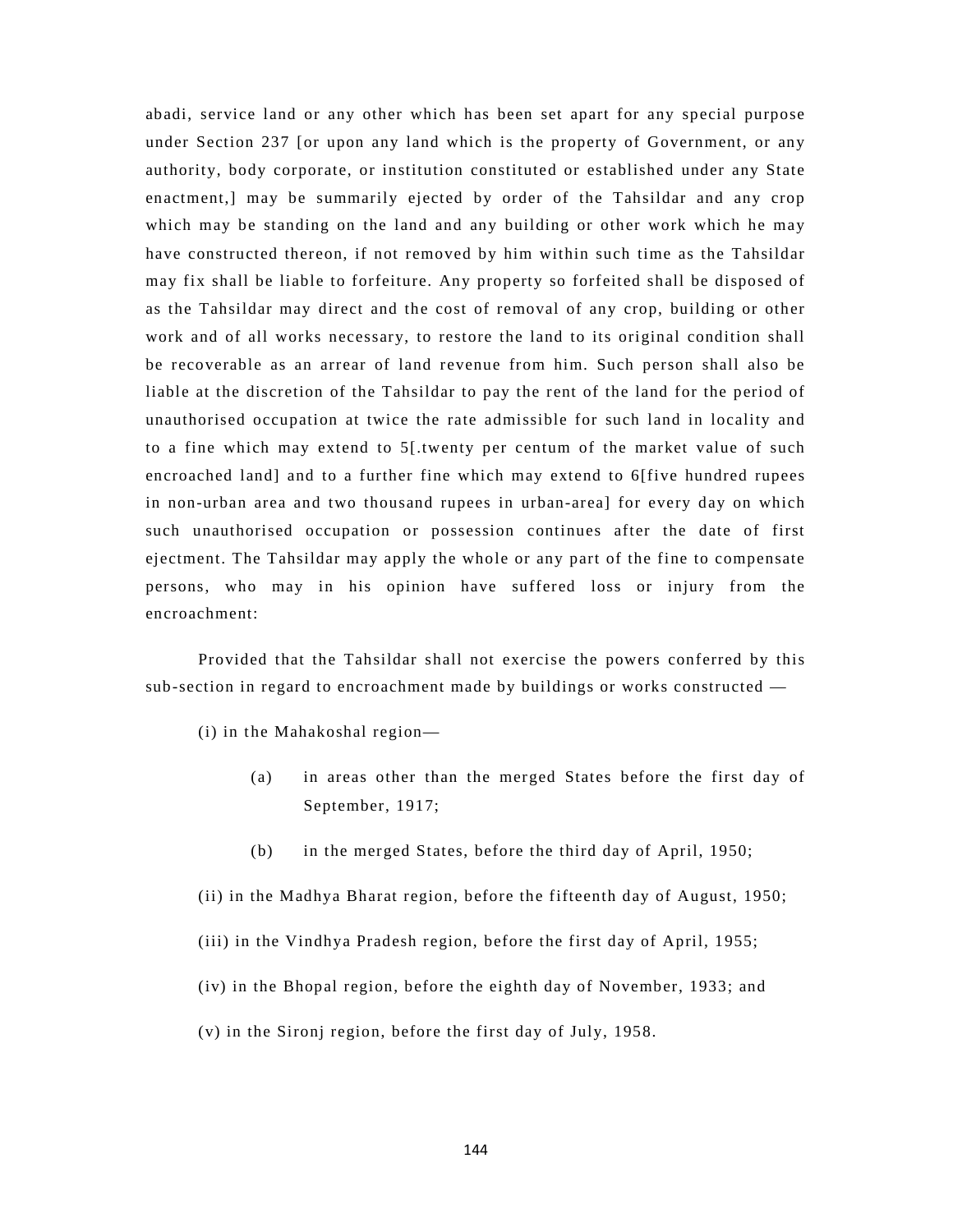abadi, service land or any other which has been set apart for any special purpose under Section 237 [or upon any land which is the property of Government, or any authority, body corporate, or institution constituted or established under any State enactment,] may be summarily ejected by order of the Tahsildar and any crop which may be standing on the land and any building or other work which he may have constructed thereon, if not removed by him within such time as the Tahsildar may fix shall be liable to forfeiture. Any property so forfeited shall be disposed of as the Tahsildar may direct and the cost of removal of any crop, building or other work and of all works necessary, to restore the land to its original condition shall be recoverable as an arrear of land revenue from him. Such person shall also be liable at the discretion of the Tahsildar to pay the rent of the land for the period of unauthorised occupation at twice the rate admissible for such land in locality and to a fine which may extend to 5[.twenty per centum of the market value of such encroached land] and to a further fine which may extend to 6[five hundred rupees in non-urban area and two thousand rupees in urban-area] for every day on which such unauthorised occupation or possession continues after the date of first ejectment. The Tahsildar may apply the whole or any part of the fine to compensate persons, who may in his opinion have suffered loss or injury from the encroachment:

Provided that the Tahsildar shall not exercise the powers conferred by this sub-section in regard to encroachment made by buildings or works constructed —

 $(i)$  in the Mahakoshal region—

- (a) in areas other than the merged States before the first day of September, 1917;
- (b) in the merged States, before the third day of April, 1950;

(ii) in the Madhya Bharat region, before the fifteenth day of August, 1950;

- (iii) in the Vindhya Pradesh region, before the first day of April, 1955;
- (iv) in the Bhopal region, before the eighth day of November, 1933; and
- (v) in the Sironj region, before the first day of July, 1958.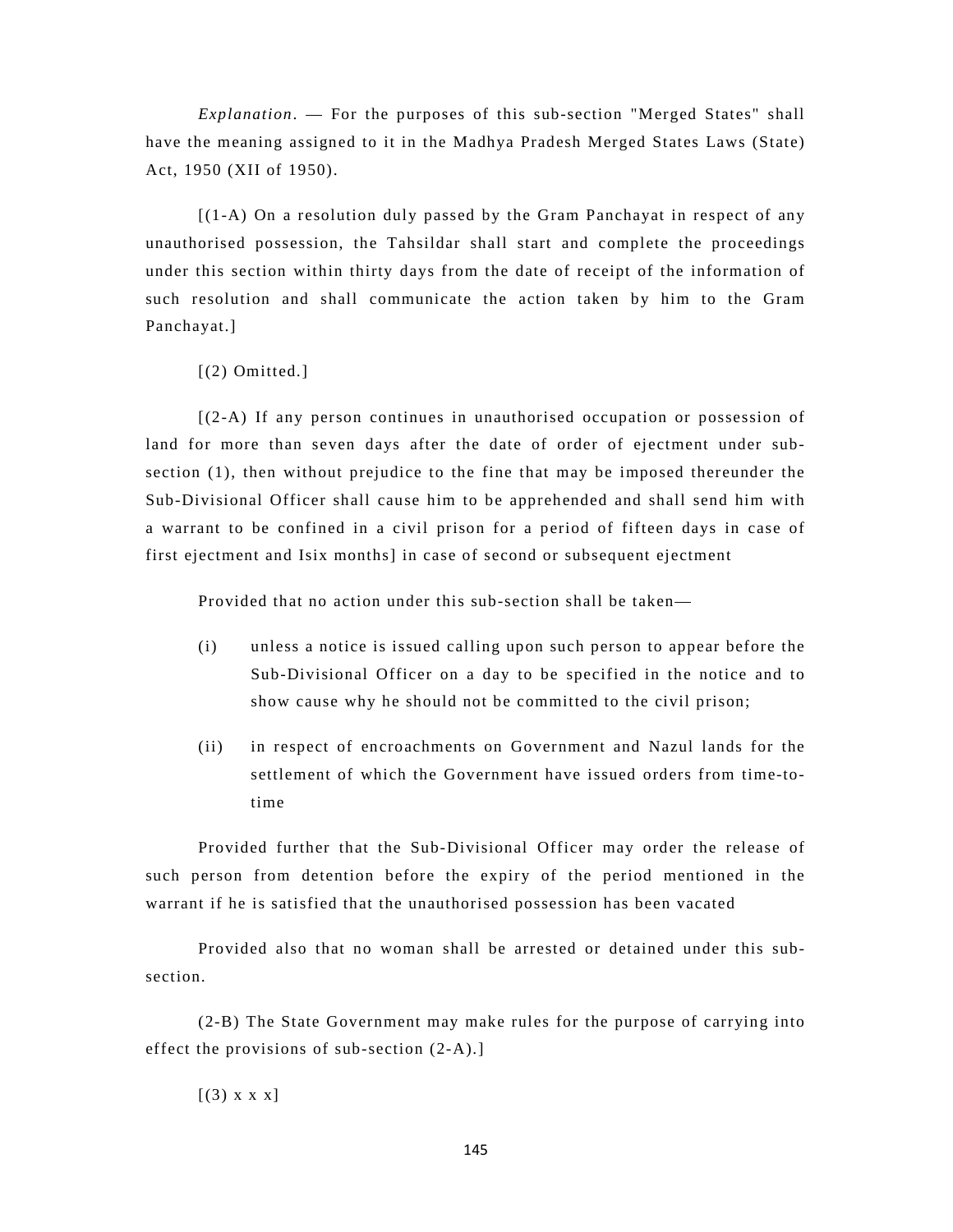*Explanation*. — For the purposes of this sub-section "Merged States" shall have the meaning assigned to it in the Madhya Pradesh Merged States Laws (State) Act, 1950 (XII of 1950).

 $[(1-A)$  On a resolution duly passed by the Gram Panchayat in respect of any unauthorised possession, the Tahsildar shall start and complete the proceedings under this section within thirty days from the date of receipt of the information of such resolution and shall communicate the action taken by him to the Gram Panchayat.]

[(2) Omitted.]

[(2-A) If any person continues in unauthorised occupation or possession of land for more than seven days after the date of order of ejectment under subsection (1), then without prejudice to the fine that may be imposed thereunder the Sub-Divisional Officer shall cause him to be apprehended and shall send him with a warrant to be confined in a civil prison for a period of fifteen days in case of first ejectment and Isix months] in case of second or subsequent ejectment

Provided that no action under this sub-section shall be taken—

- (i) unless a notice is issued calling upon such person to appear before the Sub-Divisional Officer on a day to be specified in the notice and to show cause why he should not be committed to the civil prison;
- (ii) in respect of encroachments on Government and Nazul lands for the settlement of which the Government have issued orders from time-totime

Provided further that the Sub-Divisional Officer may order the release of such person from detention before the expiry of the period mentioned in the warrant if he is satisfied that the unauthorised possession has been vacated

Provided also that no woman shall be arrested or detained under this subsection.

(2-B) The State Government may make rules for the purpose of carrying into effect the provisions of sub-section (2-A).]

 $[(3) \times \times \times]$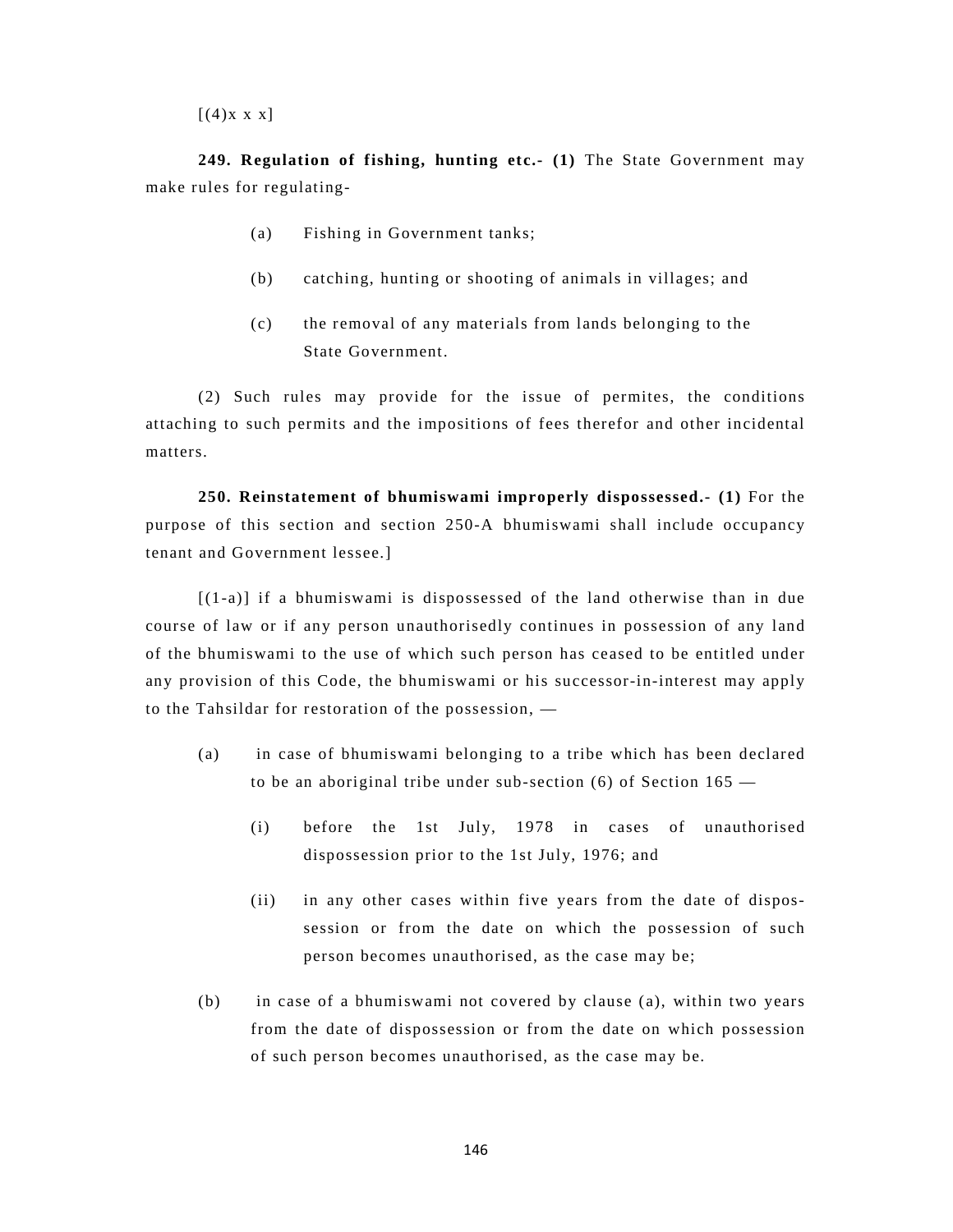$[(4)$ x x x]

 **249. Regulation of fishing, hunting etc.- (1)** The State Government may make rules for regulating-

- (a) Fishing in Government tanks;
- (b) catching, hunting or shooting of animals in villages; and
- (c) the removal of any materials from lands belonging to the State Government.

(2) Such rules may provide for the issue of permites, the conditions attaching to such permits and the impositions of fees therefor and other incidental matters.

**250. Reinstatement of bhumiswami improperly dispossessed.- (1)** For the purpose of this section and section 250-A bhumiswami shall include occupancy tenant and Government lessee.]

[(1-a)] if a bhumiswami is dispossessed of the land otherwise than in due course of law or if any person unauthorisedly continues in possession of any land of the bhumiswami to the use of which such person has ceased to be entitled under any provision of this Code, the bhumiswami or his successor-in-interest may apply to the Tahsildar for restoration of the possession, —

- (a) in case of bhumiswami belonging to a tribe which has been declared to be an aboriginal tribe under sub-section  $(6)$  of Section 165 —
	- (i) before the 1st July, 1978 in cases of unauthorised dispossession prior to the 1st July, 1976; and
	- (ii) in any other cases within five years from the date of dispossession or from the date on which the possession of such person becomes unauthorised, as the case may be;
- (b) in case of a bhumiswami not covered by clause (a), within two years from the date of dispossession or from the date on which possession of such person becomes unauthorised, as the case may be.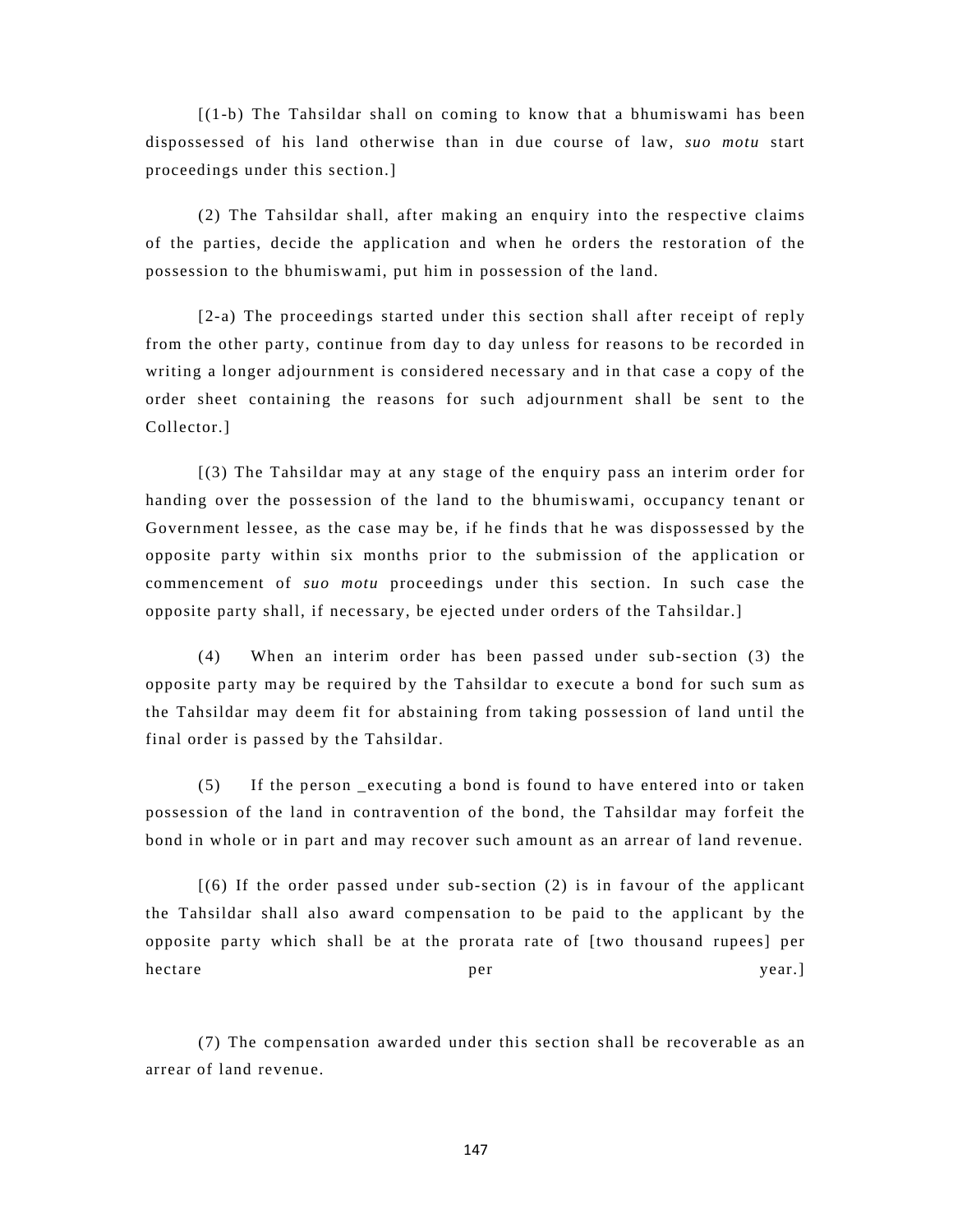[(1-b) The Tahsildar shall on coming to know that a bhumiswami has been dispossessed of his land otherwise than in due course of law, *suo motu* start proceedings under this section.]

(2) The Tahsildar shall, after making an enquiry into the respective claims of the parties, decide the application and when he orders the restoration of the possession to the bhumiswami, put him in possession of the land.

[2-a) The proceedings started under this section shall after receipt of reply from the other party, continue from day to day unless for reasons to be recorded in writing a longer adjournment is considered necessary and in that case a copy of the order sheet containing the reasons for such adjournment shall be sent to the Collector.]

[(3) The Tahsildar may at any stage of the enquiry pass an interim order for handing over the possession of the land to the bhumiswami, occupancy tenant or Government lessee, as the case may be, if he finds that he was dispossessed by the opposite party within six months prior to the submission of the application or commencement of *suo motu* proceedings under this section. In such case the opposite party shall, if necessary, be ejected under orders of the Tahsildar.]

(4) When an interim order has been passed under sub-section (3) the opposite party may be required by the Tahsildar to execute a bond for such sum as the Tahsildar may deem fit for abstaining from taking possession of land until the final order is passed by the Tahsildar.

(5) If the person \_executing a bond is found to have entered into or taken possession of the land in contravention of the bond, the Tahsildar may forfeit the bond in whole or in part and may recover such amount as an arrear of land revenue.

 $(6)$  If the order passed under sub-section (2) is in favour of the applicant the Tahsildar shall also award compensation to be paid to the applicant by the opposite party which shall be at the prorata rate of [two thousand rupees] per hectare per year.

(7) The compensation awarded under this section shall be recoverable as an arrear of land revenue.

147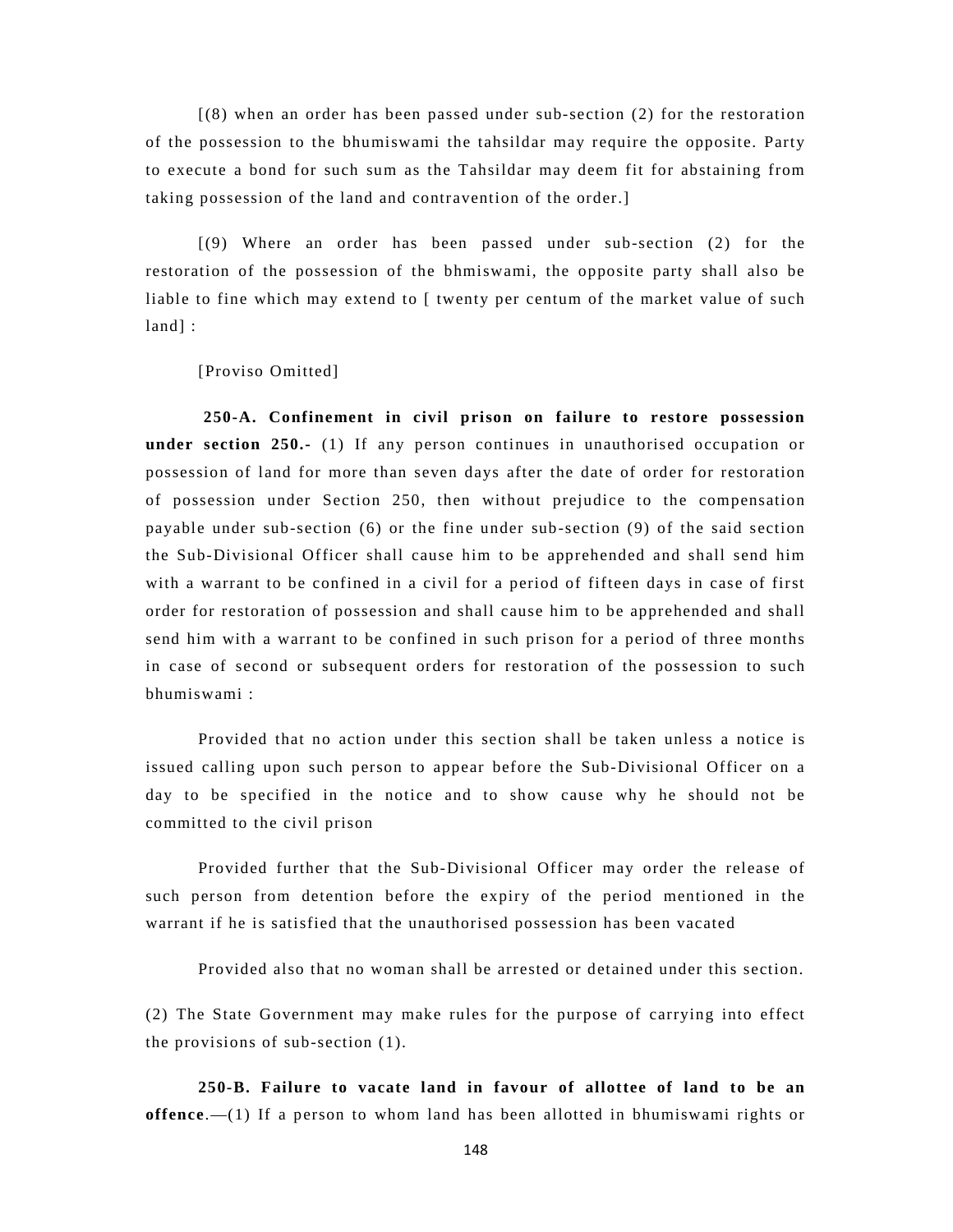[(8) when an order has been passed under sub-section (2) for the restoration of the possession to the bhumiswami the tahsildar may require the opposite. Party to execute a bond for such sum as the Tahsildar may deem fit for abstaining from taking possession of the land and contravention of the order.]

[(9) Where an order has been passed under sub-section (2) for the restoration of the possession of the bhmiswami, the opposite party shall also be liable to fine which may extend to [ twenty per centum of the market value of such land] :

[Proviso Omitted]

 **250-A. Confinement in civil prison on failure to restore possession under section 250.-** (1) If any person continues in unauthorised occupation or possession of land for more than seven days after the date of order for restoration of possession under Section 250, then without prejudice to the compensation payable under sub-section (6) or the fine under sub-section (9) of the said section the Sub-Divisional Officer shall cause him to be apprehended and shall send him with a warrant to be confined in a civil for a period of fifteen days in case of first order for restoration of possession and shall cause him to be apprehended and shall send him with a warrant to be confined in such prison for a period of three months in case of second or subsequent orders for restoration of the possession to such bhumiswami :

Provided that no action under this section shall be taken unless a notice is issued calling upon such person to appear before the Sub-Divisional Officer on a day to be specified in the notice and to show cause why he should not be committed to the civil prison

Provided further that the Sub-Divisional Officer may order the release of such person from detention before the expiry of the period mentioned in the warrant if he is satisfied that the unauthorised possession has been vacated

Provided also that no woman shall be arrested or detained under this section.

(2) The State Government may make rules for the purpose of carrying into effect the provisions of sub-section (1).

**250-B. Failure to vacate land in favour of allottee of land to be an offence**.—(1) If a person to whom land has been allotted in bhumiswami rights or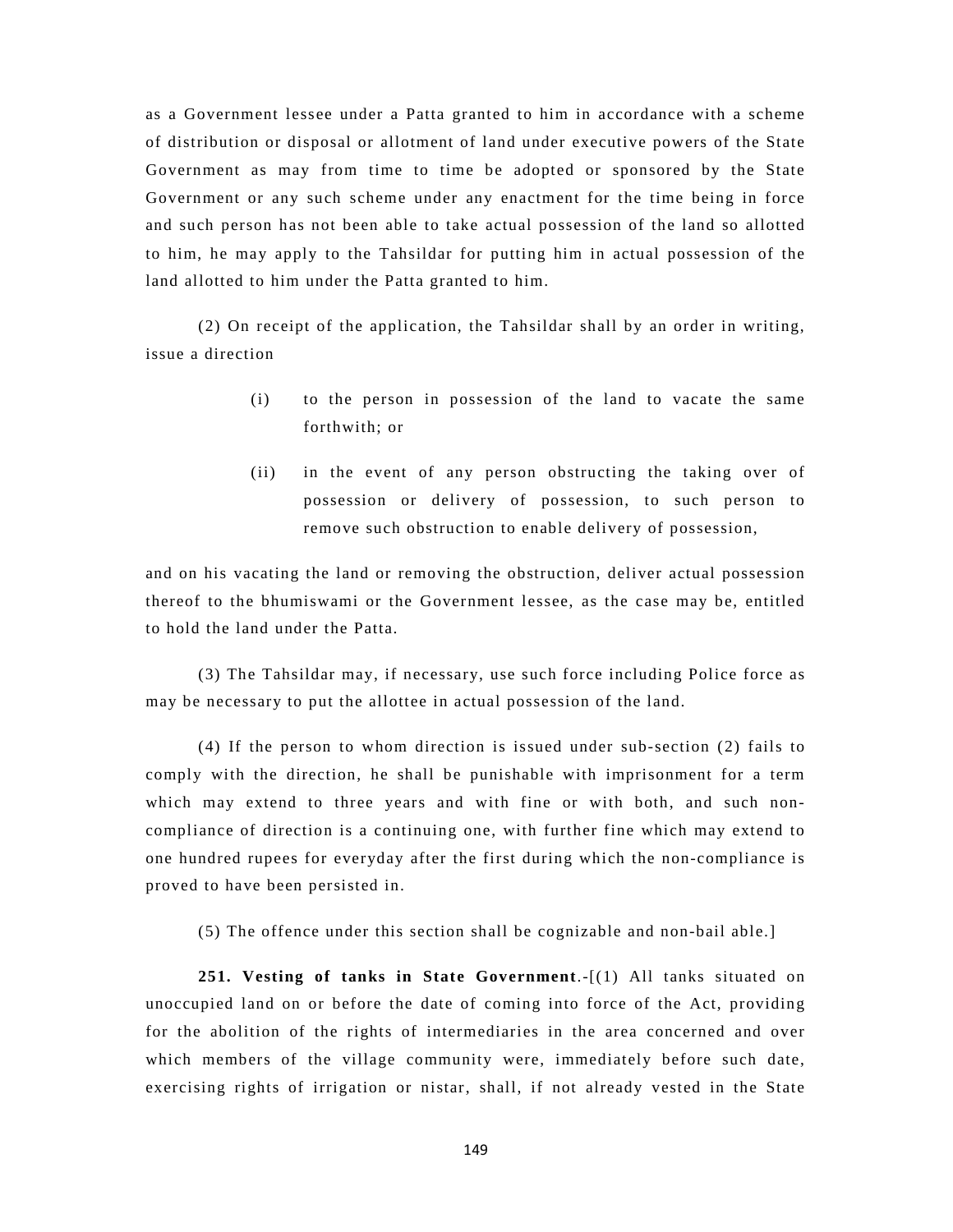as a Government lessee under a Patta granted to him in accordance with a scheme of distribution or disposal or allotment of land under executive powers of the State Government as may from time to time be adopted or sponsored by the State Government or any such scheme under any enactment for the time being in force and such person has not been able to take actual possession of the land so allotted to him, he may apply to the Tahsildar for putting him in actual possession of the land allotted to him under the Patta granted to him.

(2) On receipt of the application, the Tahsildar shall by an order in writing, issue a direction

- (i) to the person in possession of the land to vacate the same forthwith; or
- (ii) in the event of any person obstructing the taking over of possession or delivery of possession, to such person to remove such obstruction to enable delivery of possession,

and on his vacating the land or removing the obstruction, deliver actual possession thereof to the bhumiswami or the Government lessee, as the case may be, entitled to hold the land under the Patta.

(3) The Tahsildar may, if necessary, use such force including Police force as may be necessary to put the allottee in actual possession of the land.

(4) If the person to whom direction is issued under sub-section (2) fails to comply with the direction, he shall be punishable with imprisonment for a term which may extend to three years and with fine or with both, and such noncompliance of direction is a continuing one, with further fine which may extend to one hundred rupees for everyday after the first during which the non-compliance is proved to have been persisted in.

(5) The offence under this section shall be cognizable and non-bail able.]

**251. Vesting of tanks in State Government**.-[(1) All tanks situated on unoccupied land on or before the date of coming into force of the Act, providing for the abolition of the rights of intermediaries in the area concerned and over which members of the village community were, immediately before such date, exercising rights of irrigation or nistar, shall, if not already vested in the State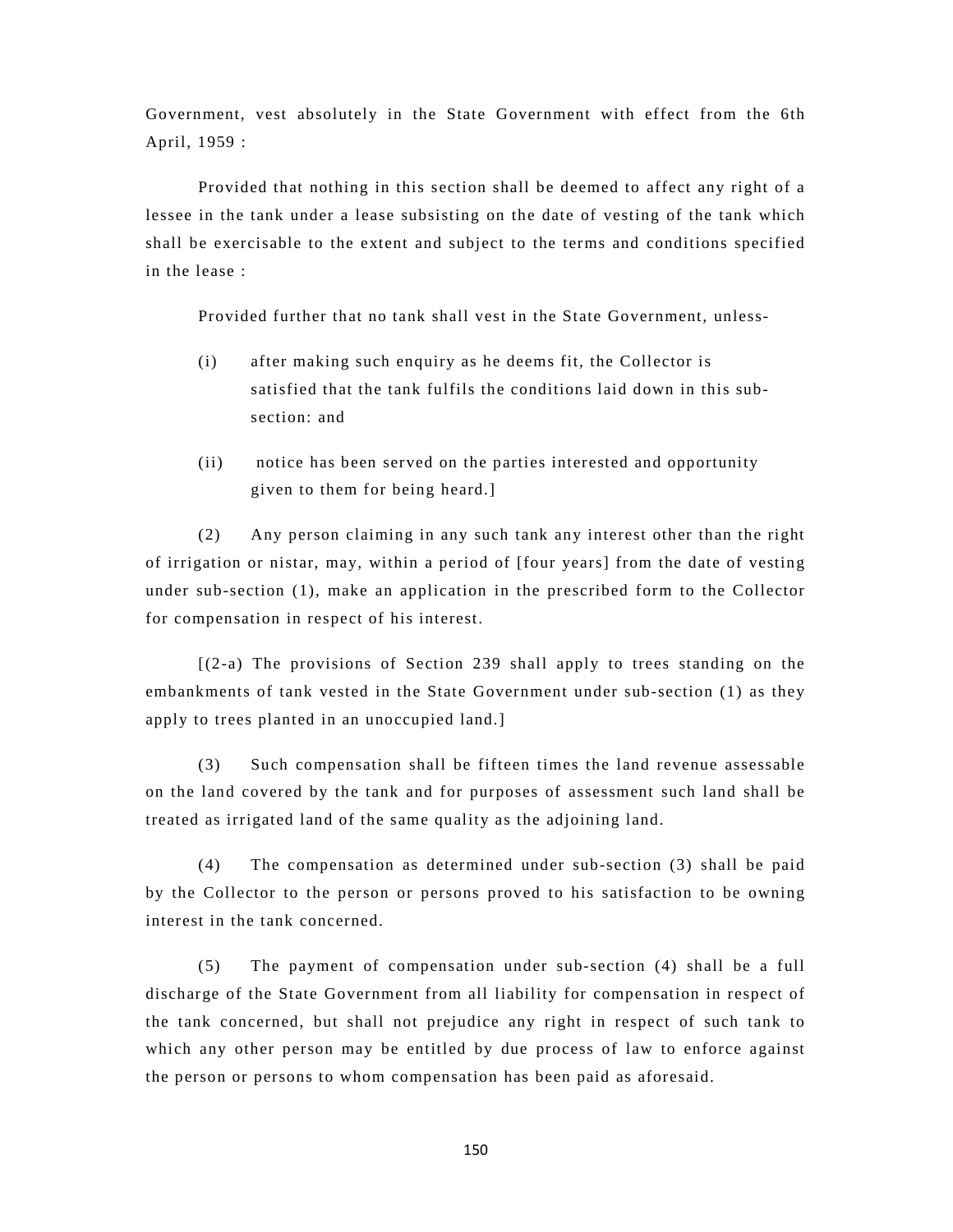Government, vest absolutely in the State Government with effect from the 6th April, 1959 :

Provided that nothing in this section shall be deemed to affect any right of a lessee in the tank under a lease subsisting on the date of vesting of the tank which shall be exercisable to the extent and subject to the terms and conditions specified in the lease :

Provided further that no tank shall vest in the State Government, unless-

- (i) after making such enquiry as he deems fit, the Collector is satisfied that the tank fulfils the conditions laid down in this sub section: and
- (ii) notice has been served on the parties interested and opportunity given to them for being heard.]

(2) Any person claiming in any such tank any interest other than the right of irrigation or nistar, may, within a period of [four years] from the date of vesting under sub-section (1), make an application in the prescribed form to the Collector for compensation in respect of his interest.

[(2-a) The provisions of Section 239 shall apply to trees standing on the embankments of tank vested in the State Government under sub-section (1) as they apply to trees planted in an unoccupied land.]

(3) Such compensation shall be fifteen times the land revenue assessable on the land covered by the tank and for purposes of assessment such land shall be treated as irrigated land of the same quality as the adjoining land.

(4) The compensation as determined under sub-section (3) shall be paid by the Collector to the person or persons proved to his satisfaction to be owning interest in the tank concerned.

(5) The payment of compensation under sub-section (4) shall be a full discharge of the State Government from all liability for compensation in respect of the tank concerned, but shall not prejudice any right in respect of such tank to which any other person may be entitled by due process of law to enforce against the person or persons to whom compensation has been paid as aforesaid.

150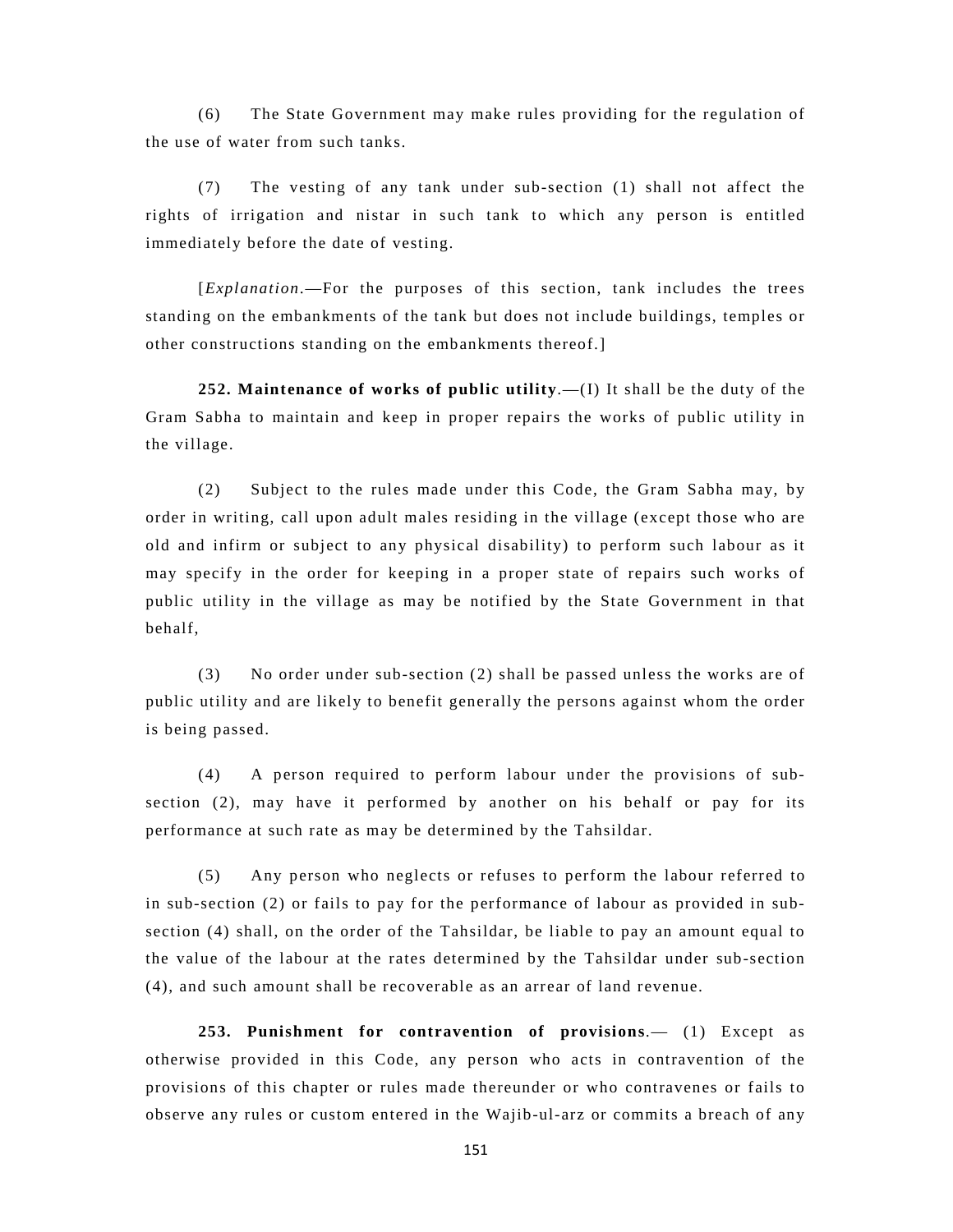(6) The State Government may make rules providing for the regulation of the use of water from such tanks.

(7) The vesting of any tank under sub-section (1) shall not affect the rights of irrigation and nistar in such tank to which any person is entitled immediately before the date of vesting.

[*Explanation*.—For the purposes of this section, tank includes the trees standing on the embankments of the tank but does not include buildings, temples or other constructions standing on the embankments thereof.]

**252. Maintenance of works of public utility**.—(I) It shall be the duty of the Gram Sabha to maintain and keep in proper repairs the works of public utility in the village.

(2) Subject to the rules made under this Code, the Gram Sabha may, by order in writing, call upon adult males residing in the village (except those who are old and infirm or subject to any physical disability) to perform such labour as it may specify in the order for keeping in a proper state of repairs such works of public utility in the village as may be notified by the State Government in that behalf,

(3) No order under sub-section (2) shall be passed unless the works are of public utility and are likely to benefit generally the persons against whom the order is being passed.

(4) A person required to perform labour under the provisions of subsection (2), may have it performed by another on his behalf or pay for its performance at such rate as may be determined by the Tahsildar.

(5) Any person who neglects or refuses to perform the labour referred to in sub-section (2) or fails to pay for the performance of labour as provided in subsection (4) shall, on the order of the Tahsildar, be liable to pay an amount equal to the value of the labour at the rates determined by the Tahsildar under sub-section (4), and such amount shall be recoverable as an arrear of land revenue.

**253. Punishment for contravention of provisions**.— (1) Except as otherwise provided in this Code, any person who acts in contravention of the provisions of this chapter or rules made thereunder or who contravenes or fails to observe any rules or custom entered in the Wajib-ul-arz or commits a breach of any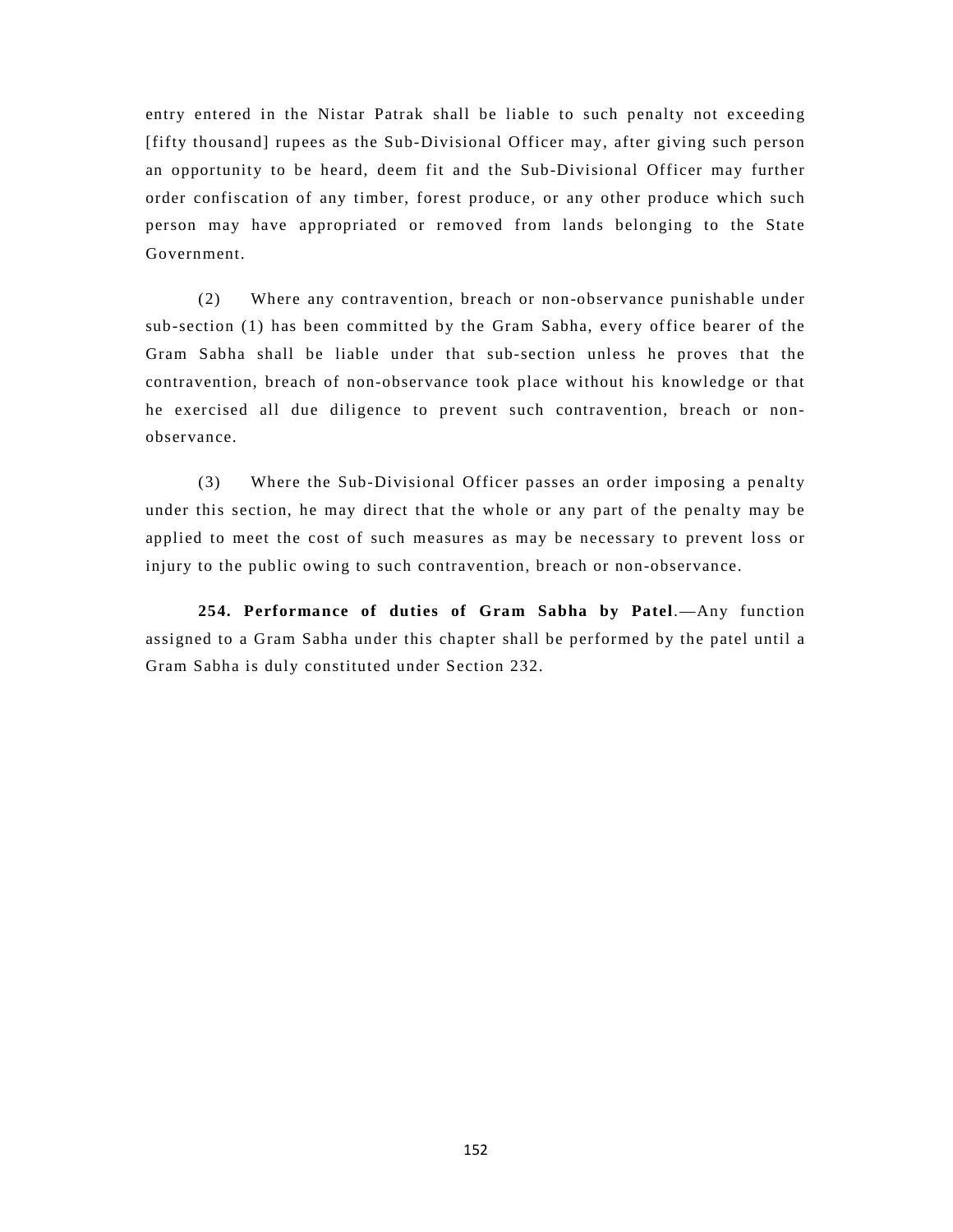entry entered in the Nistar Patrak shall be liable to such penalty not exceeding [fifty thousand] rupees as the Sub-Divisional Officer may, after giving such person an opportunity to be heard, deem fit and the Sub-Divisional Officer may further order confiscation of any timber, forest produce, or any other produce which such person may have appropriated or removed from lands belonging to the State Government.

(2) Where any contravention, breach or non-observance punishable under sub-section (1) has been committed by the Gram Sabha, every office bearer of the Gram Sabha shall be liable under that sub-section unless he proves that the contravention, breach of non-observance took place without his knowledge or that he exercised all due diligence to prevent such contravention, breach or nonobservance.

(3) Where the Sub-Divisional Officer passes an order imposing a penalty under this section, he may direct that the whole or any part of the penalty may be applied to meet the cost of such measures as may be necessary to prevent loss or injury to the public owing to such contravention, breach or non-observance.

**254. Performance of duties of Gram Sabha by Patel**.—Any function assigned to a Gram Sabha under this chapter shall be performed by the patel until a Gram Sabha is duly constituted under Section 232.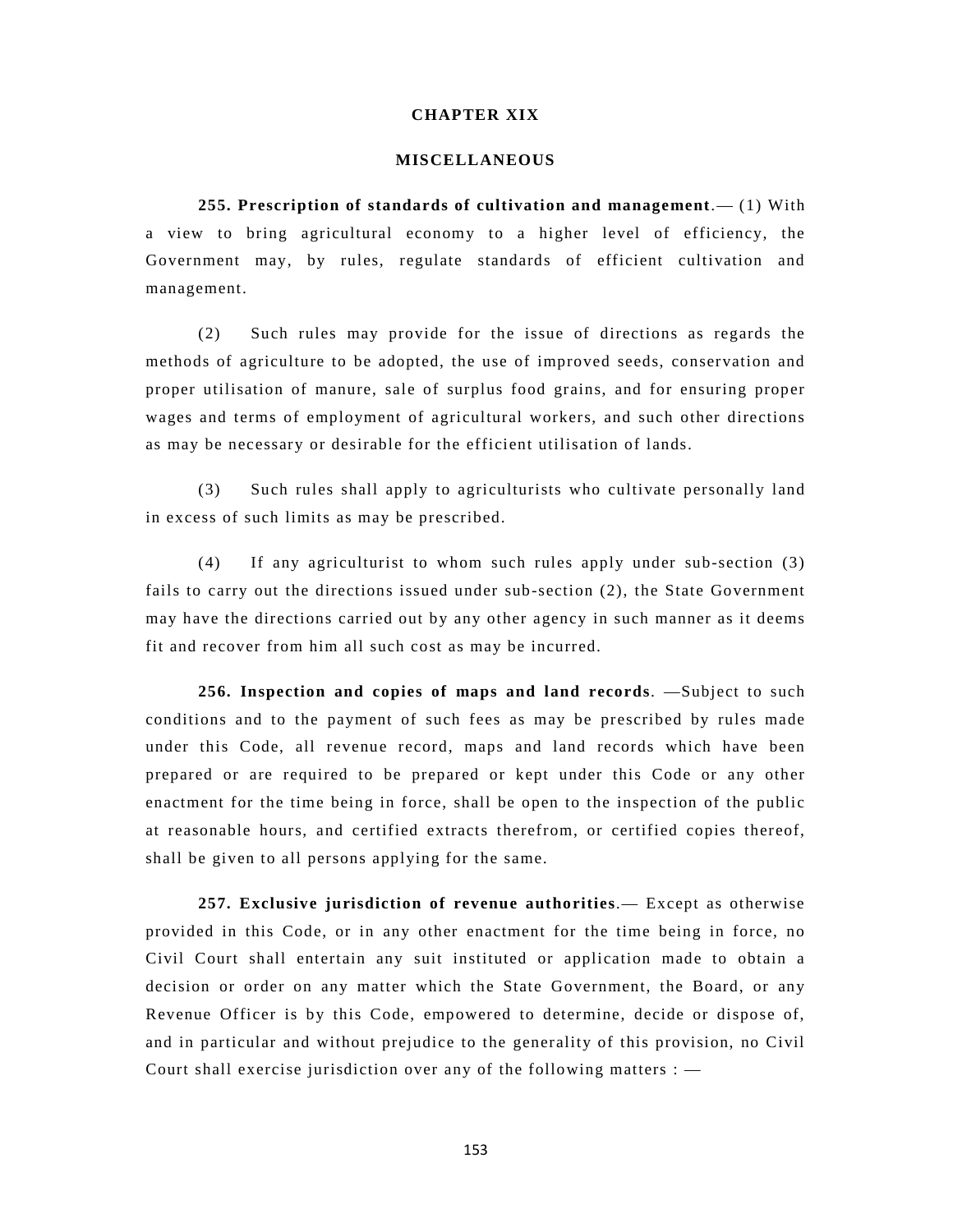#### **CHAPTER XIX**

#### **MISCELLANEOUS**

**255. Prescription of standards of cultivation and management**.— (1) With a view to bring agricultural economy to a higher level of efficiency, the Government may, by rules, regulate standards of efficient cultivation and management.

(2) Such rules may provide for the issue of directions as regards the methods of agriculture to be adopted, the use of improved seeds, conservation and proper utilisation of manure, sale of surplus food grains, and for ensuring proper wages and terms of employment of agricultural workers, and such other directions as may be necessary or desirable for the efficient utilisation of lands.

(3) Such rules shall apply to agriculturists who cultivate personally land in excess of such limits as may be prescribed.

(4) If any agriculturist to whom such rules apply under sub-section (3) fails to carry out the directions issued under sub-section (2), the State Government may have the directions carried out by any other agency in such manner as it deems fit and recover from him all such cost as may be incurred.

**256. Inspection and copies of maps and land records**. —Subject to such conditions and to the payment of such fees as may be prescribed by rules made under this Code, all revenue record, maps and land records which have been prepared or are required to be prepared or kept under this Code or any other enactment for the time being in force, shall be open to the inspection of the public at reasonable hours, and certified extracts therefrom, or certified copies thereof, shall be given to all persons applying for the same.

**257. Exclusive jurisdiction of revenue authorities**.— Except as otherwise provided in this Code, or in any other enactment for the time being in force, no Civil Court shall entertain any suit instituted or application made to obtain a decision or order on any matter which the State Government, the Board, or any Revenue Officer is by this Code, empowered to determine, decide or dispose of, and in particular and without prejudice to the generality of this provision, no Civil Court shall exercise jurisdiction over any of the following matters  $:$   $-$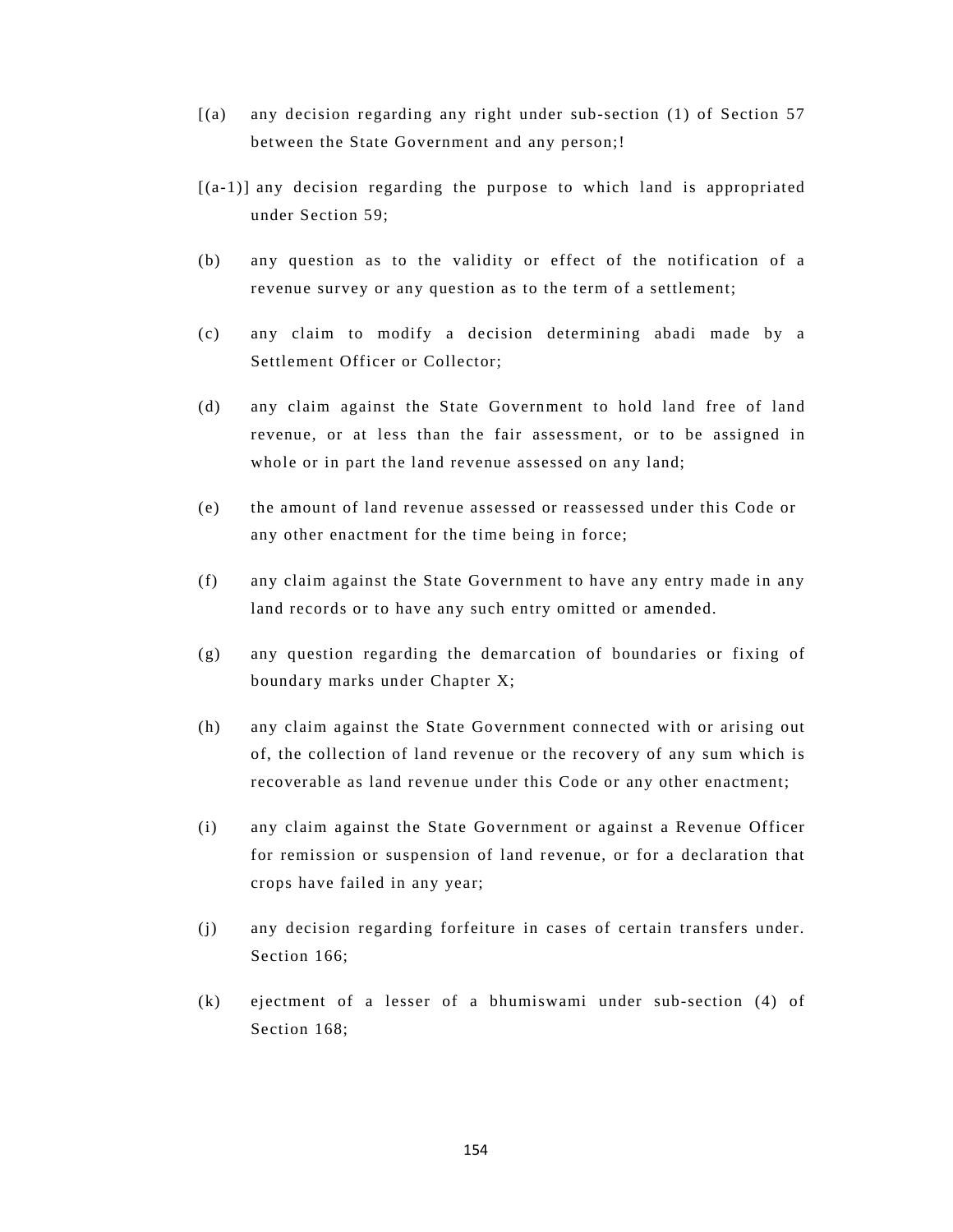- [(a) any decision regarding any right under sub-section (1) of Section 57 between the State Government and any person;!
- $[(a-1)]$  any decision regarding the purpose to which land is appropriated under Section 59;
- (b) any question as to the validity or effect of the notification of a revenue survey or any question as to the term of a settlement;
- (c) any claim to modify a decision determining abadi made by a Settlement Officer or Collector;
- (d) any claim against the State Government to hold land free of land revenue, or at less than the fair assessment, or to be assigned in whole or in part the land revenue assessed on any land;
- (e) the amount of land revenue assessed or reassessed under this Code or any other enactment for the time being in force;
- (f) any claim against the State Government to have any entry made in any land records or to have any such entry omitted or amended.
- (g) any question regarding the demarcation of boundaries or fixing of boundary marks under Chapter X;
- (h) any claim against the State Government connected with or arising out of, the collection of land revenue or the recovery of any sum which is recoverable as land revenue under this Code or any other enactment;
- (i) any claim against the State Government or against a Revenue Officer for remission or suspension of land revenue, or for a declaration that crops have failed in any year;
- (j) any decision regarding forfeiture in cases of certain transfers under. Section 166;
- (k) ejectment of a lesser of a bhumiswami under sub-section (4) of Section 168: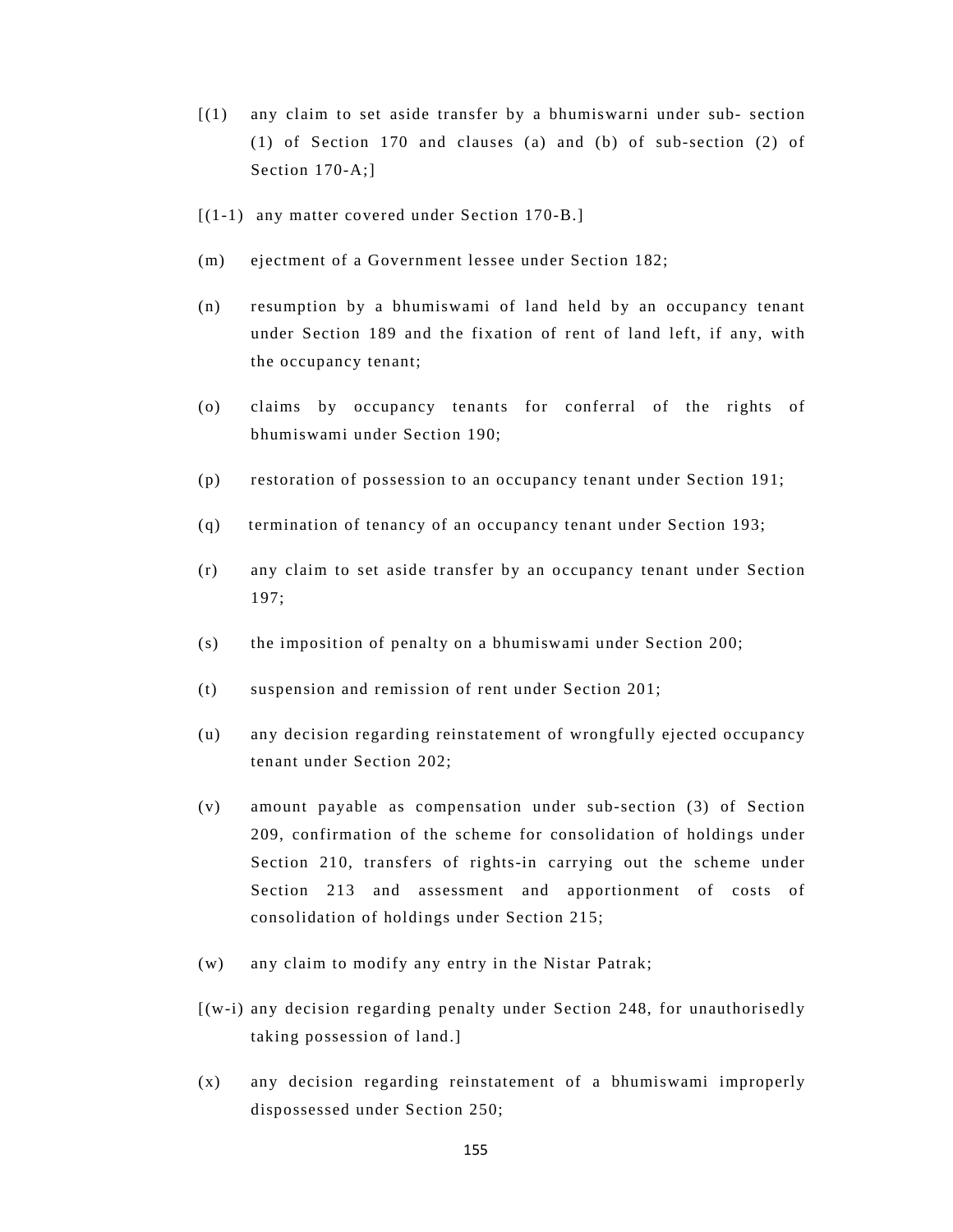- [(1) any claim to set aside transfer by a bhumiswarni under sub- section (1) of Section 170 and clauses (a) and (b) of sub-section (2) of Section 170-A;]
- [(1-1) any matter covered under Section 170-B.]
- (m) ejectment of a Government lessee under Section 182;
- (n) resumption by a bhumiswami of land held by an occupancy tenant under Section 189 and the fixation of rent of land left, if any, with the occupancy tenant;
- (o) claims by occupancy tenants for conferral of the rights of bhumiswami under Section 190;
- (p) restoration of possession to an occupancy tenant under Section 191;
- (q) termination of tenancy of an occupancy tenant under Section 193;
- (r) any claim to set aside transfer by an occupancy tenant under Section 197;
- (s) the imposition of penalty on a bhumiswami under Section 200;
- (t) suspension and remission of rent under Section 201;
- (u) any decision regarding reinstatement of wrongfully ejected occupancy tenant under Section 202;
- (v) amount payable as compensation under sub-section (3) of Section 209, confirmation of the scheme for consolidation of holdings under Section 210, transfers of rights-in carrying out the scheme under Section 213 and assessment and apportionment of costs of consolidation of holdings under Section 215;
- (w) any claim to modify any entry in the Nistar Patrak;
- [(w-i) any decision regarding penalty under Section 248, for unauthorisedly taking possession of land.]
- (x) any decision regarding reinstatement of a bhumiswami improperly dispossessed under Section 250;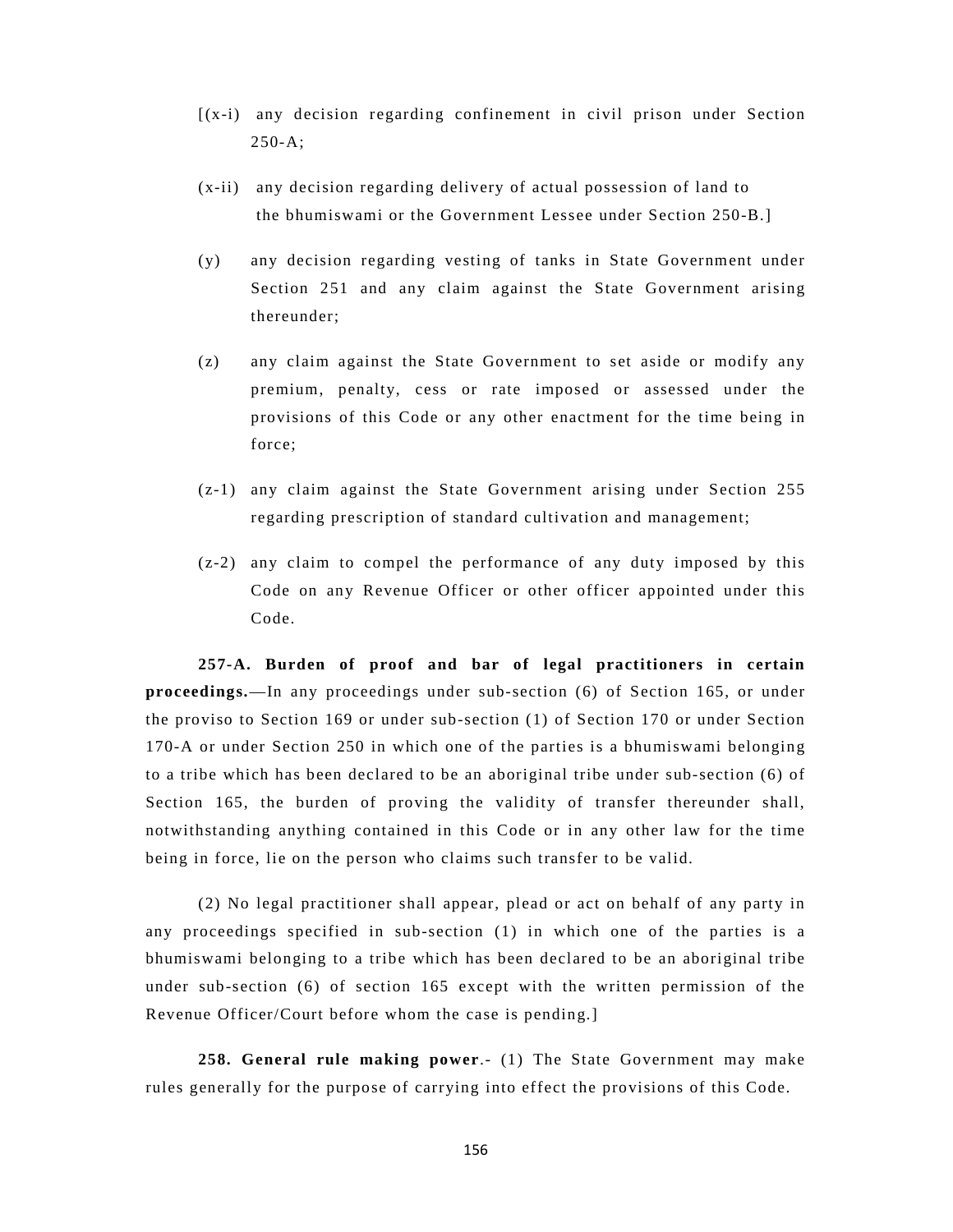- [(x-i) any decision regarding confinement in civil prison under Section 250-A;
- (x-ii) any decision regarding delivery of actual possession of land to the bhumiswami or the Government Lessee under Section 250-B.]
- (y) any decision regarding vesting of tanks in State Government under Section 251 and any claim against the State Government arising thereunder;
- (z) any claim against the State Government to set aside or modify any premium, penalty, cess or rate imposed or assessed under the provisions of this Code or any other enactment for the time being in force;
- (z-1) any claim against the State Government arising under Section 255 regarding prescription of standard cultivation and management;
- (z-2) any claim to compel the performance of any duty imposed by this Code on any Revenue Officer or other officer appointed under this Code.

**257-A. Burden of proof and bar of legal practitioners in certain proceedings.**—In any proceedings under sub-section (6) of Section 165, or under the proviso to Section 169 or under sub-section (1) of Section 170 or under Section 170-A or under Section 250 in which one of the parties is a bhumiswami belonging to a tribe which has been declared to be an aboriginal tribe under sub-section (6) of Section 165, the burden of proving the validity of transfer thereunder shall, notwithstanding anything contained in this Code or in any other law for the time being in force, lie on the person who claims such transfer to be valid.

(2) No legal practitioner shall appear, plead or act on behalf of any party in any proceedings specified in sub-section (1) in which one of the parties is a bhumiswami belonging to a tribe which has been declared to be an aboriginal tribe under sub-section (6) of section 165 except with the written permission of the Revenue Officer/Court before whom the case is pending.]

**258. General rule making power**.- (1) The State Government may make rules generally for the purpose of carrying into effect the provisions of this Code.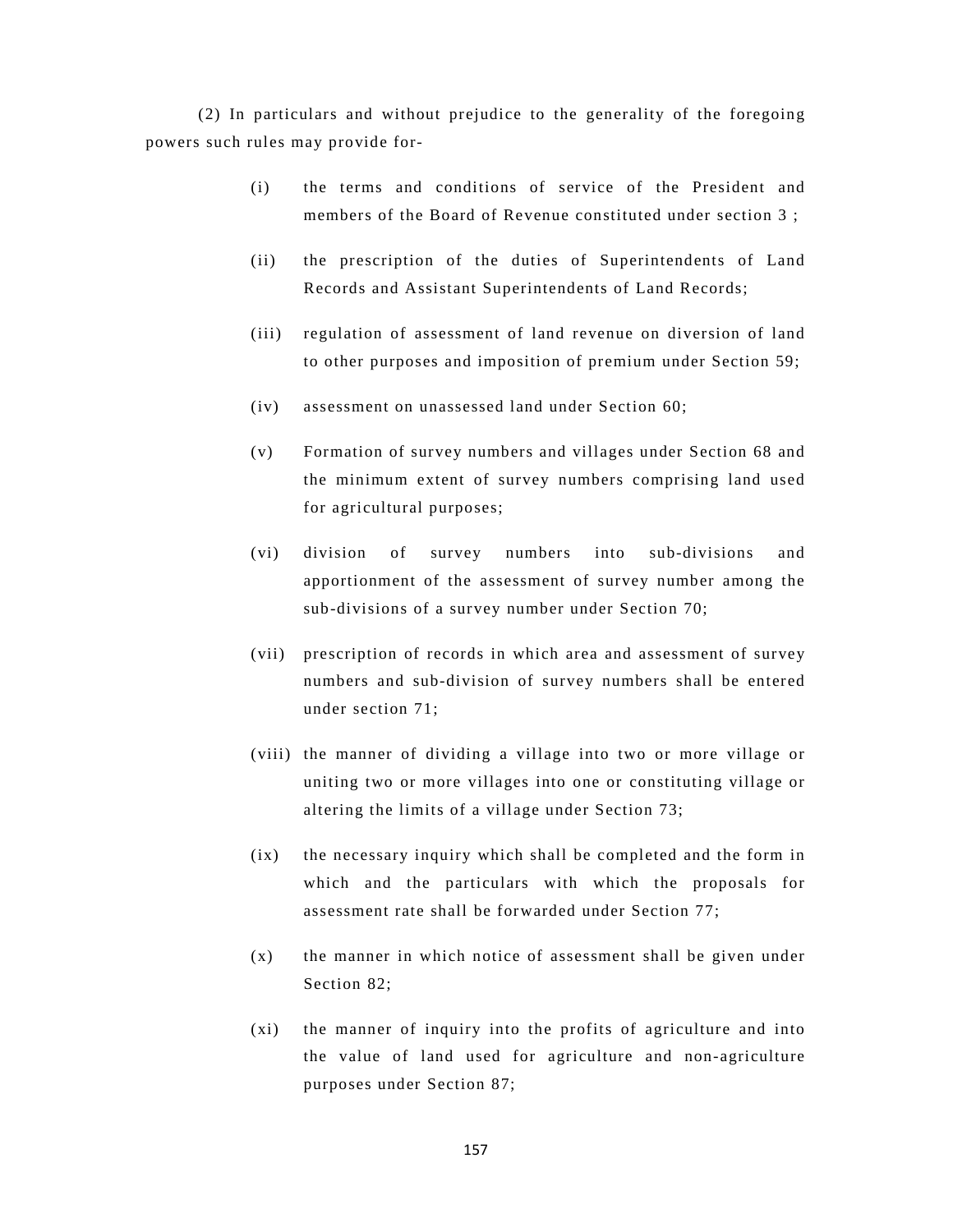(2) In particulars and without prejudice to the generality of the foregoing powers such rules may provide for-

- (i) the terms and conditions of service of the President and members of the Board of Revenue constituted under section 3 ;
- (ii) the prescription of the duties of Superintendents of Land Records and Assistant Superintendents of Land Records;
- (iii) regulation of assessment of land revenue on diversion of land to other purposes and imposition of premium under Section 59;
- (iv) assessment on unassessed land under Section 60;
- (v) Formation of survey numbers and villages under Section 68 and the minimum extent of survey numbers comprising land used for agricultural purposes;
- (vi) division of survey numbers into sub-divisions and apportionment of the assessment of survey number among the sub-divisions of a survey number under Section 70;
- (vii) prescription of records in which area and assessment of survey numbers and sub-division of survey numbers shall be entered under section 71;
- (viii) the manner of dividing a village into two or more village or uniting two or more villages into one or constituting village or altering the limits of a village under Section 73;
- (ix) the necessary inquiry which shall be completed and the form in which and the particulars with which the proposals for assessment rate shall be forwarded under Section 77;
- (x) the manner in which notice of assessment shall be given under Section 82;
- (xi) the manner of inquiry into the profits of agriculture and into the value of land used for agriculture and non-agriculture purposes under Section 87;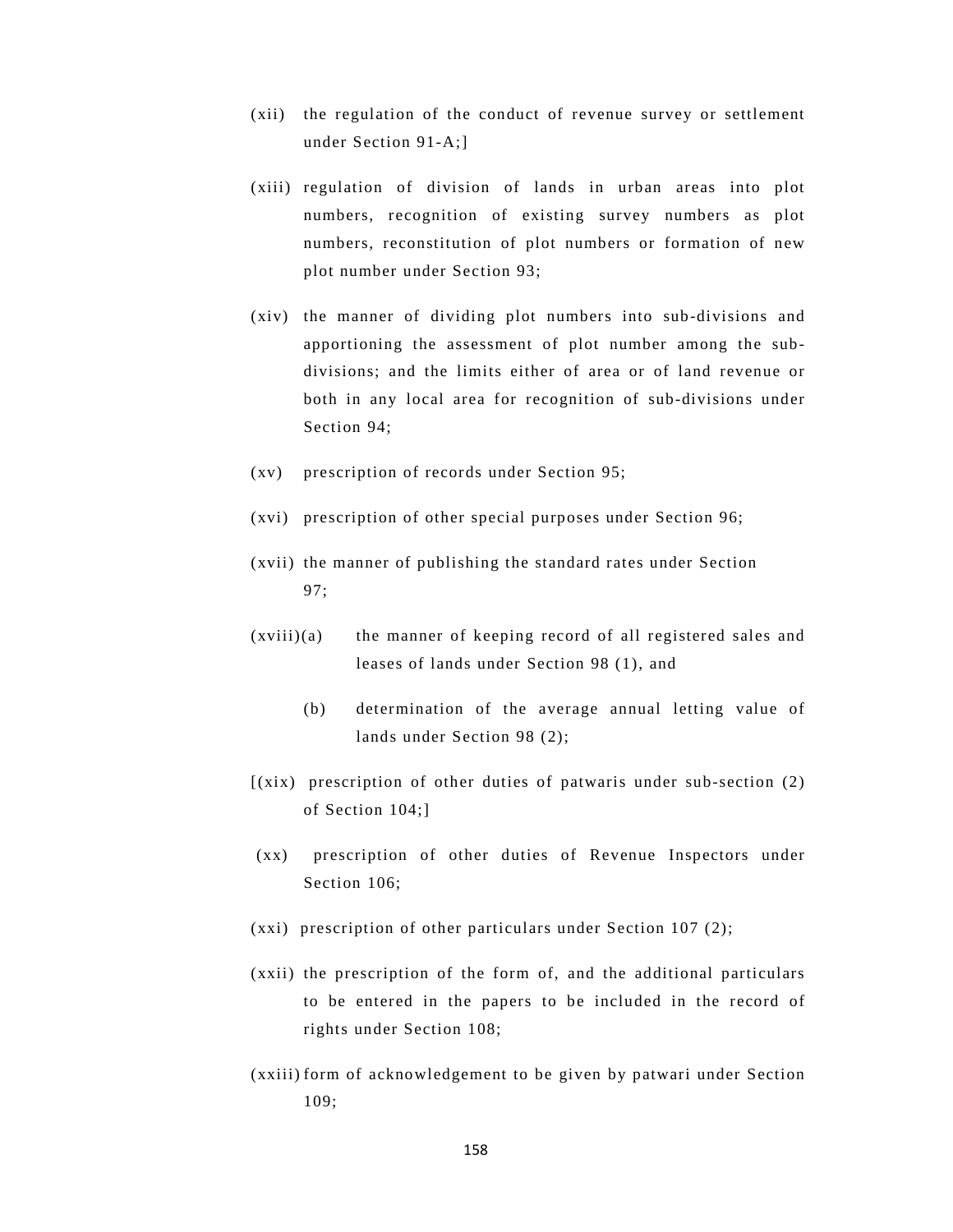- (xii) the regulation of the conduct of revenue survey or settlement under Section 91-A;]
- (xiii) regulation of division of lands in urban areas into plot numbers, recognition of existing survey numbers as plot numbers, reconstitution of plot numbers or formation of new plot number under Section 93;
- (xiv) the manner of dividing plot numbers into sub-divisions and apportioning the assessment of plot number among the subdivisions; and the limits either of area or of land revenue or both in any local area for recognition of sub-divisions under Section 94;
- (xv) prescription of records under Section 95;
- (xvi) prescription of other special purposes under Section 96;
- (xvii) the manner of publishing the standard rates under Section 97;
- (xviii)(a) the manner of keeping record of all registered sales and leases of lands under Section 98 (1), and
	- (b) determination of the average annual letting value of lands under Section 98 (2);
- [(xix) prescription of other duties of patwaris under sub-section (2) of Section 104;]
- (xx) prescription of other duties of Revenue Inspectors under Section 106;
- (xxi) prescription of other particulars under Section 107 (2);
- (xxii) the prescription of the form of, and the additional particulars to be entered in the papers to be included in the record of rights under Section 108;
- (xxiii) form of acknowledgement to be given by patwari under Section 109;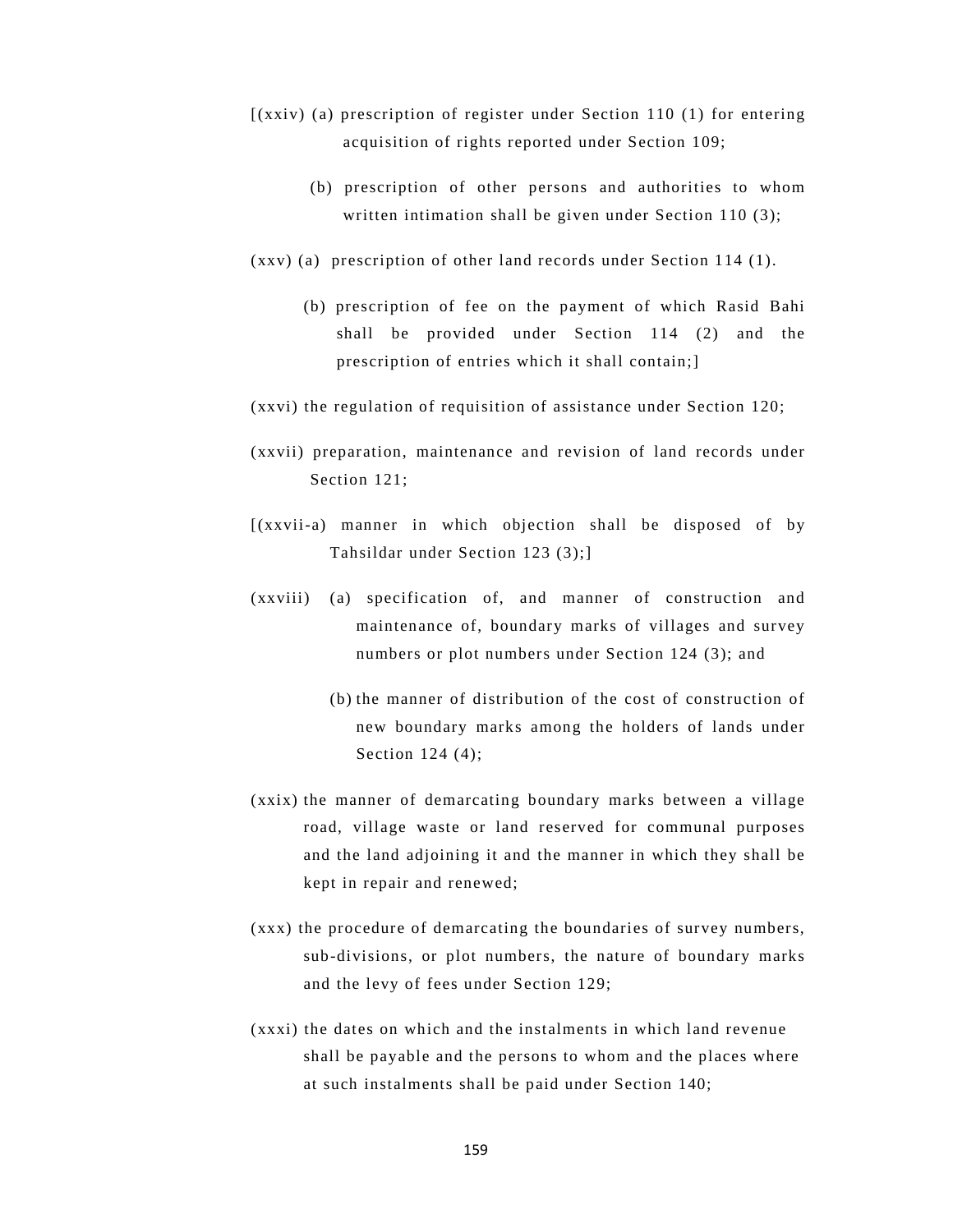- [(xxiv) (a) prescription of register under Section 110 (1) for entering acquisition of rights reported under Section 109;
	- (b) prescription of other persons and authorities to whom written intimation shall be given under Section 110 (3);
- (xxv) (a) prescription of other land records under Section 114 (1).
	- (b) prescription of fee on the payment of which Rasid Bahi shall be provided under Section 114 (2) and the prescription of entries which it shall contain;]
- (xxvi) the regulation of requisition of assistance under Section 120;
- (xxvii) preparation, maintenance and revision of land records under Section 121;
- [(xxvii-a) manner in which objection shall be disposed of by Tahsildar under Section 123 (3);]
- (xxviii) (a) specification of, and manner of construction and maintenance of, boundary marks of villages and survey numbers or plot numbers under Section 124 (3); and
	- (b) the manner of distribution of the cost of construction of new boundary marks among the holders of lands under Section 124 (4);
- (xxix) the manner of demarcating boundary marks between a village road, village waste or land reserved for communal purposes and the land adjoining it and the manner in which they shall be kept in repair and renewed;
- (xxx) the procedure of demarcating the boundaries of survey numbers, sub-divisions, or plot numbers, the nature of boundary marks and the levy of fees under Section 129;
- (xxxi) the dates on which and the instalments in which land revenue shall be payable and the persons to whom and the places where at such instalments shall be paid under Section 140;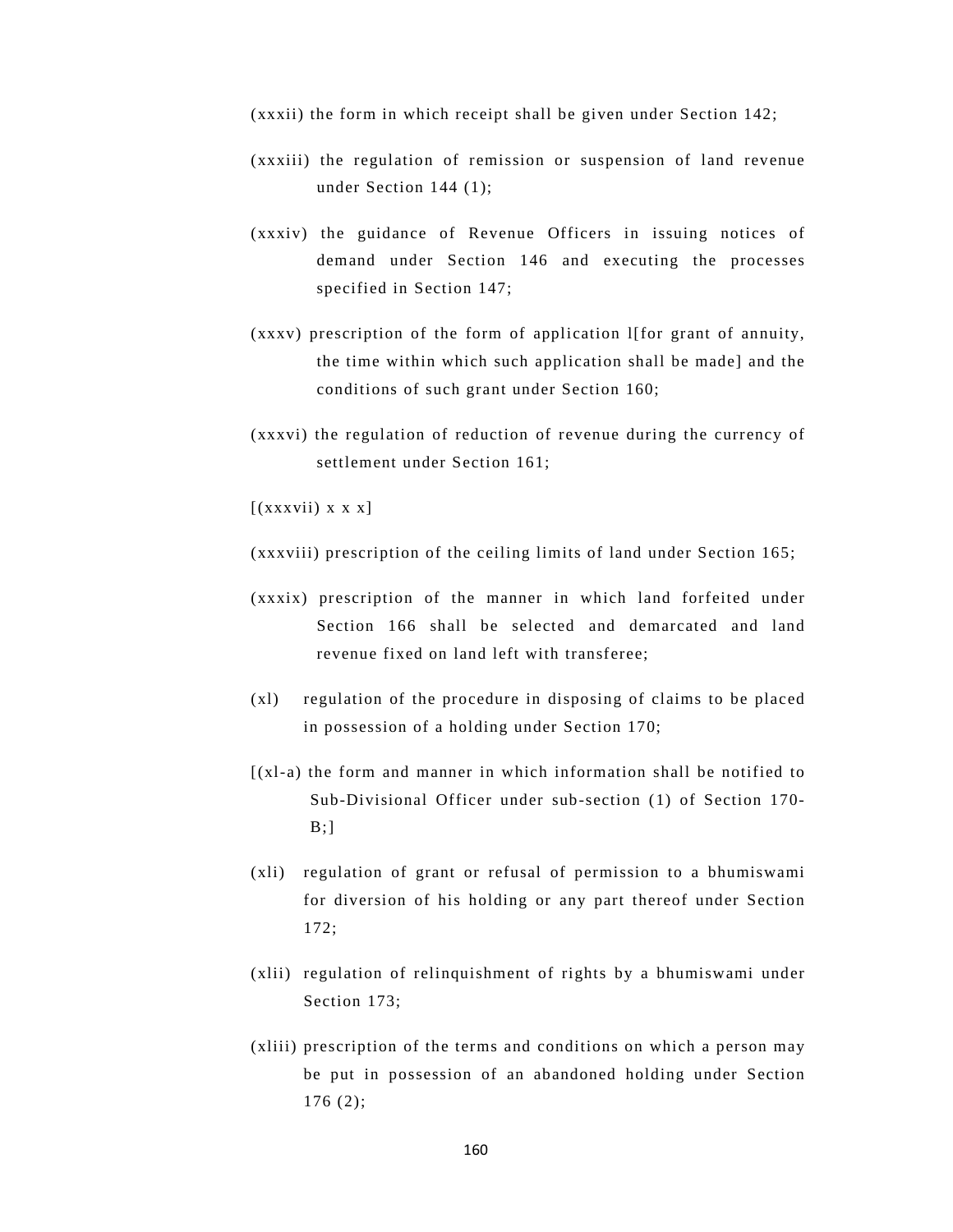(xxxii) the form in which receipt shall be given under Section 142;

- (xxxiii) the regulation of remission or suspension of land revenue under Section 144 (1);
- (xxxiv) the guidance of Revenue Officers in issuing notices of demand under Section 146 and executing the processes specified in Section 147;
- (xxxv) prescription of the form of application l[for grant of annuity, the time within which such application shall be made] and the conditions of such grant under Section 160;
- (xxxvi) the regulation of reduction of revenue during the currency of settlement under Section 161;

 $[(xxxvii) \times x]$ 

(xxxviii) prescription of the ceiling limits of land under Section 165;

- (xxxix) prescription of the manner in which land forfeited under Section 166 shall be selected and demarcated and land revenue fixed on land left with transferee;
- (xl) regulation of the procedure in disposing of claims to be placed in possession of a holding under Section 170;
- $(xl-a)$  the form and manner in which information shall be notified to Sub-Divisional Officer under sub-section (1) of Section 170-  $B$ ;]
- (xli) regulation of grant or refusal of permission to a bhumiswami for diversion of his holding or any part thereof under Section 172;
- (xlii) regulation of relinquishment of rights by a bhumiswami under Section 173;
- (xliii) prescription of the terms and conditions on which a person may be put in possession of an abandoned holding under Section 176 (2);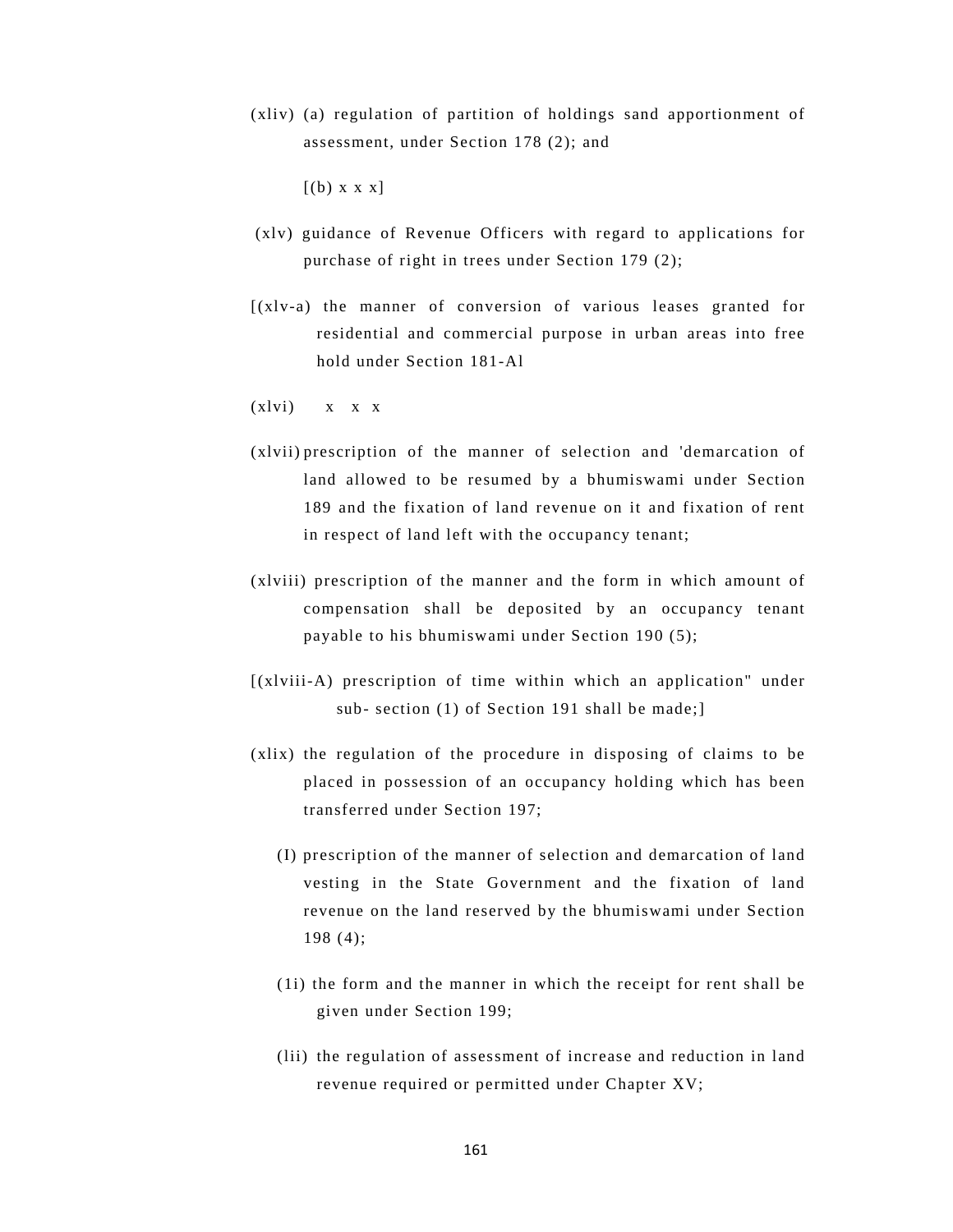(xliv) (a) regulation of partition of holdings sand apportionment of assessment, under Section 178 (2); and

 $[(b) \times x \times x]$ 

- (xlv) guidance of Revenue Officers with regard to applications for purchase of right in trees under Section 179 (2);
- [(xlv-a) the manner of conversion of various leases granted for residential and commercial purpose in urban areas into free hold under Section 181-Al
- $(x1vi)$   $x \times x$
- (xlvii) prescription of the manner of selection and 'demarcation of land allowed to be resumed by a bhumiswami under Section 189 and the fixation of land revenue on it and fixation of rent in respect of land left with the occupancy tenant;
- (xlviii) prescription of the manner and the form in which amount of compensation shall be deposited by an occupancy tenant payable to his bhumiswami under Section 190 (5);
- [(xlviii-A) prescription of time within which an application" under sub- section (1) of Section 191 shall be made;]
- (xlix) the regulation of the procedure in disposing of claims to be placed in possession of an occupancy holding which has been transferred under Section 197;
	- (I) prescription of the manner of selection and demarcation of land vesting in the State Government and the fixation of land revenue on the land reserved by the bhumiswami under Section 198 (4);
	- (1i) the form and the manner in which the receipt for rent shall be given under Section 199;
	- (lii) the regulation of assessment of increase and reduction in land revenue required or permitted under Chapter XV;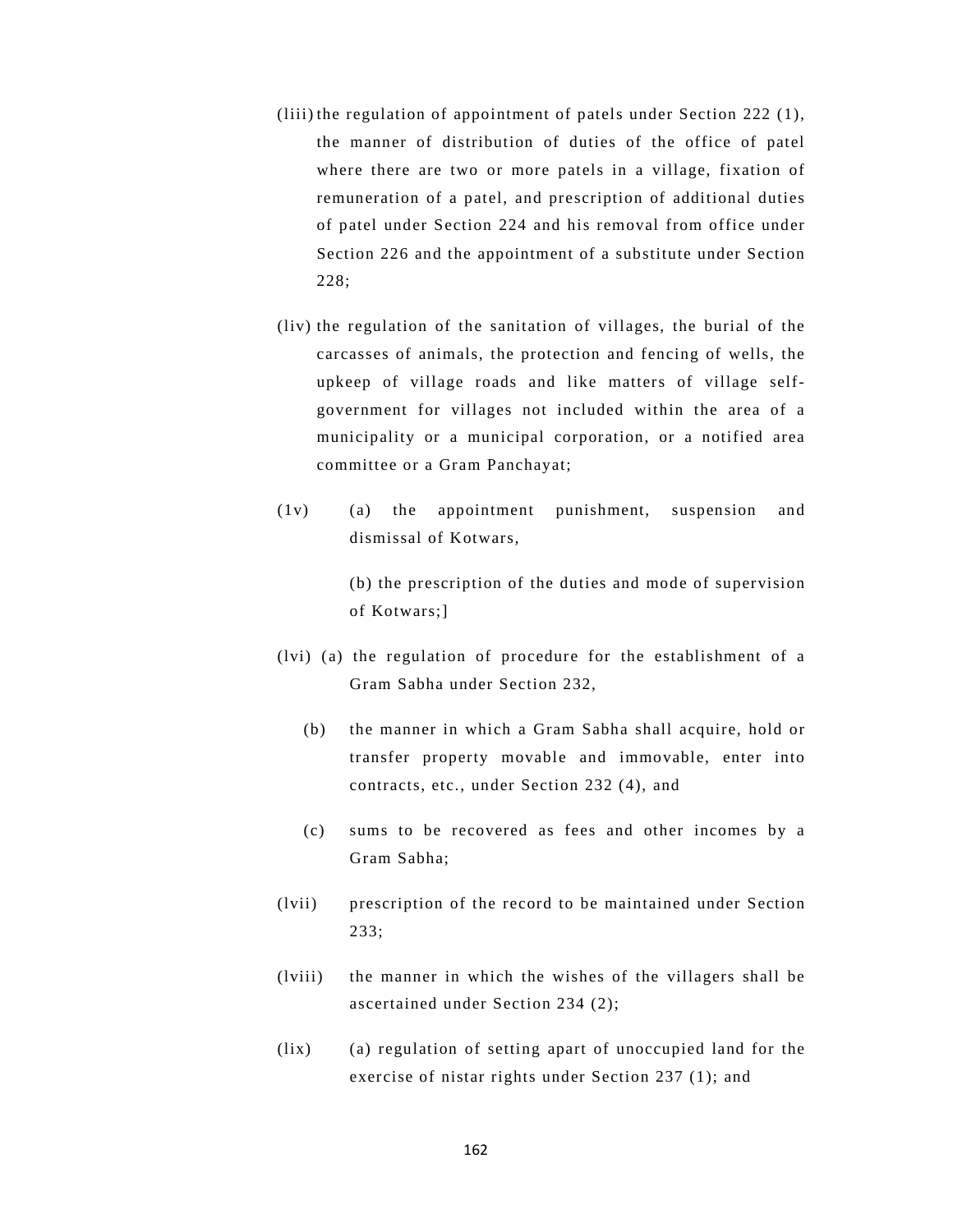- (liii) the regulation of appointment of patels under Section 222 (1), the manner of distribution of duties of the office of patel where there are two or more patels in a village, fixation of remuneration of a patel, and prescription of additional duties of patel under Section 224 and his removal from office under Section 226 and the appointment of a substitute under Section 228;
- (liv) the regulation of the sanitation of villages, the burial of the carcasses of animals, the protection and fencing of wells, the upkeep of village roads and like matters of village selfgovernment for villages not included within the area of a municipality or a municipal corporation, or a notified area committee or a Gram Panchayat;
- (1v) (a) the appointment punishment, suspension and dismissal of Kotwars,

 (b) the prescription of the duties and mode of supervision of Kotwars;]

- (lvi) (a) the regulation of procedure for the establishment of a Gram Sabha under Section 232,
	- (b) the manner in which a Gram Sabha shall acquire, hold or transfer property movable and immovable, enter into contracts, etc., under Section 232 (4), and
	- (c) sums to be recovered as fees and other incomes by a Gram Sabha;
- (lvii) prescription of the record to be maintained under Section 233;
- (lviii) the manner in which the wishes of the villagers shall be ascertained under Section 234 (2);
- (lix) (a) regulation of setting apart of unoccupied land for the exercise of nistar rights under Section 237 (1); and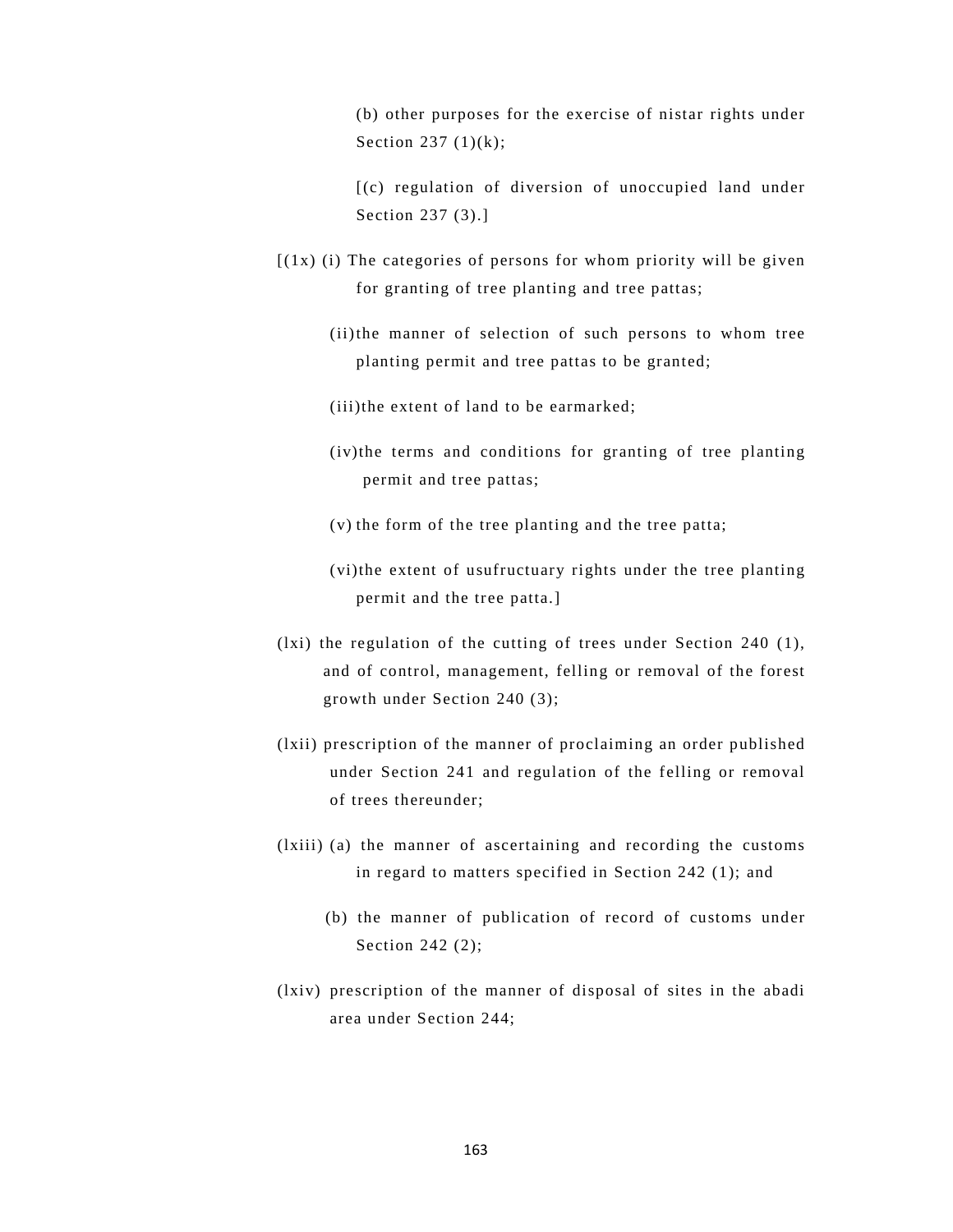(b) other purposes for the exercise of nistar rights under Section 237  $(1)(k)$ ;

[(c) regulation of diversion of unoccupied land under Section 237 (3).]

- $[(1x)$  (i) The categories of persons for whom priority will be given for granting of tree planting and tree pattas;
	- (ii) the manner of selection of such persons to whom tree planting permit and tree pattas to be granted;
	- (iii)the extent of land to be earmarked;
	- (iv)the terms and conditions for granting of tree planting permit and tree pattas;
	- (v) the form of the tree planting and the tree patta;
	- (vi)the extent of usufructuary rights under the tree planting permit and the tree patta.]
- (lxi) the regulation of the cutting of trees under Section 240 (1), and of control, management, felling or removal of the forest growth under Section 240 (3);
- (lxii) prescription of the manner of proclaiming an order published under Section 241 and regulation of the felling or removal of trees thereunder;
- (lxiii) (a) the manner of ascertaining and recording the customs in regard to matters specified in Section 242 (1); and
	- (b) the manner of publication of record of customs under Section 242 (2);
- (lxiv) prescription of the manner of disposal of sites in the abadi area under Section 244;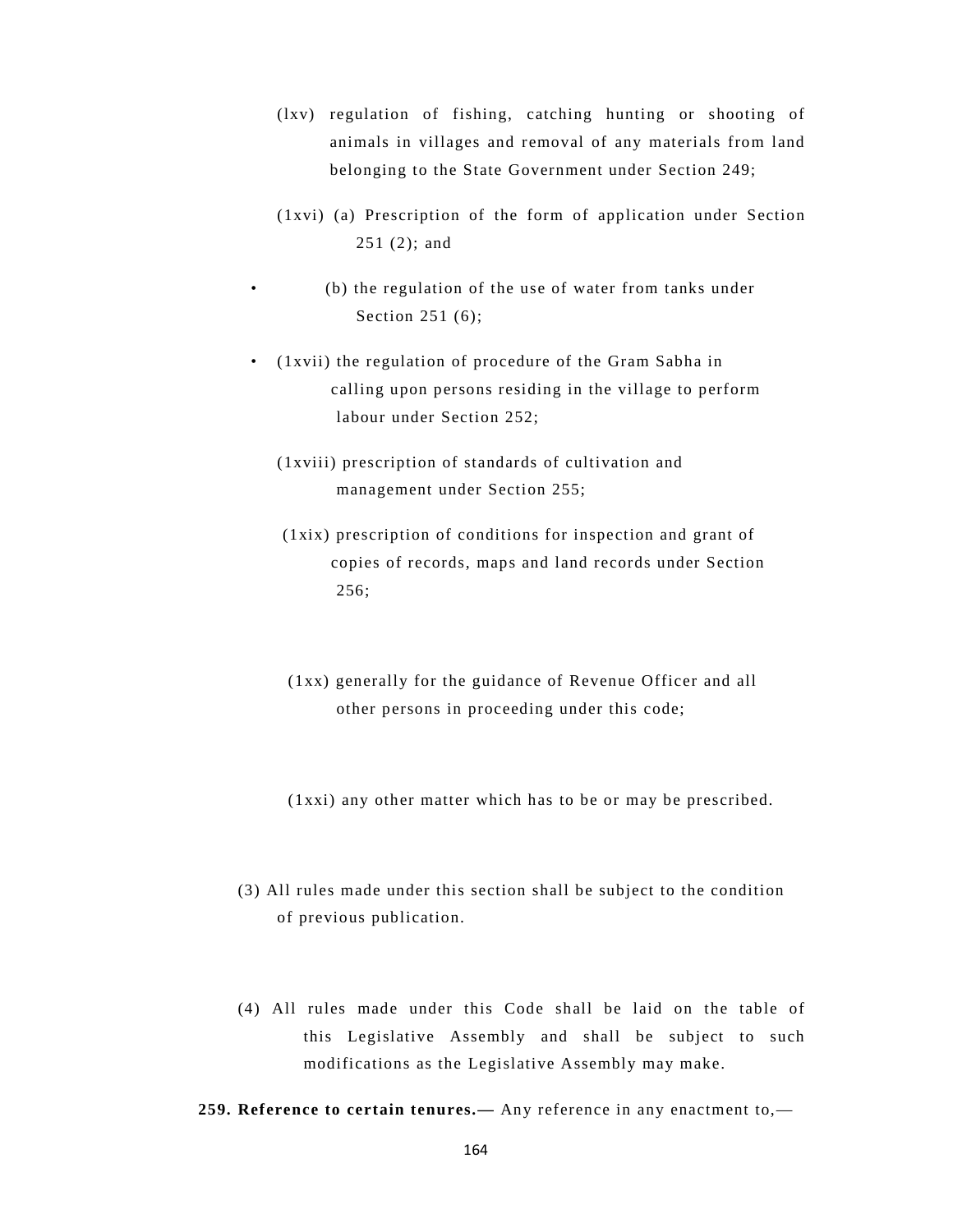- (lxv) regulation of fishing, catching hunting or shooting of animals in villages and removal of any materials from land belonging to the State Government under Section 249;
- (1xvi) (a) Prescription of the form of application under Section 251 (2); and
	- (b) the regulation of the use of water from tanks under Section 251 (6);
- (1xvii) the regulation of procedure of the Gram Sabha in calling upon persons residing in the village to perform labour under Section 252;
	- (1xviii) prescription of standards of cultivation and management under Section 255;
	- (1xix) prescription of conditions for inspection and grant of copies of records, maps and land records under Section 256;
	- (1xx) generally for the guidance of Revenue Officer and all other persons in proceeding under this code;
	- (1xxi) any other matter which has to be or may be prescribed.
- (3) All rules made under this section shall be subject to the condition of previous publication.
- (4) All rules made under this Code shall be laid on the table of this Legislative Assembly and shall be subject to such modifications as the Legislative Assembly may make.
- **259. Reference to certain tenures.—** Any reference in any enactment to,—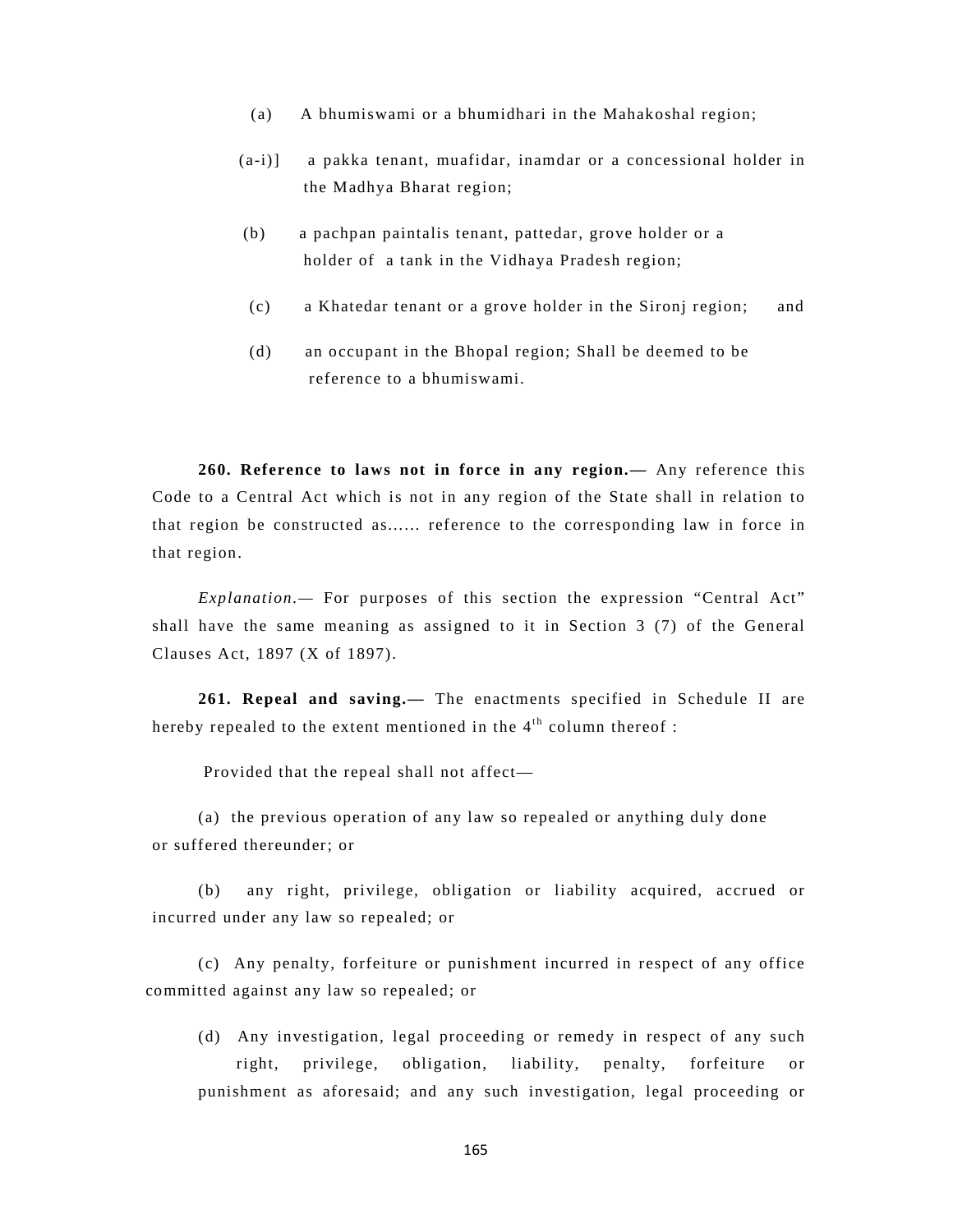- (a) A bhumiswami or a bhumidhari in the Mahakoshal region;
- (a-i)] a pakka tenant, muafidar, inamdar or a concessional holder in the Madhya Bharat region;
- (b) a pachpan paintalis tenant, pattedar, grove holder or a holder of a tank in the Vidhaya Pradesh region;
- (c) a Khatedar tenant or a grove holder in the Sironj region; and
- (d) an occupant in the Bhopal region; Shall be deemed to be reference to a bhumiswami.

**260. Reference to laws not in force in any region.—** Any reference this Code to a Central Act which is not in any region of the State shall in relation to that region be constructed as...... reference to the corresponding law in force in that region.

*Explanation.—* For purposes of this section the expression "Central Act" shall have the same meaning as assigned to it in Section 3 (7) of the General Clauses Act, 1897 (X of 1897).

**261. Repeal and saving.—** The enactments specified in Schedule II are hereby repealed to the extent mentioned in the  $4<sup>th</sup>$  column thereof :

Provided that the repeal shall not affect—

(a) the previous operation of any law so repealed or anything duly done or suffered thereunder; or

(b) any right, privilege, obligation or liability acquired, accrued or incurred under any law so repealed; or

(c) Any penalty, forfeiture or punishment incurred in respect of any office committed against any law so repealed; or

(d) Any investigation, legal proceeding or remedy in respect of any such right, privilege, obligation, liability, penalty, forfeiture or punishment as aforesaid; and any such investigation, legal proceeding or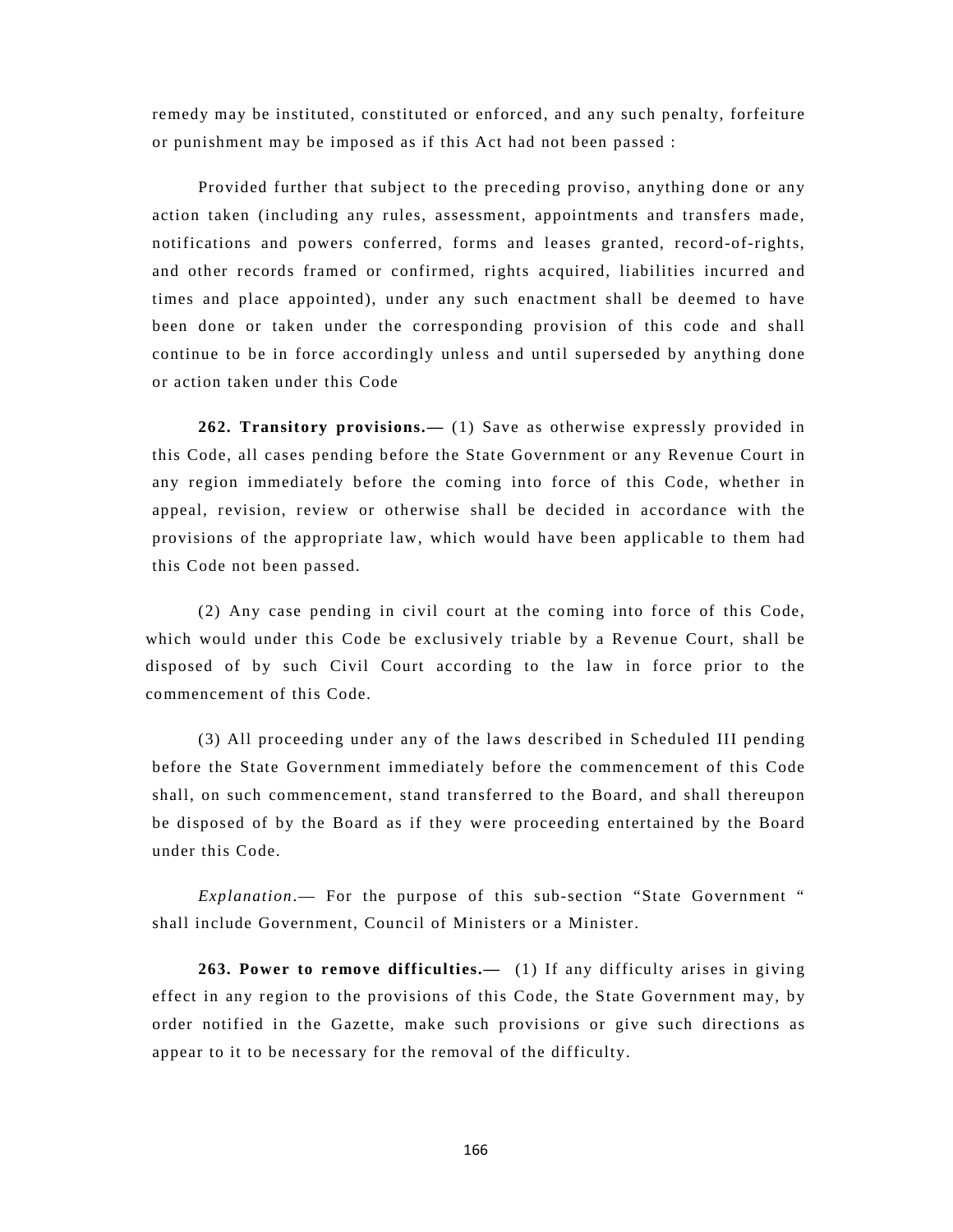remedy may be instituted, constituted or enforced, and any such penalty, forfeiture or punishment may be imposed as if this Act had not been passed :

Provided further that subject to the preceding proviso, anything done or any action taken (including any rules, assessment, appointments and transfers made, notifications and powers conferred, forms and leases granted, record-of-rights, and other records framed or confirmed, rights acquired, liabilities incurred and times and place appointed), under any such enactment shall be deemed to have been done or taken under the corresponding provision of this code and shall continue to be in force accordingly unless and until superseded by anything done or action taken under this Code

**262. Transitory provisions.—** (1) Save as otherwise expressly provided in this Code, all cases pending before the State Government or any Revenue Court in any region immediately before the coming into force of this Code, whether in appeal, revision, review or otherwise shall be decided in accordance with the provisions of the appropriate law, which would have been applicable to them had this Code not been passed.

 (2) Any case pending in civil court at the coming into force of this Code, which would under this Code be exclusively triable by a Revenue Court, shall be disposed of by such Civil Court according to the law in force prior to the commencement of this Code.

(3) All proceeding under any of the laws described in Scheduled III pending before the State Government immediately before the commencement of this Code shall, on such commencement, stand transferred to the Board, and shall thereupon be disposed of by the Board as if they were proceeding entertained by the Board under this Code.

*Explanation*.— For the purpose of this sub-section "State Government " shall include Government, Council of Ministers or a Minister.

**263. Power to remove difficulties.—** (1) If any difficulty arises in giving effect in any region to the provisions of this Code, the State Government may, by order notified in the Gazette, make such provisions or give such directions as appear to it to be necessary for the removal of the difficulty.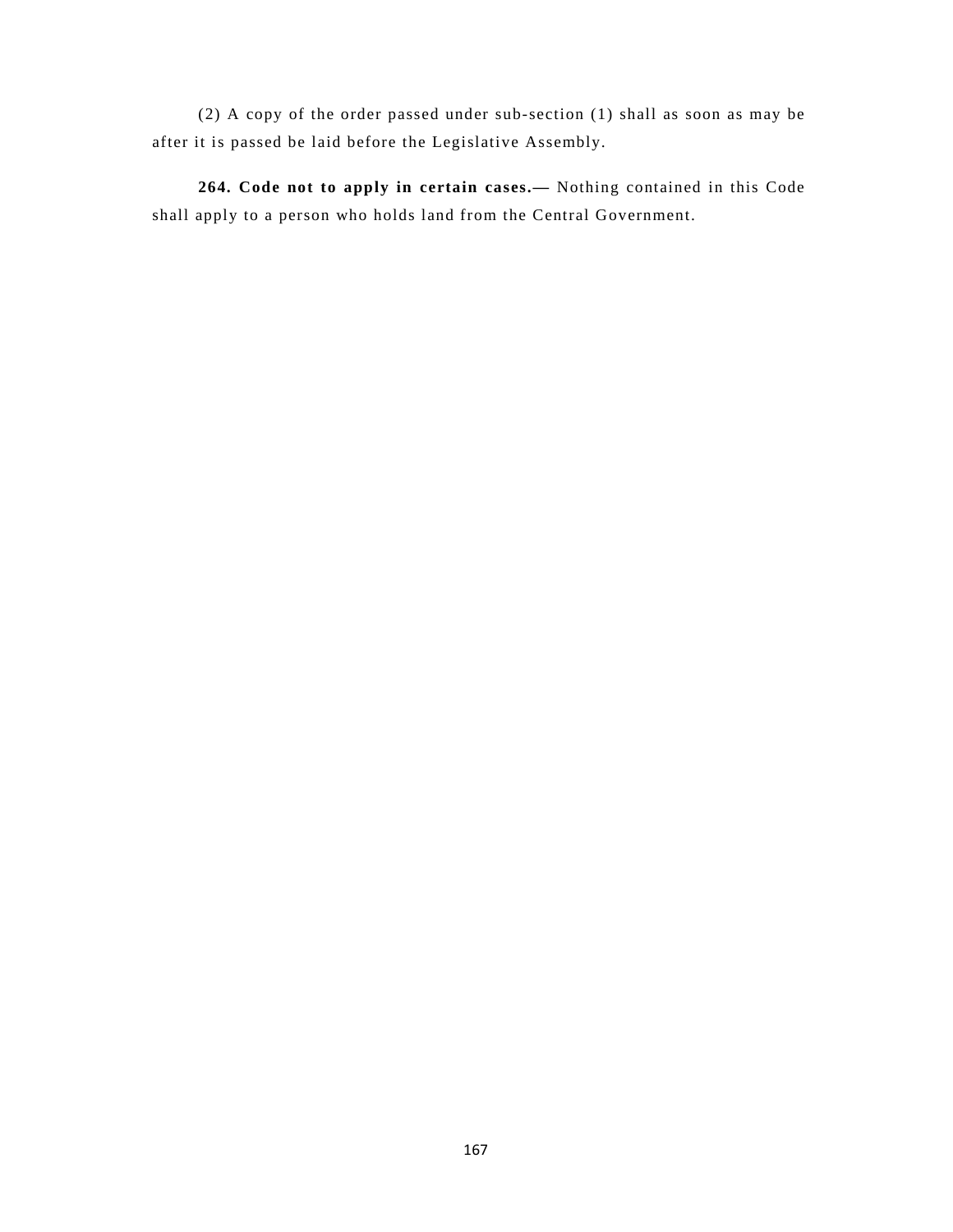(2) A copy of the order passed under sub-section (1) shall as soon as may be after it is passed be laid before the Legislative Assembly.

**264. Code not to apply in certain cases.—** Nothing contained in this Code shall apply to a person who holds land from the Central Government.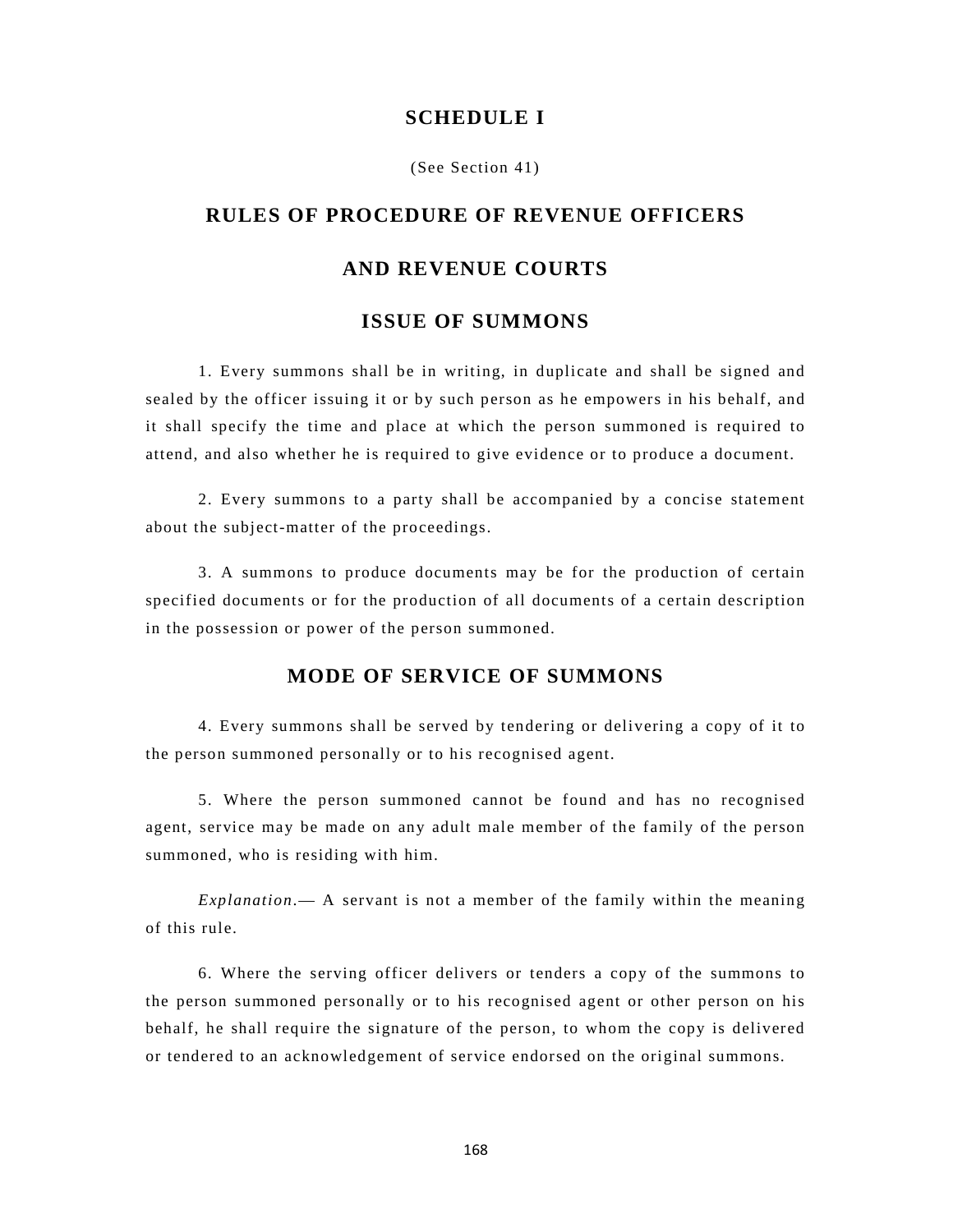#### **SCHEDULE I**

(See Section 41)

# **RULES OF PROCEDURE OF REVENUE OFFICERS**

### **AND REVENUE COURTS**

### **ISSUE OF SUMMONS**

1. Every summons shall be in writing, in duplicate and shall be signed and sealed by the officer issuing it or by such person as he empowers in his behalf, and it shall specify the time and place at which the person summoned is required to attend, and also whether he is required to give evidence or to produce a document.

2. Every summons to a party shall be accompanied by a concise statement about the subject-matter of the proceedings.

3. A summons to produce documents may be for the production of certain specified documents or for the production of all documents of a certain description in the possession or power of the person summoned.

## **MODE OF SERVICE OF SUMMONS**

4. Every summons shall be served by tendering or delivering a copy of it to the person summoned personally or to his recognised agent.

5. Where the person summoned cannot be found and has no recognised agent, service may be made on any adult male member of the family of the person summoned, who is residing with him.

*Explanation*.— A servant is not a member of the family within the meaning of this rule.

6. Where the serving officer delivers or tenders a copy of the summons to the person summoned personally or to his recognised agent or other person on his behalf, he shall require the signature of the person, to whom the copy is delivered or tendered to an acknowledgement of service endorsed on the original summons.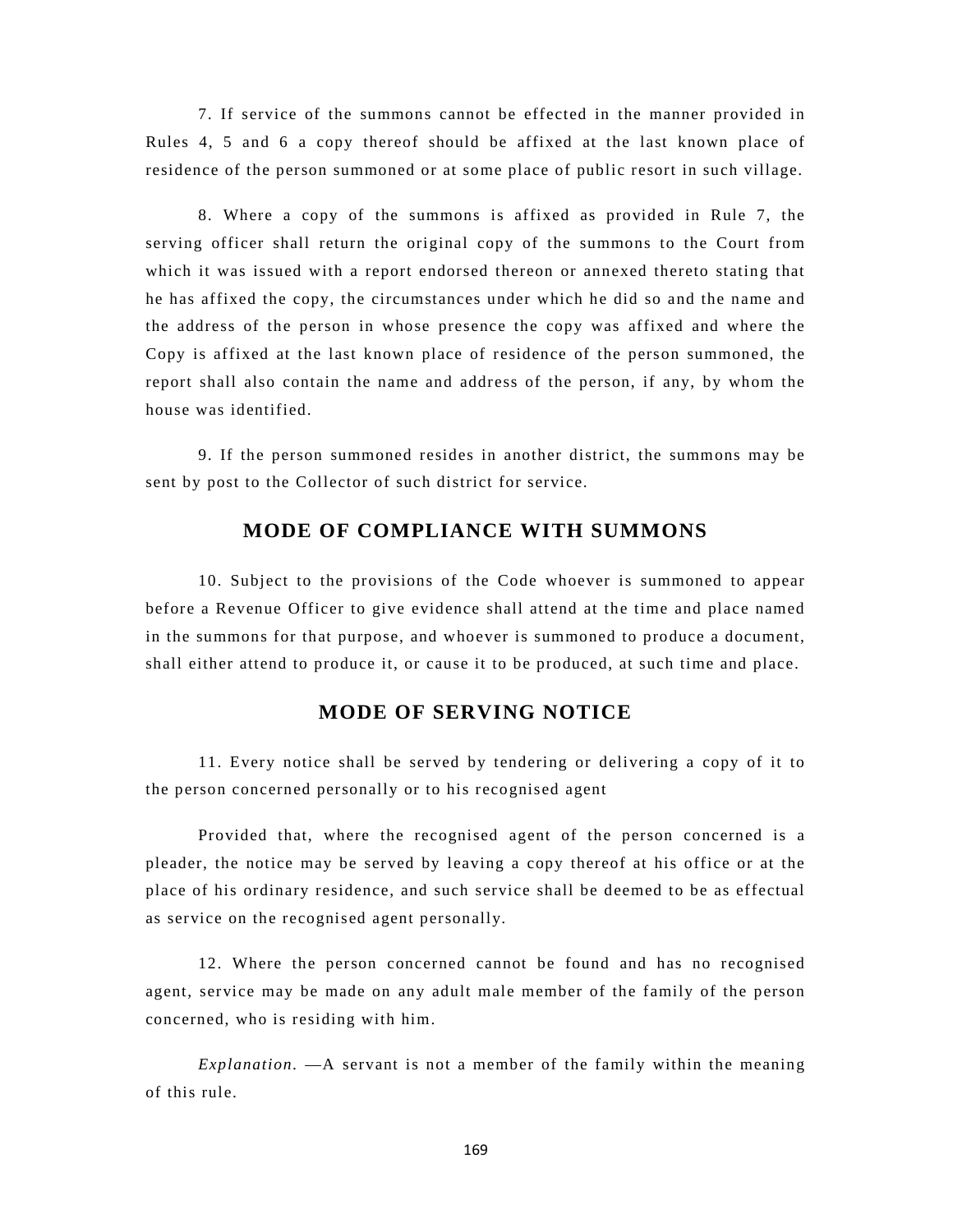7. If service of the summons cannot be effected in the manner provided in Rules 4, 5 and 6 a copy thereof should be affixed at the last known place of residence of the person summoned or at some place of public resort in such village.

8. Where a copy of the summons is affixed as provided in Rule 7, the serving officer shall return the original copy of the summons to the Court from which it was issued with a report endorsed thereon or annexed thereto stating that he has affixed the copy, the circumstances under which he did so and the name and the address of the person in whose presence the copy was affixed and where the Copy is affixed at the last known place of residence of the person summoned, the report shall also contain the name and address of the person, if any, by whom the house was identified.

9. If the person summoned resides in another district, the summons may be sent by post to the Collector of such district for service.

### **MODE OF COMPLIANCE WITH SUMMONS**

10. Subject to the provisions of the Code whoever is summoned to appear before a Revenue Officer to give evidence shall attend at the time and place named in the summons for that purpose, and whoever is summoned to produce a document, shall either attend to produce it, or cause it to be produced, at such time and place.

### **MODE OF SERVING NOTICE**

11. Every notice shall be served by tendering or delivering a copy of it to the person concerned personally or to his recognised agent

Provided that, where the recognised agent of the person concerned is a pleader, the notice may be served by leaving a copy thereof at his office or at the place of his ordinary residence, and such service shall be deemed to be as effectual as service on the recognised agent personally.

12. Where the person concerned cannot be found and has no recognised agent, service may be made on any adult male member of the family of the person concerned, who is residing with him.

*Explanation.* —A servant is not a member of the family within the meaning of this rule.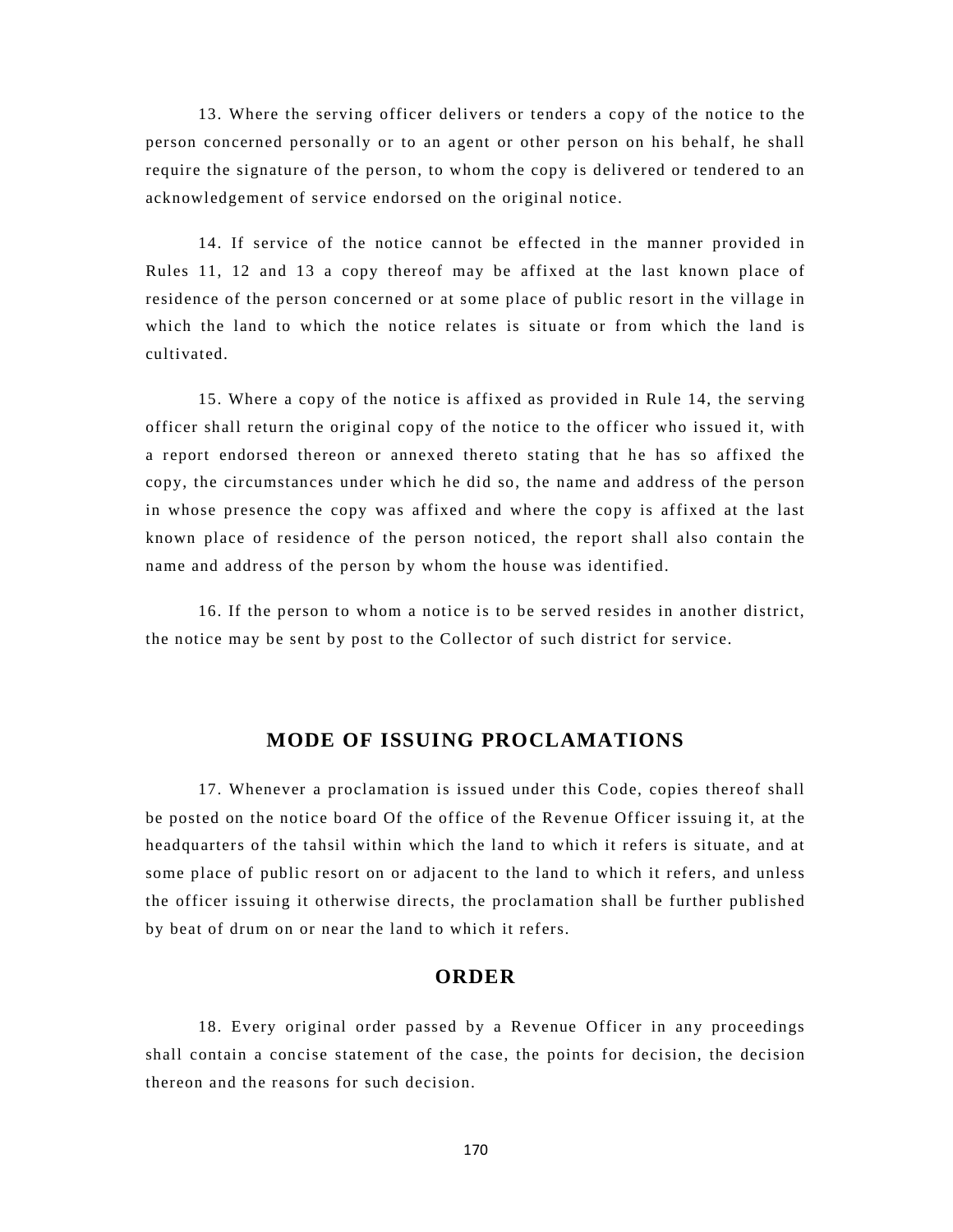13. Where the serving officer delivers or tenders a copy of the notice to the person concerned personally or to an agent or other person on his behalf, he shall require the signature of the person, to whom the copy is delivered or tendered to an acknowledgement of service endorsed on the original notice.

14. If service of the notice cannot be effected in the manner provided in Rules 11, 12 and 13 a copy thereof may be affixed at the last known place of residence of the person concerned or at some place of public resort in the village in which the land to which the notice relates is situate or from which the land is cultivated.

15. Where a copy of the notice is affixed as provided in Rule 14, the serving officer shall return the original copy of the notice to the officer who issued it, with a report endorsed thereon or annexed thereto stating that he has so affixed the copy, the circumstances under which he did so, the name and address of the person in whose presence the copy was affixed and where the copy is affixed at the last known place of residence of the person noticed, the report shall also contain the name and address of the person by whom the house was identified.

16. If the person to whom a notice is to be served resides in another district, the notice may be sent by post to the Collector of such district for service.

#### **MODE OF ISSUING PROCLAMATIONS**

17. Whenever a proclamation is issued under this Code, copies thereof shall be posted on the notice board Of the office of the Revenue Officer issuing it, at the headquarters of the tahsil within which the land to which it refers is situate, and at some place of public resort on or adjacent to the land to which it refers, and unless the officer issuing it otherwise directs, the proclamation shall be further published by beat of drum on or near the land to which it refers.

### **ORDER**

18. Every original order passed by a Revenue Officer in any proceedings shall contain a concise statement of the case, the points for decision, the decision thereon and the reasons for such decision.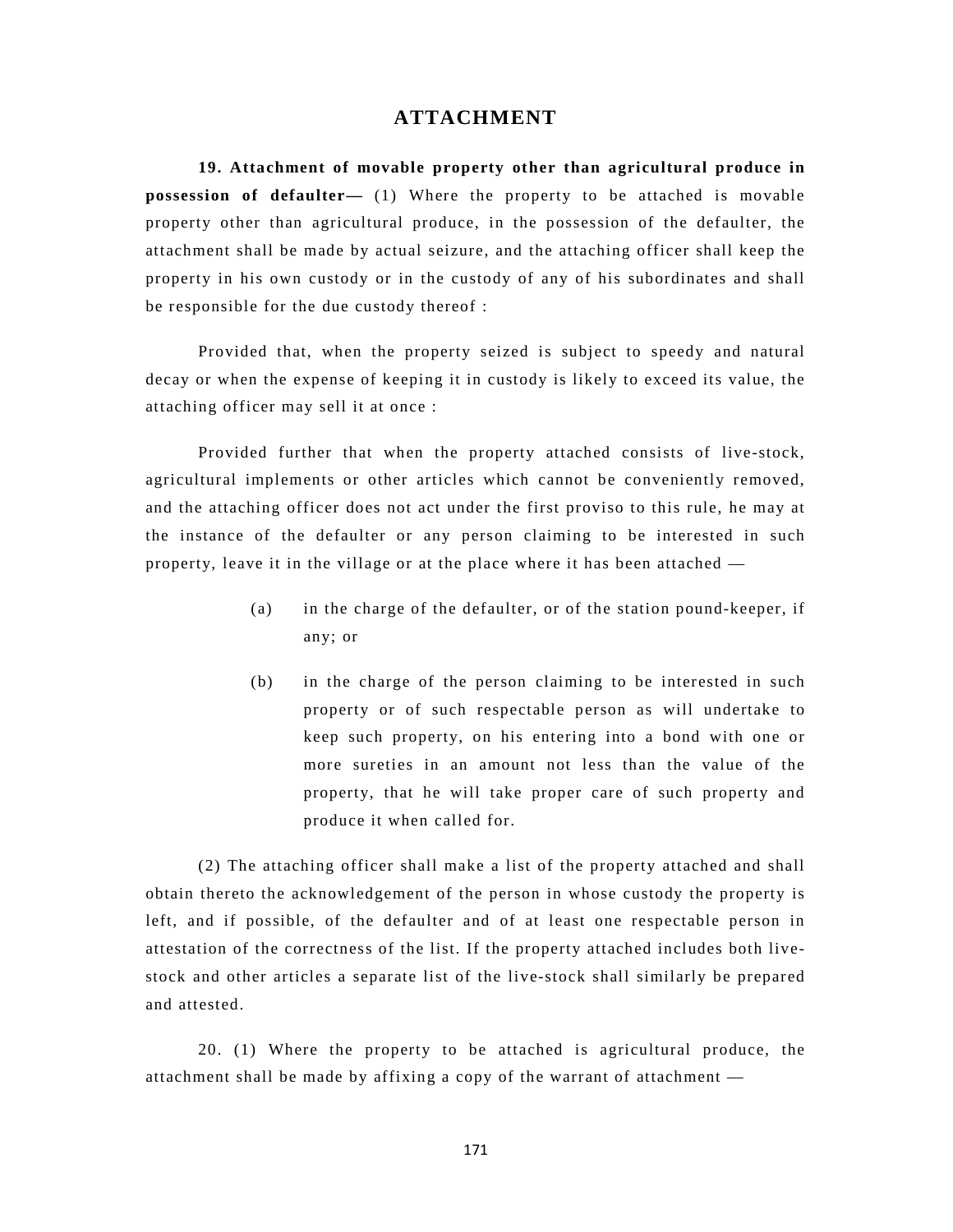#### **ATTACHMENT**

**19. Attachment of movable property other than agricultural produce in possession of defaulter—** (1) Where the property to be attached is movable property other than agricultural produce, in the possession of the defaulter, the attachment shall be made by actual seizure, and the attaching officer shall keep the property in his own custody or in the custody of any of his subordinates and shall be responsible for the due custody thereof :

Provided that, when the property seized is subject to speedy and natural decay or when the expense of keeping it in custody is likely to exceed its value, the attaching officer may sell it at once :

Provided further that when the property attached consists of live-stock, agricultural implements or other articles which cannot be conveniently removed, and the attaching officer does not act under the first proviso to this rule, he may at the instance of the defaulter or any person claiming to be interested in such property, leave it in the village or at the place where it has been attached —

- (a) in the charge of the defaulter, or of the station pound-keeper, if any; or
- (b) in the charge of the person claiming to be interested in such property or of such respectable person as will undertake to keep such property, on his entering into a bond with one or more sureties in an amount not less than the value of the property, that he will take proper care of such property and produce it when called for.

(2) The attaching officer shall make a list of the property attached and shall obtain thereto the acknowledgement of the person in whose custody the property is left, and if possible, of the defaulter and of at least one respectable person in attestation of the correctness of the list. If the property attached includes both livestock and other articles a separate list of the live-stock shall similarly be prepared and attested.

20. (1) Where the property to be attached is agricultural produce, the attachment shall be made by affixing a copy of the warrant of attachment —

171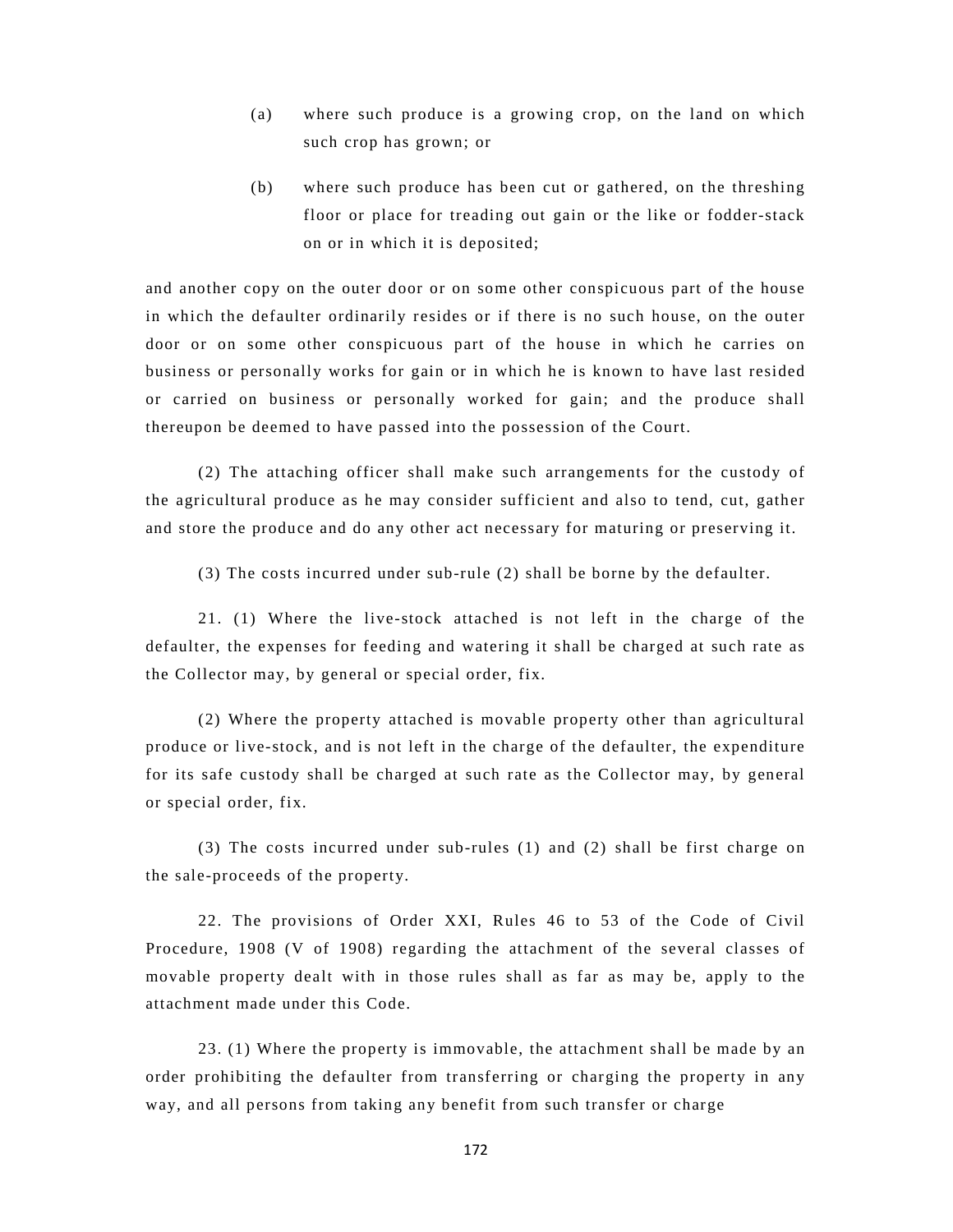- (a) where such produce is a growing crop, on the land on which such crop has grown; or
- (b) where such produce has been cut or gathered, on the threshing floor or place for treading out gain or the like or fodder-stack on or in which it is deposited;

and another copy on the outer door or on some other conspicuous part of the house in which the defaulter ordinarily resides or if there is no such house, on the outer door or on some other conspicuous part of the house in which he carries on business or personally works for gain or in which he is known to have last resided or carried on business or personally worked for gain; and the produce shall thereupon be deemed to have passed into the possession of the Court.

(2) The attaching officer shall make such arrangements for the custody of the agricultural produce as he may consider sufficient and also to tend, cut, gather and store the produce and do any other act necessary for maturing or preserving it.

(3) The costs incurred under sub-rule (2) shall be borne by the defaulter.

21. (1) Where the live-stock attached is not left in the charge of the defaulter, the expenses for feeding and watering it shall be charged at such rate as the Collector may, by general or special order, fix.

(2) Where the property attached is movable property other than agricultural produce or live-stock, and is not left in the charge of the defaulter, the expenditure for its safe custody shall be charged at such rate as the Collector may, by general or special order, fix.

(3) The costs incurred under sub-rules (1) and (2) shall be first charge on the sale-proceeds of the property.

22. The provisions of Order XXI, Rules 46 to 53 of the Code of Civil Procedure, 1908 (V of 1908) regarding the attachment of the several classes of movable property dealt with in those rules shall as far as may be, apply to the attachment made under this Code.

23. (1) Where the property is immovable, the attachment shall be made by an order prohibiting the defaulter from transferring or charging the property in any way, and all persons from taking any benefit from such transfer or charge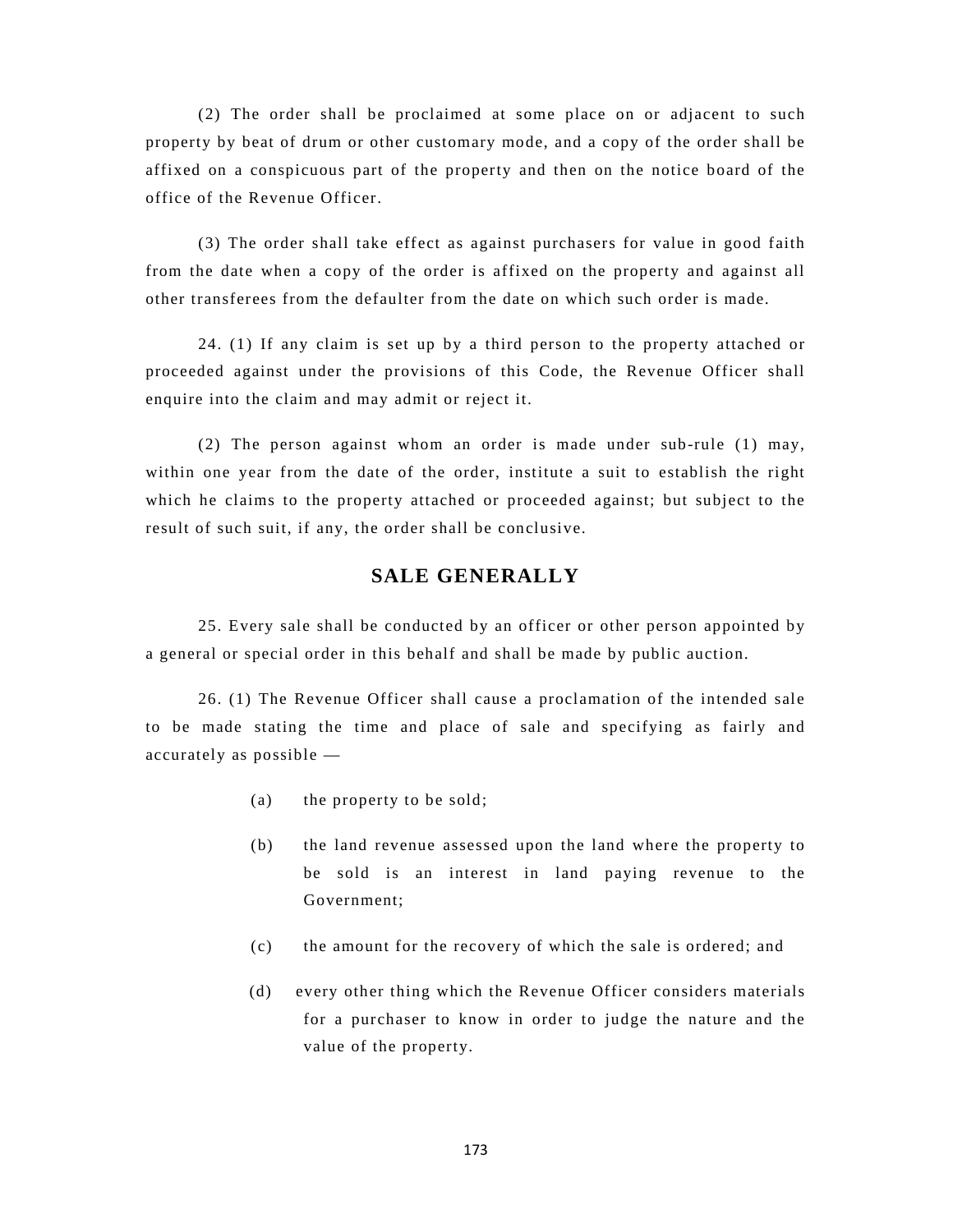(2) The order shall be proclaimed at some place on or adjacent to such property by beat of drum or other customary mode, and a copy of the order shall be affixed on a conspicuous part of the property and then on the notice board of the office of the Revenue Officer.

(3) The order shall take effect as against purchasers for value in good faith from the date when a copy of the order is affixed on the property and against all other transferees from the defaulter from the date on which such order is made.

24. (1) If any claim is set up by a third person to the property attached or proceeded against under the provisions of this Code, the Revenue Officer shall enquire into the claim and may admit or reject it.

(2) The person against whom an order is made under sub-rule (1) may, within one year from the date of the order, institute a suit to establish the right which he claims to the property attached or proceeded against; but subject to the result of such suit, if any, the order shall be conclusive.

## **SALE GENERALLY**

25. Every sale shall be conducted by an officer or other person appointed by a general or special order in this behalf and shall be made by public auction.

26. (1) The Revenue Officer shall cause a proclamation of the intended sale to be made stating the time and place of sale and specifying as fairly and accurately as possible —

- (a) the property to be sold;
- (b) the land revenue assessed upon the land where the property to be sold is an interest in land paying revenue to the Government;
- (c) the amount for the recovery of which the sale is ordered; and
- (d) every other thing which the Revenue Officer considers materials for a purchaser to know in order to judge the nature and the value of the property.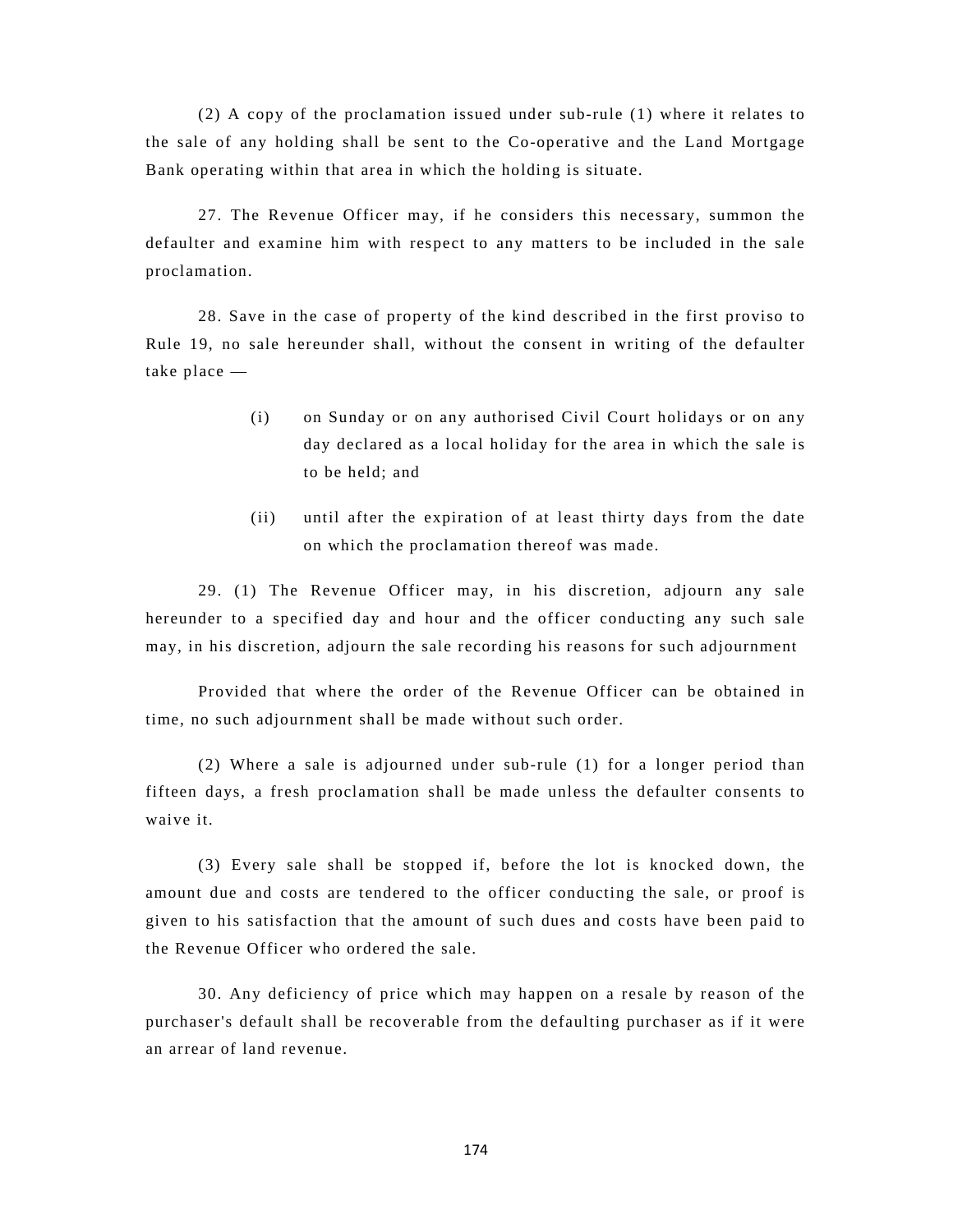(2) A copy of the proclamation issued under sub-rule (1) where it relates to the sale of any holding shall be sent to the Co-operative and the Land Mortgage Bank operating within that area in which the holding is situate.

27. The Revenue Officer may, if he considers this necessary, summon the defaulter and examine him with respect to any matters to be included in the sale proclamation.

28. Save in the case of property of the kind described in the first proviso to Rule 19, no sale hereunder shall, without the consent in writing of the defaulter take place —

- (i) on Sunday or on any authorised Civil Court holidays or on any day declared as a local holiday for the area in which the sale is to be held; and
- (ii) until after the expiration of at least thirty days from the date on which the proclamation thereof was made.

29. (1) The Revenue Officer may, in his discretion, adjourn any sale hereunder to a specified day and hour and the officer conducting any such sale may, in his discretion, adjourn the sale recording his reasons for such adjournment

Provided that where the order of the Revenue Officer can be obtained in time, no such adjournment shall be made without such order.

(2) Where a sale is adjourned under sub-rule (1) for a longer period than fifteen days, a fresh proclamation shall be made unless the defaulter consents to waive it.

(3) Every sale shall be stopped if, before the lot is knocked down, the amount due and costs are tendered to the officer conducting the sale, or proof is given to his satisfaction that the amount of such dues and costs have been paid to the Revenue Officer who ordered the sale.

30. Any deficiency of price which may happen on a resale by reason of the purchaser's default shall be recoverable from the defaulting purchaser as if it were an arrear of land revenue.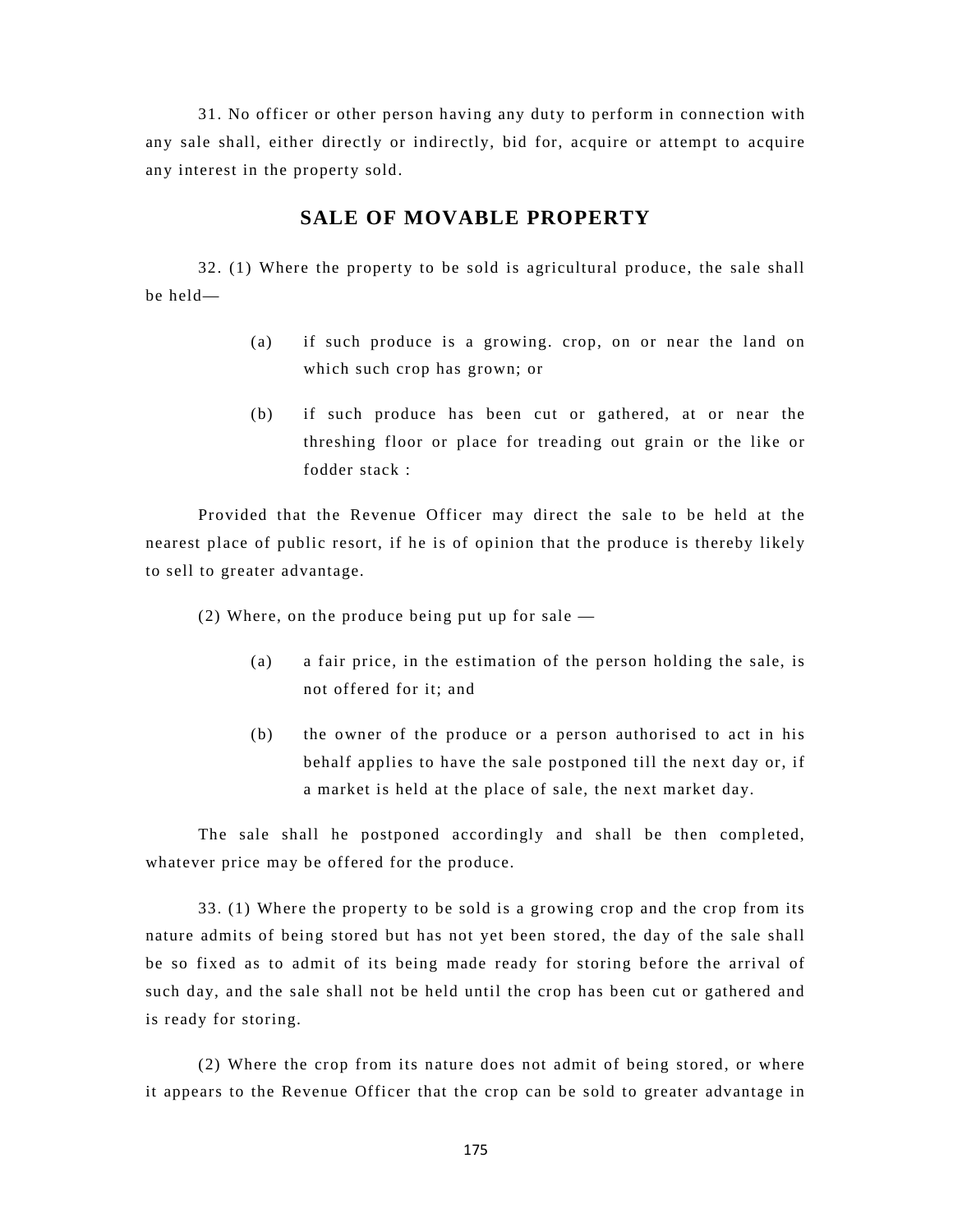31. No officer or other person having any duty to perform in connection with any sale shall, either directly or indirectly, bid for, acquire or attempt to acquire any interest in the property sold.

#### **SALE OF MOVABLE PROPERTY**

32. (1) Where the property to be sold is agricultural produce, the sale shall be held—

- (a) if such produce is a growing. crop, on or near the land on which such crop has grown; or
- (b) if such produce has been cut or gathered, at or near the threshing floor or place for treading out grain or the like or fodder stack :

Provided that the Revenue Officer may direct the sale to be held at the nearest place of public resort, if he is of opinion that the produce is thereby likely to sell to greater advantage.

(2) Where, on the produce being put up for sale —

- (a) a fair price, in the estimation of the person holding the sale, is not offered for it; and
- (b) the owner of the produce or a person authorised to act in his behalf applies to have the sale postponed till the next day or, if a market is held at the place of sale, the next market day.

The sale shall he postponed accordingly and shall be then completed, whatever price may be offered for the produce.

33. (1) Where the property to be sold is a growing crop and the crop from its nature admits of being stored but has not yet been stored, the day of the sale shall be so fixed as to admit of its being made ready for storing before the arrival of such day, and the sale shall not be held until the crop has been cut or gathered and is ready for storing.

(2) Where the crop from its nature does not admit of being stored, or where it appears to the Revenue Officer that the crop can be sold to greater advantage in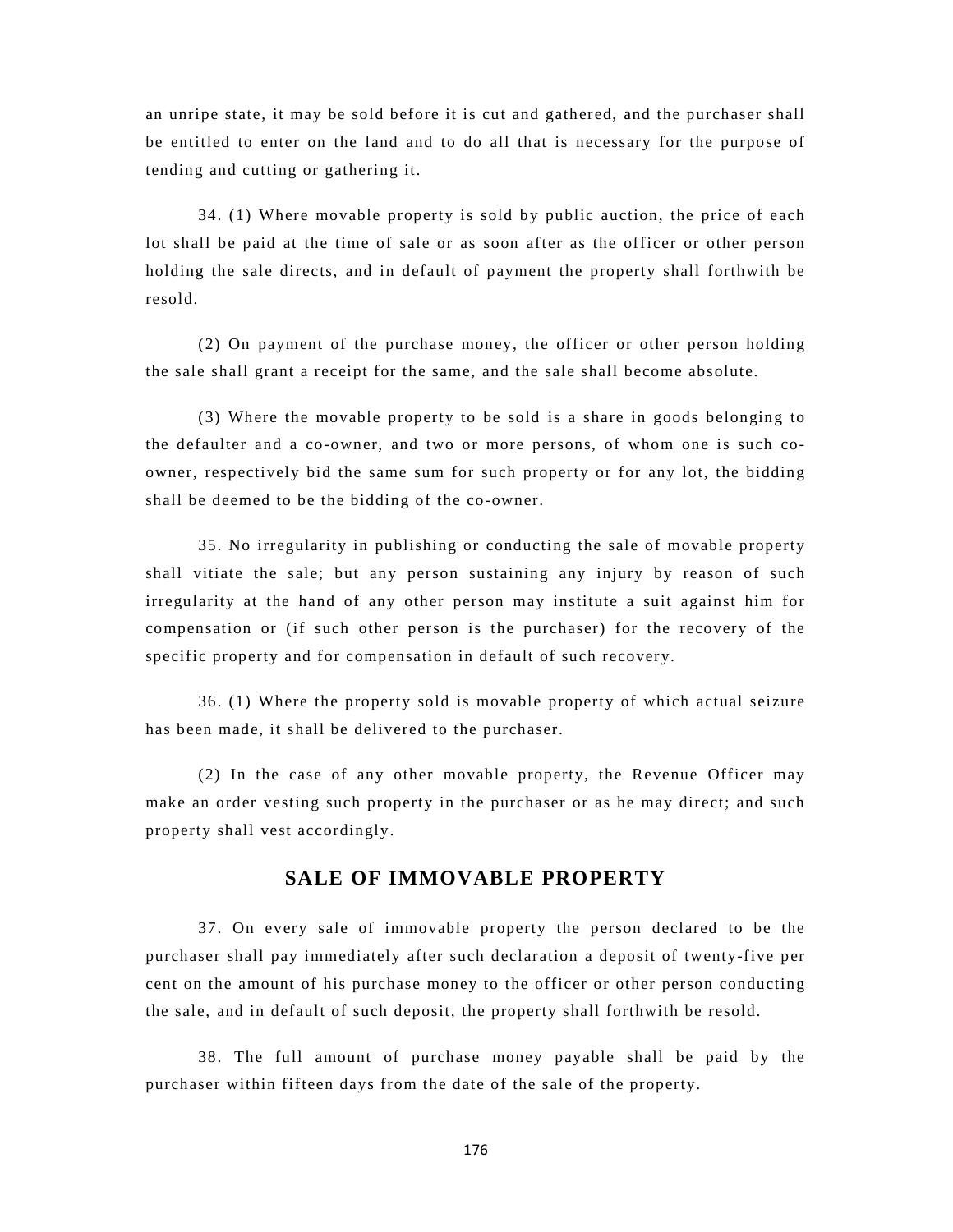an unripe state, it may be sold before it is cut and gathered, and the purchaser shall be entitled to enter on the land and to do all that is necessary for the purpose of tending and cutting or gathering it.

34. (1) Where movable property is sold by public auction, the price of each lot shall be paid at the time of sale or as soon after as the officer or other person holding the sale directs, and in default of payment the property shall forthwith be resold.

(2) On payment of the purchase money, the officer or other person holding the sale shall grant a receipt for the same, and the sale shall become absolute.

(3) Where the movable property to be sold is a share in goods belonging to the defaulter and a co-owner, and two or more persons, of whom one is such coowner, respectively bid the same sum for such property or for any lot, the bidding shall be deemed to be the bidding of the co-owner.

35. No irregularity in publishing or conducting the sale of movable property shall vitiate the sale; but any person sustaining any injury by reason of such irregularity at the hand of any other person may institute a suit against him for compensation or (if such other person is the purchaser) for the recovery of the specific property and for compensation in default of such recovery.

36. (1) Where the property sold is movable property of which actual seizure has been made, it shall be delivered to the purchaser.

(2) In the case of any other movable property, the Revenue Officer may make an order vesting such property in the purchaser or as he may direct; and such property shall vest accordingly.

#### **SALE OF IMMOVABLE PROPERTY**

37. On every sale of immovable property the person declared to be the purchaser shall pay immediately after such declaration a deposit of twenty-five per cent on the amount of his purchase money to the officer or other person conducting the sale, and in default of such deposit, the property shall forthwith be resold.

38. The full amount of purchase money payable shall be paid by the purchaser within fifteen days from the date of the sale of the property.

176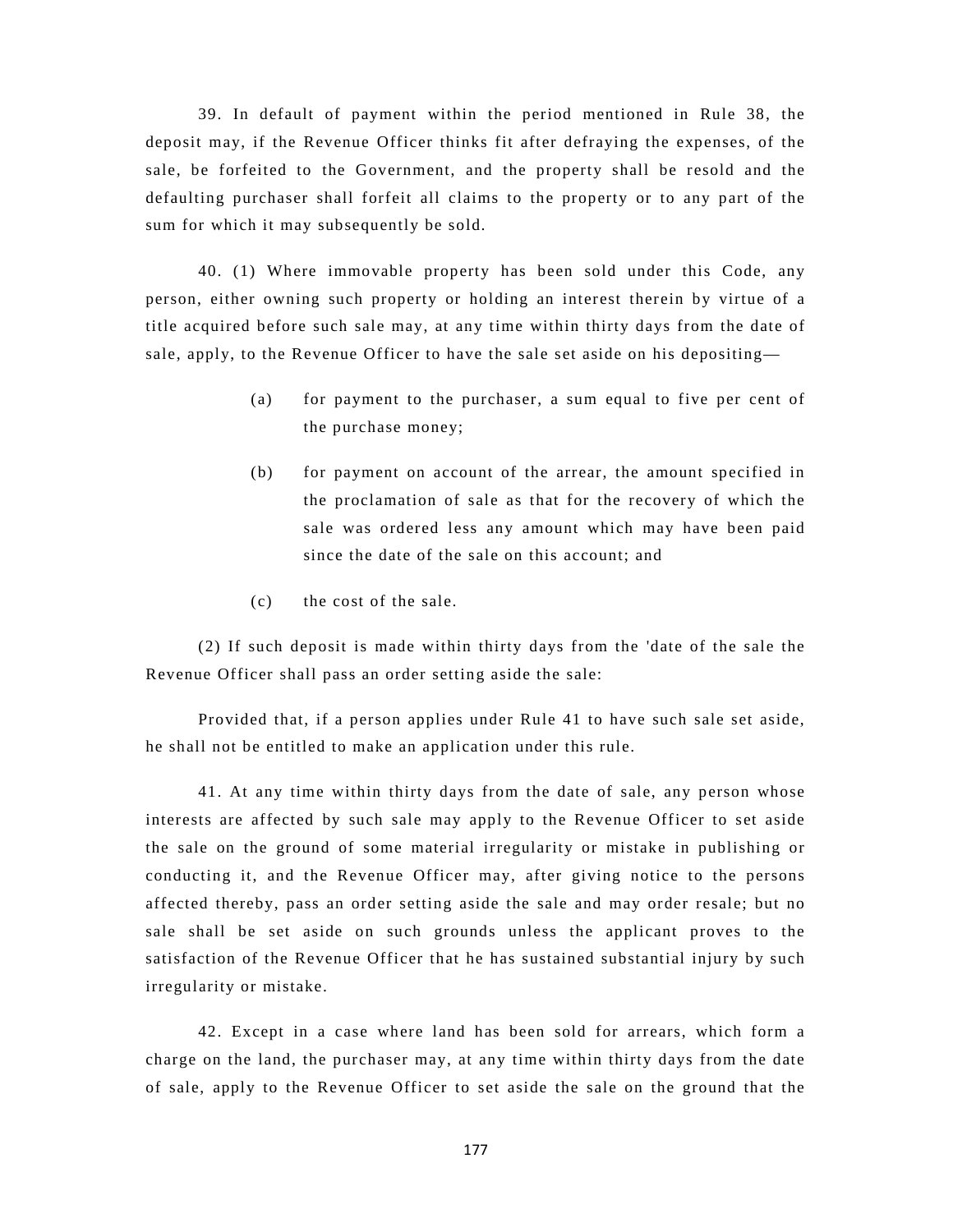39. In default of payment within the period mentioned in Rule 38, the deposit may, if the Revenue Officer thinks fit after defraying the expenses, of the sale, be forfeited to the Government, and the property shall be resold and the defaulting purchaser shall forfeit all claims to the property or to any part of the sum for which it may subsequently be sold.

40. (1) Where immovable property has been sold under this Code, any person, either owning such property or holding an interest therein by virtue of a title acquired before such sale may, at any time within thirty days from the date of sale, apply, to the Revenue Officer to have the sale set aside on his depositing—

- (a) for payment to the purchaser, a sum equal to five per cent of the purchase money;
- (b) for payment on account of the arrear, the amount specified in the proclamation of sale as that for the recovery of which the sale was ordered less any amount which may have been paid since the date of the sale on this account; and
- (c) the cost of the sale.

(2) If such deposit is made within thirty days from the 'date of the sale the Revenue Officer shall pass an order setting aside the sale:

Provided that, if a person applies under Rule 41 to have such sale set aside, he shall not be entitled to make an application under this rule.

41. At any time within thirty days from the date of sale, any person whose interests are affected by such sale may apply to the Revenue Officer to set aside the sale on the ground of some material irregularity or mistake in publishing or conducting it, and the Revenue Officer may, after giving notice to the persons affected thereby, pass an order setting aside the sale and may order resale; but no sale shall be set aside on such grounds unless the applicant proves to the satisfaction of the Revenue Officer that he has sustained substantial injury by such irregularity or mistake.

42. Except in a case where land has been sold for arrears, which form a charge on the land, the purchaser may, at any time within thirty days from the date of sale, apply to the Revenue Officer to set aside the sale on the ground that the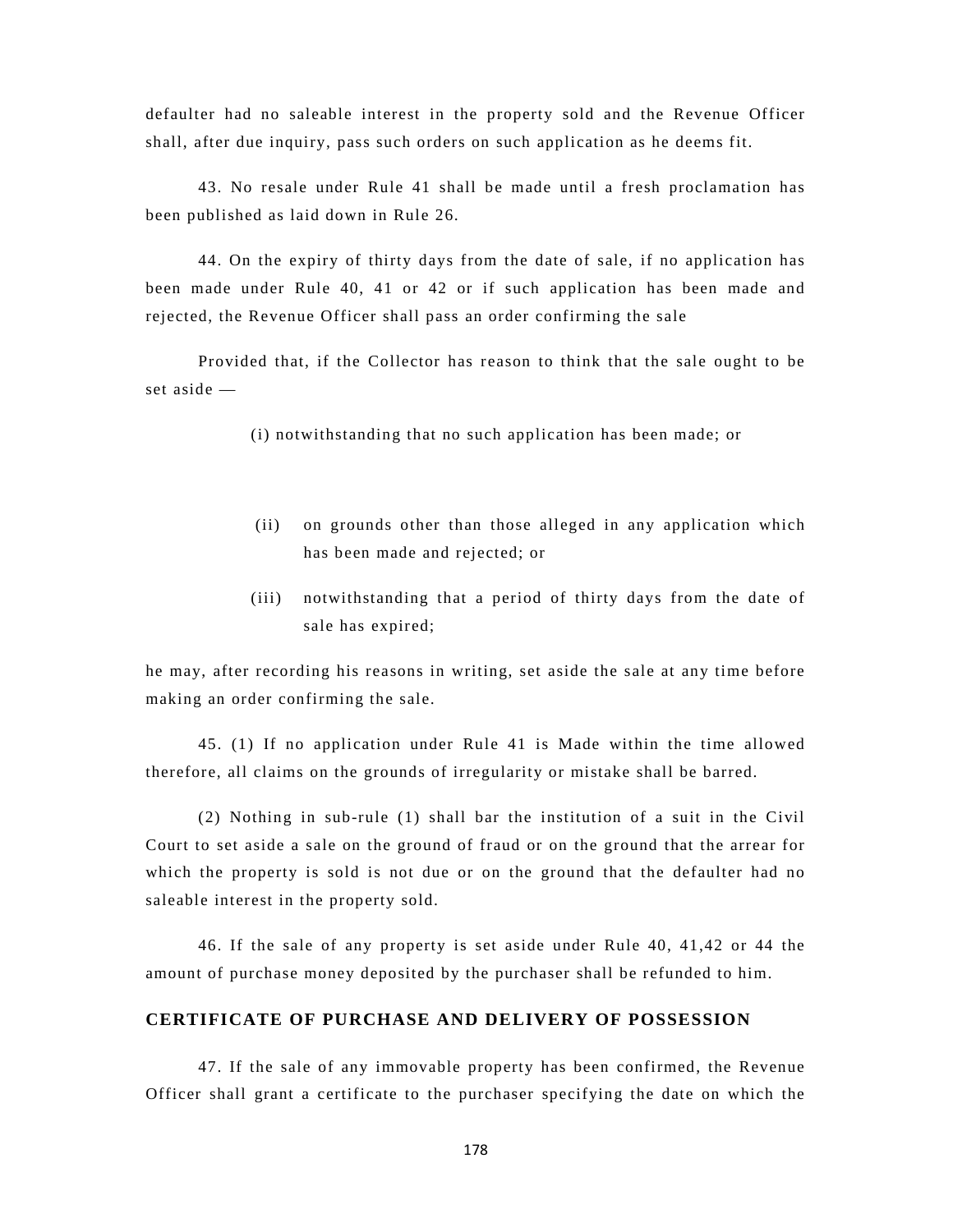defaulter had no saleable interest in the property sold and the Revenue Officer shall, after due inquiry, pass such orders on such application as he deems fit.

43. No resale under Rule 41 shall be made until a fresh proclamation has been published as laid down in Rule 26.

44. On the expiry of thirty days from the date of sale, if no application has been made under Rule 40, 41 or 42 or if such application has been made and rejected, the Revenue Officer shall pass an order confirming the sale

Provided that, if the Collector has reason to think that the sale ought to be set aside —

(i) notwithstanding that no such application has been made; or

- (ii) on grounds other than those alleged in any application which has been made and rejected; or
- (iii) notwithstanding that a period of thirty days from the date of sale has expired;

he may, after recording his reasons in writing, set aside the sale at any time before making an order confirming the sale.

45. (1) If no application under Rule 41 is Made within the time allowed therefore, all claims on the grounds of irregularity or mistake shall be barred.

(2) Nothing in sub-rule (1) shall bar the institution of a suit in the Civil Court to set aside a sale on the ground of fraud or on the ground that the arrear for which the property is sold is not due or on the ground that the defaulter had no saleable interest in the property sold.

46. If the sale of any property is set aside under Rule 40, 41,42 or 44 the amount of purchase money deposited by the purchaser shall be refunded to him.

#### **CERTIFICATE OF PURCHASE AND DELIVERY OF POSSESSION**

47. If the sale of any immovable property has been confirmed, the Revenue Officer shall grant a certificate to the purchaser specifying the date on which the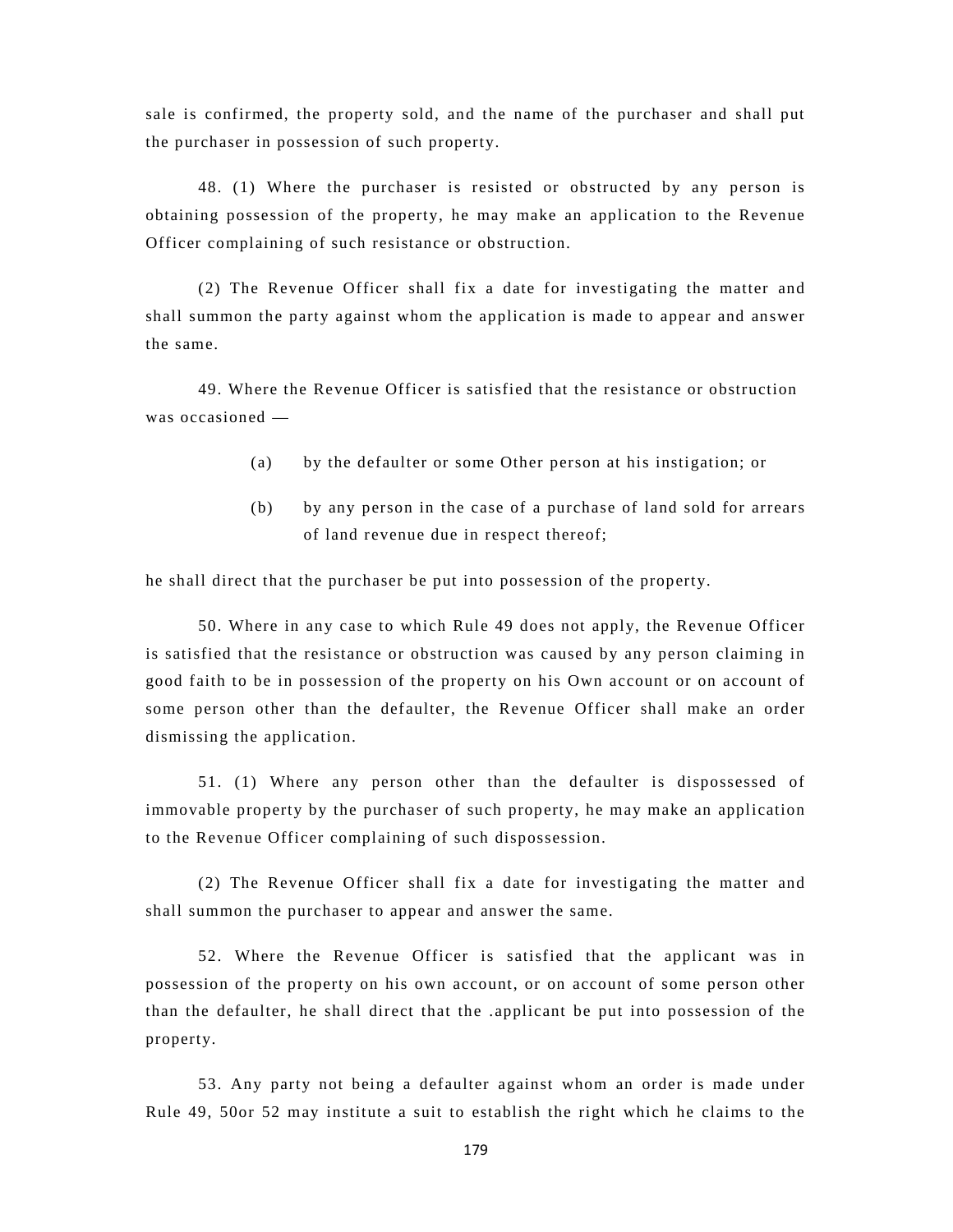sale is confirmed, the property sold, and the name of the purchaser and shall put the purchaser in possession of such property.

48. (1) Where the purchaser is resisted or obstructed by any person is obtaining possession of the property, he may make an application to the Revenue Officer complaining of such resistance or obstruction.

(2) The Revenue Officer shall fix a date for investigating the matter and shall summon the party against whom the application is made to appear and answer the same.

49. Where the Revenue Officer is satisfied that the resistance or obstruction was occasioned —

- (a) by the defaulter or some Other person at his instigation; or
- (b) by any person in the case of a purchase of land sold for arrears of land revenue due in respect thereof;

he shall direct that the purchaser be put into possession of the property.

50. Where in any case to which Rule 49 does not apply, the Revenue Officer is satisfied that the resistance or obstruction was caused by any person claiming in good faith to be in possession of the property on his Own account or on account of some person other than the defaulter, the Revenue Officer shall make an order dismissing the application.

51. (1) Where any person other than the defaulter is dispossessed of immovable property by the purchaser of such property, he may make an application to the Revenue Officer complaining of such dispossession.

(2) The Revenue Officer shall fix a date for investigating the matter and shall summon the purchaser to appear and answer the same.

52. Where the Revenue Officer is satisfied that the applicant was in possession of the property on his own account, or on account of some person other than the defaulter, he shall direct that the .applicant be put into possession of the property.

53. Any party not being a defaulter against whom an order is made under Rule 49, 50or 52 may institute a suit to establish the right which he claims to the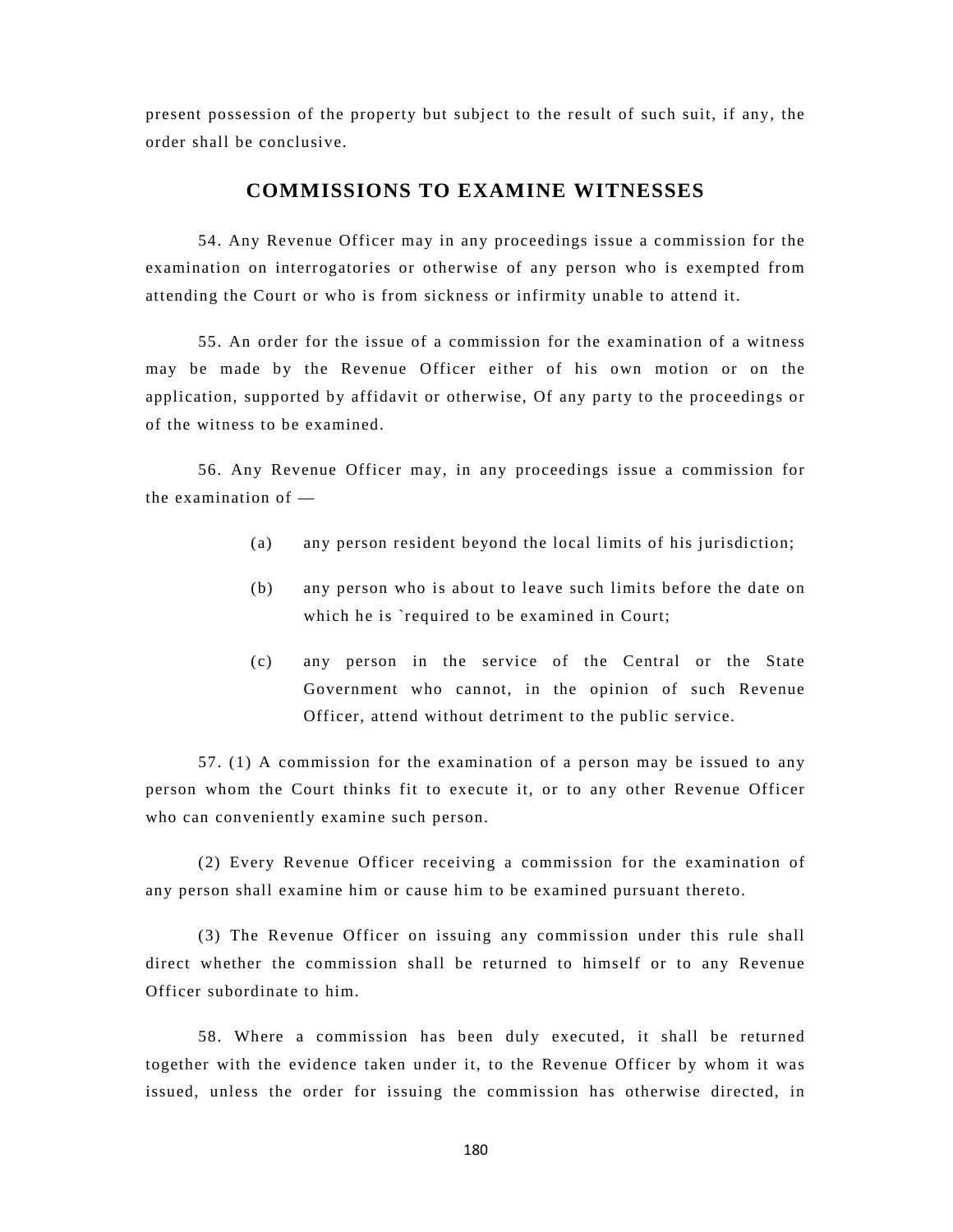present possession of the property but subject to the result of such suit, if any, the order shall be conclusive.

#### **COMMISSIONS TO EXAMINE WITNESSES**

54. Any Revenue Officer may in any proceedings issue a commission for the examination on interrogatories or otherwise of any person who is exempted from attending the Court or who is from sickness or infirmity unable to attend it.

55. An order for the issue of a commission for the examination of a witness may be made by the Revenue Officer either of his own motion or on the application, supported by affidavit or otherwise, Of any party to the proceedings or of the witness to be examined.

56. Any Revenue Officer may, in any proceedings issue a commission for the examination of —

- (a) any person resident beyond the local limits of his jurisdiction;
- (b) any person who is about to leave such limits before the date on which he is `required to be examined in Court;
- (c) any person in the service of the Central or the State Government who cannot, in the opinion of such Revenue Officer, attend without detriment to the public service.

57. (1) A commission for the examination of a person may be issued to any person whom the Court thinks fit to execute it, or to any other Revenue Officer who can conveniently examine such person.

(2) Every Revenue Officer receiving a commission for the examination of any person shall examine him or cause him to be examined pursuant thereto.

(3) The Revenue Officer on issuing any commission under this rule shall direct whether the commission shall be returned to himself or to any Revenue Officer subordinate to him.

58. Where a commission has been duly executed, it shall be returned together with the evidence taken under it, to the Revenue Officer by whom it was issued, unless the order for issuing the commission has otherwise directed, in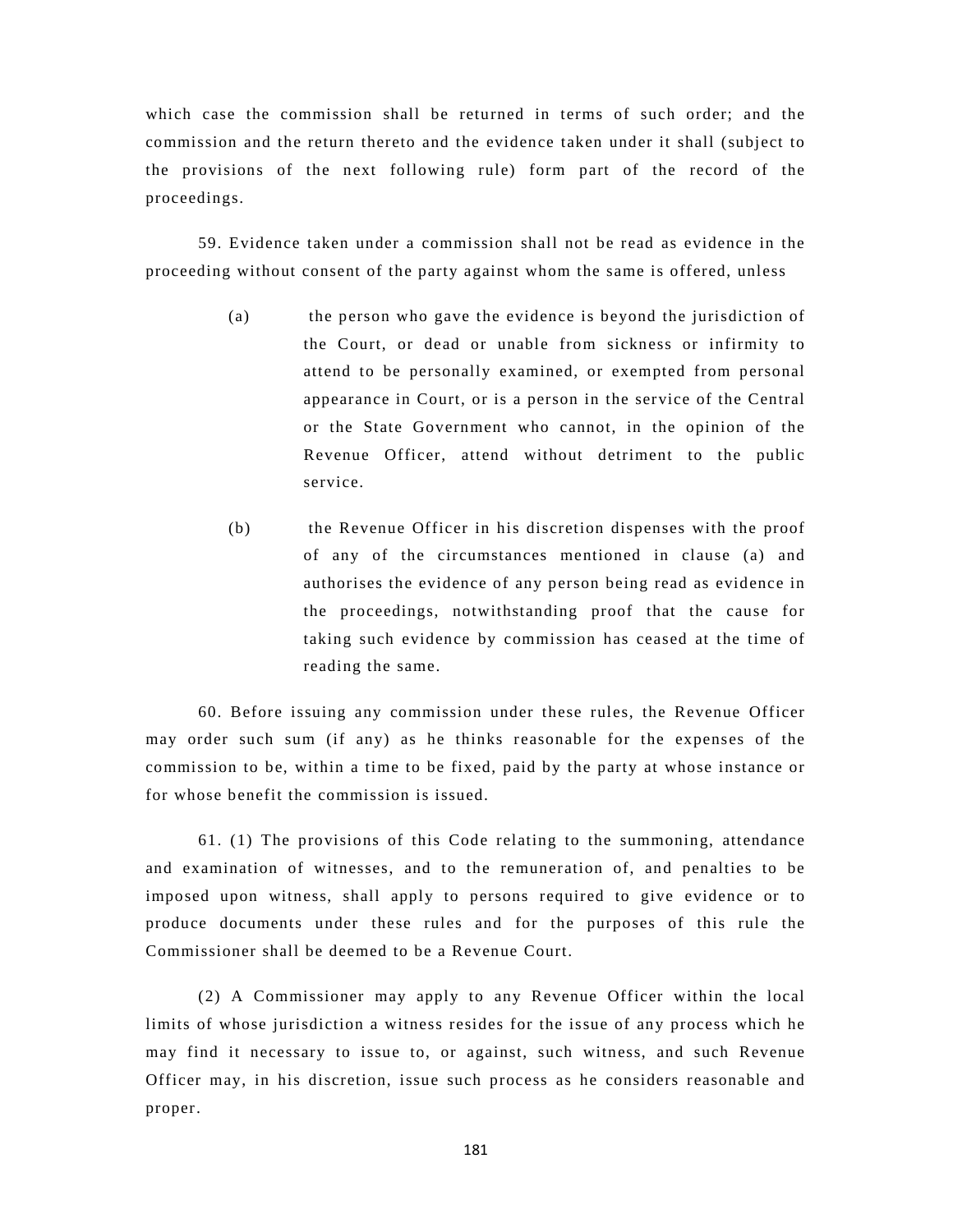which case the commission shall be returned in terms of such order; and the commission and the return thereto and the evidence taken under it shall (subject to the provisions of the next following rule) form part of the record of the proceedings.

59. Evidence taken under a commission shall not be read as evidence in the proceeding without consent of the party against whom the same is offered, unless

- (a) the person who gave the evidence is beyond the jurisdiction of the Court, or dead or unable from sickness or infirmity to attend to be personally examined, or exempted from personal appearance in Court, or is a person in the service of the Central or the State Government who cannot, in the opinion of the Revenue Officer, attend without detriment to the public service.
- (b) the Revenue Officer in his discretion dispenses with the proof of any of the circumstances mentioned in clause (a) and authorises the evidence of any person being read as evidence in the proceedings, notwithstanding proof that the cause for taking such evidence by commission has ceased at the time of reading the same.

60. Before issuing any commission under these rules, the Revenue Officer may order such sum (if any) as he thinks reasonable for the expenses of the commission to be, within a time to be fixed, paid by the party at whose instance or for whose benefit the commission is issued.

61. (1) The provisions of this Code relating to the summoning, attendance and examination of witnesses, and to the remuneration of, and penalties to be imposed upon witness, shall apply to persons required to give evidence or to produce documents under these rules and for the purposes of this rule the Commissioner shall be deemed to be a Revenue Court.

(2) A Commissioner may apply to any Revenue Officer within the local limits of whose jurisdiction a witness resides for the issue of any process which he may find it necessary to issue to, or against, such witness, and such Revenue Officer may, in his discretion, issue such process as he considers reasonable and proper.